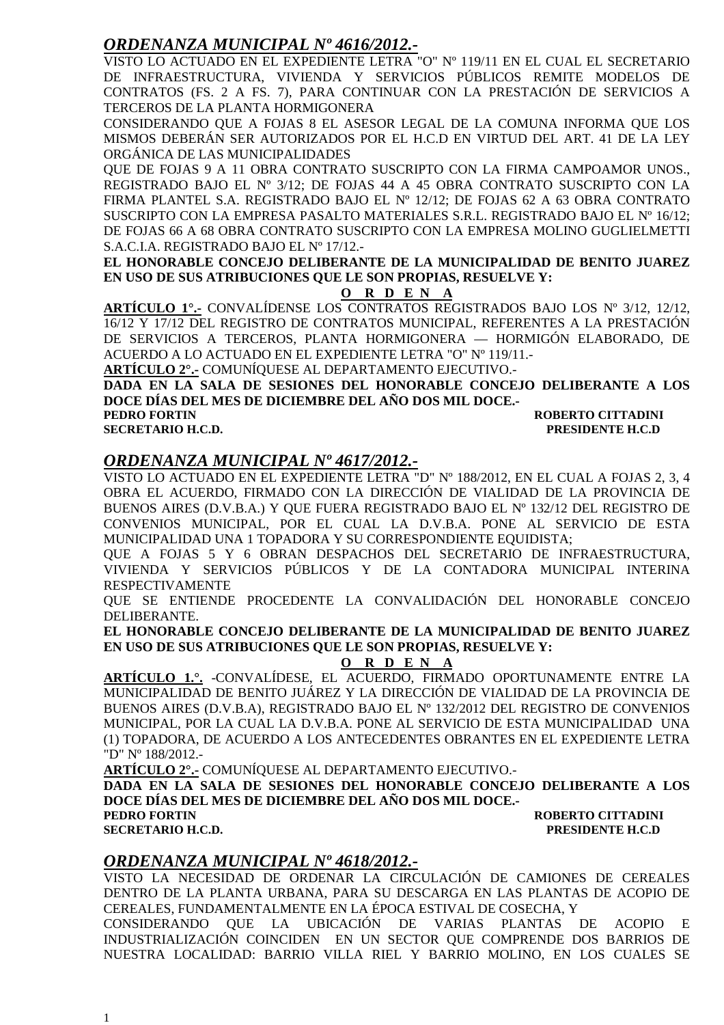#### *ORDENANZA MUNICIPAL Nº 4616/2012.-*

VISTO LO ACTUADO EN EL EXPEDIENTE LETRA "O" Nº 119/11 EN EL CUAL EL SECRETARIO DE INFRAESTRUCTURA, VIVIENDA Y SERVICIOS PÚBLICOS REMITE MODELOS DE CONTRATOS (FS. 2 A FS. 7), PARA CONTINUAR CON LA PRESTACIÓN DE SERVICIOS A TERCEROS DE LA PLANTA HORMIGONERA

CONSIDERANDO QUE A FOJAS 8 EL ASESOR LEGAL DE LA COMUNA INFORMA QUE LOS MISMOS DEBERÁN SER AUTORIZADOS POR EL H.C.D EN VIRTUD DEL ART. 41 DE LA LEY ORGÁNICA DE LAS MUNICIPALIDADES

QUE DE FOJAS 9 A 11 OBRA CONTRATO SUSCRIPTO CON LA FIRMA CAMPOAMOR UNOS., REGISTRADO BAJO EL Nº 3/12; DE FOJAS 44 A 45 OBRA CONTRATO SUSCRIPTO CON LA FIRMA PLANTEL S.A. REGISTRADO BAJO EL Nº 12/12; DE FOJAS 62 A 63 OBRA CONTRATO SUSCRIPTO CON LA EMPRESA PASALTO MATERIALES S.R.L. REGISTRADO BAJO EL Nº 16/12; DE FOJAS 66 A 68 OBRA CONTRATO SUSCRIPTO CON LA EMPRESA MOLINO GUGLIELMETTI S.A.C.I.A. REGISTRADO BAJO EL Nº 17/12.-

**EL HONORABLE CONCEJO DELIBERANTE DE LA MUNICIPALIDAD DE BENITO JUAREZ EN USO DE SUS ATRIBUCIONES QUE LE SON PROPIAS, RESUELVE Y:** 

#### **O R D E N A**

**ARTÍCULO 1°.-** CONVALÍDENSE LOS CONTRATOS REGISTRADOS BAJO LOS Nº 3/12, 12/12, 16/12 Y 17/12 DEL REGISTRO DE CONTRATOS MUNICIPAL, REFERENTES A LA PRESTACIÓN DE SERVICIOS A TERCEROS, PLANTA HORMIGONERA — HORMIGÓN ELABORADO, DE ACUERDO A LO ACTUADO EN EL EXPEDIENTE LETRA "O" Nº 119/11.-

**ARTÍCULO 2°.-** COMUNÍQUESE AL DEPARTAMENTO EJECUTIVO.-

**DADA EN LA SALA DE SESIONES DEL HONORABLE CONCEJO DELIBERANTE A LOS DOCE DÍAS DEL MES DE DICIEMBRE DEL AÑO DOS MIL DOCE.-** 

**PEDRO FORTIN ROBERTO CITTADINI** 

**SECRETARIO H.C.D. PRESIDENTE H.C.D** 

#### *ORDENANZA MUNICIPAL Nº 4617/2012.-*

VISTO LO ACTUADO EN EL EXPEDIENTE LETRA "D" Nº 188/2012, EN EL CUAL A FOJAS 2, 3, 4 OBRA EL ACUERDO, FIRMADO CON LA DIRECCIÓN DE VIALIDAD DE LA PROVINCIA DE BUENOS AIRES (D.V.B.A.) Y QUE FUERA REGISTRADO BAJO EL Nº 132/12 DEL REGISTRO DE CONVENIOS MUNICIPAL, POR EL CUAL LA D.V.B.A. PONE AL SERVICIO DE ESTA MUNICIPALIDAD UNA 1 TOPADORA Y SU CORRESPONDIENTE EQUIDISTA;

QUE A FOJAS 5 Y 6 OBRAN DESPACHOS DEL SECRETARIO DE INFRAESTRUCTURA, VIVIENDA Y SERVICIOS PÚBLICOS Y DE LA CONTADORA MUNICIPAL INTERINA RESPECTIVAMENTE

QUE SE ENTIENDE PROCEDENTE LA CONVALIDACIÓN DEL HONORABLE CONCEJO DELIBERANTE.

**EL HONORABLE CONCEJO DELIBERANTE DE LA MUNICIPALIDAD DE BENITO JUAREZ EN USO DE SUS ATRIBUCIONES QUE LE SON PROPIAS, RESUELVE Y:** 

**O R D E N A**

**ARTÍCULO 1.°.** -CONVALÍDESE, EL ACUERDO, FIRMADO OPORTUNAMENTE ENTRE LA MUNICIPALIDAD DE BENITO JUÁREZ Y LA DIRECCIÓN DE VIALIDAD DE LA PROVINCIA DE BUENOS AIRES (D.V.B.A), REGISTRADO BAJO EL Nº 132/2012 DEL REGISTRO DE CONVENIOS MUNICIPAL, POR LA CUAL LA D.V.B.A. PONE AL SERVICIO DE ESTA MUNICIPALIDAD UNA (1) TOPADORA, DE ACUERDO A LOS ANTECEDENTES OBRANTES EN EL EXPEDIENTE LETRA "D" Nº 188/2012.-

**ARTÍCULO 2°.-** COMUNÍQUESE AL DEPARTAMENTO EJECUTIVO.-

**DADA EN LA SALA DE SESIONES DEL HONORABLE CONCEJO DELIBERANTE A LOS DOCE DÍAS DEL MES DE DICIEMBRE DEL AÑO DOS MIL DOCE.-** 

**SECRETARIO H.C.D. PRESIDENTE H.C.D** 

**PEDRO FORTIN ROBERTO CITTADINI** 

#### *ORDENANZA MUNICIPAL Nº 4618/2012.-*

VISTO LA NECESIDAD DE ORDENAR LA CIRCULACIÓN DE CAMIONES DE CEREALES DENTRO DE LA PLANTA URBANA, PARA SU DESCARGA EN LAS PLANTAS DE ACOPIO DE CEREALES, FUNDAMENTALMENTE EN LA ÉPOCA ESTIVAL DE COSECHA, Y

CONSIDERANDO QUE LA UBICACIÓN DE VARIAS PLANTAS DE ACOPIO E INDUSTRIALIZACIÓN COINCIDEN EN UN SECTOR QUE COMPRENDE DOS BARRIOS DE NUESTRA LOCALIDAD: BARRIO VILLA RIEL Y BARRIO MOLINO, EN LOS CUALES SE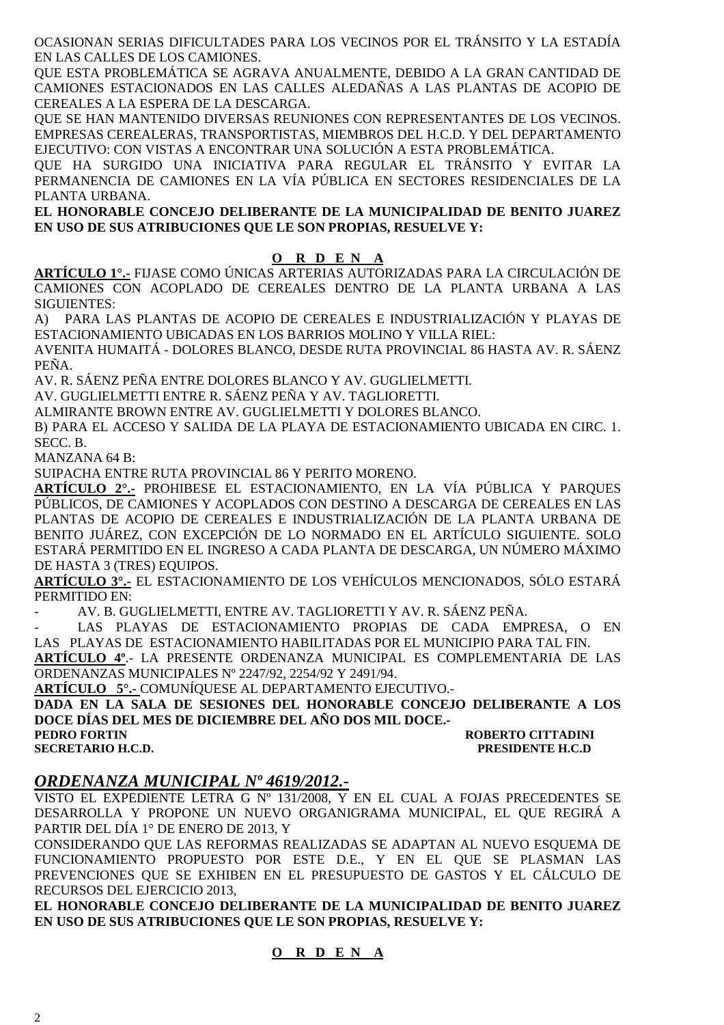OCASIONAN SERIAS DIFICULTADES PARA LOS VECINOS POR EL TRÁNSITO Y LA ESTADÍA EN LAS CALLES DE LOS CAMIONES.

QUE ESTA PROBLEMÁTICA SE AGRAVA ANUALMENTE, DEBIDO A LA GRAN CANTIDAD DE CAMIONES ESTACIONADOS EN LAS CALLES ALEDAÑAS A LAS PLANTAS DE ACOPIO DE CEREALES A LA ESPERA DE LA DESCARGA.

QUE SE HAN MANTENIDO DIVERSAS REUNIONES CON REPRESENTANTES DE LOS VECINOS. EMPRESAS CEREALERAS, TRANSPORTISTAS, MIEMBROS DEL H.C.D. Y DEL DEPARTAMENTO EJECUTIVO: CON VISTAS A ENCONTRAR UNA SOLUCIÓN A ESTA PROBLEMÁTICA.

QUE HA SURGIDO UNA INICIATIVA PARA REGULAR EL TRÁNSITO Y EVITAR LA PERMANENCIA DE CAMIONES EN LA VÍA PÚBLICA EN SECTORES RESIDENCIALES DE LA PLANTA URBANA.

**EL HONORABLE CONCEJO DELIBERANTE DE LA MUNICIPALIDAD DE BENITO JUAREZ EN USO DE SUS ATRIBUCIONES QUE LE SON PROPIAS, RESUELVE Y:** 

#### **O R D E N A**

**ARTÍCULO 1°.-** FIJASE COMO ÚNICAS ARTERIAS AUTORIZADAS PARA LA CIRCULACIÓN DE CAMIONES CON ACOPLADO DE CEREALES DENTRO DE LA PLANTA URBANA A LAS SIGUIENTES:

A) PARA LAS PLANTAS DE ACOPIO DE CEREALES E INDUSTRIALIZACIÓN Y PLAYAS DE ESTACIONAMIENTO UBICADAS EN LOS BARRIOS MOLINO Y VILLA RIEL:

AVENITA HUMAITÁ - DOLORES BLANCO, DESDE RUTA PROVINCIAL 86 HASTA AV. R. SÁENZ PEÑA.

AV. R. SÁENZ PEÑA ENTRE DOLORES BLANCO Y AV. GUGLIELMETTI.

AV. GUGLIELMETTI ENTRE R. SÁENZ PEÑA Y AV. TAGLIORETTI.

ALMIRANTE BROWN ENTRE AV. GUGLIELMETTI Y DOLORES BLANCO.

B) PARA EL ACCESO Y SALIDA DE LA PLAYA DE ESTACIONAMIENTO UBICADA EN CIRC. 1. SECC. B.

MANZANA 64 B:

SUIPACHA ENTRE RUTA PROVINCIAL 86 Y PERITO MORENO.

**ARTÍCULO 2°.-** PROHIBESE EL ESTACIONAMIENTO, EN LA VÍA PÚBLICA Y PARQUES PÚBLICOS, DE CAMIONES Y ACOPLADOS CON DESTINO A DESCARGA DE CEREALES EN LAS PLANTAS DE ACOPIO DE CEREALES E INDUSTRIALIZACIÓN DE LA PLANTA URBANA DE BENITO JUÁREZ, CON EXCEPCIÓN DE LO NORMADO EN EL ARTÍCULO SIGUIENTE. SOLO ESTARÁ PERMITIDO EN EL INGRESO A CADA PLANTA DE DESCARGA, UN NÚMERO MÁXIMO DE HASTA 3 (TRES) EQUIPOS.

**ARTÍCULO 3°.-** EL ESTACIONAMIENTO DE LOS VEHÍCULOS MENCIONADOS, SÓLO ESTARÁ PERMITIDO EN:

- AV. B. GUGLIELMETTI, ENTRE AV. TAGLIORETTI Y AV. R. SÁENZ PEÑA.

- LAS PLAYAS DE ESTACIONAMIENTO PROPIAS DE CADA EMPRESA, O EN LAS PLAYAS DE ESTACIONAMIENTO HABILITADAS POR EL MUNICIPIO PARA TAL FIN.

**ARTÍCULO 4º**.- LA PRESENTE ORDENANZA MUNICIPAL ES COMPLEMENTARIA DE LAS ORDENANZAS MUNICIPALES Nº 2247/92, 2254/92 Y 2491/94.

**ARTÍCULO 5°.-** COMUNÍQUESE AL DEPARTAMENTO EJECUTIVO.-

**DADA EN LA SALA DE SESIONES DEL HONORABLE CONCEJO DELIBERANTE A LOS DOCE DÍAS DEL MES DE DICIEMBRE DEL AÑO DOS MIL DOCE.- PEDRO FORTIN ROBERTO CITTADINI** 

**SECRETARIO H.C.D. PRESIDENTE H.C.D** 

#### *ORDENANZA MUNICIPAL Nº 4619/2012.-*

VISTO EL EXPEDIENTE LETRA G Nº 131/2008, Y EN EL CUAL A FOJAS PRECEDENTES SE DESARROLLA Y PROPONE UN NUEVO ORGANIGRAMA MUNICIPAL, EL QUE REGIRÁ A PARTIR DEL DÍA 1° DE ENERO DE 2013, Y

CONSIDERANDO QUE LAS REFORMAS REALIZADAS SE ADAPTAN AL NUEVO ESQUEMA DE FUNCIONAMIENTO PROPUESTO POR ESTE D.E., Y EN EL QUE SE PLASMAN LAS PREVENCIONES QUE SE EXHIBEN EN EL PRESUPUESTO DE GASTOS Y EL CÁLCULO DE RECURSOS DEL EJERCICIO 2013,

**EL HONORABLE CONCEJO DELIBERANTE DE LA MUNICIPALIDAD DE BENITO JUAREZ EN USO DE SUS ATRIBUCIONES QUE LE SON PROPIAS, RESUELVE Y:** 

#### **O R D E N A**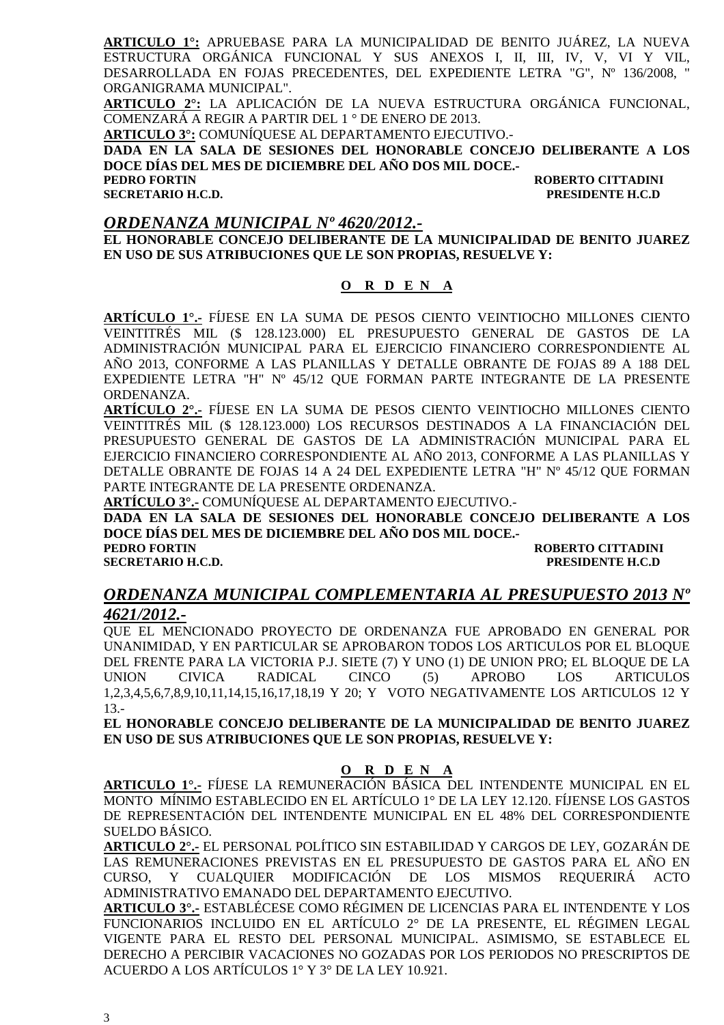**ARTICULO 1°:** APRUEBASE PARA LA MUNICIPALIDAD DE BENITO JUÁREZ, LA NUEVA ESTRUCTURA ORGÁNICA FUNCIONAL Y SUS ANEXOS I, II, III, IV, V, VI Y VIL, DESARROLLADA EN FOJAS PRECEDENTES, DEL EXPEDIENTE LETRA "G", Nº 136/2008, " ORGANIGRAMA MUNICIPAL".

**ARTICULO 2°:** LA APLICACIÓN DE LA NUEVA ESTRUCTURA ORGÁNICA FUNCIONAL, COMENZARÁ A REGIR A PARTIR DEL 1 ° DE ENERO DE 2013.

**ARTICULO 3°:** COMUNÍQUESE AL DEPARTAMENTO EJECUTIVO.-

**DADA EN LA SALA DE SESIONES DEL HONORABLE CONCEJO DELIBERANTE A LOS DOCE DÍAS DEL MES DE DICIEMBRE DEL AÑO DOS MIL DOCE.-** 

#### **PEDRO FORTIN ROBERTO CITTADINI SECRETARIO H.C.D. PRESIDENTE H.C.D**

#### *ORDENANZA MUNICIPAL Nº 4620/2012.-*

**EL HONORABLE CONCEJO DELIBERANTE DE LA MUNICIPALIDAD DE BENITO JUAREZ EN USO DE SUS ATRIBUCIONES QUE LE SON PROPIAS, RESUELVE Y:** 

#### **O R D E N A**

**ARTÍCULO 1°.-** FÍJESE EN LA SUMA DE PESOS CIENTO VEINTIOCHO MILLONES CIENTO VEINTITRÉS MIL (\$ 128.123.000) EL PRESUPUESTO GENERAL DE GASTOS DE LA ADMINISTRACIÓN MUNICIPAL PARA EL EJERCICIO FINANCIERO CORRESPONDIENTE AL AÑO 2013, CONFORME A LAS PLANILLAS Y DETALLE OBRANTE DE FOJAS 89 A 188 DEL EXPEDIENTE LETRA "H" Nº 45/12 QUE FORMAN PARTE INTEGRANTE DE LA PRESENTE ORDENANZA.

**ARTÍCULO 2°.-** FÍJESE EN LA SUMA DE PESOS CIENTO VEINTIOCHO MILLONES CIENTO VEINTITRÉS MIL (\$ 128.123.000) LOS RECURSOS DESTINADOS A LA FINANCIACIÓN DEL PRESUPUESTO GENERAL DE GASTOS DE LA ADMINISTRACIÓN MUNICIPAL PARA EL EJERCICIO FINANCIERO CORRESPONDIENTE AL AÑO 2013, CONFORME A LAS PLANILLAS Y DETALLE OBRANTE DE FOJAS 14 A 24 DEL EXPEDIENTE LETRA "H" Nº 45/12 QUE FORMAN PARTE INTEGRANTE DE LA PRESENTE ORDENANZA.

**ARTÍCULO 3°.-** COMUNÍQUESE AL DEPARTAMENTO EJECUTIVO.-

**DADA EN LA SALA DE SESIONES DEL HONORABLE CONCEJO DELIBERANTE A LOS DOCE DÍAS DEL MES DE DICIEMBRE DEL AÑO DOS MIL DOCE.-** 

**PEDRO FORTIN ROBERTO CITTADINI** 

**SECRETARIO H.C.D. PRESIDENTE H.C.D** 

#### *ORDENANZA MUNICIPAL COMPLEMENTARIA AL PRESUPUESTO 2013 Nº 4621/2012.-*

QUE EL MENCIONADO PROYECTO DE ORDENANZA FUE APROBADO EN GENERAL POR UNANIMIDAD, Y EN PARTICULAR SE APROBARON TODOS LOS ARTICULOS POR EL BLOQUE DEL FRENTE PARA LA VICTORIA P.J. SIETE (7) Y UNO (1) DE UNION PRO; EL BLOQUE DE LA UNION CIVICA RADICAL CINCO (5) APROBO LOS ARTICULOS 1,2,3,4,5,6,7,8,9,10,11,14,15,16,17,18,19 Y 20; Y VOTO NEGATIVAMENTE LOS ARTICULOS 12 Y 13.-

**EL HONORABLE CONCEJO DELIBERANTE DE LA MUNICIPALIDAD DE BENITO JUAREZ EN USO DE SUS ATRIBUCIONES QUE LE SON PROPIAS, RESUELVE Y:** 

#### **O R D E N A**

**ARTICULO 1°.-** FÍJESE LA REMUNERACIÓN BÁSICA DEL INTENDENTE MUNICIPAL EN EL MONTO MÍNIMO ESTABLECIDO EN EL ARTÍCULO 1° DE LA LEY 12.120. FÍJENSE LOS GASTOS DE REPRESENTACIÓN DEL INTENDENTE MUNICIPAL EN EL 48% DEL CORRESPONDIENTE SUELDO BÁSICO.

**ARTICULO 2°.-** EL PERSONAL POLÍTICO SIN ESTABILIDAD Y CARGOS DE LEY, GOZARÁN DE LAS REMUNERACIONES PREVISTAS EN EL PRESUPUESTO DE GASTOS PARA EL AÑO EN CURSO, Y CUALQUIER MODIFICACIÓN DE LOS MISMOS REQUERIRÁ ACTO ADMINISTRATIVO EMANADO DEL DEPARTAMENTO EJECUTIVO.

**ARTICULO 3°.-** ESTABLÉCESE COMO RÉGIMEN DE LICENCIAS PARA EL INTENDENTE Y LOS FUNCIONARIOS INCLUIDO EN EL ARTÍCULO 2° DE LA PRESENTE, EL RÉGIMEN LEGAL VIGENTE PARA EL RESTO DEL PERSONAL MUNICIPAL. ASIMISMO, SE ESTABLECE EL DERECHO A PERCIBIR VACACIONES NO GOZADAS POR LOS PERIODOS NO PRESCRIPTOS DE ACUERDO A LOS ARTÍCULOS 1° Y 3° DE LA LEY 10.921.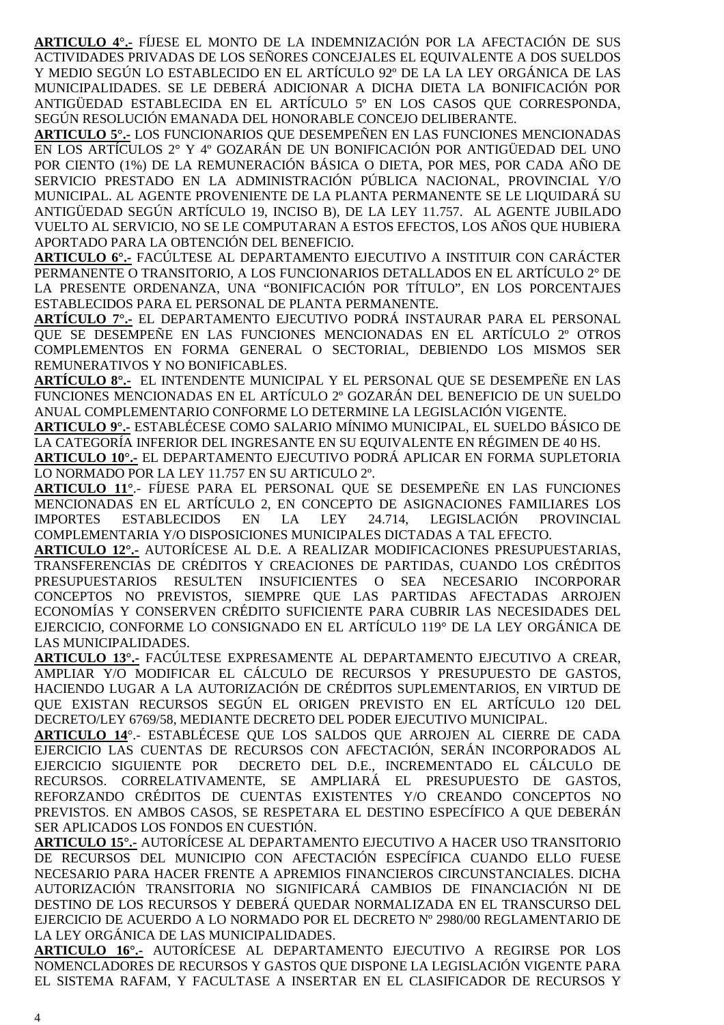**ARTICULO 4°.-** FÍJESE EL MONTO DE LA INDEMNIZACIÓN POR LA AFECTACIÓN DE SUS ACTIVIDADES PRIVADAS DE LOS SEÑORES CONCEJALES EL EQUIVALENTE A DOS SUELDOS Y MEDIO SEGÚN LO ESTABLECIDO EN EL ARTÍCULO 92º DE LA LA LEY ORGÁNICA DE LAS MUNICIPALIDADES. SE LE DEBERÁ ADICIONAR A DICHA DIETA LA BONIFICACIÓN POR ANTIGÜEDAD ESTABLECIDA EN EL ARTÍCULO 5º EN LOS CASOS QUE CORRESPONDA, SEGÚN RESOLUCIÓN EMANADA DEL HONORABLE CONCEJO DELIBERANTE.

**ARTICULO 5°.-** LOS FUNCIONARIOS QUE DESEMPEÑEN EN LAS FUNCIONES MENCIONADAS EN LOS ARTÍCULOS 2° Y 4º GOZARÁN DE UN BONIFICACIÓN POR ANTIGÜEDAD DEL UNO POR CIENTO (1%) DE LA REMUNERACIÓN BÁSICA O DIETA, POR MES, POR CADA AÑO DE SERVICIO PRESTADO EN LA ADMINISTRACIÓN PÚBLICA NACIONAL, PROVINCIAL Y/O MUNICIPAL. AL AGENTE PROVENIENTE DE LA PLANTA PERMANENTE SE LE LIQUIDARÁ SU ANTIGÜEDAD SEGÚN ARTÍCULO 19, INCISO B), DE LA LEY 11.757. AL AGENTE JUBILADO VUELTO AL SERVICIO, NO SE LE COMPUTARAN A ESTOS EFECTOS, LOS AÑOS QUE HUBIERA APORTADO PARA LA OBTENCIÓN DEL BENEFICIO.

**ARTICULO 6°.-** FACÚLTESE AL DEPARTAMENTO EJECUTIVO A INSTITUIR CON CARÁCTER PERMANENTE O TRANSITORIO, A LOS FUNCIONARIOS DETALLADOS EN EL ARTÍCULO 2° DE LA PRESENTE ORDENANZA, UNA "BONIFICACIÓN POR TÍTULO", EN LOS PORCENTAJES ESTABLECIDOS PARA EL PERSONAL DE PLANTA PERMANENTE.

**ARTÍCULO 7°.-** EL DEPARTAMENTO EJECUTIVO PODRÁ INSTAURAR PARA EL PERSONAL QUE SE DESEMPEÑE EN LAS FUNCIONES MENCIONADAS EN EL ARTÍCULO 2º OTROS COMPLEMENTOS EN FORMA GENERAL O SECTORIAL, DEBIENDO LOS MISMOS SER REMUNERATIVOS Y NO BONIFICABLES.

**ARTÍCULO 8°.-** EL INTENDENTE MUNICIPAL Y EL PERSONAL QUE SE DESEMPEÑE EN LAS FUNCIONES MENCIONADAS EN EL ARTÍCULO 2º GOZARÁN DEL BENEFICIO DE UN SUELDO ANUAL COMPLEMENTARIO CONFORME LO DETERMINE LA LEGISLACIÓN VIGENTE.

**ARTICULO 9°.-** ESTABLÉCESE COMO SALARIO MÍNIMO MUNICIPAL, EL SUELDO BÁSICO DE LA CATEGORÍA INFERIOR DEL INGRESANTE EN SU EQUIVALENTE EN RÉGIMEN DE 40 HS.

**ARTICULO 10°.-** EL DEPARTAMENTO EJECUTIVO PODRÁ APLICAR EN FORMA SUPLETORIA LO NORMADO POR LA LEY 11.757 EN SU ARTICULO 2º.

**ARTICULO 11°**.- FÍJESE PARA EL PERSONAL QUE SE DESEMPEÑE EN LAS FUNCIONES MENCIONADAS EN EL ARTÍCULO 2, EN CONCEPTO DE ASIGNACIONES FAMILIARES LOS IMPORTES ESTABLECIDOS EN LA LEY 24.714, LEGISLACIÓN PROVINCIAL COMPLEMENTARIA Y/O DISPOSICIONES MUNICIPALES DICTADAS A TAL EFECTO.

**ARTICULO 12°.-** AUTORÍCESE AL D.E. A REALIZAR MODIFICACIONES PRESUPUESTARIAS, TRANSFERENCIAS DE CRÉDITOS Y CREACIONES DE PARTIDAS, CUANDO LOS CRÉDITOS PRESUPUESTARIOS RESULTEN INSUFICIENTES O SEA NECESARIO INCORPORAR CONCEPTOS NO PREVISTOS, SIEMPRE QUE LAS PARTIDAS AFECTADAS ARROJEN ECONOMÍAS Y CONSERVEN CRÉDITO SUFICIENTE PARA CUBRIR LAS NECESIDADES DEL EJERCICIO, CONFORME LO CONSIGNADO EN EL ARTÍCULO 119° DE LA LEY ORGÁNICA DE LAS MUNICIPALIDADES.

**ARTICULO 13°.-** FACÚLTESE EXPRESAMENTE AL DEPARTAMENTO EJECUTIVO A CREAR, AMPLIAR Y/O MODIFICAR EL CÁLCULO DE RECURSOS Y PRESUPUESTO DE GASTOS, HACIENDO LUGAR A LA AUTORIZACIÓN DE CRÉDITOS SUPLEMENTARIOS, EN VIRTUD DE QUE EXISTAN RECURSOS SEGÚN EL ORIGEN PREVISTO EN EL ARTÍCULO 120 DEL DECRETO/LEY 6769/58, MEDIANTE DECRETO DEL PODER EJECUTIVO MUNICIPAL.

**ARTICULO 14**°.- ESTABLÉCESE QUE LOS SALDOS QUE ARROJEN AL CIERRE DE CADA EJERCICIO LAS CUENTAS DE RECURSOS CON AFECTACIÓN, SERÁN INCORPORADOS AL EJERCICIO SIGUIENTE POR DECRETO DEL D.E., INCREMENTADO EL CÁLCULO DE RECURSOS. CORRELATIVAMENTE, SE AMPLIARÁ EL PRESUPUESTO DE GASTOS, REFORZANDO CRÉDITOS DE CUENTAS EXISTENTES Y/O CREANDO CONCEPTOS NO PREVISTOS. EN AMBOS CASOS, SE RESPETARA EL DESTINO ESPECÍFICO A QUE DEBERÁN SER APLICADOS LOS FONDOS EN CUESTIÓN.

**ARTICULO 15°.-** AUTORÍCESE AL DEPARTAMENTO EJECUTIVO A HACER USO TRANSITORIO DE RECURSOS DEL MUNICIPIO CON AFECTACIÓN ESPECÍFICA CUANDO ELLO FUESE NECESARIO PARA HACER FRENTE A APREMIOS FINANCIEROS CIRCUNSTANCIALES. DICHA AUTORIZACIÓN TRANSITORIA NO SIGNIFICARÁ CAMBIOS DE FINANCIACIÓN NI DE DESTINO DE LOS RECURSOS Y DEBERÁ QUEDAR NORMALIZADA EN EL TRANSCURSO DEL EJERCICIO DE ACUERDO A LO NORMADO POR EL DECRETO Nº 2980/00 REGLAMENTARIO DE LA LEY ORGÁNICA DE LAS MUNICIPALIDADES.

**ARTICULO 16°.-** AUTORÍCESE AL DEPARTAMENTO EJECUTIVO A REGIRSE POR LOS NOMENCLADORES DE RECURSOS Y GASTOS QUE DISPONE LA LEGISLACIÓN VIGENTE PARA EL SISTEMA RAFAM, Y FACULTASE A INSERTAR EN EL CLASIFICADOR DE RECURSOS Y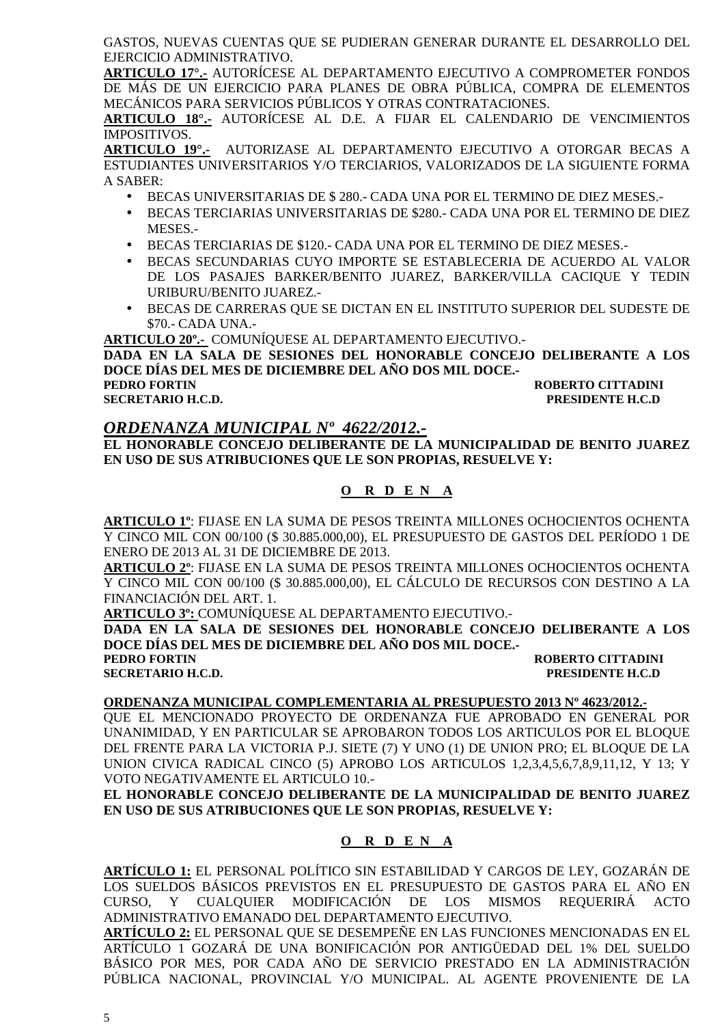GASTOS, NUEVAS CUENTAS QUE SE PUDIERAN GENERAR DURANTE EL DESARROLLO DEL EJERCICIO ADMINISTRATIVO.

**ARTICULO 17°.-** AUTORÍCESE AL DEPARTAMENTO EJECUTIVO A COMPROMETER FONDOS DE MÁS DE UN EJERCICIO PARA PLANES DE OBRA PÚBLICA, COMPRA DE ELEMENTOS MECÁNICOS PARA SERVICIOS PÚBLICOS Y OTRAS CONTRATACIONES.

**ARTICULO 18°.-** AUTORÍCESE AL D.E. A FIJAR EL CALENDARIO DE VENCIMIENTOS IMPOSITIVOS.

**ARTICULO 19°.-** AUTORIZASE AL DEPARTAMENTO EJECUTIVO A OTORGAR BECAS A ESTUDIANTES UNIVERSITARIOS Y/O TERCIARIOS, VALORIZADOS DE LA SIGUIENTE FORMA A SABER:

- BECAS UNIVERSITARIAS DE \$ 280.- CADA UNA POR EL TERMINO DE DIEZ MESES.-
- BECAS TERCIARIAS UNIVERSITARIAS DE \$280.- CADA UNA POR EL TERMINO DE DIEZ MESES.-
- BECAS TERCIARIAS DE \$120.- CADA UNA POR EL TERMINO DE DIEZ MESES.-
- BECAS SECUNDARIAS CUYO IMPORTE SE ESTABLECERIA DE ACUERDO AL VALOR DE LOS PASAJES BARKER/BENITO JUAREZ, BARKER/VILLA CACIQUE Y TEDIN URIBURU/BENITO JUAREZ.-
- BECAS DE CARRERAS QUE SE DICTAN EN EL INSTITUTO SUPERIOR DEL SUDESTE DE \$70.- CADA UNA.-

**ARTICULO 20º.-** COMUNÍQUESE AL DEPARTAMENTO EJECUTIVO.-

**DADA EN LA SALA DE SESIONES DEL HONORABLE CONCEJO DELIBERANTE A LOS DOCE DÍAS DEL MES DE DICIEMBRE DEL AÑO DOS MIL DOCE.- PEDRO FORTIN ROBERTO CITTADINI** 

**SECRETARIO H.C.D. PRESIDENTE H.C.D** 

#### *ORDENANZA MUNICIPAL Nº 4622/2012.-*

**EL HONORABLE CONCEJO DELIBERANTE DE LA MUNICIPALIDAD DE BENITO JUAREZ EN USO DE SUS ATRIBUCIONES QUE LE SON PROPIAS, RESUELVE Y:** 

**O R D E N A**

**ARTICULO 1º**: FIJASE EN LA SUMA DE PESOS TREINTA MILLONES OCHOCIENTOS OCHENTA Y CINCO MIL CON 00/100 (\$ 30.885.000,00), EL PRESUPUESTO DE GASTOS DEL PERÍODO 1 DE ENERO DE 2013 AL 31 DE DICIEMBRE DE 2013.

**ARTICULO 2º**: FIJASE EN LA SUMA DE PESOS TREINTA MILLONES OCHOCIENTOS OCHENTA Y CINCO MIL CON 00/100 (\$ 30.885.000,00), EL CÁLCULO DE RECURSOS CON DESTINO A LA FINANCIACIÓN DEL ART. 1.

**ARTICULO 3º:** COMUNÍQUESE AL DEPARTAMENTO EJECUTIVO.-

**DADA EN LA SALA DE SESIONES DEL HONORABLE CONCEJO DELIBERANTE A LOS DOCE DÍAS DEL MES DE DICIEMBRE DEL AÑO DOS MIL DOCE.-** 

**PEDRO FORTIN ROBERTO CITTADINI** 

**SECRETARIO H.C.D. PRESIDENTE H.C.D** 

#### **ORDENANZA MUNICIPAL COMPLEMENTARIA AL PRESUPUESTO 2013 Nº 4623/2012.-**

QUE EL MENCIONADO PROYECTO DE ORDENANZA FUE APROBADO EN GENERAL POR UNANIMIDAD, Y EN PARTICULAR SE APROBARON TODOS LOS ARTICULOS POR EL BLOQUE DEL FRENTE PARA LA VICTORIA P.J. SIETE (7) Y UNO (1) DE UNION PRO; EL BLOQUE DE LA UNION CIVICA RADICAL CINCO (5) APROBO LOS ARTICULOS 1,2,3,4,5,6,7,8,9,11,12, Y 13; Y VOTO NEGATIVAMENTE EL ARTICULO 10.-

**EL HONORABLE CONCEJO DELIBERANTE DE LA MUNICIPALIDAD DE BENITO JUAREZ EN USO DE SUS ATRIBUCIONES QUE LE SON PROPIAS, RESUELVE Y:** 

#### **O R D E N A**

**ARTÍCULO 1:** EL PERSONAL POLÍTICO SIN ESTABILIDAD Y CARGOS DE LEY, GOZARÁN DE LOS SUELDOS BÁSICOS PREVISTOS EN EL PRESUPUESTO DE GASTOS PARA EL AÑO EN CURSO, Y CUALQUIER MODIFICACIÓN DE LOS MISMOS REQUERIRÁ ACTO ADMINISTRATIVO EMANADO DEL DEPARTAMENTO EJECUTIVO.

**ARTÍCULO 2:** EL PERSONAL QUE SE DESEMPEÑE EN LAS FUNCIONES MENCIONADAS EN EL ARTÍCULO 1 GOZARÁ DE UNA BONIFICACIÓN POR ANTIGÜEDAD DEL 1% DEL SUELDO BÁSICO POR MES, POR CADA AÑO DE SERVICIO PRESTADO EN LA ADMINISTRACIÓN PÚBLICA NACIONAL, PROVINCIAL Y/O MUNICIPAL. AL AGENTE PROVENIENTE DE LA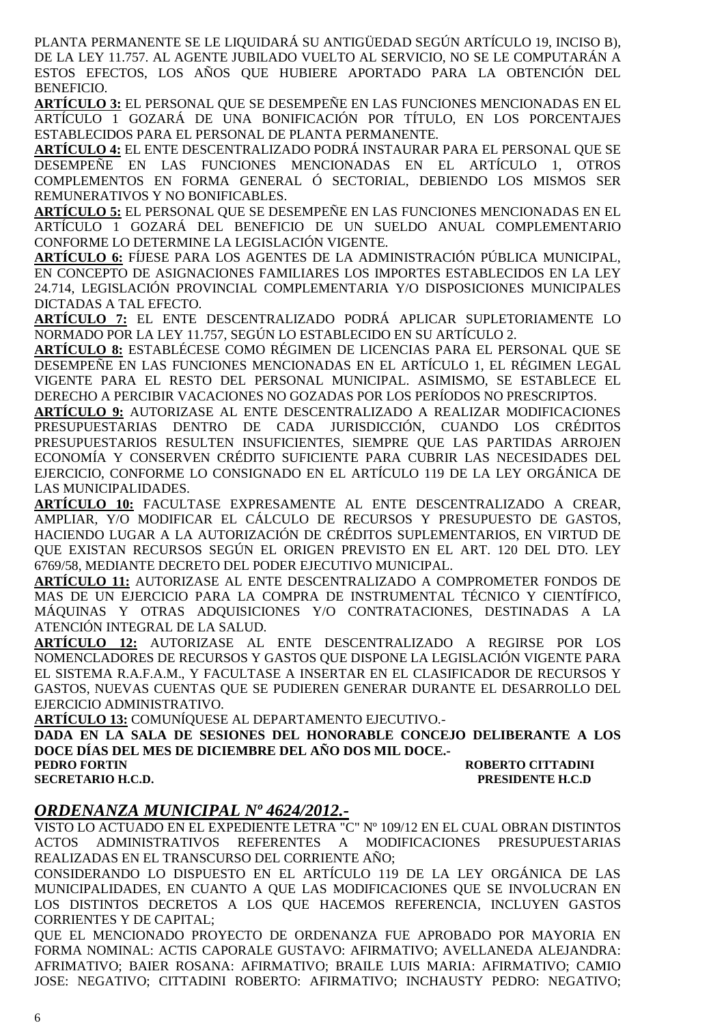PLANTA PERMANENTE SE LE LIQUIDARÁ SU ANTIGÜEDAD SEGÚN ARTÍCULO 19, INCISO B), DE LA LEY 11.757. AL AGENTE JUBILADO VUELTO AL SERVICIO, NO SE LE COMPUTARÁN A ESTOS EFECTOS, LOS AÑOS QUE HUBIERE APORTADO PARA LA OBTENCIÓN DEL BENEFICIO.

**ARTÍCULO 3:** EL PERSONAL QUE SE DESEMPEÑE EN LAS FUNCIONES MENCIONADAS EN EL ARTÍCULO 1 GOZARÁ DE UNA BONIFICACIÓN POR TÍTULO, EN LOS PORCENTAJES ESTABLECIDOS PARA EL PERSONAL DE PLANTA PERMANENTE.

**ARTÍCULO 4:** EL ENTE DESCENTRALIZADO PODRÁ INSTAURAR PARA EL PERSONAL QUE SE DESEMPEÑE EN LAS FUNCIONES MENCIONADAS EN EL ARTÍCULO 1, OTROS COMPLEMENTOS EN FORMA GENERAL Ó SECTORIAL, DEBIENDO LOS MISMOS SER REMUNERATIVOS Y NO BONIFICABLES.

**ARTÍCULO 5:** EL PERSONAL QUE SE DESEMPEÑE EN LAS FUNCIONES MENCIONADAS EN EL ARTÍCULO 1 GOZARÁ DEL BENEFICIO DE UN SUELDO ANUAL COMPLEMENTARIO CONFORME LO DETERMINE LA LEGISLACIÓN VIGENTE.

**ARTÍCULO 6:** FÍJESE PARA LOS AGENTES DE LA ADMINISTRACIÓN PÚBLICA MUNICIPAL, EN CONCEPTO DE ASIGNACIONES FAMILIARES LOS IMPORTES ESTABLECIDOS EN LA LEY 24.714, LEGISLACIÓN PROVINCIAL COMPLEMENTARIA Y/O DISPOSICIONES MUNICIPALES DICTADAS A TAL EFECTO.

**ARTÍCULO 7:** EL ENTE DESCENTRALIZADO PODRÁ APLICAR SUPLETORIAMENTE LO NORMADO POR LA LEY 11.757, SEGÚN LO ESTABLECIDO EN SU ARTÍCULO 2.

**ARTÍCULO 8:** ESTABLÉCESE COMO RÉGIMEN DE LICENCIAS PARA EL PERSONAL QUE SE DESEMPEÑE EN LAS FUNCIONES MENCIONADAS EN EL ARTÍCULO 1, EL RÉGIMEN LEGAL VIGENTE PARA EL RESTO DEL PERSONAL MUNICIPAL. ASIMISMO, SE ESTABLECE EL DERECHO A PERCIBIR VACACIONES NO GOZADAS POR LOS PERÍODOS NO PRESCRIPTOS.

**ARTÍCULO 9:** AUTORIZASE AL ENTE DESCENTRALIZADO A REALIZAR MODIFICACIONES PRESUPUESTARIAS DENTRO DE CADA JURISDICCIÓN, CUANDO LOS CRÉDITOS PRESUPUESTARIOS RESULTEN INSUFICIENTES, SIEMPRE QUE LAS PARTIDAS ARROJEN ECONOMÍA Y CONSERVEN CRÉDITO SUFICIENTE PARA CUBRIR LAS NECESIDADES DEL EJERCICIO, CONFORME LO CONSIGNADO EN EL ARTÍCULO 119 DE LA LEY ORGÁNICA DE LAS MUNICIPALIDADES.

**ARTÍCULO 10:** FACULTASE EXPRESAMENTE AL ENTE DESCENTRALIZADO A CREAR, AMPLIAR, Y/O MODIFICAR EL CÁLCULO DE RECURSOS Y PRESUPUESTO DE GASTOS, HACIENDO LUGAR A LA AUTORIZACIÓN DE CRÉDITOS SUPLEMENTARIOS, EN VIRTUD DE QUE EXISTAN RECURSOS SEGÚN EL ORIGEN PREVISTO EN EL ART. 120 DEL DTO. LEY 6769/58, MEDIANTE DECRETO DEL PODER EJECUTIVO MUNICIPAL.

**ARTÍCULO 11:** AUTORIZASE AL ENTE DESCENTRALIZADO A COMPROMETER FONDOS DE MAS DE UN EJERCICIO PARA LA COMPRA DE INSTRUMENTAL TÉCNICO Y CIENTÍFICO, MÁQUINAS Y OTRAS ADQUISICIONES Y/O CONTRATACIONES, DESTINADAS A LA ATENCIÓN INTEGRAL DE LA SALUD.

**ARTÍCULO 12:** AUTORIZASE AL ENTE DESCENTRALIZADO A REGIRSE POR LOS NOMENCLADORES DE RECURSOS Y GASTOS QUE DISPONE LA LEGISLACIÓN VIGENTE PARA EL SISTEMA R.A.F.A.M., Y FACULTASE A INSERTAR EN EL CLASIFICADOR DE RECURSOS Y GASTOS, NUEVAS CUENTAS QUE SE PUDIEREN GENERAR DURANTE EL DESARROLLO DEL EJERCICIO ADMINISTRATIVO.

**ARTÍCULO 13:** COMUNÍQUESE AL DEPARTAMENTO EJECUTIVO.-

**DADA EN LA SALA DE SESIONES DEL HONORABLE CONCEJO DELIBERANTE A LOS DOCE DÍAS DEL MES DE DICIEMBRE DEL AÑO DOS MIL DOCE.- PEDRO FORTIN ROBERTO CITTADINI** 

**SECRETARIO H.C.D. PRESIDENTE H.C.D** 

#### *ORDENANZA MUNICIPAL Nº 4624/2012.-*

VISTO LO ACTUADO EN EL EXPEDIENTE LETRA "C" Nº 109/12 EN EL CUAL OBRAN DISTINTOS ACTOS ADMINISTRATIVOS REFERENTES A MODIFICACIONES PRESUPUESTARIAS REALIZADAS EN EL TRANSCURSO DEL CORRIENTE AÑO;

CONSIDERANDO LO DISPUESTO EN EL ARTÍCULO 119 DE LA LEY ORGÁNICA DE LAS MUNICIPALIDADES, EN CUANTO A QUE LAS MODIFICACIONES QUE SE INVOLUCRAN EN LOS DISTINTOS DECRETOS A LOS QUE HACEMOS REFERENCIA, INCLUYEN GASTOS CORRIENTES Y DE CAPITAL;

QUE EL MENCIONADO PROYECTO DE ORDENANZA FUE APROBADO POR MAYORIA EN FORMA NOMINAL: ACTIS CAPORALE GUSTAVO: AFIRMATIVO; AVELLANEDA ALEJANDRA: AFRIMATIVO; BAIER ROSANA: AFIRMATIVO; BRAILE LUIS MARIA: AFIRMATIVO; CAMIO JOSE: NEGATIVO; CITTADINI ROBERTO: AFIRMATIVO; INCHAUSTY PEDRO: NEGATIVO;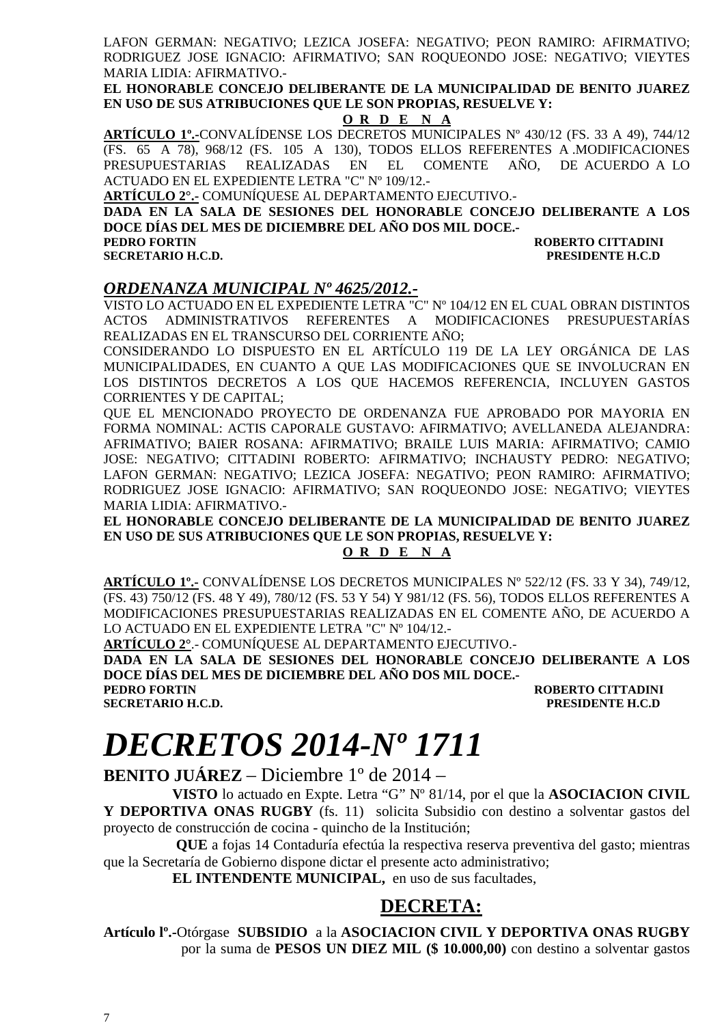LAFON GERMAN: NEGATIVO; LEZICA JOSEFA: NEGATIVO; PEON RAMIRO: AFIRMATIVO; RODRIGUEZ JOSE IGNACIO: AFIRMATIVO; SAN ROQUEONDO JOSE: NEGATIVO; VIEYTES MARIA LIDIA: AFIRMATIVO.-

**EL HONORABLE CONCEJO DELIBERANTE DE LA MUNICIPALIDAD DE BENITO JUAREZ EN USO DE SUS ATRIBUCIONES QUE LE SON PROPIAS, RESUELVE Y:** 

#### **O R D E N A**

**ARTÍCULO 1º.-**CONVALÍDENSE LOS DECRETOS MUNICIPALES Nº 430/12 (FS. 33 A 49), 744/12 (FS. 65 A 78), 968/12 (FS. 105 A 130), TODOS ELLOS REFERENTES A .MODIFICACIONES PRESUPUESTARIAS REALIZADAS EN EL COMENTE AÑO, DE ACUERDO A LO ACTUADO EN EL EXPEDIENTE LETRA "C" Nº 109/12.-

**ARTÍCULO 2°.-** COMUNÍQUESE AL DEPARTAMENTO EJECUTIVO.-

**DADA EN LA SALA DE SESIONES DEL HONORABLE CONCEJO DELIBERANTE A LOS DOCE DÍAS DEL MES DE DICIEMBRE DEL AÑO DOS MIL DOCE.-** 

**PEDRO FORTIN ROBERTO CITTADINI SECRETARIO H.C.D. PRESIDENTE H.C.D** 

#### *ORDENANZA MUNICIPAL Nº 4625/2012.-*

VISTO LO ACTUADO EN EL EXPEDIENTE LETRA "C" Nº 104/12 EN EL CUAL OBRAN DISTINTOS ACTOS ADMINISTRATIVOS REFERENTES A MODIFICACIONES PRESUPUESTARÍAS REALIZADAS EN EL TRANSCURSO DEL CORRIENTE AÑO;

CONSIDERANDO LO DISPUESTO EN EL ARTÍCULO 119 DE LA LEY ORGÁNICA DE LAS MUNICIPALIDADES, EN CUANTO A QUE LAS MODIFICACIONES QUE SE INVOLUCRAN EN LOS DISTINTOS DECRETOS A LOS QUE HACEMOS REFERENCIA, INCLUYEN GASTOS CORRIENTES Y DE CAPITAL;

QUE EL MENCIONADO PROYECTO DE ORDENANZA FUE APROBADO POR MAYORIA EN FORMA NOMINAL: ACTIS CAPORALE GUSTAVO: AFIRMATIVO; AVELLANEDA ALEJANDRA: AFRIMATIVO; BAIER ROSANA: AFIRMATIVO; BRAILE LUIS MARIA: AFIRMATIVO; CAMIO JOSE: NEGATIVO; CITTADINI ROBERTO: AFIRMATIVO; INCHAUSTY PEDRO: NEGATIVO; LAFON GERMAN: NEGATIVO; LEZICA JOSEFA: NEGATIVO; PEON RAMIRO: AFIRMATIVO; RODRIGUEZ JOSE IGNACIO: AFIRMATIVO; SAN ROQUEONDO JOSE: NEGATIVO; VIEYTES MARIA LIDIA: AFIRMATIVO.-

**EL HONORABLE CONCEJO DELIBERANTE DE LA MUNICIPALIDAD DE BENITO JUAREZ EN USO DE SUS ATRIBUCIONES QUE LE SON PROPIAS, RESUELVE Y:** 

#### **O R D E N A**

**ARTÍCULO 1º.-** CONVALÍDENSE LOS DECRETOS MUNICIPALES Nº 522/12 (FS. 33 Y 34), 749/12, (FS. 43) 750/12 (FS. 48 Y 49), 780/12 (FS. 53 Y 54) Y 981/12 (FS. 56), TODOS ELLOS REFERENTES A MODIFICACIONES PRESUPUESTARIAS REALIZADAS EN EL COMENTE AÑO, DE ACUERDO A LO ACTUADO EN EL EXPEDIENTE LETRA "C" Nº 104/12.-

**ARTÍCULO 2°**.- COMUNÍQUESE AL DEPARTAMENTO EJECUTIVO.-

**DADA EN LA SALA DE SESIONES DEL HONORABLE CONCEJO DELIBERANTE A LOS DOCE DÍAS DEL MES DE DICIEMBRE DEL AÑO DOS MIL DOCE.-** 

**PEDRO FORTIN ROBERTO CITTADINI SECRETARIO H.C.D. PRESIDENTE H.C.D** 

### *DECRETOS 2014-Nº 1711*

**BENITO JUÁREZ** – Diciembre 1º de 2014 –

**VISTO** lo actuado en Expte. Letra "G" Nº 81/14, por el que la **ASOCIACION CIVIL Y DEPORTIVA ONAS RUGBY** (fs. 11) solicita Subsidio con destino a solventar gastos del proyecto de construcción de cocina - quincho de la Institución;

 **QUE** a fojas 14 Contaduría efectúa la respectiva reserva preventiva del gasto; mientras que la Secretaría de Gobierno dispone dictar el presente acto administrativo;

**EL INTENDENTE MUNICIPAL,** en uso de sus facultades,

#### **DECRETA:**

**Artículo lº.-**Otórgase **SUBSIDIO** a la **ASOCIACION CIVIL Y DEPORTIVA ONAS RUGBY**  por la suma de **PESOS UN DIEZ MIL (\$ 10.000,00)** con destino a solventar gastos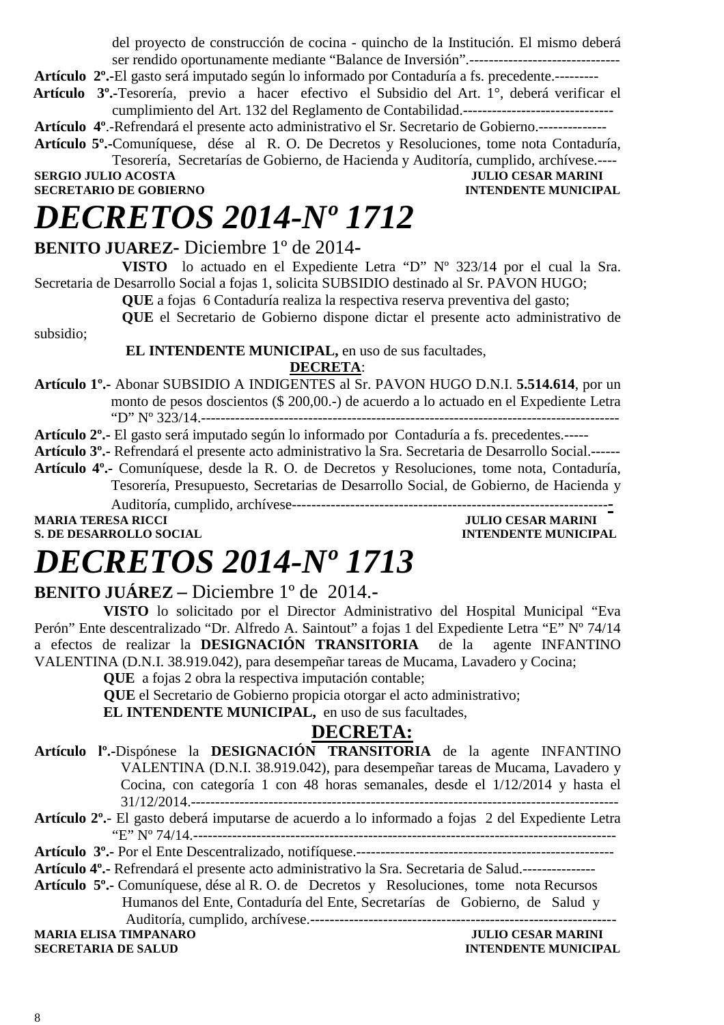del proyecto de construcción de cocina - quincho de la Institución. El mismo deberá ser rendido oportunamente mediante "Balance de Inversión".-------------------------------

**Artículo 2º.-**El gasto será imputado según lo informado por Contaduría a fs. precedente.---------

- **Artículo 3º.-**Tesorería, previo a hacer efectivo el Subsidio del Art. 1°, deberá verificar el cumplimiento del Art. 132 del Reglamento de Contabilidad.-------------------------------
- **Artículo 4º**.-Refrendará el presente acto administrativo el Sr. Secretario de Gobierno.--------------
- **Artículo 5º.-**Comuníquese, dése al R. O. De Decretos y Resoluciones, tome nota Contaduría, Tesorería, Secretarías de Gobierno, de Hacienda y Auditoría, cumplido, archívese.----

**SECRETARIO DE GOBIERNO** 

subsidio;

**SULIO CESAR MARINI<br>INTENDENTE MUNICIPAL** 

# *DECRETOS 2014-Nº 1712*

#### **BENITO JUAREZ-** Diciembre 1º de 2014**-**

**VISTO** lo actuado en el Expediente Letra "D" Nº 323/14 por el cual la Sra. Secretaria de Desarrollo Social a fojas 1, solicita SUBSIDIO destinado al Sr. PAVON HUGO;

**QUE** a fojas 6 Contaduría realiza la respectiva reserva preventiva del gasto;

**QUE** el Secretario de Gobierno dispone dictar el presente acto administrativo de

#### **EL INTENDENTE MUNICIPAL,** en uso de sus facultades, **DECRETA**:

**Artículo 1º.-** Abonar SUBSIDIO A INDIGENTES al Sr. PAVON HUGO D.N.I. **5.514.614**, por un monto de pesos doscientos (\$ 200,00.-) de acuerdo a lo actuado en el Expediente Letra "D" Nº 323/14.--------------------------------------------------------------------------------------

**Artículo 2º.-** El gasto será imputado según lo informado por Contaduría a fs. precedentes.-----

**Artículo 3º.-** Refrendará el presente acto administrativo la Sra. Secretaria de Desarrollo Social.------

**Artículo 4º.-** Comuníquese, desde la R. O. de Decretos y Resoluciones, tome nota, Contaduría, Tesorería, Presupuesto, Secretarias de Desarrollo Social, de Gobierno, de Hacienda y

Auditoría, cumplido, archívese-----------------------------------------------------------------**-**

**S. DE DESARROLLO SOCIAL DESPETE MUNICIPAL SOCIAL DESARROLLO SOCIAL** 

**JULIO CESAR MARINI** 

# *DECRETOS 2014-Nº 1713*

**BENITO JUÁREZ –** Diciembre 1º de 2014.**-** 

**VISTO** lo solicitado por el Director Administrativo del Hospital Municipal "Eva Perón" Ente descentralizado "Dr. Alfredo A. Saintout" a fojas 1 del Expediente Letra "E" Nº 74/14 a efectos de realizar la **DESIGNACIÓN TRANSITORIA** de la agente INFANTINO VALENTINA (D.N.I. 38.919.042), para desempeñar tareas de Mucama, Lavadero y Cocina;

**QUE** a fojas 2 obra la respectiva imputación contable;

 **QUE** el Secretario de Gobierno propicia otorgar el acto administrativo;

**EL INTENDENTE MUNICIPAL,** en uso de sus facultades,

#### **DECRETA:**

- **Artículo lº.-**Dispónese la **DESIGNACIÓN TRANSITORIA** de la agente INFANTINO VALENTINA (D.N.I. 38.919.042), para desempeñar tareas de Mucama, Lavadero y Cocina, con categoría 1 con 48 horas semanales, desde el 1/12/2014 y hasta el 31/12/2014.----------------------------------------------------------------------------------------
- **Artículo 2º.** El gasto deberá imputarse de acuerdo a lo informado a fojas 2 del Expediente Letra "E" Nº 74/14.---------------------------------------------------------------------------------------

**Artículo 3º.-** Por el Ente Descentralizado, notifíquese.-----------------------------------------------------

- **Artículo 4º.-** Refrendará el presente acto administrativo la Sra. Secretaria de Salud.---------------
- **Artículo 5º.-** Comuníquese, dése al R. O. de Decretos y Resoluciones, tome nota Recursos Humanos del Ente, Contaduría del Ente, Secretarías de Gobierno, de Salud y Auditoría, cumplido, archívese.--------------------------------------------------------------- **MARIA ELISA TIMPANARO** *MARINI JULIO CESAR MARINI*

**SECRETARIA DE SALUD INTENDENTE MUNICIPAL**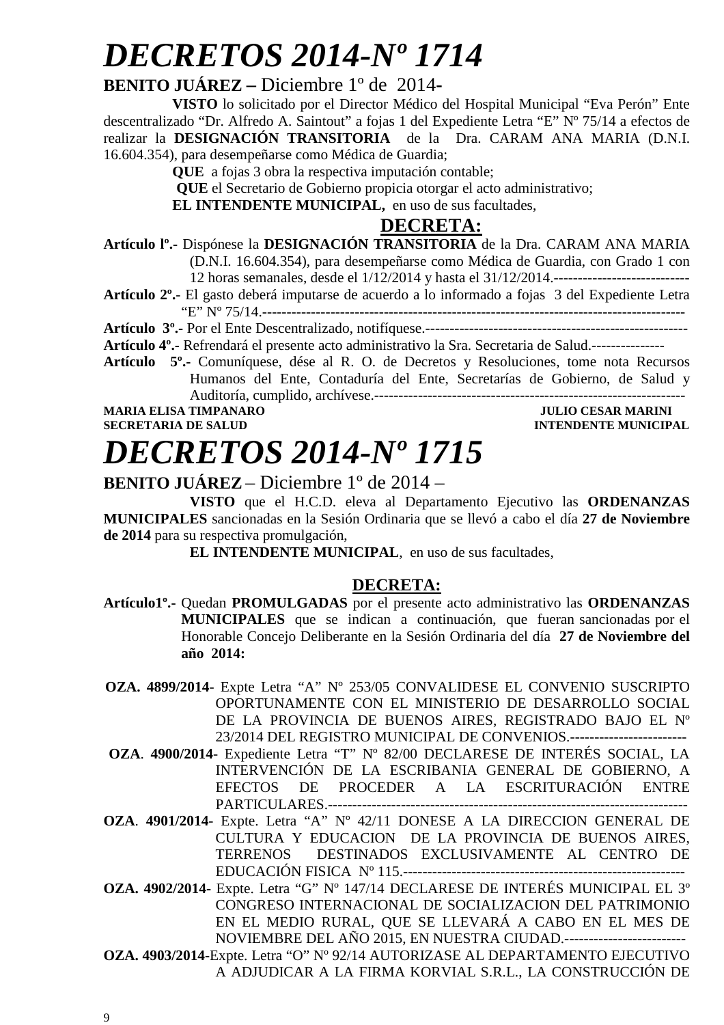# *DECRETOS 2014-Nº 1714*

#### **BENITO JUÁREZ –** Diciembre 1º de 2014**-**

**VISTO** lo solicitado por el Director Médico del Hospital Municipal "Eva Perón" Ente descentralizado "Dr. Alfredo A. Saintout" a fojas 1 del Expediente Letra "E" Nº 75/14 a efectos de realizar la **DESIGNACIÓN TRANSITORIA** de la Dra. CARAM ANA MARIA (D.N.I. 16.604.354), para desempeñarse como Médica de Guardia;

**QUE** a fojas 3 obra la respectiva imputación contable;

 **QUE** el Secretario de Gobierno propicia otorgar el acto administrativo;

**EL INTENDENTE MUNICIPAL,** en uso de sus facultades,

#### **DECRETA:**

- **Artículo lº.-** Dispónese la **DESIGNACIÓN TRANSITORIA** de la Dra. CARAM ANA MARIA (D.N.I. 16.604.354), para desempeñarse como Médica de Guardia, con Grado 1 con 12 horas semanales, desde el 1/12/2014 y hasta el 31/12/2014.----------------------------
- **Artículo 2º.** El gasto deberá imputarse de acuerdo a lo informado a fojas 3 del Expediente Letra "E" Nº 75/14.---------------------------------------------------------------------------------------

**Artículo 3º.-** Por el Ente Descentralizado, notifíquese.------------------------------------------------------

**Artículo 4º.-** Refrendará el presente acto administrativo la Sra. Secretaria de Salud.---------------

**Artículo 5º.-** Comuníquese, dése al R. O. de Decretos y Resoluciones, tome nota Recursos Humanos del Ente, Contaduría del Ente, Secretarías de Gobierno, de Salud y Auditoría, cumplido, archívese.----------------------------------------------------------------

**MARIA ELISA TIMPANARO JULIO CESAR MARINI SECRETARIA DE SALUD INTENDENTE MUNICIPAL** 

### *DECRETOS 2014-Nº 1715* **BENITO JUÁREZ** – Diciembre 1º de 2014 –

**VISTO** que el H.C.D. eleva al Departamento Ejecutivo las **ORDENANZAS MUNICIPALES** sancionadas en la Sesión Ordinaria que se llevó a cabo el día **27 de Noviembre de 2014** para su respectiva promulgación,

**EL INTENDENTE MUNICIPAL**, en uso de sus facultades,

#### **DECRETA:**

- **Artículo1º.-** Quedan **PROMULGADAS** por el presente acto administrativo las **ORDENANZAS MUNICIPALES** que se indican a continuación, que fueran sancionadas por el Honorable Concejo Deliberante en la Sesión Ordinaria del día **27 de Noviembre del año 2014:**
- **OZA. 4899/2014** Expte Letra "A" Nº 253/05 CONVALIDESE EL CONVENIO SUSCRIPTO OPORTUNAMENTE CON EL MINISTERIO DE DESARROLLO SOCIAL DE LA PROVINCIA DE BUENOS AIRES, REGISTRADO BAJO EL Nº 23/2014 DEL REGISTRO MUNICIPAL DE CONVENIOS.------------------------
- **OZA**. **4900/2014** Expediente Letra "T" Nº 82/00 DECLARESE DE INTERÉS SOCIAL, LA INTERVENCIÓN DE LA ESCRIBANIA GENERAL DE GOBIERNO, A EFECTOS DE PROCEDER A LA ESCRITURACIÓN ENTRE PARTICULARES.--------------------------------------------------------------------------
- **OZA**. **4901/2014** Expte. Letra "A" Nº 42/11 DONESE A LA DIRECCION GENERAL DE CULTURA Y EDUCACION DE LA PROVINCIA DE BUENOS AIRES, TERRENOS DESTINADOS EXCLUSIVAMENTE AL CENTRO DE EDUCACIÓN FISICA Nº 115.----------------------------------------------------------
- **OZA. 4902/2014-** Expte. Letra "G" Nº 147/14 DECLARESE DE INTERÉS MUNICIPAL EL 3º CONGRESO INTERNACIONAL DE SOCIALIZACION DEL PATRIMONIO EN EL MEDIO RURAL, QUE SE LLEVARÁ A CABO EN EL MES DE NOVIEMBRE DEL AÑO 2015, EN NUESTRA CIUDAD.-------------------------
- **OZA. 4903/2014-**Expte. Letra "O" Nº 92/14 AUTORIZASE AL DEPARTAMENTO EJECUTIVO A ADJUDICAR A LA FIRMA KORVIAL S.R.L., LA CONSTRUCCIÓN DE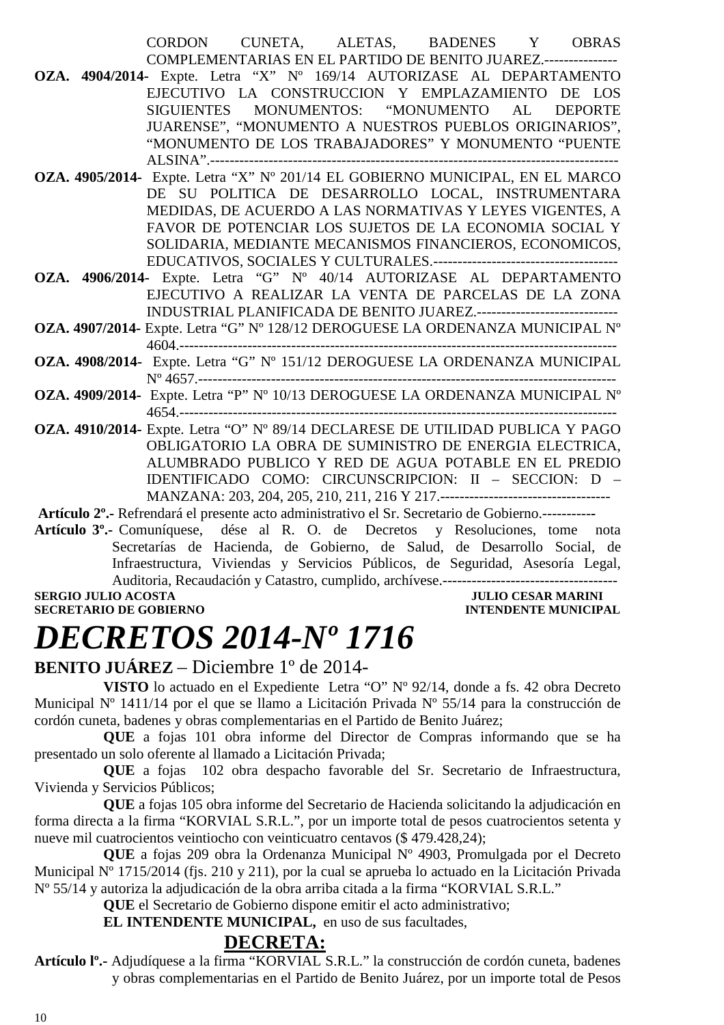|                                                                                |  | CORDON CUNETA, ALETAS, BADENES Y OBRAS                                |  |
|--------------------------------------------------------------------------------|--|-----------------------------------------------------------------------|--|
|                                                                                |  | COMPLEMENTARIAS EN EL PARTIDO DE BENITO JUAREZ.---------------        |  |
| OZA. 4904/2014- Expte. Letra "X" Nº 169/14 AUTORIZASE AL DEPARTAMENTO          |  |                                                                       |  |
|                                                                                |  | EJECUTIVO LA CONSTRUCCION Y EMPLAZAMIENTO DE LOS                      |  |
|                                                                                |  | SIGUIENTES MONUMENTOS: "MONUMENTO AL DEPORTE                          |  |
|                                                                                |  | JUARENSE", "MONUMENTO A NUESTROS PUEBLOS ORIGINARIOS",                |  |
|                                                                                |  | "MONUMENTO DE LOS TRABAJADORES" Y MONUMENTO "PUENTE                   |  |
|                                                                                |  |                                                                       |  |
| OZA. 4905/2014- Expte. Letra "X" Nº 201/14 EL GOBIERNO MUNICIPAL, EN EL MARCO  |  |                                                                       |  |
|                                                                                |  | DE SU POLITICA DE DESARROLLO LOCAL, INSTRUMENTARA                     |  |
|                                                                                |  | MEDIDAS, DE ACUERDO A LAS NORMATIVAS Y LEYES VIGENTES, A              |  |
|                                                                                |  | FAVOR DE POTENCIAR LOS SUJETOS DE LA ECONOMIA SOCIAL Y                |  |
|                                                                                |  | SOLIDARIA, MEDIANTE MECANISMOS FINANCIEROS, ECONOMICOS,               |  |
|                                                                                |  |                                                                       |  |
| OZA. 4906/2014- Expte. Letra "G" Nº 40/14 AUTORIZASE AL DEPARTAMENTO           |  |                                                                       |  |
|                                                                                |  | EJECUTIVO A REALIZAR LA VENTA DE PARCELAS DE LA ZONA                  |  |
|                                                                                |  | INDUSTRIAL PLANIFICADA DE BENITO JUAREZ.----------------------------- |  |
| OZA. 4907/2014- Expte. Letra "G" Nº 128/12 DEROGUESE LA ORDENANZA MUNICIPAL Nº |  |                                                                       |  |
|                                                                                |  |                                                                       |  |

- **OZA. 4908/2014-** Expte. Letra "G" Nº 151/12 DEROGUESE LA ORDENANZA MUNICIPAL Nº 4657.--------------------------------------------------------------------------------------
- **OZA. 4909/2014-** Expte. Letra "P" Nº 10/13 DEROGUESE LA ORDENANZA MUNICIPAL Nº 4654.------------------------------------------------------------------------------------------
- **OZA. 4910/2014-** Expte. Letra "O" Nº 89/14 DECLARESE DE UTILIDAD PUBLICA Y PAGO OBLIGATORIO LA OBRA DE SUMINISTRO DE ENERGIA ELECTRICA, ALUMBRADO PUBLICO Y RED DE AGUA POTABLE EN EL PREDIO IDENTIFICADO COMO: CIRCUNSCRIPCION: II – SECCION: D – MANZANA: 203, 204, 205, 210, 211, 216 Y 217.-----------------------------------

 **Artículo 2º.-** Refrendará el presente acto administrativo el Sr. Secretario de Gobierno.----------**-** 

**Artículo 3º.-** Comuníquese, dése al R. O. de Decretos y Resoluciones, tome nota Secretarías de Hacienda, de Gobierno, de Salud, de Desarrollo Social, de Infraestructura, Viviendas y Servicios Públicos, de Seguridad, Asesoría Legal, Auditoria, Recaudación y Catastro, cumplido, archívese.------------------------------------ **SERGIO JULIO ACOSTA** 

**SECRETARIO DE GOBIERNO INTENDENTE MUNICIPAL** 

### *DECRETOS 2014-Nº 1716*

#### **BENITO JUÁREZ** – Diciembre 1º de 2014-

**VISTO** lo actuado en el Expediente Letra "O" Nº 92/14, donde a fs. 42 obra Decreto Municipal Nº 1411/14 por el que se llamo a Licitación Privada Nº 55/14 para la construcción de cordón cuneta, badenes y obras complementarias en el Partido de Benito Juárez;

**QUE** a fojas 101 obra informe del Director de Compras informando que se ha presentado un solo oferente al llamado a Licitación Privada;

**QUE** a fojas 102 obra despacho favorable del Sr. Secretario de Infraestructura, Vivienda y Servicios Públicos;

**QUE** a fojas 105 obra informe del Secretario de Hacienda solicitando la adjudicación en forma directa a la firma "KORVIAL S.R.L.", por un importe total de pesos cuatrocientos setenta y nueve mil cuatrocientos veintiocho con veinticuatro centavos (\$ 479.428,24);

**QUE** a fojas 209 obra la Ordenanza Municipal Nº 4903, Promulgada por el Decreto Municipal Nº 1715/2014 (fjs. 210 y 211), por la cual se aprueba lo actuado en la Licitación Privada Nº 55/14 y autoriza la adjudicación de la obra arriba citada a la firma "KORVIAL S.R.L."

**QUE** el Secretario de Gobierno dispone emitir el acto administrativo;

**EL INTENDENTE MUNICIPAL,** en uso de sus facultades,

#### **DECRETA:**

**Artículo lº.-** Adjudíquese a la firma "KORVIAL S.R.L." la construcción de cordón cuneta, badenes y obras complementarias en el Partido de Benito Juárez, por un importe total de Pesos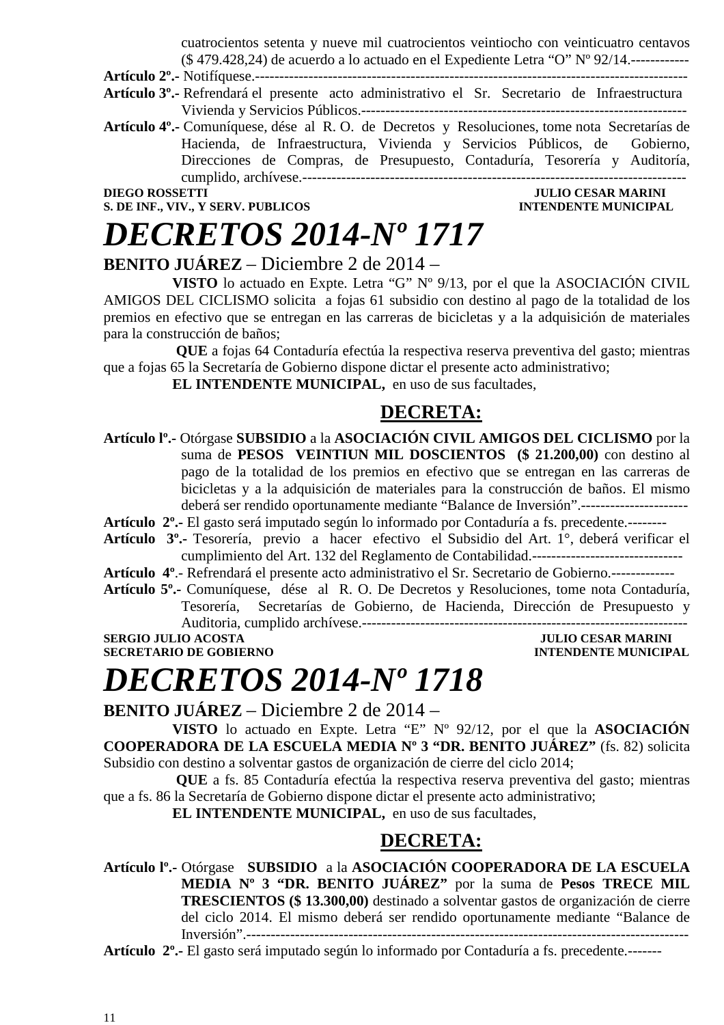cuatrocientos setenta y nueve mil cuatrocientos veintiocho con veinticuatro centavos (\$ 479.428,24) de acuerdo a lo actuado en el Expediente Letra "O" Nº 92/14.------------

**Artículo 2º.-** Notifíquese.-----------------------------------------------------------------------------------------

- **Artículo 3º.-** Refrendará el presente acto administrativo el Sr. Secretario de Infraestructura Vivienda y Servicios Públicos.-------------------------------------------------------------------
- **Artículo 4º.-** Comuníquese, dése al R. O. de Decretos y Resoluciones, tome nota Secretarías de Hacienda, de Infraestructura, Vivienda y Servicios Públicos, de Gobierno, Direcciones de Compras, de Presupuesto, Contaduría, Tesorería y Auditoría, cumplido, archívese.-------------------------------------------------------------------------------

**DIEGO ROSSETTI JULIO CESAR MARINI S. DE INF., VIV., Y SERV. PUBLICOS** 

## *DECRETOS 2014-Nº 1717*

#### **BENITO JUÁREZ** – Diciembre 2 de 2014 –

**VISTO** lo actuado en Expte. Letra "G" Nº 9/13, por el que la ASOCIACIÓN CIVIL AMIGOS DEL CICLISMO solicita a fojas 61 subsidio con destino al pago de la totalidad de los premios en efectivo que se entregan en las carreras de bicicletas y a la adquisición de materiales para la construcción de baños;

 **QUE** a fojas 64 Contaduría efectúa la respectiva reserva preventiva del gasto; mientras que a fojas 65 la Secretaría de Gobierno dispone dictar el presente acto administrativo;

**EL INTENDENTE MUNICIPAL,** en uso de sus facultades,

#### **DECRETA:**

**Artículo lº.-** Otórgase **SUBSIDIO** a la **ASOCIACIÓN CIVIL AMIGOS DEL CICLISMO** por la suma de **PESOS** VEINTIUN MIL DOSCIENTOS (\$ 21.200,00) con destino al pago de la totalidad de los premios en efectivo que se entregan en las carreras de bicicletas y a la adquisición de materiales para la construcción de baños. El mismo deberá ser rendido oportunamente mediante "Balance de Inversión".----------------------

**Artículo 2º.-** El gasto será imputado según lo informado por Contaduría a fs. precedente.--------

**Artículo 3º.-** Tesorería, previo a hacer efectivo el Subsidio del Art. 1°, deberá verificar el cumplimiento del Art. 132 del Reglamento de Contabilidad.-------------------------------

**Artículo 4º**.- Refrendará el presente acto administrativo el Sr. Secretario de Gobierno.-------------

**Artículo 5º.-** Comuníquese, dése al R. O. De Decretos y Resoluciones, tome nota Contaduría, Tesorería, Secretarías de Gobierno, de Hacienda, Dirección de Presupuesto y Auditoria, cumplido archívese.------------------------------------------------------------------- **SERGIO JULIO ACOSTA** JULIO CESAR MARINI

**SECRETARIO DE GOBIERNO INTENDENTE MUNICIPAL** 

### *DECRETOS 2014-Nº 1718*

**BENITO JUÁREZ** – Diciembre 2 de 2014 –

**VISTO** lo actuado en Expte. Letra "E" Nº 92/12, por el que la **ASOCIACIÓN COOPERADORA DE LA ESCUELA MEDIA Nº 3 "DR. BENITO JUÁREZ"** (fs. 82) solicita Subsidio con destino a solventar gastos de organización de cierre del ciclo 2014;

 **QUE** a fs. 85 Contaduría efectúa la respectiva reserva preventiva del gasto; mientras que a fs. 86 la Secretaría de Gobierno dispone dictar el presente acto administrativo;

**EL INTENDENTE MUNICIPAL,** en uso de sus facultades,

### **DECRETA:**

**Artículo lº.-** Otórgase **SUBSIDIO** a la **ASOCIACIÓN COOPERADORA DE LA ESCUELA MEDIA Nº 3 "DR. BENITO JUÁREZ"** por la suma de **Pesos TRECE MIL TRESCIENTOS (\$ 13.300,00)** destinado a solventar gastos de organización de cierre del ciclo 2014. El mismo deberá ser rendido oportunamente mediante "Balance de Inversión".-------------------------------------------------------------------------------------------

**Artículo 2º.-** El gasto será imputado según lo informado por Contaduría a fs. precedente.-------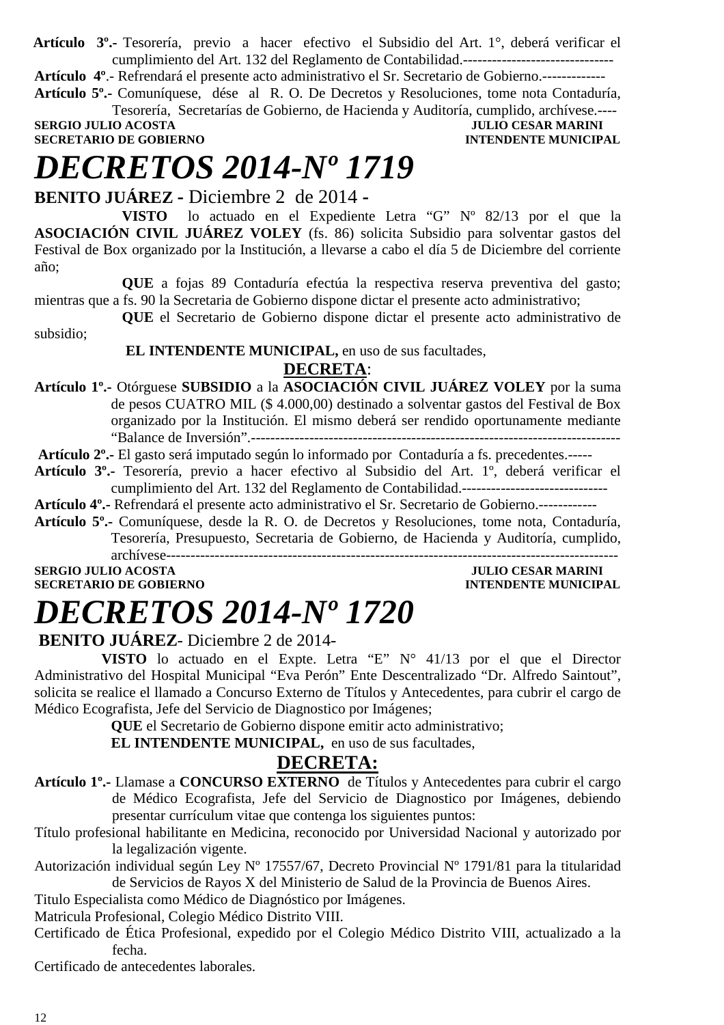**Artículo 3º.-** Tesorería, previo a hacer efectivo el Subsidio del Art. 1°, deberá verificar el cumplimiento del Art. 132 del Reglamento de Contabilidad.-------------------------------

**Artículo 4º**.- Refrendará el presente acto administrativo el Sr. Secretario de Gobierno.-------------

**Artículo 5º.-** Comuníquese, dése al R. O. De Decretos y Resoluciones, tome nota Contaduría, Tesorería, Secretarías de Gobierno, de Hacienda y Auditoría, cumplido, archívese.----

**SERGIO JULIO ACOSTA DE CONSUMERE DE LA COSTA DE CONSUMERE DE LA COSTA DE LA COSTA DE LA CONSUMERADAD DE CONSUMERE DE LA CONSUMERATION DE CONSUMERE DE LA CONSUMERATION DE LA CONSUMERATION DE LA CONSUMERATION DE CONSUMERE D SECRETARIO DE GOBIERNO** 

### *DECRETOS 2014-Nº 1719*

**BENITO JUÁREZ -** Diciembre 2 de 2014 **-** 

**VISTO** lo actuado en el Expediente Letra "G" Nº 82/13 por el que la **ASOCIACIÓN CIVIL JUÁREZ VOLEY** (fs. 86) solicita Subsidio para solventar gastos del Festival de Box organizado por la Institución, a llevarse a cabo el día 5 de Diciembre del corriente año;

**QUE** a fojas 89 Contaduría efectúa la respectiva reserva preventiva del gasto; mientras que a fs. 90 la Secretaria de Gobierno dispone dictar el presente acto administrativo;

**QUE** el Secretario de Gobierno dispone dictar el presente acto administrativo de subsidio;

#### **EL INTENDENTE MUNICIPAL,** en uso de sus facultades, **DECRETA**:

**Artículo 1º.-** Otórguese **SUBSIDIO** a la **ASOCIACIÓN CIVIL JUÁREZ VOLEY** por la suma de pesos CUATRO MIL (\$ 4.000,00) destinado a solventar gastos del Festival de Box organizado por la Institución. El mismo deberá ser rendido oportunamente mediante "Balance de Inversión".----------------------------------------------------------------------------

**Artículo 2º.-** El gasto será imputado según lo informado por Contaduría a fs. precedentes.-----

**Artículo 3º.-** Tesorería, previo a hacer efectivo al Subsidio del Art. 1º, deberá verificar el cumplimiento del Art. 132 del Reglamento de Contabilidad.------------------------------

**Artículo 4º.-** Refrendará el presente acto administrativo el Sr. Secretario de Gobierno.------------

**Artículo 5º.-** Comuníquese, desde la R. O. de Decretos y Resoluciones, tome nota, Contaduría, Tesorería, Presupuesto, Secretaria de Gobierno, de Hacienda y Auditoría, cumplido, archívese---------------------------------------------------------------------------------------------

**SERGIO JULIO ACOSTA JULIO CESAR MARINI SECRETARIO DE GOBIERNO INTENDENTE MUNICIPAL** 

# *DECRETOS 2014-Nº 1720*

**BENITO JUÁREZ**- Diciembre 2 de 2014-

 **VISTO** lo actuado en el Expte. Letra "E" N° 41/13 por el que el Director Administrativo del Hospital Municipal "Eva Perón" Ente Descentralizado "Dr. Alfredo Saintout", solicita se realice el llamado a Concurso Externo de Títulos y Antecedentes, para cubrir el cargo de Médico Ecografista, Jefe del Servicio de Diagnostico por Imágenes;

**QUE** el Secretario de Gobierno dispone emitir acto administrativo;

 **EL INTENDENTE MUNICIPAL,** en uso de sus facultades,

#### **DECRETA:**

- **Artículo 1º.-** Llamase a **CONCURSO EXTERNO** de Títulos y Antecedentes para cubrir el cargo de Médico Ecografista, Jefe del Servicio de Diagnostico por Imágenes, debiendo presentar currículum vitae que contenga los siguientes puntos:
- Título profesional habilitante en Medicina, reconocido por Universidad Nacional y autorizado por la legalización vigente.
- Autorización individual según Ley Nº 17557/67, Decreto Provincial Nº 1791/81 para la titularidad de Servicios de Rayos X del Ministerio de Salud de la Provincia de Buenos Aires.

Titulo Especialista como Médico de Diagnóstico por Imágenes.

Matricula Profesional, Colegio Médico Distrito VIII.

Certificado de Ética Profesional, expedido por el Colegio Médico Distrito VIII, actualizado a la fecha.

Certificado de antecedentes laborales.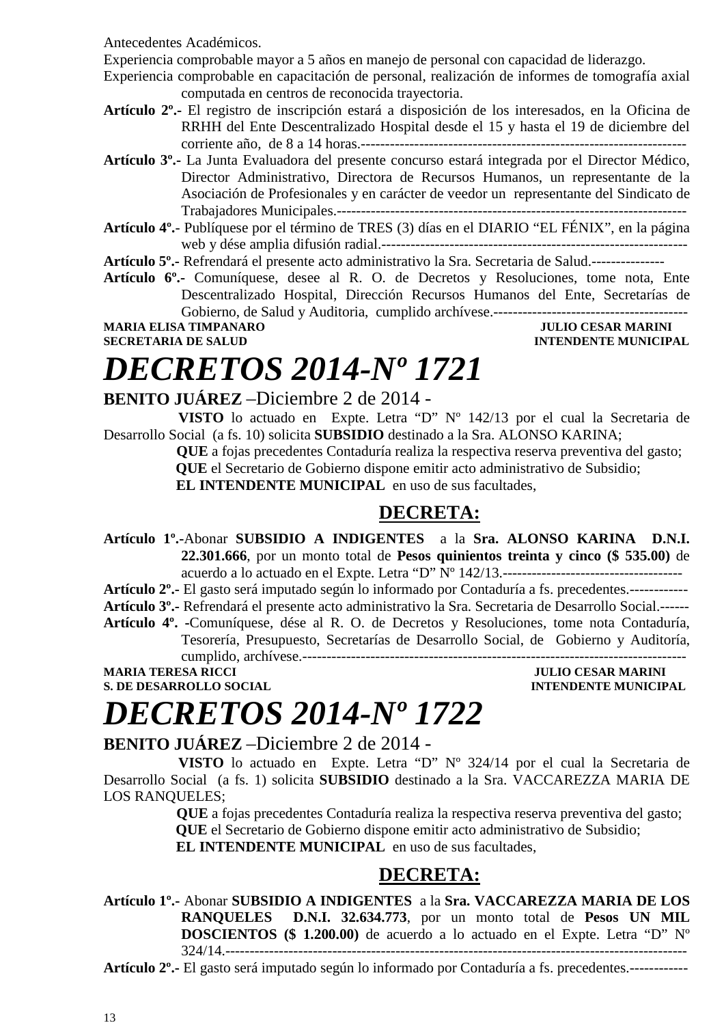Antecedentes Académicos.

Experiencia comprobable mayor a 5 años en manejo de personal con capacidad de liderazgo.

Experiencia comprobable en capacitación de personal, realización de informes de tomografía axial computada en centros de reconocida trayectoria.

- **Artículo 2º.-** El registro de inscripción estará a disposición de los interesados, en la Oficina de RRHH del Ente Descentralizado Hospital desde el 15 y hasta el 19 de diciembre del corriente año, de 8 a 14 horas.-------------------------------------------------------------------
- **Artículo 3º.-** La Junta Evaluadora del presente concurso estará integrada por el Director Médico, Director Administrativo, Directora de Recursos Humanos, un representante de la Asociación de Profesionales y en carácter de veedor un representante del Sindicato de Trabajadores Municipales.------------------------------------------------------------------------
- **Artículo 4º.** Publíquese por el término de TRES (3) días en el DIARIO "EL FÉNIX", en la página web y dése amplia difusión radial.---------------------------------------------------------------

**Artículo 5º.-** Refrendará el presente acto administrativo la Sra. Secretaria de Salud.---------------

**Artículo 6º.-** Comuníquese, desee al R. O. de Decretos y Resoluciones, tome nota, Ente Descentralizado Hospital, Dirección Recursos Humanos del Ente, Secretarías de Gobierno, de Salud y Auditoria, cumplido archívese.----------------------------------------

**MARIA ELISA TIMPANARO JULIO CESAR MARINI** 

**SECRETARIA DE SALUD INTENDENTE MUNICIPAL** 

# *DECRETOS 2014-Nº 1721*

#### **BENITO JUÁREZ** –Diciembre 2 de 2014 -

 **VISTO** lo actuado en Expte. Letra "D" Nº 142/13 por el cual la Secretaria de Desarrollo Social (a fs. 10) solicita **SUBSIDIO** destinado a la Sra. ALONSO KARINA;

 **QUE** a fojas precedentes Contaduría realiza la respectiva reserva preventiva del gasto;  **QUE** el Secretario de Gobierno dispone emitir acto administrativo de Subsidio;

**EL INTENDENTE MUNICIPAL** en uso de sus facultades,

#### **DECRETA:**

**Artículo 1º.-**Abonar **SUBSIDIO A INDIGENTES** a la **Sra. ALONSO KARINA D.N.I. 22.301.666**, por un monto total de **Pesos quinientos treinta y cinco (\$ 535.00)** de acuerdo a lo actuado en el Expte. Letra "D" Nº 142/13.-------------------------------------

**Artículo 2º.-** El gasto será imputado según lo informado por Contaduría a fs. precedentes.------------

**Artículo 3º.-** Refrendará el presente acto administrativo la Sra. Secretaria de Desarrollo Social.------

**Artículo 4º. -**Comuníquese, dése al R. O. de Decretos y Resoluciones, tome nota Contaduría, Tesorería, Presupuesto, Secretarías de Desarrollo Social, de Gobierno y Auditoría,

cumplido, archívese.-------------------------------------------------------------------------------

**S. DE DESARROLLO SOCIAL DESARROLLO SOCIAL DESARROLLO SOCIAL DESARROLLO SOCIAL DESARROLLO SOCIAL DE LA PERSONAL DE LA PERSONAL DE LA PERSONAL DE LA PERSONAL DE LA PERSONAL DE LA PERSONAL DE LA PERSONAL DE LA PERSONAL DE LA** 

**JULIO CESAR MARINI** 

### *DECRETOS 2014-Nº 1722*

**BENITO JUÁREZ** –Diciembre 2 de 2014 -

 **VISTO** lo actuado en Expte. Letra "D" Nº 324/14 por el cual la Secretaria de Desarrollo Social (a fs. 1) solicita **SUBSIDIO** destinado a la Sra. VACCAREZZA MARIA DE LOS RANQUELES;

> **QUE** a fojas precedentes Contaduría realiza la respectiva reserva preventiva del gasto;  **QUE** el Secretario de Gobierno dispone emitir acto administrativo de Subsidio;

**EL INTENDENTE MUNICIPAL** en uso de sus facultades,

### **DECRETA:**

**Artículo 1º.-** Abonar **SUBSIDIO A INDIGENTES** a la **Sra. VACCAREZZA MARIA DE LOS RANQUELES D.N.I. 32.634.773**, por un monto total de **Pesos UN MIL DOSCIENTOS (\$ 1.200.00)** de acuerdo a lo actuado en el Expte. Letra "D" Nº 324/14.-----------------------------------------------------------------------------------------------

**Artículo 2º.-** El gasto será imputado según lo informado por Contaduría a fs. precedentes.------------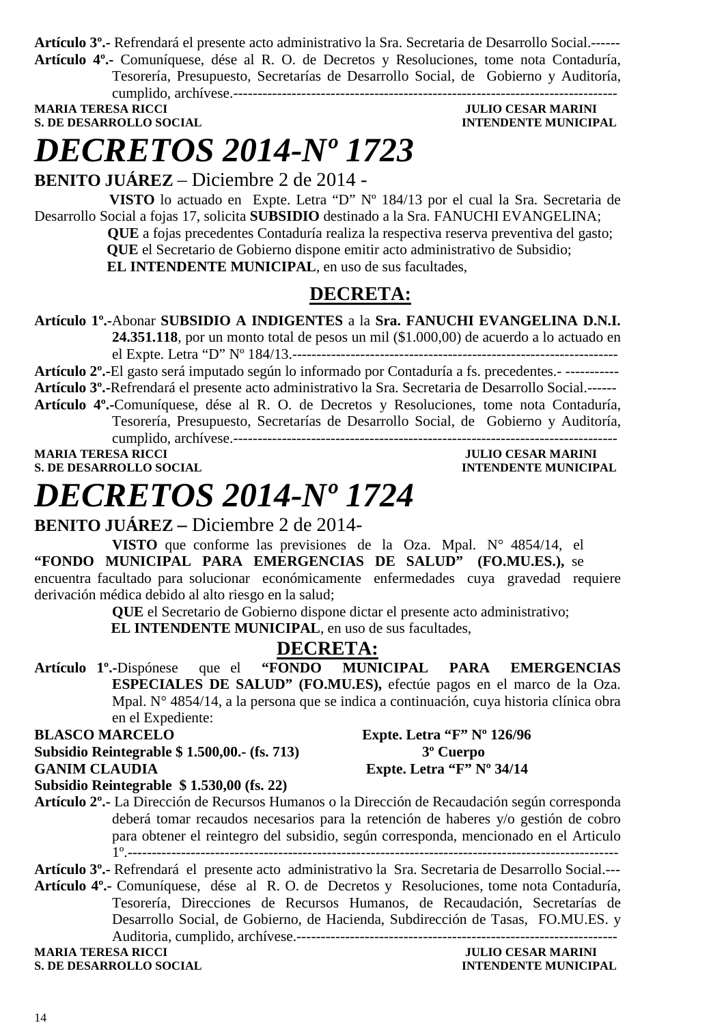**Artículo 3º.-** Refrendará el presente acto administrativo la Sra. Secretaria de Desarrollo Social.------ **Artículo 4º.-** Comuníquese, dése al R. O. de Decretos y Resoluciones, tome nota Contaduría, Tesorería, Presupuesto, Secretarías de Desarrollo Social, de Gobierno y Auditoría,

cumplido, archívese.-------------------------------------------------------------------------------

**MARIA TERESA RICCI DE SOLUITO CESAR MARINI S. DE DESARROLLO SOCIAL DESPESSION DE L'ALGEBRE DE L'ALGEBRE DE L'ALGEBRE DE L'ALGEBRE DE L'ALGEBRE DE L'ALGEBRE DE L'ALGEBRE DE L'ALGEBRE DE L'ALGEBRE DE L'ALGEBRE DE L'ALGEBRE DE L'ALGEBRE DE L'ALGEBRE DE L'ALGEBRE DE L** 

# *DECRETOS 2014-Nº 1723*

**BENITO JUÁREZ** – Diciembre 2 de 2014 -

 **VISTO** lo actuado en Expte. Letra "D" Nº 184/13 por el cual la Sra. Secretaria de Desarrollo Social a fojas 17, solicita **SUBSIDIO** destinado a la Sra. FANUCHI EVANGELINA;

 **QUE** a fojas precedentes Contaduría realiza la respectiva reserva preventiva del gasto;  **QUE** el Secretario de Gobierno dispone emitir acto administrativo de Subsidio;  **EL INTENDENTE MUNICIPAL**, en uso de sus facultades,

#### **DECRETA:**

**Artículo 1º.-**Abonar **SUBSIDIO A INDIGENTES** a la **Sra. FANUCHI EVANGELINA D.N.I.** 

**24.351.118**, por un monto total de pesos un mil (\$1.000,00) de acuerdo a lo actuado en el Expte. Letra "D" Nº 184/13.-------------------------------------------------------------------

**Artículo 2º.-**El gasto será imputado según lo informado por Contaduría a fs. precedentes.- ----------- **Artículo 3º.-**Refrendará el presente acto administrativo la Sra. Secretaria de Desarrollo Social.------ **Artículo 4º.-**Comuníquese, dése al R. O. de Decretos y Resoluciones, tome nota Contaduría, Tesorería, Presupuesto, Secretarías de Desarrollo Social, de Gobierno y Auditoría,

cumplido, archívese.-------------------------------------------------------------------------------

**S. DE DESARROLLO SOCIAL DESPESSION INTENDENTE MUNICIPAL** 

### **JULIO CESAR MARINI**

# *DECRETOS 2014-Nº 1724*

#### **BENITO JUÁREZ –** Diciembre 2 de 2014-

**VISTO** que conforme las previsiones de la Oza. Mpal. N° 4854/14, el **"FONDO MUNICIPAL PARA EMERGENCIAS DE SALUD" (FO.MU.ES.),** se encuentra facultado para solucionar económicamente enfermedades cuya gravedad requiere derivación médica debido al alto riesgo en la salud;

**QUE** el Secretario de Gobierno dispone dictar el presente acto administrativo;

 **EL INTENDENTE MUNICIPAL**, en uso de sus facultades,

#### **DECRETA:**

**Artículo 1º.-**Dispónese que el **"FONDO MUNICIPAL PARA EMERGENCIAS ESPECIALES DE SALUD" (FO.MU.ES),** efectúe pagos en el marco de la Oza. Mpal. N° 4854/14, a la persona que se indica a continuación, cuya historia clínica obra en el Expediente:

**BLASCO MARCELO Expte. Letra "F" Nº 126/96 Subsidio Reintegrable \$ 1.500,00.- (fs. 713) 3º Cuerpo**  GANIM CLAUDIA Expte. Letra "F" Nº 34/14

**Subsidio Reintegrable \$ 1.530,00 (fs. 22)** 

**Artículo 2º.-** La Dirección de Recursos Humanos o la Dirección de Recaudación según corresponda deberá tomar recaudos necesarios para la retención de haberes y/o gestión de cobro para obtener el reintegro del subsidio, según corresponda, mencionado en el Articulo 1º.-----------------------------------------------------------------------------------------------------

**Artículo 3º.-** Refrendará el presente acto administrativo la Sra. Secretaria de Desarrollo Social.--- **Artículo 4º.-** Comuníquese, dése al R. O. de Decretos y Resoluciones, tome nota Contaduría, Tesorería, Direcciones de Recursos Humanos, de Recaudación, Secretarías de Desarrollo Social, de Gobierno, de Hacienda, Subdirección de Tasas, FO.MU.ES. y Auditoria, cumplido, archívese.------------------------------------------------------------------

**MARIA TERESA RICCI DE LOS ENFORMADOS DE LOS ENFORMADOS DE LOS ENFORMADOS DE LOS ENFORMADOS DE LOS ENFORMADOS DE LOS ENFORMADOS DE LOS ENFORMADOS DE LOS ENFORMADOS DE LOS ENFORMADOS DE LOS ENFORMADOS DE LOS ENFORMADOS DE L S. DE DESARROLLO SOCIAL DESPESSION INTENDENTE MUNICIPAL**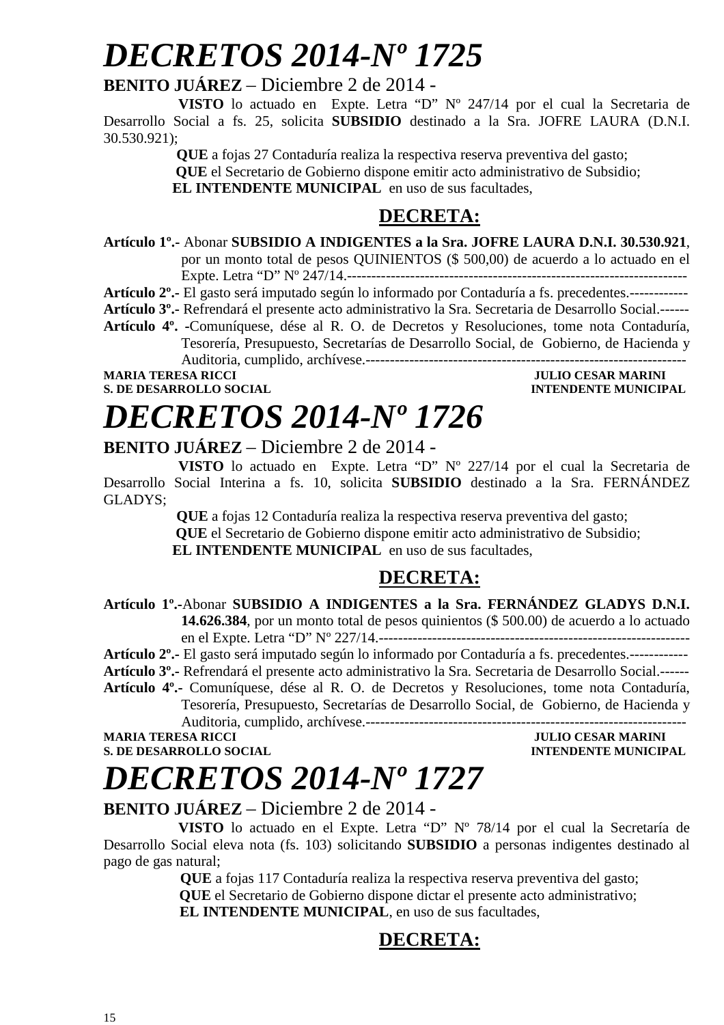## *DECRETOS 2014-Nº 1725*

#### **BENITO JUÁREZ** – Diciembre 2 de 2014 -

 **VISTO** lo actuado en Expte. Letra "D" Nº 247/14 por el cual la Secretaria de Desarrollo Social a fs. 25, solicita **SUBSIDIO** destinado a la Sra. JOFRE LAURA (D.N.I. 30.530.921);

 **QUE** a fojas 27 Contaduría realiza la respectiva reserva preventiva del gasto;

 **QUE** el Secretario de Gobierno dispone emitir acto administrativo de Subsidio;

**EL INTENDENTE MUNICIPAL** en uso de sus facultades,

#### **DECRETA:**

- **Artículo 1º.-** Abonar **SUBSIDIO A INDIGENTES a la Sra. JOFRE LAURA D.N.I. 30.530.921**, por un monto total de pesos QUINIENTOS (\$ 500,00) de acuerdo a lo actuado en el Expte. Letra "D" Nº 247/14.----------------------------------------------------------------------
- **Artículo 2º.-** El gasto será imputado según lo informado por Contaduría a fs. precedentes.------------
- **Artículo 3º.-** Refrendará el presente acto administrativo la Sra. Secretaria de Desarrollo Social.------
- **Artículo 4º. -**Comuníquese, dése al R. O. de Decretos y Resoluciones, tome nota Contaduría, Tesorería, Presupuesto, Secretarías de Desarrollo Social, de Gobierno, de Hacienda y Auditoria, cumplido, archívese.------------------------------------------------------------------

**MARIA TERESA RICCI DE LOS ENFORMADOS DE LOS ENFORMADOS DE LOS ENFORMADOS DE LOS ENFORMADOS DE LOS ENFORMADOS DE LOS ENFORMADOS DE LOS ENFORMADOS DE LOS ENFORMADOS DE LOS ENFORMADOS DE LOS ENFORMADOS DE LOS ENFORMADOS DE L** 

### **S. DE DESARROLLO SOCIAL DESPESSION INTENDENTE MUNICIPAL**

# *DECRETOS 2014-Nº 1726*

**BENITO JUÁREZ** – Diciembre 2 de 2014 -

 **VISTO** lo actuado en Expte. Letra "D" Nº 227/14 por el cual la Secretaria de Desarrollo Social Interina a fs. 10, solicita **SUBSIDIO** destinado a la Sra. FERNÁNDEZ GLADYS;

 **QUE** a fojas 12 Contaduría realiza la respectiva reserva preventiva del gasto;  **QUE** el Secretario de Gobierno dispone emitir acto administrativo de Subsidio; **EL INTENDENTE MUNICIPAL** en uso de sus facultades,

#### **DECRETA:**

**Artículo 1º.-**Abonar **SUBSIDIO A INDIGENTES a la Sra. FERNÁNDEZ GLADYS D.N.I. 14.626.384**, por un monto total de pesos quinientos (\$ 500.00) de acuerdo a lo actuado en el Expte. Letra "D" Nº 227/14.----------------------------------------------------------------

**Artículo 2º.-** El gasto será imputado según lo informado por Contaduría a fs. precedentes.------------

**Artículo 3º.-** Refrendará el presente acto administrativo la Sra. Secretaria de Desarrollo Social.------

**Artículo 4º.-** Comuníquese, dése al R. O. de Decretos y Resoluciones, tome nota Contaduría, Tesorería, Presupuesto, Secretarías de Desarrollo Social, de Gobierno, de Hacienda y

Auditoria, cumplido, archívese.------------------------------------------------------------------

**S. DE DESARROLLO SOCIAL** 

### **MARIA TERESA RICCI JULIO CESAR MARINI**

## *DECRETOS 2014-Nº 1727*

#### **BENITO JUÁREZ** – Diciembre 2 de 2014 -

 **VISTO** lo actuado en el Expte. Letra "D" Nº 78/14 por el cual la Secretaría de Desarrollo Social eleva nota (fs. 103) solicitando **SUBSIDIO** a personas indigentes destinado al pago de gas natural;

> **QUE** a fojas 117 Contaduría realiza la respectiva reserva preventiva del gasto;  **QUE** el Secretario de Gobierno dispone dictar el presente acto administrativo;  **EL INTENDENTE MUNICIPAL**, en uso de sus facultades,

### **DECRETA:**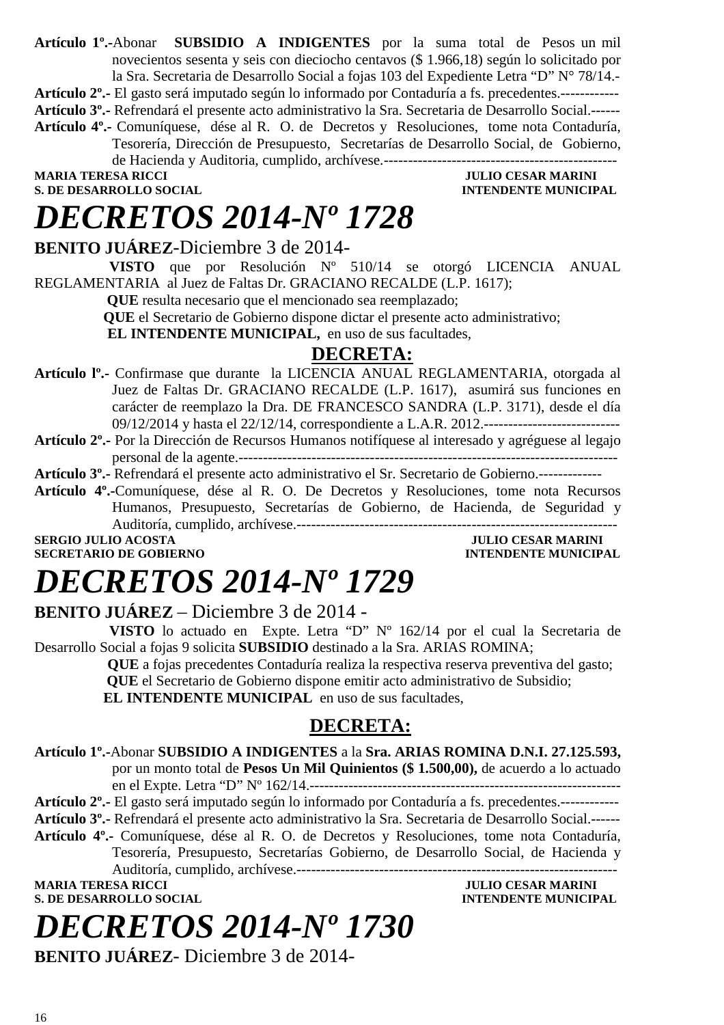**Artículo 1º.-**Abonar **SUBSIDIO A INDIGENTES** por la suma total de Pesos un mil novecientos sesenta y seis con dieciocho centavos (\$ 1.966,18) según lo solicitado por la Sra. Secretaria de Desarrollo Social a fojas 103 del Expediente Letra "D" N° 78/14.- **Artículo 2º.-** El gasto será imputado según lo informado por Contaduría a fs. precedentes.------------ **Artículo 3º.-** Refrendará el presente acto administrativo la Sra. Secretaria de Desarrollo Social.------ **Artículo 4º.-** Comuníquese, dése al R. O. de Decretos y Resoluciones, tome nota Contaduría, Tesorería, Dirección de Presupuesto, Secretarías de Desarrollo Social, de Gobierno, de Hacienda y Auditoria, cumplido, archívese.------------------------------------------------ **JULIO CESAR MARINI S. DE DESARROLLO SOCIAL DESPETSION INTENDENTE MUNICIPAL** 

## *DECRETOS 2014-Nº 1728*

**BENITO JUÁREZ**-Diciembre 3 de 2014-

 **VISTO** que por Resolución Nº 510/14 se otorgó LICENCIA ANUAL REGLAMENTARIA al Juez de Faltas Dr. GRACIANO RECALDE (L.P. 1617);

 **QUE** resulta necesario que el mencionado sea reemplazado;

**QUE** el Secretario de Gobierno dispone dictar el presente acto administrativo;

**EL INTENDENTE MUNICIPAL,** en uso de sus facultades,

#### **DECRETA:**

- **Artículo lº.-** Confirmase que durante la LICENCIA ANUAL REGLAMENTARIA, otorgada al Juez de Faltas Dr. GRACIANO RECALDE (L.P. 1617), asumirá sus funciones en carácter de reemplazo la Dra. DE FRANCESCO SANDRA (L.P. 3171), desde el día 09/12/2014 y hasta el 22/12/14, correspondiente a L.A.R. 2012.----------------------------
- **Artículo 2º.-** Por la Dirección de Recursos Humanos notifíquese al interesado y agréguese al legajo personal de la agente.------------------------------------------------------------------------------

**Artículo 3º.-** Refrendará el presente acto administrativo el Sr. Secretario de Gobierno.-------------

**Artículo 4º.-**Comuníquese, dése al R. O. De Decretos y Resoluciones, tome nota Recursos Humanos, Presupuesto, Secretarías de Gobierno, de Hacienda, de Seguridad y Auditoría, cumplido, archívese.------------------------------------------------------------------

**SECRETARIO DE GOBIERNO** 

**SERGIO JULIO ACOSTA JULIO CESAR MARINI SECRETARIO DE GOBIERNO DE SOBIERNO DE SOBIERNO DE SOBIERNO DE SOBIERNO** 

### *DECRETOS 2014-Nº 1729*

#### **BENITO JUÁREZ** – Diciembre 3 de 2014 -

 **VISTO** lo actuado en Expte. Letra "D" Nº 162/14 por el cual la Secretaria de Desarrollo Social a fojas 9 solicita **SUBSIDIO** destinado a la Sra. ARIAS ROMINA;

 **QUE** a fojas precedentes Contaduría realiza la respectiva reserva preventiva del gasto;  **QUE** el Secretario de Gobierno dispone emitir acto administrativo de Subsidio; **EL INTENDENTE MUNICIPAL** en uso de sus facultades,

#### **DECRETA:**

**Artículo 1º.-**Abonar **SUBSIDIO A INDIGENTES** a la **Sra. ARIAS ROMINA D.N.I. 27.125.593,** por un monto total de **Pesos Un Mil Quinientos (\$ 1.500,00),** de acuerdo a lo actuado en el Expte. Letra "D" Nº 162/14.----------------------------------------------------------------

**Artículo 2º.-** El gasto será imputado según lo informado por Contaduría a fs. precedentes.------------

**Artículo 3º.-** Refrendará el presente acto administrativo la Sra. Secretaria de Desarrollo Social.------

**Artículo 4º.-** Comuníquese, dése al R. O. de Decretos y Resoluciones, tome nota Contaduría, Tesorería, Presupuesto, Secretarías Gobierno, de Desarrollo Social, de Hacienda y

Auditoría, cumplido, archívese.------------------------------------------------------------------

**S. DE DESARROLLO SOCIAL CONSUMING A LOCAL CONSUMING A LOCAL CONSUMING A LOCAL CONSUMING A LOCAL CONSUMING A LOCAL CONSUMING A LOCAL CONSUMING A LOCAL CONSUMING A LOCAL CONSUMING A LOCAL CONSUMING A LOCAL CONSUMING A LOCAL** 

# *DECRETOS 2014-Nº 1730*

**BENITO JUÁREZ**- Diciembre 3 de 2014-

**JULIO CESAR MARINI**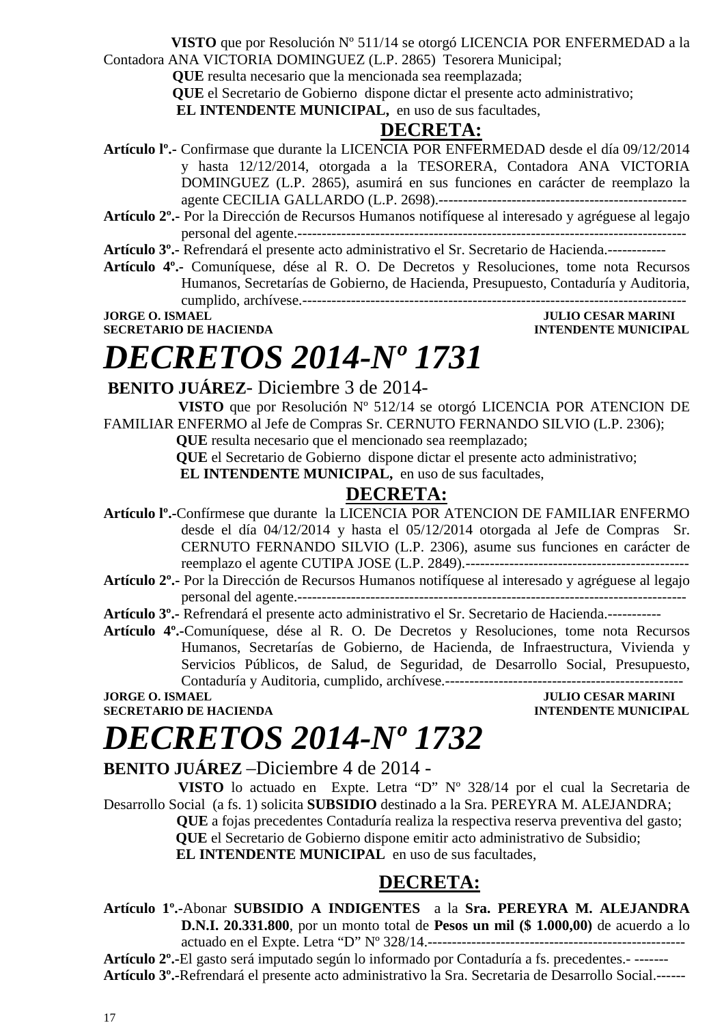**VISTO** que por Resolución Nº 511/14 se otorgó LICENCIA POR ENFERMEDAD a la

Contadora ANA VICTORIA DOMINGUEZ (L.P. 2865) Tesorera Municipal;

**QUE** resulta necesario que la mencionada sea reemplazada;

**QUE** el Secretario de Gobierno dispone dictar el presente acto administrativo;

**EL INTENDENTE MUNICIPAL,** en uso de sus facultades,

#### **DECRETA:**

**Artículo lº.-** Confirmase que durante la LICENCIA POR ENFERMEDAD desde el día 09/12/2014 y hasta 12/12/2014, otorgada a la TESORERA, Contadora ANA VICTORIA DOMINGUEZ (L.P. 2865), asumirá en sus funciones en carácter de reemplazo la agente CECILIA GALLARDO (L.P. 2698).---------------------------------------------------

**Artículo 2º.-** Por la Dirección de Recursos Humanos notifíquese al interesado y agréguese al legajo personal del agente.--------------------------------------------------------------------------------

**Artículo 3º.-** Refrendará el presente acto administrativo el Sr. Secretario de Hacienda.------------

**Artículo 4º.-** Comuníquese, dése al R. O. De Decretos y Resoluciones, tome nota Recursos Humanos, Secretarías de Gobierno, de Hacienda, Presupuesto, Contaduría y Auditoria, cumplido, archívese.-------------------------------------------------------------------------------

**JORGE O. ISMAEL JULIO CESAR MARINI** 

**SECRETARIO DE HACIENDA INTENDENTE MUNICIPAL** 

### *DECRETOS 2014-Nº 1731*

#### **BENITO JUÁREZ**- Diciembre 3 de 2014-

 **VISTO** que por Resolución Nº 512/14 se otorgó LICENCIA POR ATENCION DE FAMILIAR ENFERMO al Jefe de Compras Sr. CERNUTO FERNANDO SILVIO (L.P. 2306);

 **QUE** resulta necesario que el mencionado sea reemplazado;

 **QUE** el Secretario de Gobierno dispone dictar el presente acto administrativo;

**EL INTENDENTE MUNICIPAL,** en uso de sus facultades,

#### **DECRETA:**

- **Artículo lº.-**Confírmese que durante la LICENCIA POR ATENCION DE FAMILIAR ENFERMO desde el día 04/12/2014 y hasta el 05/12/2014 otorgada al Jefe de Compras Sr. CERNUTO FERNANDO SILVIO (L.P. 2306), asume sus funciones en carácter de reemplazo el agente CUTIPA JOSE (L.P. 2849).----------------------------------------------
- **Artículo 2º.-** Por la Dirección de Recursos Humanos notifíquese al interesado y agréguese al legajo personal del agente.--------------------------------------------------------------------------------

**Artículo 3º.-** Refrendará el presente acto administrativo el Sr. Secretario de Hacienda.-----------

**Artículo 4º.-**Comuníquese, dése al R. O. De Decretos y Resoluciones, tome nota Recursos Humanos, Secretarías de Gobierno, de Hacienda, de Infraestructura, Vivienda y Servicios Públicos, de Salud, de Seguridad, de Desarrollo Social, Presupuesto, Contaduría y Auditoria, cumplido, archívese.-------------------------------------------------

**JORGE O. ISMAEL SERVICES AND ALL SERVICES OF A SERVICE OF A SERVICE OF A SERVICE OF A SERVICE OF A SERVICE OF A SERVICE OF A SERVICE OF A SERVICE OF A SERVICE OF A SERVICE OF A SERVICE OF A SERVICE OF A SERVICE OF A SERVI** 

### **SECRETARIO DE HACIENDA INTENDENTE MUNICIPAL**

# *DECRETOS 2014-Nº 1732*

#### **BENITO JUÁREZ** –Diciembre 4 de 2014 -

 **VISTO** lo actuado en Expte. Letra "D" Nº 328/14 por el cual la Secretaria de Desarrollo Social (a fs. 1) solicita **SUBSIDIO** destinado a la Sra. PEREYRA M. ALEJANDRA; **QUE** a fojas precedentes Contaduría realiza la respectiva reserva preventiva del gasto;  **QUE** el Secretario de Gobierno dispone emitir acto administrativo de Subsidio; **EL INTENDENTE MUNICIPAL** en uso de sus facultades,

### **DECRETA:**

**Artículo 1º.-**Abonar **SUBSIDIO A INDIGENTES** a la **Sra. PEREYRA M. ALEJANDRA D.N.I. 20.331.800**, por un monto total de **Pesos un mil (\$ 1.000,00)** de acuerdo a lo actuado en el Expte. Letra "D" Nº 328/14.-----------------------------------------------------

**Artículo 2º.-**El gasto será imputado según lo informado por Contaduría a fs. precedentes.- -------

**Artículo 3º.-**Refrendará el presente acto administrativo la Sra. Secretaria de Desarrollo Social.------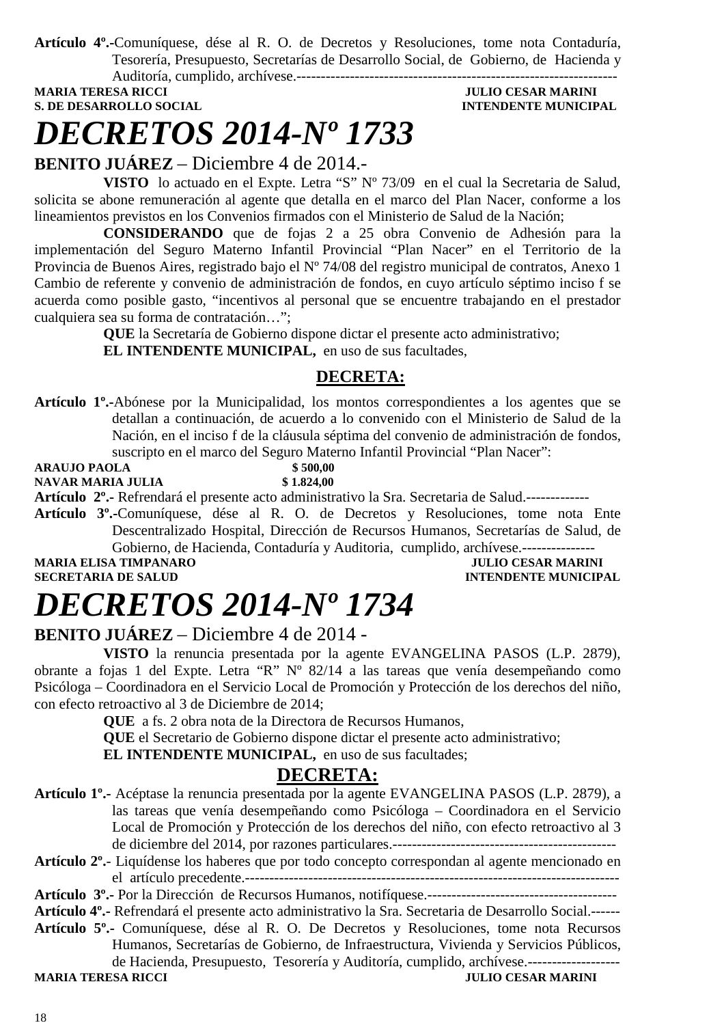**Artículo 4º.-**Comuníquese, dése al R. O. de Decretos y Resoluciones, tome nota Contaduría, Tesorería, Presupuesto, Secretarías de Desarrollo Social, de Gobierno, de Hacienda y Auditoría, cumplido, archívese.------------------------------------------------------------------

**S. DE DESARROLLO SOCIAL DESPETSION INTENDENTE MUNICIPAL** 

### **MULIO CESAR MARINI**

### *DECRETOS 2014-Nº 1733*

**BENITO JUÁREZ** – Diciembre 4 de 2014.-

**VISTO** lo actuado en el Expte. Letra "S" Nº 73/09 en el cual la Secretaria de Salud, solicita se abone remuneración al agente que detalla en el marco del Plan Nacer, conforme a los lineamientos previstos en los Convenios firmados con el Ministerio de Salud de la Nación;

**CONSIDERANDO** que de fojas 2 a 25 obra Convenio de Adhesión para la implementación del Seguro Materno Infantil Provincial "Plan Nacer" en el Territorio de la Provincia de Buenos Aires, registrado bajo el Nº 74/08 del registro municipal de contratos, Anexo 1 Cambio de referente y convenio de administración de fondos, en cuyo artículo séptimo inciso f se acuerda como posible gasto, "incentivos al personal que se encuentre trabajando en el prestador cualquiera sea su forma de contratación…";

> **QUE** la Secretaría de Gobierno dispone dictar el presente acto administrativo; **EL INTENDENTE MUNICIPAL,** en uso de sus facultades,

#### **DECRETA:**

**Artículo 1º.-**Abónese por la Municipalidad, los montos correspondientes a los agentes que se detallan a continuación, de acuerdo a lo convenido con el Ministerio de Salud de la Nación, en el inciso f de la cláusula séptima del convenio de administración de fondos, suscripto en el marco del Seguro Materno Infantil Provincial "Plan Nacer":

**ARAUJO PAOLA** \$500,00<br> **NAVAR MARIA JULIA** \$1.824.00 **NAVAR MARIA JULIA** 

**Artículo 2º.-** Refrendará el presente acto administrativo la Sra. Secretaria de Salud.-------------

**Artículo 3º.-**Comuníquese, dése al R. O. de Decretos y Resoluciones, tome nota Ente Descentralizado Hospital, Dirección de Recursos Humanos, Secretarías de Salud, de Gobierno, de Hacienda, Contaduría y Auditoria, cumplido, archívese.---------------

**MARIA ELISA TIMPANARO** *JULIO CESAR MARINI* **SECRETARIA DE SALUD INTENDENTE MUNICIPAL** 

## *DECRETOS 2014-Nº 1734*

#### **BENITO JUÁREZ** – Diciembre 4 de 2014 -

**VISTO** la renuncia presentada por la agente EVANGELINA PASOS (L.P. 2879), obrante a fojas 1 del Expte. Letra "R" Nº 82/14 a las tareas que venía desempeñando como Psicóloga – Coordinadora en el Servicio Local de Promoción y Protección de los derechos del niño, con efecto retroactivo al 3 de Diciembre de 2014;

**QUE** a fs. 2 obra nota de la Directora de Recursos Humanos,

**QUE** el Secretario de Gobierno dispone dictar el presente acto administrativo;

**EL INTENDENTE MUNICIPAL**, en uso de sus facultades;

#### **DECRETA:**

**Artículo 1º.-** Acéptase la renuncia presentada por la agente EVANGELINA PASOS (L.P. 2879), a las tareas que venía desempeñando como Psicóloga – Coordinadora en el Servicio Local de Promoción y Protección de los derechos del niño, con efecto retroactivo al 3 de diciembre del 2014, por razones particulares.----------------------------------------------

#### **Artículo 2º.**- Liquídense los haberes que por todo concepto correspondan al agente mencionado en el artículo precedente.-----------------------------------------------------------------------------

**Artículo 3º.-** Por la Dirección de Recursos Humanos, notifíquese.---------------------------------------

**Artículo 4º.-** Refrendará el presente acto administrativo la Sra. Secretaria de Desarrollo Social.------

**Artículo 5º.-** Comuníquese, dése al R. O. De Decretos y Resoluciones, tome nota Recursos Humanos, Secretarías de Gobierno, de Infraestructura, Vivienda y Servicios Públicos, de Hacienda, Presupuesto, Tesorería y Auditoría, cumplido, archívese.-------------------

**MARIA TERESA RICCI JULIO CESAR MARINI**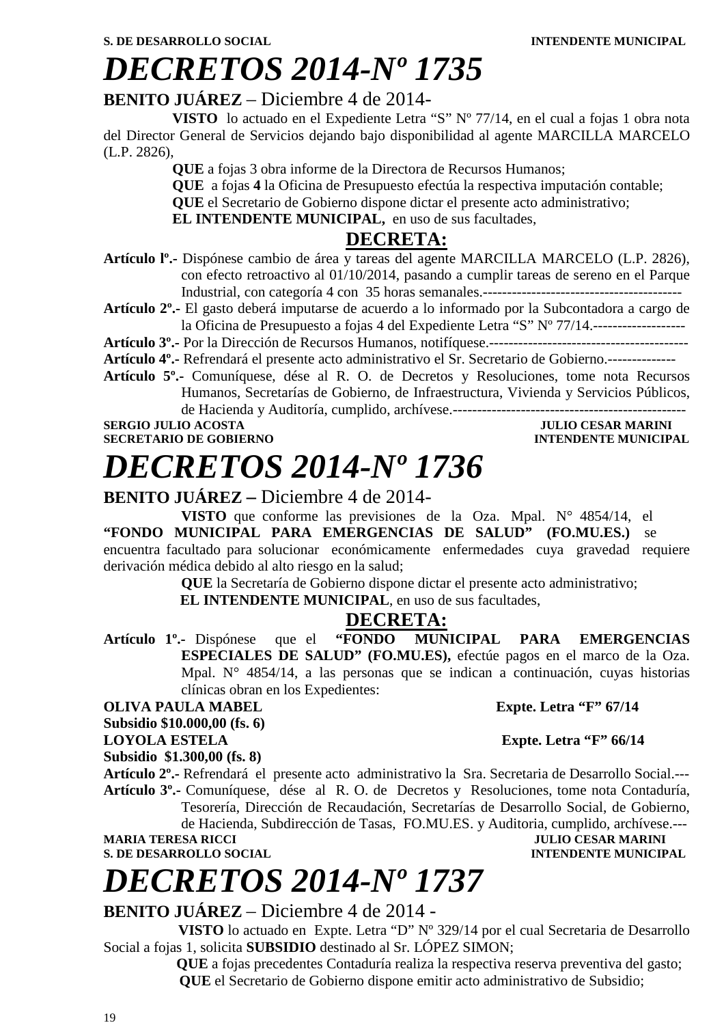### *DECRETOS 2014-Nº 1735*

#### **BENITO JUÁREZ** – Diciembre 4 de 2014-

**VISTO** lo actuado en el Expediente Letra "S" Nº 77/14, en el cual a fojas 1 obra nota del Director General de Servicios dejando bajo disponibilidad al agente MARCILLA MARCELO (L.P. 2826),

**QUE** a fojas 3 obra informe de la Directora de Recursos Humanos;

**QUE** a fojas **4** la Oficina de Presupuesto efectúa la respectiva imputación contable;

**QUE** el Secretario de Gobierno dispone dictar el presente acto administrativo;

**EL INTENDENTE MUNICIPAL,** en uso de sus facultades,

#### **DECRETA:**

**Artículo lº.-** Dispónese cambio de área y tareas del agente MARCILLA MARCELO (L.P. 2826), con efecto retroactivo al 01/10/2014, pasando a cumplir tareas de sereno en el Parque Industrial, con categoría 4 con 35 horas semanales.-----------------------------------------

**Artículo 2º.-** El gasto deberá imputarse de acuerdo a lo informado por la Subcontadora a cargo de la Oficina de Presupuesto a fojas 4 del Expediente Letra "S" Nº 77/14.-------------------

**Artículo 3º.-** Por la Dirección de Recursos Humanos, notifíquese.-----------------------------------------

**Artículo 4º.-** Refrendará el presente acto administrativo el Sr. Secretario de Gobierno.--------------

**Artículo 5º.-** Comuníquese, dése al R. O. de Decretos y Resoluciones, tome nota Recursos Humanos, Secretarías de Gobierno, de Infraestructura, Vivienda y Servicios Públicos, de Hacienda y Auditoría, cumplido, archívese.------------------------------------------------

### *DECRETOS 2014-Nº 1736*

#### **BENITO JUÁREZ –** Diciembre 4 de 2014-

**VISTO** que conforme las previsiones de la Oza. Mpal. N° 4854/14, el **"FONDO MUNICIPAL PARA EMERGENCIAS DE SALUD" (FO.MU.ES.)** se encuentra facultado para solucionar económicamente enfermedades cuya gravedad requiere derivación médica debido al alto riesgo en la salud;

**QUE** la Secretaría de Gobierno dispone dictar el presente acto administrativo;

**EL INTENDENTE MUNICIPAL**, en uso de sus facultades,

#### **DECRETA:**

**Artículo 1º.-** Dispónese que el **"FONDO MUNICIPAL PARA EMERGENCIAS ESPECIALES DE SALUD" (FO.MU.ES),** efectúe pagos en el marco de la Oza. Mpal. N° 4854/14, a las personas que se indican a continuación, cuyas historias clínicas obran en los Expedientes:

**OLIVA PAULA MABEL Expte. Letra "F" 67/14** 

**Subsidio \$10.000,00 (fs. 6)** 

**LOYOLA ESTELA Expte. Letra "F" 66/14** 

**Subsidio \$1.300,00 (fs. 8)** 

**Artículo 2º.-** Refrendará el presente acto administrativo la Sra. Secretaria de Desarrollo Social.--- **Artículo 3º.-** Comuníquese, dése al R. O. de Decretos y Resoluciones, tome nota Contaduría, Tesorería, Dirección de Recaudación, Secretarías de Desarrollo Social, de Gobierno, de Hacienda, Subdirección de Tasas, FO.MU.ES. y Auditoria, cumplido, archívese.---

**MARIA TERESA RICCI JULIO CESAR MARINI** 

**S. DE DESARROLLO SOCIAL DESPESSION INTENDENTE MUNICIPAL** 

# *DECRETOS 2014-Nº 1737*

#### **BENITO JUÁREZ** – Diciembre 4 de 2014 -

 **VISTO** lo actuado en Expte. Letra "D" Nº 329/14 por el cual Secretaria de Desarrollo Social a fojas 1, solicita **SUBSIDIO** destinado al Sr. LÓPEZ SIMON;

 **QUE** a fojas precedentes Contaduría realiza la respectiva reserva preventiva del gasto;  **QUE** el Secretario de Gobierno dispone emitir acto administrativo de Subsidio;

**SERGIO JULIO ACOSTA JULIO CESAR MARINI SECRETARIO DE GOBIERNO INTENDENTE MUNICIPAL**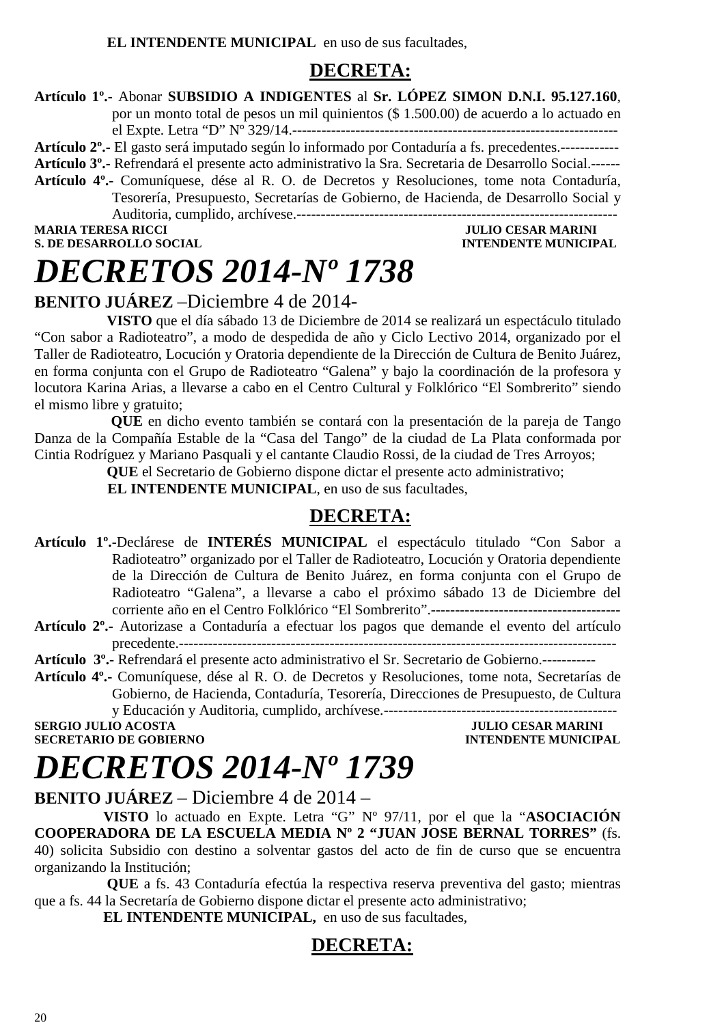#### **DECRETA:**

#### **Artículo 1º.-** Abonar **SUBSIDIO A INDIGENTES** al **Sr. LÓPEZ SIMON D.N.I. 95.127.160**,

por un monto total de pesos un mil quinientos (\$ 1.500.00) de acuerdo a lo actuado en el Expte. Letra "D" Nº 329/14.-------------------------------------------------------------------

**Artículo 2º.-** El gasto será imputado según lo informado por Contaduría a fs. precedentes.------------

**Artículo 3º.-** Refrendará el presente acto administrativo la Sra. Secretaria de Desarrollo Social.------

**Artículo 4º.-** Comuníquese, dése al R. O. de Decretos y Resoluciones, tome nota Contaduría, Tesorería, Presupuesto, Secretarías de Gobierno, de Hacienda, de Desarrollo Social y Auditoria, cumplido, archívese.------------------------------------------------------------------

**MARIA TERESA RICCI JULIO CESAR MARINI** 

**INTENDENTE MUNICIPAL** 

### *DECRETOS 2014-Nº 1738*

### **BENITO JUÁREZ** –Diciembre 4 de 2014-

 **VISTO** que el día sábado 13 de Diciembre de 2014 se realizará un espectáculo titulado "Con sabor a Radioteatro", a modo de despedida de año y Ciclo Lectivo 2014, organizado por el Taller de Radioteatro, Locución y Oratoria dependiente de la Dirección de Cultura de Benito Juárez, en forma conjunta con el Grupo de Radioteatro "Galena" y bajo la coordinación de la profesora y locutora Karina Arias, a llevarse a cabo en el Centro Cultural y Folklórico "El Sombrerito" siendo el mismo libre y gratuito;

 **QUE** en dicho evento también se contará con la presentación de la pareja de Tango Danza de la Compañía Estable de la "Casa del Tango" de la ciudad de La Plata conformada por Cintia Rodríguez y Mariano Pasquali y el cantante Claudio Rossi, de la ciudad de Tres Arroyos;

**QUE** el Secretario de Gobierno dispone dictar el presente acto administrativo;

 **EL INTENDENTE MUNICIPAL**, en uso de sus facultades,

#### **DECRETA:**

- **Artículo 1º.-**Declárese de **INTERÉS MUNICIPAL** el espectáculo titulado "Con Sabor a Radioteatro" organizado por el Taller de Radioteatro, Locución y Oratoria dependiente de la Dirección de Cultura de Benito Juárez, en forma conjunta con el Grupo de Radioteatro "Galena", a llevarse a cabo el próximo sábado 13 de Diciembre del corriente año en el Centro Folklórico "El Sombrerito".---------------------------------------
- **Artículo 2º.-** Autorizase a Contaduría a efectuar los pagos que demande el evento del artículo precedente.------------------------------------------------------------------------------------------

**Artículo 3º.-** Refrendará el presente acto administrativo el Sr. Secretario de Gobierno.-----------

**Artículo 4º.-** Comuníquese, dése al R. O. de Decretos y Resoluciones, tome nota, Secretarías de Gobierno, de Hacienda, Contaduría, Tesorería, Direcciones de Presupuesto, de Cultura y Educación y Auditoria, cumplido, archívese.------------------------------------------------

**SECRETARIO DE GOBIERNO** 

**SULIO CESAR MARINI<br>INTENDENTE MUNICIPAL** 

# *DECRETOS 2014-Nº 1739*

**BENITO JUÁREZ** – Diciembre 4 de 2014 –

**VISTO** lo actuado en Expte. Letra "G" Nº 97/11, por el que la "**ASOCIACIÓN COOPERADORA DE LA ESCUELA MEDIA Nº 2 "JUAN JOSE BERNAL TORRES"** (fs. 40) solicita Subsidio con destino a solventar gastos del acto de fin de curso que se encuentra organizando la Institución;

 **QUE** a fs. 43 Contaduría efectúa la respectiva reserva preventiva del gasto; mientras que a fs. 44 la Secretaría de Gobierno dispone dictar el presente acto administrativo;

**EL INTENDENTE MUNICIPAL,** en uso de sus facultades,

### **DECRETA:**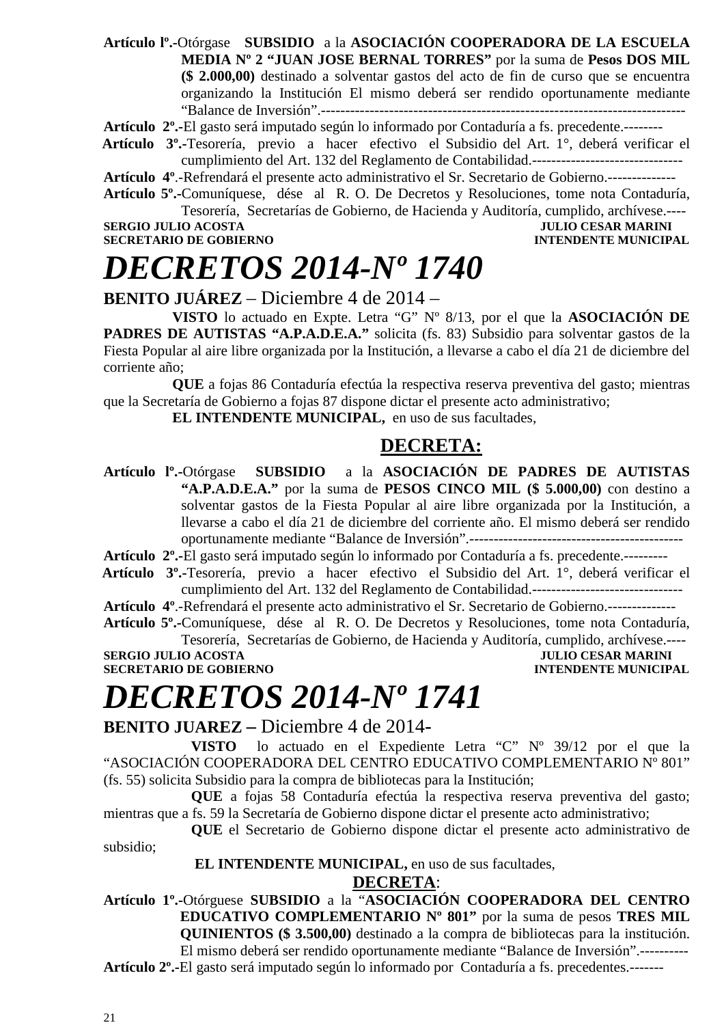**Artículo lº.-**Otórgase **SUBSIDIO** a la **ASOCIACIÓN COOPERADORA DE LA ESCUELA MEDIA Nº 2 "JUAN JOSE BERNAL TORRES"** por la suma de **Pesos DOS MIL (\$ 2.000,00)** destinado a solventar gastos del acto de fin de curso que se encuentra organizando la Institución El mismo deberá ser rendido oportunamente mediante "Balance de Inversión".---------------------------------------------------------------------------

**Artículo 2º.-**El gasto será imputado según lo informado por Contaduría a fs. precedente.--------

 **Artículo 3º.-**Tesorería, previo a hacer efectivo el Subsidio del Art. 1°, deberá verificar el cumplimiento del Art. 132 del Reglamento de Contabilidad.-------------------------------

**Artículo 4º**.-Refrendará el presente acto administrativo el Sr. Secretario de Gobierno.--------------

**Artículo 5º.-**Comuníquese, dése al R. O. De Decretos y Resoluciones, tome nota Contaduría, Tesorería, Secretarías de Gobierno, de Hacienda y Auditoría, cumplido, archívese.----

**SERGIO JULIO ACOSTA JULIO CESAR MARINI** 

**SECRETARIO DE GOBIERNO INTENDENTE MUNICIPAL** 

### *DECRETOS 2014-Nº 1740*

#### **BENITO JUÁREZ** – Diciembre 4 de 2014 –

**VISTO** lo actuado en Expte. Letra "G" Nº 8/13, por el que la **ASOCIACIÓN DE PADRES DE AUTISTAS "A.P.A.D.E.A."** solicita (fs. 83) Subsidio para solventar gastos de la Fiesta Popular al aire libre organizada por la Institución, a llevarse a cabo el día 21 de diciembre del corriente año;

**QUE** a fojas 86 Contaduría efectúa la respectiva reserva preventiva del gasto; mientras que la Secretaría de Gobierno a fojas 87 dispone dictar el presente acto administrativo;

**EL INTENDENTE MUNICIPAL,** en uso de sus facultades,

#### **DECRETA:**

**Artículo lº.-**Otórgase **SUBSIDIO** a la **ASOCIACIÓN DE PADRES DE AUTISTAS "A.P.A.D.E.A."** por la suma de **PESOS CINCO MIL (\$ 5.000,00)** con destino a solventar gastos de la Fiesta Popular al aire libre organizada por la Institución, a llevarse a cabo el día 21 de diciembre del corriente año. El mismo deberá ser rendido oportunamente mediante "Balance de Inversión".--------------------------------------------

**Artículo 2º.-**El gasto será imputado según lo informado por Contaduría a fs. precedente.---------

 **Artículo 3º.-**Tesorería, previo a hacer efectivo el Subsidio del Art. 1°, deberá verificar el cumplimiento del Art. 132 del Reglamento de Contabilidad.-------------------------------

**Artículo 4º**.-Refrendará el presente acto administrativo el Sr. Secretario de Gobierno.--------------

**Artículo 5º.-**Comuníquese, dése al R. O. De Decretos y Resoluciones, tome nota Contaduría, Tesorería, Secretarías de Gobierno, de Hacienda y Auditoría, cumplido, archívese.----

**SERGIO JULIO ACOSTA JULIO CESAR MARINI** 

**SECRETARIO DE GOBIERNO INTENDENTE MUNICIPAL** 

# *DECRETOS 2014-Nº 1741*

**BENITO JUAREZ –** Diciembre 4 de 2014**-** 

**VISTO** lo actuado en el Expediente Letra "C" Nº 39/12 por el que la "ASOCIACIÓN COOPERADORA DEL CENTRO EDUCATIVO COMPLEMENTARIO Nº 801" (fs. 55) solicita Subsidio para la compra de bibliotecas para la Institución;

**QUE** a fojas 58 Contaduría efectúa la respectiva reserva preventiva del gasto; mientras que a fs. 59 la Secretaría de Gobierno dispone dictar el presente acto administrativo;

**QUE** el Secretario de Gobierno dispone dictar el presente acto administrativo de subsidio;

#### **EL INTENDENTE MUNICIPAL,** en uso de sus facultades,

#### **DECRETA**:

**Artículo 1º.-**Otórguese **SUBSIDIO** a la "**ASOCIACIÓN COOPERADORA DEL CENTRO EDUCATIVO COMPLEMENTARIO Nº 801"** por la suma de pesos **TRES MIL QUINIENTOS (\$ 3.500,00)** destinado a la compra de bibliotecas para la institución. El mismo deberá ser rendido oportunamente mediante "Balance de Inversión".---------- **Artículo 2º.-**El gasto será imputado según lo informado por Contaduría a fs. precedentes.-------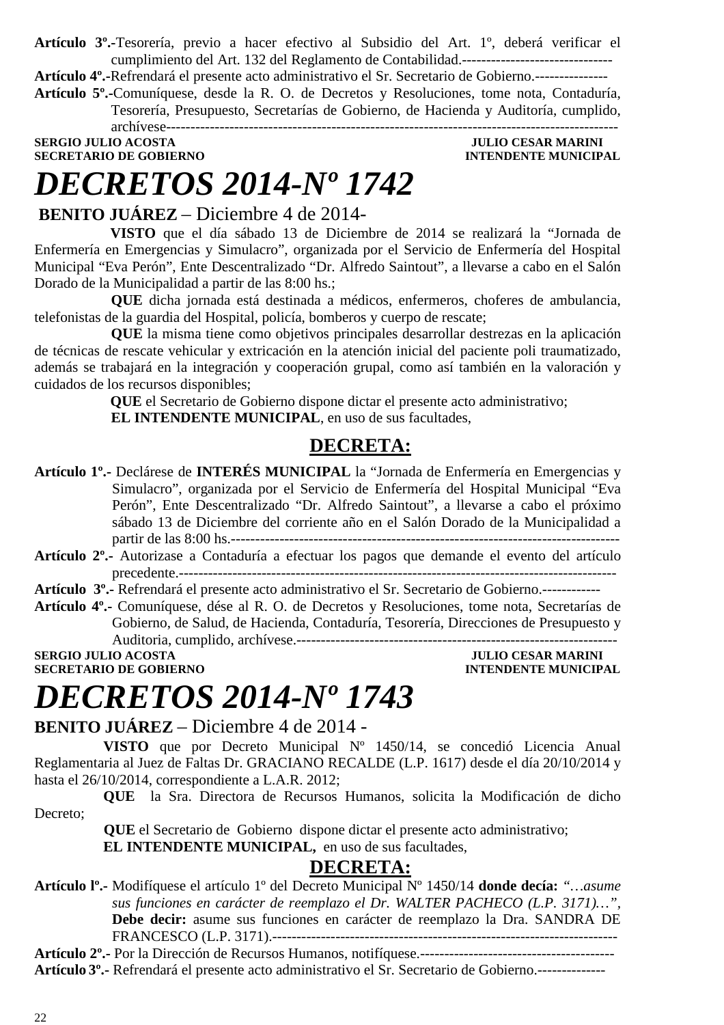**Artículo 3º.-**Tesorería, previo a hacer efectivo al Subsidio del Art. 1º, deberá verificar el cumplimiento del Art. 132 del Reglamento de Contabilidad.-------------------------------

**Artículo 4º.-**Refrendará el presente acto administrativo el Sr. Secretario de Gobierno.---------------

**Artículo 5º.-**Comuníquese, desde la R. O. de Decretos y Resoluciones, tome nota, Contaduría, Tesorería, Presupuesto, Secretarías de Gobierno, de Hacienda y Auditoría, cumplido, archívese---------------------------------------------------------------------------------------------

#### **SERGIO JULIO ACOSTA JULIO CESAR MARINI SECRETARIO DE GOBIERNO INTENDENTE MUNICIPAL**

# *DECRETOS 2014-Nº 1742*

 **BENITO JUÁREZ** – Diciembre 4 de 2014-

 **VISTO** que el día sábado 13 de Diciembre de 2014 se realizará la "Jornada de Enfermería en Emergencias y Simulacro", organizada por el Servicio de Enfermería del Hospital Municipal "Eva Perón", Ente Descentralizado "Dr. Alfredo Saintout", a llevarse a cabo en el Salón Dorado de la Municipalidad a partir de las 8:00 hs.;

 **QUE** dicha jornada está destinada a médicos, enfermeros, choferes de ambulancia, telefonistas de la guardia del Hospital, policía, bomberos y cuerpo de rescate;

 **QUE** la misma tiene como objetivos principales desarrollar destrezas en la aplicación de técnicas de rescate vehicular y extricación en la atención inicial del paciente poli traumatizado, además se trabajará en la integración y cooperación grupal, como así también en la valoración y cuidados de los recursos disponibles;

> **QUE** el Secretario de Gobierno dispone dictar el presente acto administrativo;  **EL INTENDENTE MUNICIPAL**, en uso de sus facultades,

### **DECRETA:**

- **Artículo 1º.-** Declárese de **INTERÉS MUNICIPAL** la "Jornada de Enfermería en Emergencias y Simulacro", organizada por el Servicio de Enfermería del Hospital Municipal "Eva Perón", Ente Descentralizado "Dr. Alfredo Saintout", a llevarse a cabo el próximo sábado 13 de Diciembre del corriente año en el Salón Dorado de la Municipalidad a partir de las 8:00 hs.--------------------------------------------------------------------------------
- **Artículo 2º.-** Autorizase a Contaduría a efectuar los pagos que demande el evento del artículo precedente.------------------------------------------------------------------------------------------

**Artículo 3º.-** Refrendará el presente acto administrativo el Sr. Secretario de Gobierno.------------

**Artículo 4º.-** Comuníquese, dése al R. O. de Decretos y Resoluciones, tome nota, Secretarías de Gobierno, de Salud, de Hacienda, Contaduría, Tesorería, Direcciones de Presupuesto y Auditoria, cumplido, archívese.------------------------------------------------------------------

**SERGIO JULIO ACOSTA JULIO CESAR MARINI SECRETARIO DE GOBIERNO INTENDENTE MUNICIPAL** 

# *DECRETOS 2014-Nº 1743*

#### **BENITO JUÁREZ** – Diciembre 4 de 2014 -

**VISTO** que por Decreto Municipal Nº 1450/14, se concedió Licencia Anual Reglamentaria al Juez de Faltas Dr. GRACIANO RECALDE (L.P. 1617) desde el día 20/10/2014 y hasta el 26/10/2014, correspondiente a L.A.R. 2012;

**QUE** la Sra. Directora de Recursos Humanos, solicita la Modificación de dicho Decreto;

 **QUE** el Secretario de Gobierno dispone dictar el presente acto administrativo; **EL INTENDENTE MUNICIPAL,** en uso de sus facultades,

#### **DECRETA:**

**Artículo lº.-** Modifíquese el artículo 1º del Decreto Municipal Nº 1450/14 **donde decía:** *"…asume sus funciones en carácter de reemplazo el Dr. WALTER PACHECO (L.P. 3171)…",*  **Debe decir:** asume sus funciones en carácter de reemplazo la Dra. SANDRA DE FRANCESCO (L.P. 3171).-----------------------------------------------------------------------

**Artículo 2º.-** Por la Dirección de Recursos Humanos, notifíquese.---------------------------------------- **Artículo 3º.-** Refrendará el presente acto administrativo el Sr. Secretario de Gobierno.--------------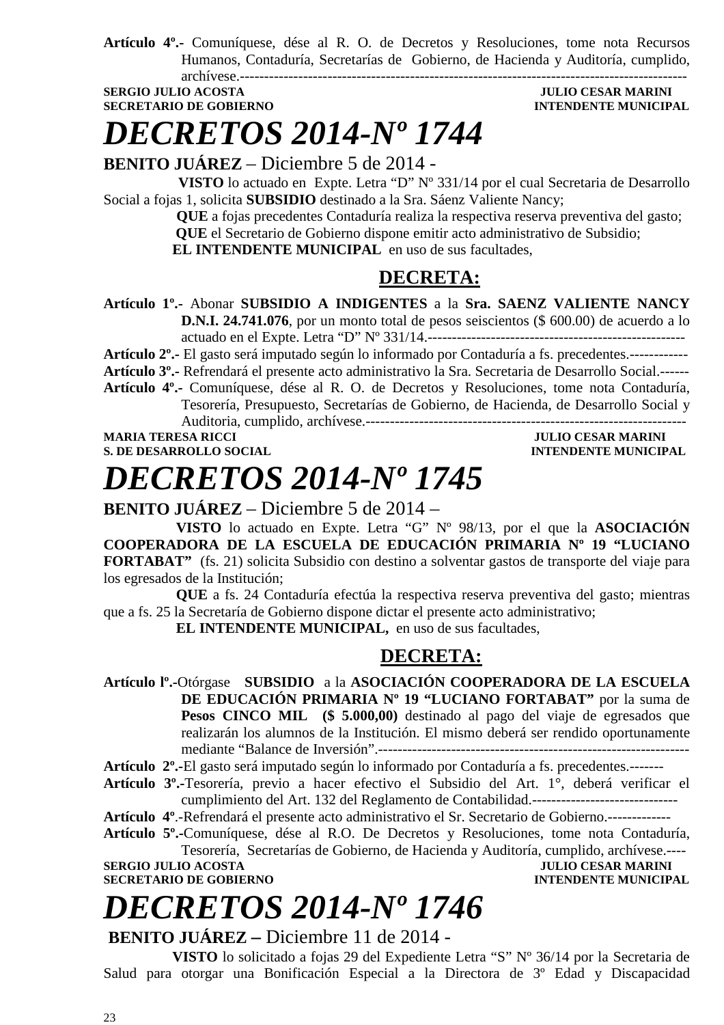**Artículo 4º.-** Comuníquese, dése al R. O. de Decretos y Resoluciones, tome nota Recursos Humanos, Contaduría, Secretarías de Gobierno, de Hacienda y Auditoría, cumplido, archívese.--------------------------------------------------------------------------------------------

**SERGIO JULIO ACOSTA** JULIO CESAR MARINI **SECRETARIO DE GOBIERNO INTENDENTE MUNICIPAL** 

*DECRETOS 2014-Nº 1744*

**BENITO JUÁREZ** – Diciembre 5 de 2014 -

 **VISTO** lo actuado en Expte. Letra "D" Nº 331/14 por el cual Secretaria de Desarrollo Social a fojas 1, solicita **SUBSIDIO** destinado a la Sra. Sáenz Valiente Nancy;

 **QUE** a fojas precedentes Contaduría realiza la respectiva reserva preventiva del gasto;  **QUE** el Secretario de Gobierno dispone emitir acto administrativo de Subsidio; **EL INTENDENTE MUNICIPAL** en uso de sus facultades,

#### **DECRETA:**

**Artículo 1º.-** Abonar **SUBSIDIO A INDIGENTES** a la **Sra. SAENZ VALIENTE NANCY D.N.I. 24.741.076**, por un monto total de pesos seiscientos (\$ 600.00) de acuerdo a lo actuado en el Expte. Letra "D" Nº 331/14.-----------------------------------------------------

**Artículo 2º.-** El gasto será imputado según lo informado por Contaduría a fs. precedentes.------------

**Artículo 3º.-** Refrendará el presente acto administrativo la Sra. Secretaria de Desarrollo Social.------

**Artículo 4º.-** Comuníquese, dése al R. O. de Decretos y Resoluciones, tome nota Contaduría,

Tesorería, Presupuesto, Secretarías de Gobierno, de Hacienda, de Desarrollo Social y Auditoria, cumplido, archívese.------------------------------------------------------------------

**MARIA TERESA RICCI DEL CONTRADICTO DE LA CONTRACTIVITAT DE LA CONTRACTIVITAT DE LA CONTRACTIVITAT DE LA CONTRACTIVITAT DE LA CONTRACTIVITAT DE LA CONTRACTIVITAT DE LA CONTRACTIVITAT DE LA CONTRACTIVITAT DE LA CONTRACTIVIT** 

### **S. DE DESARROLLO SOCIAL DESARROLLO SOCIAL DESARROLLO SOCIAL DESARROLLO SOCIAL DESARROLLO SOCIAL DE LA PERIODE DE LA PERIODE DE LA PERIODE DE LA PERIODE DE LA PERIODE DE LA PERIODE DE LA PERIODE DE LA PERIODE DE LA PERIODE**

*DECRETOS 2014-Nº 1745*

**BENITO JUÁREZ** – Diciembre 5 de 2014 –

 **VISTO** lo actuado en Expte. Letra "G" Nº 98/13, por el que la **ASOCIACIÓN COOPERADORA DE LA ESCUELA DE EDUCACIÓN PRIMARIA Nº 19 "LUCIANO FORTABAT"** (fs. 21) solicita Subsidio con destino a solventar gastos de transporte del viaje para los egresados de la Institución;

 **QUE** a fs. 24 Contaduría efectúa la respectiva reserva preventiva del gasto; mientras que a fs. 25 la Secretaría de Gobierno dispone dictar el presente acto administrativo;

 **EL INTENDENTE MUNICIPAL,** en uso de sus facultades,

### **DECRETA:**

**Artículo lº.-**Otórgase **SUBSIDIO** a la **ASOCIACIÓN COOPERADORA DE LA ESCUELA DE EDUCACIÓN PRIMARIA Nº 19 "LUCIANO FORTABAT"** por la suma de **Pesos CINCO MIL (\$ 5.000,00)** destinado al pago del viaje de egresados que realizarán los alumnos de la Institución. El mismo deberá ser rendido oportunamente mediante "Balance de Inversión".----------------------------------------------------------------

**Artículo 2º.-**El gasto será imputado según lo informado por Contaduría a fs. precedentes.-------

**Artículo 3º.-**Tesorería, previo a hacer efectivo el Subsidio del Art. 1°, deberá verificar el cumplimiento del Art. 132 del Reglamento de Contabilidad.------------------------------

**Artículo 4º**.-Refrendará el presente acto administrativo el Sr. Secretario de Gobierno.-------------

**Artículo 5º.-**Comuníquese, dése al R.O. De Decretos y Resoluciones, tome nota Contaduría, Tesorería, Secretarías de Gobierno, de Hacienda y Auditoría, cumplido, archívese.----

**SERGIO JULIO ACOSTA JULIO CESAR MARINI** 

### **SECRETARIO DE GOBIERNO INTENDENTE MUNICIPAL**

# *DECRETOS 2014-Nº 1746*

#### **BENITO JUÁREZ –** Diciembre 11 de 2014 -

**VISTO** lo solicitado a fojas 29 del Expediente Letra "S" Nº 36/14 por la Secretaria de Salud para otorgar una Bonificación Especial a la Directora de 3º Edad y Discapacidad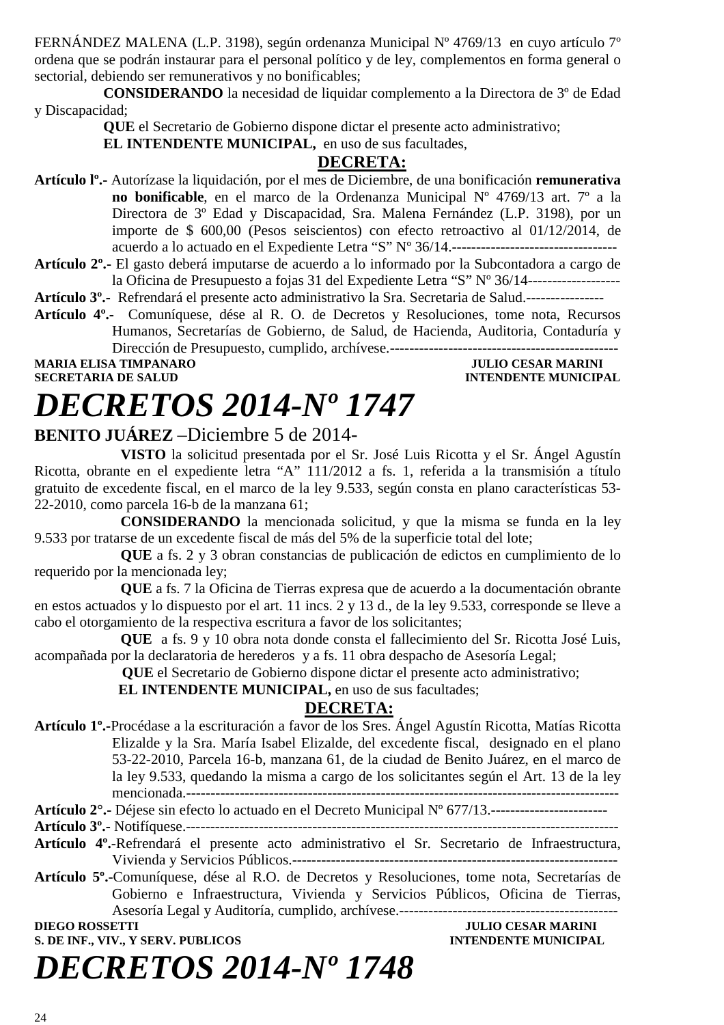FERNÁNDEZ MALENA (L.P. 3198), según ordenanza Municipal Nº 4769/13 en cuyo artículo 7º ordena que se podrán instaurar para el personal político y de ley, complementos en forma general o sectorial, debiendo ser remunerativos y no bonificables;

**CONSIDERANDO** la necesidad de liquidar complemento a la Directora de 3º de Edad y Discapacidad;

**QUE** el Secretario de Gobierno dispone dictar el presente acto administrativo;

**EL INTENDENTE MUNICIPAL,** en uso de sus facultades,

#### **DECRETA:**

**Artículo lº.-** Autorízase la liquidación, por el mes de Diciembre, de una bonificación **remunerativa no bonificable**, en el marco de la Ordenanza Municipal Nº 4769/13 art. 7º a la Directora de 3º Edad y Discapacidad, Sra. Malena Fernández (L.P. 3198), por un importe de \$ 600,00 (Pesos seiscientos) con efecto retroactivo al 01/12/2014, de acuerdo a lo actuado en el Expediente Letra "S" Nº 36/14.----------------------------------

**Artículo 2º.-** El gasto deberá imputarse de acuerdo a lo informado por la Subcontadora a cargo de la Oficina de Presupuesto a fojas 31 del Expediente Letra "S" Nº 36/14-------------------

**Artículo 3º.-** Refrendará el presente acto administrativo la Sra. Secretaria de Salud.----------------

**Artículo 4º.-** Comuníquese, dése al R. O. de Decretos y Resoluciones, tome nota, Recursos Humanos, Secretarías de Gobierno, de Salud, de Hacienda, Auditoria, Contaduría y

Dirección de Presupuesto, cumplido, archívese.-----------------------------------------------

**MARIA ELISA TIMPANARO JULIO CESAR MARINI** 

**INTENDENTE MUNICIPAL** 

### *DECRETOS 2014-Nº 1747*

#### **BENITO JUÁREZ** –Diciembre 5 de 2014-

**VISTO** la solicitud presentada por el Sr. José Luis Ricotta y el Sr. Ángel Agustín Ricotta, obrante en el expediente letra "A" 111/2012 a fs. 1, referida a la transmisión a título gratuito de excedente fiscal, en el marco de la ley 9.533, según consta en plano características 53- 22-2010, como parcela 16-b de la manzana 61;

**CONSIDERANDO** la mencionada solicitud, y que la misma se funda en la ley 9.533 por tratarse de un excedente fiscal de más del 5% de la superficie total del lote;

**QUE** a fs. 2 y 3 obran constancias de publicación de edictos en cumplimiento de lo requerido por la mencionada ley;

**QUE** a fs. 7 la Oficina de Tierras expresa que de acuerdo a la documentación obrante en estos actuados y lo dispuesto por el art. 11 incs. 2 y 13 d., de la ley 9.533, corresponde se lleve a cabo el otorgamiento de la respectiva escritura a favor de los solicitantes;

**QUE** a fs. 9 y 10 obra nota donde consta el fallecimiento del Sr. Ricotta José Luis, acompañada por la declaratoria de herederos y a fs. 11 obra despacho de Asesoría Legal;

**QUE** el Secretario de Gobierno dispone dictar el presente acto administrativo;

**EL INTENDENTE MUNICIPAL, en uso de sus facultades;** 

#### **DECRETA:**

**Artículo 1º.-**Procédase a la escrituración a favor de los Sres. Ángel Agustín Ricotta, Matías Ricotta Elizalde y la Sra. María Isabel Elizalde, del excedente fiscal, designado en el plano 53-22-2010, Parcela 16-b, manzana 61, de la ciudad de Benito Juárez, en el marco de la ley 9.533, quedando la misma a cargo de los solicitantes según el Art. 13 de la ley mencionada.-----------------------------------------------------------------------------------------

**Artículo 2°.-** Déjese sin efecto lo actuado en el Decreto Municipal Nº 677/13.------------------------

**Artículo 3º.-** Notifíquese.-----------------------------------------------------------------------------------------

- **Artículo 4º.**-Refrendará el presente acto administrativo el Sr. Secretario de Infraestructura, Vivienda y Servicios Públicos.-------------------------------------------------------------------
- **Artículo 5º.**-Comuníquese, dése al R.O. de Decretos y Resoluciones, tome nota, Secretarías de Gobierno e Infraestructura, Vivienda y Servicios Públicos, Oficina de Tierras, Asesoría Legal y Auditoría, cumplido, archívese.---------------------------------------------

**S. DE INF., VIV., Y SERV. PUBLICOS INTENDENTE MUNICIPAL** 

**DIEGO ROSSETTI JULIO CESAR MARINI** 

# *DECRETOS 2014-Nº 1748*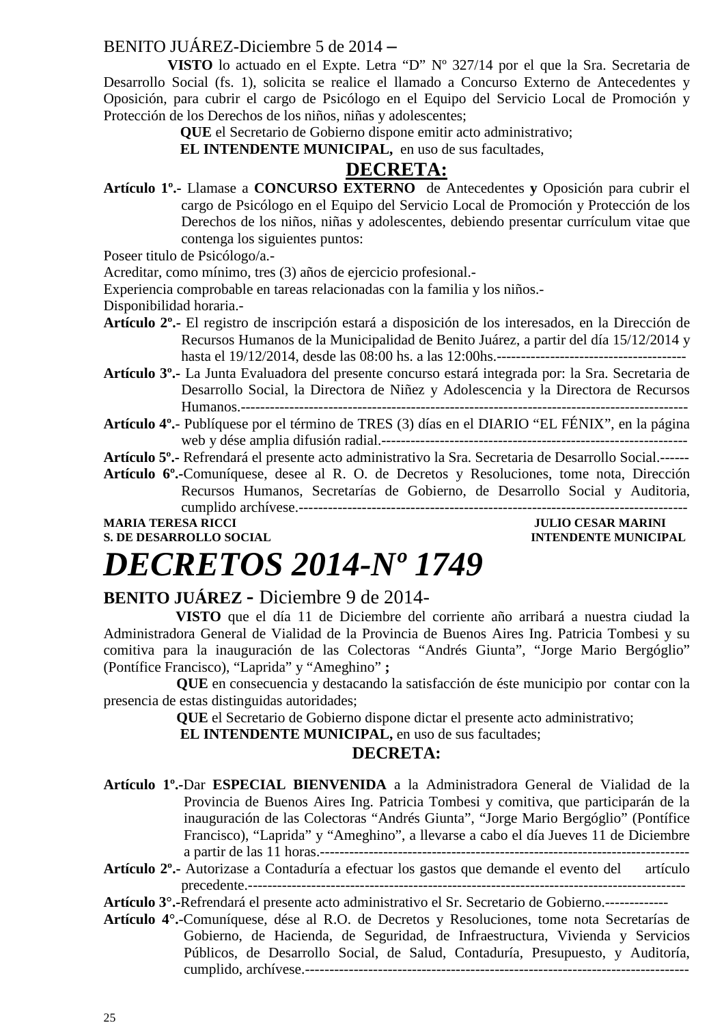#### BENITO JUÁREZ-Diciembre 5 de 2014 **–**

 **VISTO** lo actuado en el Expte. Letra "D" Nº 327/14 por el que la Sra. Secretaria de Desarrollo Social (fs. 1), solicita se realice el llamado a Concurso Externo de Antecedentes y Oposición, para cubrir el cargo de Psicólogo en el Equipo del Servicio Local de Promoción y Protección de los Derechos de los niños, niñas y adolescentes;

**QUE** el Secretario de Gobierno dispone emitir acto administrativo;

 **EL INTENDENTE MUNICIPAL,** en uso de sus facultades,

### **DECRETA:**

**Artículo 1º.-** Llamase a **CONCURSO EXTERNO** de Antecedentes **y** Oposición para cubrir el cargo de Psicólogo en el Equipo del Servicio Local de Promoción y Protección de los Derechos de los niños, niñas y adolescentes, debiendo presentar currículum vitae que contenga los siguientes puntos:

Poseer titulo de Psicólogo/a.-

Acreditar, como mínimo, tres (3) años de ejercicio profesional.-

Experiencia comprobable en tareas relacionadas con la familia y los niños.-

Disponibilidad horaria.-

- **Artículo 2º.-** El registro de inscripción estará a disposición de los interesados, en la Dirección de Recursos Humanos de la Municipalidad de Benito Juárez, a partir del día 15/12/2014 y hasta el 19/12/2014, desde las 08:00 hs. a las 12:00hs.---------------------------------------
- **Artículo 3º.-** La Junta Evaluadora del presente concurso estará integrada por: la Sra. Secretaria de Desarrollo Social, la Directora de Niñez y Adolescencia y la Directora de Recursos Humanos.--------------------------------------------------------------------------------------------
- **Artículo 4º.** Publíquese por el término de TRES (3) días en el DIARIO "EL FÉNIX", en la página web y dése amplia difusión radial.---------------------------------------------------------------

**Artículo 5º.-** Refrendará el presente acto administrativo la Sra. Secretaria de Desarrollo Social.------

**Artículo 6º.-**Comuníquese, desee al R. O. de Decretos y Resoluciones, tome nota, Dirección Recursos Humanos, Secretarías de Gobierno, de Desarrollo Social y Auditoria, cumplido archívese.--------------------------------------------------------------------------------

#### **MARIA TERESA RICCI DE LOS ENFORMADOS DE LOS ENFORMADOS DE LOS ENFORMADOS DE LOS ENFORMADOS DE LOS ENFORMADOS DE LOS ENFORMADOS DE LOS ENFORMADOS DE LOS ENFORMADOS DE LOS ENFORMADOS DE LOS ENFORMADOS DE LOS ENFORMADOS DE L S. DE DESARROLLO SOCIAL DESARROLLO SOCIAL DESARROLLO SOCIAL DESARROLLO SOCIAL DESARROLLO SOCIAL DE LA PERIODICIPAL DE LA PERIODICIPAL DE LA PERIODICIPAL DE LA PERIODICIPAL DE LA PERIODICIPAL DE LA PERIODICIPAL DE LA PERIO**

### *DECRETOS 2014-Nº 1749*

#### **BENITO JUÁREZ -** Diciembre 9 de 2014-

 **VISTO** que el día 11 de Diciembre del corriente año arribará a nuestra ciudad la Administradora General de Vialidad de la Provincia de Buenos Aires Ing. Patricia Tombesi y su comitiva para la inauguración de las Colectoras "Andrés Giunta", "Jorge Mario Bergóglio" (Pontífice Francisco), "Laprida" y "Ameghino" **;** 

 **QUE** en consecuencia y destacando la satisfacción de éste municipio por contar con la presencia de estas distinguidas autoridades;

 **QUE** el Secretario de Gobierno dispone dictar el presente acto administrativo;

**EL INTENDENTE MUNICIPAL**, en uso de sus facultades:

#### **DECRETA:**

- **Artículo 1º.-**Dar **ESPECIAL BIENVENIDA** a la Administradora General de Vialidad de la Provincia de Buenos Aires Ing. Patricia Tombesi y comitiva, que participarán de la inauguración de las Colectoras "Andrés Giunta", "Jorge Mario Bergóglio" (Pontífice Francisco), "Laprida" y "Ameghino", a llevarse a cabo el día Jueves 11 de Diciembre a partir de las 11 horas.----------------------------------------------------------------------------
- **Artículo 2º.-** Autorizase a Contaduría a efectuar los gastos que demande el evento del artículo precedente.------------------------------------------------------------------------------------------

**Artículo 3°.-**Refrendará el presente acto administrativo el Sr. Secretario de Gobierno.-------------

**Artículo 4°.**-Comuníquese, dése al R.O. de Decretos y Resoluciones, tome nota Secretarías de Gobierno, de Hacienda, de Seguridad, de Infraestructura, Vivienda y Servicios Públicos, de Desarrollo Social, de Salud, Contaduría, Presupuesto, y Auditoría, cumplido, archívese.-------------------------------------------------------------------------------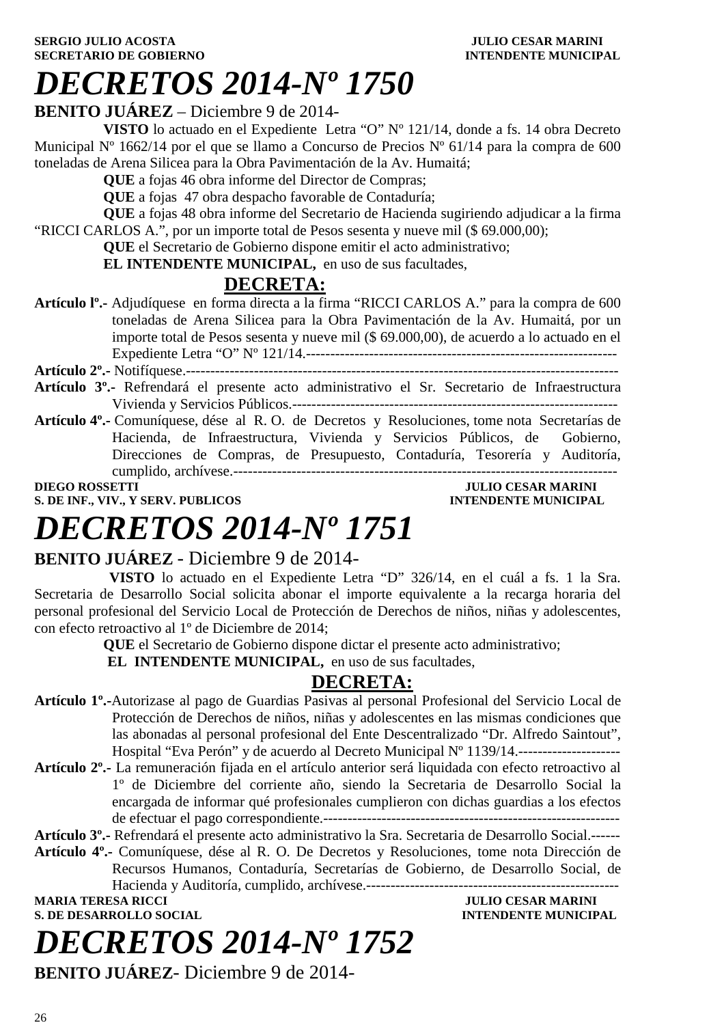#### **SERGIO JULIO ACOSTA JULIO CESAR MARINI SECRETARIO DE GOBIERNO INTENDENTE MUNICIPAL**

### *DECRETOS 2014-Nº 1750*

#### **BENITO JUÁREZ** – Diciembre 9 de 2014-

**VISTO** lo actuado en el Expediente Letra "O" Nº 121/14, donde a fs. 14 obra Decreto Municipal N° 1662/14 por el que se llamo a Concurso de Precios N° 61/14 para la compra de 600 toneladas de Arena Silicea para la Obra Pavimentación de la Av. Humaitá;

**QUE** a fojas 46 obra informe del Director de Compras;

**QUE** a fojas 47 obra despacho favorable de Contaduría;

**QUE** a fojas 48 obra informe del Secretario de Hacienda sugiriendo adjudicar a la firma "RICCI CARLOS A.", por un importe total de Pesos sesenta y nueve mil (\$ 69.000,00);

**QUE** el Secretario de Gobierno dispone emitir el acto administrativo;

**EL INTENDENTE MUNICIPAL,** en uso de sus facultades,

### **DECRETA:**

**Artículo lº.-** Adjudíquese en forma directa a la firma "RICCI CARLOS A." para la compra de 600 toneladas de Arena Silicea para la Obra Pavimentación de la Av. Humaitá, por un importe total de Pesos sesenta y nueve mil (\$ 69.000,00), de acuerdo a lo actuado en el Expediente Letra "O" Nº 121/14.----------------------------------------------------------------

**Artículo 2º.-** Notifíquese.-----------------------------------------------------------------------------------------

- **Artículo 3º.-** Refrendará el presente acto administrativo el Sr. Secretario de Infraestructura Vivienda y Servicios Públicos.-------------------------------------------------------------------
- **Artículo 4º.-** Comuníquese, dése al R. O. de Decretos y Resoluciones, tome nota Secretarías de Hacienda, de Infraestructura, Vivienda y Servicios Públicos, de Gobierno, Direcciones de Compras, de Presupuesto, Contaduría, Tesorería y Auditoría, cumplido, archívese.-------------------------------------------------------------------------------

**S. DE INF., VIV., Y SERV. PUBLICOS** 

**DIEGO CESAR MARINI<br>INTENDENTE MUNICIPAL** 

### *DECRETOS 2014-Nº 1751*

#### **BENITO JUÁREZ** - Diciembre 9 de 2014-

 **VISTO** lo actuado en el Expediente Letra "D" 326/14, en el cuál a fs. 1 la Sra. Secretaria de Desarrollo Social solicita abonar el importe equivalente a la recarga horaria del personal profesional del Servicio Local de Protección de Derechos de niños, niñas y adolescentes, con efecto retroactivo al 1º de Diciembre de 2014;

**QUE** el Secretario de Gobierno dispone dictar el presente acto administrativo;

**EL INTENDENTE MUNICIPAL,** en uso de sus facultades,

### **DECRETA:**

- **Artículo 1º.-**Autorizase al pago de Guardias Pasivas al personal Profesional del Servicio Local de Protección de Derechos de niños, niñas y adolescentes en las mismas condiciones que las abonadas al personal profesional del Ente Descentralizado "Dr. Alfredo Saintout", Hospital "Eva Perón" y de acuerdo al Decreto Municipal Nº 1139/14.---------------------
- **Artículo 2º.-** La remuneración fijada en el artículo anterior será liquidada con efecto retroactivo al 1º de Diciembre del corriente año, siendo la Secretaria de Desarrollo Social la encargada de informar qué profesionales cumplieron con dichas guardias a los efectos de efectuar el pago correspondiente.-------------------------------------------------------------

**Artículo 3º.-** Refrendará el presente acto administrativo la Sra. Secretaria de Desarrollo Social.------

**Artículo 4º.-** Comuníquese, dése al R. O. De Decretos y Resoluciones, tome nota Dirección de Recursos Humanos, Contaduría, Secretarías de Gobierno, de Desarrollo Social, de Hacienda y Auditoría, cumplido, archívese.----------------------------------------------------

**S. DE DESARROLLO SOCIAL** 

# *DECRETOS 2014-Nº 1752*

**MULIO CESAR MARINI<br>INTENDENTE MUNICIPAL** 

**BENITO JUÁREZ**- Diciembre 9 de 2014-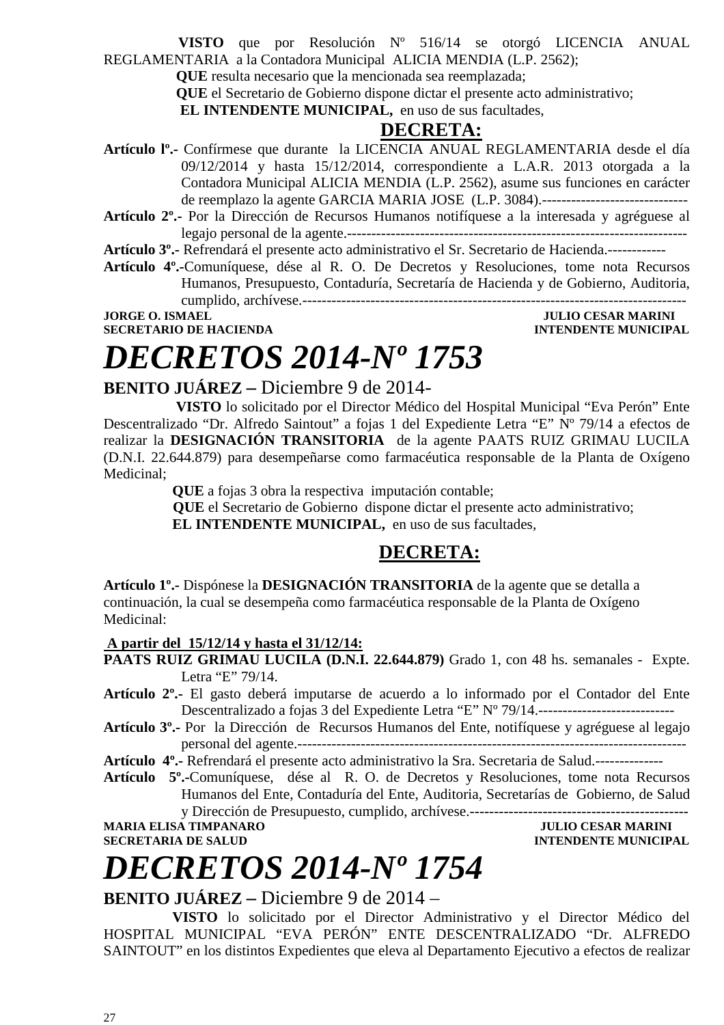**VISTO** que por Resolución Nº 516/14 se otorgó LICENCIA ANUAL REGLAMENTARIA a la Contadora Municipal ALICIA MENDIA (L.P. 2562);

 **QUE** resulta necesario que la mencionada sea reemplazada;

 **QUE** el Secretario de Gobierno dispone dictar el presente acto administrativo;

**EL INTENDENTE MUNICIPAL,** en uso de sus facultades,

#### **DECRETA:**

**Artículo lº.-** Confírmese que durante la LICENCIA ANUAL REGLAMENTARIA desde el día 09/12/2014 y hasta 15/12/2014, correspondiente a L.A.R. 2013 otorgada a la Contadora Municipal ALICIA MENDIA (L.P. 2562), asume sus funciones en carácter de reemplazo la agente GARCIA MARIA JOSE (L.P. 3084).------------------------------

**Artículo 2º.-** Por la Dirección de Recursos Humanos notifíquese a la interesada y agréguese al legajo personal de la agente.----------------------------------------------------------------------

**Artículo 3º.-** Refrendará el presente acto administrativo el Sr. Secretario de Hacienda.------------

**Artículo 4º.-**Comuníquese, dése al R. O. De Decretos y Resoluciones, tome nota Recursos Humanos, Presupuesto, Contaduría, Secretaría de Hacienda y de Gobierno, Auditoria, cumplido, archívese.-------------------------------------------------------------------------------

**JORGE O. ISMAEL JULIO CESAR MARINI** 

**SECRETARIO DE HACIENDA INTENDENTE MUNICIPAL** 

### *DECRETOS 2014-Nº 1753*

**JULIO CESAR MARINI** 

#### **BENITO JUÁREZ –** Diciembre 9 de 2014-

 **VISTO** lo solicitado por el Director Médico del Hospital Municipal "Eva Perón" Ente Descentralizado "Dr. Alfredo Saintout" a fojas 1 del Expediente Letra "E" Nº 79/14 a efectos de realizar la **DESIGNACIÓN TRANSITORIA** de la agente PAATS RUIZ GRIMAU LUCILA (D.N.I. 22.644.879) para desempeñarse como farmacéutica responsable de la Planta de Oxígeno Medicinal;

**QUE** a fojas 3 obra la respectiva imputación contable;

 **QUE** el Secretario de Gobierno dispone dictar el presente acto administrativo; **EL INTENDENTE MUNICIPAL,** en uso de sus facultades,

#### **DECRETA:**

**Artículo 1º.-** Dispónese la **DESIGNACIÓN TRANSITORIA** de la agente que se detalla a continuación, la cual se desempeña como farmacéutica responsable de la Planta de Oxígeno Medicinal:

#### **A partir del 15/12/14 y hasta el 31/12/14:**

- **PAATS RUIZ GRIMAU LUCILA (D.N.I. 22.644.879)** Grado 1, con 48 hs. semanales Expte. Letra "E" 79/14.
- **Artículo 2º.-** El gasto deberá imputarse de acuerdo a lo informado por el Contador del Ente Descentralizado a fojas 3 del Expediente Letra "E" Nº 79/14.---------------------------
- **Artículo 3º.-** Por la Dirección de Recursos Humanos del Ente, notifíquese y agréguese al legajo personal del agente.--------------------------------------------------------------------------------

**Artículo 4º.-** Refrendará el presente acto administrativo la Sra. Secretaria de Salud.--------------

**Artículo 5º.-**Comuníquese, dése al R. O. de Decretos y Resoluciones, tome nota Recursos Humanos del Ente, Contaduría del Ente, Auditoria, Secretarías de Gobierno, de Salud y Dirección de Presupuesto, cumplido, archívese.---------------------------------------------

**SECRETARIA DE SALUD INTENDENTE MUNICIPAL** 

# *DECRETOS 2014-Nº 1754*

#### **BENITO JUÁREZ –** Diciembre 9 de 2014 –

**VISTO** lo solicitado por el Director Administrativo y el Director Médico del HOSPITAL MUNICIPAL "EVA PERÓN" ENTE DESCENTRALIZADO "Dr. ALFREDO SAINTOUT" en los distintos Expedientes que eleva al Departamento Ejecutivo a efectos de realizar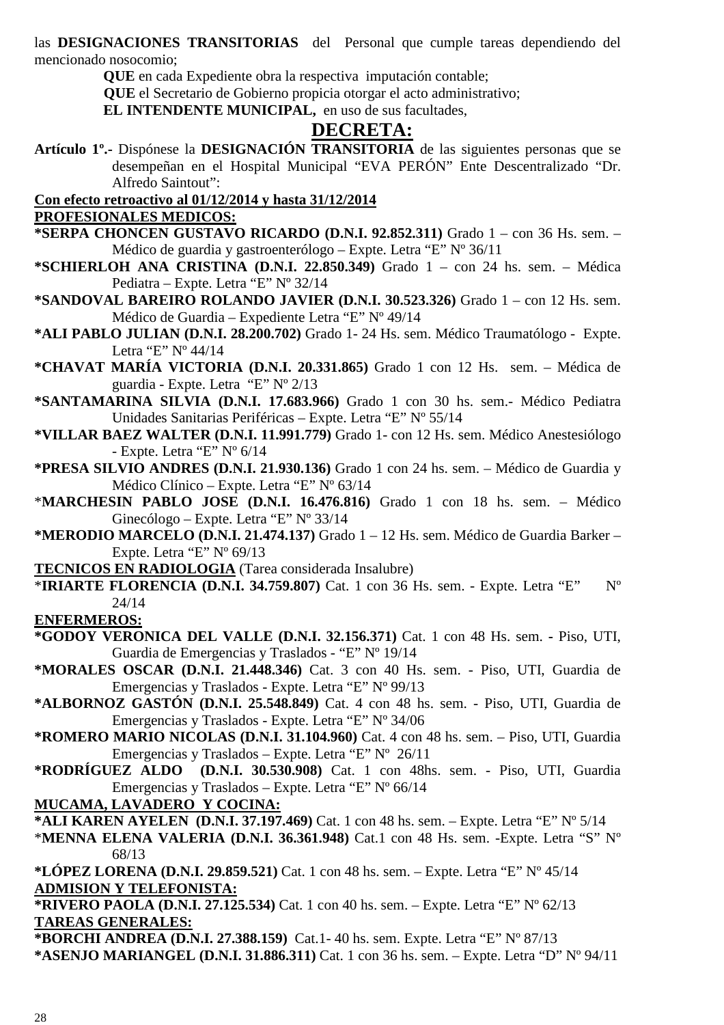las **DESIGNACIONES TRANSITORIAS** del Personal que cumple tareas dependiendo del mencionado nosocomio;

**QUE** en cada Expediente obra la respectiva imputación contable;

 **QUE** el Secretario de Gobierno propicia otorgar el acto administrativo;

**EL INTENDENTE MUNICIPAL,** en uso de sus facultades,

#### **DECRETA:**

**Artículo 1º.-** Dispónese la **DESIGNACIÓN TRANSITORIA** de las siguientes personas que se desempeñan en el Hospital Municipal "EVA PERÓN" Ente Descentralizado "Dr. Alfredo Saintout":

**Con efecto retroactivo al 01/12/2014 y hasta 31/12/2014**

#### **PROFESIONALES MEDICOS:**

- **\*SERPA CHONCEN GUSTAVO RICARDO (D.N.I. 92.852.311)** Grado 1 con 36 Hs. sem. Médico de guardia y gastroenterólogo – Expte. Letra "E" Nº 36/11
- **\*SCHIERLOH ANA CRISTINA (D.N.I. 22.850.349)** Grado 1 con 24 hs. sem. Médica Pediatra – Expte. Letra "E" Nº 32/14
- **\*SANDOVAL BAREIRO ROLANDO JAVIER (D.N.I. 30.523.326)** Grado 1 con 12 Hs. sem. Médico de Guardia – Expediente Letra "E" Nº 49/14
- **\*ALI PABLO JULIAN (D.N.I. 28.200.702)** Grado 1- 24 Hs. sem. Médico Traumatólogo Expte. Letra "E" Nº 44/14
- **\*CHAVAT MARÍA VICTORIA (D.N.I. 20.331.865)** Grado 1 con 12 Hs. sem. Médica de guardia - Expte. Letra "E" Nº 2/13
- **\*SANTAMARINA SILVIA (D.N.I. 17.683.966)** Grado 1 con 30 hs. sem.- Médico Pediatra Unidades Sanitarias Periféricas – Expte. Letra "E" Nº 55/14
- **\*VILLAR BAEZ WALTER (D.N.I. 11.991.779)** Grado 1- con 12 Hs. sem. Médico Anestesiólogo - Expte. Letra "E" Nº 6/14
- **\*PRESA SILVIO ANDRES (D.N.I. 21.930.136)** Grado 1 con 24 hs. sem. Médico de Guardia y Médico Clínico – Expte. Letra "E" Nº 63/14
- \***MARCHESIN PABLO JOSE (D.N.I. 16.476.816)** Grado 1 con 18 hs. sem. Médico Ginecólogo – Expte. Letra "E" Nº 33/14
- **\*MERODIO MARCELO (D.N.I. 21.474.137)** Grado 1 12 Hs. sem. Médico de Guardia Barker Expte. Letra "E" Nº 69/13
- **TECNICOS EN RADIOLOGIA** (Tarea considerada Insalubre)
- \***IRIARTE FLORENCIA (D.N.I. 34.759.807)** Cat. 1 con 36 Hs. sem. Expte. Letra "E" Nº 24/14

**ENFERMEROS:**

- **\*GODOY VERONICA DEL VALLE (D.N.I. 32.156.371)** Cat. 1 con 48 Hs. sem.Piso, UTI, Guardia de Emergencias y Traslados - "E" Nº 19/14
- **\*MORALES OSCAR (D.N.I. 21.448.346)** Cat. 3 con 40 Hs. sem. Piso, UTI, Guardia de Emergencias y Traslados - Expte. Letra "E" Nº 99/13
- **\*ALBORNOZ GASTÓN (D.N.I. 25.548.849)** Cat. 4 con 48 hs. sem. Piso, UTI, Guardia de Emergencias y Traslados - Expte. Letra "E" Nº 34/06
- **\*ROMERO MARIO NICOLAS (D.N.I. 31.104.960)** Cat. 4 con 48 hs. sem. Piso, UTI, Guardia Emergencias y Traslados – Expte. Letra "E" Nº 26/11
- **\*RODRÍGUEZ ALDO (D.N.I. 30.530.908)** Cat. 1 con 48hs. sem. Piso, UTI, Guardia Emergencias y Traslados – Expte. Letra "E" Nº 66/14

**MUCAMA, LAVADERO Y COCINA:**

**\*ALI KAREN AYELEN (D.N.I. 37.197.469)** Cat. 1 con 48 hs. sem. – Expte. Letra "E" Nº 5/14

\***MENNA ELENA VALERIA (D.N.I. 36.361.948)** Cat.1 con 48 Hs. sem. -Expte. Letra "S" Nº 68/13

**\*LÓPEZ LORENA (D.N.I. 29.859.521)** Cat. 1 con 48 hs. sem. – Expte. Letra "E" Nº 45/14 **ADMISION Y TELEFONISTA:** 

**\*RIVERO PAOLA (D.N.I. 27.125.534)** Cat. 1 con 40 hs. sem. – Expte. Letra "E" Nº 62/13 **TAREAS GENERALES:**

- **\*BORCHI ANDREA (D.N.I. 27.388.159)** Cat.1- 40 hs. sem. Expte. Letra "E" Nº 87/13
- **\*ASENJO MARIANGEL (D.N.I. 31.886.311)** Cat. 1 con 36 hs. sem. Expte. Letra "D" Nº 94/11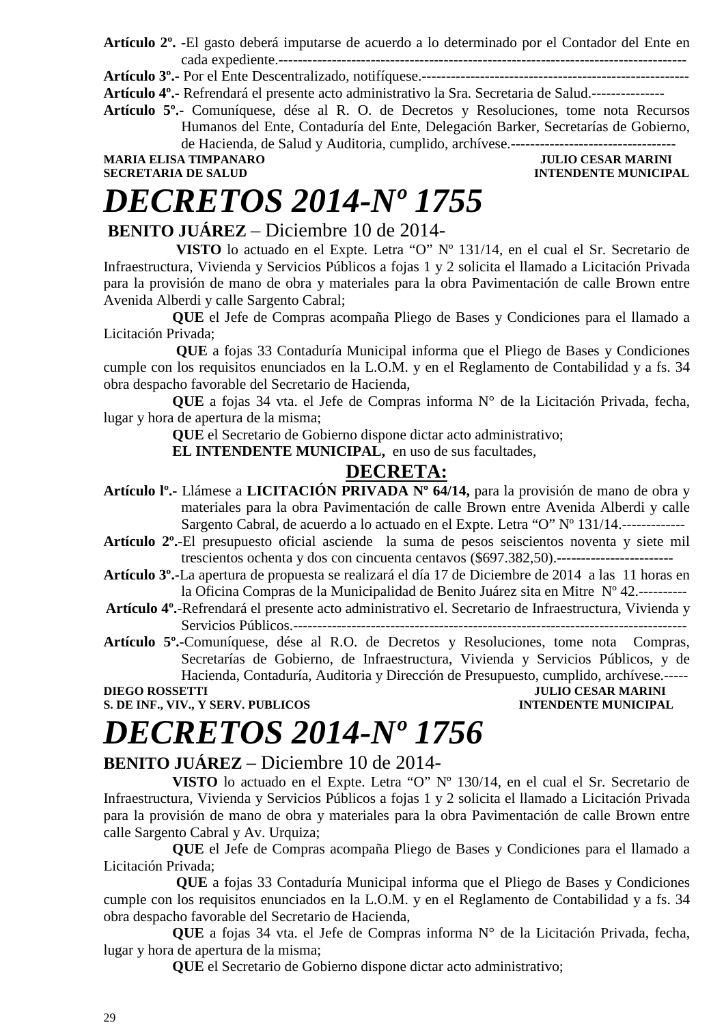**Artículo 2º. -**El gasto deberá imputarse de acuerdo a lo determinado por el Contador del Ente en cada expediente.------------------------------------------------------------------------------------

**Artículo 3º.-** Por el Ente Descentralizado, notifíquese.-------------------------------------------------------

**Artículo 4º.-** Refrendará el presente acto administrativo la Sra. Secretaria de Salud.---------------

**Artículo 5º.-** Comuníquese, dése al R. O. de Decretos y Resoluciones, tome nota Recursos Humanos del Ente, Contaduría del Ente, Delegación Barker, Secretarías de Gobierno,

de Hacienda, de Salud y Auditoria, cumplido, archívese.---------------------------------- **MARIA ELISA TIMPANARO JULIO CESAR MARINI SECRETARIA DE SALUD INTENDENTE MUNICIPAL** 

## *DECRETOS 2014-Nº 1755*

#### **BENITO JUÁREZ** – Diciembre 10 de 2014-

 **VISTO** lo actuado en el Expte. Letra "O" Nº 131/14, en el cual el Sr. Secretario de Infraestructura, Vivienda y Servicios Públicos a fojas 1 y 2 solicita el llamado a Licitación Privada para la provisión de mano de obra y materiales para la obra Pavimentación de calle Brown entre Avenida Alberdi y calle Sargento Cabral;

**QUE** el Jefe de Compras acompaña Pliego de Bases y Condiciones para el llamado a Licitación Privada;

 **QUE** a fojas 33 Contaduría Municipal informa que el Pliego de Bases y Condiciones cumple con los requisitos enunciados en la L.O.M. y en el Reglamento de Contabilidad y a fs. 34 obra despacho favorable del Secretario de Hacienda,

**QUE** a fojas 34 vta. el Jefe de Compras informa N° de la Licitación Privada, fecha, lugar y hora de apertura de la misma;

**QUE** el Secretario de Gobierno dispone dictar acto administrativo;

**EL INTENDENTE MUNICIPAL,** en uso de sus facultades,

#### **DECRETA:**

- **Artículo lº.-** Llámese a **LICITACIÓN PRIVADA Nº 64/14,** para la provisión de mano de obra y materiales para la obra Pavimentación de calle Brown entre Avenida Alberdi y calle Sargento Cabral, de acuerdo a lo actuado en el Expte. Letra "O" Nº 131/14.-------------
- **Artículo 2º.**-El presupuesto oficial asciende la suma de pesos seiscientos noventa y siete mil trescientos ochenta y dos con cincuenta centavos (\$697.382,50).------------------------
- **Artículo 3º.**-La apertura de propuesta se realizará el día 17 de Diciembre de 2014 a las 11 horas en la Oficina Compras de la Municipalidad de Benito Juárez sita en Mitre Nº 42.----------
- **Artículo 4º.**-Refrendará el presente acto administrativo el. Secretario de Infraestructura, Vivienda y Servicios Públicos.---------------------------------------------------------------------------------
- **Artículo 5º.**-Comuníquese, dése al R.O. de Decretos y Resoluciones, tome nota Compras, Secretarías de Gobierno, de Infraestructura, Vivienda y Servicios Públicos, y de Hacienda, Contaduría, Auditoria y Dirección de Presupuesto, cumplido, archívese.-----

**S. DE INF., VIV., Y SERV. PUBLICOS INTENDENTE MUNICIPAL** 

**DIEGO ROSSETTI JULIO CESAR MARINI** 

# *DECRETOS 2014-Nº 1756*

#### **BENITO JUÁREZ** – Diciembre 10 de 2014-

**VISTO** lo actuado en el Expte. Letra "O" Nº 130/14, en el cual el Sr. Secretario de Infraestructura, Vivienda y Servicios Públicos a fojas 1 y 2 solicita el llamado a Licitación Privada para la provisión de mano de obra y materiales para la obra Pavimentación de calle Brown entre calle Sargento Cabral y Av. Urquiza;

**QUE** el Jefe de Compras acompaña Pliego de Bases y Condiciones para el llamado a Licitación Privada;

 **QUE** a fojas 33 Contaduría Municipal informa que el Pliego de Bases y Condiciones cumple con los requisitos enunciados en la L.O.M. y en el Reglamento de Contabilidad y a fs. 34 obra despacho favorable del Secretario de Hacienda,

**QUE** a fojas 34 vta. el Jefe de Compras informa N° de la Licitación Privada, fecha, lugar y hora de apertura de la misma;

**QUE** el Secretario de Gobierno dispone dictar acto administrativo;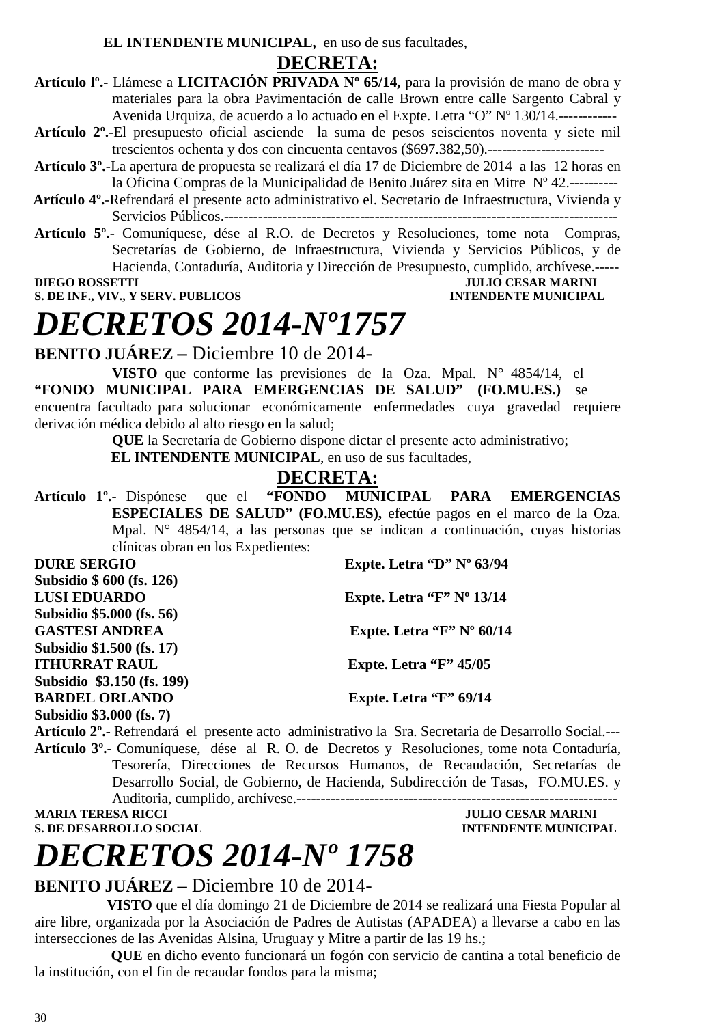**EL INTENDENTE MUNICIPAL,** en uso de sus facultades,

#### **DECRETA:**

**Artículo lº.-** Llámese a **LICITACIÓN PRIVADA Nº 65/14,** para la provisión de mano de obra y materiales para la obra Pavimentación de calle Brown entre calle Sargento Cabral y Avenida Urquiza, de acuerdo a lo actuado en el Expte. Letra "O" Nº 130/14.------------

- **Artículo 2º.**-El presupuesto oficial asciende la suma de pesos seiscientos noventa y siete mil trescientos ochenta y dos con cincuenta centavos (\$697.382,50).------------------------
- **Artículo 3º.**-La apertura de propuesta se realizará el día 17 de Diciembre de 2014 a las 12 horas en la Oficina Compras de la Municipalidad de Benito Juárez sita en Mitre Nº 42.----------
- **Artículo 4º.**-Refrendará el presente acto administrativo el. Secretario de Infraestructura, Vivienda y Servicios Públicos.---------------------------------------------------------------------------------
- **Artículo 5º.** Comuníquese, dése al R.O. de Decretos y Resoluciones, tome nota Compras, Secretarías de Gobierno, de Infraestructura, Vivienda y Servicios Públicos, y de Hacienda, Contaduría, Auditoria y Dirección de Presupuesto, cumplido, archívese.-----

#### **JULIO CESAR MARINI S. DE INF., VIV., Y SERV. PUBLICOS INTENDENTE MUNICIPAL**

### *DECRETOS 2014-Nº1757*

**BENITO JUÁREZ –** Diciembre 10 de 2014-

**VISTO** que conforme las previsiones de la Oza. Mpal. N° 4854/14, el **"FONDO MUNICIPAL PARA EMERGENCIAS DE SALUD" (FO.MU.ES.)** se encuentra facultado para solucionar económicamente enfermedades cuya gravedad requiere derivación médica debido al alto riesgo en la salud;

**QUE** la Secretaría de Gobierno dispone dictar el presente acto administrativo;

**EL INTENDENTE MUNICIPAL**, en uso de sus facultades,

**DECRETA:**<br>"FONDO MUNICIPAL **Artículo 1º.-** Dispónese que el **"FONDO MUNICIPAL PARA EMERGENCIAS ESPECIALES DE SALUD" (FO.MU.ES),** efectúe pagos en el marco de la Oza. Mpal. N° 4854/14, a las personas que se indican a continuación, cuyas historias clínicas obran en los Expedientes:

| <b>DURE SERGIO</b>         | Expte. Letra "D" $N^{\circ}$ 63/94 |
|----------------------------|------------------------------------|
| Subsidio \$ 600 (fs. 126)  |                                    |
| <b>LUSI EDUARDO</b>        | Expte. Letra " $F$ " N° 13/14      |
| Subsidio \$5.000 (fs. 56)  |                                    |
| <b>GASTESI ANDREA</b>      | Expte. Letra " $F$ " N° 60/14      |
| Subsidio \$1.500 (fs. 17)  |                                    |
| <b>ITHURRAT RAUL</b>       | Expte. Letra " $F$ " 45/05         |
| Subsidio \$3.150 (fs. 199) |                                    |
| <b>BARDEL ORLANDO</b>      | Expte. Letra " $F$ " 69/14         |
| Subsidio \$3.000 (fs. 7)   |                                    |
|                            |                                    |

**Artículo 2º.-** Refrendará el presente acto administrativo la Sra. Secretaria de Desarrollo Social.--- **Artículo 3º.-** Comuníquese, dése al R. O. de Decretos y Resoluciones, tome nota Contaduría, Tesorería, Direcciones de Recursos Humanos, de Recaudación, Secretarías de Desarrollo Social, de Gobierno, de Hacienda, Subdirección de Tasas, FO.MU.ES. y Auditoria, cumplido, archívese.------------------------------------------------------------------

**MARIA TERESA RICCI DE LOS ENFORMADOS DE LOS ENFORMADOS DE LOS ENFORMADOS DE LOS ENFORMADOS DE LOS ENFORMADOS DE LOS ENFORMADOS DE LOS ENFORMADOS DE LOS ENFORMADOS DE LOS ENFORMADOS DE LOS ENFORMADOS DE LOS ENFORMADOS DE L S. DE DESARROLLO SOCIAL DESPESSION DE L'ALGEBRE DE L'ALGEBRE DE L'ALGEBRE DE L'ALGEBRE DE L'ALGEBRE DE L'ALGEBRE DE L'ALGEBRE DE L'ALGEBRE DE L'ALGEBRE DE L'ALGEBRE DE L'ALGEBRE DE L'ALGEBRE DE L'ALGEBRE DE L'ALGEBRE DE L** 

## *DECRETOS 2014-Nº 1758*

#### **BENITO JUÁREZ** – Diciembre 10 de 2014-

 **VISTO** que el día domingo 21 de Diciembre de 2014 se realizará una Fiesta Popular al aire libre, organizada por la Asociación de Padres de Autistas (APADEA) a llevarse a cabo en las intersecciones de las Avenidas Alsina, Uruguay y Mitre a partir de las 19 hs.;

 **QUE** en dicho evento funcionará un fogón con servicio de cantina a total beneficio de la institución, con el fin de recaudar fondos para la misma;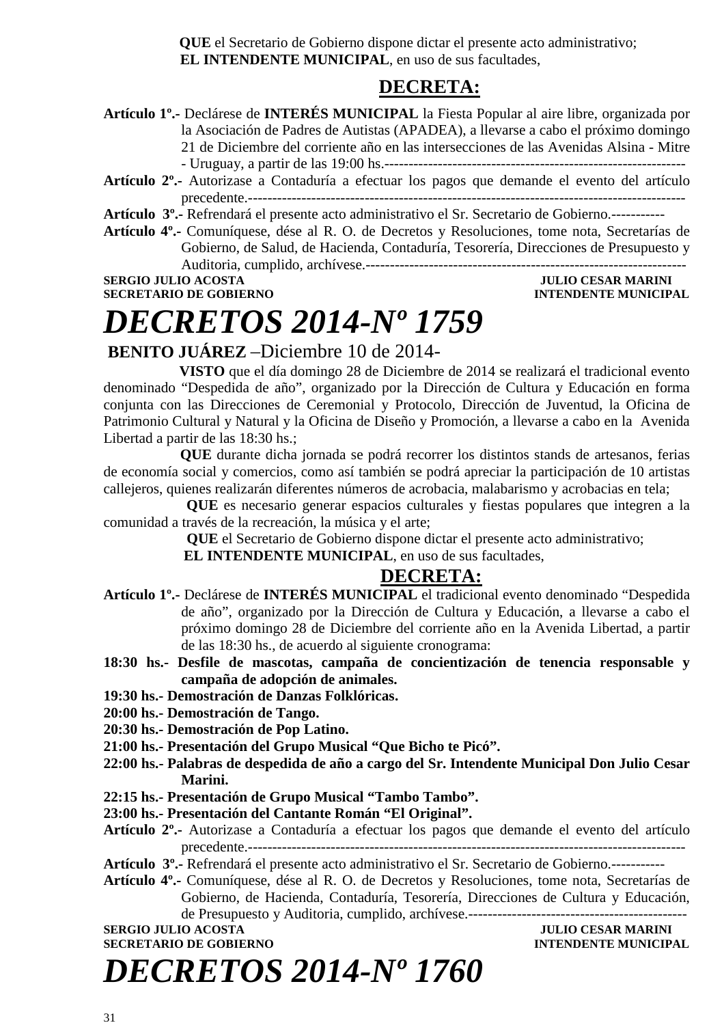**QUE** el Secretario de Gobierno dispone dictar el presente acto administrativo;  **EL INTENDENTE MUNICIPAL**, en uso de sus facultades,

#### **DECRETA:**

**Artículo 1º.-** Declárese de **INTERÉS MUNICIPAL** la Fiesta Popular al aire libre, organizada por la Asociación de Padres de Autistas (APADEA), a llevarse a cabo el próximo domingo 21 de Diciembre del corriente año en las intersecciones de las Avenidas Alsina - Mitre - Uruguay, a partir de las 19:00 hs.-------------------------------------------------------------- **Artículo 2º.-** Autorizase a Contaduría a efectuar los pagos que demande el evento del artículo

precedente.------------------------------------------------------------------------------------------ **Artículo 3º.-** Refrendará el presente acto administrativo el Sr. Secretario de Gobierno.-----------

**Artículo 4º.-** Comuníquese, dése al R. O. de Decretos y Resoluciones, tome nota, Secretarías de Gobierno, de Salud, de Hacienda, Contaduría, Tesorería, Direcciones de Presupuesto y Auditoria, cumplido, archívese.------------------------------------------------------------------

**SERGIO JULIO ACOSTA DE CONVERTE DE L'ALCADE DE CONVERTE DE L'ALCADE DE L'ALCADE DE CONVERTE DE L'ALCADE DE CO<br>DE CONVERTE DE L'ALCADE DE CONVERTE DE L'ALCADE DE L'ALCADE DE L'ALCADE DE L'ALCADE DE L'ALCADE DE L'ALCADE DE** 

### **INTENDENTE MUNICIPAL**

### *DECRETOS 2014-Nº 1759*

 **BENITO JUÁREZ** –Diciembre 10 de 2014-

 **VISTO** que el día domingo 28 de Diciembre de 2014 se realizará el tradicional evento denominado "Despedida de año", organizado por la Dirección de Cultura y Educación en forma conjunta con las Direcciones de Ceremonial y Protocolo, Dirección de Juventud, la Oficina de Patrimonio Cultural y Natural y la Oficina de Diseño y Promoción, a llevarse a cabo en la Avenida Libertad a partir de las 18:30 hs.;

 **QUE** durante dicha jornada se podrá recorrer los distintos stands de artesanos, ferias de economía social y comercios, como así también se podrá apreciar la participación de 10 artistas callejeros, quienes realizarán diferentes números de acrobacia, malabarismo y acrobacias en tela;

**QUE** es necesario generar espacios culturales y fiestas populares que integren a la comunidad a través de la recreación, la música y el arte;

**QUE** el Secretario de Gobierno dispone dictar el presente acto administrativo;

 **EL INTENDENTE MUNICIPAL**, en uso de sus facultades,

#### **DECRETA:**

**Artículo 1º.-** Declárese de **INTERÉS MUNICIPAL** el tradicional evento denominado "Despedida de año", organizado por la Dirección de Cultura y Educación, a llevarse a cabo el próximo domingo 28 de Diciembre del corriente año en la Avenida Libertad, a partir de las 18:30 hs., de acuerdo al siguiente cronograma:

**18:30 hs.- Desfile de mascotas, campaña de concientización de tenencia responsable y campaña de adopción de animales.** 

- **19:30 hs.- Demostración de Danzas Folklóricas.**
- **20:00 hs.- Demostración de Tango.**
- **20:30 hs.- Demostración de Pop Latino.**
- **21:00 hs.- Presentación del Grupo Musical "Que Bicho te Picó".**
- **22:00 hs.- Palabras de despedida de año a cargo del Sr. Intendente Municipal Don Julio Cesar Marini.**
- **22:15 hs.- Presentación de Grupo Musical "Tambo Tambo".**
- **23:00 hs.- Presentación del Cantante Román "El Original".**
- **Artículo 2º.-** Autorizase a Contaduría a efectuar los pagos que demande el evento del artículo precedente.------------------------------------------------------------------------------------------

**Artículo 3º.-** Refrendará el presente acto administrativo el Sr. Secretario de Gobierno.-----------

**Artículo 4º.-** Comuníquese, dése al R. O. de Decretos y Resoluciones, tome nota, Secretarías de Gobierno, de Hacienda, Contaduría, Tesorería, Direcciones de Cultura y Educación, de Presupuesto y Auditoria, cumplido, archívese.---------------------------------------------

**SECRETARIO DE GOBIERNO INTENDENTE MUNICIPAL** 

**SERGIO JULIO ACOSTA JULIO CESAR MARINI** 

*DECRETOS 2014-Nº 1760*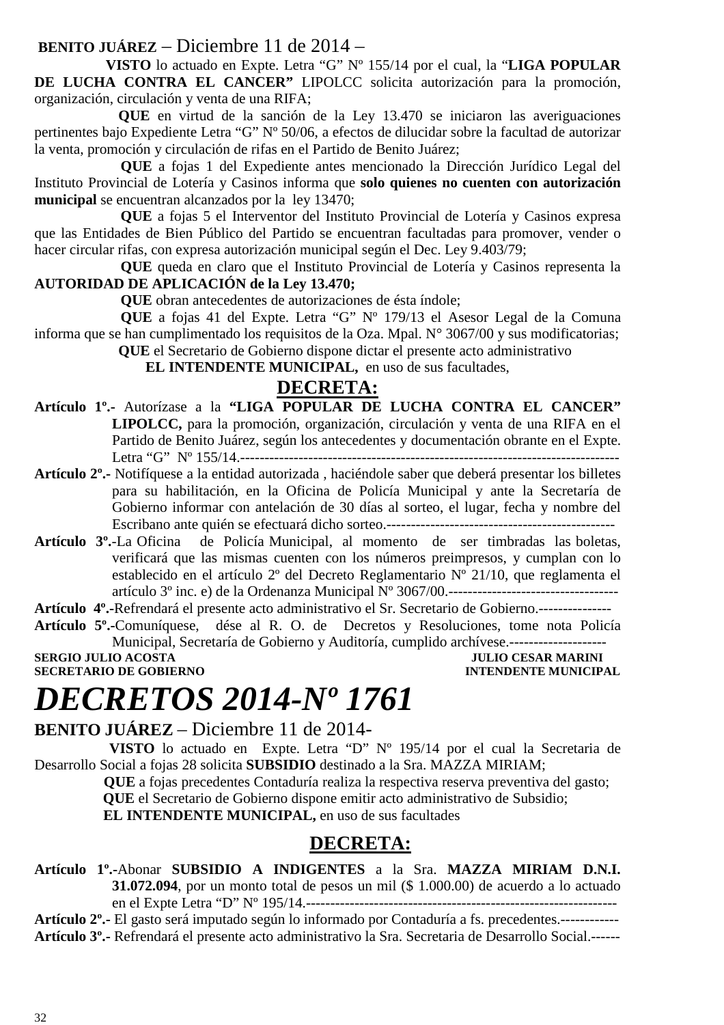#### **BENITO JUÁREZ** – Diciembre 11 de 2014 –

 **VISTO** lo actuado en Expte. Letra "G" Nº 155/14 por el cual, la "**LIGA POPULAR DE LUCHA CONTRA EL CANCER"** LIPOLCC solicita autorización para la promoción, organización, circulación y venta de una RIFA;

 **QUE** en virtud de la sanción de la Ley 13.470 se iniciaron las averiguaciones pertinentes bajo Expediente Letra "G" Nº 50/06, a efectos de dilucidar sobre la facultad de autorizar la venta, promoción y circulación de rifas en el Partido de Benito Juárez;

**QUE** a fojas 1 del Expediente antes mencionado la Dirección Jurídico Legal del Instituto Provincial de Lotería y Casinos informa que **solo quienes no cuenten con autorización municipal** se encuentran alcanzados por la ley 13470;

**QUE** a fojas 5 el Interventor del Instituto Provincial de Lotería y Casinos expresa que las Entidades de Bien Público del Partido se encuentran facultadas para promover, vender o hacer circular rifas, con expresa autorización municipal según el Dec. Ley 9.403/79;

**QUE** queda en claro que el Instituto Provincial de Lotería y Casinos representa la **AUTORIDAD DE APLICACIÓN de la Ley 13.470;** 

**QUE** obran antecedentes de autorizaciones de ésta índole;

**QUE** a fojas 41 del Expte. Letra "G" Nº 179/13 el Asesor Legal de la Comuna informa que se han cumplimentado los requisitos de la Oza. Mpal. N° 3067/00 y sus modificatorias;

 **QUE** el Secretario de Gobierno dispone dictar el presente acto administrativo

**EL INTENDENTE MUNICIPAL,** en uso de sus facultades,

#### **DECRETA:**

- **Artículo 1º.-** Autorízase a la **"LIGA POPULAR DE LUCHA CONTRA EL CANCER" LIPOLCC,** para la promoción, organización, circulación y venta de una RIFA en el Partido de Benito Juárez, según los antecedentes y documentación obrante en el Expte. Letra "G" Nº 155/14.------------------------------------------------------------------------------
- **Artículo 2º.-** Notifíquese a la entidad autorizada , haciéndole saber que deberá presentar los billetes para su habilitación, en la Oficina de Policía Municipal y ante la Secretaría de Gobierno informar con antelación de 30 días al sorteo, el lugar, fecha y nombre del Escribano ante quién se efectuará dicho sorteo.-----------------------------------------------
- **Artículo 3º.**-La Oficina de Policía Municipal, al momento de ser timbradas las boletas, verificará que las mismas cuenten con los números preimpresos, y cumplan con lo establecido en el artículo 2º del Decreto Reglamentario Nº 21/10, que reglamenta el artículo 3º inc. e) de la Ordenanza Municipal Nº 3067/00.-----------------------------------

**Artículo 4º.-**Refrendará el presente acto administrativo el Sr. Secretario de Gobierno.---------------

**Artículo 5º.-**Comuníquese, dése al R. O. de Decretos y Resoluciones, tome nota Policía Municipal, Secretaría de Gobierno y Auditoría, cumplido archívese.--------------------

**SERGIO JULIO ACOSTA** JULIO CESAR MARINI **SECRETARIO DE GOBIERNO INTENDENTE MUNICIPAL** 

# *DECRETOS 2014-Nº 1761*

**BENITO JUÁREZ** – Diciembre 11 de 2014-

 **VISTO** lo actuado en Expte. Letra "D" Nº 195/14 por el cual la Secretaria de Desarrollo Social a fojas 28 solicita **SUBSIDIO** destinado a la Sra. MAZZA MIRIAM;

 **QUE** a fojas precedentes Contaduría realiza la respectiva reserva preventiva del gasto;

 **QUE** el Secretario de Gobierno dispone emitir acto administrativo de Subsidio;

**EL INTENDENTE MUNICIPAL,** en uso de sus facultades

#### **DECRETA:**

**Artículo 1º.-**Abonar **SUBSIDIO A INDIGENTES** a la Sra. **MAZZA MIRIAM D.N.I. 31.072.094**, por un monto total de pesos un mil (\$ 1.000.00) de acuerdo a lo actuado en el Expte Letra "D" Nº 195/14.----------------------------------------------------------------

**Artículo 2º.-** El gasto será imputado según lo informado por Contaduría a fs. precedentes.------------ **Artículo 3º.-** Refrendará el presente acto administrativo la Sra. Secretaria de Desarrollo Social.------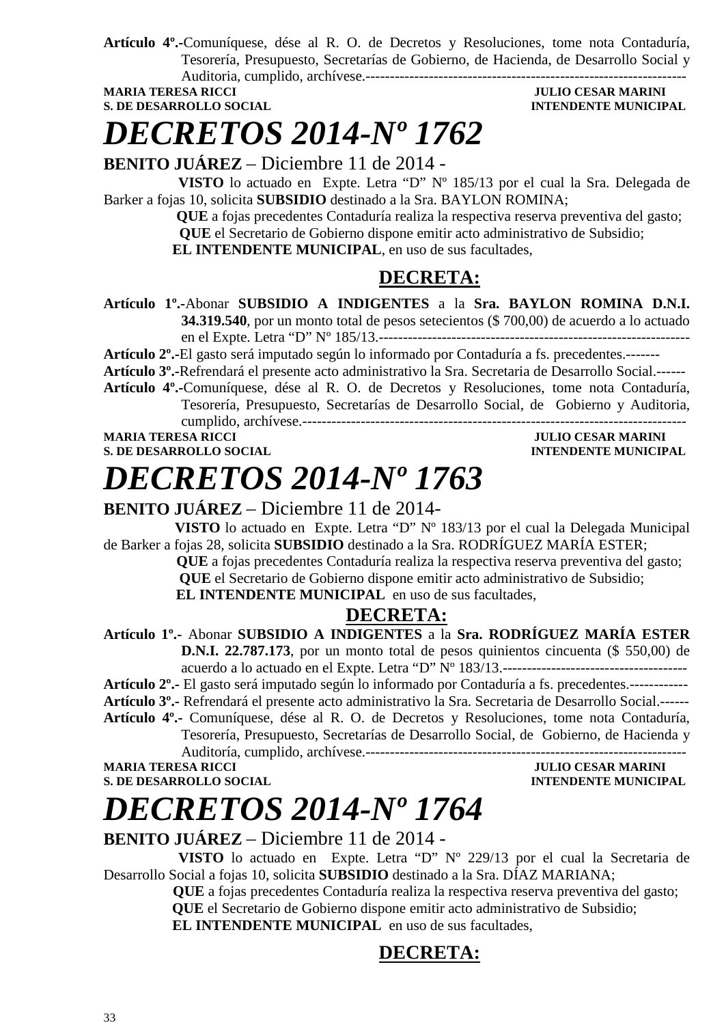**Artículo 4º.-**Comuníquese, dése al R. O. de Decretos y Resoluciones, tome nota Contaduría, Tesorería, Presupuesto, Secretarías de Gobierno, de Hacienda, de Desarrollo Social y Auditoria, cumplido, archívese.------------------------------------------------------------------

**S. DE DESARROLLO SOCIAL** *INTENDENTE MUNICIPAL* 

### **JULIO CESAR MARINI**

*DECRETOS 2014-Nº 1762*

**BENITO JUÁREZ** – Diciembre 11 de 2014 -

 **VISTO** lo actuado en Expte. Letra "D" Nº 185/13 por el cual la Sra. Delegada de Barker a fojas 10, solicita **SUBSIDIO** destinado a la Sra. BAYLON ROMINA;

 **QUE** a fojas precedentes Contaduría realiza la respectiva reserva preventiva del gasto;  **QUE** el Secretario de Gobierno dispone emitir acto administrativo de Subsidio; **EL INTENDENTE MUNICIPAL**, en uso de sus facultades,

#### **DECRETA:**

**Artículo 1º.-**Abonar **SUBSIDIO A INDIGENTES** a la **Sra. BAYLON ROMINA D.N.I. 34.319.540**, por un monto total de pesos setecientos (\$ 700,00) de acuerdo a lo actuado en el Expte. Letra "D" Nº 185/13.----------------------------------------------------------------

**Artículo 2º.-**El gasto será imputado según lo informado por Contaduría a fs. precedentes.-------

**Artículo 3º.-**Refrendará el presente acto administrativo la Sra. Secretaria de Desarrollo Social.------

**Artículo 4º.-**Comuníquese, dése al R. O. de Decretos y Resoluciones, tome nota Contaduría, Tesorería, Presupuesto, Secretarías de Desarrollo Social, de Gobierno y Auditoria,

cumplido, archívese.------------------------------------------------------------------------------- **MARIA TERESA RICCI DELL'UNIVERSITATIVI DELL'UNIVERSITATIVI DELL'UNIVERSITATIVI DELL'UNIVERSITATIVI DELL'UNIVERSITATIVI DELL'UNIVERSITATIVI DELL'UNIVERSITATIVI DELL'UNIVERSITATIVI DELL'UNIVERSITATIVI DELL'UNIVERSITATIVI DE** 

**S. DE DESARROLLO SOCIAL DESARROLLO SOCIAL DESARROLLO SOCIAL DESARROLLO SOCIAL DESARROLLO SOCIAL DE LA PERIODE DE LA PERIODE DE LA PERIODE DE LA PERIODE DE LA PERIODE DE LA PERIODE DE LA PERIODE DE LA PERIODE DE LA PERIODE** 

# *DECRETOS 2014-Nº 1763*

#### **BENITO JUÁREZ** – Diciembre 11 de 2014-

 **VISTO** lo actuado en Expte. Letra "D" Nº 183/13 por el cual la Delegada Municipal de Barker a fojas 28, solicita **SUBSIDIO** destinado a la Sra. RODRÍGUEZ MARÍA ESTER;

 **QUE** a fojas precedentes Contaduría realiza la respectiva reserva preventiva del gasto;  **QUE** el Secretario de Gobierno dispone emitir acto administrativo de Subsidio;

**EL INTENDENTE MUNICIPAL** en uso de sus facultades,

### **DECRETA:**

**Artículo 1º.-** Abonar **SUBSIDIO A INDIGENTES** a la **Sra. RODRÍGUEZ MARÍA ESTER D.N.I. 22.787.173**, por un monto total de pesos quinientos cincuenta (\$ 550,00) de acuerdo a lo actuado en el Expte. Letra "D" Nº 183/13.--------------------------------------

**Artículo 2º.-** El gasto será imputado según lo informado por Contaduría a fs. precedentes.------------

**Artículo 3º.-** Refrendará el presente acto administrativo la Sra. Secretaria de Desarrollo Social.------

**Artículo 4º.-** Comuníquese, dése al R. O. de Decretos y Resoluciones, tome nota Contaduría,

Tesorería, Presupuesto, Secretarías de Desarrollo Social, de Gobierno, de Hacienda y

Auditoría, cumplido, archívese.------------------------------------------------------------------ **MARIA TERESA RICCI DEL CONSUMINUE DE L'ULIO CESAR MARINI** 

**S. DE DESARROLLO SOCIAL** *INTENDENTE MUNICIPAL* 

### *DECRETOS 2014-Nº 1764*

**BENITO JUÁREZ** – Diciembre 11 de 2014 -

 **VISTO** lo actuado en Expte. Letra "D" Nº 229/13 por el cual la Secretaria de Desarrollo Social a fojas 10, solicita **SUBSIDIO** destinado a la Sra. DÍAZ MARIANA;

 **QUE** a fojas precedentes Contaduría realiza la respectiva reserva preventiva del gasto;  **QUE** el Secretario de Gobierno dispone emitir acto administrativo de Subsidio; **EL INTENDENTE MUNICIPAL** en uso de sus facultades,

### **DECRETA:**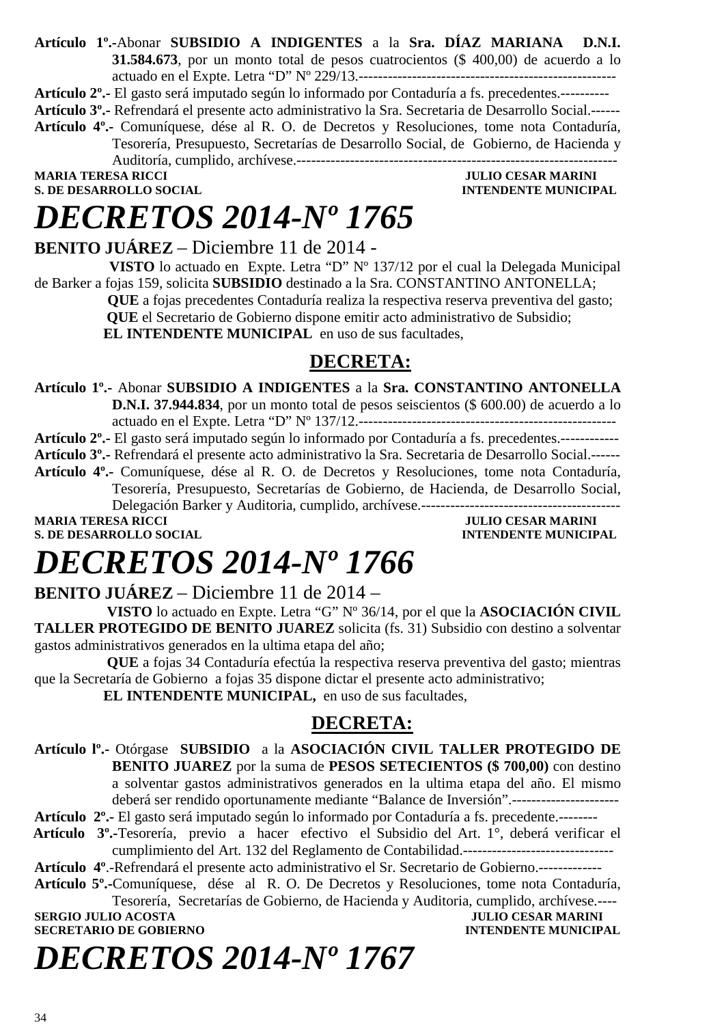**Artículo 1º.-**Abonar **SUBSIDIO A INDIGENTES** a la **Sra. DÍAZ MARIANA D.N.I. 31.584.673**, por un monto total de pesos cuatrocientos (\$ 400,00) de acuerdo a lo actuado en el Expte. Letra "D" Nº 229/13.-----------------------------------------------------

**Artículo 2º.-** El gasto será imputado según lo informado por Contaduría a fs. precedentes.----------

**Artículo 3º.-** Refrendará el presente acto administrativo la Sra. Secretaria de Desarrollo Social.------ **Artículo 4º.-** Comuníquese, dése al R. O. de Decretos y Resoluciones, tome nota Contaduría, Tesorería, Presupuesto, Secretarías de Desarrollo Social, de Gobierno, de Hacienda y Auditoría, cumplido, archívese.------------------------------------------------------------------

**MARIA TERESA RICCI DE EN ENCOLO SOCIAL DE EN ENFERADA DE EN ENFERADA DE EN ENFERADA DE EN ENFERADA DE EN ENFERADA DE EN ENFERADA DE EN ENFERADA DE EN ENFERADA DE ENFERADA DE ENFERADA DE ENFERADA DE ENFERADA DE ENFERADA DE INTENDENTE MUNICIPAL** 

### *DECRETOS 2014-Nº 1765*

**BENITO JUÁREZ** – Diciembre 11 de 2014 -

 **VISTO** lo actuado en Expte. Letra "D" Nº 137/12 por el cual la Delegada Municipal de Barker a fojas 159, solicita **SUBSIDIO** destinado a la Sra. CONSTANTINO ANTONELLA;

 **QUE** a fojas precedentes Contaduría realiza la respectiva reserva preventiva del gasto;

 **QUE** el Secretario de Gobierno dispone emitir acto administrativo de Subsidio;

**EL INTENDENTE MUNICIPAL** en uso de sus facultades,

### **DECRETA:**

**Artículo 1º.-** Abonar **SUBSIDIO A INDIGENTES** a la **Sra. CONSTANTINO ANTONELLA D.N.I. 37.944.834**, por un monto total de pesos seiscientos (\$ 600.00) de acuerdo a lo

actuado en el Expte. Letra "D" Nº 137/12.----------------------------------------------------- **Artículo 2º.-** El gasto será imputado según lo informado por Contaduría a fs. precedentes.------------

**Artículo 3º.-** Refrendará el presente acto administrativo la Sra. Secretaria de Desarrollo Social.------

**Artículo 4º.-** Comuníquese, dése al R. O. de Decretos y Resoluciones, tome nota Contaduría, Tesorería, Presupuesto, Secretarías de Gobierno, de Hacienda, de Desarrollo Social, Delegación Barker y Auditoria, cumplido, archívese.-----------------------------------------

**MARIA TERESA RICCI JULIO CESAR MARINI S. DE DESARROLLO SOCIAL DESPESSION INTENDENTE MUNICIPAL** 

## *DECRETOS 2014-Nº 1766*

**BENITO JUÁREZ** – Diciembre 11 de 2014 –

 **VISTO** lo actuado en Expte. Letra "G" Nº 36/14, por el que la **ASOCIACIÓN CIVIL TALLER PROTEGIDO DE BENITO JUAREZ** solicita (fs. 31) Subsidio con destino a solventar gastos administrativos generados en la ultima etapa del año;

 **QUE** a fojas 34 Contaduría efectúa la respectiva reserva preventiva del gasto; mientras que la Secretaría de Gobierno a fojas 35 dispone dictar el presente acto administrativo;

**EL INTENDENTE MUNICIPAL,** en uso de sus facultades,

### **DECRETA:**

**Artículo lº.-** Otórgase **SUBSIDIO** a la **ASOCIACIÓN CIVIL TALLER PROTEGIDO DE BENITO JUAREZ** por la suma de **PESOS SETECIENTOS (\$ 700,00)** con destino a solventar gastos administrativos generados en la ultima etapa del año. El mismo deberá ser rendido oportunamente mediante "Balance de Inversión".----------------------

**Artículo 2º.-** El gasto será imputado según lo informado por Contaduría a fs. precedente.--------

 **Artículo 3º.-**Tesorería, previo a hacer efectivo el Subsidio del Art. 1°, deberá verificar el cumplimiento del Art. 132 del Reglamento de Contabilidad.-------------------------------

**Artículo 4º**.-Refrendará el presente acto administrativo el Sr. Secretario de Gobierno.-------------

**Artículo 5º.-**Comuníquese, dése al R. O. De Decretos y Resoluciones, tome nota Contaduría, Tesorería, Secretarías de Gobierno, de Hacienda y Auditoria, cumplido, archívese.----

#### **SERGIO JULIO ACOSTA DE CONFERENCE E EN EL ENTRE DE CONFERENCE EN EL ENTRE DE CONFERENCE EN ENTRE DE CONFERENCE EN ENTRE DE CONFERENCE EN ENTRE DE CONFERENCE EN ENTRE DE CONFERENCE EN ENTRE DE CONFERENCE EN ENTRE DE CONFER SECRETARIO DE GOBIERNO**

*DECRETOS 2014-Nº 1767*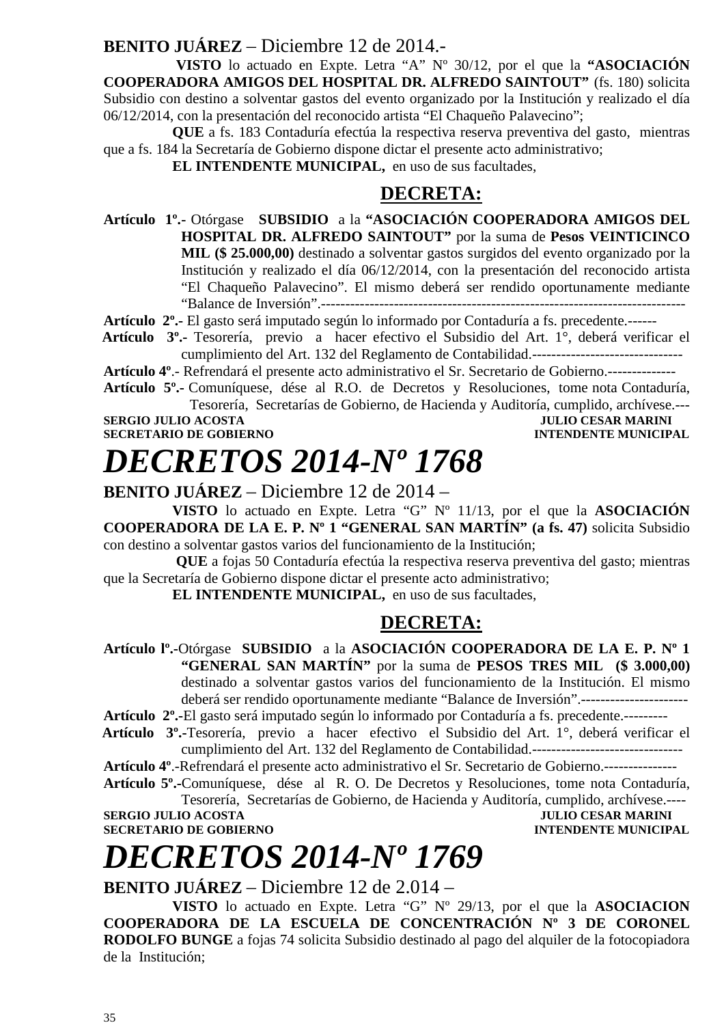#### **BENITO JUÁREZ** – Diciembre 12 de 2014.-

 **VISTO** lo actuado en Expte. Letra "A" Nº 30/12, por el que la **"ASOCIACIÓN COOPERADORA AMIGOS DEL HOSPITAL DR. ALFREDO SAINTOUT"** (fs. 180) solicita Subsidio con destino a solventar gastos del evento organizado por la Institución y realizado el día 06/12/2014, con la presentación del reconocido artista "El Chaqueño Palavecino";

**QUE** a fs. 183 Contaduría efectúa la respectiva reserva preventiva del gasto, mientras que a fs. 184 la Secretaría de Gobierno dispone dictar el presente acto administrativo;

**EL INTENDENTE MUNICIPAL,** en uso de sus facultades,

### **DECRETA:**

**Artículo 1º.-** Otórgase **SUBSIDIO** a la **"ASOCIACIÓN COOPERADORA AMIGOS DEL HOSPITAL DR. ALFREDO SAINTOUT"** por la suma de **Pesos VEINTICINCO MIL (\$ 25.000,00)** destinado a solventar gastos surgidos del evento organizado por la Institución y realizado el día 06/12/2014, con la presentación del reconocido artista "El Chaqueño Palavecino". El mismo deberá ser rendido oportunamente mediante "Balance de Inversión".---------------------------------------------------------------------------

**Artículo 2º.-** El gasto será imputado según lo informado por Contaduría a fs. precedente.------

 **Artículo 3º.-** Tesorería, previo a hacer efectivo el Subsidio del Art. 1°, deberá verificar el cumplimiento del Art. 132 del Reglamento de Contabilidad.-------------------------------

**Artículo 4º**.- Refrendará el presente acto administrativo el Sr. Secretario de Gobierno.--------------

**Artículo 5º.-** Comuníquese, dése al R.O. de Decretos y Resoluciones, tome nota Contaduría, Tesorería, Secretarías de Gobierno, de Hacienda y Auditoría, cumplido, archívese.---

**SERGIO JULIO ACOSTA<br>SECRETARIO DE GOBIERNO** 

**INTENDENTE MUNICIPAL** 

### *DECRETOS 2014-Nº 1768*

**BENITO JUÁREZ** – Diciembre 12 de 2014 –

**VISTO** lo actuado en Expte. Letra "G" Nº 11/13, por el que la **ASOCIACIÓN COOPERADORA DE LA E. P. Nº 1 "GENERAL SAN MARTÍN" (a fs. 47)** solicita Subsidio con destino a solventar gastos varios del funcionamiento de la Institución;

 **QUE** a fojas 50 Contaduría efectúa la respectiva reserva preventiva del gasto; mientras que la Secretaría de Gobierno dispone dictar el presente acto administrativo;

**EL INTENDENTE MUNICIPAL,** en uso de sus facultades,

#### **DECRETA:**

**Artículo lº.-**Otórgase **SUBSIDIO** a la **ASOCIACIÓN COOPERADORA DE LA E. P. Nº 1 "GENERAL SAN MARTÍN"** por la suma de **PESOS TRES MIL (\$ 3.000,00)**  destinado a solventar gastos varios del funcionamiento de la Institución. El mismo deberá ser rendido oportunamente mediante "Balance de Inversión".----------------------

**Artículo 2º.-**El gasto será imputado según lo informado por Contaduría a fs. precedente.---------

 **Artículo 3º.-**Tesorería, previo a hacer efectivo el Subsidio del Art. 1°, deberá verificar el cumplimiento del Art. 132 del Reglamento de Contabilidad.-------------------------------

**Artículo 4º**.-Refrendará el presente acto administrativo el Sr. Secretario de Gobierno.---------------

**Artículo 5º.-**Comuníquese, dése al R. O. De Decretos y Resoluciones, tome nota Contaduría, Tesorería, Secretarías de Gobierno, de Hacienda y Auditoría, cumplido, archívese.----

**SERGIO JULIO ACOSTA JULIO CESAR MARINI SECRETARIO DE GOBIERNO INTENDENTE MUNICIPAL** 

# *DECRETOS 2014-Nº 1769*

**BENITO JUÁREZ** – Diciembre 12 de 2.014 –

**VISTO** lo actuado en Expte. Letra "G" Nº 29/13, por el que la **ASOCIACION COOPERADORA DE LA ESCUELA DE CONCENTRACIÓN Nº 3 DE CORONEL RODOLFO BUNGE** a fojas 74 solicita Subsidio destinado al pago del alquiler de la fotocopiadora de la Institución;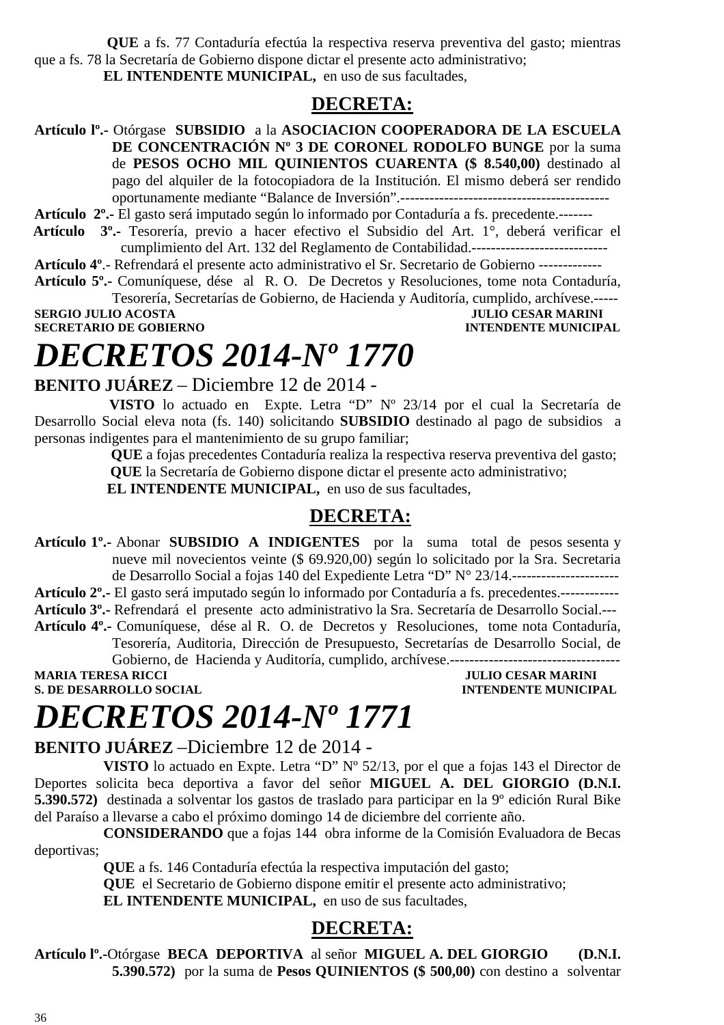**QUE** a fs. 77 Contaduría efectúa la respectiva reserva preventiva del gasto; mientras que a fs. 78 la Secretaría de Gobierno dispone dictar el presente acto administrativo; **EL INTENDENTE MUNICIPAL,** en uso de sus facultades,

#### **DECRETA:**

**Artículo lº.-** Otórgase **SUBSIDIO** a la **ASOCIACION COOPERADORA DE LA ESCUELA DE CONCENTRACIÓN Nº 3 DE CORONEL RODOLFO BUNGE** por la suma de **PESOS OCHO MIL QUINIENTOS CUARENTA (\$ 8.540,00)** destinado al pago del alquiler de la fotocopiadora de la Institución. El mismo deberá ser rendido oportunamente mediante "Balance de Inversión".-------------------------------------------

**Artículo 2º.-** El gasto será imputado según lo informado por Contaduría a fs. precedente.-------

 **Artículo 3º.-** Tesorería, previo a hacer efectivo el Subsidio del Art. 1°, deberá verificar el cumplimiento del Art. 132 del Reglamento de Contabilidad.----------------------------

**Artículo 4º**.- Refrendará el presente acto administrativo el Sr. Secretario de Gobierno -------------

**Artículo 5º.-** Comuníquese, dése al R. O. De Decretos y Resoluciones, tome nota Contaduría, Tesorería, Secretarías de Gobierno, de Hacienda y Auditoría, cumplido, archívese.----- **SERGIO JULIO ACOSTA** 

**SECRETARIO DE GOBIERNO INTENDENTE MUNICIPAL** 

### *DECRETOS 2014-Nº 1770*

#### **BENITO JUÁREZ** – Diciembre 12 de 2014 -

 **VISTO** lo actuado en Expte. Letra "D" Nº 23/14 por el cual la Secretaría de Desarrollo Social eleva nota (fs. 140) solicitando **SUBSIDIO** destinado al pago de subsidios a personas indigentes para el mantenimiento de su grupo familiar;

> **QUE** a fojas precedentes Contaduría realiza la respectiva reserva preventiva del gasto;  **QUE** la Secretaría de Gobierno dispone dictar el presente acto administrativo;

 **EL INTENDENTE MUNICIPAL,** en uso de sus facultades,

#### **DECRETA:**

**Artículo 1º.-** Abonar **SUBSIDIO A INDIGENTES** por la suma total de pesos sesenta y nueve mil novecientos veinte (\$ 69.920,00) según lo solicitado por la Sra. Secretaria de Desarrollo Social a fojas 140 del Expediente Letra "D" N° 23/14.----------------------

**Artículo 2º.-** El gasto será imputado según lo informado por Contaduría a fs. precedentes.------------ **Artículo 3º.-** Refrendará el presente acto administrativo la Sra. Secretaría de Desarrollo Social.---

**Artículo 4º.-** Comuníquese, dése al R. O. de Decretos y Resoluciones, tome nota Contaduría, Tesorería, Auditoria, Dirección de Presupuesto, Secretarías de Desarrollo Social, de Gobierno, de Hacienda y Auditoría, cumplido, archívese.-----------------------------------

**MARIA TERESA RICCI JULIO CESAR MARINI S. DE DESARROLLO SOCIAL DESPESSION DE L'ALGERIE DE L'ALGERIE DE L'ALGERIE DE L'ALGERIE DE L'ALGERIE DE L'ALGERIE DE L'ALGERIE DE L'ALGERIE DE L'ALGERIE DE L'ALGERIE DE L'ALGERIE DE L'ALGERIE DE L'ALGERIE DE L'ALGERIE DE L** 

## *DECRETOS 2014-Nº 1771*

#### **BENITO JUÁREZ** –Diciembre 12 de 2014 -

**VISTO** lo actuado en Expte. Letra "D" Nº 52/13, por el que a fojas 143 el Director de Deportes solicita beca deportiva a favor del señor **MIGUEL A. DEL GIORGIO (D.N.I. 5.390.572)** destinada a solventar los gastos de traslado para participar en la 9º edición Rural Bike del Paraíso a llevarse a cabo el próximo domingo 14 de diciembre del corriente año.

**CONSIDERANDO** que a fojas 144 obra informe de la Comisión Evaluadora de Becas deportivas;

**QUE** a fs. 146 Contaduría efectúa la respectiva imputación del gasto;

**QUE** el Secretario de Gobierno dispone emitir el presente acto administrativo;

**EL INTENDENTE MUNICIPAL,** en uso de sus facultades,

#### **DECRETA:**

**Artículo lº.-**Otórgase **BECA DEPORTIVA** al señor **MIGUEL A. DEL GIORGIO (D.N.I. 5.390.572)** por la suma de **Pesos QUINIENTOS (\$ 500,00)** con destino a solventar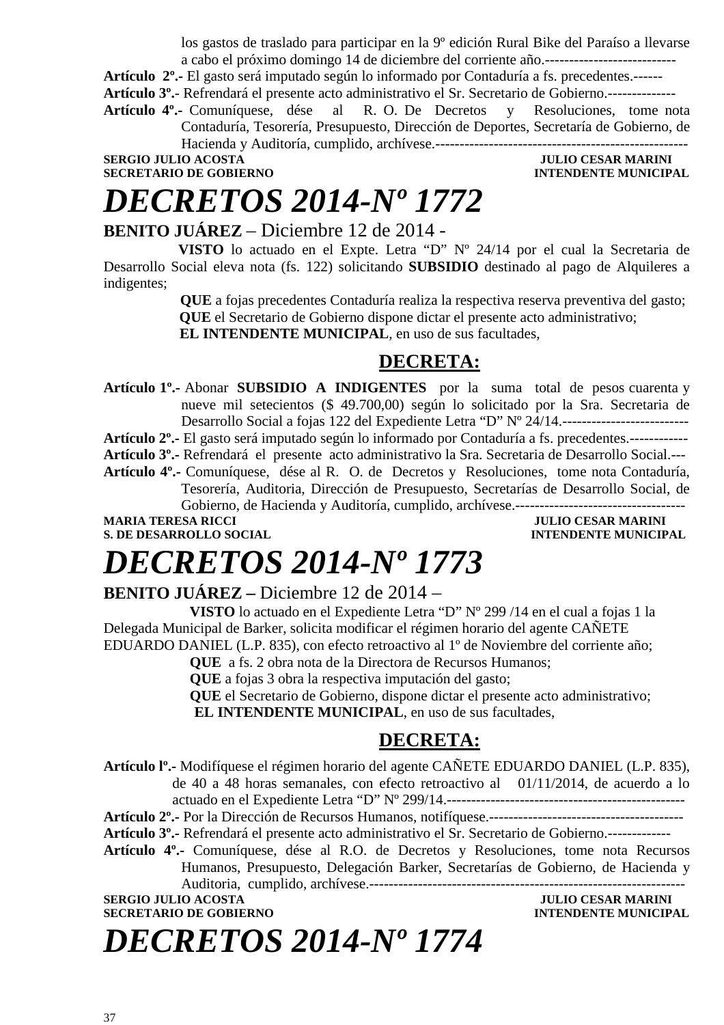los gastos de traslado para participar en la 9º edición Rural Bike del Paraíso a llevarse a cabo el próximo domingo 14 de diciembre del corriente año.---------------------------

**Artículo 2º.-** El gasto será imputado según lo informado por Contaduría a fs. precedentes.------ **Artículo 3º.**- Refrendará el presente acto administrativo el Sr. Secretario de Gobierno.--------------

**Artículo 4º.-** Comuníquese, dése al R. O. De Decretos y Resoluciones, tome nota

Contaduría, Tesorería, Presupuesto, Dirección de Deportes, Secretaría de Gobierno, de

Hacienda y Auditoría, cumplido, archívese.---------------------------------------------------- **SERGIO JULIO ACOSTA JULIO CESAR MARINI** 

**SECRETARIO DE GOBIERNO INTENDENTE MUNICIPAL** 

### *DECRETOS 2014-Nº 1772*

#### **BENITO JUÁREZ** – Diciembre 12 de 2014 -

 **VISTO** lo actuado en el Expte. Letra "D" Nº 24/14 por el cual la Secretaria de Desarrollo Social eleva nota (fs. 122) solicitando **SUBSIDIO** destinado al pago de Alquileres a indigentes;

> **QUE** a fojas precedentes Contaduría realiza la respectiva reserva preventiva del gasto;  **QUE** el Secretario de Gobierno dispone dictar el presente acto administrativo;

 **EL INTENDENTE MUNICIPAL**, en uso de sus facultades,

### **DECRETA:**

**Artículo 1º.-** Abonar **SUBSIDIO A INDIGENTES** por la suma total de pesos cuarenta y nueve mil setecientos (\$ 49.700,00) según lo solicitado por la Sra. Secretaria de Desarrollo Social a fojas 122 del Expediente Letra "D" Nº 24/14.--------------------------

**Artículo 2º.-** El gasto será imputado según lo informado por Contaduría a fs. precedentes.------------

**Artículo 3º.-** Refrendará el presente acto administrativo la Sra. Secretaria de Desarrollo Social.---

**Artículo 4º.-** Comuníquese, dése al R. O. de Decretos y Resoluciones, tome nota Contaduría, Tesorería, Auditoria, Dirección de Presupuesto, Secretarías de Desarrollo Social, de Gobierno, de Hacienda y Auditoría, cumplido, archívese.-----------------------------------

**MARIA TERESA RICCI DE LOS ENFORMADOS DE LOS ENFORMADOS DE LOS ENFORMADOS DE LOS ENFORMADOS DE LOS ENFORMADOS DE LOS ENFORMADOS DE LOS ENFORMADOS DE LOS ENFORMADOS DE LOS ENFORMADOS DE LOS ENFORMADOS DE LOS ENFORMADOS DE L** 

**S. DE DESARROLLO SOCIAL DESPESSION INTENDENTE MUNICIPAL** 

# *DECRETOS 2014-Nº 1773*

**BENITO JUÁREZ –** Diciembre 12 de 2014 –

**VISTO** lo actuado en el Expediente Letra "D" Nº 299 /14 en el cual a fojas 1 la Delegada Municipal de Barker, solicita modificar el régimen horario del agente CAÑETE EDUARDO DANIEL (L.P. 835), con efecto retroactivo al 1º de Noviembre del corriente año;

**QUE** a fs. 2 obra nota de la Directora de Recursos Humanos;

**QUE** a fojas 3 obra la respectiva imputación del gasto;

**QUE** el Secretario de Gobierno, dispone dictar el presente acto administrativo;  **EL INTENDENTE MUNICIPAL**, en uso de sus facultades,

### **DECRETA:**

**Artículo lº.-** Modifíquese el régimen horario del agente CAÑETE EDUARDO DANIEL (L.P. 835), de 40 a 48 horas semanales, con efecto retroactivo al 01/11/2014, de acuerdo a lo actuado en el Expediente Letra "D" Nº 299/14.------------------------------------------------- **Artículo 2º.-** Por la Dirección de Recursos Humanos, notifíquese.---------------------------------------- **Artículo 3º.-** Refrendará el presente acto administrativo el Sr. Secretario de Gobierno.------------- **Artículo 4º.-** Comuníquese, dése al R.O. de Decretos y Resoluciones, tome nota Recursos Humanos, Presupuesto, Delegación Barker, Secretarías de Gobierno, de Hacienda y Auditoria, cumplido, archívese.----------------------------------------------------------------- **SERGIO JULIO ACOSTA JULIO ACOSTA JULIO CESAR MARINI SECRETARIO DE GOBIERNO INTENDENTE MUNICIPAL** 

*DECRETOS 2014-Nº 1774*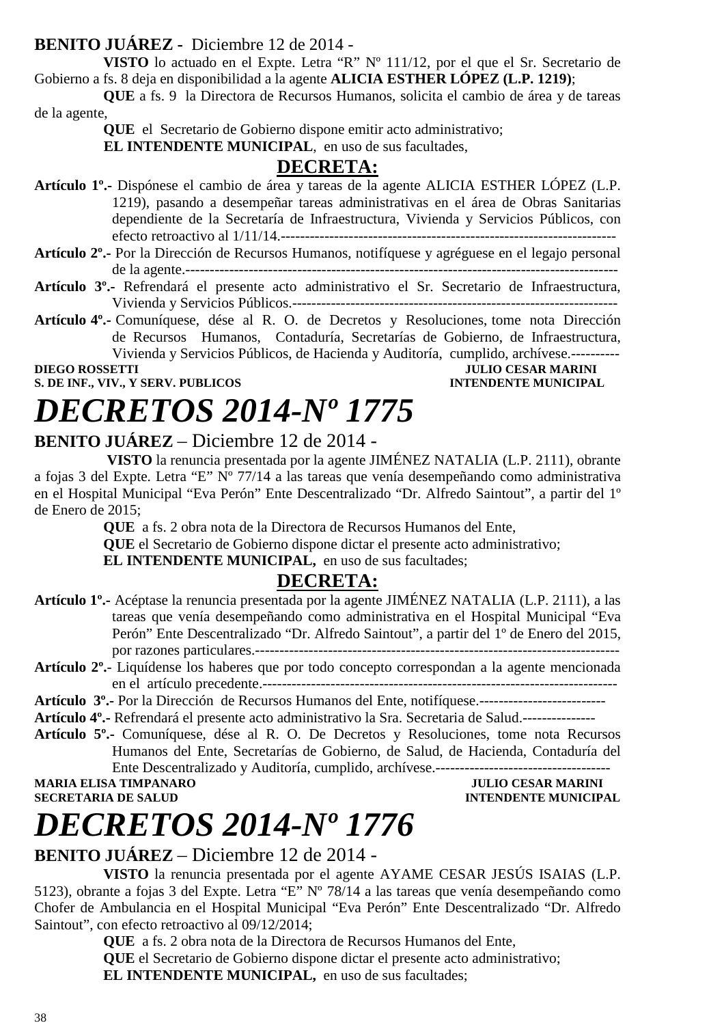### **BENITO JUÁREZ -** Diciembre 12 de 2014 -

**VISTO** lo actuado en el Expte. Letra "R" Nº 111/12, por el que el Sr. Secretario de Gobierno a fs. 8 deja en disponibilidad a la agente **ALICIA ESTHER LÓPEZ (L.P. 1219)**;

**QUE** a fs. 9 la Directora de Recursos Humanos, solicita el cambio de área y de tareas de la agente,

 **QUE** el Secretario de Gobierno dispone emitir acto administrativo;

 **EL INTENDENTE MUNICIPAL**, en uso de sus facultades,

### **DECRETA:**

**Artículo 1º.-** Dispónese el cambio de área y tareas de la agente ALICIA ESTHER LÓPEZ (L.P. 1219), pasando a desempeñar tareas administrativas en el área de Obras Sanitarias dependiente de la Secretaría de Infraestructura, Vivienda y Servicios Públicos, con efecto retroactivo al 1/11/14.---------------------------------------------------------------------

- **Artículo 2º.-** Por la Dirección de Recursos Humanos, notifíquese y agréguese en el legajo personal de la agente.-----------------------------------------------------------------------------------------
- **Artículo 3º.-** Refrendará el presente acto administrativo el Sr. Secretario de Infraestructura, Vivienda y Servicios Públicos.-------------------------------------------------------------------
- **Artículo 4º.-** Comuníquese, dése al R. O. de Decretos y Resoluciones, tome nota Dirección de Recursos Humanos, Contaduría, Secretarías de Gobierno, de Infraestructura, Vivienda y Servicios Públicos, de Hacienda y Auditoría, cumplido, archívese.----------

**DIEGO ROSSETTI** JULIO CESAR MARINI **S. DE INF., VIV., Y SERV. PUBLICOS INTENDENTE MUNICIPAL** 

# *DECRETOS 2014-Nº 1775*

### **BENITO JUÁREZ** – Diciembre 12 de 2014 -

 **VISTO** la renuncia presentada por la agente JIMÉNEZ NATALIA (L.P. 2111), obrante a fojas 3 del Expte. Letra "E" Nº 77/14 a las tareas que venía desempeñando como administrativa en el Hospital Municipal "Eva Perón" Ente Descentralizado "Dr. Alfredo Saintout", a partir del 1º de Enero de 2015;

**QUE** a fs. 2 obra nota de la Directora de Recursos Humanos del Ente,

**QUE** el Secretario de Gobierno dispone dictar el presente acto administrativo;

**EL INTENDENTE MUNICIPAL,** en uso de sus facultades;

### **DECRETA:**

**Artículo 1º.-** Acéptase la renuncia presentada por la agente JIMÉNEZ NATALIA (L.P. 2111), a las tareas que venía desempeñando como administrativa en el Hospital Municipal "Eva Perón" Ente Descentralizado "Dr. Alfredo Saintout", a partir del 1º de Enero del 2015, por razones particulares.---------------------------------------------------------------------------

**Artículo 2º.**- Liquídense los haberes que por todo concepto correspondan a la agente mencionada en el artículo precedente.-------------------------------------------------------------------------

- **Artículo 3º.-** Por la Dirección de Recursos Humanos del Ente, notifíquese.--------------------------
- **Artículo 4º.-** Refrendará el presente acto administrativo la Sra. Secretaria de Salud.---------------
- **Artículo 5º.-** Comuníquese, dése al R. O. De Decretos y Resoluciones, tome nota Recursos Humanos del Ente, Secretarías de Gobierno, de Salud, de Hacienda, Contaduría del Ente Descentralizado y Auditoría, cumplido, archívese.------------------------------------

**MARIA ELISA TIMPANARO SECRETARIA DE SALUD INTENDENTE MUNICIPAL** 

# *DECRETOS 2014-Nº 1776*

### **BENITO JUÁREZ** – Diciembre 12 de 2014 -

**VISTO** la renuncia presentada por el agente AYAME CESAR JESÚS ISAIAS (L.P. 5123), obrante a fojas 3 del Expte. Letra "E" Nº 78/14 a las tareas que venía desempeñando como Chofer de Ambulancia en el Hospital Municipal "Eva Perón" Ente Descentralizado "Dr. Alfredo Saintout", con efecto retroactivo al 09/12/2014;

**QUE** a fs. 2 obra nota de la Directora de Recursos Humanos del Ente,

**QUE** el Secretario de Gobierno dispone dictar el presente acto administrativo;

**EL INTENDENTE MUNICIPAL,** en uso de sus facultades;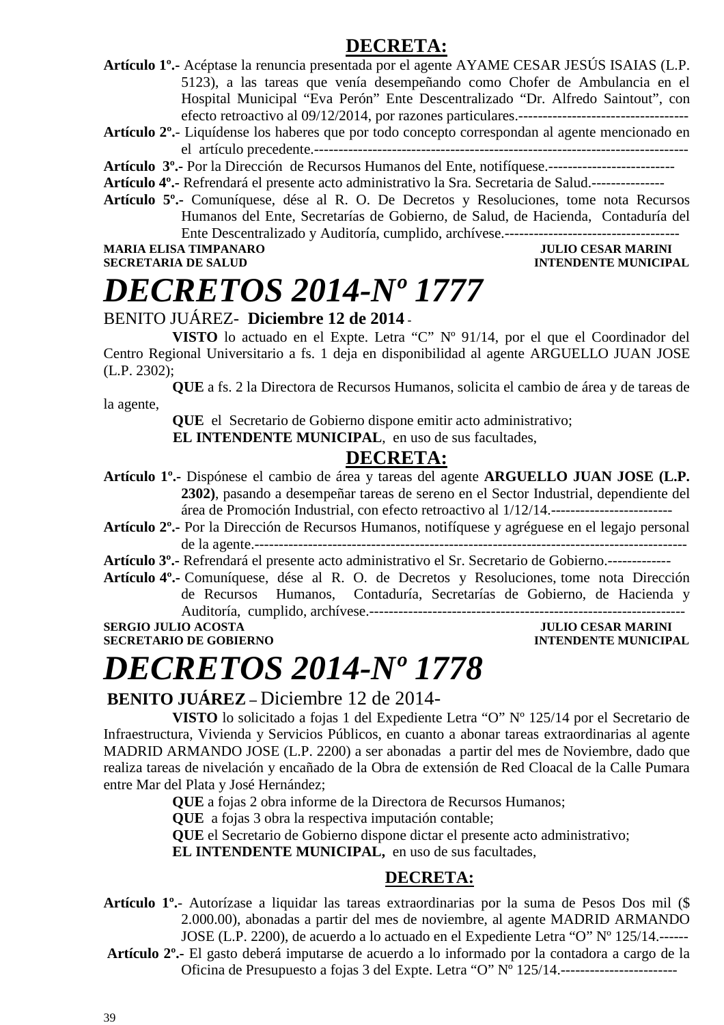### **DECRETA:**

**Artículo 1º.-** Acéptase la renuncia presentada por el agente AYAME CESAR JESÚS ISAIAS (L.P. 5123), a las tareas que venía desempeñando como Chofer de Ambulancia en el Hospital Municipal "Eva Perón" Ente Descentralizado "Dr. Alfredo Saintout", con efecto retroactivo al 09/12/2014, por razones particulares.-----------------------------------

**Artículo 2º.**- Liquídense los haberes que por todo concepto correspondan al agente mencionado en el artículo precedente.-----------------------------------------------------------------------------

- **Artículo 3º.-** Por la Dirección de Recursos Humanos del Ente, notifíquese.--------------------------
- **Artículo 4º.-** Refrendará el presente acto administrativo la Sra. Secretaria de Salud.---------------
- **Artículo 5º.-** Comuníquese, dése al R. O. De Decretos y Resoluciones, tome nota Recursos Humanos del Ente, Secretarías de Gobierno, de Salud, de Hacienda, Contaduría del Ente Descentralizado y Auditoría, cumplido, archívese.------------------------------------

**MARIA ELISA TIMPANARO JULIO CESAR MARINI** 

### **SECRETARIA DE SALUD INTENDENTE MUNICIPAL**

### *DECRETOS 2014-Nº 1777*

### BENITO JUÁREZ- **Diciembre 12 de 2014 -**

 **VISTO** lo actuado en el Expte. Letra "C" Nº 91/14, por el que el Coordinador del Centro Regional Universitario a fs. 1 deja en disponibilidad al agente ARGUELLO JUAN JOSE (L.P. 2302);

**QUE** a fs. 2 la Directora de Recursos Humanos, solicita el cambio de área y de tareas de la agente,

 **QUE** el Secretario de Gobierno dispone emitir acto administrativo;

 **EL INTENDENTE MUNICIPAL**, en uso de sus facultades,

### **DECRETA:**

- **Artículo 1º.-** Dispónese el cambio de área y tareas del agente **ARGUELLO JUAN JOSE (L.P. 2302)**, pasando a desempeñar tareas de sereno en el Sector Industrial, dependiente del área de Promoción Industrial, con efecto retroactivo al 1/12/14.-------------------------
- **Artículo 2º.-** Por la Dirección de Recursos Humanos, notifíquese y agréguese en el legajo personal de la agente.-----------------------------------------------------------------------------------------

**Artículo 3º.-** Refrendará el presente acto administrativo el Sr. Secretario de Gobierno.-------------

**Artículo 4º.-** Comuníquese, dése al R. O. de Decretos y Resoluciones, tome nota Dirección de Recursos Humanos, Contaduría, Secretarías de Gobierno, de Hacienda y Auditoría, cumplido, archívese.-----------------------------------------------------------------

**SERGIO JULIO ACOSTA JULIO ACOSTA JULIO CESAR MARINI** 

### **SECRETARIO DE GOBIERNO INTENDENTE MUNICIPAL**

### *DECRETOS 2014-Nº 1778*

### **BENITO JUÁREZ –** Diciembre 12 de 2014-

**VISTO** lo solicitado a fojas 1 del Expediente Letra "O" Nº 125/14 por el Secretario de Infraestructura, Vivienda y Servicios Públicos, en cuanto a abonar tareas extraordinarias al agente MADRID ARMANDO JOSE (L.P. 2200) a ser abonadas a partir del mes de Noviembre, dado que realiza tareas de nivelación y encañado de la Obra de extensión de Red Cloacal de la Calle Pumara entre Mar del Plata y José Hernández;

**QUE** a fojas 2 obra informe de la Directora de Recursos Humanos;

**QUE** a fojas 3 obra la respectiva imputación contable;

**QUE** el Secretario de Gobierno dispone dictar el presente acto administrativo;

**EL INTENDENTE MUNICIPAL,** en uso de sus facultades,

### **DECRETA:**

**Artículo 1º.**- Autorízase a liquidar las tareas extraordinarias por la suma de Pesos Dos mil (\$ 2.000.00), abonadas a partir del mes de noviembre, al agente MADRID ARMANDO JOSE (L.P. 2200), de acuerdo a lo actuado en el Expediente Letra "O" Nº 125/14.------

**Artículo 2º.-** El gasto deberá imputarse de acuerdo a lo informado por la contadora a cargo de la Oficina de Presupuesto a fojas 3 del Expte. Letra "O" Nº 125/14.------------------------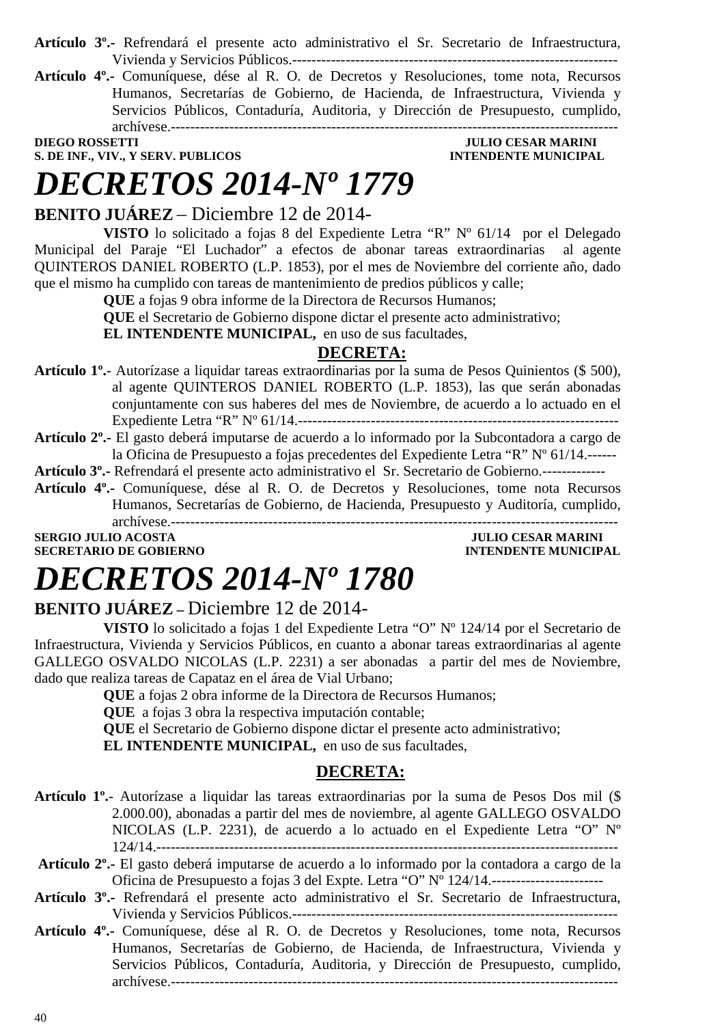- **Artículo 3º.-** Refrendará el presente acto administrativo el Sr. Secretario de Infraestructura, Vivienda y Servicios Públicos.-------------------------------------------------------------------
- **Artículo 4º.-** Comuníquese, dése al R. O. de Decretos y Resoluciones, tome nota, Recursos Humanos, Secretarías de Gobierno, de Hacienda, de Infraestructura, Vivienda y Servicios Públicos, Contaduría, Auditoria, y Dirección de Presupuesto, cumplido, archívese.--------------------------------------------------------------------------------------------

**DIEGO ROSSETTI JULIO CESAR MARINI S. DE INF., VIV., Y SERV. PUBLICOS INTENDENTE MUNICIPAL** 

# *DECRETOS 2014-Nº 1779*

### **BENITO JUÁREZ** – Diciembre 12 de 2014-

**VISTO** lo solicitado a fojas 8 del Expediente Letra "R" Nº 61/14 por el Delegado Municipal del Paraje "El Luchador" a efectos de abonar tareas extraordinarias al agente QUINTEROS DANIEL ROBERTO (L.P. 1853), por el mes de Noviembre del corriente año, dado que el mismo ha cumplido con tareas de mantenimiento de predios públicos y calle;

**QUE** a fojas 9 obra informe de la Directora de Recursos Humanos;

**QUE** el Secretario de Gobierno dispone dictar el presente acto administrativo;

**EL INTENDENTE MUNICIPAL,** en uso de sus facultades,

### **DECRETA:**

- **Artículo 1º.** Autorízase a liquidar tareas extraordinarias por la suma de Pesos Quinientos (\$ 500), al agente QUINTEROS DANIEL ROBERTO (L.P. 1853), las que serán abonadas conjuntamente con sus haberes del mes de Noviembre, de acuerdo a lo actuado en el Expediente Letra "R" Nº 61/14.------------------------------------------------------------------
- **Artículo 2º.-** El gasto deberá imputarse de acuerdo a lo informado por la Subcontadora a cargo de la Oficina de Presupuesto a fojas precedentes del Expediente Letra "R" Nº 61/14.------

**Artículo 3º.-** Refrendará el presente acto administrativo el Sr. Secretario de Gobierno.-------------

**Artículo 4º.-** Comuníquese, dése al R. O. de Decretos y Resoluciones, tome nota Recursos Humanos, Secretarías de Gobierno, de Hacienda, Presupuesto y Auditoría, cumplido, archívese.--------------------------------------------------------------------------------------------

**SERGIO JULIO ACOSTA JULIO CESAR MARINI SECRETARIO DE GOBIERNO INTENDENTE MUNICIPAL** 

### *DECRETOS 2014-Nº 1780*

### **BENITO JUÁREZ –** Diciembre 12 de 2014-

**VISTO** lo solicitado a fojas 1 del Expediente Letra "O" Nº 124/14 por el Secretario de Infraestructura, Vivienda y Servicios Públicos, en cuanto a abonar tareas extraordinarias al agente GALLEGO OSVALDO NICOLAS (L.P. 2231) a ser abonadas a partir del mes de Noviembre, dado que realiza tareas de Capataz en el área de Vial Urbano;

**QUE** a fojas 2 obra informe de la Directora de Recursos Humanos;

**QUE** a fojas 3 obra la respectiva imputación contable;

**QUE** el Secretario de Gobierno dispone dictar el presente acto administrativo;

**EL INTENDENTE MUNICIPAL,** en uso de sus facultades,

### **DECRETA:**

- **Artículo 1º.** Autorízase a liquidar las tareas extraordinarias por la suma de Pesos Dos mil (\$ 2.000.00), abonadas a partir del mes de noviembre, al agente GALLEGO OSVALDO NICOLAS (L.P. 2231), de acuerdo a lo actuado en el Expediente Letra "O" Nº 124/14.-----------------------------------------------------------------------------------------------
- **Artículo 2º.-** El gasto deberá imputarse de acuerdo a lo informado por la contadora a cargo de la Oficina de Presupuesto a fojas 3 del Expte. Letra "O" Nº 124/14.-----------------------
- **Artículo 3º.-** Refrendará el presente acto administrativo el Sr. Secretario de Infraestructura, Vivienda y Servicios Públicos.-------------------------------------------------------------------
- **Artículo 4º.-** Comuníquese, dése al R. O. de Decretos y Resoluciones, tome nota, Recursos Humanos, Secretarías de Gobierno, de Hacienda, de Infraestructura, Vivienda y Servicios Públicos, Contaduría, Auditoria, y Dirección de Presupuesto, cumplido, archívese.--------------------------------------------------------------------------------------------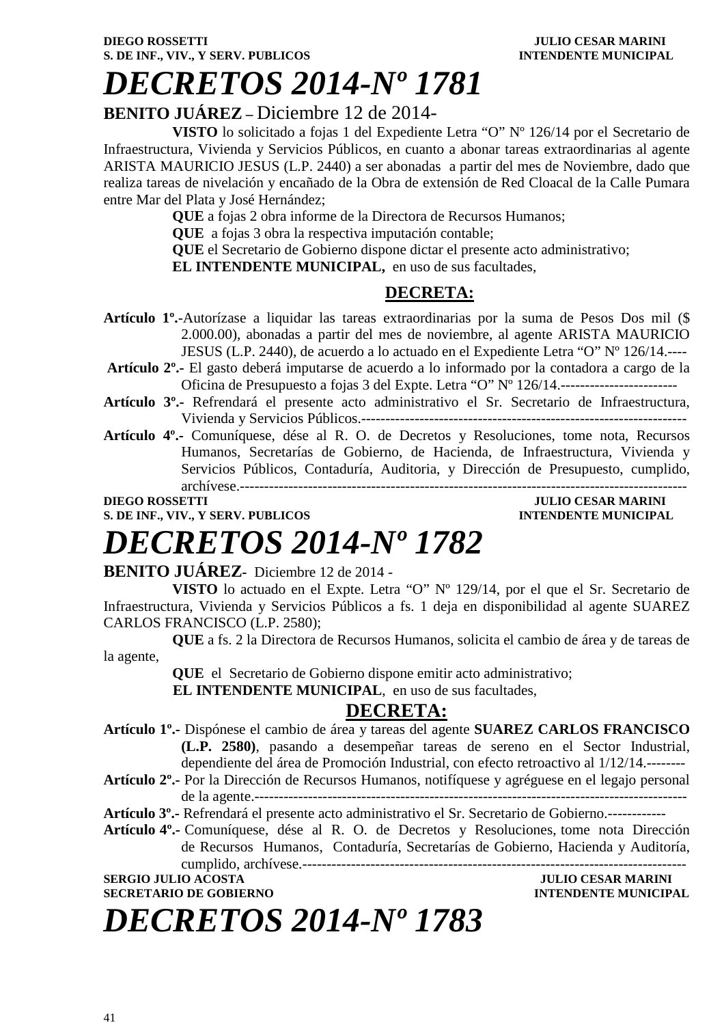# *DECRETOS 2014-Nº 1781*

### **BENITO JUÁREZ –** Diciembre 12 de 2014-

**VISTO** lo solicitado a fojas 1 del Expediente Letra "O" Nº 126/14 por el Secretario de Infraestructura, Vivienda y Servicios Públicos, en cuanto a abonar tareas extraordinarias al agente ARISTA MAURICIO JESUS (L.P. 2440) a ser abonadas a partir del mes de Noviembre, dado que realiza tareas de nivelación y encañado de la Obra de extensión de Red Cloacal de la Calle Pumara entre Mar del Plata y José Hernández;

**QUE** a fojas 2 obra informe de la Directora de Recursos Humanos;

**QUE** a fojas 3 obra la respectiva imputación contable;

**QUE** el Secretario de Gobierno dispone dictar el presente acto administrativo;

**EL INTENDENTE MUNICIPAL,** en uso de sus facultades,

### **DECRETA:**

- **Artículo 1º.**-Autorízase a liquidar las tareas extraordinarias por la suma de Pesos Dos mil (\$ 2.000.00), abonadas a partir del mes de noviembre, al agente ARISTA MAURICIO JESUS (L.P. 2440), de acuerdo a lo actuado en el Expediente Letra "O" Nº 126/14.----
- **Artículo 2º.-** El gasto deberá imputarse de acuerdo a lo informado por la contadora a cargo de la Oficina de Presupuesto a fojas 3 del Expte. Letra "O" Nº 126/14.------------------------
- **Artículo 3º.-** Refrendará el presente acto administrativo el Sr. Secretario de Infraestructura, Vivienda y Servicios Públicos.-------------------------------------------------------------------
- **Artículo 4º.-** Comuníquese, dése al R. O. de Decretos y Resoluciones, tome nota, Recursos Humanos, Secretarías de Gobierno, de Hacienda, de Infraestructura, Vivienda y Servicios Públicos, Contaduría, Auditoria, y Dirección de Presupuesto, cumplido, archívese.--------------------------------------------------------------------------------------------

#### **DIEGO ROSSETTI DIEGO ROSSETTI** *DIEGO ROSSETTI* **S. DE INF., VIV., Y SERV. PUBLICOS INTENDENTE MUNICIPAL**

## *DECRETOS 2014-Nº 1782*

#### **BENITO JUÁREZ-** Diciembre 12 de 2014 -

**VISTO** lo actuado en el Expte. Letra "O" Nº 129/14, por el que el Sr. Secretario de Infraestructura, Vivienda y Servicios Públicos a fs. 1 deja en disponibilidad al agente SUAREZ CARLOS FRANCISCO (L.P. 2580);

**QUE** a fs. 2 la Directora de Recursos Humanos, solicita el cambio de área y de tareas de la agente,

 **QUE** el Secretario de Gobierno dispone emitir acto administrativo;

 **EL INTENDENTE MUNICIPAL**, en uso de sus facultades,

### **DECRETA:**

**Artículo 1º.-** Dispónese el cambio de área y tareas del agente **SUAREZ CARLOS FRANCISCO (L.P. 2580)**, pasando a desempeñar tareas de sereno en el Sector Industrial, dependiente del área de Promoción Industrial, con efecto retroactivo al 1/12/14.--------

**Artículo 2º.-** Por la Dirección de Recursos Humanos, notifíquese y agréguese en el legajo personal de la agente.-----------------------------------------------------------------------------------------

**Artículo 3º.-** Refrendará el presente acto administrativo el Sr. Secretario de Gobierno.------------

**Artículo 4º.-** Comuníquese, dése al R. O. de Decretos y Resoluciones, tome nota Dirección de Recursos Humanos, Contaduría, Secretarías de Gobierno, Hacienda y Auditoría, cumplido, archívese.-------------------------------------------------------------------------------

#### **SERGIO JULIO ACOSTA JULIO CESAR MARINI SECRETARIO DE GOBIERNO INTENDENTE MUNICIPAL**

*DECRETOS 2014-Nº 1783*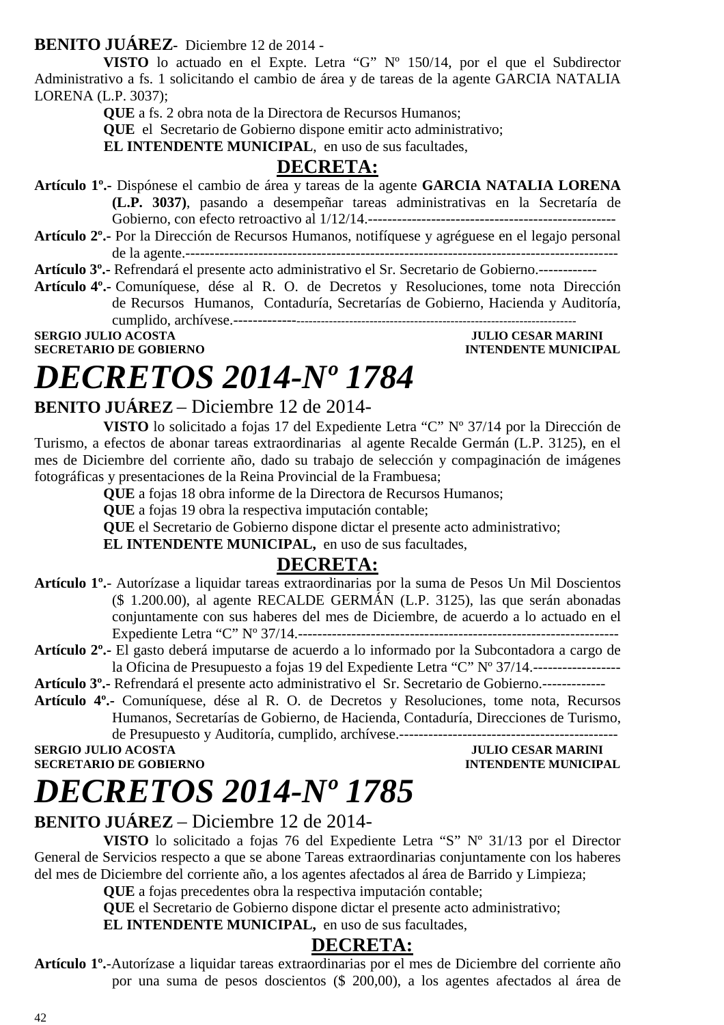#### **BENITO JUÁREZ-** Diciembre 12 de 2014 -

**VISTO** lo actuado en el Expte. Letra "G" Nº 150/14, por el que el Subdirector Administrativo a fs. 1 solicitando el cambio de área y de tareas de la agente GARCIA NATALIA LORENA (L.P. 3037);

**QUE** a fs. 2 obra nota de la Directora de Recursos Humanos;

 **QUE** el Secretario de Gobierno dispone emitir acto administrativo;

 **EL INTENDENTE MUNICIPAL**, en uso de sus facultades,

### **DECRETA:**

- **Artículo 1º.-** Dispónese el cambio de área y tareas de la agente **GARCIA NATALIA LORENA (L.P. 3037)**, pasando a desempeñar tareas administrativas en la Secretaría de Gobierno, con efecto retroactivo al 1/12/14.---------------------------------------------------
- **Artículo 2º.-** Por la Dirección de Recursos Humanos, notifíquese y agréguese en el legajo personal de la agente.-----------------------------------------------------------------------------------------

**Artículo 3º.-** Refrendará el presente acto administrativo el Sr. Secretario de Gobierno.------------

**Artículo 4º.-** Comuníquese, dése al R. O. de Decretos y Resoluciones, tome nota Dirección de Recursos Humanos, Contaduría, Secretarías de Gobierno, Hacienda y Auditoría, cumplido, archívese.----------------------------------------------------------------------------------

**SECRETARIO DE GOBIERNO INTENDENTE MUNICIPAL** 

**SERGIO JULIO ACOSTA JULIO CESAR MARINI** 

## *DECRETOS 2014-Nº 1784*

### **BENITO JUÁREZ** – Diciembre 12 de 2014-

**VISTO** lo solicitado a fojas 17 del Expediente Letra "C" Nº 37/14 por la Dirección de Turismo, a efectos de abonar tareas extraordinarias al agente Recalde Germán (L.P. 3125), en el mes de Diciembre del corriente año, dado su trabajo de selección y compaginación de imágenes fotográficas y presentaciones de la Reina Provincial de la Frambuesa;

**QUE** a fojas 18 obra informe de la Directora de Recursos Humanos;

**QUE** a fojas 19 obra la respectiva imputación contable;

**QUE** el Secretario de Gobierno dispone dictar el presente acto administrativo;

**EL INTENDENTE MUNICIPAL,** en uso de sus facultades,

### **DECRETA:**

- **Artículo 1º.** Autorízase a liquidar tareas extraordinarias por la suma de Pesos Un Mil Doscientos (\$ 1.200.00), al agente RECALDE GERMÁN (L.P. 3125), las que serán abonadas conjuntamente con sus haberes del mes de Diciembre, de acuerdo a lo actuado en el Expediente Letra "C" Nº 37/14.------------------------------------------------------------------
- **Artículo 2º.-** El gasto deberá imputarse de acuerdo a lo informado por la Subcontadora a cargo de la Oficina de Presupuesto a fojas 19 del Expediente Letra "C" Nº 37/14.------------------

**Artículo 3º.-** Refrendará el presente acto administrativo el Sr. Secretario de Gobierno.-------------

**Artículo 4º.-** Comuníquese, dése al R. O. de Decretos y Resoluciones, tome nota, Recursos Humanos, Secretarías de Gobierno, de Hacienda, Contaduría, Direcciones de Turismo, de Presupuesto y Auditoría, cumplido, archívese.---------------------------------------------

**SERGIO JULIO ACOSTA JULIO CESAR MARINI** 

**INTENDENTE MUNICIPAL** 

### *DECRETOS 2014-Nº 1785*

### **BENITO JUÁREZ** – Diciembre 12 de 2014-

**VISTO** lo solicitado a fojas 76 del Expediente Letra "S" Nº 31/13 por el Director General de Servicios respecto a que se abone Tareas extraordinarias conjuntamente con los haberes del mes de Diciembre del corriente año, a los agentes afectados al área de Barrido y Limpieza;

**QUE** a fojas precedentes obra la respectiva imputación contable;

**QUE** el Secretario de Gobierno dispone dictar el presente acto administrativo;

**EL INTENDENTE MUNICIPAL,** en uso de sus facultades,

### **DECRETA:**

**Artículo 1º.**-Autorízase a liquidar tareas extraordinarias por el mes de Diciembre del corriente año por una suma de pesos doscientos (\$ 200,00), a los agentes afectados al área de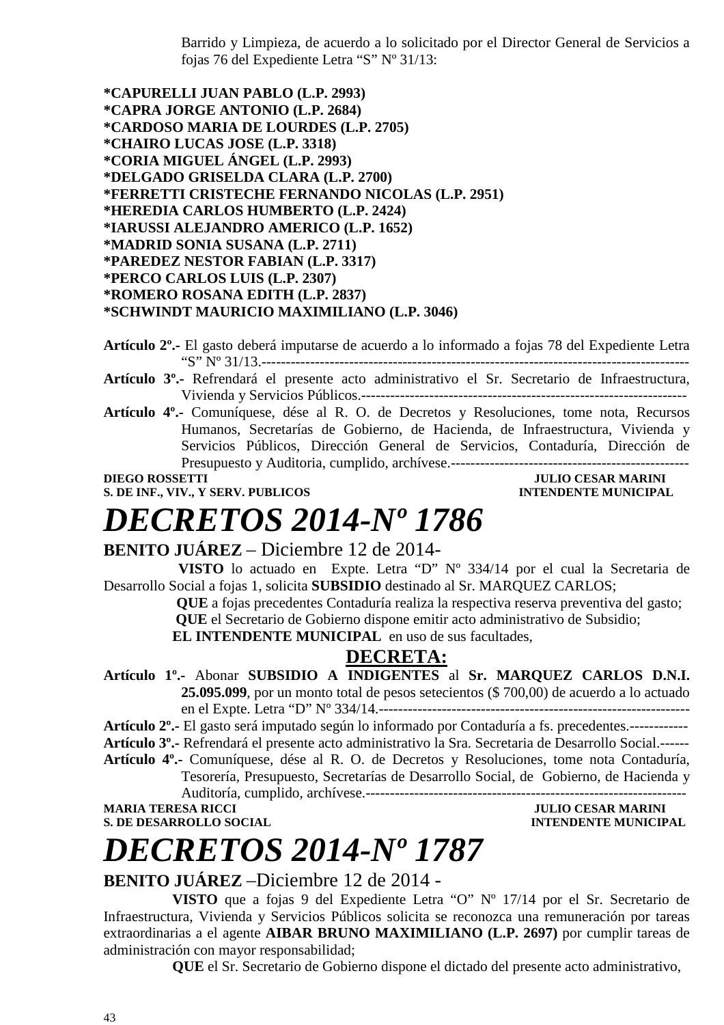Barrido y Limpieza, de acuerdo a lo solicitado por el Director General de Servicios a fojas 76 del Expediente Letra "S" Nº 31/13:

**\*CAPURELLI JUAN PABLO (L.P. 2993) \*CAPRA JORGE ANTONIO (L.P. 2684) \*CARDOSO MARIA DE LOURDES (L.P. 2705) \*CHAIRO LUCAS JOSE (L.P. 3318) \*CORIA MIGUEL ÁNGEL (L.P. 2993) \*DELGADO GRISELDA CLARA (L.P. 2700) \*FERRETTI CRISTECHE FERNANDO NICOLAS (L.P. 2951) \*HEREDIA CARLOS HUMBERTO (L.P. 2424) \*IARUSSI ALEJANDRO AMERICO (L.P. 1652) \*MADRID SONIA SUSANA (L.P. 2711) \*PAREDEZ NESTOR FABIAN (L.P. 3317) \*PERCO CARLOS LUIS (L.P. 2307) \*ROMERO ROSANA EDITH (L.P. 2837) \*SCHWINDT MAURICIO MAXIMILIANO (L.P. 3046)** 

**Artículo 2º.-** El gasto deberá imputarse de acuerdo a lo informado a fojas 78 del Expediente Letra "S" Nº 31/13.----------------------------------------------------------------------------------------

**Artículo 3º.-** Refrendará el presente acto administrativo el Sr. Secretario de Infraestructura, Vivienda y Servicios Públicos.-------------------------------------------------------------------

**Artículo 4º.-** Comuníquese, dése al R. O. de Decretos y Resoluciones, tome nota, Recursos Humanos, Secretarías de Gobierno, de Hacienda, de Infraestructura, Vivienda y Servicios Públicos, Dirección General de Servicios, Contaduría, Dirección de Presupuesto y Auditoria, cumplido, archívese.-------------------------------------------------

**DIEGO ROSSETTI** JULIO CESAR MARINI

**S. DE INF., VIV., Y SERV. PUBLICOS INTENDENTE MUNICIPAL**

# *DECRETOS 2014-Nº 1786*

**BENITO JUÁREZ** – Diciembre 12 de 2014-

 **VISTO** lo actuado en Expte. Letra "D" Nº 334/14 por el cual la Secretaria de Desarrollo Social a fojas 1, solicita **SUBSIDIO** destinado al Sr. MARQUEZ CARLOS;

> **QUE** a fojas precedentes Contaduría realiza la respectiva reserva preventiva del gasto;  **QUE** el Secretario de Gobierno dispone emitir acto administrativo de Subsidio;

**EL INTENDENTE MUNICIPAL** en uso de sus facultades,

### **DECRETA:**

**Artículo 1º.-** Abonar **SUBSIDIO A INDIGENTES** al **Sr. MARQUEZ CARLOS D.N.I. 25.095.099**, por un monto total de pesos setecientos (\$ 700,00) de acuerdo a lo actuado en el Expte. Letra "D" Nº 334/14.----------------------------------------------------------------

**Artículo 2º.-** El gasto será imputado según lo informado por Contaduría a fs. precedentes.------------

**Artículo 3º.-** Refrendará el presente acto administrativo la Sra. Secretaria de Desarrollo Social.------

**Artículo 4º.-** Comuníquese, dése al R. O. de Decretos y Resoluciones, tome nota Contaduría,

Tesorería, Presupuesto, Secretarías de Desarrollo Social, de Gobierno, de Hacienda y Auditoría, cumplido, archívese.------------------------------------------------------------------ **MARIA TERESA RICCI JULIO CESAR MARINI** 

**S. DE DESARROLLO SOCIAL DESPESSION INTENDENTE MUNICIPAL** 

### *DECRETOS 2014-Nº 1787*

### **BENITO JUÁREZ** –Diciembre 12 de 2014 -

**VISTO** que a fojas 9 del Expediente Letra "O" Nº 17/14 por el Sr. Secretario de Infraestructura, Vivienda y Servicios Públicos solicita se reconozca una remuneración por tareas extraordinarias a el agente **AIBAR BRUNO MAXIMILIANO (L.P. 2697)** por cumplir tareas de administración con mayor responsabilidad;

**QUE** el Sr. Secretario de Gobierno dispone el dictado del presente acto administrativo,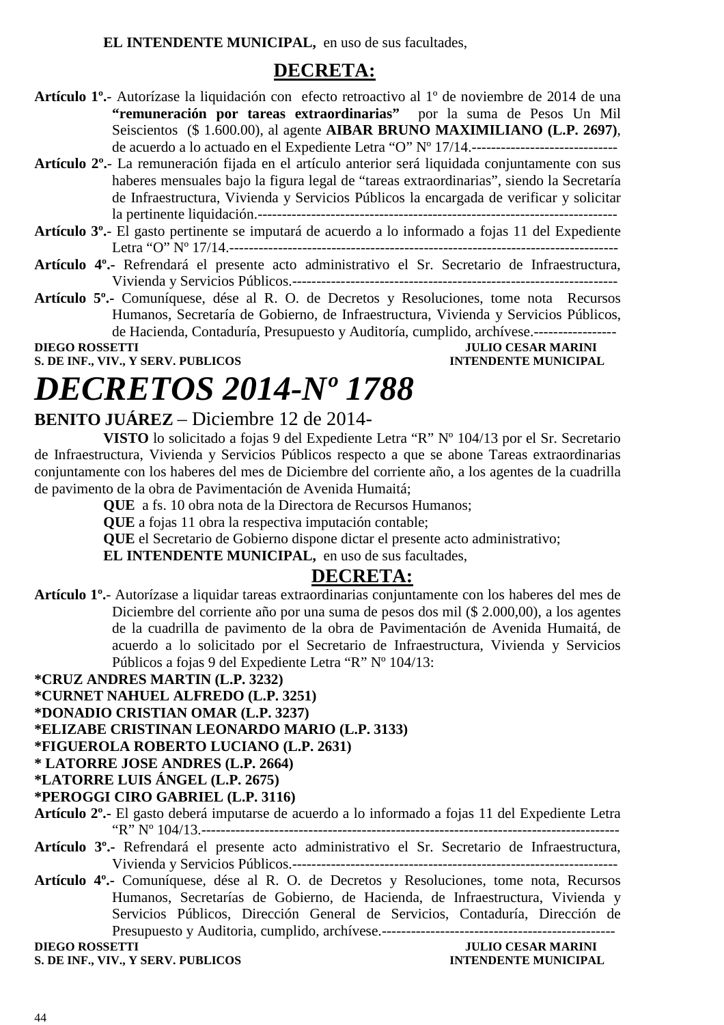**EL INTENDENTE MUNICIPAL,** en uso de sus facultades,

### **DECRETA:**

- **Artículo 1º.** Autorízase la liquidación con efecto retroactivo al 1º de noviembre de 2014 de una **"remuneración por tareas extraordinarias"** por la suma de Pesos Un Mil Seiscientos (\$ 1.600.00), al agente **AIBAR BRUNO MAXIMILIANO (L.P. 2697)**, de acuerdo a lo actuado en el Expediente Letra "O" Nº 17/14.------------------------------
- **Artículo 2º.** La remuneración fijada en el artículo anterior será liquidada conjuntamente con sus haberes mensuales bajo la figura legal de "tareas extraordinarias", siendo la Secretaría de Infraestructura, Vivienda y Servicios Públicos la encargada de verificar y solicitar la pertinente liquidación.--------------------------------------------------------------------------
- **Artículo 3º.** El gasto pertinente se imputará de acuerdo a lo informado a fojas 11 del Expediente Letra "O" Nº 17/14.--------------------------------------------------------------------------------
- **Artículo 4º.-** Refrendará el presente acto administrativo el Sr. Secretario de Infraestructura, Vivienda y Servicios Públicos.-------------------------------------------------------------------
- **Artículo 5º.-** Comuníquese, dése al R. O. de Decretos y Resoluciones, tome nota Recursos Humanos, Secretaría de Gobierno, de Infraestructura, Vivienda y Servicios Públicos, de Hacienda, Contaduría, Presupuesto y Auditoría, cumplido, archívese.-----------------

**S. DE INF., VIV., Y SERV. PUBLICOS INTENDENTE MUNICIPAL** 

**JULIO CESAR MARINI** 

# *DECRETOS 2014-Nº 1788*

### **BENITO JUÁREZ** – Diciembre 12 de 2014-

**VISTO** lo solicitado a fojas 9 del Expediente Letra "R" Nº 104/13 por el Sr. Secretario de Infraestructura, Vivienda y Servicios Públicos respecto a que se abone Tareas extraordinarias conjuntamente con los haberes del mes de Diciembre del corriente año, a los agentes de la cuadrilla de pavimento de la obra de Pavimentación de Avenida Humaitá;

**QUE** a fs. 10 obra nota de la Directora de Recursos Humanos;

**QUE** a fojas 11 obra la respectiva imputación contable;

**QUE** el Secretario de Gobierno dispone dictar el presente acto administrativo;

**EL INTENDENTE MUNICIPAL,** en uso de sus facultades,

### **DECRETA:**

**Artículo 1º.**- Autorízase a liquidar tareas extraordinarias conjuntamente con los haberes del mes de Diciembre del corriente año por una suma de pesos dos mil (\$ 2.000,00), a los agentes de la cuadrilla de pavimento de la obra de Pavimentación de Avenida Humaitá, de acuerdo a lo solicitado por el Secretario de Infraestructura, Vivienda y Servicios Públicos a fojas 9 del Expediente Letra "R" Nº 104/13:

**\*CRUZ ANDRES MARTIN (L.P. 3232)** 

- **\*CURNET NAHUEL ALFREDO (L.P. 3251)**
- **\*DONADIO CRISTIAN OMAR (L.P. 3237)**
- **\*ELIZABE CRISTINAN LEONARDO MARIO (L.P. 3133)**

**\*FIGUEROLA ROBERTO LUCIANO (L.P. 2631)** 

**\* LATORRE JOSE ANDRES (L.P. 2664)** 

**\*LATORRE LUIS ÁNGEL (L.P. 2675)** 

#### **\*PEROGGI CIRO GABRIEL (L.P. 3116)**

- **Artículo 2º.-** El gasto deberá imputarse de acuerdo a lo informado a fojas 11 del Expediente Letra "R" Nº 104/13.--------------------------------------------------------------------------------------
- **Artículo 3º.-** Refrendará el presente acto administrativo el Sr. Secretario de Infraestructura, Vivienda y Servicios Públicos.-------------------------------------------------------------------
- **Artículo 4º.-** Comuníquese, dése al R. O. de Decretos y Resoluciones, tome nota, Recursos Humanos, Secretarías de Gobierno, de Hacienda, de Infraestructura, Vivienda y Servicios Públicos, Dirección General de Servicios, Contaduría, Dirección de Presupuesto y Auditoria, cumplido, archívese.------------------------------------------------

### **DIEGO ROSSETTI JULIO CESAR MARINI**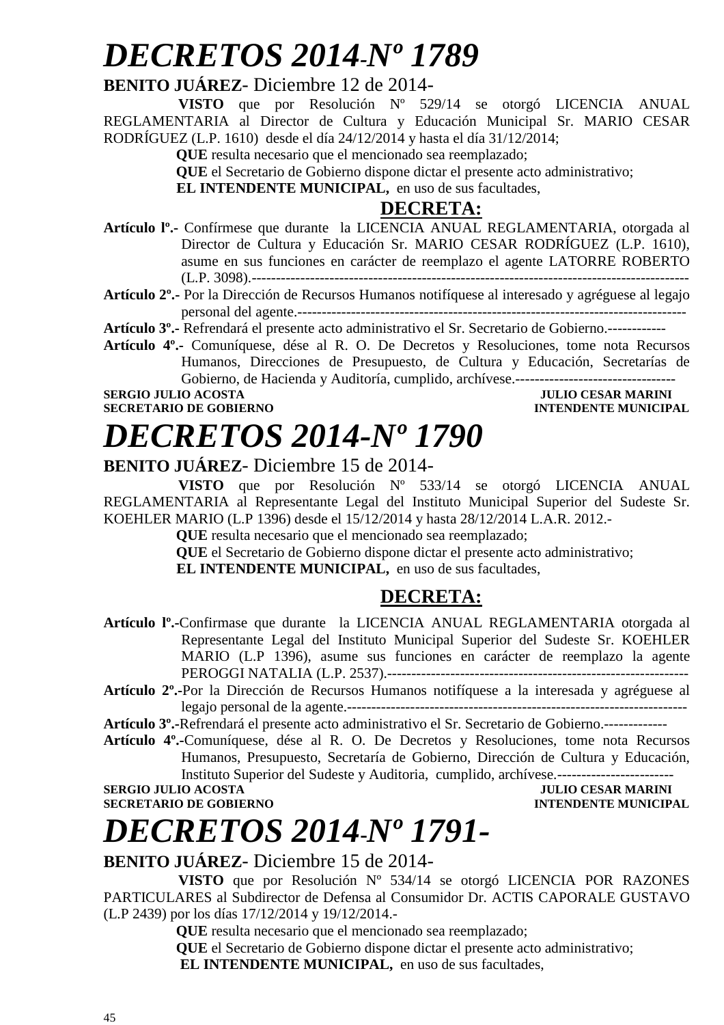### *DECRETOS 2014-Nº 1789*

### **BENITO JUÁREZ**- Diciembre 12 de 2014-

 **VISTO** que por Resolución Nº 529/14 se otorgó LICENCIA ANUAL REGLAMENTARIA al Director de Cultura y Educación Municipal Sr. MARIO CESAR RODRÍGUEZ (L.P. 1610) desde el día 24/12/2014 y hasta el día 31/12/2014;

 **QUE** resulta necesario que el mencionado sea reemplazado;

 **QUE** el Secretario de Gobierno dispone dictar el presente acto administrativo;

**EL INTENDENTE MUNICIPAL,** en uso de sus facultades,

### **DECRETA:**

**Artículo lº.-** Confírmese que durante la LICENCIA ANUAL REGLAMENTARIA, otorgada al Director de Cultura y Educación Sr. MARIO CESAR RODRÍGUEZ (L.P. 1610), asume en sus funciones en carácter de reemplazo el agente LATORRE ROBERTO (L.P. 3098).------------------------------------------------------------------------------------------

**Artículo 2º.-** Por la Dirección de Recursos Humanos notifíquese al interesado y agréguese al legajo personal del agente.--------------------------------------------------------------------------------

**Artículo 3º.-** Refrendará el presente acto administrativo el Sr. Secretario de Gobierno.------------

**Artículo 4º.-** Comuníquese, dése al R. O. De Decretos y Resoluciones, tome nota Recursos Humanos, Direcciones de Presupuesto, de Cultura y Educación, Secretarías de Gobierno, de Hacienda y Auditoría, cumplido, archívese.---------------------------------

**SECRETARIO DE GOBIERNO** 

# *DECRETOS 2014-Nº 1790*

### **SULIO CESAR MARINI<br>INTENDENTE MUNICIPAL**

### **BENITO JUÁREZ**- Diciembre 15 de 2014-

 **VISTO** que por Resolución Nº 533/14 se otorgó LICENCIA ANUAL REGLAMENTARIA al Representante Legal del Instituto Municipal Superior del Sudeste Sr. KOEHLER MARIO (L.P 1396) desde el 15/12/2014 y hasta 28/12/2014 L.A.R. 2012.-

 **QUE** resulta necesario que el mencionado sea reemplazado;

 **QUE** el Secretario de Gobierno dispone dictar el presente acto administrativo;

**EL INTENDENTE MUNICIPAL,** en uso de sus facultades,

### **DECRETA:**

**Artículo lº.-**Confirmase que durante la LICENCIA ANUAL REGLAMENTARIA otorgada al Representante Legal del Instituto Municipal Superior del Sudeste Sr. KOEHLER MARIO (L.P 1396), asume sus funciones en carácter de reemplazo la agente PEROGGI NATALIA (L.P. 2537).--------------------------------------------------------------

**Artículo 2º.-**Por la Dirección de Recursos Humanos notifíquese a la interesada y agréguese al legajo personal de la agente.----------------------------------------------------------------------

**Artículo 3º.-**Refrendará el presente acto administrativo el Sr. Secretario de Gobierno.-------------

**Artículo 4º.-**Comuníquese, dése al R. O. De Decretos y Resoluciones, tome nota Recursos Humanos, Presupuesto, Secretaría de Gobierno, Dirección de Cultura y Educación, Instituto Superior del Sudeste y Auditoria, cumplido, archívese.------------------------

**SERGIO JULIO ACOSTA JULIO CESAR MARINI SECRETARIO DE GOBIERNO INTENDENTE MUNICIPAL** 

### *DECRETOS 2014***-***Nº 1791-*

### **BENITO JUÁREZ**- Diciembre 15 de 2014-

 **VISTO** que por Resolución Nº 534/14 se otorgó LICENCIA POR RAZONES PARTICULARES al Subdirector de Defensa al Consumidor Dr. ACTIS CAPORALE GUSTAVO (L.P 2439) por los días 17/12/2014 y 19/12/2014.-

 **QUE** resulta necesario que el mencionado sea reemplazado;

 **QUE** el Secretario de Gobierno dispone dictar el presente acto administrativo; **EL INTENDENTE MUNICIPAL,** en uso de sus facultades,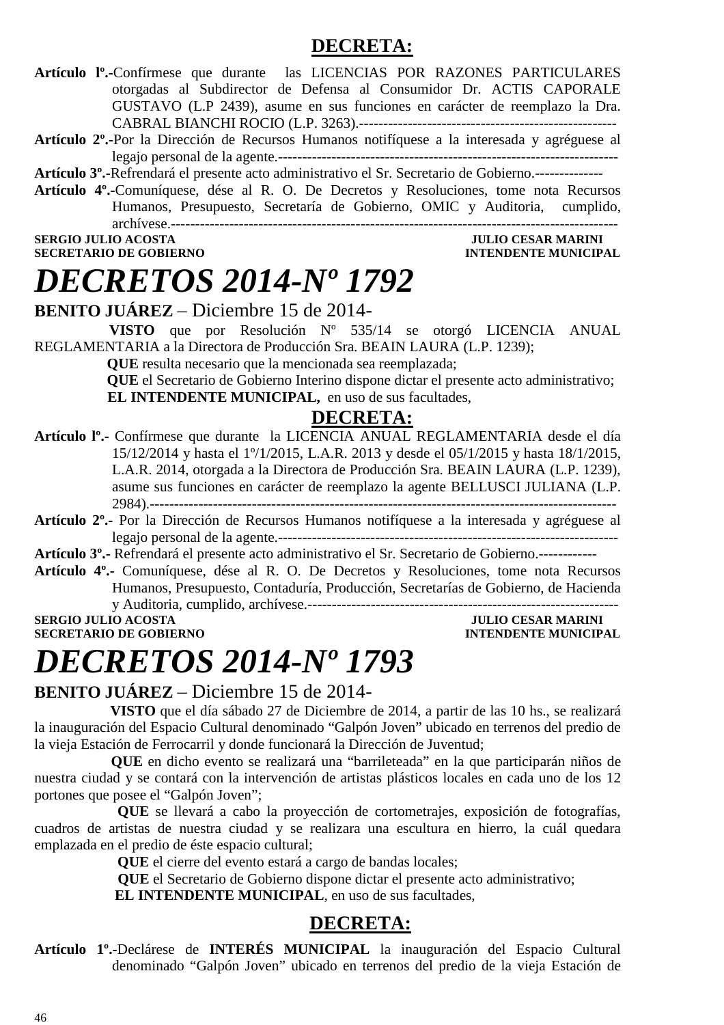### **DECRETA:**

- **Artículo lº.-**Confírmese que durante las LICENCIAS POR RAZONES PARTICULARES otorgadas al Subdirector de Defensa al Consumidor Dr. ACTIS CAPORALE GUSTAVO (L.P 2439), asume en sus funciones en carácter de reemplazo la Dra. CABRAL BIANCHI ROCIO (L.P. 3263).-----------------------------------------------------
- **Artículo 2º.-**Por la Dirección de Recursos Humanos notifíquese a la interesada y agréguese al legajo personal de la agente.----------------------------------------------------------------------
- **Artículo 3º.-**Refrendará el presente acto administrativo el Sr. Secretario de Gobierno.--------------
- **Artículo 4º.-**Comuníquese, dése al R. O. De Decretos y Resoluciones, tome nota Recursos Humanos, Presupuesto, Secretaría de Gobierno, OMIC y Auditoria, cumplido, archívese.--------------------------------------------------------------------------------------------

**SECRETARIO DE GOBIERNO INTENDENTE MUNICIPAL** 

### **SERGIO JULIO ACOSTA JULIO CESAR MARINI**

### *DECRETOS 2014-Nº 1792*

**BENITO JUÁREZ** – Diciembre 15 de 2014-

 **VISTO** que por Resolución Nº 535/14 se otorgó LICENCIA ANUAL REGLAMENTARIA a la Directora de Producción Sra. BEAIN LAURA (L.P. 1239);

 **QUE** resulta necesario que la mencionada sea reemplazada;

 **QUE** el Secretario de Gobierno Interino dispone dictar el presente acto administrativo; **EL INTENDENTE MUNICIPAL,** en uso de sus facultades,

#### **DECRETA:**

- **Artículo lº.-** Confírmese que durante la LICENCIA ANUAL REGLAMENTARIA desde el día 15/12/2014 y hasta el 1º/1/2015, L.A.R. 2013 y desde el 05/1/2015 y hasta 18/1/2015, L.A.R. 2014, otorgada a la Directora de Producción Sra. BEAIN LAURA (L.P. 1239), asume sus funciones en carácter de reemplazo la agente BELLUSCI JULIANA (L.P. 2984).------------------------------------------------------------------------------------------------
- **Artículo 2º.-** Por la Dirección de Recursos Humanos notifíquese a la interesada y agréguese al legajo personal de la agente.----------------------------------------------------------------------

**Artículo 3º.-** Refrendará el presente acto administrativo el Sr. Secretario de Gobierno.------------

**Artículo 4º.-** Comuníquese, dése al R. O. De Decretos y Resoluciones, tome nota Recursos Humanos, Presupuesto, Contaduría, Producción, Secretarías de Gobierno, de Hacienda

y Auditoria, cumplido, archívese.----------------------------------------------------------------

**SERGIO JULIO ACOSTA<br>SECRETARIO DE GOBIERNO** 

### **INTENDENTE MUNICIPAL**

### *DECRETOS 2014-Nº 1793*

### **BENITO JUÁREZ** – Diciembre 15 de 2014-

 **VISTO** que el día sábado 27 de Diciembre de 2014, a partir de las 10 hs., se realizará la inauguración del Espacio Cultural denominado "Galpón Joven" ubicado en terrenos del predio de la vieja Estación de Ferrocarril y donde funcionará la Dirección de Juventud;

 **QUE** en dicho evento se realizará una "barrileteada" en la que participarán niños de nuestra ciudad y se contará con la intervención de artistas plásticos locales en cada uno de los 12 portones que posee el "Galpón Joven";

 **QUE** se llevará a cabo la proyección de cortometrajes, exposición de fotografías, cuadros de artistas de nuestra ciudad y se realizara una escultura en hierro, la cuál quedara emplazada en el predio de éste espacio cultural;

**QUE** el cierre del evento estará a cargo de bandas locales;

**QUE** el Secretario de Gobierno dispone dictar el presente acto administrativo;

 **EL INTENDENTE MUNICIPAL**, en uso de sus facultades,

### **DECRETA:**

**Artículo 1º.-**Declárese de **INTERÉS MUNICIPAL** la inauguración del Espacio Cultural denominado "Galpón Joven" ubicado en terrenos del predio de la vieja Estación de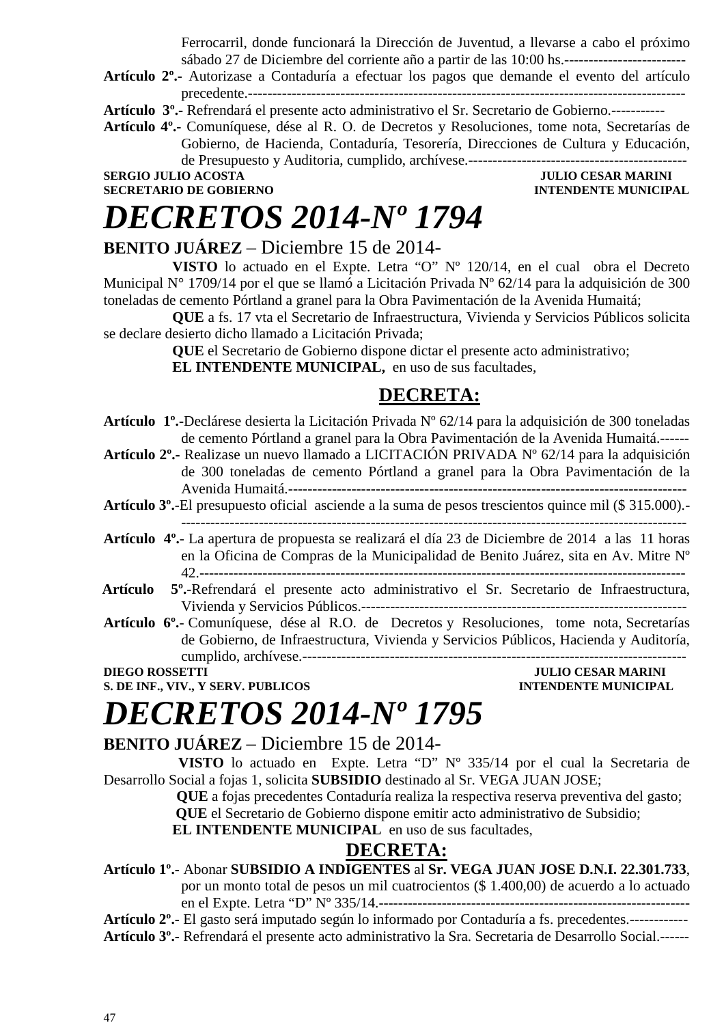Ferrocarril, donde funcionará la Dirección de Juventud, a llevarse a cabo el próximo sábado 27 de Diciembre del corriente año a partir de las 10:00 hs.-------------------------

**Artículo 2º.-** Autorizase a Contaduría a efectuar los pagos que demande el evento del artículo precedente.------------------------------------------------------------------------------------------

**Artículo 3º.-** Refrendará el presente acto administrativo el Sr. Secretario de Gobierno.-----------

**Artículo 4º.-** Comuníquese, dése al R. O. de Decretos y Resoluciones, tome nota, Secretarías de Gobierno, de Hacienda, Contaduría, Tesorería, Direcciones de Cultura y Educación, de Presupuesto y Auditoria, cumplido, archívese.---------------------------------------------

**SERGIO JULIO ACOSTA JULIO CESAR MARINI SECRETARIO DE GOBIERNO INTENDENTE MUNICIPAL** 

# *DECRETOS 2014-Nº 1794*

### **BENITO JUÁREZ** – Diciembre 15 de 2014-

**VISTO** lo actuado en el Expte. Letra "O" Nº 120/14, en el cual obra el Decreto Municipal N° 1709/14 por el que se llamó a Licitación Privada N° 62/14 para la adquisición de 300 toneladas de cemento Pórtland a granel para la Obra Pavimentación de la Avenida Humaitá;

**QUE** a fs. 17 vta el Secretario de Infraestructura, Vivienda y Servicios Públicos solicita se declare desierto dicho llamado a Licitación Privada;

**QUE** el Secretario de Gobierno dispone dictar el presente acto administrativo;

**EL INTENDENTE MUNICIPAL,** en uso de sus facultades,

### **DECRETA:**

- **Artículo 1º.-**Declárese desierta la Licitación Privada Nº 62/14 para la adquisición de 300 toneladas de cemento Pórtland a granel para la Obra Pavimentación de la Avenida Humaitá.------
- **Artículo 2º.-** Realizase un nuevo llamado a LICITACIÓN PRIVADA Nº 62/14 para la adquisición de 300 toneladas de cemento Pórtland a granel para la Obra Pavimentación de la Avenida Humaitá.----------------------------------------------------------------------------------
- **Artículo 3º.**-El presupuesto oficial asciende a la suma de pesos trescientos quince mil (\$ 315.000).- --------------------------------------------------------------------------------------------------------
- **Artículo 4º.** La apertura de propuesta se realizará el día 23 de Diciembre de 2014 a las 11 horas en la Oficina de Compras de la Municipalidad de Benito Juárez, sita en Av. Mitre Nº 42.----------------------------------------------------------------------------------------------------
- **Artículo 5º.**-Refrendará el presente acto administrativo el Sr. Secretario de Infraestructura, Vivienda y Servicios Públicos.-------------------------------------------------------------------
- **Artículo 6º.** Comuníquese, dése al R.O. de Decretos y Resoluciones, tome nota, Secretarías de Gobierno, de Infraestructura, Vivienda y Servicios Públicos, Hacienda y Auditoría, cumplido, archívese.-------------------------------------------------------------------------------

**S. DE INF., VIV., Y SERV. PUBLICOS INTENDENTE MUNICIPAL** 

### **JULIO CESAR MARINI**

### *DECRETOS 2014-Nº 1795*

**BENITO JUÁREZ** – Diciembre 15 de 2014-

 **VISTO** lo actuado en Expte. Letra "D" Nº 335/14 por el cual la Secretaria de Desarrollo Social a fojas 1, solicita **SUBSIDIO** destinado al Sr. VEGA JUAN JOSE;

> **QUE** a fojas precedentes Contaduría realiza la respectiva reserva preventiva del gasto;  **QUE** el Secretario de Gobierno dispone emitir acto administrativo de Subsidio;

**EL INTENDENTE MUNICIPAL** en uso de sus facultades,

### **DECRETA:**

**Artículo 1º.-** Abonar **SUBSIDIO A INDIGENTES** al **Sr. VEGA JUAN JOSE D.N.I. 22.301.733**,

por un monto total de pesos un mil cuatrocientos (\$ 1.400,00) de acuerdo a lo actuado en el Expte. Letra "D" Nº 335/14.----------------------------------------------------------------

**Artículo 2º.-** El gasto será imputado según lo informado por Contaduría a fs. precedentes.------------

**Artículo 3º.-** Refrendará el presente acto administrativo la Sra. Secretaria de Desarrollo Social.------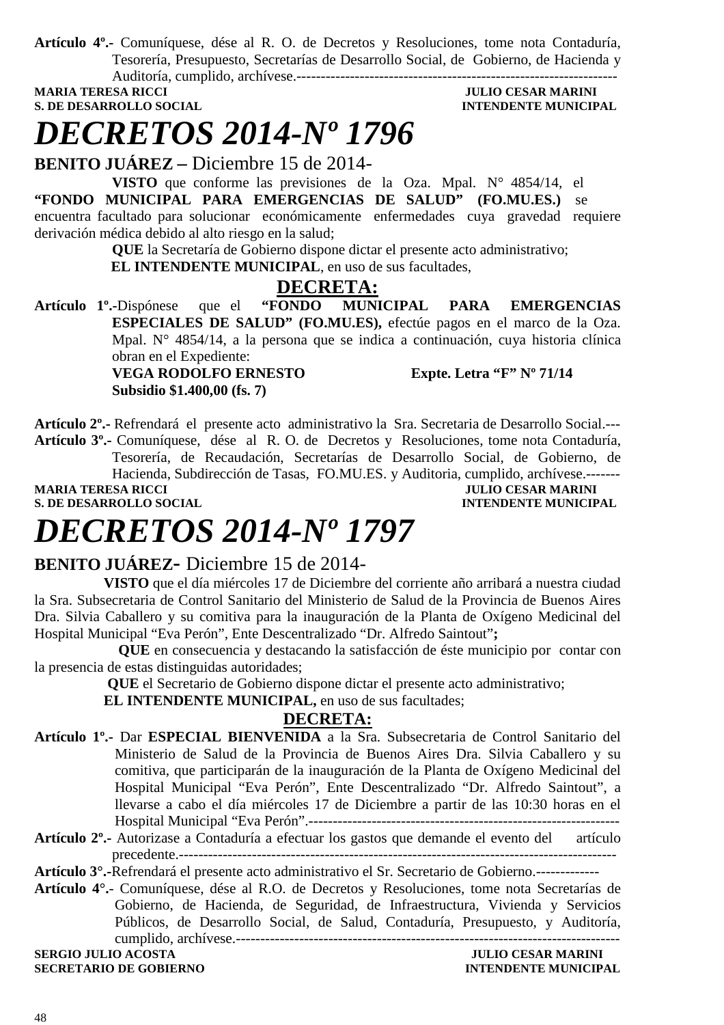**Artículo 4º.-** Comuníquese, dése al R. O. de Decretos y Resoluciones, tome nota Contaduría, Tesorería, Presupuesto, Secretarías de Desarrollo Social, de Gobierno, de Hacienda y Auditoría, cumplido, archívese.------------------------------------------------------------------

**S. DE DESARROLLO SOCIAL DESPETSION INTENDENTE MUNICIPAL** 

### **MULIO CESAR MARINI**

### *DECRETOS 2014-Nº 1796*

**BENITO JUÁREZ –** Diciembre 15 de 2014-

**VISTO** que conforme las previsiones de la Oza. Mpal. N° 4854/14, el **"FONDO MUNICIPAL PARA EMERGENCIAS DE SALUD" (FO.MU.ES.)** se encuentra facultado para solucionar económicamente enfermedades cuya gravedad requiere derivación médica debido al alto riesgo en la salud;

**QUE** la Secretaría de Gobierno dispone dictar el presente acto administrativo;

**EL INTENDENTE MUNICIPAL**, en uso de sus facultades,

### **DECRETA:**

**Artículo 1º.-**Dispónese que el **"FONDO MUNICIPAL PARA EMERGENCIAS ESPECIALES DE SALUD" (FO.MU.ES),** efectúe pagos en el marco de la Oza. Mpal. N° 4854/14, a la persona que se indica a continuación, cuya historia clínica obran en el Expediente:

 **VEGA RODOLFO ERNESTO Expte. Letra "F" Nº 71/14 Subsidio \$1.400,00 (fs. 7)** 

**Artículo 2º.-** Refrendará el presente acto administrativo la Sra. Secretaria de Desarrollo Social.--- **Artículo 3º.-** Comuníquese, dése al R. O. de Decretos y Resoluciones, tome nota Contaduría, Tesorería, de Recaudación, Secretarías de Desarrollo Social, de Gobierno, de Hacienda, Subdirección de Tasas, FO.MU.ES. y Auditoria, cumplido, archívese.-------

**S. DE DESARROLLO SOCIAL** 

**MULIO CESAR MARINI<br>INTENDENTE MUNICIPAL** 

### *DECRETOS 2014-Nº 1797*

### **BENITO JUÁREZ-** Diciembre 15 de 2014-

 **VISTO** que el día miércoles 17 de Diciembre del corriente año arribará a nuestra ciudad la Sra. Subsecretaria de Control Sanitario del Ministerio de Salud de la Provincia de Buenos Aires Dra. Silvia Caballero y su comitiva para la inauguración de la Planta de Oxígeno Medicinal del Hospital Municipal "Eva Perón", Ente Descentralizado "Dr. Alfredo Saintout"**;** 

 **QUE** en consecuencia y destacando la satisfacción de éste municipio por contar con la presencia de estas distinguidas autoridades;

 **QUE** el Secretario de Gobierno dispone dictar el presente acto administrativo;

 **EL INTENDENTE MUNICIPAL,** en uso de sus facultades;

#### **DECRETA:**

- **Artículo 1º.-** Dar **ESPECIAL BIENVENIDA** a la Sra. Subsecretaria de Control Sanitario del Ministerio de Salud de la Provincia de Buenos Aires Dra. Silvia Caballero y su comitiva, que participarán de la inauguración de la Planta de Oxígeno Medicinal del Hospital Municipal "Eva Perón", Ente Descentralizado "Dr. Alfredo Saintout", a llevarse a cabo el día miércoles 17 de Diciembre a partir de las 10:30 horas en el Hospital Municipal "Eva Perón".----------------------------------------------------------------
- **Artículo 2º.-** Autorizase a Contaduría a efectuar los gastos que demande el evento del artículo precedente.------------------------------------------------------------------------------------------

**Artículo 3°.-**Refrendará el presente acto administrativo el Sr. Secretario de Gobierno.-------------

**Artículo 4°.**- Comuníquese, dése al R.O. de Decretos y Resoluciones, tome nota Secretarías de Gobierno, de Hacienda, de Seguridad, de Infraestructura, Vivienda y Servicios Públicos, de Desarrollo Social, de Salud, Contaduría, Presupuesto, y Auditoría, cumplido, archívese.-------------------------------------------------------------------------------

**SERGIO JULIO ACOSTA JULIO CESAR MARINI SECRETARIO DE GOBIERNO INTENDENTE MUNICIPAL**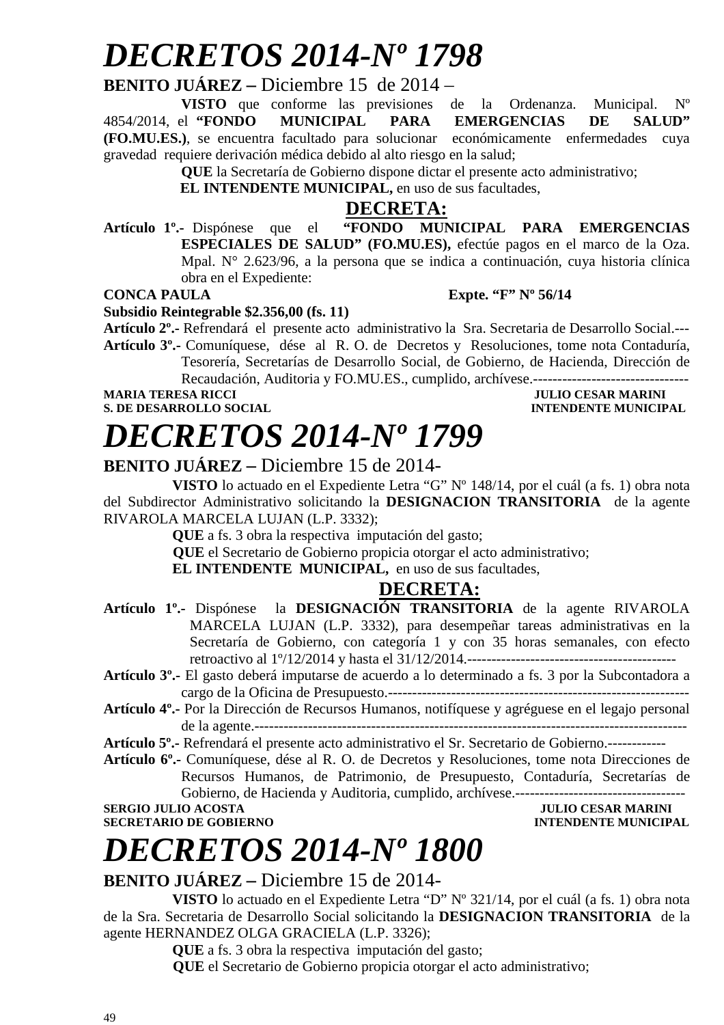### *DECRETOS 2014-Nº 1798*

#### **BENITO JUÁREZ –** Diciembre 15 de 2014 –

**VISTO** que conforme las previsiones de la Ordenanza. Municipal. Nº 4854/2014, el **"FONDO MUNICIPAL PARA EMERGENCIAS DE SALUD" (FO.MU.ES.)**, se encuentra facultado para solucionar económicamente enfermedades cuya gravedad requiere derivación médica debido al alto riesgo en la salud;

**QUE** la Secretaría de Gobierno dispone dictar el presente acto administrativo;

**EL INTENDENTE MUNICIPAL,** en uso de sus facultades,

#### **DECRETA:**

**Artículo 1º.-** Dispónese que el **"FONDO MUNICIPAL PARA EMERGENCIAS ESPECIALES DE SALUD" (FO.MU.ES),** efectúe pagos en el marco de la Oza. Mpal. N° 2.623/96, a la persona que se indica a continuación, cuya historia clínica obra en el Expediente:

**CONCA PAULA Expte. "F" Nº 56/14** 

#### **Subsidio Reintegrable \$2.356,00 (fs. 11)**

**Artículo 2º.-** Refrendará el presente acto administrativo la Sra. Secretaria de Desarrollo Social.--- **Artículo 3º.-** Comuníquese, dése al R. O. de Decretos y Resoluciones, tome nota Contaduría, Tesorería, Secretarías de Desarrollo Social, de Gobierno, de Hacienda, Dirección de Recaudación, Auditoria y FO.MU.ES., cumplido, archívese.--------------------------------

#### **MARIA TERESA RICCI DE LOCAL DE LOCAL DE LOCAL DE LOCAL DE LOCAL DE LOCAL DE LOCAL DE LOCAL DE LOCAL DE LOCAL DE LOCAL DE LOCAL DE LOCAL DE LOCAL DE LOCAL DE LOCAL DE LOCAL DE LOCAL DE LOCAL DE LOCAL DE LOCAL DE LOCAL DE L S. DE DESARROLLO SOCIAL**

# *DECRETOS 2014-Nº 1799*

### **BENITO JUÁREZ –** Diciembre 15 de 2014-

**VISTO** lo actuado en el Expediente Letra "G" Nº 148/14, por el cuál (a fs. 1) obra nota del Subdirector Administrativo solicitando la **DESIGNACION TRANSITORIA** de la agente RIVAROLA MARCELA LUJAN (L.P. 3332);

**QUE** a fs. 3 obra la respectiva imputación del gasto;

 **QUE** el Secretario de Gobierno propicia otorgar el acto administrativo;

**EL INTENDENTE MUNICIPAL,** en uso de sus facultades,

### **DECRETA:**

**Artículo 1º.-** Dispónese la **DESIGNACIÓN TRANSITORIA** de la agente RIVAROLA MARCELA LUJAN (L.P. 3332), para desempeñar tareas administrativas en la Secretaría de Gobierno, con categoría 1 y con 35 horas semanales, con efecto retroactivo al 1º/12/2014 y hasta el 31/12/2014.-------------------------------------------

**Artículo 3º.-** El gasto deberá imputarse de acuerdo a lo determinado a fs. 3 por la Subcontadora a cargo de la Oficina de Presupuesto.--------------------------------------------------------------

**Artículo 4º.-** Por la Dirección de Recursos Humanos, notifíquese y agréguese en el legajo personal de la agente.-----------------------------------------------------------------------------------------

**Artículo 5º.-** Refrendará el presente acto administrativo el Sr. Secretario de Gobierno.------------

**Artículo 6º.-** Comuníquese, dése al R. O. de Decretos y Resoluciones, tome nota Direcciones de Recursos Humanos, de Patrimonio, de Presupuesto, Contaduría, Secretarías de Gobierno, de Hacienda y Auditoria, cumplido, archívese.----------------------------------- **SERGIO JULIO ACOSTA JULIO CESAR MARINI** 

**SECRETARIO DE GOBIERNO INTENDENTE MUNICIPAL** 

### *DECRETOS 2014-Nº 1800*

### **BENITO JUÁREZ –** Diciembre 15 de 2014-

**VISTO** lo actuado en el Expediente Letra "D" Nº 321/14, por el cuál (a fs. 1) obra nota de la Sra. Secretaria de Desarrollo Social solicitando la **DESIGNACION TRANSITORIA** de la agente HERNANDEZ OLGA GRACIELA (L.P. 3326);

**QUE** a fs. 3 obra la respectiva imputación del gasto;

 **QUE** el Secretario de Gobierno propicia otorgar el acto administrativo;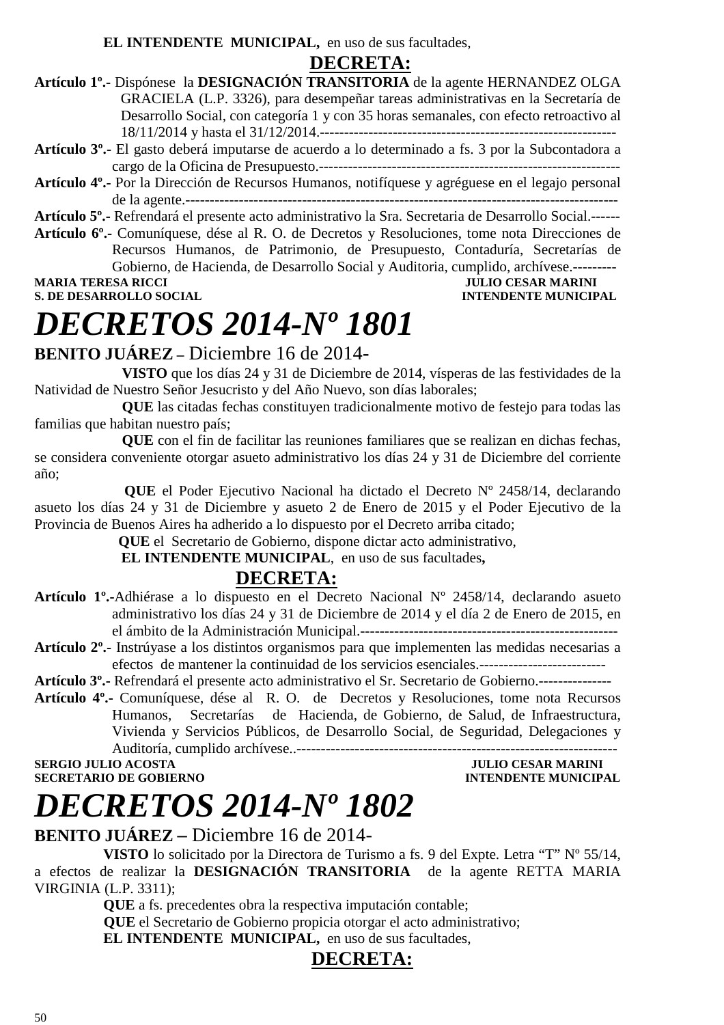### **DECRETA:**

| Artículo 1 <sup>°</sup> . Dispónese la DESIGNACIÓN TRANSITORIA de la agente HERNANDEZ OLGA                    |
|---------------------------------------------------------------------------------------------------------------|
| GRACIELA (L.P. 3326), para desempeñar tareas administrativas en la Secretaría de                              |
| Desarrollo Social, con categoría 1 y con 35 horas semanales, con efecto retroactivo al                        |
|                                                                                                               |
| Artículo 3 <sup>0</sup> - El gasto deberá imputarse de acuerdo a lo determinado a fs. 3 por la Subcontadora a |

**Artículo 3º.-** El gasto deberá imputarse de acuerdo a lo determinado a fs. 3 por la Subcontadora a cargo de la Oficina de Presupuesto.--------------------------------------------------------------

**Artículo 4º.-** Por la Dirección de Recursos Humanos, notifíquese y agréguese en el legajo personal de la agente.-----------------------------------------------------------------------------------------

**Artículo 5º.-** Refrendará el presente acto administrativo la Sra. Secretaria de Desarrollo Social.------

**Artículo 6º.-** Comuníquese, dése al R. O. de Decretos y Resoluciones, tome nota Direcciones de Recursos Humanos, de Patrimonio, de Presupuesto, Contaduría, Secretarías de Gobierno, de Hacienda, de Desarrollo Social y Auditoria, cumplido, archívese.--------- **MARIA TERESA RICCI DE EN ENCOLO SOCIAL DE EN ENGLAND DE EN ENGLAND DE EN ENGLAND DE EN ENGLAND DE EN ENGLAND DE<br>S. DE DESARROLLO SOCIAL DE EN ENGLAND DE EN ENGLAND DE EN ENGLAND DE EN ENGLAND DE ENGLAND DE ENGLAND DE ENGL** 

### **INTENDENTE MUNICIPAL**

## *DECRETOS 2014-Nº 1801*

### **BENITO JUÁREZ –** Diciembre 16 de 2014**-**

 **VISTO** que los días 24 y 31 de Diciembre de 2014, vísperas de las festividades de la Natividad de Nuestro Señor Jesucristo y del Año Nuevo, son días laborales;

 **QUE** las citadas fechas constituyen tradicionalmente motivo de festejo para todas las familias que habitan nuestro país;

 **QUE** con el fin de facilitar las reuniones familiares que se realizan en dichas fechas, se considera conveniente otorgar asueto administrativo los días 24 y 31 de Diciembre del corriente año;

**QUE** el Poder Ejecutivo Nacional ha dictado el Decreto Nº 2458/14, declarando asueto los días 24 y 31 de Diciembre y asueto 2 de Enero de 2015 y el Poder Ejecutivo de la Provincia de Buenos Aires ha adherido a lo dispuesto por el Decreto arriba citado;

 **QUE** el Secretario de Gobierno, dispone dictar acto administrativo,

 **EL INTENDENTE MUNICIPAL**, en uso de sus facultades**,** 

### **DECRETA:**

- **Artículo 1º.-**Adhiérase a lo dispuesto en el Decreto Nacional Nº 2458/14, declarando asueto administrativo los días 24 y 31 de Diciembre de 2014 y el día 2 de Enero de 2015, en el ámbito de la Administración Municipal.-----------------------------------------------------
- **Artículo 2º.-** Instrúyase a los distintos organismos para que implementen las medidas necesarias a efectos de mantener la continuidad de los servicios esenciales.--------------------------

**Artículo 3º.-** Refrendará el presente acto administrativo el Sr. Secretario de Gobierno.---------------

**Artículo 4º.-** Comuníquese, dése al R. O. de Decretos y Resoluciones, tome nota Recursos Humanos, Secretarías de Hacienda, de Gobierno, de Salud, de Infraestructura, Vivienda y Servicios Públicos, de Desarrollo Social, de Seguridad, Delegaciones y Auditoría, cumplido archívese..------------------------------------------------------------------

**SERGIO JULIO ACOSTA JULIO CESAR MARINI SECRETARIO DE GOBIERNO INTENDENTE MUNICIPAL** 

## *DECRETOS 2014-Nº 1802*

### **BENITO JUÁREZ –** Diciembre 16 de 2014-

**VISTO** lo solicitado por la Directora de Turismo a fs. 9 del Expte. Letra "T" Nº 55/14, a efectos de realizar la **DESIGNACIÓN TRANSITORIA** de la agente RETTA MARIA VIRGINIA (L.P. 3311);

**QUE** a fs. precedentes obra la respectiva imputación contable;

 **QUE** el Secretario de Gobierno propicia otorgar el acto administrativo;

**EL INTENDENTE MUNICIPAL,** en uso de sus facultades,

### **DECRETA:**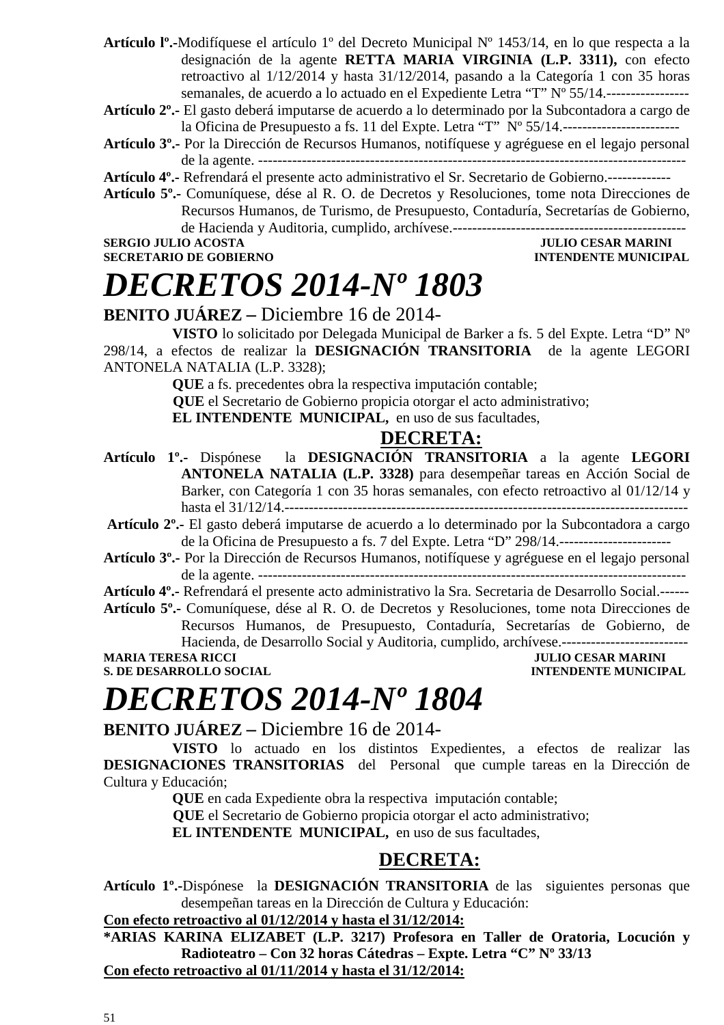- **Artículo lº.-**Modifíquese el artículo 1º del Decreto Municipal Nº 1453/14, en lo que respecta a la designación de la agente **RETTA MARIA VIRGINIA (L.P. 3311),** con efecto retroactivo al 1/12/2014 y hasta 31/12/2014, pasando a la Categoría 1 con 35 horas semanales, de acuerdo a lo actuado en el Expediente Letra "T" Nº 55/14.-----------------
- **Artículo 2º.-** El gasto deberá imputarse de acuerdo a lo determinado por la Subcontadora a cargo de la Oficina de Presupuesto a fs. 11 del Expte. Letra "T" Nº 55/14.------------------------
- **Artículo 3º.-** Por la Dirección de Recursos Humanos, notifíquese y agréguese en el legajo personal de la agente. ----------------------------------------------------------------------------------------
- **Artículo 4º.-** Refrendará el presente acto administrativo el Sr. Secretario de Gobierno.-------------
- **Artículo 5º.-** Comuníquese, dése al R. O. de Decretos y Resoluciones, tome nota Direcciones de Recursos Humanos, de Turismo, de Presupuesto, Contaduría, Secretarías de Gobierno, de Hacienda y Auditoria, cumplido, archívese.------------------------------------------------

**SERGIO JULIO ACOSTA** JULIO ACOSTA JULIO CESAR MARINI **SECRETARIO DE GOBIERNO INTENDENTE MUNICIPAL** 

### *DECRETOS 2014-Nº 1803*

### **BENITO JUÁREZ –** Diciembre 16 de 2014-

**VISTO** lo solicitado por Delegada Municipal de Barker a fs. 5 del Expte. Letra "D" Nº 298/14, a efectos de realizar la **DESIGNACIÓN TRANSITORIA** de la agente LEGORI ANTONELA NATALIA (L.P. 3328);

**QUE** a fs. precedentes obra la respectiva imputación contable;

 **QUE** el Secretario de Gobierno propicia otorgar el acto administrativo;

**EL INTENDENTE MUNICIPAL,** en uso de sus facultades,

### **DECRETA:**

- **Artículo 1º.-** Dispónese la **DESIGNACIÓN TRANSITORIA** a la agente **LEGORI ANTONELA NATALIA (L.P. 3328)** para desempeñar tareas en Acción Social de Barker, con Categoría 1 con 35 horas semanales, con efecto retroactivo al 01/12/14 y hasta el 31/12/14.-----------------------------------------------------------------------------------
- **Artículo 2º.-** El gasto deberá imputarse de acuerdo a lo determinado por la Subcontadora a cargo de la Oficina de Presupuesto a fs. 7 del Expte. Letra "D" 298/14.-----------------------
- **Artículo 3º.-** Por la Dirección de Recursos Humanos, notifíquese y agréguese en el legajo personal de la agente. ----------------------------------------------------------------------------------------

**Artículo 4º.-** Refrendará el presente acto administrativo la Sra. Secretaria de Desarrollo Social.------

**Artículo 5º.-** Comuníquese, dése al R. O. de Decretos y Resoluciones, tome nota Direcciones de Recursos Humanos, de Presupuesto, Contaduría, Secretarías de Gobierno, de Hacienda, de Desarrollo Social y Auditoria, cumplido, archívese.--------------------------

**MARIA TERESA RICCI JULIO CESAR MARINI** 

**S. DE DESARROLLO SOCIAL** *INTENDENTE MUNICIPAL* 

# *DECRETOS 2014-Nº 1804*

### **BENITO JUÁREZ –** Diciembre 16 de 2014-

**VISTO** lo actuado en los distintos Expedientes, a efectos de realizar las **DESIGNACIONES TRANSITORIAS** del Personal que cumple tareas en la Dirección de Cultura y Educación;

**QUE** en cada Expediente obra la respectiva imputación contable;

 **QUE** el Secretario de Gobierno propicia otorgar el acto administrativo;

**EL INTENDENTE MUNICIPAL,** en uso de sus facultades,

### **DECRETA:**

**Artículo 1º.-**Dispónese la **DESIGNACIÓN TRANSITORIA** de las siguientes personas que desempeñan tareas en la Dirección de Cultura y Educación:

#### **Con efecto retroactivo al 01/12/2014 y hasta el 31/12/2014:**

**\*ARIAS KARINA ELIZABET (L.P. 3217) Profesora en Taller de Oratoria, Locución y Radioteatro – Con 32 horas Cátedras – Expte. Letra "C" Nº 33/13 Con efecto retroactivo al 01/11/2014 y hasta el 31/12/2014:**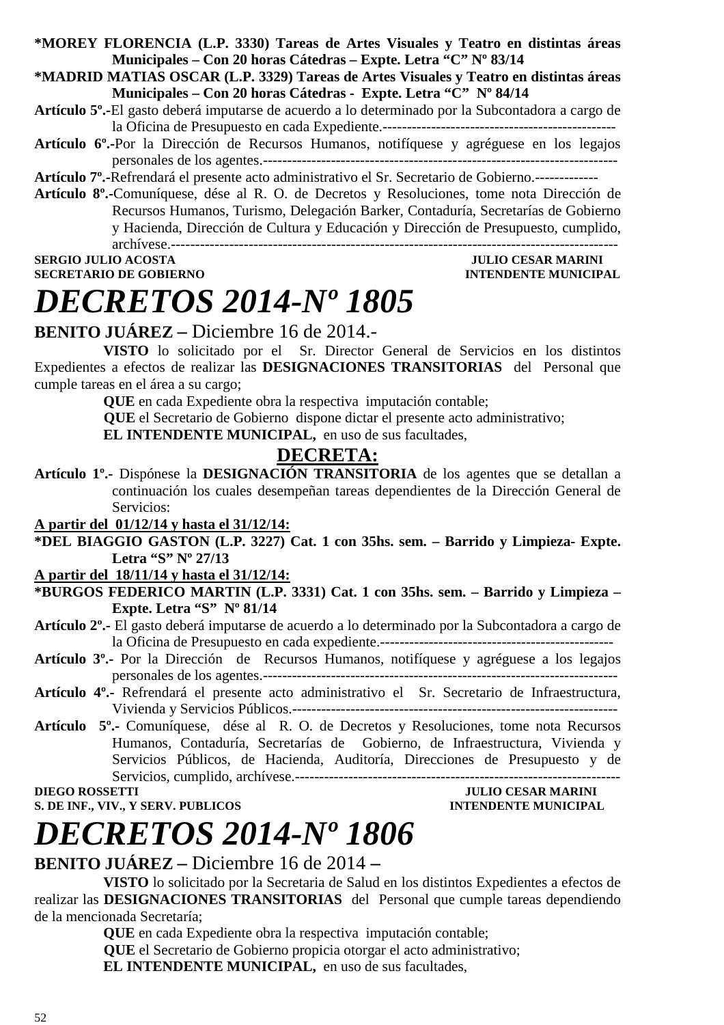**\*MOREY FLORENCIA (L.P. 3330) Tareas de Artes Visuales y Teatro en distintas áreas Municipales – Con 20 horas Cátedras – Expte. Letra "C" Nº 83/14** 

**\*MADRID MATIAS OSCAR (L.P. 3329) Tareas de Artes Visuales y Teatro en distintas áreas Municipales – Con 20 horas Cátedras - Expte. Letra "C" Nº 84/14** 

- **Artículo 5º.-**El gasto deberá imputarse de acuerdo a lo determinado por la Subcontadora a cargo de la Oficina de Presupuesto en cada Expediente.------------------------------------------------
- **Artículo 6º.-**Por la Dirección de Recursos Humanos, notifíquese y agréguese en los legajos personales de los agentes.-------------------------------------------------------------------------

**Artículo 7º.-**Refrendará el presente acto administrativo el Sr. Secretario de Gobierno.-------------

**Artículo 8º.-**Comuníquese, dése al R. O. de Decretos y Resoluciones, tome nota Dirección de Recursos Humanos, Turismo, Delegación Barker, Contaduría, Secretarías de Gobierno y Hacienda, Dirección de Cultura y Educación y Dirección de Presupuesto, cumplido, archívese.--------------------------------------------------------------------------------------------

**SECRETARIO DE GOBIERNO INTENDENTE MUNICIPAL** 

### **JULIO CESAR MARINI**

### *DECRETOS 2014-Nº 1805*

**BENITO JUÁREZ –** Diciembre 16 de 2014.-

**VISTO** lo solicitado por el Sr. Director General de Servicios en los distintos Expedientes a efectos de realizar las **DESIGNACIONES TRANSITORIAS** del Personal que cumple tareas en el área a su cargo;

**QUE** en cada Expediente obra la respectiva imputación contable;

 **QUE** el Secretario de Gobierno dispone dictar el presente acto administrativo;

**EL INTENDENTE MUNICIPAL,** en uso de sus facultades,

### **DECRETA:**

**Artículo 1º.-** Dispónese la **DESIGNACIÓN TRANSITORIA** de los agentes que se detallan a continuación los cuales desempeñan tareas dependientes de la Dirección General de Servicios:

**A partir del 01/12/14 y hasta el 31/12/14:**

**\*DEL BIAGGIO GASTON (L.P. 3227) Cat. 1 con 35hs. sem. – Barrido y Limpieza- Expte. Letra "S" Nº 27/13** 

**A partir del 18/11/14 y hasta el 31/12/14:**

- **\*BURGOS FEDERICO MARTIN (L.P. 3331) Cat. 1 con 35hs. sem. Barrido y Limpieza Expte. Letra "S" Nº 81/14**
- **Artículo 2º.-** El gasto deberá imputarse de acuerdo a lo determinado por la Subcontadora a cargo de la Oficina de Presupuesto en cada expediente.------------------------------------------------
- **Artículo 3º.-** Por la Dirección de Recursos Humanos, notifíquese y agréguese a los legajos personales de los agentes.-------------------------------------------------------------------------
- **Artículo 4º.-** Refrendará el presente acto administrativo el Sr. Secretario de Infraestructura, Vivienda y Servicios Públicos.-------------------------------------------------------------------
- **Artículo 5º.-** Comuníquese, dése al R. O. de Decretos y Resoluciones, tome nota Recursos Humanos, Contaduría, Secretarías de Gobierno, de Infraestructura, Vivienda y Servicios Públicos, de Hacienda, Auditoría, Direcciones de Presupuesto y de Servicios, cumplido, archívese.-------------------------------------------------------------------

**S. DE INF., VIV., Y SERV. PUBLICOS** 

### **DIEGO ROSSETTI JULIO CESAR MARINI**

### *DECRETOS 2014-Nº 1806*

**BENITO JUÁREZ –** Diciembre 16 de 2014 **–** 

**VISTO** lo solicitado por la Secretaria de Salud en los distintos Expedientes a efectos de realizar las **DESIGNACIONES TRANSITORIAS** del Personal que cumple tareas dependiendo de la mencionada Secretaría;

**QUE** en cada Expediente obra la respectiva imputación contable;  **QUE** el Secretario de Gobierno propicia otorgar el acto administrativo; **EL INTENDENTE MUNICIPAL,** en uso de sus facultades,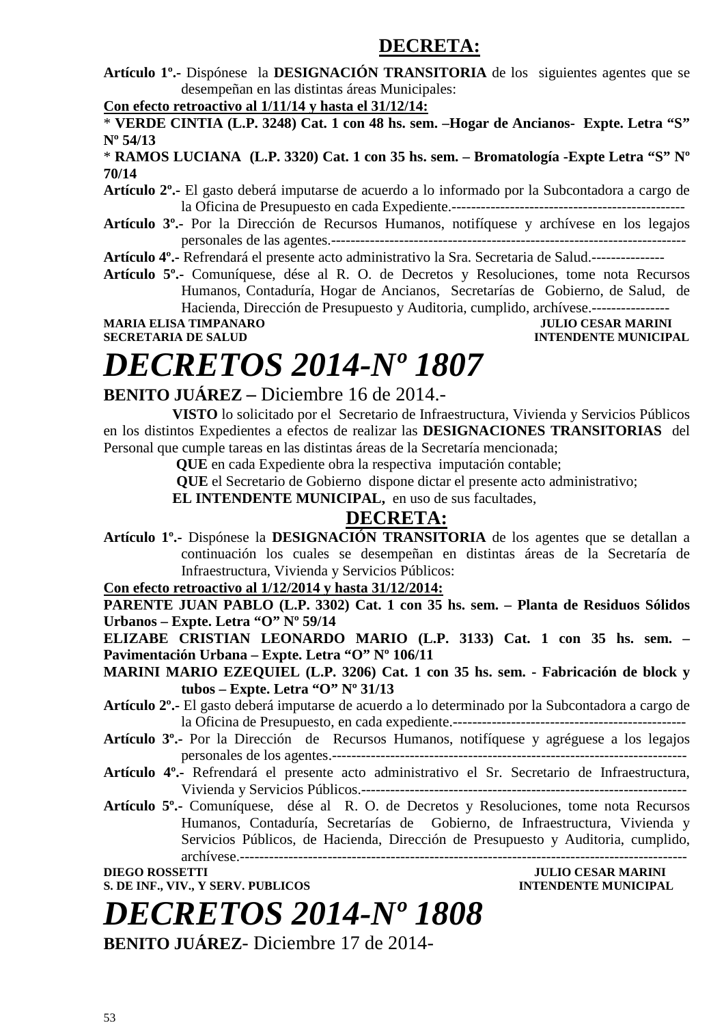### **DECRETA:**

**Artículo 1º.-** Dispónese la **DESIGNACIÓN TRANSITORIA** de los siguientes agentes que se desempeñan en las distintas áreas Municipales:

**Con efecto retroactivo al 1/11/14 y hasta el 31/12/14:**

\* **VERDE CINTIA (L.P. 3248) Cat. 1 con 48 hs. sem. –Hogar de Ancianos- Expte. Letra "S" Nº 54/13** 

\* **RAMOS LUCIANA (L.P. 3320) Cat. 1 con 35 hs. sem. – Bromatología -Expte Letra "S" Nº 70/14** 

- **Artículo 2º.-** El gasto deberá imputarse de acuerdo a lo informado por la Subcontadora a cargo de la Oficina de Presupuesto en cada Expediente.------------------------------------------------
- **Artículo 3º.-** Por la Dirección de Recursos Humanos, notifíquese y archívese en los legajos personales de las agentes.-------------------------------------------------------------------------

**Artículo 4º.-** Refrendará el presente acto administrativo la Sra. Secretaria de Salud.---------------

**Artículo 5º.-** Comuníquese, dése al R. O. de Decretos y Resoluciones, tome nota Recursos Humanos, Contaduría, Hogar de Ancianos, Secretarías de Gobierno, de Salud, de Hacienda, Dirección de Presupuesto y Auditoria, cumplido, archívese.----------------

**MARIA ELISA TIMPANARO JULIO CESAR MARINI** 

**SECRETARIA DE SALUD INTENDENTE MUNICIPAL** 

### *DECRETOS 2014-Nº 1807*

### **BENITO JUÁREZ –** Diciembre 16 de 2014.-

**VISTO** lo solicitado por el Secretario de Infraestructura, Vivienda y Servicios Públicos en los distintos Expedientes a efectos de realizar las **DESIGNACIONES TRANSITORIAS** del Personal que cumple tareas en las distintas áreas de la Secretaría mencionada;

 **QUE** en cada Expediente obra la respectiva imputación contable;

 **QUE** el Secretario de Gobierno dispone dictar el presente acto administrativo;

**EL INTENDENTE MUNICIPAL,** en uso de sus facultades,

### **DECRETA:**

**Artículo 1º.-** Dispónese la **DESIGNACIÓN TRANSITORIA** de los agentes que se detallan a continuación los cuales se desempeñan en distintas áreas de la Secretaría de Infraestructura, Vivienda y Servicios Públicos:

#### **Con efecto retroactivo al 1/12/2014 y hasta 31/12/2014:**

**PARENTE JUAN PABLO (L.P. 3302) Cat. 1 con 35 hs. sem. – Planta de Residuos Sólidos Urbanos – Expte. Letra "O" Nº 59/14** 

**ELIZABE CRISTIAN LEONARDO MARIO (L.P. 3133) Cat. 1 con 35 hs. sem. – Pavimentación Urbana – Expte. Letra "O" Nº 106/11** 

**MARINI MARIO EZEQUIEL (L.P. 3206) Cat. 1 con 35 hs. sem. - Fabricación de block y tubos – Expte. Letra "O" Nº 31/13** 

- **Artículo 2º.-** El gasto deberá imputarse de acuerdo a lo determinado por la Subcontadora a cargo de la Oficina de Presupuesto, en cada expediente.------------------------------------------------
- **Artículo 3º.-** Por la Dirección de Recursos Humanos, notifíquese y agréguese a los legajos personales de los agentes.-------------------------------------------------------------------------
- **Artículo 4º.-** Refrendará el presente acto administrativo el Sr. Secretario de Infraestructura, Vivienda y Servicios Públicos.-------------------------------------------------------------------

**Artículo 5º.-** Comuníquese, dése al R. O. de Decretos y Resoluciones, tome nota Recursos Humanos, Contaduría, Secretarías de Gobierno, de Infraestructura, Vivienda y Servicios Públicos, de Hacienda, Dirección de Presupuesto y Auditoria, cumplido, archívese.--------------------------------------------------------------------------------------------

**S. DE INF., VIV., Y SERV. PUBLICOS INTENDENTE MUNICIPAL**

**DIEGO ROSSETTI JULIO CESAR MARINI** 

*DECRETOS 2014-Nº 1808*

**BENITO JUÁREZ**- Diciembre 17 de 2014-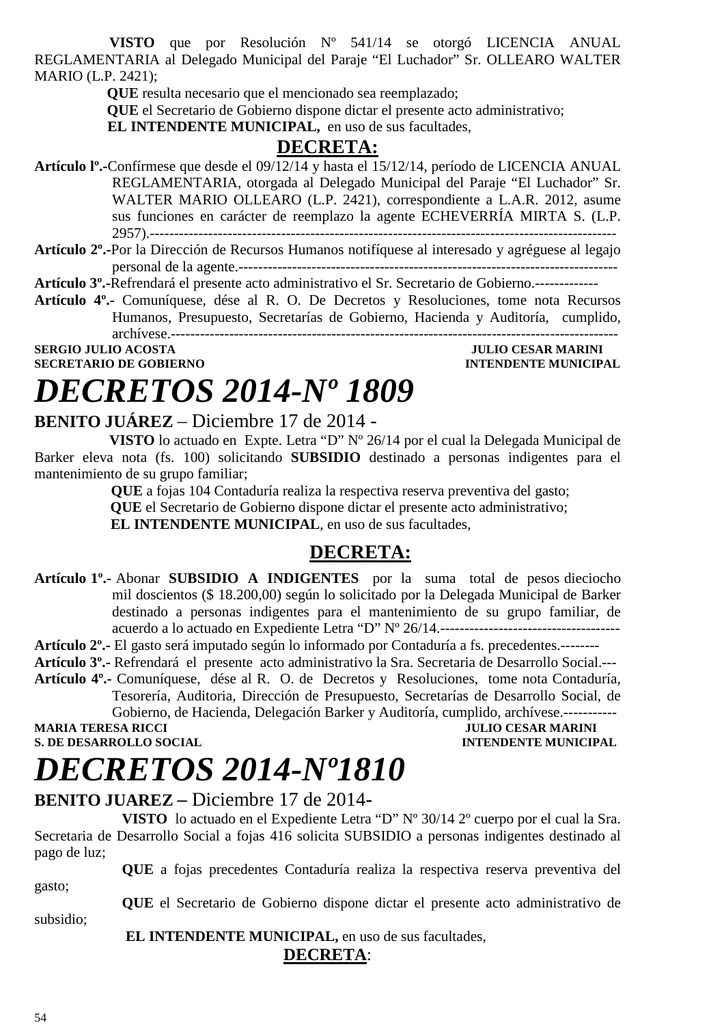**VISTO** que por Resolución Nº 541/14 se otorgó LICENCIA ANUAL REGLAMENTARIA al Delegado Municipal del Paraje "El Luchador" Sr. OLLEARO WALTER MARIO (L.P. 2421);

 **QUE** resulta necesario que el mencionado sea reemplazado;

 **QUE** el Secretario de Gobierno dispone dictar el presente acto administrativo;

**EL INTENDENTE MUNICIPAL,** en uso de sus facultades,

### **DECRETA:**

**Artículo lº.-**Confírmese que desde el 09/12/14 y hasta el 15/12/14, período de LICENCIA ANUAL REGLAMENTARIA, otorgada al Delegado Municipal del Paraje "El Luchador" Sr. WALTER MARIO OLLEARO (L.P. 2421), correspondiente a L.A.R. 2012, asume sus funciones en carácter de reemplazo la agente ECHEVERRÍA MIRTA S. (L.P. 2957).------------------------------------------------------------------------------------------------

**Artículo 2º.-**Por la Dirección de Recursos Humanos notifíquese al interesado y agréguese al legajo personal de la agente.------------------------------------------------------------------------------

**Artículo 3º.-**Refrendará el presente acto administrativo el Sr. Secretario de Gobierno.-------------

**Artículo 4º.-** Comuníquese, dése al R. O. De Decretos y Resoluciones, tome nota Recursos Humanos, Presupuesto, Secretarías de Gobierno, Hacienda y Auditoría, cumplido, archívese.--------------------------------------------------------------------------------------------

**SERGIO JULIO ACOSTA JULIO ACOSTA JULIO CESAR MARINI SECRETARIO DE GOBIERNO INTENDENTE MUNICIPAL** 

# *DECRETOS 2014-Nº 1809*

### **BENITO JUÁREZ** – Diciembre 17 de 2014 -

 **VISTO** lo actuado en Expte. Letra "D" Nº 26/14 por el cual la Delegada Municipal de Barker eleva nota (fs. 100) solicitando **SUBSIDIO** destinado a personas indigentes para el mantenimiento de su grupo familiar;

 **QUE** a fojas 104 Contaduría realiza la respectiva reserva preventiva del gasto;  **QUE** el Secretario de Gobierno dispone dictar el presente acto administrativo;  **EL INTENDENTE MUNICIPAL**, en uso de sus facultades,

### **DECRETA:**

- **Artículo 1º.-** Abonar **SUBSIDIO A INDIGENTES** por la suma total de pesos dieciocho mil doscientos (\$ 18.200,00) según lo solicitado por la Delegada Municipal de Barker destinado a personas indigentes para el mantenimiento de su grupo familiar, de acuerdo a lo actuado en Expediente Letra "D" Nº 26/14.-------------------------------------
- **Artículo 2º.-** El gasto será imputado según lo informado por Contaduría a fs. precedentes.--------
- **Artículo 3º.-** Refrendará el presente acto administrativo la Sra. Secretaria de Desarrollo Social.---
- **Artículo 4º.-** Comuníquese, dése al R. O. de Decretos y Resoluciones, tome nota Contaduría, Tesorería, Auditoria, Dirección de Presupuesto, Secretarías de Desarrollo Social, de

Gobierno, de Hacienda, Delegación Barker y Auditoría, cumplido, archívese.------------<br>MARIA TERESA RICCI

**S. DE DESARROLLO SOCIAL DESPETTE MUNICIPAL AND SOCIAL DESARROLLO SOCIAL DESARROLLO SOCIAL DESARROLLO SOCIAL DESARROLLO SOCIAL DESARROLLO SOCIAL DE SOCIAL DE SOCIAL DE SOCIAL DE SOCIAL DE SOCIAL DE SOCIAL DE SOCIAL DE SOCI** 

**MULIO CESAR MARINI** 

## *DECRETOS 2014-Nº1810*

### **BENITO JUAREZ –** Diciembre 17 de 2014**-**

**VISTO** lo actuado en el Expediente Letra "D" Nº 30/14 2º cuerpo por el cual la Sra. Secretaria de Desarrollo Social a fojas 416 solicita SUBSIDIO a personas indigentes destinado al pago de luz;

**QUE** a fojas precedentes Contaduría realiza la respectiva reserva preventiva del gasto;

**QUE** el Secretario de Gobierno dispone dictar el presente acto administrativo de subsidio;

 **EL INTENDENTE MUNICIPAL,** en uso de sus facultades,

#### **DECRETA**: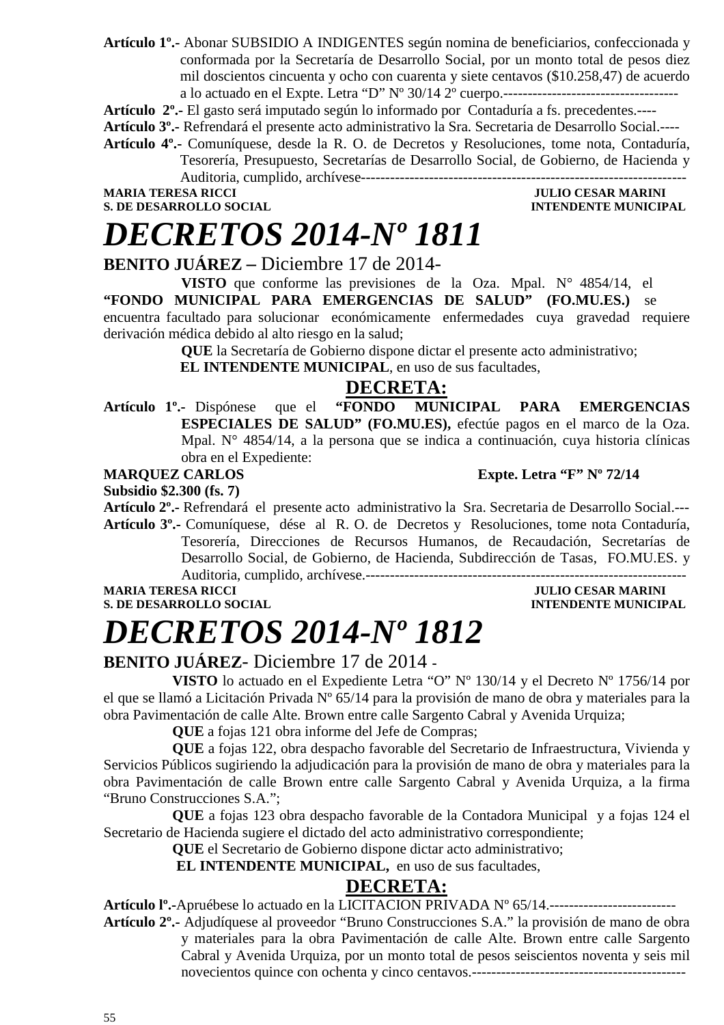**Artículo 1º.-** Abonar SUBSIDIO A INDIGENTES según nomina de beneficiarios, confeccionada y conformada por la Secretaría de Desarrollo Social, por un monto total de pesos diez mil doscientos cincuenta y ocho con cuarenta y siete centavos (\$10.258,47) de acuerdo a lo actuado en el Expte. Letra "D" Nº 30/14 2º cuerpo.------------------------------------

**Artículo 2º.-** El gasto será imputado según lo informado por Contaduría a fs. precedentes.----

**Artículo 3º.-** Refrendará el presente acto administrativo la Sra. Secretaria de Desarrollo Social.----

**Artículo 4º.-** Comuníquese, desde la R. O. de Decretos y Resoluciones, tome nota, Contaduría, Tesorería, Presupuesto, Secretarías de Desarrollo Social, de Gobierno, de Hacienda y

Auditoria, cumplido, archívese-------------------------------------------------------------------

**MARIA TERESA RICCI SULLO CESAR MARINI S. DE DESARROLLO SOCIAL SULLO CESAR MARINI DESARROLLO SOCIAL S. DE DESARROLLO SOCIAL** 

### *DECRETOS 2014-Nº 1811*

#### **BENITO JUÁREZ –** Diciembre 17 de 2014-

**VISTO** que conforme las previsiones de la Oza. Mpal. N° 4854/14, el **"FONDO MUNICIPAL PARA EMERGENCIAS DE SALUD" (FO.MU.ES.)** se encuentra facultado para solucionar económicamente enfermedades cuya gravedad requiere derivación médica debido al alto riesgo en la salud;

**QUE** la Secretaría de Gobierno dispone dictar el presente acto administrativo;

**EL INTENDENTE MUNICIPAL**, en uso de sus facultades,

#### **DECRETA:**

**Artículo 1º.-** Dispónese que el **"FONDO MUNICIPAL PARA EMERGENCIAS ESPECIALES DE SALUD" (FO.MU.ES),** efectúe pagos en el marco de la Oza. Mpal. N° 4854/14, a la persona que se indica a continuación, cuya historia clínicas obra en el Expediente:

**MARQUEZ CARLOS Expte. Letra "F" Nº 72/14** 

**Subsidio \$2.300 (fs. 7)** 

**Artículo 2º.-** Refrendará el presente acto administrativo la Sra. Secretaria de Desarrollo Social.--- **Artículo 3º.-** Comuníquese, dése al R. O. de Decretos y Resoluciones, tome nota Contaduría, Tesorería, Direcciones de Recursos Humanos, de Recaudación, Secretarías de Desarrollo Social, de Gobierno, de Hacienda, Subdirección de Tasas, FO.MU.ES. y Auditoria, cumplido, archívese.------------------------------------------------------------------

**S. DE DESARROLLO SOCIAL DESPESSION INTENDENTE MUNICIPAL** 

### **JULIO CESAR MARINI**

### *DECRETOS 2014-Nº 1812*

### **BENITO JUÁREZ**- Diciembre 17 de 2014 **-**

**VISTO** lo actuado en el Expediente Letra "O" Nº 130/14 y el Decreto Nº 1756/14 por el que se llamó a Licitación Privada Nº 65/14 para la provisión de mano de obra y materiales para la obra Pavimentación de calle Alte. Brown entre calle Sargento Cabral y Avenida Urquiza;

**QUE** a fojas 121 obra informe del Jefe de Compras;

**QUE** a fojas 122, obra despacho favorable del Secretario de Infraestructura, Vivienda y Servicios Públicos sugiriendo la adjudicación para la provisión de mano de obra y materiales para la obra Pavimentación de calle Brown entre calle Sargento Cabral y Avenida Urquiza, a la firma "Bruno Construcciones S.A.";

**QUE** a fojas 123 obra despacho favorable de la Contadora Municipal y a fojas 124 el Secretario de Hacienda sugiere el dictado del acto administrativo correspondiente;

**QUE** el Secretario de Gobierno dispone dictar acto administrativo;

**EL INTENDENTE MUNICIPAL,** en uso de sus facultades,

### **DECRETA:**

**Artículo lº.-**Apruébese lo actuado en la LICITACION PRIVADA Nº 65/14.--------------------------

**Artículo 2º.-** Adjudíquese al proveedor "Bruno Construcciones S.A." la provisión de mano de obra y materiales para la obra Pavimentación de calle Alte. Brown entre calle Sargento Cabral y Avenida Urquiza, por un monto total de pesos seiscientos noventa y seis mil novecientos quince con ochenta y cinco centavos.--------------------------------------------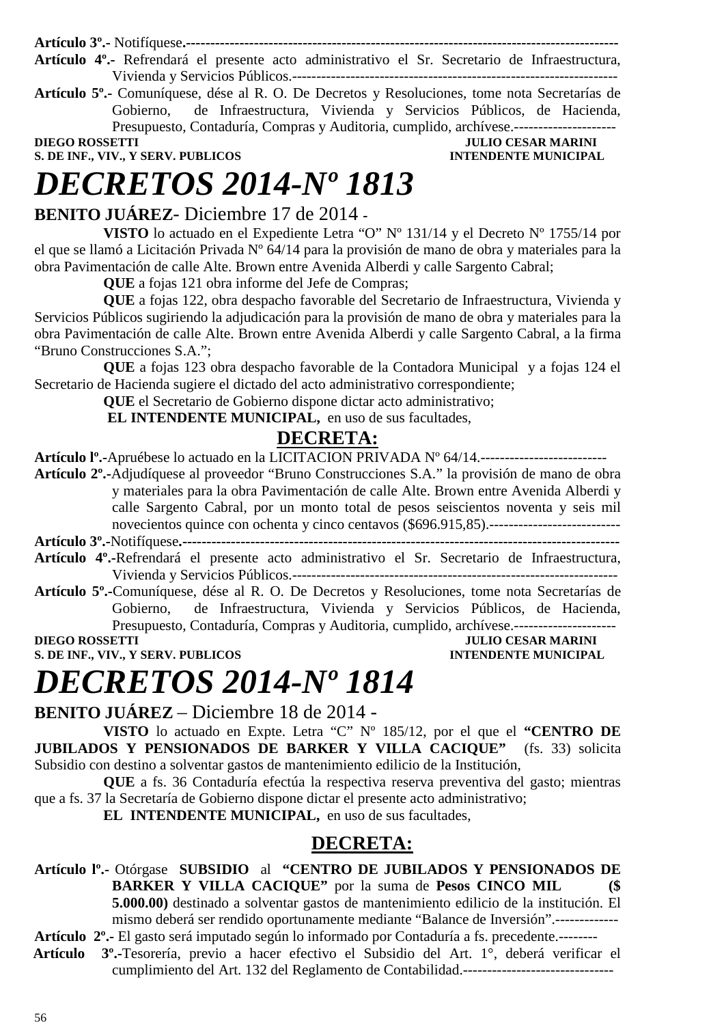**Artículo 3º.-** Notifíquese**.-----------------------------------------------------------------------------------------** 

**Artículo 4º.-** Refrendará el presente acto administrativo el Sr. Secretario de Infraestructura, Vivienda y Servicios Públicos.-------------------------------------------------------------------

**Artículo 5º.-** Comuníquese, dése al R. O. De Decretos y Resoluciones, tome nota Secretarías de Gobierno, de Infraestructura, Vivienda y Servicios Públicos, de Hacienda, Presupuesto, Contaduría, Compras y Auditoria, cumplido, archívese.----------------------

**S. DE INF., VIV., Y SERV. PUBLICOS** 

**DIEGO ROSSETTI JULIO CESAR MARINI** 

### *DECRETOS 2014-Nº 1813*

### **BENITO JUÁREZ**- Diciembre 17 de 2014 **-**

**VISTO** lo actuado en el Expediente Letra "O" Nº 131/14 y el Decreto Nº 1755/14 por el que se llamó a Licitación Privada Nº 64/14 para la provisión de mano de obra y materiales para la obra Pavimentación de calle Alte. Brown entre Avenida Alberdi y calle Sargento Cabral;

**QUE** a fojas 121 obra informe del Jefe de Compras;

**QUE** a fojas 122, obra despacho favorable del Secretario de Infraestructura, Vivienda y Servicios Públicos sugiriendo la adjudicación para la provisión de mano de obra y materiales para la obra Pavimentación de calle Alte. Brown entre Avenida Alberdi y calle Sargento Cabral, a la firma "Bruno Construcciones S.A.";

**QUE** a fojas 123 obra despacho favorable de la Contadora Municipal y a fojas 124 el Secretario de Hacienda sugiere el dictado del acto administrativo correspondiente;

**QUE** el Secretario de Gobierno dispone dictar acto administrativo;

**EL INTENDENTE MUNICIPAL,** en uso de sus facultades,

### **DECRETA:**

**Artículo lº.-**Apruébese lo actuado en la LICITACION PRIVADA Nº 64/14.--------------------------

- **Artículo 2º.-**Adjudíquese al proveedor "Bruno Construcciones S.A." la provisión de mano de obra y materiales para la obra Pavimentación de calle Alte. Brown entre Avenida Alberdi y calle Sargento Cabral, por un monto total de pesos seiscientos noventa y seis mil novecientos quince con ochenta y cinco centavos (\$696.915,85).---------------------------
- **Artículo 3º.-**Notifíquese**.------------------------------------------------------------------------------------------**
- **Artículo 4º.-**Refrendará el presente acto administrativo el Sr. Secretario de Infraestructura, Vivienda y Servicios Públicos.-------------------------------------------------------------------
- **Artículo 5º.-**Comuníquese, dése al R. O. De Decretos y Resoluciones, tome nota Secretarías de Gobierno, de Infraestructura, Vivienda y Servicios Públicos, de Hacienda, Presupuesto, Contaduría, Compras y Auditoria, cumplido, archívese.---------------------

**DIEGO ROSSETTI DIEGO ROSSETTI DIEGO POSSETTI DIEGO ROSSETTI DIEGO POSSETTI DIEGO POSSETTI DIEGO POSSETTI DIEGO POSSETTI DIE SULLE DIE SULLE DIE SULLE DIE SULLE DIE SULLE DIE SULLE DIE SULLE DIE SULLE DIE SULLE DIE SULLE D S. DE INF., VIV., Y SERV. PUBLICOS INTENDENTE MUNICIPAL** 

### *DECRETOS 2014-Nº 1814*

**BENITO JUÁREZ** – Diciembre 18 de 2014 -

**VISTO** lo actuado en Expte. Letra "C" Nº 185/12, por el que el **"CENTRO DE JUBILADOS Y PENSIONADOS DE BARKER Y VILLA CACIQUE"** (fs. 33) solicita Subsidio con destino a solventar gastos de mantenimiento edilicio de la Institución,

**QUE** a fs. 36 Contaduría efectúa la respectiva reserva preventiva del gasto; mientras que a fs. 37 la Secretaría de Gobierno dispone dictar el presente acto administrativo;

**EL INTENDENTE MUNICIPAL,** en uso de sus facultades,

### **DECRETA:**

**Artículo lº.-** Otórgase **SUBSIDIO** al **"CENTRO DE JUBILADOS Y PENSIONADOS DE BARKER Y VILLA CACIQUE"** por la suma de **Pesos CINCO MIL (\$ 5.000.00)** destinado a solventar gastos de mantenimiento edilicio de la institución. El mismo deberá ser rendido oportunamente mediante "Balance de Inversión".------------- **Artículo 2º.-** El gasto será imputado según lo informado por Contaduría a fs. precedente.--------

 **Artículo 3º.-**Tesorería, previo a hacer efectivo el Subsidio del Art. 1°, deberá verificar el cumplimiento del Art. 132 del Reglamento de Contabilidad.-------------------------------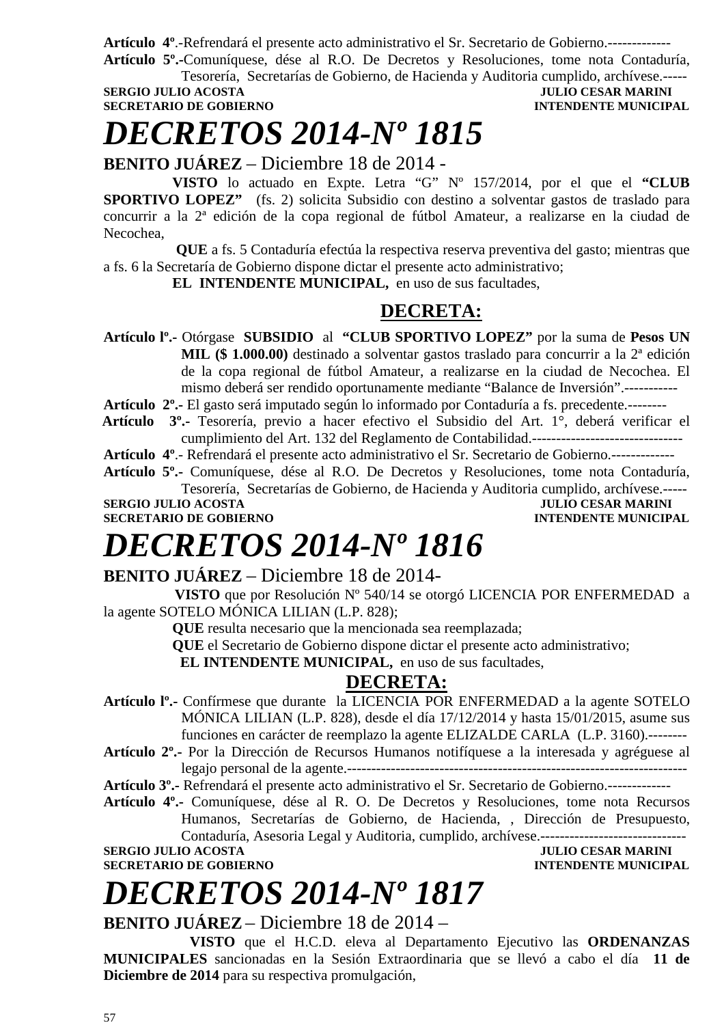**Artículo 4º**.-Refrendará el presente acto administrativo el Sr. Secretario de Gobierno.------------- **Artículo 5º.-**Comuníquese, dése al R.O. De Decretos y Resoluciones, tome nota Contaduría,

Tesorería, Secretarías de Gobierno, de Hacienda y Auditoria cumplido, archívese.----- **JULIO CESAR MARINI** 

**SECRETARIO DE GOBIERNO INTENDENTE MUNICIPAL** 

# *DECRETOS 2014-Nº 1815*

**BENITO JUÁREZ** – Diciembre 18 de 2014 -

**VISTO** lo actuado en Expte. Letra "G" Nº 157/2014, por el que el **"CLUB SPORTIVO LOPEZ"** (fs. 2) solicita Subsidio con destino a solventar gastos de traslado para concurrir a la 2ª edición de la copa regional de fútbol Amateur, a realizarse en la ciudad de Necochea,

 **QUE** a fs. 5 Contaduría efectúa la respectiva reserva preventiva del gasto; mientras que a fs. 6 la Secretaría de Gobierno dispone dictar el presente acto administrativo;

**EL INTENDENTE MUNICIPAL,** en uso de sus facultades,

### **DECRETA:**

**Artículo lº.-** Otórgase **SUBSIDIO** al **"CLUB SPORTIVO LOPEZ"** por la suma de **Pesos UN MIL (\$ 1.000.00)** destinado a solventar gastos traslado para concurrir a la 2ª edición de la copa regional de fútbol Amateur, a realizarse en la ciudad de Necochea. El mismo deberá ser rendido oportunamente mediante "Balance de Inversión".-----------

**Artículo 2º.-** El gasto será imputado según lo informado por Contaduría a fs. precedente.--------

 **Artículo 3º.-** Tesorería, previo a hacer efectivo el Subsidio del Art. 1°, deberá verificar el cumplimiento del Art. 132 del Reglamento de Contabilidad.-------------------------------

**Artículo 4º**.- Refrendará el presente acto administrativo el Sr. Secretario de Gobierno.-------------

**Artículo 5º.-** Comuníquese, dése al R.O. De Decretos y Resoluciones, tome nota Contaduría,

Tesorería, Secretarías de Gobierno, de Hacienda y Auditoria cumplido, archívese.----- **SERGIO JULIO ACOSTA DE CONSUMERED DE CONSUMERED ANOTHER SECRETARIO DE GOBIERNO DE SOBRETARIO DE SOBRETARIO DE SOBRETARIO DE SOBRETARIO DE SOBRETARIO DE SOBRETARIO DE SOBRETARIO DE SOBRETARIO DE SOBRETARIO DE SOBRETARIO DE SECRETARIO DE GOBIERNO** 

### *DECRETOS 2014-Nº 1816*

### **BENITO JUÁREZ** – Diciembre 18 de 2014-

 **VISTO** que por Resolución Nº 540/14 se otorgó LICENCIA POR ENFERMEDAD a la agente SOTELO MÓNICA LILIAN (L.P. 828);

**QUE** resulta necesario que la mencionada sea reemplazada;

**QUE** el Secretario de Gobierno dispone dictar el presente acto administrativo;

**EL INTENDENTE MUNICIPAL,** en uso de sus facultades,

### **DECRETA:**

- **Artículo lº.-** Confírmese que durante la LICENCIA POR ENFERMEDAD a la agente SOTELO MÓNICA LILIAN (L.P. 828), desde el día 17/12/2014 y hasta 15/01/2015, asume sus funciones en carácter de reemplazo la agente ELIZALDE CARLA (L.P. 3160).--------
- **Artículo 2º.-** Por la Dirección de Recursos Humanos notifíquese a la interesada y agréguese al legajo personal de la agente.----------------------------------------------------------------------

**Artículo 3º.-** Refrendará el presente acto administrativo el Sr. Secretario de Gobierno.-------------

**Artículo 4º.-** Comuníquese, dése al R. O. De Decretos y Resoluciones, tome nota Recursos Humanos, Secretarías de Gobierno, de Hacienda, , Dirección de Presupuesto, Contaduría, Asesoria Legal y Auditoria, cumplido, archívese.------------------------------

**SERGIO JULIO ACOSTA JULIO CESAR MARINI** 

**INTENDENTE MUNICIPAL** 

# *DECRETOS 2014-Nº 1817*

**BENITO JUÁREZ** – Diciembre 18 de 2014 –

**VISTO** que el H.C.D. eleva al Departamento Ejecutivo las **ORDENANZAS MUNICIPALES** sancionadas en la Sesión Extraordinaria que se llevó a cabo el día **11 de Diciembre de 2014** para su respectiva promulgación,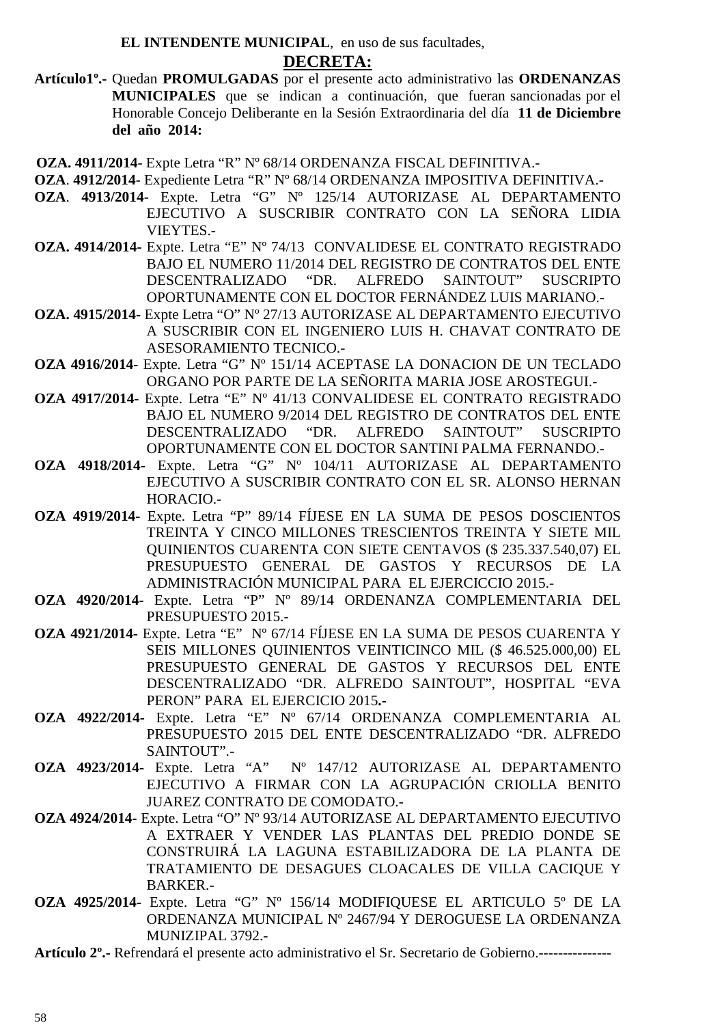**EL INTENDENTE MUNICIPAL**, en uso de sus facultades,

#### **DECRETA:**

**Artículo1º.-** Quedan **PROMULGADAS** por el presente acto administrativo las **ORDENANZAS MUNICIPALES** que se indican a continuación, que fueran sancionadas por el Honorable Concejo Deliberante en la Sesión Extraordinaria del día **11 de Diciembre del año 2014:** 

 **OZA. 4911/2014**- Expte Letra "R" Nº 68/14 ORDENANZA FISCAL DEFINITIVA.-

- **OZA**. **4912/2014** Expediente Letra "R" Nº 68/14 ORDENANZA IMPOSITIVA DEFINITIVA.-
- **OZA**. **4913/2014** Expte. Letra "G" Nº 125/14 AUTORIZASE AL DEPARTAMENTO EJECUTIVO A SUSCRIBIR CONTRATO CON LA SEÑORA LIDIA VIEYTES.-
- **OZA. 4914/2014-** Expte. Letra "E" Nº 74/13 CONVALIDESE EL CONTRATO REGISTRADO BAJO EL NUMERO 11/2014 DEL REGISTRO DE CONTRATOS DEL ENTE DESCENTRALIZADO "DR. ALFREDO SAINTOUT" SUSCRIPTO DESCENTRALIZADO "DR. ALFREDO SAINTOUT" SUSCRIPTO OPORTUNAMENTE CON EL DOCTOR FERNÁNDEZ LUIS MARIANO.-
- **OZA. 4915/2014-** Expte Letra "O" Nº 27/13 AUTORIZASE AL DEPARTAMENTO EJECUTIVO A SUSCRIBIR CON EL INGENIERO LUIS H. CHAVAT CONTRATO DE ASESORAMIENTO TECNICO.-
- **OZA 4916/2014-** Expte. Letra "G" Nº 151/14 ACEPTASE LA DONACION DE UN TECLADO ORGANO POR PARTE DE LA SEÑORITA MARIA JOSE AROSTEGUI.-
- **OZA 4917/2014-** Expte. Letra "E" Nº 41/13 CONVALIDESE EL CONTRATO REGISTRADO BAJO EL NUMERO 9/2014 DEL REGISTRO DE CONTRATOS DEL ENTE DESCENTRALIZADO "DR. ALFREDO SAINTOUT" SUSCRIPTO OPORTUNAMENTE CON EL DOCTOR SANTINI PALMA FERNANDO.-
- **OZA 4918/2014-** Expte. Letra "G" Nº 104/11 AUTORIZASE AL DEPARTAMENTO EJECUTIVO A SUSCRIBIR CONTRATO CON EL SR. ALONSO HERNAN HORACIO.-
- **OZA 4919/2014-** Expte. Letra "P" 89/14 FÍJESE EN LA SUMA DE PESOS DOSCIENTOS TREINTA Y CINCO MILLONES TRESCIENTOS TREINTA Y SIETE MIL QUINIENTOS CUARENTA CON SIETE CENTAVOS (\$ 235.337.540,07) EL PRESUPUESTO GENERAL DE GASTOS Y RECURSOS DE LA ADMINISTRACIÓN MUNICIPAL PARA EL EJERCICCIO 2015.-
- **OZA 4920/2014-** Expte. Letra "P" Nº 89/14 ORDENANZA COMPLEMENTARIA DEL PRESUPUESTO 2015.-
- **OZA 4921/2014-** Expte. Letra "E" Nº 67/14 FÍJESE EN LA SUMA DE PESOS CUARENTA Y SEIS MILLONES QUINIENTOS VEINTICINCO MIL (\$ 46.525.000,00) EL PRESUPUESTO GENERAL DE GASTOS Y RECURSOS DEL ENTE DESCENTRALIZADO "DR. ALFREDO SAINTOUT", HOSPITAL "EVA PERON" PARA EL EJERCICIO 2015**.-**
- **OZA 4922/2014-** Expte. Letra "E" Nº 67/14 ORDENANZA COMPLEMENTARIA AL PRESUPUESTO 2015 DEL ENTE DESCENTRALIZADO "DR. ALFREDO SAINTOUT".-
- **OZA 4923/2014-** Expte. Letra "A" Nº 147/12 AUTORIZASE AL DEPARTAMENTO EJECUTIVO A FIRMAR CON LA AGRUPACIÓN CRIOLLA BENITO JUAREZ CONTRATO DE COMODATO.-
- **OZA 4924/2014-** Expte. Letra "O" Nº 93/14 AUTORIZASE AL DEPARTAMENTO EJECUTIVO A EXTRAER Y VENDER LAS PLANTAS DEL PREDIO DONDE SE CONSTRUIRÁ LA LAGUNA ESTABILIZADORA DE LA PLANTA DE TRATAMIENTO DE DESAGUES CLOACALES DE VILLA CACIQUE Y BARKER.-
- **OZA 4925/2014-** Expte. Letra "G" Nº 156/14 MODIFIQUESE EL ARTICULO 5º DE LA ORDENANZA MUNICIPAL Nº 2467/94 Y DEROGUESE LA ORDENANZA MUNIZIPAL 3792.-

**Artículo 2º.-** Refrendará el presente acto administrativo el Sr. Secretario de Gobierno.---------------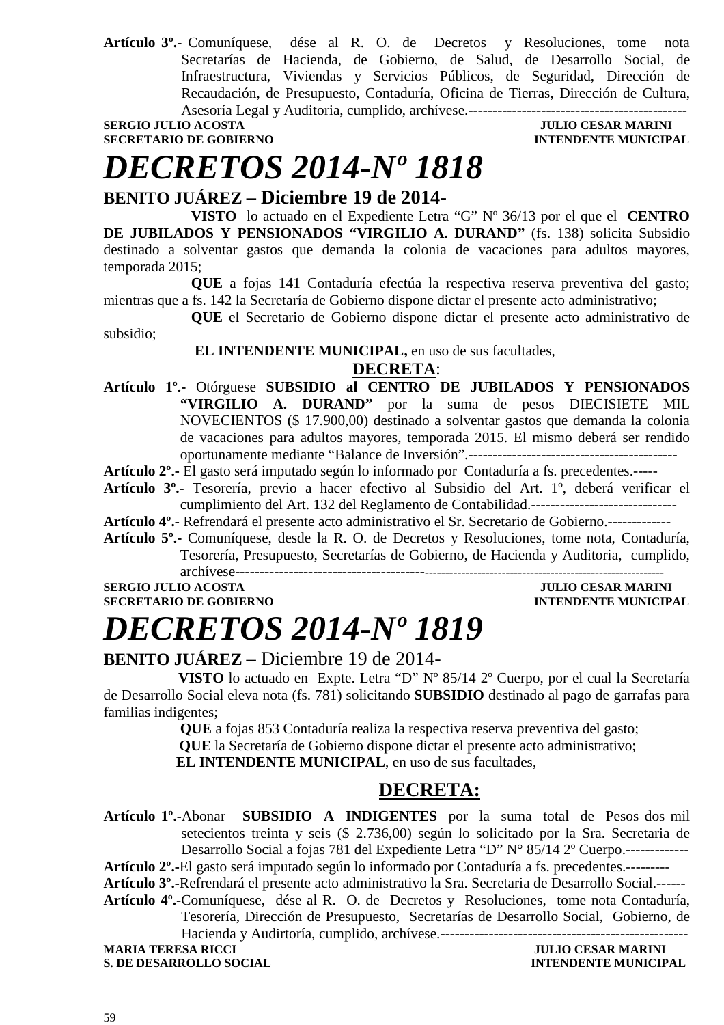**Artículo 3º.-** Comuníquese, dése al R. O. de Decretos y Resoluciones, tome nota Secretarías de Hacienda, de Gobierno, de Salud, de Desarrollo Social, de Infraestructura, Viviendas y Servicios Públicos, de Seguridad, Dirección de Recaudación, de Presupuesto, Contaduría, Oficina de Tierras, Dirección de Cultura, Asesoría Legal y Auditoria, cumplido, archívese.---------------------------------------------

**SERGIO JULIO ACOSTA DE CONSUMERED ACOSTA DE CONSUMERED ACOSTA DE CONSUMERED ACOSTA DE CONSUMERED ACOSTA DE CONSUMERED ACOSTA DE CONSUMERED ACOSTA DE CONSUMERED ACOSTA DE CONSUMERED ACOSTA DE CONSUMERED ACOSTA DE CONSUMERE SECRETARIO DE GOBIERNO** 

### *DECRETOS 2014-Nº 1818*

### **BENITO JUÁREZ – Diciembre 19 de 2014-**

**VISTO** lo actuado en el Expediente Letra "G" Nº 36/13 por el que el **CENTRO DE JUBILADOS Y PENSIONADOS "VIRGILIO A. DURAND"** (fs. 138) solicita Subsidio destinado a solventar gastos que demanda la colonia de vacaciones para adultos mayores, temporada 2015;

**QUE** a fojas 141 Contaduría efectúa la respectiva reserva preventiva del gasto; mientras que a fs. 142 la Secretaría de Gobierno dispone dictar el presente acto administrativo;

**QUE** el Secretario de Gobierno dispone dictar el presente acto administrativo de subsidio;

 **EL INTENDENTE MUNICIPAL,** en uso de sus facultades,

#### **DECRETA**:

**Artículo 1º.-** Otórguese **SUBSIDIO al CENTRO DE JUBILADOS Y PENSIONADOS "VIRGILIO A. DURAND"** por la suma de pesos DIECISIETE MIL NOVECIENTOS (\$ 17.900,00) destinado a solventar gastos que demanda la colonia de vacaciones para adultos mayores, temporada 2015. El mismo deberá ser rendido oportunamente mediante "Balance de Inversión".-------------------------------------------

**Artículo 2º.-** El gasto será imputado según lo informado por Contaduría a fs. precedentes.-----

- **Artículo 3º.-** Tesorería, previo a hacer efectivo al Subsidio del Art. 1º, deberá verificar el cumplimiento del Art. 132 del Reglamento de Contabilidad.------------------------------
- **Artículo 4º.-** Refrendará el presente acto administrativo el Sr. Secretario de Gobierno.-------------
- **Artículo 5º.-** Comuníquese, desde la R. O. de Decretos y Resoluciones, tome nota, Contaduría, Tesorería, Presupuesto, Secretarías de Gobierno, de Hacienda y Auditoria, cumplido, archívese---

**SERGIO JULIO ACOSTA JULIO CESAR MARINI SECRETARIO DE GOBIERNO INTENDENTE MUNICIPAL** 

### *DECRETOS 2014-Nº 1819*

### **BENITO JUÁREZ** – Diciembre 19 de 2014-

 **VISTO** lo actuado en Expte. Letra "D" Nº 85/14 2º Cuerpo, por el cual la Secretaría de Desarrollo Social eleva nota (fs. 781) solicitando **SUBSIDIO** destinado al pago de garrafas para familias indigentes;

 **QUE** a fojas 853 Contaduría realiza la respectiva reserva preventiva del gasto;

 **QUE** la Secretaría de Gobierno dispone dictar el presente acto administrativo;

 **EL INTENDENTE MUNICIPAL**, en uso de sus facultades,

### **DECRETA:**

**Artículo 1º.-**Abonar **SUBSIDIO A INDIGENTES** por la suma total de Pesos dos mil setecientos treinta y seis (\$ 2.736,00) según lo solicitado por la Sra. Secretaria de Desarrollo Social a foias 781 del Expediente Letra "D" N° 85/14 2° Cuerpo.-------------

**Artículo 2º.-**El gasto será imputado según lo informado por Contaduría a fs. precedentes.---------

**Artículo 3º.-**Refrendará el presente acto administrativo la Sra. Secretaria de Desarrollo Social.------

**Artículo 4º.-**Comuníquese, dése al R. O. de Decretos y Resoluciones, tome nota Contaduría, Tesorería, Dirección de Presupuesto, Secretarías de Desarrollo Social, Gobierno, de Hacienda y Audirtoría, cumplido, archívese.---------------------------------------------------

**MARIA TERESA RICCI JULIO CESAR MARINI S. DE DESARROLLO SOCIAL DESPESSION DE L'ALGERIE DE L'ALGERIE DE L'ALGERIE MUNICIPAL DE L'ALGERIE DE L'ALGERIE DE L'ALGERIE DE L'ALGERIE DE L'ALGERIE DE L'ALGERIE DE L'ALGERIE DE L'ALGERIE DE L'ALGERIE DE L'ALGERIE DE L'AL**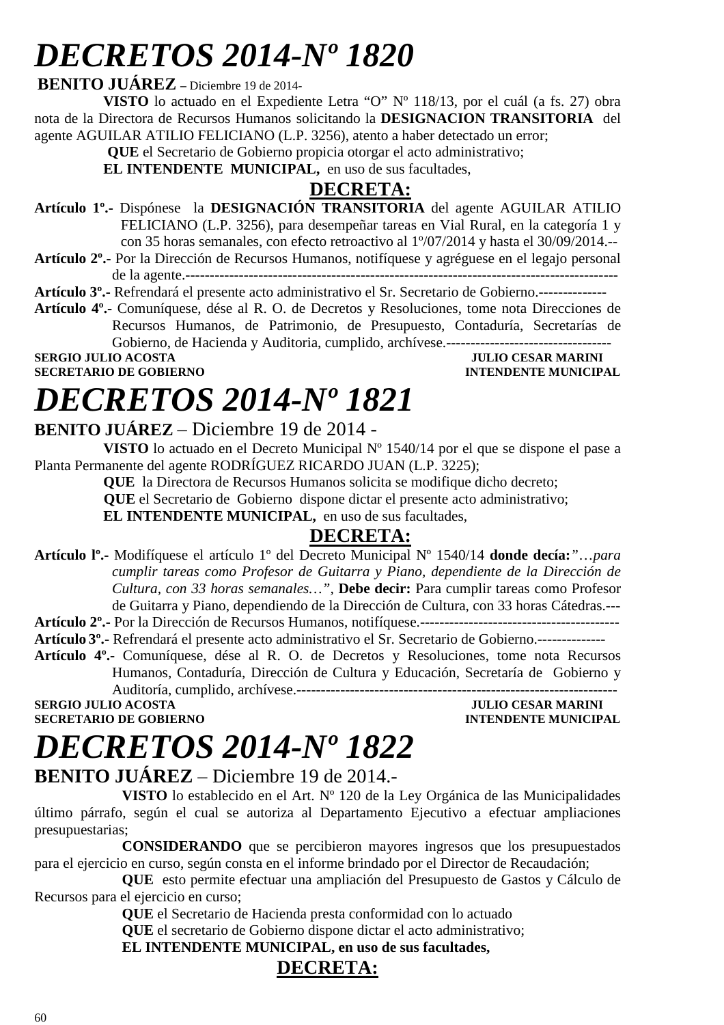# *DECRETOS 2014-Nº 1820*

#### **BENITO JUÁREZ –** Diciembre 19 de 2014-

**VISTO** lo actuado en el Expediente Letra "O" Nº 118/13, por el cuál (a fs. 27) obra nota de la Directora de Recursos Humanos solicitando la **DESIGNACION TRANSITORIA** del agente AGUILAR ATILIO FELICIANO (L.P. 3256), atento a haber detectado un error;

 **QUE** el Secretario de Gobierno propicia otorgar el acto administrativo;

**EL INTENDENTE MUNICIPAL,** en uso de sus facultades,

### **DECRETA:**

**Artículo 1º.-** Dispónese la **DESIGNACIÓN TRANSITORIA** del agente AGUILAR ATILIO FELICIANO (L.P. 3256), para desempeñar tareas en Vial Rural, en la categoría 1 y con 35 horas semanales, con efecto retroactivo al 1º/07/2014 y hasta el 30/09/2014.--

**Artículo 2º.-** Por la Dirección de Recursos Humanos, notifíquese y agréguese en el legajo personal de la agente.-----------------------------------------------------------------------------------------

**Artículo 3º.-** Refrendará el presente acto administrativo el Sr. Secretario de Gobierno.--------------

**Artículo 4º.-** Comuníquese, dése al R. O. de Decretos y Resoluciones, tome nota Direcciones de Recursos Humanos, de Patrimonio, de Presupuesto, Contaduría, Secretarías de Gobierno, de Hacienda y Auditoria, cumplido, archívese.----------------------------------

**SECRETARIO DE GOBIERNO INTENDENTE MUNICIPAL** 

### **SERGIO JULIO ACOSTA JULIO CESAR MARINI**

# *DECRETOS 2014-Nº 1821*

### **BENITO JUÁREZ** – Diciembre 19 de 2014 -

**VISTO** lo actuado en el Decreto Municipal Nº 1540/14 por el que se dispone el pase a Planta Permanente del agente RODRÍGUEZ RICARDO JUAN (L.P. 3225);

**QUE** la Directora de Recursos Humanos solicita se modifique dicho decreto;

 **QUE** el Secretario de Gobierno dispone dictar el presente acto administrativo;

**EL INTENDENTE MUNICIPAL,** en uso de sus facultades,

### **DECRETA:**

**Artículo lº.-** Modifíquese el artículo 1º del Decreto Municipal Nº 1540/14 **donde decía:***"*…*para cumplir tareas como Profesor de Guitarra y Piano, dependiente de la Dirección de Cultura, con 33 horas semanales…",* **Debe decir:** Para cumplir tareas como Profesor de Guitarra y Piano, dependiendo de la Dirección de Cultura, con 33 horas Cátedras.---

**Artículo 2º.-** Por la Dirección de Recursos Humanos, notifíquese.-----------------------------------------

**Artículo 3º.-** Refrendará el presente acto administrativo el Sr. Secretario de Gobierno.--------------

**Artículo 4º.-** Comuníquese, dése al R. O. de Decretos y Resoluciones, tome nota Recursos Humanos, Contaduría, Dirección de Cultura y Educación, Secretaría de Gobierno y

Auditoría, cumplido, archívese.------------------------------------------------------------------ **SERGIO JULIO ACOSTA** JULIO CESAR MARINI

**SECRETARIO DE GOBIERNO INTENDENTE MUNICIPAL** 

## *DECRETOS 2014-Nº 1822*

### **BENITO JUÁREZ** – Diciembre 19 de 2014.-

**VISTO** lo establecido en el Art. Nº 120 de la Ley Orgánica de las Municipalidades último párrafo, según el cual se autoriza al Departamento Ejecutivo a efectuar ampliaciones presupuestarias;

**CONSIDERANDO** que se percibieron mayores ingresos que los presupuestados para el ejercicio en curso, según consta en el informe brindado por el Director de Recaudación;

**QUE** esto permite efectuar una ampliación del Presupuesto de Gastos y Cálculo de Recursos para el ejercicio en curso;

**QUE** el Secretario de Hacienda presta conformidad con lo actuado

**QUE** el secretario de Gobierno dispone dictar el acto administrativo;

**EL INTENDENTE MUNICIPAL, en uso de sus facultades,**

### **DECRETA:**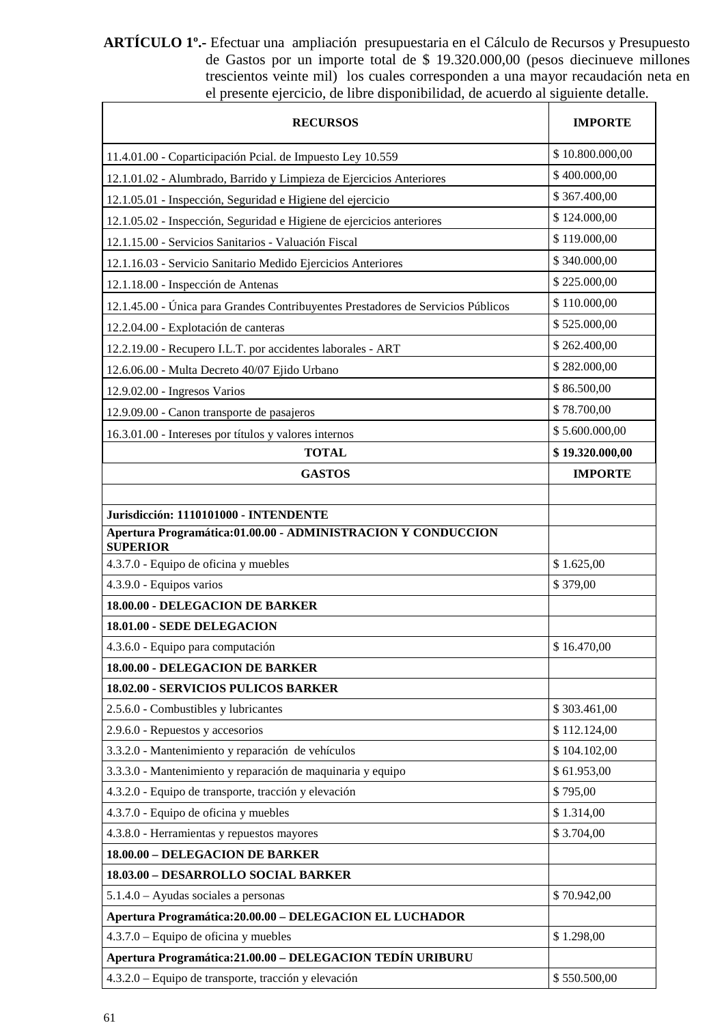**ARTÍCULO 1º.-** Efectuar una ampliación presupuestaria en el Cálculo de Recursos y Presupuesto de Gastos por un importe total de \$ 19.320.000,00 (pesos diecinueve millones trescientos veinte mil) los cuales corresponden a una mayor recaudación neta en el presente ejercicio, de libre disponibilidad, de acuerdo al siguiente detalle.

| <b>RECURSOS</b>                                                                  | <b>IMPORTE</b>  |
|----------------------------------------------------------------------------------|-----------------|
| 11.4.01.00 - Coparticipación Peial. de Impuesto Ley 10.559                       | \$10.800.000,00 |
| 12.1.01.02 - Alumbrado, Barrido y Limpieza de Ejercicios Anteriores              | \$400.000,00    |
| 12.1.05.01 - Inspección, Seguridad e Higiene del ejercicio                       | \$367.400,00    |
| 12.1.05.02 - Inspección, Seguridad e Higiene de ejercicios anteriores            | \$124.000,00    |
| 12.1.15.00 - Servicios Sanitarios - Valuación Fiscal                             | \$119.000,00    |
| 12.1.16.03 - Servicio Sanitario Medido Ejercicios Anteriores                     | \$340.000,00    |
| 12.1.18.00 - Inspección de Antenas                                               | \$225.000,00    |
| 12.1.45.00 - Única para Grandes Contribuyentes Prestadores de Servicios Públicos | \$110.000,00    |
| 12.2.04.00 - Explotación de canteras                                             | \$525.000,00    |
| 12.2.19.00 - Recupero I.L.T. por accidentes laborales - ART                      | \$262.400,00    |
| 12.6.06.00 - Multa Decreto 40/07 Ejido Urbano                                    | \$282.000,00    |
| 12.9.02.00 - Ingresos Varios                                                     | \$86.500,00     |
| 12.9.09.00 - Canon transporte de pasajeros                                       | \$78.700,00     |
| 16.3.01.00 - Intereses por títulos y valores internos                            | \$5.600.000,00  |
| <b>TOTAL</b>                                                                     | \$19.320.000,00 |
| <b>GASTOS</b>                                                                    | <b>IMPORTE</b>  |
| Jurisdicción: 1110101000 - INTENDENTE                                            |                 |
| Apertura Programática:01.00.00 - ADMINISTRACION Y CONDUCCION<br><b>SUPERIOR</b>  |                 |
| 4.3.7.0 - Equipo de oficina y muebles                                            | \$1.625,00      |
| 4.3.9.0 - Equipos varios                                                         | \$379,00        |
| 18.00.00 - DELEGACION DE BARKER                                                  |                 |
| 18.01.00 - SEDE DELEGACION                                                       |                 |
| 4.3.6.0 - Equipo para computación                                                | \$16.470,00     |
| 18.00.00 - DELEGACION DE BARKER                                                  |                 |
| 18.02.00 - SERVICIOS PULICOS BARKER                                              |                 |
| 2.5.6.0 - Combustibles y lubricantes                                             | \$303.461,00    |
| 2.9.6.0 - Repuestos y accesorios                                                 | \$112.124,00    |
| 3.3.2.0 - Mantenimiento y reparación de vehículos                                | \$104.102,00    |
| 3.3.3.0 - Mantenimiento y reparación de maquinaria y equipo                      | \$61.953,00     |
| 4.3.2.0 - Equipo de transporte, tracción y elevación                             | \$795,00        |
| 4.3.7.0 - Equipo de oficina y muebles                                            | \$1.314,00      |
| 4.3.8.0 - Herramientas y repuestos mayores                                       | \$3.704,00      |
| 18.00.00 - DELEGACION DE BARKER                                                  |                 |
| 18.03.00 - DESARROLLO SOCIAL BARKER                                              |                 |
| $5.1.4.0 - Ayudas$ sociales a personas                                           | \$70.942,00     |
| Apertura Programática: 20.00.00 - DELEGACION EL LUCHADOR                         |                 |
| 4.3.7.0 – Equipo de oficina y muebles                                            | \$1.298,00      |
| Apertura Programática: 21.00.00 - DELEGACION TEDÍN URIBURU                       |                 |
| 4.3.2.0 – Equipo de transporte, tracción y elevación                             | \$550.500,00    |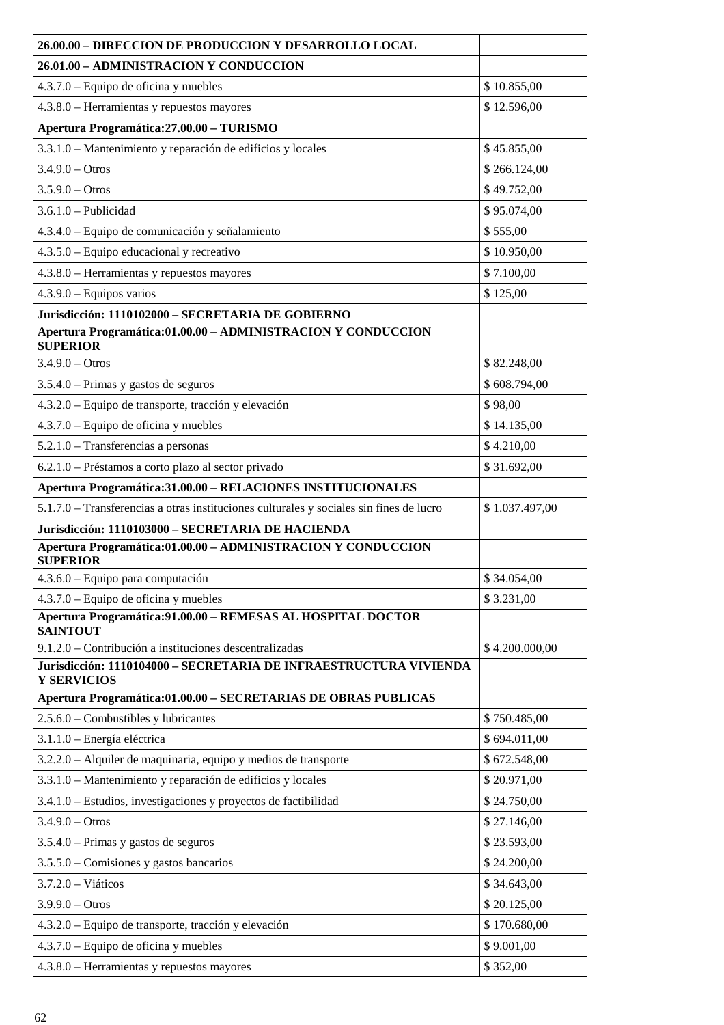| 26.00.00 - DIRECCION DE PRODUCCION Y DESARROLLO LOCAL                                   |                |
|-----------------------------------------------------------------------------------------|----------------|
| 26.01.00 - ADMINISTRACION Y CONDUCCION                                                  |                |
| 4.3.7.0 – Equipo de oficina y muebles                                                   | \$10.855,00    |
| 4.3.8.0 - Herramientas y repuestos mayores                                              | \$12.596,00    |
| Apertura Programática: 27.00.00 - TURISMO                                               |                |
| 3.3.1.0 - Mantenimiento y reparación de edificios y locales                             | \$45.855,00    |
| $3.4.9.0 - Otros$                                                                       | \$266.124,00   |
| $3.5.9.0 - Otros$                                                                       | \$49.752,00    |
| $3.6.1.0$ - Publicidad                                                                  | \$95.074,00    |
| 4.3.4.0 - Equipo de comunicación y señalamiento                                         | \$555,00       |
| 4.3.5.0 – Equipo educacional y recreativo                                               | \$10.950,00    |
| 4.3.8.0 – Herramientas y repuestos mayores                                              | \$7.100,00     |
| $4.3.9.0 - Equipos$ varios                                                              | \$125,00       |
| Jurisdicción: 1110102000 - SECRETARIA DE GOBIERNO                                       |                |
| Apertura Programática:01.00.00 - ADMINISTRACION Y CONDUCCION<br><b>SUPERIOR</b>         |                |
| $3.4.9.0 - Otros$                                                                       | \$82.248,00    |
| 3.5.4.0 - Primas y gastos de seguros                                                    | \$608.794,00   |
| 4.3.2.0 – Equipo de transporte, tracción y elevación                                    | \$98,00        |
| $4.3.7.0$ – Equipo de oficina y muebles                                                 | \$14.135,00    |
| 5.2.1.0 - Transferencias a personas                                                     | \$4.210,00     |
| 6.2.1.0 - Préstamos a corto plazo al sector privado                                     | \$31.692,00    |
| Apertura Programática:31.00.00 - RELACIONES INSTITUCIONALES                             |                |
| 5.1.7.0 - Transferencias a otras instituciones culturales y sociales sin fines de lucro | \$1.037.497,00 |
| Jurisdicción: 1110103000 - SECRETARIA DE HACIENDA                                       |                |
| Apertura Programática:01.00.00 - ADMINISTRACION Y CONDUCCION<br><b>SUPERIOR</b>         |                |
| 4.3.6.0 - Equipo para computación                                                       | \$34.054,00    |
| $4.3.7.0$ – Equipo de oficina y muebles                                                 | \$3.231,00     |
| Apertura Programática: 91.00.00 - REMESAS AL HOSPITAL DOCTOR<br><b>SAINTOUT</b>         |                |
| 9.1.2.0 – Contribución a instituciones descentralizadas                                 | \$4.200.000,00 |
| Jurisdicción: 1110104000 – SECRETARIA DE INFRAESTRUCTURA VIVIENDA<br><b>Y SERVICIOS</b> |                |
| Apertura Programática:01.00.00 - SECRETARIAS DE OBRAS PUBLICAS                          |                |
| $2.5.6.0$ – Combustibles y lubricantes                                                  | \$750.485,00   |
| 3.1.1.0 - Energía eléctrica                                                             | \$694.011,00   |
| 3.2.2.0 - Alquiler de maquinaria, equipo y medios de transporte                         | \$672.548,00   |
| 3.3.1.0 - Mantenimiento y reparación de edificios y locales                             | \$20.971,00    |
| 3.4.1.0 - Estudios, investigaciones y proyectos de factibilidad                         | \$24.750,00    |
| $3.4.9.0 - Otros$                                                                       | \$27.146,00    |
| $3.5.4.0$ – Primas y gastos de seguros                                                  | \$23.593,00    |
| $3.5.5.0$ – Comisiones y gastos bancarios                                               | \$24.200,00    |
| $3.7.2.0 - Viáticos$                                                                    | \$34.643,00    |
| $3.9.9.0 - Otros$                                                                       | \$20.125,00    |
| 4.3.2.0 – Equipo de transporte, tracción y elevación                                    | \$170.680,00   |
| 4.3.7.0 - Equipo de oficina y muebles                                                   | \$9.001,00     |
| 4.3.8.0 - Herramientas y repuestos mayores                                              | \$352,00       |
|                                                                                         |                |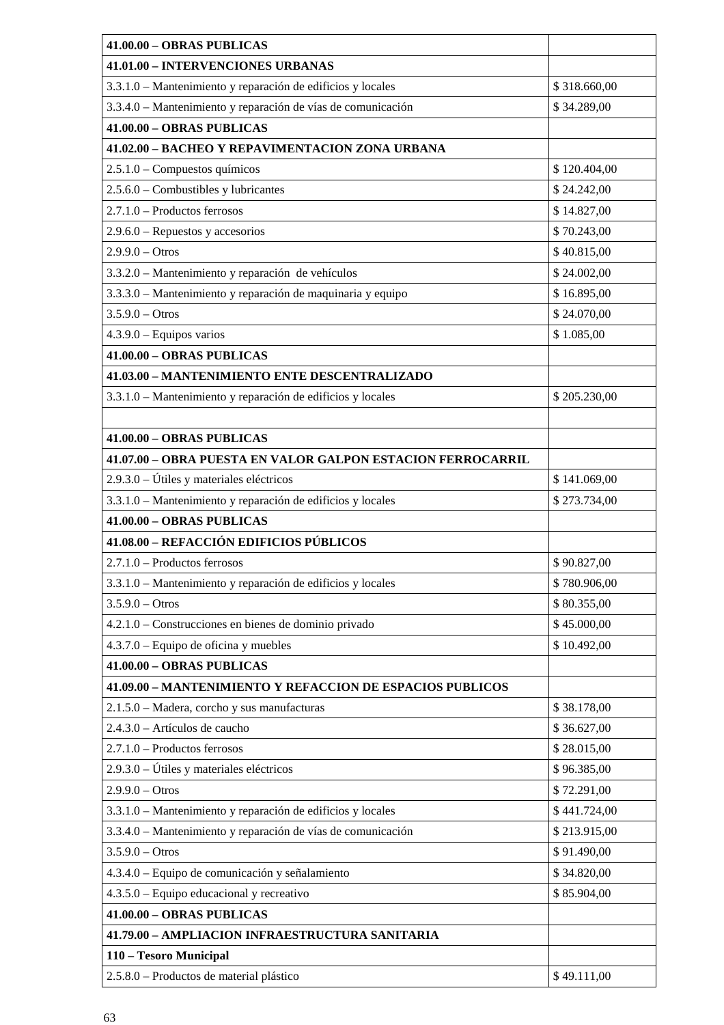| 41.00.00 - OBRAS PUBLICAS                                    |              |
|--------------------------------------------------------------|--------------|
| 41.01.00 - INTERVENCIONES URBANAS                            |              |
| 3.3.1.0 – Mantenimiento y reparación de edificios y locales  | \$318.660,00 |
| 3.3.4.0 – Mantenimiento y reparación de vías de comunicación | \$34.289,00  |
| 41.00.00 - OBRAS PUBLICAS                                    |              |
| 41.02.00 - BACHEO Y REPAVIMENTACION ZONA URBANA              |              |
| $2.5.1.0$ – Compuestos químicos                              | \$120.404,00 |
| 2.5.6.0 - Combustibles y lubricantes                         | \$24.242,00  |
| $2.7.1.0$ – Productos ferrosos                               | \$14.827,00  |
| $2.9.6.0$ – Repuestos y accesorios                           | \$70.243,00  |
| $2.9.9.0 - Otros$                                            | \$40.815,00  |
| 3.3.2.0 - Mantenimiento y reparación de vehículos            | \$24.002,00  |
| 3.3.3.0 – Mantenimiento y reparación de maquinaria y equipo  | \$16.895,00  |
| $3.5.9.0 - Otros$                                            | \$24.070,00  |
| $4.3.9.0$ – Equipos varios                                   | \$1.085,00   |
| 41.00.00 - OBRAS PUBLICAS                                    |              |
| 41.03.00 - MANTENIMIENTO ENTE DESCENTRALIZADO                |              |
| 3.3.1.0 – Mantenimiento y reparación de edificios y locales  | \$205.230,00 |
|                                                              |              |
| 41.00.00 - OBRAS PUBLICAS                                    |              |
| 41.07.00 - OBRA PUESTA EN VALOR GALPON ESTACION FERROCARRIL  |              |
| $2.9.3.0 -$ Útiles y materiales eléctricos                   | \$141.069,00 |
| 3.3.1.0 - Mantenimiento y reparación de edificios y locales  | \$273.734,00 |
| 41.00.00 - OBRAS PUBLICAS                                    |              |
| 41.08.00 - REFACCIÓN EDIFICIOS PÚBLICOS                      |              |
| 2.7.1.0 - Productos ferrosos                                 | \$90.827,00  |
| 3.3.1.0 - Mantenimiento y reparación de edificios y locales  | \$780.906,00 |
| $3.5.9.0 - Otros$                                            | \$80.355,00  |
| 4.2.1.0 – Construcciones en bienes de dominio privado        | \$45.000,00  |
| 4.3.7.0 – Equipo de oficina y muebles                        | \$10.492,00  |
| 41.00.00 - OBRAS PUBLICAS                                    |              |
| 41.09.00 - MANTENIMIENTO Y REFACCION DE ESPACIOS PUBLICOS    |              |
| 2.1.5.0 - Madera, corcho y sus manufacturas                  | \$38.178,00  |
| 2.4.3.0 - Artículos de caucho                                | \$36.627,00  |
| 2.7.1.0 - Productos ferrosos                                 | \$28.015,00  |
| 2.9.3.0 - Útiles y materiales eléctricos                     | \$96.385,00  |
| $2.9.9.0 - Otros$                                            | \$72.291,00  |
| 3.3.1.0 - Mantenimiento y reparación de edificios y locales  | \$441.724,00 |
| 3.3.4.0 - Mantenimiento y reparación de vías de comunicación | \$213.915,00 |
| $3.5.9.0 - Otros$                                            | \$91.490,00  |
| 4.3.4.0 – Equipo de comunicación y señalamiento              | \$34.820,00  |
| 4.3.5.0 – Equipo educacional y recreativo                    | \$85.904,00  |
| 41.00.00 - OBRAS PUBLICAS                                    |              |
| 41.79.00 - AMPLIACION INFRAESTRUCTURA SANITARIA              |              |
| 110 - Tesoro Municipal                                       |              |
| 2.5.8.0 - Productos de material plástico                     | \$49.111,00  |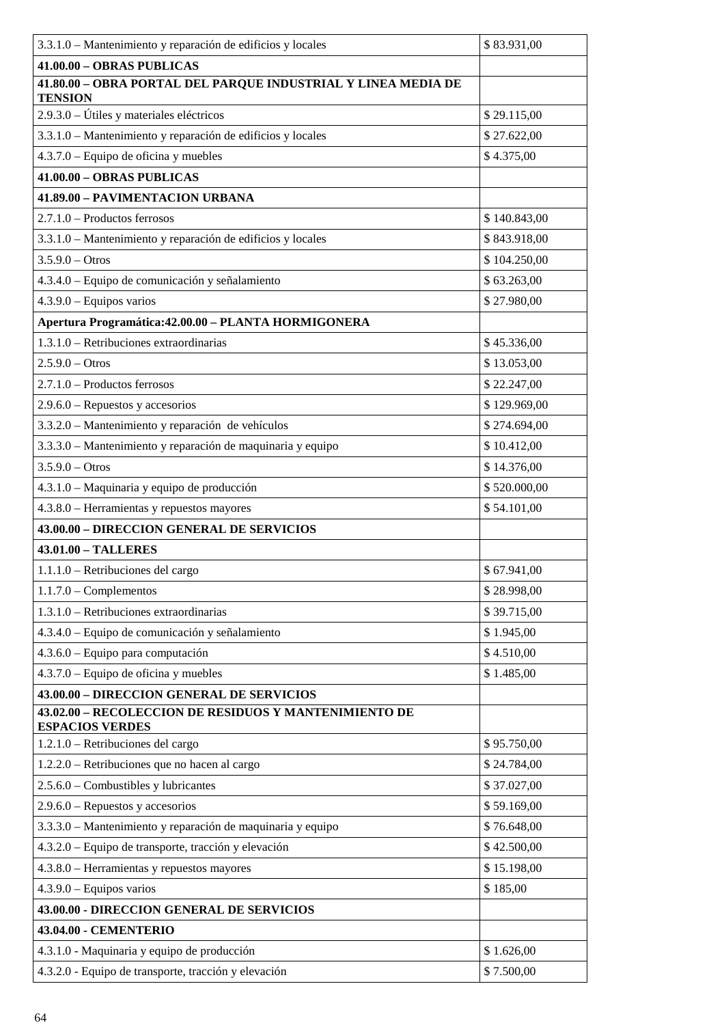| 3.3.1.0 – Mantenimiento y reparación de edificios y locales                     | \$83.931,00  |
|---------------------------------------------------------------------------------|--------------|
| 41.00.00 - OBRAS PUBLICAS                                                       |              |
| 41.80.00 - OBRA PORTAL DEL PARQUE INDUSTRIAL Y LINEA MEDIA DE<br><b>TENSION</b> |              |
| 2.9.3.0 - Útiles y materiales eléctricos                                        | \$29.115,00  |
| 3.3.1.0 - Mantenimiento y reparación de edificios y locales                     | \$27.622,00  |
| $4.3.7.0$ – Equipo de oficina y muebles                                         | \$4.375,00   |
| 41.00.00 - OBRAS PUBLICAS                                                       |              |
| 41.89.00 - PAVIMENTACION URBANA                                                 |              |
| $2.7.1.0$ – Productos ferrosos                                                  | \$140.843,00 |
| 3.3.1.0 - Mantenimiento y reparación de edificios y locales                     | \$843.918,00 |
| $3.5.9.0 - Otros$                                                               | \$104.250,00 |
| 4.3.4.0 - Equipo de comunicación y señalamiento                                 | \$63.263,00  |
| $4.3.9.0 - Equipos$ varios                                                      | \$27.980,00  |
| Apertura Programática: 42.00.00 - PLANTA HORMIGONERA                            |              |
| $1.3.1.0$ – Retribuciones extraordinarias                                       | \$45.336,00  |
| $2.5.9.0 - Otros$                                                               | \$13.053,00  |
| 2.7.1.0 - Productos ferrosos                                                    | \$22.247,00  |
| $2.9.6.0$ – Repuestos y accesorios                                              | \$129.969,00 |
| 3.3.2.0 - Mantenimiento y reparación de vehículos                               | \$274.694,00 |
| 3.3.3.0 - Mantenimiento y reparación de maquinaria y equipo                     | \$10.412,00  |
| $3.5.9.0 - Otros$                                                               | \$14.376,00  |
| 4.3.1.0 - Maquinaria y equipo de producción                                     | \$520.000,00 |
| 4.3.8.0 - Herramientas y repuestos mayores                                      | \$54.101,00  |
| 43.00.00 - DIRECCION GENERAL DE SERVICIOS                                       |              |
| 43.01.00 - TALLERES                                                             |              |
| 1.1.1.0 - Retribuciones del cargo                                               | \$67.941,00  |
| $1.1.7.0$ – Complementos                                                        | \$28.998,00  |
| 1.3.1.0 – Retribuciones extraordinarias                                         | \$39.715,00  |
| 4.3.4.0 - Equipo de comunicación y señalamiento                                 | \$1.945,00   |
| $4.3.6.0$ – Equipo para computación                                             | \$4.510,00   |
| $4.3.7.0$ – Equipo de oficina y muebles                                         | \$1.485,00   |
| 43.00.00 - DIRECCION GENERAL DE SERVICIOS                                       |              |
| 43.02.00 - RECOLECCION DE RESIDUOS Y MANTENIMIENTO DE<br><b>ESPACIOS VERDES</b> |              |
| 1.2.1.0 - Retribuciones del cargo                                               | \$95.750,00  |
| 1.2.2.0 – Retribuciones que no hacen al cargo                                   | \$24.784,00  |
| $2.5.6.0$ – Combustibles y lubricantes                                          | \$37.027,00  |
| $2.9.6.0$ – Repuestos y accesorios                                              | \$59.169,00  |
| 3.3.3.0 - Mantenimiento y reparación de maquinaria y equipo                     | \$76.648,00  |
| 4.3.2.0 – Equipo de transporte, tracción y elevación                            | \$42.500,00  |
| 4.3.8.0 - Herramientas y repuestos mayores                                      | \$15.198,00  |
| $4.3.9.0$ – Equipos varios                                                      | \$185,00     |
| 43.00.00 - DIRECCION GENERAL DE SERVICIOS                                       |              |
| 43.04.00 - CEMENTERIO                                                           |              |
| 4.3.1.0 - Maquinaria y equipo de producción                                     | \$1.626,00   |
| 4.3.2.0 - Equipo de transporte, tracción y elevación                            | \$7.500,00   |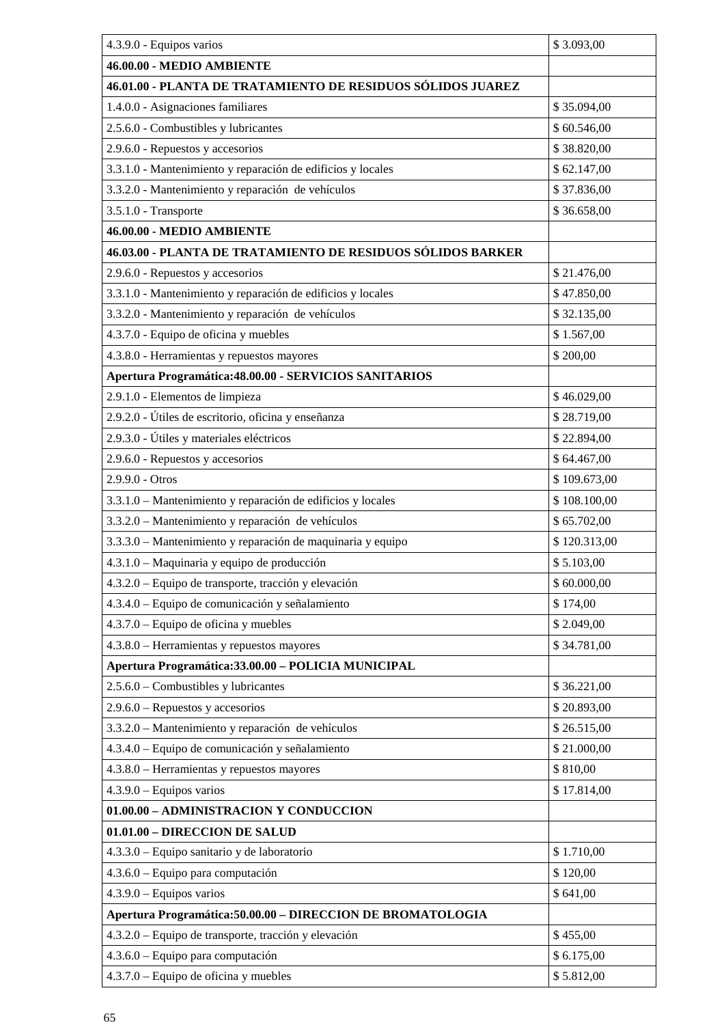| 4.3.9.0 - Equipos varios                                    | \$3.093,00   |
|-------------------------------------------------------------|--------------|
| 46.00.00 - MEDIO AMBIENTE                                   |              |
| 46.01.00 - PLANTA DE TRATAMIENTO DE RESIDUOS SÓLIDOS JUAREZ |              |
| 1.4.0.0 - Asignaciones familiares                           | \$35.094,00  |
| 2.5.6.0 - Combustibles y lubricantes                        | \$60.546,00  |
| 2.9.6.0 - Repuestos y accesorios                            | \$38.820,00  |
| 3.3.1.0 - Mantenimiento y reparación de edificios y locales | \$62.147,00  |
| 3.3.2.0 - Mantenimiento y reparación de vehículos           | \$37.836,00  |
| 3.5.1.0 - Transporte                                        | \$36.658,00  |
| 46.00.00 - MEDIO AMBIENTE                                   |              |
| 46.03.00 - PLANTA DE TRATAMIENTO DE RESIDUOS SÓLIDOS BARKER |              |
| 2.9.6.0 - Repuestos y accesorios                            | \$21.476,00  |
| 3.3.1.0 - Mantenimiento y reparación de edificios y locales | \$47.850,00  |
| 3.3.2.0 - Mantenimiento y reparación de vehículos           | \$32.135,00  |
| 4.3.7.0 - Equipo de oficina y muebles                       | \$1.567,00   |
| 4.3.8.0 - Herramientas y repuestos mayores                  | \$200,00     |
| Apertura Programática: 48.00.00 - SERVICIOS SANITARIOS      |              |
| 2.9.1.0 - Elementos de limpieza                             | \$46.029,00  |
| 2.9.2.0 - Útiles de escritorio, oficina y enseñanza         | \$28.719,00  |
| 2.9.3.0 - Útiles y materiales eléctricos                    | \$22.894,00  |
| 2.9.6.0 - Repuestos y accesorios                            | \$64.467,00  |
| 2.9.9.0 - Otros                                             | \$109.673,00 |
| 3.3.1.0 - Mantenimiento y reparación de edificios y locales | \$108.100,00 |
| 3.3.2.0 - Mantenimiento y reparación de vehículos           | \$65.702,00  |
| 3.3.3.0 - Mantenimiento y reparación de maquinaria y equipo | \$120.313,00 |
| 4.3.1.0 - Maquinaria y equipo de producción                 | \$5.103,00   |
| 4.3.2.0 – Equipo de transporte, tracción y elevación        | \$60.000,00  |
| 4.3.4.0 – Equipo de comunicación y señalamiento             | \$174,00     |
| 4.3.7.0 - Equipo de oficina y muebles                       | \$2.049,00   |
| 4.3.8.0 - Herramientas y repuestos mayores                  | \$34.781,00  |
| Apertura Programática: 33.00.00 - POLICIA MUNICIPAL         |              |
| 2.5.6.0 - Combustibles y lubricantes                        | \$36.221,00  |
| $2.9.6.0$ – Repuestos y accesorios                          | \$20.893,00  |
| 3.3.2.0 - Mantenimiento y reparación de vehículos           | \$26.515,00  |
| 4.3.4.0 – Equipo de comunicación y señalamiento             | \$21.000,00  |
| 4.3.8.0 - Herramientas y repuestos mayores                  | \$810,00     |
| $4.3.9.0$ – Equipos varios                                  | \$17.814,00  |
| 01.00.00 - ADMINISTRACION Y CONDUCCION                      |              |
| 01.01.00 - DIRECCION DE SALUD                               |              |
| 4.3.3.0 – Equipo sanitario y de laboratorio                 | \$1.710,00   |
| $4.3.6.0$ – Equipo para computación                         | \$120,00     |
| $4.3.9.0$ – Equipos varios                                  | \$641,00     |
| Apertura Programática: 50.00.00 - DIRECCION DE BROMATOLOGIA |              |
| 4.3.2.0 - Equipo de transporte, tracción y elevación        | \$455,00     |
| $4.3.6.0$ – Equipo para computación                         | \$6.175,00   |
| 4.3.7.0 - Equipo de oficina y muebles                       | \$5.812,00   |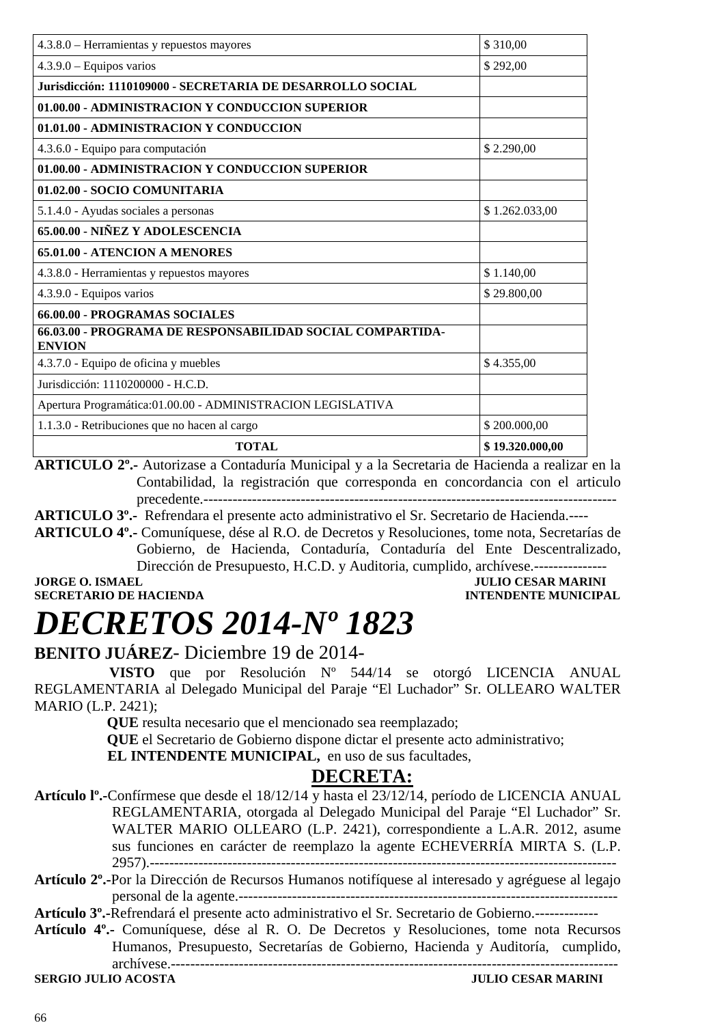| <b>TOTAL</b>                                                               | \$19.320.000,00 |
|----------------------------------------------------------------------------|-----------------|
| 1.1.3.0 - Retribuciones que no hacen al cargo                              | \$200.000,00    |
| Apertura Programática:01.00.00 - ADMINISTRACION LEGISLATIVA                |                 |
| Jurisdicción: 1110200000 - H.C.D.                                          |                 |
| 4.3.7.0 - Equipo de oficina y muebles                                      | \$4.355,00      |
| 66.03.00 - PROGRAMA DE RESPONSABILIDAD SOCIAL COMPARTIDA-<br><b>ENVION</b> |                 |
| 66.00.00 - PROGRAMAS SOCIALES                                              |                 |
| 4.3.9.0 - Equipos varios                                                   | \$29.800,00     |
| 4.3.8.0 - Herramientas y repuestos mayores                                 | \$1.140,00      |
| <b>65.01.00 - ATENCION A MENORES</b>                                       |                 |
| 65.00.00 - NIÑEZ Y ADOLESCENCIA                                            |                 |
| 5.1.4.0 - Ayudas sociales a personas                                       | \$1.262.033,00  |
| 01.02.00 - SOCIO COMUNITARIA                                               |                 |
| 01.00.00 - ADMINISTRACION Y CONDUCCION SUPERIOR                            |                 |
| 4.3.6.0 - Equipo para computación                                          | \$2.290,00      |
| 01.01.00 - ADMINISTRACION Y CONDUCCION                                     |                 |
| 01.00.00 - ADMINISTRACION Y CONDUCCION SUPERIOR                            |                 |
| Jurisdicción: 1110109000 - SECRETARIA DE DESARROLLO SOCIAL                 |                 |
| $4.3.9.0 - Equipos$ varios                                                 | \$292,00        |
| 4.3.8.0 - Herramientas y repuestos mayores                                 | \$310,00        |

**ARTICULO 2º.-** Autorizase a Contaduría Municipal y a la Secretaria de Hacienda a realizar en la Contabilidad, la registración que corresponda en concordancia con el articulo precedente.-------------------------------------------------------------------------------------

**ARTICULO 3º.-** Refrendara el presente acto administrativo el Sr. Secretario de Hacienda.----

**ARTICULO 4º.-** Comuníquese, dése al R.O. de Decretos y Resoluciones, tome nota, Secretarías de Gobierno, de Hacienda, Contaduría, Contaduría del Ente Descentralizado, Dirección de Presupuesto, H.C.D. y Auditoria, cumplido, archívese.---------------

**SECRETARIO DE HACIENDA** 

**JORGE O. ISMAEL JULIO CESAR MARINI**<br> **SECRETARIO DE HACIENDA** 

# *DECRETOS 2014-Nº 1823*

### **BENITO JUÁREZ**- Diciembre 19 de 2014-

 **VISTO** que por Resolución Nº 544/14 se otorgó LICENCIA ANUAL REGLAMENTARIA al Delegado Municipal del Paraje "El Luchador" Sr. OLLEARO WALTER MARIO (L.P. 2421);

 **QUE** resulta necesario que el mencionado sea reemplazado;

 **QUE** el Secretario de Gobierno dispone dictar el presente acto administrativo;

**EL INTENDENTE MUNICIPAL,** en uso de sus facultades,

### **DECRETA:**

- **Artículo lº.-**Confírmese que desde el 18/12/14 y hasta el 23/12/14, período de LICENCIA ANUAL REGLAMENTARIA, otorgada al Delegado Municipal del Paraje "El Luchador" Sr. WALTER MARIO OLLEARO (L.P. 2421), correspondiente a L.A.R. 2012, asume sus funciones en carácter de reemplazo la agente ECHEVERRÍA MIRTA S. (L.P. 2957).------------------------------------------------------------------------------------------------
- **Artículo 2º.-**Por la Dirección de Recursos Humanos notifíquese al interesado y agréguese al legajo personal de la agente.------------------------------------------------------------------------------

**Artículo 3º.-**Refrendará el presente acto administrativo el Sr. Secretario de Gobierno.-------------

**Artículo 4º.-** Comuníquese, dése al R. O. De Decretos y Resoluciones, tome nota Recursos Humanos, Presupuesto, Secretarías de Gobierno, Hacienda y Auditoría, cumplido, archívese.--------------------------------------------------------------------------------------------

**SERGIO JULIO ACOSTA**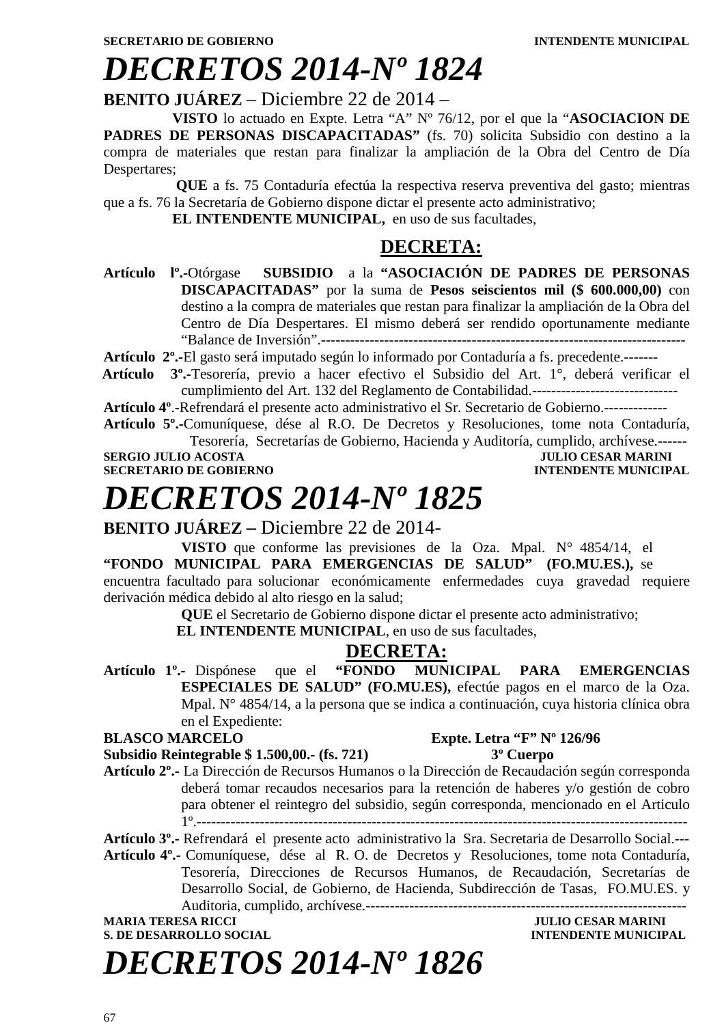### *DECRETOS 2014-Nº 1824*

#### **BENITO JUÁREZ** – Diciembre 22 de 2014 –

**VISTO** lo actuado en Expte. Letra "A" Nº 76/12, por el que la "**ASOCIACION DE**  PADRES DE PERSONAS DISCAPACITADAS" (fs. 70) solicita Subsidio con destino a la compra de materiales que restan para finalizar la ampliación de la Obra del Centro de Día Despertares;

 **QUE** a fs. 75 Contaduría efectúa la respectiva reserva preventiva del gasto; mientras que a fs. 76 la Secretaría de Gobierno dispone dictar el presente acto administrativo;

**EL INTENDENTE MUNICIPAL,** en uso de sus facultades,

### **DECRETA:**

- **Artículo lº.-**Otórgase **SUBSIDIO** a la **"ASOCIACIÓN DE PADRES DE PERSONAS DISCAPACITADAS"** por la suma de **Pesos seiscientos mil (\$ 600.000,00)** con destino a la compra de materiales que restan para finalizar la ampliación de la Obra del Centro de Día Despertares. El mismo deberá ser rendido oportunamente mediante "Balance de Inversión".---------------------------------------------------------------------------
- **Artículo 2º.-**El gasto será imputado según lo informado por Contaduría a fs. precedente.-------
- **Artículo 3º.-**Tesorería, previo a hacer efectivo el Subsidio del Art. 1°, deberá verificar el cumplimiento del Art. 132 del Reglamento de Contabilidad.------------------------------

**Artículo 4º**.-Refrendará el presente acto administrativo el Sr. Secretario de Gobierno.-------------

**Artículo 5º.-**Comuníquese, dése al R.O. De Decretos y Resoluciones, tome nota Contaduría, Tesorería, Secretarías de Gobierno, Hacienda y Auditoría, cumplido, archívese.------

**SERGIO JULIO ACOSTA JULIO CESAR MARINI** 

**SECRETARIO DE GOBIERNO INTENDENTE MUNICIPAL** 

### *DECRETOS 2014-Nº 1825*

### **BENITO JUÁREZ –** Diciembre 22 de 2014-

**VISTO** que conforme las previsiones de la Oza. Mpal. N° 4854/14, el **"FONDO MUNICIPAL PARA EMERGENCIAS DE SALUD" (FO.MU.ES.),** se encuentra facultado para solucionar económicamente enfermedades cuya gravedad requiere derivación médica debido al alto riesgo en la salud;

**QUE** el Secretario de Gobierno dispone dictar el presente acto administrativo;

 **EL INTENDENTE MUNICIPAL**, en uso de sus facultades,

### **DECRETA:**

**Artículo 1º.-** Dispónese que el **"FONDO MUNICIPAL PARA EMERGENCIAS ESPECIALES DE SALUD" (FO.MU.ES),** efectúe pagos en el marco de la Oza. Mpal. N° 4854/14, a la persona que se indica a continuación, cuya historia clínica obra en el Expediente:

#### **BLASCO MARCELO Expte. Letra "F" Nº 126/96 Subsidio Reintegrable \$ 1.500,00.- (fs. 721) 3º Cuerpo**

**Artículo 2º.-** La Dirección de Recursos Humanos o la Dirección de Recaudación según corresponda deberá tomar recaudos necesarios para la retención de haberes y/o gestión de cobro para obtener el reintegro del subsidio, según corresponda, mencionado en el Articulo 1º.-----------------------------------------------------------------------------------------------------

**Artículo 3º.-** Refrendará el presente acto administrativo la Sra. Secretaria de Desarrollo Social.---

**Artículo 4º.-** Comuníquese, dése al R. O. de Decretos y Resoluciones, tome nota Contaduría, Tesorería, Direcciones de Recursos Humanos, de Recaudación, Secretarías de Desarrollo Social, de Gobierno, de Hacienda, Subdirección de Tasas, FO.MU.ES. y Auditoria, cumplido, archívese.------------------------------------------------------------------

### **MARIA TERESA RICCI DE LOS EN EL ENCOLO DE LOS ENFIRMADELES DE LOS ENFIRMADELES DE LOS ENFIRMADELES DE LOS ENFIRMADELES DE LOS ENFIRMADELES DE LOS ENFIRMADELES DE LOS ENFIRMADELES DE LOS ENFIRMADELES DE LOS ENFIRMADELES DE S. DE DESARROLLO SOCIAL DESARROLLO SOCIAL DESARROLLO SOCIAL DESARROLLO SOCIAL DESARROLLO SOCIAL DE LA PERSONAL DE LA PERSONAL DE LA PERSONAL DE LA PERSONAL DE LA PERSONAL DE LA PERSONAL DE LA PERSONAL DE LA PERSONAL DE LA**

*DECRETOS 2014-Nº 1826*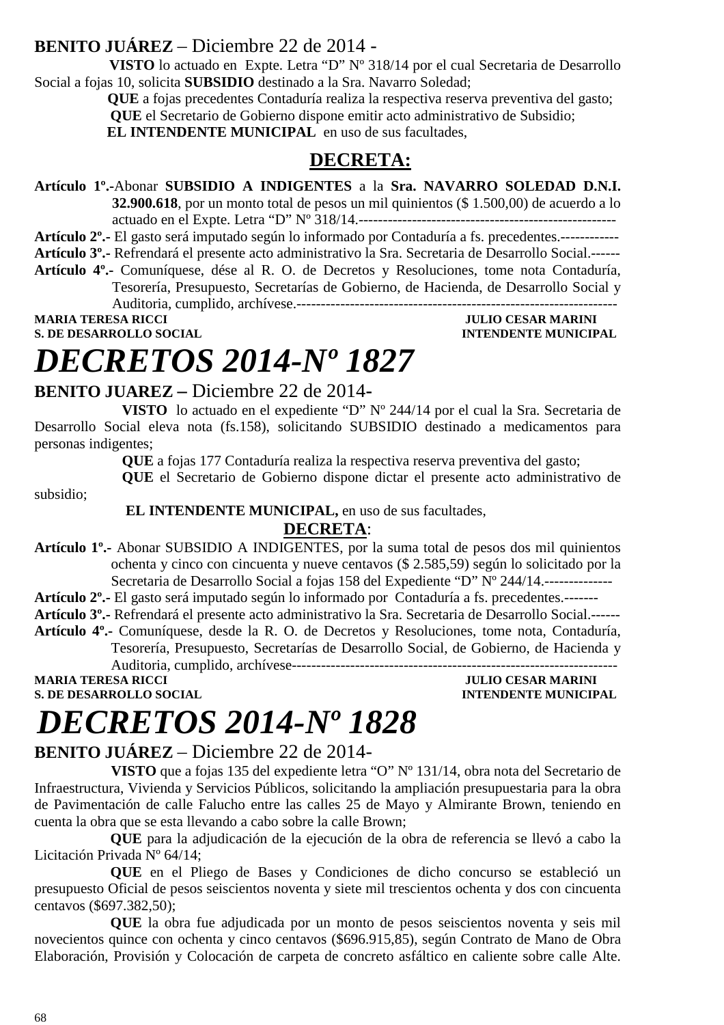### **BENITO JUÁREZ** – Diciembre 22 de 2014 -

 **VISTO** lo actuado en Expte. Letra "D" Nº 318/14 por el cual Secretaria de Desarrollo Social a fojas 10, solicita **SUBSIDIO** destinado a la Sra. Navarro Soledad;

 **QUE** a fojas precedentes Contaduría realiza la respectiva reserva preventiva del gasto;  **QUE** el Secretario de Gobierno dispone emitir acto administrativo de Subsidio; **EL INTENDENTE MUNICIPAL** en uso de sus facultades,

### **DECRETA:**

**Artículo 1º.-**Abonar **SUBSIDIO A INDIGENTES** a la **Sra. NAVARRO SOLEDAD D.N.I.** 

**32.900.618**, por un monto total de pesos un mil quinientos (\$ 1.500,00) de acuerdo a lo actuado en el Expte. Letra "D" Nº 318/14.-----------------------------------------------------

**Artículo 2º.-** El gasto será imputado según lo informado por Contaduría a fs. precedentes.------------

**Artículo 3º.-** Refrendará el presente acto administrativo la Sra. Secretaria de Desarrollo Social.------

**Artículo 4º.-** Comuníquese, dése al R. O. de Decretos y Resoluciones, tome nota Contaduría, Tesorería, Presupuesto, Secretarías de Gobierno, de Hacienda, de Desarrollo Social y Auditoria, cumplido, archívese.------------------------------------------------------------------

**MARIA TERESA RICCI DE LOS ENFORMADOS DE LOS ENFORMADOS DE LOS ENFORMADOS DE LOS ENFORMADOS DE LOS ENFORMADOS DE LOS ENFORMADOS DE LOS ENFORMADOS DE LOS ENFORMADOS DE LOS ENFORMADOS DE LOS ENFORMADOS DE LOS ENFORMADOS DE L S. DE DESARROLLO SOCIAL DESPESSION INTENDENTE MUNICIPAL** 

### *DECRETOS 2014-Nº 1827*

### **BENITO JUAREZ –** Diciembre 22 de 2014**-**

**VISTO** lo actuado en el expediente "D" Nº 244/14 por el cual la Sra. Secretaria de Desarrollo Social eleva nota (fs.158), solicitando SUBSIDIO destinado a medicamentos para personas indigentes;

**QUE** a fojas 177 Contaduría realiza la respectiva reserva preventiva del gasto;

**QUE** el Secretario de Gobierno dispone dictar el presente acto administrativo de

subsidio;

 **EL INTENDENTE MUNICIPAL,** en uso de sus facultades,

#### **DECRETA**:

**Artículo 1º.-** Abonar SUBSIDIO A INDIGENTES, por la suma total de pesos dos mil quinientos ochenta y cinco con cincuenta y nueve centavos (\$ 2.585,59) según lo solicitado por la Secretaria de Desarrollo Social a fojas 158 del Expediente "D" Nº 244/14.--------------

**Artículo 2º.-** El gasto será imputado según lo informado por Contaduría a fs. precedentes.-------

**Artículo 3º.-** Refrendará el presente acto administrativo la Sra. Secretaria de Desarrollo Social.------

**Artículo 4º.-** Comuníquese, desde la R. O. de Decretos y Resoluciones, tome nota, Contaduría, Tesorería, Presupuesto, Secretarías de Desarrollo Social, de Gobierno, de Hacienda y

Auditoria, cumplido, archívese-------------------------------------------------------------------

**S. DE DESARROLLO SOCIAL DESPESSION INTENDENTE MUNICIPAL** 

**MARIA TERESA RICCI DEL CONSUMINI DE L'ULIO CESAR MARINI** 

# *DECRETOS 2014-Nº 1828*

### **BENITO JUÁREZ** – Diciembre 22 de 2014-

 **VISTO** que a fojas 135 del expediente letra "O" Nº 131/14, obra nota del Secretario de Infraestructura, Vivienda y Servicios Públicos, solicitando la ampliación presupuestaria para la obra de Pavimentación de calle Falucho entre las calles 25 de Mayo y Almirante Brown, teniendo en cuenta la obra que se esta llevando a cabo sobre la calle Brown;

 **QUE** para la adjudicación de la ejecución de la obra de referencia se llevó a cabo la Licitación Privada Nº 64/14;

 **QUE** en el Pliego de Bases y Condiciones de dicho concurso se estableció un presupuesto Oficial de pesos seiscientos noventa y siete mil trescientos ochenta y dos con cincuenta centavos (\$697.382,50);

 **QUE** la obra fue adjudicada por un monto de pesos seiscientos noventa y seis mil novecientos quince con ochenta y cinco centavos (\$696.915,85), según Contrato de Mano de Obra Elaboración, Provisión y Colocación de carpeta de concreto asfáltico en caliente sobre calle Alte.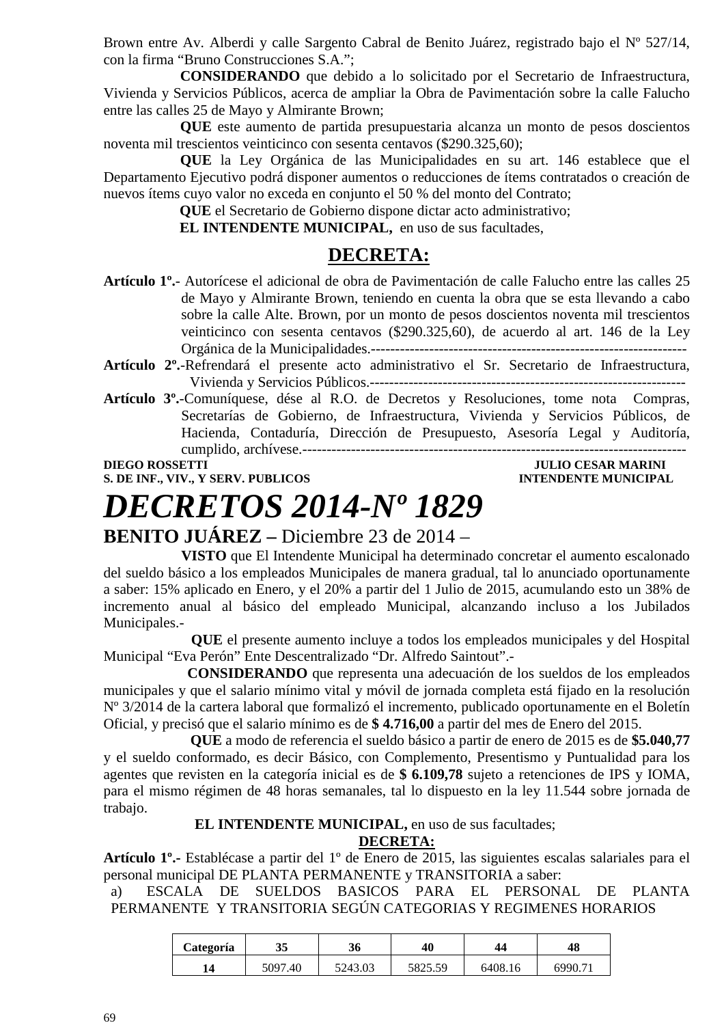Brown entre Av. Alberdi y calle Sargento Cabral de Benito Juárez, registrado bajo el Nº 527/14, con la firma "Bruno Construcciones S.A.";

 **CONSIDERANDO** que debido a lo solicitado por el Secretario de Infraestructura, Vivienda y Servicios Públicos, acerca de ampliar la Obra de Pavimentación sobre la calle Falucho entre las calles 25 de Mayo y Almirante Brown;

 **QUE** este aumento de partida presupuestaria alcanza un monto de pesos doscientos noventa mil trescientos veinticinco con sesenta centavos (\$290.325,60);

 **QUE** la Ley Orgánica de las Municipalidades en su art. 146 establece que el Departamento Ejecutivo podrá disponer aumentos o reducciones de ítems contratados o creación de nuevos ítems cuyo valor no exceda en conjunto el 50 % del monto del Contrato;

 **QUE** el Secretario de Gobierno dispone dictar acto administrativo;

 **EL INTENDENTE MUNICIPAL,** en uso de sus facultades,

### **DECRETA:**

- **Artículo 1º.** Autorícese el adicional de obra de Pavimentación de calle Falucho entre las calles 25 de Mayo y Almirante Brown, teniendo en cuenta la obra que se esta llevando a cabo sobre la calle Alte. Brown, por un monto de pesos doscientos noventa mil trescientos veinticinco con sesenta centavos (\$290.325,60), de acuerdo al art. 146 de la Ley Orgánica de la Municipalidades.-----------------------------------------------------------------
- **Artículo 2º.**-Refrendará el presente acto administrativo el Sr. Secretario de Infraestructura, Vivienda y Servicios Públicos.-----------------------------------------------------------------
- **Artículo 3º.**-Comuníquese, dése al R.O. de Decretos y Resoluciones, tome nota Compras, Secretarías de Gobierno, de Infraestructura, Vivienda y Servicios Públicos, de Hacienda, Contaduría, Dirección de Presupuesto, Asesoría Legal y Auditoría, cumplido, archívese.-------------------------------------------------------------------------------

**DIEGO ROSSETTI DIEGO ROSSETTI** *DIEGO ROSSETTI* 

#### **S. DE INF., VIV., Y SERV. PUBLICOS INTENDENTE MUNICIPAL**

# *DECRETOS 2014-Nº 1829*

**BENITO JUÁREZ –** Diciembre 23 de 2014 –

**VISTO** que El Intendente Municipal ha determinado concretar el aumento escalonado del sueldo básico a los empleados Municipales de manera gradual, tal lo anunciado oportunamente a saber: 15% aplicado en Enero, y el 20% a partir del 1 Julio de 2015, acumulando esto un 38% de incremento anual al básico del empleado Municipal, alcanzando incluso a los Jubilados Municipales.-

 **QUE** el presente aumento incluye a todos los empleados municipales y del Hospital Municipal "Eva Perón" Ente Descentralizado "Dr. Alfredo Saintout".-

 **CONSIDERANDO** que representa una adecuación de los sueldos de los empleados municipales y que el salario mínimo vital y móvil de jornada completa está fijado en la resolución Nº 3/2014 de la cartera laboral que formalizó el incremento, publicado oportunamente en el Boletín Oficial, y precisó que el salario mínimo es de **\$ 4.716,00** a partir del mes de Enero del 2015.

**QUE** a modo de referencia el sueldo básico a partir de enero de 2015 es de **\$5.040,77** y el sueldo conformado, es decir Básico, con Complemento, Presentismo y Puntualidad para los agentes que revisten en la categoría inicial es de **\$ 6.109,78** sujeto a retenciones de IPS y IOMA, para el mismo régimen de 48 horas semanales, tal lo dispuesto en la ley 11.544 sobre jornada de trabajo.

#### **EL INTENDENTE MUNICIPAL,** en uso de sus facultades;

**DECRETA:**

**Artículo 1º.-** Establécase a partir del 1º de Enero de 2015, las siguientes escalas salariales para el personal municipal DE PLANTA PERMANENTE y TRANSITORIA a saber:

a) ESCALA DE SUELDOS BASICOS PARA EL PERSONAL DE PLANTA PERMANENTE Y TRANSITORIA SEGÚN CATEGORIAS Y REGIMENES HORARIOS

| Categoría | 35      | 40<br>36 |         | 48<br>44 |        |
|-----------|---------|----------|---------|----------|--------|
| 14        | 5097.40 | 5243.03  | 5825.59 | 6408.16  | 6990.7 |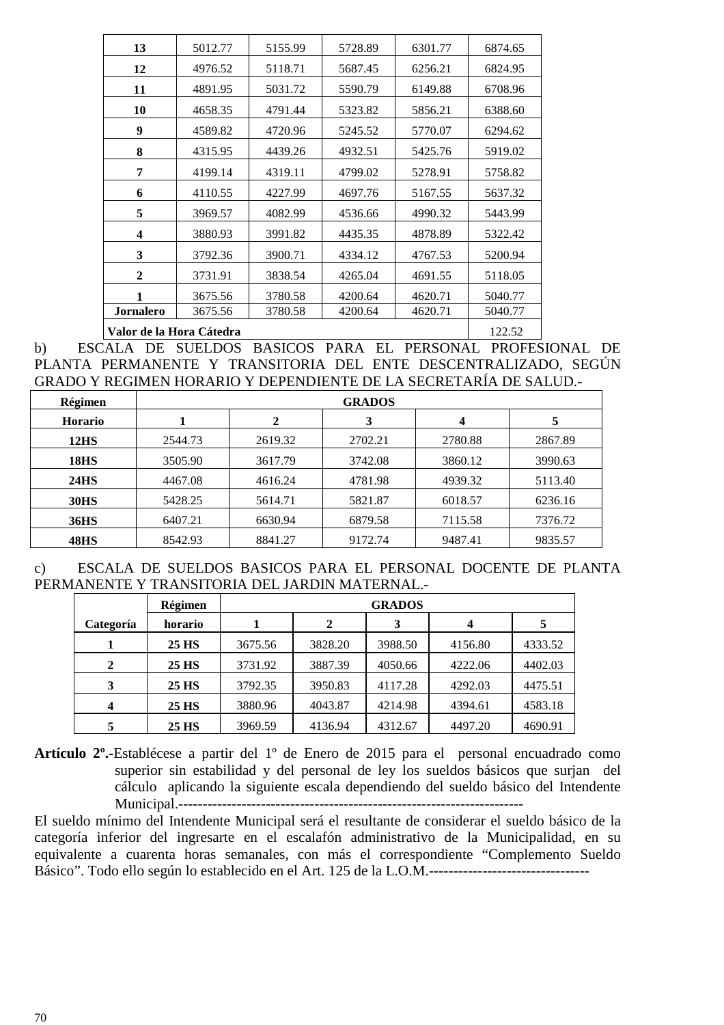| 13                       | 5012.77 | 5155.99 | 5728.89 | 6301.77 | 6874.65 |
|--------------------------|---------|---------|---------|---------|---------|
| 12                       | 4976.52 | 5118.71 | 5687.45 | 6256.21 | 6824.95 |
| 11                       | 4891.95 | 5031.72 | 5590.79 | 6149.88 | 6708.96 |
| 10                       | 4658.35 | 4791.44 | 5323.82 | 5856.21 | 6388.60 |
| 9                        | 4589.82 | 4720.96 | 5245.52 | 5770.07 | 6294.62 |
| 8                        | 4315.95 | 4439.26 | 4932.51 | 5425.76 | 5919.02 |
| 7                        | 4199.14 | 4319.11 | 4799.02 | 5278.91 | 5758.82 |
| 6                        | 4110.55 | 4227.99 | 4697.76 | 5167.55 | 5637.32 |
| 5                        | 3969.57 | 4082.99 | 4536.66 | 4990.32 | 5443.99 |
| 4                        | 3880.93 | 3991.82 | 4435.35 | 4878.89 | 5322.42 |
| 3                        | 3792.36 | 3900.71 | 4334.12 | 4767.53 | 5200.94 |
| $\mathbf{2}$             | 3731.91 | 3838.54 | 4265.04 | 4691.55 | 5118.05 |
| 1                        | 3675.56 | 3780.58 | 4200.64 | 4620.71 | 5040.77 |
| <b>Jornalero</b>         | 3675.56 | 3780.58 | 4200.64 | 4620.71 | 5040.77 |
| Valor de la Hora Cátedra |         |         |         |         | 122.52  |

b) ESCALA DE SUELDOS BASICOS PARA EL PERSONAL PROFESIONAL DE PLANTA PERMANENTE Y TRANSITORIA DEL ENTE DESCENTRALIZADO, SEGÚN GRADO Y REGIMEN HORARIO Y DEPENDIENTE DE LA SECRETARÍA DE SALUD.-

| Régimen        |         |         | <b>GRADOS</b> |         |         |
|----------------|---------|---------|---------------|---------|---------|
| <b>Horario</b> |         |         | 3             | 4       | 5       |
| <b>12HS</b>    | 2544.73 | 2619.32 | 2702.21       | 2780.88 | 2867.89 |
| <b>18HS</b>    | 3505.90 | 3617.79 | 3742.08       | 3860.12 | 3990.63 |
| <b>24HS</b>    | 4467.08 | 4616.24 | 4781.98       | 4939.32 | 5113.40 |
| <b>30HS</b>    | 5428.25 | 5614.71 | 5821.87       | 6018.57 | 6236.16 |
| 36HS           | 6407.21 | 6630.94 | 6879.58       | 7115.58 | 7376.72 |
| <b>48HS</b>    | 8542.93 | 8841.27 | 9172.74       | 9487.41 | 9835.57 |

c) ESCALA DE SUELDOS BASICOS PARA EL PERSONAL DOCENTE DE PLANTA PERMANENTE Y TRANSITORIA DEL JARDIN MATERNAL.-

|           | Régimen | <b>GRADOS</b> |         |         |         |         |
|-----------|---------|---------------|---------|---------|---------|---------|
| Categoría | horario |               | 2       | 3       |         | 5       |
|           | 25 HS   | 3675.56       | 3828.20 | 3988.50 | 4156.80 | 4333.52 |
| 2         | 25 HS   | 3731.92       | 3887.39 | 4050.66 | 4222.06 | 4402.03 |
| 3         | 25 HS   | 3792.35       | 3950.83 | 4117.28 | 4292.03 | 4475.51 |
| 4         | 25 HS   | 3880.96       | 4043.87 | 4214.98 | 4394.61 | 4583.18 |
|           | 25 HS   | 3969.59       | 4136.94 | 4312.67 | 4497.20 | 4690.91 |

**Artículo 2º.-**Establécese a partir del 1º de Enero de 2015 para el personal encuadrado como superior sin estabilidad y del personal de ley los sueldos básicos que surjan del cálculo aplicando la siguiente escala dependiendo del sueldo básico del Intendente Municipal.-----------------------------------------------------------------------

El sueldo mínimo del Intendente Municipal será el resultante de considerar el sueldo básico de la categoría inferior del ingresarte en el escalafón administrativo de la Municipalidad, en su equivalente a cuarenta horas semanales, con más el correspondiente "Complemento Sueldo Básico". Todo ello según lo establecido en el Art. 125 de la L.O.M.---------------------------------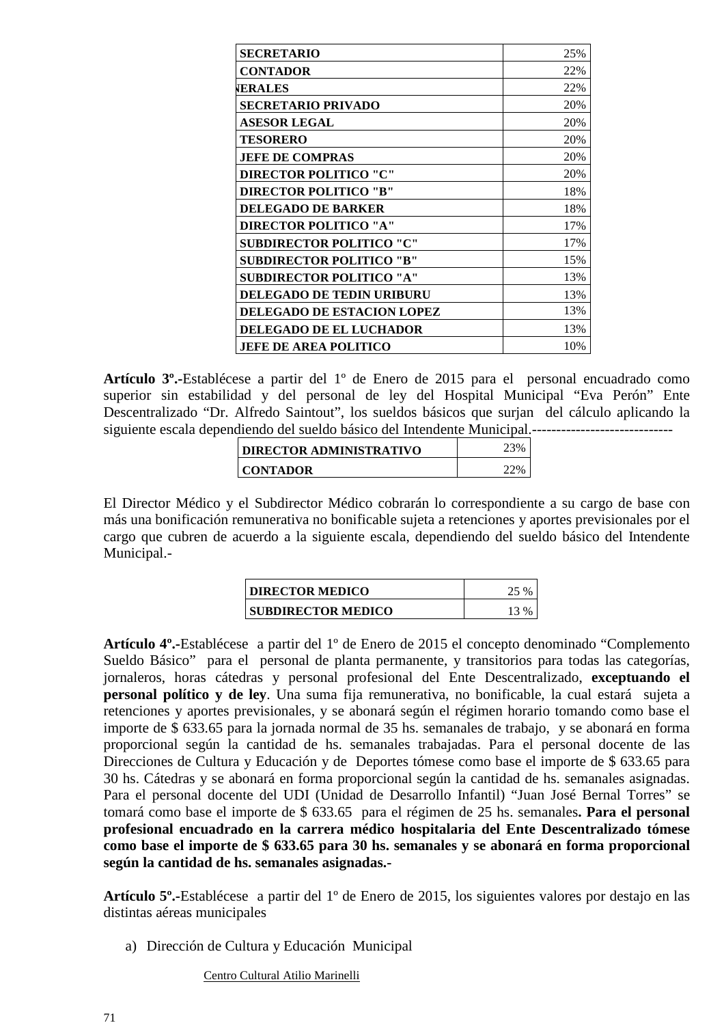| <b>SECRETARIO</b>                 | 25% |
|-----------------------------------|-----|
| <b>CONTADOR</b>                   | 22% |
| <b>WERALES</b>                    | 22% |
| <b>SECRETARIO PRIVADO</b>         | 20% |
| <b>ASESOR LEGAL</b>               | 20% |
| <b>TESORERO</b>                   | 20% |
| <b>JEFE DE COMPRAS</b>            | 20% |
| <b>DIRECTOR POLITICO "C"</b>      | 20% |
| <b>DIRECTOR POLITICO "B"</b>      | 18% |
| <b>DELEGADO DE BARKER</b>         | 18% |
| DIRECTOR POLITICO "A"             | 17% |
| <b>SUBDIRECTOR POLITICO "C"</b>   | 17% |
| <b>SUBDIRECTOR POLITICO "B"</b>   | 15% |
| <b>SUBDIRECTOR POLITICO "A"</b>   | 13% |
| <b>DELEGADO DE TEDIN URIBURU</b>  | 13% |
| <b>DELEGADO DE ESTACIÓN LOPEZ</b> | 13% |
| <b>DELEGADO DE EL LUCHADOR</b>    | 13% |
| <b>JEFE DE AREA POLITICO</b>      | 10% |

**Artículo 3º.-**Establécese a partir del 1º de Enero de 2015 para el personal encuadrado como superior sin estabilidad y del personal de ley del Hospital Municipal "Eva Perón" Ente Descentralizado "Dr. Alfredo Saintout", los sueldos básicos que surjan del cálculo aplicando la siguiente escala dependiendo del sueldo básico del Intendente Municipal.-----------------------------

| DIRECTOR ADMINISTRATIVO |  |
|-------------------------|--|
| <b>CONTADOR</b>         |  |

El Director Médico y el Subdirector Médico cobrarán lo correspondiente a su cargo de base con más una bonificación remunerativa no bonificable sujeta a retenciones y aportes previsionales por el cargo que cubren de acuerdo a la siguiente escala, dependiendo del sueldo básico del Intendente Municipal.-

| <b>DIRECTOR MEDICO</b>    |  |
|---------------------------|--|
| <b>SUBDIRECTOR MEDICO</b> |  |

**Artículo 4º.-**Establécese a partir del 1º de Enero de 2015 el concepto denominado "Complemento Sueldo Básico" para el personal de planta permanente, y transitorios para todas las categorías, jornaleros, horas cátedras y personal profesional del Ente Descentralizado, **exceptuando el personal político y de ley**. Una suma fija remunerativa, no bonificable, la cual estará sujeta a retenciones y aportes previsionales, y se abonará según el régimen horario tomando como base el importe de \$ 633.65 para la jornada normal de 35 hs. semanales de trabajo, y se abonará en forma proporcional según la cantidad de hs. semanales trabajadas. Para el personal docente de las Direcciones de Cultura y Educación y de Deportes tómese como base el importe de \$ 633.65 para 30 hs. Cátedras y se abonará en forma proporcional según la cantidad de hs. semanales asignadas. Para el personal docente del UDI (Unidad de Desarrollo Infantil) "Juan José Bernal Torres" se tomará como base el importe de \$ 633.65 para el régimen de 25 hs. semanales**. Para el personal profesional encuadrado en la carrera médico hospitalaria del Ente Descentralizado tómese como base el importe de \$ 633.65 para 30 hs. semanales y se abonará en forma proporcional según la cantidad de hs. semanales asignadas.-** 

**Artículo 5º.-**Establécese a partir del 1º de Enero de 2015, los siguientes valores por destajo en las distintas aéreas municipales

a) Dirección de Cultura y Educación Municipal

Centro Cultural Atilio Marinelli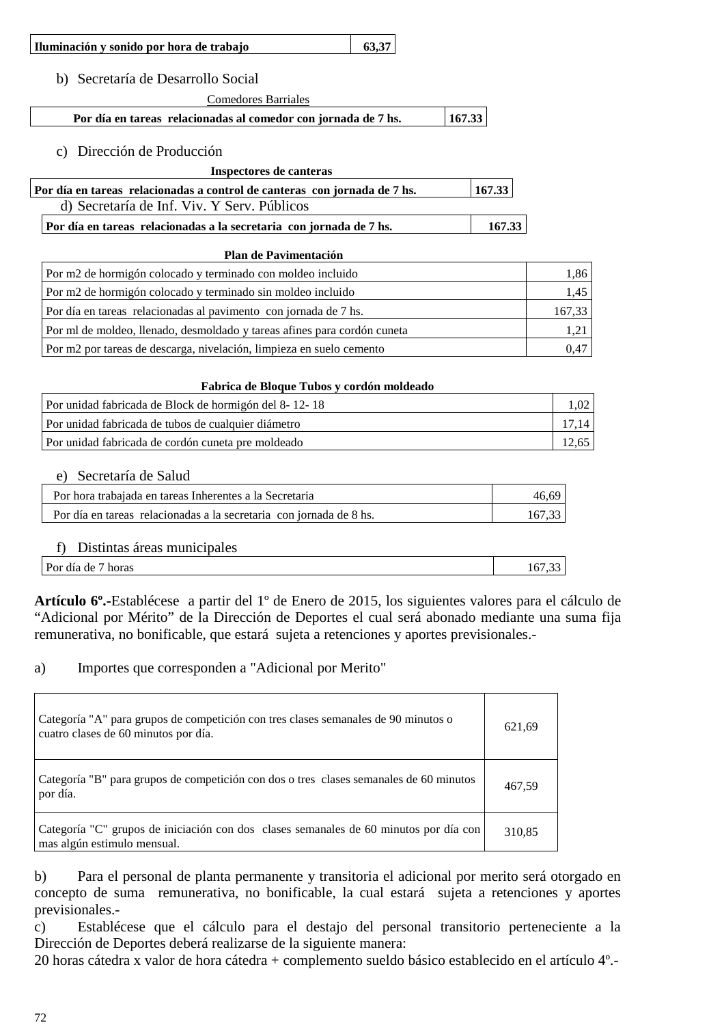| Iluminación y sonido por hora de trabajo | 63.37 |  |
|------------------------------------------|-------|--|
|                                          |       |  |

b) Secretaría de Desarrollo Social

Comedores Barriales

Por día en tareas relacionadas al comedor con jornada de 7 hs. 167.33

c) Dirección de Producción

#### **Inspectores de canteras**

| Por día en tareas relacionadas a control de canteras con jornada de 7 hs. | 167.33 |  |
|---------------------------------------------------------------------------|--------|--|
| d) Secretaría de Inf. Viv. Y Serv. Públicos                               |        |  |

**Por día en tareas relacionadas a la secretaria con jornada de 7 hs.** 167.33

#### **Plan de Pavimentación**

| Por m2 de hormigón colocado y terminado con moldeo incluido              |        |
|--------------------------------------------------------------------------|--------|
| Por m2 de hormigón colocado y terminado sin moldeo incluido              | 1,45   |
| Por día en tareas relacionadas al pavimento con jornada de 7 hs.         | 167.33 |
| Por ml de moldeo, llenado, desmoldado y tareas afines para cordón cuneta |        |
| Por m2 por tareas de descarga, nivelación, limpieza en suelo cemento     | 0.47   |

#### **Fabrica de Bloque Tubos y cordón moldeado**

| Por unidad fabricada de Block de hormigón del 8-12-18 |       |
|-------------------------------------------------------|-------|
| Por unidad fabricada de tubos de cualquier diámetro   |       |
| Por unidad fabricada de cordón cuneta pre moldeado    | 12,65 |

#### e) Secretaría de Salud

| Por hora trabajada en tareas Inherentes a la Secretaria             | 46.69  |
|---------------------------------------------------------------------|--------|
| Por día en tareas relacionadas a la secretaria con jornada de 8 hs. | 167.33 |

#### f) Distintas áreas municipales

| __<br>---------------                |        |
|--------------------------------------|--------|
| $\sqrt{ }$<br>horas<br>Por día<br>de | $\sim$ |
|                                      |        |

**Artículo 6º.-**Establécese a partir del 1º de Enero de 2015, los siguientes valores para el cálculo de "Adicional por Mérito" de la Dirección de Deportes el cual será abonado mediante una suma fija remunerativa, no bonificable, que estará sujeta a retenciones y aportes previsionales.-

#### a) Importes que corresponden a "Adicional por Merito"

| Categoría "A" para grupos de competición con tres clases semanales de 90 minutos o<br>cuatro clases de 60 minutos por día. | 621,69 |
|----------------------------------------------------------------------------------------------------------------------------|--------|
| Categoría "B" para grupos de competición con dos o tres clases semanales de 60 minutos<br>por día.                         | 467,59 |
| Categoría "C" grupos de iniciación con dos clases semanales de 60 minutos por día con<br>mas algún estimulo mensual.       | 310,85 |

b) Para el personal de planta permanente y transitoria el adicional por merito será otorgado en concepto de suma remunerativa, no bonificable, la cual estará sujeta a retenciones y aportes previsionales.-

c) Establécese que el cálculo para el destajo del personal transitorio perteneciente a la Dirección de Deportes deberá realizarse de la siguiente manera:

20 horas cátedra x valor de hora cátedra + complemento sueldo básico establecido en el artículo 4º.-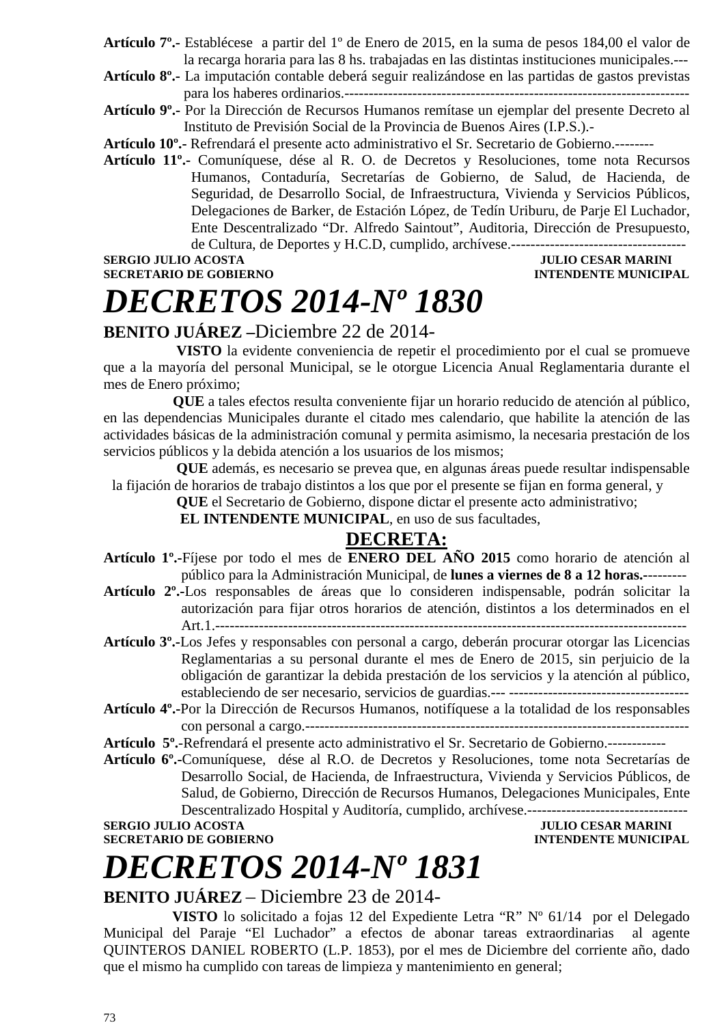- **Artículo 7º.-** Establécese a partir del 1º de Enero de 2015, en la suma de pesos 184,00 el valor de la recarga horaria para las 8 hs. trabajadas en las distintas instituciones municipales.---
- **Artículo 8º.-** La imputación contable deberá seguir realizándose en las partidas de gastos previstas para los haberes ordinarios.-----------------------------------------------------------------------
- **Artículo 9º.-** Por la Dirección de Recursos Humanos remítase un ejemplar del presente Decreto al Instituto de Previsión Social de la Provincia de Buenos Aires (I.P.S.).-

**Artículo 10º.-** Refrendará el presente acto administrativo el Sr. Secretario de Gobierno.--------

**Artículo 11º.-** Comuníquese, dése al R. O. de Decretos y Resoluciones, tome nota Recursos Humanos, Contaduría, Secretarías de Gobierno, de Salud, de Hacienda, de Seguridad, de Desarrollo Social, de Infraestructura, Vivienda y Servicios Públicos, Delegaciones de Barker, de Estación López, de Tedín Uriburu, de Parje El Luchador, Ente Descentralizado "Dr. Alfredo Saintout", Auditoria, Dirección de Presupuesto, de Cultura, de Deportes y H.C.D, cumplido, archívese.------------------------------------

**SERGIO JULIO ACOSTA JULIO CESAR MARINI SECRETARIO DE GOBIERNO DE SOBLETARIO DE SOBLETARIO DE SOBLETARIO DE SOBLETARIO DE SOBLETARIO DE SOBLETARIO DE SOBLETARIO DE SOBLETARIO DE SOBLETARIO DE SOBLETARIO DE SOBLETARIO DE SO** 

## **INTENDENTE MUNICIPAL**

# *DECRETOS 2014-Nº 1830*

### **BENITO JUÁREZ –**Diciembre 22 de 2014-

 **VISTO** la evidente conveniencia de repetir el procedimiento por el cual se promueve que a la mayoría del personal Municipal, se le otorgue Licencia Anual Reglamentaria durante el mes de Enero próximo;

 **QUE** a tales efectos resulta conveniente fijar un horario reducido de atención al público, en las dependencias Municipales durante el citado mes calendario, que habilite la atención de las actividades básicas de la administración comunal y permita asimismo, la necesaria prestación de los servicios públicos y la debida atención a los usuarios de los mismos;

 **QUE** además, es necesario se prevea que, en algunas áreas puede resultar indispensable la fijación de horarios de trabajo distintos a los que por el presente se fijan en forma general, y

 **QUE** el Secretario de Gobierno, dispone dictar el presente acto administrativo;

**EL INTENDENTE MUNICIPAL**, en uso de sus facultades,

### **DECRETA:**

- **Artículo 1º.-**Fíjese por todo el mes de **ENERO DEL AÑO 2015** como horario de atención al público para la Administración Municipal, de **lunes a viernes de 8 a 12 horas.-**--------
- **Artículo 2º.-**Los responsables de áreas que lo consideren indispensable, podrán solicitar la autorización para fijar otros horarios de atención, distintos a los determinados en el Art.1.-------------------------------------------------------------------------------------------------
- **Artículo 3º.-**Los Jefes y responsables con personal a cargo, deberán procurar otorgar las Licencias Reglamentarias a su personal durante el mes de Enero de 2015, sin perjuicio de la obligación de garantizar la debida prestación de los servicios y la atención al público, estableciendo de ser necesario, servicios de guardias.--- -------------------------------------
- **Artículo 4º.-**Por la Dirección de Recursos Humanos, notifíquese a la totalidad de los responsables con personal a cargo.-------------------------------------------------------------------------------

**Artículo 5º.**-Refrendará el presente acto administrativo el Sr. Secretario de Gobierno.------------

**Artículo 6º.-**Comuníquese, dése al R.O. de Decretos y Resoluciones, tome nota Secretarías de Desarrollo Social, de Hacienda, de Infraestructura, Vivienda y Servicios Públicos, de Salud, de Gobierno, Dirección de Recursos Humanos, Delegaciones Municipales, Ente Descentralizado Hospital y Auditoría, cumplido, archívese.---------------------------------

**SERGIO JULIO ACOSTA JULIO CESAR MARINI AND SECRETARIO DE GOBIERNO JULIO CESAR MARINI** 

**INTENDENTE MUNICIPAL** 

# *DECRETOS 2014-Nº 1831*

### **BENITO JUÁREZ** – Diciembre 23 de 2014-

**VISTO** lo solicitado a fojas 12 del Expediente Letra "R" Nº 61/14 por el Delegado Municipal del Paraje "El Luchador" a efectos de abonar tareas extraordinarias al agente QUINTEROS DANIEL ROBERTO (L.P. 1853), por el mes de Diciembre del corriente año, dado que el mismo ha cumplido con tareas de limpieza y mantenimiento en general;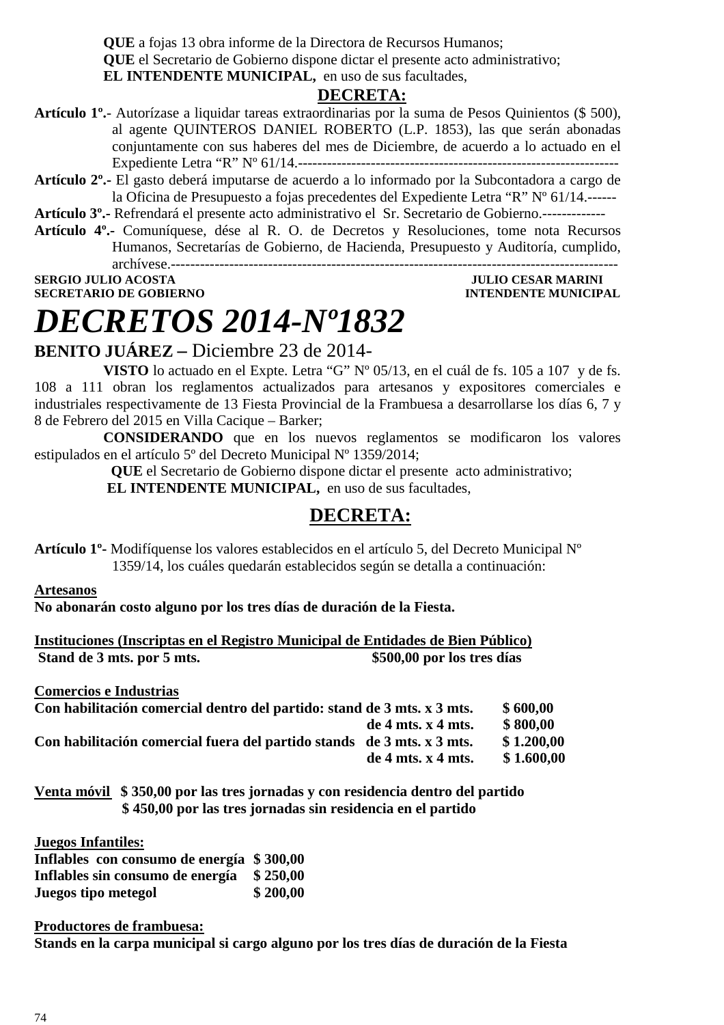**QUE** a fojas 13 obra informe de la Directora de Recursos Humanos; **QUE** el Secretario de Gobierno dispone dictar el presente acto administrativo; **EL INTENDENTE MUNICIPAL,** en uso de sus facultades,

### **DECRETA:**

- **Artículo 1º.** Autorízase a liquidar tareas extraordinarias por la suma de Pesos Quinientos (\$ 500), al agente QUINTEROS DANIEL ROBERTO (L.P. 1853), las que serán abonadas conjuntamente con sus haberes del mes de Diciembre, de acuerdo a lo actuado en el Expediente Letra "R" Nº 61/14.------------------------------------------------------------------
- **Artículo 2º.-** El gasto deberá imputarse de acuerdo a lo informado por la Subcontadora a cargo de la Oficina de Presupuesto a fojas precedentes del Expediente Letra "R" Nº 61/14.------
- **Artículo 3º.-** Refrendará el presente acto administrativo el Sr. Secretario de Gobierno.-------------
- **Artículo 4º.-** Comuníquese, dése al R. O. de Decretos y Resoluciones, tome nota Recursos Humanos, Secretarías de Gobierno, de Hacienda, Presupuesto y Auditoría, cumplido, archívese.--------------------------------------------------------------------------------------------

**SERGIO JULIO ACOSTA JULIO CESAR MARINI SECRETARIO DE GOBIERNO INTENDENTE MUNICIPAL** 

# *DECRETOS 2014-Nº1832*

**BENITO JUÁREZ –** Diciembre 23 de 2014-

**VISTO** lo actuado en el Expte. Letra "G" Nº 05/13, en el cuál de fs. 105 a 107 y de fs. 108 a 111 obran los reglamentos actualizados para artesanos y expositores comerciales e industriales respectivamente de 13 Fiesta Provincial de la Frambuesa a desarrollarse los días 6, 7 y 8 de Febrero del 2015 en Villa Cacique – Barker;

**CONSIDERANDO** que en los nuevos reglamentos se modificaron los valores estipulados en el artículo 5º del Decreto Municipal Nº 1359/2014;

 **QUE** el Secretario de Gobierno dispone dictar el presente acto administrativo;

 **EL INTENDENTE MUNICIPAL,** en uso de sus facultades,

### **DECRETA:**

**Artículo 1º-** Modifíquense los valores establecidos en el artículo 5, del Decreto Municipal Nº 1359/14, los cuáles quedarán establecidos según se detalla a continuación:

**Artesanos**

**No abonarán costo alguno por los tres días de duración de la Fiesta.** 

**Instituciones (Inscriptas en el Registro Municipal de Entidades de Bien Público) Stand de 3 mts. por 5 mts.** \$500,00 por los tres días

**Comercios e Industrias** 

| Con habilitación comercial dentro del partido: stand de 3 mts. x 3 mts. |                        | \$600,00   |
|-------------------------------------------------------------------------|------------------------|------------|
| $de 4$ mts. $x 4$ mts.                                                  |                        | \$800.00   |
| Con habilitación comercial fuera del partido stands de 3 mts. x 3 mts.  |                        | \$1,200,00 |
|                                                                         | $de 4$ mts. $x 4$ mts. | \$1.600,00 |

**Venta móvil \$ 350,00 por las tres jornadas y con residencia dentro del partido \$ 450,00 por las tres jornadas sin residencia en el partido** 

**Juegos Infantiles:**

| Inflables con consumo de energía \$300,00 |          |
|-------------------------------------------|----------|
| Inflables sin consumo de energía \$250,00 |          |
| Juegos tipo metegol                       | \$200,00 |

**Productores de frambuesa: Stands en la carpa municipal si cargo alguno por los tres días de duración de la Fiesta**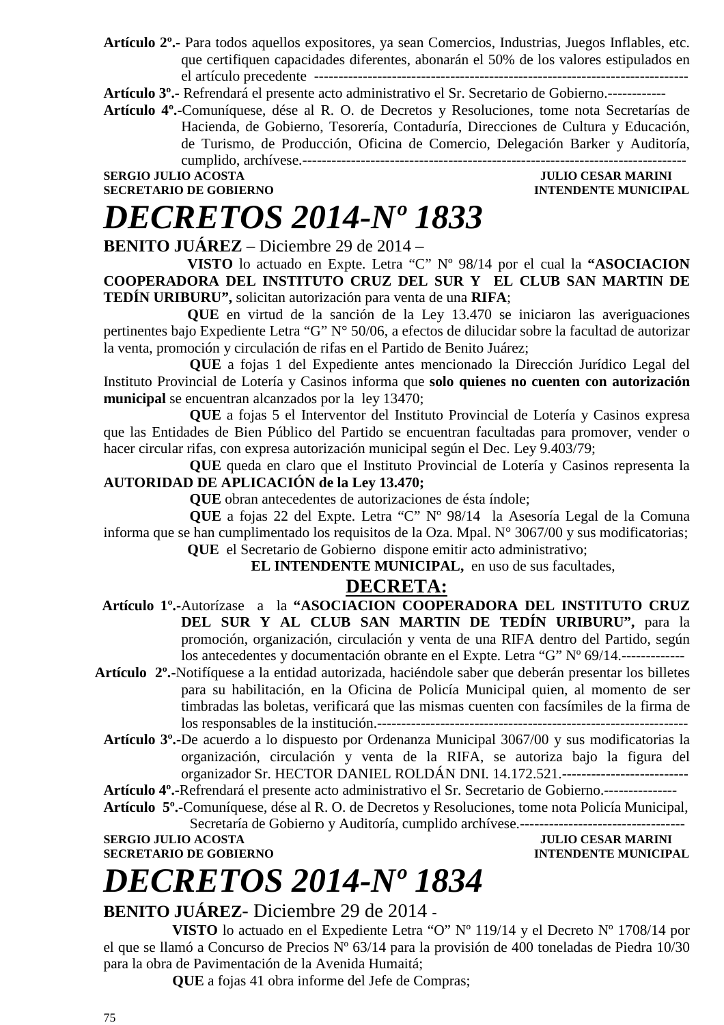**Artículo 2º.-** Para todos aquellos expositores, ya sean Comercios, Industrias, Juegos Inflables, etc. que certifiquen capacidades diferentes, abonarán el 50% de los valores estipulados en el artículo precedente -----------------------------------------------------------------------------

**Artículo 3º.-** Refrendará el presente acto administrativo el Sr. Secretario de Gobierno.------------

**Artículo 4º.-**Comuníquese, dése al R. O. de Decretos y Resoluciones, tome nota Secretarías de Hacienda, de Gobierno, Tesorería, Contaduría, Direcciones de Cultura y Educación, de Turismo, de Producción, Oficina de Comercio, Delegación Barker y Auditoría, cumplido, archívese.-------------------------------------------------------------------------------

### **SERGIO JULIO ACOSTA JULIO CESAR MARINI SECRETARIO DE GOBIERNO DE SOBLETARIO DE SOBLETARIO DE SOBLETARIO DE SOBLETARIO DE SOBLETARIO DE SOBLETARIO DE SOBLETARIO DE SOBLETARIO DE SOBLETARIO DE SOBLETARIO DE SOBLETARIO DE SO INTENDENTE MUNICIPAL**

# *DECRETOS 2014-Nº 1833*

**BENITO JUÁREZ** – Diciembre 29 de 2014 –

 **VISTO** lo actuado en Expte. Letra "C" Nº 98/14 por el cual la **"ASOCIACION COOPERADORA DEL INSTITUTO CRUZ DEL SUR Y EL CLUB SAN MARTIN DE TEDÍN URIBURU",** solicitan autorización para venta de una **RIFA**;

 **QUE** en virtud de la sanción de la Ley 13.470 se iniciaron las averiguaciones pertinentes bajo Expediente Letra "G" N° 50/06, a efectos de dilucidar sobre la facultad de autorizar la venta, promoción y circulación de rifas en el Partido de Benito Juárez;

**QUE** a fojas 1 del Expediente antes mencionado la Dirección Jurídico Legal del Instituto Provincial de Lotería y Casinos informa que **solo quienes no cuenten con autorización municipal** se encuentran alcanzados por la ley 13470;

**QUE** a fojas 5 el Interventor del Instituto Provincial de Lotería y Casinos expresa que las Entidades de Bien Público del Partido se encuentran facultadas para promover, vender o hacer circular rifas, con expresa autorización municipal según el Dec. Ley 9.403/79;

**QUE** queda en claro que el Instituto Provincial de Lotería y Casinos representa la **AUTORIDAD DE APLICACIÓN de la Ley 13.470;** 

**QUE** obran antecedentes de autorizaciones de ésta índole;

**QUE** a fojas 22 del Expte. Letra "C" Nº 98/14 la Asesoría Legal de la Comuna informa que se han cumplimentado los requisitos de la Oza. Mpal. N° 3067/00 y sus modificatorias;  **QUE** el Secretario de Gobierno dispone emitir acto administrativo;

 **EL INTENDENTE MUNICIPAL,** en uso de sus facultades,

### **DECRETA:**

 **Artículo 1º.-**Autorízase a la **"ASOCIACION COOPERADORA DEL INSTITUTO CRUZ DEL SUR Y AL CLUB SAN MARTIN DE TEDÍN URIBURU",** para la promoción, organización, circulación y venta de una RIFA dentro del Partido, según los antecedentes y documentación obrante en el Expte. Letra "G" Nº 69/14.-------------

- **Artículo 2º.-**Notifíquese a la entidad autorizada, haciéndole saber que deberán presentar los billetes para su habilitación, en la Oficina de Policía Municipal quien, al momento de ser timbradas las boletas, verificará que las mismas cuenten con facsímiles de la firma de los responsables de la institución.----------------------------------------------------------------
	- **Artículo 3º.-**De acuerdo a lo dispuesto por Ordenanza Municipal 3067/00 y sus modificatorias la organización, circulación y venta de la RIFA, se autoriza bajo la figura del organizador Sr. HECTOR DANIEL ROLDÁN DNI. 14.172.521.--------------------------

**Artículo 4º.-**Refrendará el presente acto administrativo el Sr. Secretario de Gobierno.---------------

**Artículo 5º.-**Comuníquese, dése al R. O. de Decretos y Resoluciones, tome nota Policía Municipal, Secretaría de Gobierno y Auditoría, cumplido archívese.----------------------------------

**SERGIO JULIO ACOSTA JULIO CESAR MARINI** 

**SECRETARIO DE GOBIERNO INTENDENTE MUNICIPAL** 

# *DECRETOS 2014-Nº 1834*

### **BENITO JUÁREZ**- Diciembre 29 de 2014 **-**

**VISTO** lo actuado en el Expediente Letra "O" Nº 119/14 y el Decreto Nº 1708/14 por el que se llamó a Concurso de Precios Nº 63/14 para la provisión de 400 toneladas de Piedra 10/30 para la obra de Pavimentación de la Avenida Humaitá;

**QUE** a fojas 41 obra informe del Jefe de Compras;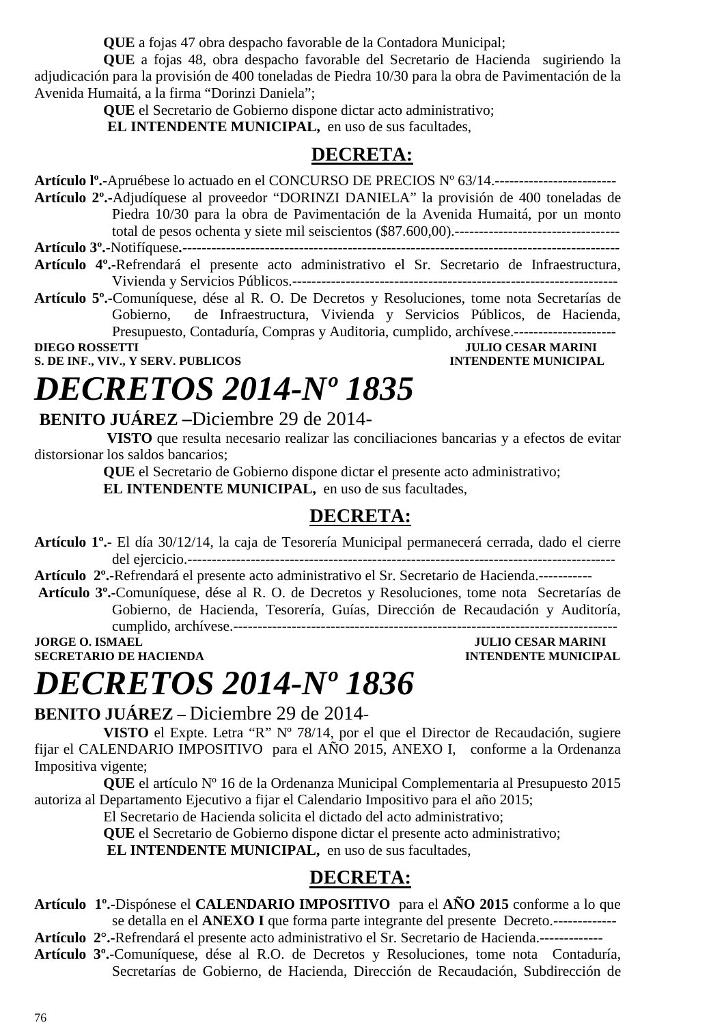**QUE** a fojas 47 obra despacho favorable de la Contadora Municipal;

**QUE** a fojas 48, obra despacho favorable del Secretario de Hacienda sugiriendo la adjudicación para la provisión de 400 toneladas de Piedra 10/30 para la obra de Pavimentación de la Avenida Humaitá, a la firma "Dorinzi Daniela";

**QUE** el Secretario de Gobierno dispone dictar acto administrativo;

**EL INTENDENTE MUNICIPAL,** en uso de sus facultades,

### **DECRETA:**

**Artículo lº.-**Apruébese lo actuado en el CONCURSO DE PRECIOS Nº 63/14.-------------------------

- **Artículo 2º.-**Adjudíquese al proveedor "DORINZI DANIELA" la provisión de 400 toneladas de Piedra 10/30 para la obra de Pavimentación de la Avenida Humaitá, por un monto total de pesos ochenta y siete mil seiscientos (\$87.600,00).---------------------------------- **Artículo 3º.-**Notifíquese**.------------------------------------------------------------------------------------------**
- **Artículo 4º.-**Refrendará el presente acto administrativo el Sr. Secretario de Infraestructura, Vivienda y Servicios Públicos.-------------------------------------------------------------------
- **Artículo 5º.-**Comuníquese, dése al R. O. De Decretos y Resoluciones, tome nota Secretarías de Gobierno, de Infraestructura, Vivienda y Servicios Públicos, de Hacienda, Presupuesto, Contaduría, Compras y Auditoria, cumplido, archívese.---------------------

**JULIO CESAR MARINI S. DE INF., VIV., Y SERV. PUBLICOS INTENDENTE MUNICIPAL** 

# *DECRETOS 2014-Nº 1835*

### **BENITO JUÁREZ –**Diciembre 29 de 2014-

 **VISTO** que resulta necesario realizar las conciliaciones bancarias y a efectos de evitar distorsionar los saldos bancarios;

**QUE** el Secretario de Gobierno dispone dictar el presente acto administrativo;

**EL INTENDENTE MUNICIPAL,** en uso de sus facultades,

### **DECRETA:**

**Artículo 1º.-** El día 30/12/14, la caja de Tesorería Municipal permanecerá cerrada, dado el cierre del ejercicio.----------------------------------------------------------------------------------------

**Artículo 2º.-**Refrendará el presente acto administrativo el Sr. Secretario de Hacienda.-----------

**Artículo 3º.-**Comuníquese, dése al R. O. de Decretos y Resoluciones, tome nota Secretarías de Gobierno, de Hacienda, Tesorería, Guías, Dirección de Recaudación y Auditoría, cumplido, archívese.------------------------------------------------------------------------------- **JORGE O. ISMAEL JULIO CESAR MARINI** 

**SECRETARIO DE HACIENDA INTENDENTE MUNICIPAL** 

# *DECRETOS 2014-Nº 1836*

**BENITO JUÁREZ –** Diciembre 29 de 2014-

**VISTO** el Expte. Letra "R" Nº 78/14, por el que el Director de Recaudación, sugiere fijar el CALENDARIO IMPOSITIVO para el AÑO 2015, ANEXO I, conforme a la Ordenanza Impositiva vigente;

**QUE** el artículo Nº 16 de la Ordenanza Municipal Complementaria al Presupuesto 2015 autoriza al Departamento Ejecutivo a fijar el Calendario Impositivo para el año 2015;

El Secretario de Hacienda solicita el dictado del acto administrativo;

**QUE** el Secretario de Gobierno dispone dictar el presente acto administrativo;

 **EL INTENDENTE MUNICIPAL,** en uso de sus facultades,

### **DECRETA:**

- **Artículo 1º.-**Dispónese el **CALENDARIO IMPOSITIVO** para el **AÑO 2015** conforme a lo que se detalla en el **ANEXO I** que forma parte integrante del presente Decreto.-------------
- **Artículo 2°.-**Refrendará el presente acto administrativo el Sr. Secretario de Hacienda.-------------
- **Artículo 3º.**-Comuníquese, dése al R.O. de Decretos y Resoluciones, tome nota Contaduría, Secretarías de Gobierno, de Hacienda, Dirección de Recaudación, Subdirección de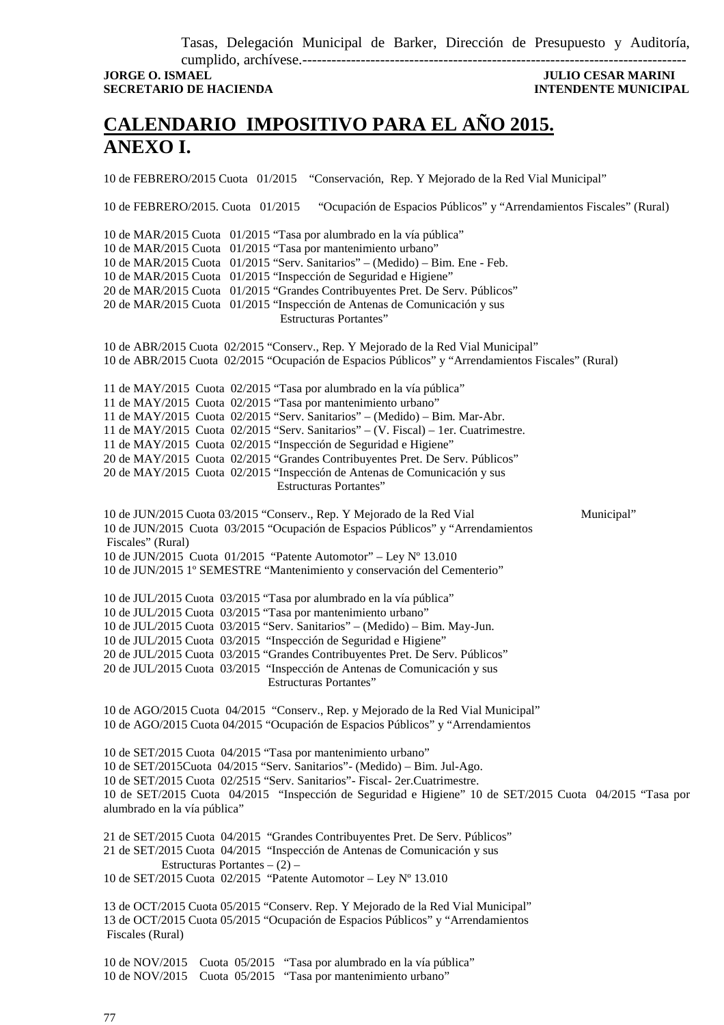Tasas, Delegación Municipal de Barker, Dirección de Presupuesto y Auditoría,

cumplido, archívese.------------------------------------------------------------------------------- **JORGE O. ISMAEL JULIO CESAR MARINI SECRETARIO DE HACIENDA INTENDENTE MUNICIPAL** 

## **CALENDARIO IMPOSITIVO PARA EL AÑO 2015. ANEXO I.**

10 de FEBRERO/2015 Cuota 01/2015 "Conservación, Rep. Y Mejorado de la Red Vial Municipal"

10 de FEBRERO/2015. Cuota 01/2015 "Ocupación de Espacios Públicos" y "Arrendamientos Fiscales" (Rural)

10 de MAR/2015 Cuota 01/2015 "Tasa por alumbrado en la vía pública" 10 de MAR/2015 Cuota 01/2015 "Tasa por mantenimiento urbano" 10 de MAR/2015 Cuota 01/2015 "Serv. Sanitarios" – (Medido) – Bim. Ene - Feb. 10 de MAR/2015 Cuota 01/2015 "Inspección de Seguridad e Higiene" 20 de MAR/2015 Cuota 01/2015 "Grandes Contribuyentes Pret. De Serv. Públicos" 20 de MAR/2015 Cuota 01/2015 "Inspección de Antenas de Comunicación y sus Estructuras Portantes" 10 de ABR/2015 Cuota 02/2015 "Conserv., Rep. Y Mejorado de la Red Vial Municipal" 10 de ABR/2015 Cuota 02/2015 "Ocupación de Espacios Públicos" y "Arrendamientos Fiscales" (Rural) 11 de MAY/2015 Cuota 02/2015 "Tasa por alumbrado en la vía pública" 11 de MAY/2015 Cuota 02/2015 "Tasa por mantenimiento urbano" 11 de MAY/2015 Cuota 02/2015 "Serv. Sanitarios" – (Medido) – Bim. Mar-Abr. 11 de MAY/2015 Cuota 02/2015 "Serv. Sanitarios" – (V. Fiscal) – 1er. Cuatrimestre. 11 de MAY/2015 Cuota 02/2015 "Inspección de Seguridad e Higiene" 20 de MAY/2015 Cuota 02/2015 "Grandes Contribuyentes Pret. De Serv. Públicos" 20 de MAY/2015 Cuota 02/2015 "Inspección de Antenas de Comunicación y sus Estructuras Portantes" 10 de JUN/2015 Cuota 03/2015 "Conserv., Rep. Y Mejorado de la Red Vial Municipal" 10 de JUN/2015 Cuota 03/2015 "Ocupación de Espacios Públicos" y "Arrendamientos Fiscales" (Rural) 10 de JUN/2015 Cuota 01/2015 "Patente Automotor" – Ley Nº 13.010 10 de JUN/2015 1º SEMESTRE "Mantenimiento y conservación del Cementerio" 10 de JUL/2015 Cuota 03/2015 "Tasa por alumbrado en la vía pública" 10 de JUL/2015 Cuota 03/2015 "Tasa por mantenimiento urbano" 10 de JUL/2015 Cuota 03/2015 "Serv. Sanitarios" – (Medido) – Bim. May-Jun. 10 de JUL/2015 Cuota 03/2015 "Inspección de Seguridad e Higiene" 20 de JUL/2015 Cuota 03/2015 "Grandes Contribuyentes Pret. De Serv. Públicos" 20 de JUL/2015 Cuota 03/2015 "Inspección de Antenas de Comunicación y sus Estructuras Portantes" 10 de AGO/2015 Cuota 04/2015 "Conserv., Rep. y Mejorado de la Red Vial Municipal" 10 de AGO/2015 Cuota 04/2015 "Ocupación de Espacios Públicos" y "Arrendamientos 10 de SET/2015 Cuota 04/2015 "Tasa por mantenimiento urbano" 10 de SET/2015Cuota 04/2015 "Serv. Sanitarios"- (Medido) – Bim. Jul-Ago.

10 de SET/2015 Cuota 02/2515 "Serv. Sanitarios"- Fiscal- 2er.Cuatrimestre. 10 de SET/2015 Cuota 04/2015 "Inspección de Seguridad e Higiene" 10 de SET/2015 Cuota 04/2015 "Tasa por alumbrado en la vía pública"

21 de SET/2015 Cuota 04/2015 "Grandes Contribuyentes Pret. De Serv. Públicos" 21 de SET/2015 Cuota 04/2015 "Inspección de Antenas de Comunicación y sus Estructuras Portantes  $- (2)$  – 10 de SET/2015 Cuota 02/2015 "Patente Automotor – Ley Nº 13.010

13 de OCT/2015 Cuota 05/2015 "Conserv. Rep. Y Mejorado de la Red Vial Municipal" 13 de OCT/2015 Cuota 05/2015 "Ocupación de Espacios Públicos" y "Arrendamientos Fiscales (Rural)

10 de NOV/2015 Cuota 05/2015 "Tasa por alumbrado en la vía pública" 10 de NOV/2015 Cuota 05/2015 "Tasa por mantenimiento urbano"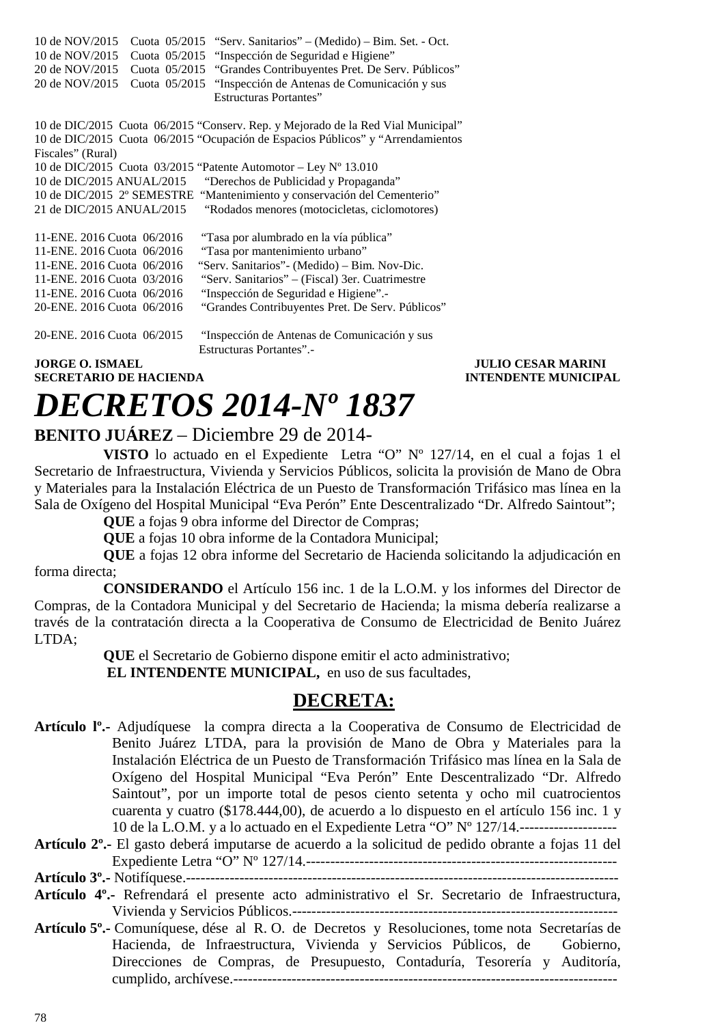| 10 de NOV/2015                                                  | Cuota 05/2015 "Serv. Sanitarios" – (Medido) – Bim. Set. - Oct.                   |
|-----------------------------------------------------------------|----------------------------------------------------------------------------------|
| 10 de NOV/2015<br>Cuota 05/2015                                 | "Inspección de Seguridad e Higiene"                                              |
| 20 de NOV/2015<br>Cuota 05/2015                                 | "Grandes Contribuyentes Pret. De Serv. Públicos"                                 |
| 20 de NOV/2015<br>Cuota 05/2015                                 | "Inspección de Antenas de Comunicación y sus                                     |
|                                                                 | <b>Estructuras Portantes"</b>                                                    |
|                                                                 |                                                                                  |
|                                                                 | 10 de DIC/2015 Cuota 06/2015 "Conserv. Rep. y Mejorado de la Red Vial Municipal" |
|                                                                 | 10 de DIC/2015 Cuota 06/2015 "Ocupación de Espacios Públicos" y "Arrendamientos  |
| Fiscales" (Rural)                                               |                                                                                  |
| 10 de DIC/2015 Cuota 03/2015 "Patente Automotor - Ley Nº 13.010 |                                                                                  |
| 10 de DIC/2015 ANUAL/2015                                       | "Derechos de Publicidad y Propaganda"                                            |
| 10 de DIC/2015 2° SEMESTRE                                      | "Mantenimiento y conservación del Cementerio"                                    |
| 21 de DIC/2015 ANUAL/2015                                       | "Rodados menores (motocicletas, ciclomotores)                                    |
|                                                                 |                                                                                  |
| 11-ENE, 2016 Cuota 06/2016                                      | "Tasa por alumbrado en la vía pública"                                           |
| 11-ENE, 2016 Cuota 06/2016                                      | "Tasa por mantenimiento urbano"                                                  |
| 11-ENE, 2016 Cuota 06/2016                                      | "Serv. Sanitarios" - (Medido) – Bim. Nov-Dic.                                    |
| 11-ENE, 2016 Cuota 03/2016                                      | "Serv. Sanitarios" – (Fiscal) 3er. Cuatrimestre                                  |
| 11-ENE, 2016 Cuota 06/2016                                      | "Inspección de Seguridad e Higiene".-                                            |
| 20-ENE, 2016 Cuota 06/2016                                      | "Grandes Contribuyentes Pret. De Serv. Públicos"                                 |
|                                                                 |                                                                                  |
| 20-ENE, 2016 Cuota 06/2015                                      | "Inspección de Antenas de Comunicación y sus                                     |
|                                                                 | <b>Estructuras Portantes".-</b>                                                  |
| <b>JORGE O. ISMAEL</b>                                          |                                                                                  |
| <b>SECRETARIO DE HACIENDA</b>                                   | П                                                                                |

### **JULIO CESAR MARINI STENDENTE MUNICIPAL**

# *DECRETOS 2014-Nº 1837*

### **BENITO JUÁREZ** – Diciembre 29 de 2014-

**VISTO** lo actuado en el Expediente Letra "O" Nº 127/14, en el cual a fojas 1 el Secretario de Infraestructura, Vivienda y Servicios Públicos, solicita la provisión de Mano de Obra y Materiales para la Instalación Eléctrica de un Puesto de Transformación Trifásico mas línea en la Sala de Oxígeno del Hospital Municipal "Eva Perón" Ente Descentralizado "Dr. Alfredo Saintout";

**QUE** a fojas 9 obra informe del Director de Compras;

**QUE** a fojas 10 obra informe de la Contadora Municipal;

**QUE** a fojas 12 obra informe del Secretario de Hacienda solicitando la adjudicación en forma directa;

**CONSIDERANDO** el Artículo 156 inc. 1 de la L.O.M. y los informes del Director de Compras, de la Contadora Municipal y del Secretario de Hacienda; la misma debería realizarse a través de la contratación directa a la Cooperativa de Consumo de Electricidad de Benito Juárez LTDA;

> **QUE** el Secretario de Gobierno dispone emitir el acto administrativo;  **EL INTENDENTE MUNICIPAL,** en uso de sus facultades,

### **DECRETA:**

- **Artículo lº.-** Adjudíquese la compra directa a la Cooperativa de Consumo de Electricidad de Benito Juárez LTDA, para la provisión de Mano de Obra y Materiales para la Instalación Eléctrica de un Puesto de Transformación Trifásico mas línea en la Sala de Oxígeno del Hospital Municipal "Eva Perón" Ente Descentralizado "Dr. Alfredo Saintout", por un importe total de pesos ciento setenta y ocho mil cuatrocientos cuarenta y cuatro (\$178.444,00), de acuerdo a lo dispuesto en el artículo 156 inc. 1 y 10 de la L.O.M. y a lo actuado en el Expediente Letra "O" Nº 127/14.--------------------
- **Artículo 2º.-** El gasto deberá imputarse de acuerdo a la solicitud de pedido obrante a fojas 11 del Expediente Letra "O" Nº 127/14.----------------------------------------------------------------

**Artículo 3º.-** Notifíquese.-----------------------------------------------------------------------------------------

- **Artículo 4º.-** Refrendará el presente acto administrativo el Sr. Secretario de Infraestructura, Vivienda y Servicios Públicos.-------------------------------------------------------------------
- **Artículo 5º.-** Comuníquese, dése al R. O. de Decretos y Resoluciones, tome nota Secretarías de Hacienda, de Infraestructura, Vivienda y Servicios Públicos, de Gobierno, Direcciones de Compras, de Presupuesto, Contaduría, Tesorería y Auditoría, cumplido, archívese.-------------------------------------------------------------------------------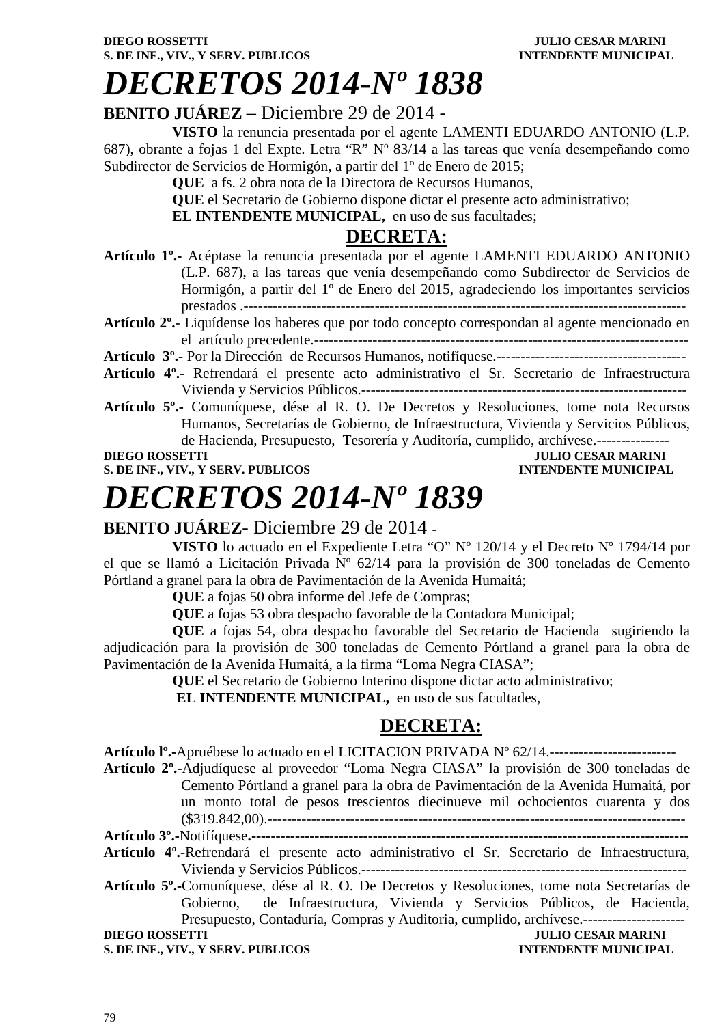# *DECRETOS 2014-Nº 1838*

### **BENITO JUÁREZ** – Diciembre 29 de 2014 -

**VISTO** la renuncia presentada por el agente LAMENTI EDUARDO ANTONIO (L.P. 687), obrante a fojas 1 del Expte. Letra "R" Nº 83/14 a las tareas que venía desempeñando como Subdirector de Servicios de Hormigón, a partir del 1º de Enero de 2015;

**QUE** a fs. 2 obra nota de la Directora de Recursos Humanos,

**QUE** el Secretario de Gobierno dispone dictar el presente acto administrativo;

**EL INTENDENTE MUNICIPAL,** en uso de sus facultades;

### **DECRETA:**

- **Artículo 1º.-** Acéptase la renuncia presentada por el agente LAMENTI EDUARDO ANTONIO (L.P. 687), a las tareas que venía desempeñando como Subdirector de Servicios de Hormigón, a partir del 1º de Enero del 2015, agradeciendo los importantes servicios prestados .-------------------------------------------------------------------------------------------
- **Artículo 2º.** Liquídense los haberes que por todo concepto correspondan al agente mencionado en el artículo precedente.-----------------------------------------------------------------------------
- **Artículo 3º.-** Por la Dirección de Recursos Humanos, notifíquese.---------------------------------------
- **Artículo 4º.-** Refrendará el presente acto administrativo el Sr. Secretario de Infraestructura Vivienda y Servicios Públicos.-------------------------------------------------------------------
- **Artículo 5º.-** Comuníquese, dése al R. O. De Decretos y Resoluciones, tome nota Recursos Humanos, Secretarías de Gobierno, de Infraestructura, Vivienda y Servicios Públicos, de Hacienda, Presupuesto, Tesorería y Auditoría, cumplido, archívese.---------------

### **DIEGO ROSSETTI DIEGO ROSSETTI DIEGO POSSETTI DIEGO ROSSETTI DIEGO POSSETTI DIEGO POSSETTI DIEGO POSSETTI DIEGO POSSETTI DIEGO POSSETTI DIEGO POSSETTI DIEGO POSSETTI DIEGO POSSETTI DIEGO POSSETTI DIEGO POSSETTI DIEGO POSSE S. DE INF., VIV., Y SERV. PUBLICOS INTENDENTE MUNICIPAL**

# *DECRETOS 2014-Nº 1839*

### **BENITO JUÁREZ**- Diciembre 29 de 2014 **-**

**VISTO** lo actuado en el Expediente Letra "O" Nº 120/14 y el Decreto Nº 1794/14 por el que se llamó a Licitación Privada  $\bar{N}^{\circ}$  62/14 para la provisión de 300 toneladas de Cemento Pórtland a granel para la obra de Pavimentación de la Avenida Humaitá;

**QUE** a fojas 50 obra informe del Jefe de Compras;

**QUE** a fojas 53 obra despacho favorable de la Contadora Municipal;

**QUE** a fojas 54, obra despacho favorable del Secretario de Hacienda sugiriendo la adjudicación para la provisión de 300 toneladas de Cemento Pórtland a granel para la obra de Pavimentación de la Avenida Humaitá, a la firma "Loma Negra CIASA";

**QUE** el Secretario de Gobierno Interino dispone dictar acto administrativo;

**EL INTENDENTE MUNICIPAL,** en uso de sus facultades,

## **DECRETA:**

**Artículo lº.-**Apruébese lo actuado en el LICITACION PRIVADA Nº 62/14.--------------------------

**Artículo 2º.-**Adjudíquese al proveedor "Loma Negra CIASA" la provisión de 300 toneladas de Cemento Pórtland a granel para la obra de Pavimentación de la Avenida Humaitá, por un monto total de pesos trescientos diecinueve mil ochocientos cuarenta y dos (\$319.842,00).--------------------------------------------------------------------------------------

- **Artículo 3º.-**Notifíquese**.------------------------------------------------------------------------------------------**
- **Artículo 4º.-**Refrendará el presente acto administrativo el Sr. Secretario de Infraestructura, Vivienda y Servicios Públicos.-------------------------------------------------------------------
- **Artículo 5º.-**Comuníquese, dése al R. O. De Decretos y Resoluciones, tome nota Secretarías de Gobierno, de Infraestructura, Vivienda y Servicios Públicos, de Hacienda, Presupuesto, Contaduría, Compras y Auditoria, cumplido, archívese.---------------------

**S. DE INF., VIV., Y SERV. PUBLICOS INTENDENTE MUNICIPAL** 

**DIEGO ROSSETTI JULIO CESAR MARINI**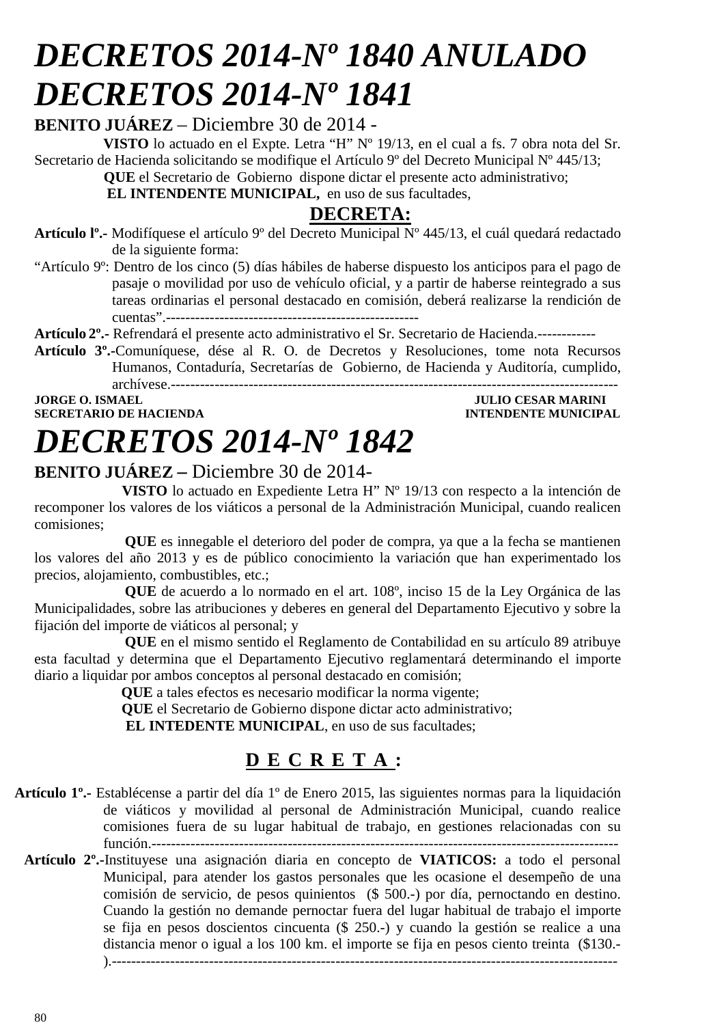# *DECRETOS 2014-Nº 1840 ANULADO DECRETOS 2014-Nº 1841*

**BENITO JUÁREZ** – Diciembre 30 de 2014 -

**VISTO** lo actuado en el Expte. Letra "H" Nº 19/13, en el cual a fs. 7 obra nota del Sr. Secretario de Hacienda solicitando se modifique el Artículo 9<sup>°</sup> del Decreto Municipal N<sup>°</sup> 445/13;

 **QUE** el Secretario de Gobierno dispone dictar el presente acto administrativo;

 **EL INTENDENTE MUNICIPAL,** en uso de sus facultades,

## **DECRETA:**

- **Artículo lº.-** Modifíquese el artículo 9º del Decreto Municipal Nº 445/13, el cuál quedará redactado de la siguiente forma:
- "Artículo 9º: Dentro de los cinco (5) días hábiles de haberse dispuesto los anticipos para el pago de pasaje o movilidad por uso de vehículo oficial, y a partir de haberse reintegrado a sus tareas ordinarias el personal destacado en comisión, deberá realizarse la rendición de cuentas".----------------------------------------------------

**Artículo 2º.-** Refrendará el presente acto administrativo el Sr. Secretario de Hacienda.------------

**Artículo 3º.-**Comuníquese, dése al R. O. de Decretos y Resoluciones, tome nota Recursos Humanos, Contaduría, Secretarías de Gobierno, de Hacienda y Auditoría, cumplido, archívese.--------------------------------------------------------------------------------------------

**JORGE O. ISMAEL SERVICE OF A SERVICE OF A SERVICE OF A SERVICE OF A SERVICE OF A SERVICE OF A SERVICE OF A SERVICE OF A SERVICE OF A SERVICE OF A SERVICE OF A SERVICE OF A SERVICE OF A SERVICE OF A SERVICE OF A SERVICE OF SECRETARIO DE HACIENDA INTENDENTE MUNICIPAL** 

# *DECRETOS 2014-Nº 1842*

### **BENITO JUÁREZ –** Diciembre 30 de 2014-

 **VISTO** lo actuado en Expediente Letra H" Nº 19/13 con respecto a la intención de recomponer los valores de los viáticos a personal de la Administración Municipal, cuando realicen comisiones;

 **QUE** es innegable el deterioro del poder de compra, ya que a la fecha se mantienen los valores del año 2013 y es de público conocimiento la variación que han experimentado los precios, alojamiento, combustibles, etc.;

 **QUE** de acuerdo a lo normado en el art. 108º, inciso 15 de la Ley Orgánica de las Municipalidades, sobre las atribuciones y deberes en general del Departamento Ejecutivo y sobre la fijación del importe de viáticos al personal; y

 **QUE** en el mismo sentido el Reglamento de Contabilidad en su artículo 89 atribuye esta facultad y determina que el Departamento Ejecutivo reglamentará determinando el importe diario a liquidar por ambos conceptos al personal destacado en comisión;

 **QUE** a tales efectos es necesario modificar la norma vigente;

**QUE** el Secretario de Gobierno dispone dictar acto administrativo;

 **EL INTEDENTE MUNICIPAL**, en uso de sus facultades;

## **D E C R E T A :**

- **Artículo 1º.-** Establécense a partir del día 1º de Enero 2015, las siguientes normas para la liquidación de viáticos y movilidad al personal de Administración Municipal, cuando realice comisiones fuera de su lugar habitual de trabajo, en gestiones relacionadas con su función.------------------------------------------------------------------------------------------------
	- **Artículo 2º.-**Instituyese una asignación diaria en concepto de **VIATICOS:** a todo el personal Municipal, para atender los gastos personales que les ocasione el desempeño de una comisión de servicio, de pesos quinientos (\$ 500.-) por día, pernoctando en destino. Cuando la gestión no demande pernoctar fuera del lugar habitual de trabajo el importe se fija en pesos doscientos cincuenta (\$ 250.-) y cuando la gestión se realice a una distancia menor o igual a los 100 km. el importe se fija en pesos ciento treinta (\$130.- ).--------------------------------------------------------------------------------------------------------

80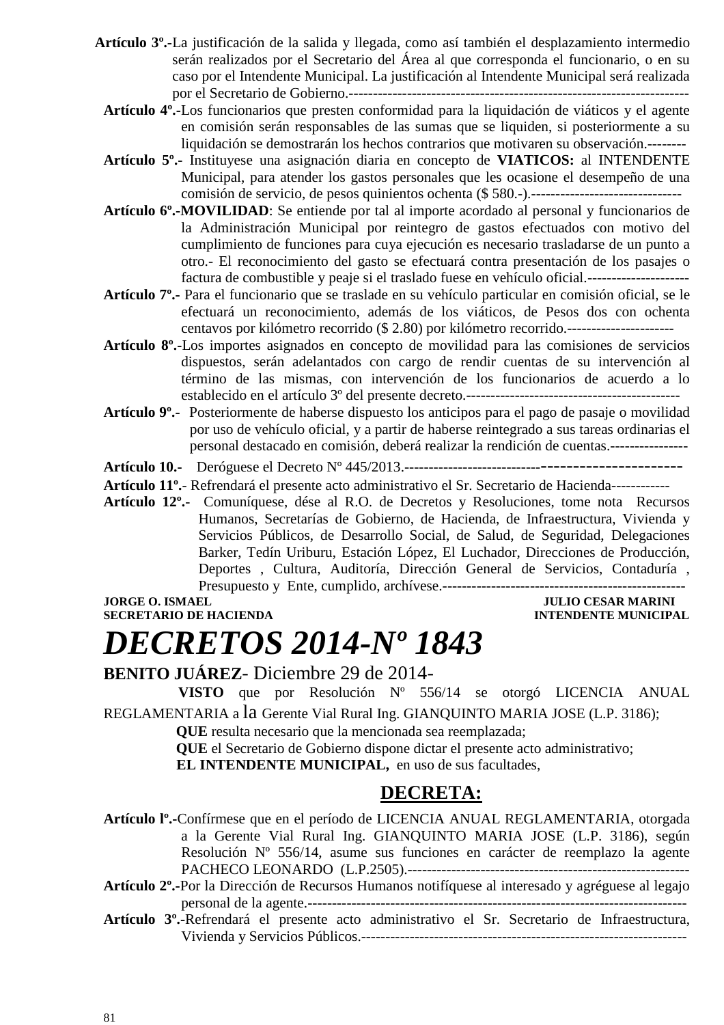- **Artículo 3º.-**La justificación de la salida y llegada, como así también el desplazamiento intermedio serán realizados por el Secretario del Área al que corresponda el funcionario, o en su caso por el Intendente Municipal. La justificación al Intendente Municipal será realizada por el Secretario de Gobierno.----------------------------------------------------------------------
	- **Artículo 4º.-**Los funcionarios que presten conformidad para la liquidación de viáticos y el agente en comisión serán responsables de las sumas que se liquiden, si posteriormente a su liquidación se demostrarán los hechos contrarios que motivaren su observación.--------
	- **Artículo 5º.-** Instituyese una asignación diaria en concepto de **VIATICOS:** al INTENDENTE Municipal, para atender los gastos personales que les ocasione el desempeño de una comisión de servicio, de pesos quinientos ochenta (\$ 580.-).-------------------------------
	- **Artículo 6º.-MOVILIDAD**: Se entiende por tal al importe acordado al personal y funcionarios de la Administración Municipal por reintegro de gastos efectuados con motivo del cumplimiento de funciones para cuya ejecución es necesario trasladarse de un punto a otro.- El reconocimiento del gasto se efectuará contra presentación de los pasajes o factura de combustible y peaje si el traslado fuese en vehículo oficial.---------------------
	- **Artículo 7º.-** Para el funcionario que se traslade en su vehículo particular en comisión oficial, se le efectuará un reconocimiento, además de los viáticos, de Pesos dos con ochenta centavos por kilómetro recorrido (\$ 2.80) por kilómetro recorrido.----------------------
	- **Artículo 8º.-**Los importes asignados en concepto de movilidad para las comisiones de servicios dispuestos, serán adelantados con cargo de rendir cuentas de su intervención al término de las mismas, con intervención de los funcionarios de acuerdo a lo establecido en el artículo 3º del presente decreto.--------------------------------------------
	- **Artículo 9º.-** Posteriormente de haberse dispuesto los anticipos para el pago de pasaje o movilidad por uso de vehículo oficial, y a partir de haberse reintegrado a sus tareas ordinarias el personal destacado en comisión, deberá realizar la rendición de cuentas.----------------

**Artículo 10.-** Deróguese el Decreto Nº 445/2013.--------------------------------------------------

**Artículo 11º.**- Refrendará el presente acto administrativo el Sr. Secretario de Hacienda------------

**Artículo 12º.**- Comuníquese, dése al R.O. de Decretos y Resoluciones, tome nota Recursos Humanos, Secretarías de Gobierno, de Hacienda, de Infraestructura, Vivienda y Servicios Públicos, de Desarrollo Social, de Salud, de Seguridad, Delegaciones Barker, Tedín Uriburu, Estación López, El Luchador, Direcciones de Producción, Deportes , Cultura, Auditoría, Dirección General de Servicios, Contaduría , Presupuesto y Ente, cumplido, archívese.--------------------------------------------------

**JORGE O. ISMAEL SERVICE OF A SERVICE OF A SERVICE OF A SERVICE OF A SERVICE OF A SERVICE OF A SERVICE OF A SERVICE OF A SERVICE OF A SERVICE OF A SERVICE OF A SERVICE OF A SERVICE OF A SERVICE OF A SERVICE OF A SERVICE OF SECRETARIO DE HACIENDA INTENDENTE MUNICIPAL** 

# *DECRETOS 2014-Nº 1843*

**BENITO JUÁREZ**- Diciembre 29 de 2014-

 **VISTO** que por Resolución Nº 556/14 se otorgó LICENCIA ANUAL REGLAMENTARIA a la Gerente Vial Rural Ing. GIANQUINTO MARIA JOSE (L.P. 3186);

 **QUE** resulta necesario que la mencionada sea reemplazada;

 **QUE** el Secretario de Gobierno dispone dictar el presente acto administrativo;

**EL INTENDENTE MUNICIPAL,** en uso de sus facultades,

### **DECRETA:**

**Artículo lº.-**Confírmese que en el período de LICENCIA ANUAL REGLAMENTARIA, otorgada a la Gerente Vial Rural Ing. GIANQUINTO MARIA JOSE (L.P. 3186), según Resolución Nº 556/14, asume sus funciones en carácter de reemplazo la agente PACHECO LEONARDO (L.P.2505).----------------------------------------------------------

**Artículo 2º.-**Por la Dirección de Recursos Humanos notifíquese al interesado y agréguese al legajo personal de la agente.------------------------------------------------------------------------------

**Artículo 3º.-**Refrendará el presente acto administrativo el Sr. Secretario de Infraestructura, Vivienda y Servicios Públicos.-------------------------------------------------------------------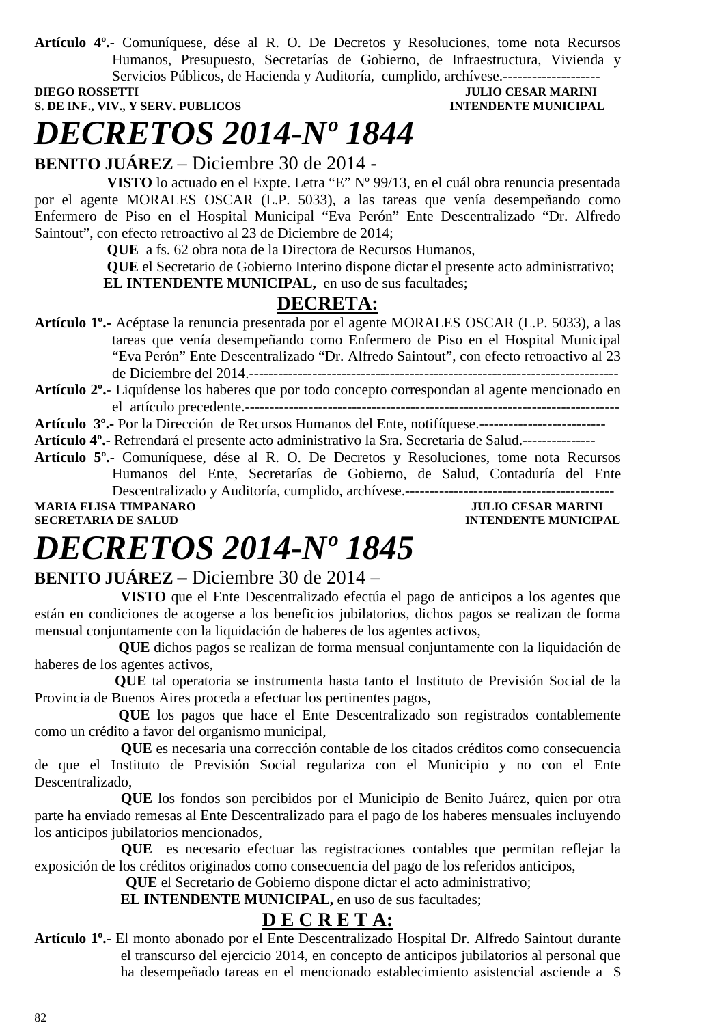**Artículo 4º.-** Comuníquese, dése al R. O. De Decretos y Resoluciones, tome nota Recursos Humanos, Presupuesto, Secretarías de Gobierno, de Infraestructura, Vivienda y Servicios Públicos, de Hacienda y Auditoría, cumplido, archívese.---------------------

**DIEGO ROSSETTI DIEGO ROSSETTI DIEGO POSSETTI DIEGO ROSSETTI DIEGO POSSETTI DIEGO POSSETTI DIEGO POSSETTI DIEGO POSSETTI DIE SULTA DIE SULTA DIE SULTA DIE SULTA DIE SULTA DIE SULTA DIE SULTA DIE SULTA DIE SULTA DIE SULTA D** 

## **S. DE INF., VIV., Y SERV. PUBLICOS INTENDENTE MUNICIPAL**

# *DECRETOS 2014-Nº 1844*

**BENITO JUÁREZ** – Diciembre 30 de 2014 -

 **VISTO** lo actuado en el Expte. Letra "E" Nº 99/13, en el cuál obra renuncia presentada por el agente MORALES OSCAR (L.P. 5033), a las tareas que venía desempeñando como Enfermero de Piso en el Hospital Municipal "Eva Perón" Ente Descentralizado "Dr. Alfredo Saintout", con efecto retroactivo al 23 de Diciembre de 2014;

**QUE** a fs. 62 obra nota de la Directora de Recursos Humanos,

 **QUE** el Secretario de Gobierno Interino dispone dictar el presente acto administrativo; **EL INTENDENTE MUNICIPAL,** en uso de sus facultades;

## **DECRETA:**

**Artículo 1º.-** Acéptase la renuncia presentada por el agente MORALES OSCAR (L.P. 5033), a las tareas que venía desempeñando como Enfermero de Piso en el Hospital Municipal "Eva Perón" Ente Descentralizado "Dr. Alfredo Saintout", con efecto retroactivo al 23 de Diciembre del 2014.----------------------------------------------------------------------------

**Artículo 2º.**- Liquídense los haberes que por todo concepto correspondan al agente mencionado en el artículo precedente.-----------------------------------------------------------------------------

**Artículo 3º.-** Por la Dirección de Recursos Humanos del Ente, notifíquese.--------------------------

**Artículo 4º.-** Refrendará el presente acto administrativo la Sra. Secretaria de Salud.---------------

**Artículo 5º.-** Comuníquese, dése al R. O. De Decretos y Resoluciones, tome nota Recursos Humanos del Ente, Secretarías de Gobierno, de Salud, Contaduría del Ente Descentralizado y Auditoría, cumplido, archívese.------------------------------------------- **MARIA ELISA TIMPANARO** JULIO CESAR MARINI

**SECRETARIA DE SALUD INTENDENTE MUNICIPAL** 

# *DECRETOS 2014-Nº 1845*

### **BENITO JUÁREZ –** Diciembre 30 de 2014 –

 **VISTO** que el Ente Descentralizado efectúa el pago de anticipos a los agentes que están en condiciones de acogerse a los beneficios jubilatorios, dichos pagos se realizan de forma mensual conjuntamente con la liquidación de haberes de los agentes activos,

 **QUE** dichos pagos se realizan de forma mensual conjuntamente con la liquidación de haberes de los agentes activos,

 **QUE** tal operatoria se instrumenta hasta tanto el Instituto de Previsión Social de la Provincia de Buenos Aires proceda a efectuar los pertinentes pagos,

 **QUE** los pagos que hace el Ente Descentralizado son registrados contablemente como un crédito a favor del organismo municipal,

 **QUE** es necesaria una corrección contable de los citados créditos como consecuencia de que el Instituto de Previsión Social regulariza con el Municipio y no con el Ente Descentralizado,

**QUE** los fondos son percibidos por el Municipio de Benito Juárez, quien por otra parte ha enviado remesas al Ente Descentralizado para el pago de los haberes mensuales incluyendo los anticipos jubilatorios mencionados,

**QUE** es necesario efectuar las registraciones contables que permitan reflejar la exposición de los créditos originados como consecuencia del pago de los referidos anticipos,

 **QUE** el Secretario de Gobierno dispone dictar el acto administrativo;

 **EL INTENDENTE MUNICIPAL,** en uso de sus facultades;

## **D E C R E T A:**

**Artículo 1º.-** El monto abonado por el Ente Descentralizado Hospital Dr. Alfredo Saintout durante el transcurso del ejercicio 2014, en concepto de anticipos jubilatorios al personal que ha desempeñado tareas en el mencionado establecimiento asistencial asciende a \$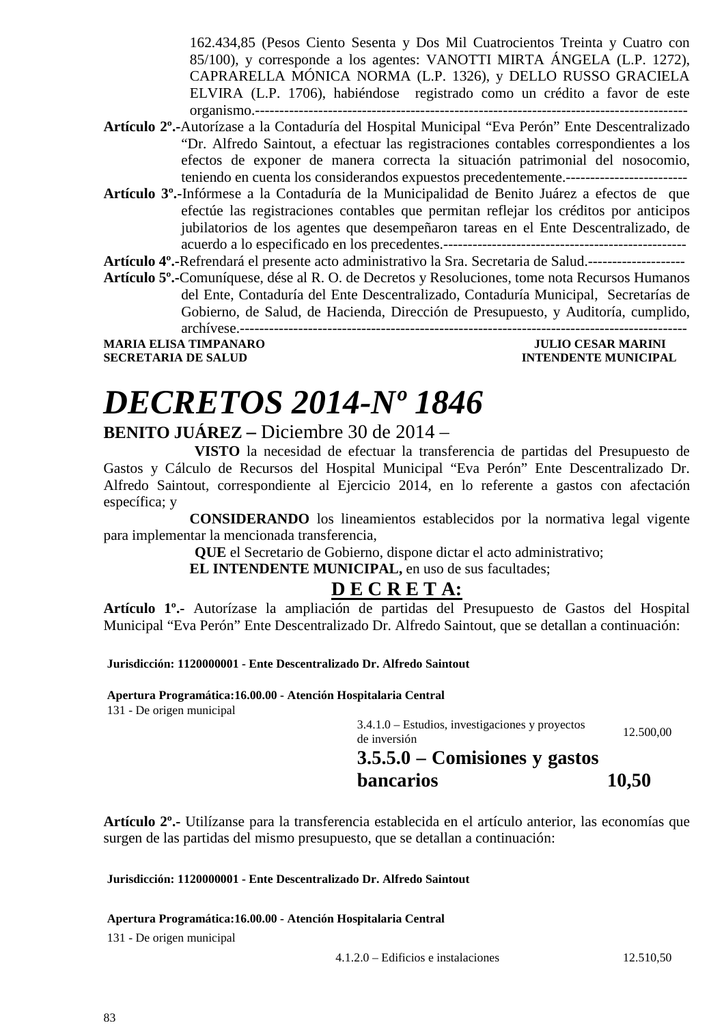162.434,85 (Pesos Ciento Sesenta y Dos Mil Cuatrocientos Treinta y Cuatro con 85/100), y corresponde a los agentes: VANOTTI MIRTA ÁNGELA (L.P. 1272), CAPRARELLA MÓNICA NORMA (L.P. 1326), y DELLO RUSSO GRACIELA ELVIRA (L.P. 1706), habiéndose registrado como un crédito a favor de este organismo.-----------------------------------------------------------------------------------------

- **Artículo 2º.-**Autorízase a la Contaduría del Hospital Municipal "Eva Perón" Ente Descentralizado "Dr. Alfredo Saintout, a efectuar las registraciones contables correspondientes a los efectos de exponer de manera correcta la situación patrimonial del nosocomio, teniendo en cuenta los considerandos expuestos precedentemente.-------------------------
- **Artículo 3º.-**Infórmese a la Contaduría de la Municipalidad de Benito Juárez a efectos de que efectúe las registraciones contables que permitan reflejar los créditos por anticipos jubilatorios de los agentes que desempeñaron tareas en el Ente Descentralizado, de acuerdo a lo especificado en los precedentes.--------------------------------------------------

**Artículo 4º.-**Refrendará el presente acto administrativo la Sra. Secretaria de Salud.--------------------

**Artículo 5º.-**Comuníquese, dése al R. O. de Decretos y Resoluciones, tome nota Recursos Humanos del Ente, Contaduría del Ente Descentralizado, Contaduría Municipal, Secretarías de Gobierno, de Salud, de Hacienda, Dirección de Presupuesto, y Auditoría, cumplido, archívese.--------------------------------------------------------------------------------------------

**SECRETARIA DE SALUD INTENDENTE MUNICIPAL** 

**MARIA ELISA TIMPANARO JULIO CESAR MARINI** 

# *DECRETOS 2014-Nº 1846*

### **BENITO JUÁREZ –** Diciembre 30 de 2014 –

 **VISTO** la necesidad de efectuar la transferencia de partidas del Presupuesto de Gastos y Cálculo de Recursos del Hospital Municipal "Eva Perón" Ente Descentralizado Dr. Alfredo Saintout, correspondiente al Ejercicio 2014, en lo referente a gastos con afectación específica; y

 **CONSIDERANDO** los lineamientos establecidos por la normativa legal vigente para implementar la mencionada transferencia,

 **QUE** el Secretario de Gobierno, dispone dictar el acto administrativo;

**EL INTENDENTE MUNICIPAL, en uso de sus facultades;** 

### **D E C R E T A:**

**Artículo 1º.-** Autorízase la ampliación de partidas del Presupuesto de Gastos del Hospital Municipal "Eva Perón" Ente Descentralizado Dr. Alfredo Saintout, que se detallan a continuación:

**Jurisdicción: 1120000001 - Ente Descentralizado Dr. Alfredo Saintout** 

**Apertura Programática:16.00.00 - Atención Hospitalaria Central** 

131 - De origen municipal

3.4.1.0 – Estudios, investigaciones y proyectos de inversión 12.500,00  **3.5.5.0 – Comisiones y gastos** 

**bancarios** 

**10,50** 

**Artículo 2º.-** Utilízanse para la transferencia establecida en el artículo anterior, las economías que surgen de las partidas del mismo presupuesto, que se detallan a continuación:

**Jurisdicción: 1120000001 - Ente Descentralizado Dr. Alfredo Saintout** 

**Apertura Programática:16.00.00 - Atención Hospitalaria Central** 

131 - De origen municipal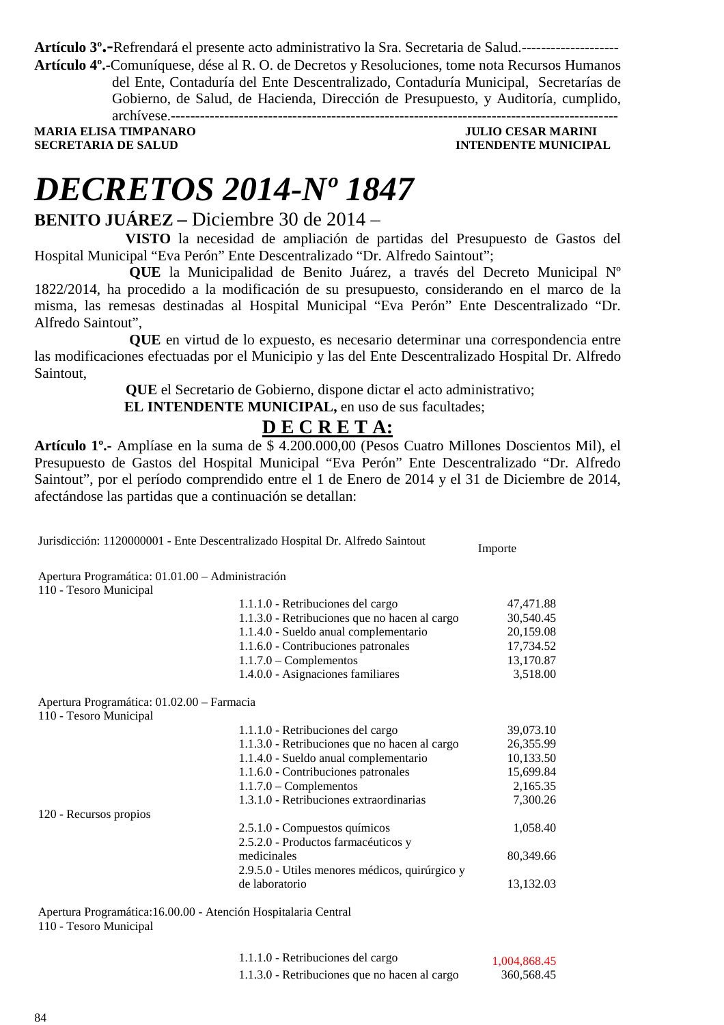**Artículo 3º.-**Refrendará el presente acto administrativo la Sra. Secretaria de Salud.-------------------- **Artículo 4º.-**Comuníquese, dése al R. O. de Decretos y Resoluciones, tome nota Recursos Humanos

> del Ente, Contaduría del Ente Descentralizado, Contaduría Municipal, Secretarías de Gobierno, de Salud, de Hacienda, Dirección de Presupuesto, y Auditoría, cumplido,

archívese.--------------------------------------------------------------------------------------------

**MARIA ELISA TIMPANARO JULIO CESAR MARINI SECRETARIA DE SALUD INTENDENTE MUNICIPAL** 

Importe

# *DECRETOS 2014-Nº 1847*

### **BENITO JUÁREZ –** Diciembre 30 de 2014 –

 **VISTO** la necesidad de ampliación de partidas del Presupuesto de Gastos del Hospital Municipal "Eva Perón" Ente Descentralizado "Dr. Alfredo Saintout";

**QUE** la Municipalidad de Benito Juárez, a través del Decreto Municipal Nº 1822/2014, ha procedido a la modificación de su presupuesto, considerando en el marco de la misma, las remesas destinadas al Hospital Municipal "Eva Perón" Ente Descentralizado "Dr. Alfredo Saintout",

**QUE** en virtud de lo expuesto, es necesario determinar una correspondencia entre las modificaciones efectuadas por el Municipio y las del Ente Descentralizado Hospital Dr. Alfredo Saintout,

 **QUE** el Secretario de Gobierno, dispone dictar el acto administrativo;

**EL INTENDENTE MUNICIPAL, en uso de sus facultades;** 

## **D E C R E T A:**

**Artículo 1º.-** Amplíase en la suma de \$ 4.200.000,00 (Pesos Cuatro Millones Doscientos Mil), el Presupuesto de Gastos del Hospital Municipal "Eva Perón" Ente Descentralizado "Dr. Alfredo Saintout", por el período comprendido entre el 1 de Enero de 2014 y el 31 de Diciembre de 2014, afectándose las partidas que a continuación se detallan:

Jurisdicción: 1120000001 - Ente Descentralizado Hospital Dr. Alfredo Saintout

Apertura Programática: 01.01.00 – Administración 110 - Tesoro Municipal

| 1.1.1.0 - Retribuciones del cargo<br>1.1.3.0 - Retribuciones que no hacen al cargo<br>1.1.4.0 - Sueldo anual complementario<br>1.1.6.0 - Contribuciones patronales<br>$1.1.7.0$ – Complementos<br>1.4.0.0 - Asignaciones familiares<br>Apertura Programática: 01.02.00 – Farmacia<br>110 - Tesoro Municipal<br>1.1.1.0 - Retribuciones del cargo<br>1.1.3.0 - Retribuciones que no hacen al cargo<br>1.1.4.0 - Sueldo anual complementario<br>1.1.6.0 - Contribuciones patronales<br>$1.1.7.0$ – Complementos<br>1.3.1.0 - Retribuciones extraordinarias<br>120 - Recursos propios<br>2.5.1.0 - Compuestos químicos<br>2.5.2.0 - Productos farmacéuticos y<br>medicinales<br>2.9.5.0 - Utiles menores médicos, quirúrgico y<br>de laboratorio<br>Apertura Programática: 16.00.00 - Atención Hospitalaria Central |  |           |
|------------------------------------------------------------------------------------------------------------------------------------------------------------------------------------------------------------------------------------------------------------------------------------------------------------------------------------------------------------------------------------------------------------------------------------------------------------------------------------------------------------------------------------------------------------------------------------------------------------------------------------------------------------------------------------------------------------------------------------------------------------------------------------------------------------------|--|-----------|
| 30,540.45<br>20,159.08<br>17,734.52<br>13,170.87<br>3,518.00<br>39,073.10<br>26,355.99<br>10,133.50<br>15,699.84<br>2,165.35<br>7,300.26<br>1,058.40<br>80,349.66<br>13,132.03                                                                                                                                                                                                                                                                                                                                                                                                                                                                                                                                                                                                                                   |  | 47,471.88 |
|                                                                                                                                                                                                                                                                                                                                                                                                                                                                                                                                                                                                                                                                                                                                                                                                                  |  |           |
|                                                                                                                                                                                                                                                                                                                                                                                                                                                                                                                                                                                                                                                                                                                                                                                                                  |  |           |
|                                                                                                                                                                                                                                                                                                                                                                                                                                                                                                                                                                                                                                                                                                                                                                                                                  |  |           |
|                                                                                                                                                                                                                                                                                                                                                                                                                                                                                                                                                                                                                                                                                                                                                                                                                  |  |           |
|                                                                                                                                                                                                                                                                                                                                                                                                                                                                                                                                                                                                                                                                                                                                                                                                                  |  |           |
|                                                                                                                                                                                                                                                                                                                                                                                                                                                                                                                                                                                                                                                                                                                                                                                                                  |  |           |
|                                                                                                                                                                                                                                                                                                                                                                                                                                                                                                                                                                                                                                                                                                                                                                                                                  |  |           |
|                                                                                                                                                                                                                                                                                                                                                                                                                                                                                                                                                                                                                                                                                                                                                                                                                  |  |           |
|                                                                                                                                                                                                                                                                                                                                                                                                                                                                                                                                                                                                                                                                                                                                                                                                                  |  |           |
|                                                                                                                                                                                                                                                                                                                                                                                                                                                                                                                                                                                                                                                                                                                                                                                                                  |  |           |
|                                                                                                                                                                                                                                                                                                                                                                                                                                                                                                                                                                                                                                                                                                                                                                                                                  |  |           |
|                                                                                                                                                                                                                                                                                                                                                                                                                                                                                                                                                                                                                                                                                                                                                                                                                  |  |           |
|                                                                                                                                                                                                                                                                                                                                                                                                                                                                                                                                                                                                                                                                                                                                                                                                                  |  |           |
|                                                                                                                                                                                                                                                                                                                                                                                                                                                                                                                                                                                                                                                                                                                                                                                                                  |  |           |
|                                                                                                                                                                                                                                                                                                                                                                                                                                                                                                                                                                                                                                                                                                                                                                                                                  |  |           |
|                                                                                                                                                                                                                                                                                                                                                                                                                                                                                                                                                                                                                                                                                                                                                                                                                  |  |           |
|                                                                                                                                                                                                                                                                                                                                                                                                                                                                                                                                                                                                                                                                                                                                                                                                                  |  |           |
|                                                                                                                                                                                                                                                                                                                                                                                                                                                                                                                                                                                                                                                                                                                                                                                                                  |  |           |
|                                                                                                                                                                                                                                                                                                                                                                                                                                                                                                                                                                                                                                                                                                                                                                                                                  |  |           |
|                                                                                                                                                                                                                                                                                                                                                                                                                                                                                                                                                                                                                                                                                                                                                                                                                  |  |           |

110 - Tesoro Municipal

| 1.1.1.0 - Retribuciones del cargo             | 1,004,868.45 |
|-----------------------------------------------|--------------|
| 1.1.3.0 - Retribuciones que no hacen al cargo | 360,568.45   |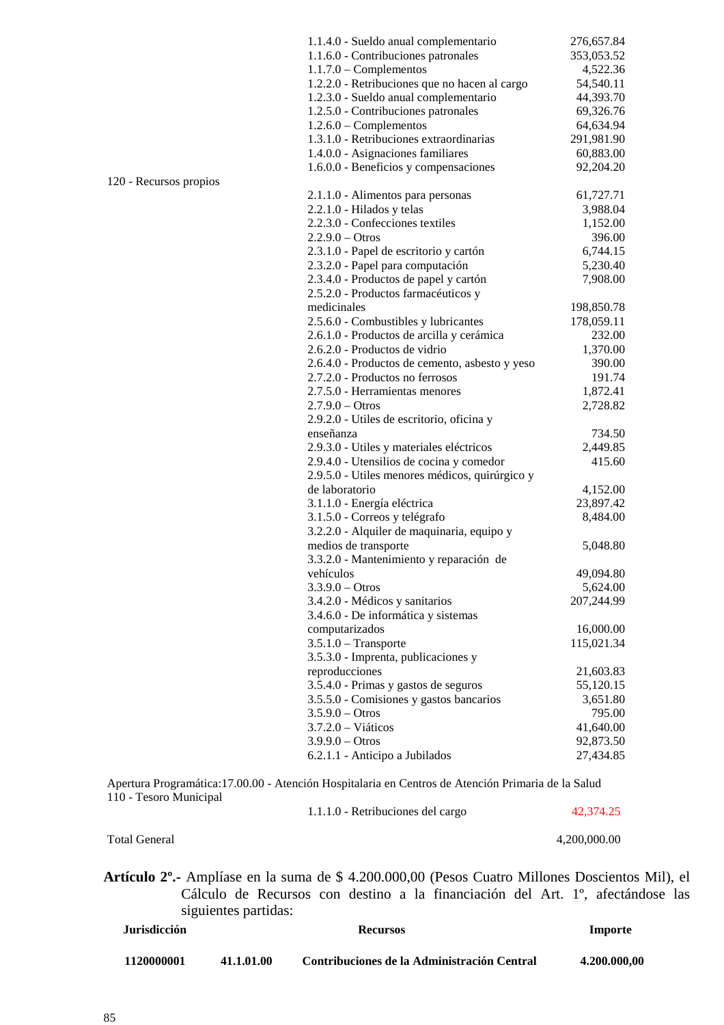| 1.1.4.0 - Sueldo anual complementario              | 276,657.84         |
|----------------------------------------------------|--------------------|
| 1.1.6.0 - Contribuciones patronales                | 353,053.52         |
| $1.1.7.0$ – Complementos                           | 4,522.36           |
| 1.2.2.0 - Retribuciones que no hacen al cargo      | 54,540.11          |
| 1.2.3.0 - Sueldo anual complementario              | 44,393.70          |
| 1.2.5.0 - Contribuciones patronales                | 69,326.76          |
| $1.2.6.0$ – Complementos                           | 64,634.94          |
| 1.3.1.0 - Retribuciones extraordinarias            | 291,981.90         |
| 1.4.0.0 - Asignaciones familiares                  | 60,883.00          |
| 1.6.0.0 - Beneficios y compensaciones              | 92,204.20          |
|                                                    |                    |
| 2.1.1.0 - Alimentos para personas                  | 61,727.71          |
| 2.2.1.0 - Hilados y telas                          | 3,988.04           |
| 2.2.3.0 - Confecciones textiles                    | 1,152.00           |
| $2.2.9.0 - Otros$                                  | 396.00             |
| 2.3.1.0 - Papel de escritorio y cartón             | 6,744.15           |
| 2.3.2.0 - Papel para computación                   | 5,230.40           |
|                                                    | 7,908.00           |
| 2.3.4.0 - Productos de papel y cartón              |                    |
| 2.5.2.0 - Productos farmacéuticos y<br>medicinales |                    |
|                                                    | 198,850.78         |
| 2.5.6.0 - Combustibles y lubricantes               | 178,059.11         |
| 2.6.1.0 - Productos de arcilla y cerámica          | 232.00             |
| 2.6.2.0 - Productos de vidrio                      | 1,370.00           |
| 2.6.4.0 - Productos de cemento, asbesto y yeso     | 390.00             |
| 2.7.2.0 - Productos no ferrosos                    | 191.74             |
| 2.7.5.0 - Herramientas menores                     | 1,872.41           |
| $2.7.9.0 - Otros$                                  | 2,728.82           |
| 2.9.2.0 - Utiles de escritorio, oficina y          |                    |
| enseñanza                                          | 734.50             |
| 2.9.3.0 - Utiles y materiales eléctricos           | 2,449.85           |
| 2.9.4.0 - Utensilios de cocina y comedor           | 415.60             |
| 2.9.5.0 - Utiles menores médicos, quirúrgico y     |                    |
| de laboratorio                                     | 4,152.00           |
| 3.1.1.0 - Energía eléctrica                        | 23,897.42          |
| 3.1.5.0 - Correos y telégrafo                      | 8,484.00           |
| 3.2.2.0 - Alquiler de maquinaria, equipo y         |                    |
| medios de transporte                               | 5,048.80           |
| 3.3.2.0 - Mantenimiento y reparación de            |                    |
| vehículos                                          | 49,094.80          |
| $3.3.9.0 - Otros$                                  | 5,624.00           |
| 3.4.2.0 - Médicos y sanitarios                     | 207,244.99         |
| 3.4.6.0 - De informática y sistemas                |                    |
| computarizados                                     | 16,000.00          |
| $3.5.1.0$ - Transporte                             | 115,021.34         |
| 3.5.3.0 - Imprenta, publicaciones y                |                    |
| reproducciones                                     | 21,603.83          |
| 3.5.4.0 - Primas y gastos de seguros               | 55,120.15          |
|                                                    |                    |
| 3.5.5.0 - Comisiones y gastos bancarios            | 3,651.80<br>795.00 |
| $3.5.9.0 - Otros$                                  |                    |
| $3.7.2.0 - Viáticos$                               | 41,640.00          |
| $3.9.9.0 - Otros$                                  | 92,873.50          |
| 6.2.1.1 - Anticipo a Jubilados                     | 27,434.85          |
|                                                    |                    |

Apertura Programática:17.00.00 - Atención Hospitalaria en Centros de Atención Primaria de la Salud 110 - Tesoro Municipal

1.1.1.0 - Retribuciones del cargo 42,374.25

Total General 4,200,000.00

**Artículo 2º.-** Amplíase en la suma de \$ 4.200.000,00 (Pesos Cuatro Millones Doscientos Mil), el Cálculo de Recursos con destino a la financiación del Art. 1º, afectándose las siguientes partidas:

| <b>Jurisdicción</b> |            | <b>Recursos</b>                             | Importe      |
|---------------------|------------|---------------------------------------------|--------------|
| 1120000001          | 41.1.01.00 | Contribuciones de la Administración Central | 4.200.000.00 |

120 - Recursos propios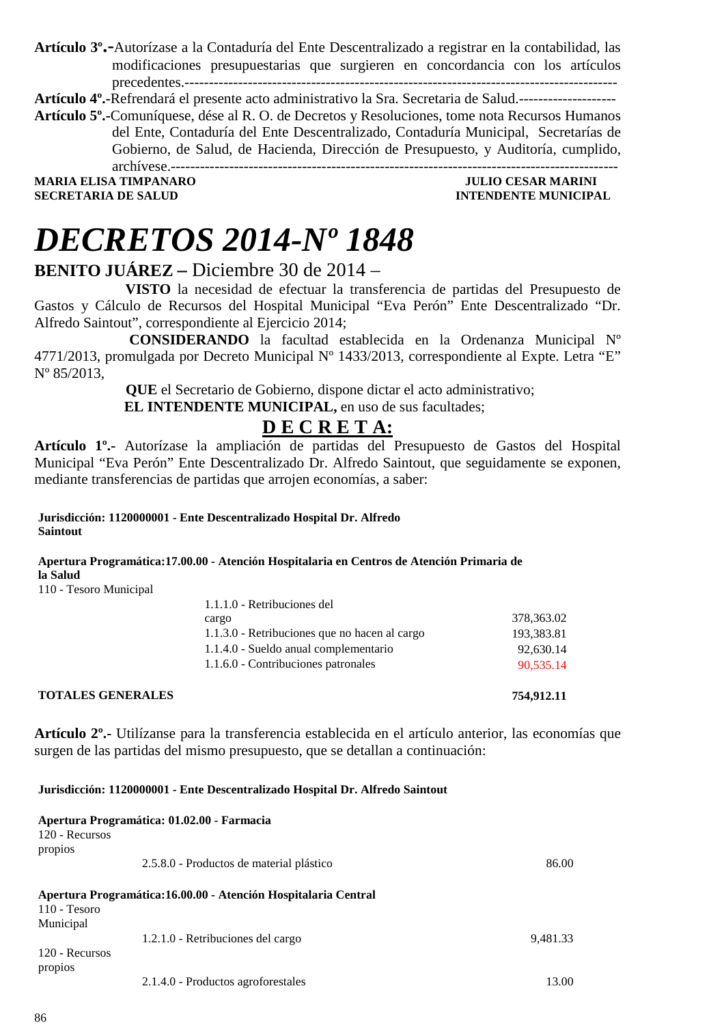**Artículo 3º.-**Autorízase a la Contaduría del Ente Descentralizado a registrar en la contabilidad, las modificaciones presupuestarias que surgieren en concordancia con los artículos precedentes.-----------------------------------------------------------------------------------------

**Artículo 4º.-**Refrendará el presente acto administrativo la Sra. Secretaria de Salud.--------------------

**Artículo 5º.-**Comuníquese, dése al R. O. de Decretos y Resoluciones, tome nota Recursos Humanos del Ente, Contaduría del Ente Descentralizado, Contaduría Municipal, Secretarías de Gobierno, de Salud, de Hacienda, Dirección de Presupuesto, y Auditoría, cumplido, archívese.--------------------------------------------------------------------------------------------

**SECRETARIA DE SALUD INTENDENTE MUNICIPAL** 

**MARIA ELISA TIMPANARO JULIO CESAR MARINI** 

# *DECRETOS 2014-Nº 1848*

### **BENITO JUÁREZ –** Diciembre 30 de 2014 –

 **VISTO** la necesidad de efectuar la transferencia de partidas del Presupuesto de Gastos y Cálculo de Recursos del Hospital Municipal "Eva Perón" Ente Descentralizado "Dr. Alfredo Saintout", correspondiente al Ejercicio 2014;

**CONSIDERANDO** la facultad establecida en la Ordenanza Municipal Nº 4771/2013, promulgada por Decreto Municipal N° 1433/2013, correspondiente al Expte. Letra "E" Nº 85/2013,

> **QUE** el Secretario de Gobierno, dispone dictar el acto administrativo; **EL INTENDENTE MUNICIPAL, en uso de sus facultades;**

### **D E C R E T A:**

**Artículo 1º.-** Autorízase la ampliación de partidas del Presupuesto de Gastos del Hospital Municipal "Eva Perón" Ente Descentralizado Dr. Alfredo Saintout, que seguidamente se exponen, mediante transferencias de partidas que arrojen economías, a saber:

**Jurisdicción: 1120000001 - Ente Descentralizado Hospital Dr. Alfredo Saintout** 

**Apertura Programática:17.00.00 - Atención Hospitalaria en Centros de Atención Primaria de la Salud** 

110 - Tesoro Municipal

| 1.1.1.0 - Retribuciones del                   |            |
|-----------------------------------------------|------------|
| cargo                                         | 378,363.02 |
| 1.1.3.0 - Retribuciones que no hacen al cargo | 193,383.81 |
| 1.1.4.0 - Sueldo anual complementario         | 92,630.14  |
| 1.1.6.0 - Contribuciones patronales           | 90,535.14  |
|                                               |            |

### **TOTALES GENERALES 754,912.11**

**Artículo 2º.-** Utilízanse para la transferencia establecida en el artículo anterior, las economías que surgen de las partidas del mismo presupuesto, que se detallan a continuación:

### **Jurisdicción: 1120000001 - Ente Descentralizado Hospital Dr. Alfredo Saintout**

| 120 - Recursos<br>propios   | Apertura Programática: 01.02.00 - Farmacia                      |          |
|-----------------------------|-----------------------------------------------------------------|----------|
|                             | 2.5.8.0 - Productos de material plástico                        | 86.00    |
| $110 - Tesoro$<br>Municipal | Apertura Programática: 16.00.00 - Atención Hospitalaria Central |          |
|                             | 1.2.1.0 - Retribuciones del cargo                               | 9,481.33 |
| 120 - Recursos<br>propios   |                                                                 |          |
|                             | 2.1.4.0 - Productos agroforestales                              | 13.00    |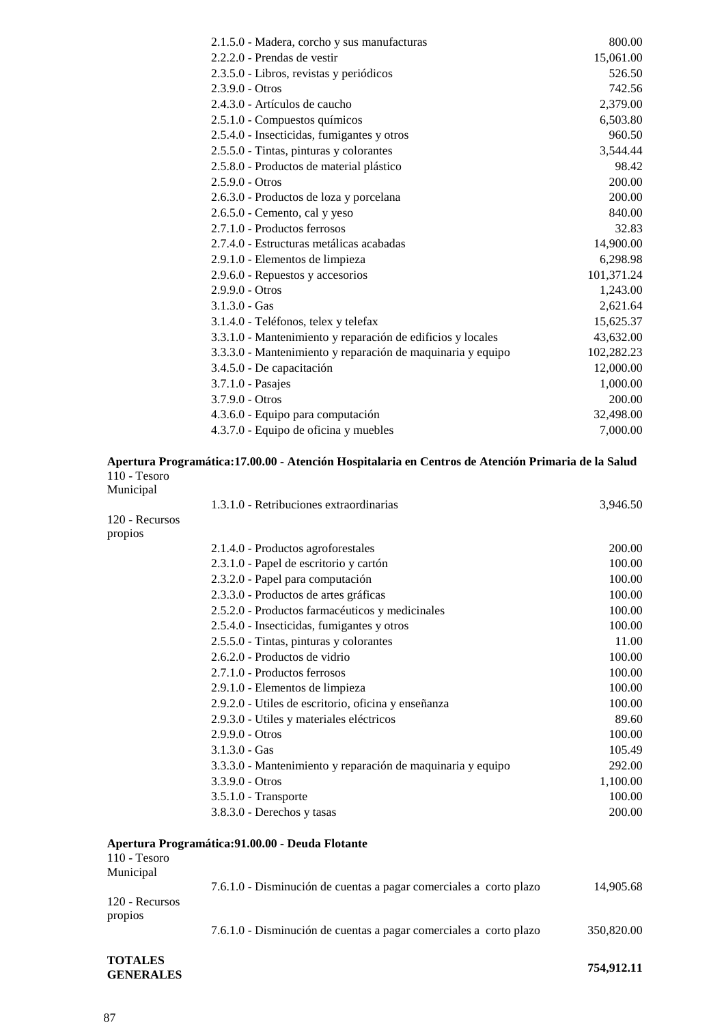| 2.1.5.0 - Madera, corcho y sus manufacturas                 | 800.00     |
|-------------------------------------------------------------|------------|
| $2.2.2.0$ - Prendas de vestir                               | 15,061.00  |
| 2.3.5.0 - Libros, revistas y periódicos                     | 526.50     |
| $2.3.9.0 - Otros$                                           | 742.56     |
| 2.4.3.0 - Artículos de caucho                               | 2,379.00   |
| 2.5.1.0 - Compuestos químicos                               | 6,503.80   |
| 2.5.4.0 - Insecticidas, fumigantes y otros                  | 960.50     |
| 2.5.5.0 - Tintas, pinturas y colorantes                     | 3,544.44   |
| 2.5.8.0 - Productos de material plástico                    | 98.42      |
| $2.5.9.0 - Otros$                                           | 200.00     |
| 2.6.3.0 - Productos de loza y porcelana                     | 200.00     |
| 2.6.5.0 - Cemento, cal y yeso                               | 840.00     |
| 2.7.1.0 - Productos ferrosos                                | 32.83      |
| 2.7.4.0 - Estructuras metálicas acabadas                    | 14,900.00  |
| 2.9.1.0 - Elementos de limpieza                             | 6,298.98   |
| 2.9.6.0 - Repuestos y accesorios                            | 101,371.24 |
| $2.9.9.0 - Otros$                                           | 1,243.00   |
| $3.1.3.0 - Gas$                                             | 2,621.64   |
| 3.1.4.0 - Teléfonos, telex y telefax                        | 15,625.37  |
| 3.3.1.0 - Mantenimiento y reparación de edificios y locales | 43,632.00  |
| 3.3.3.0 - Mantenimiento y reparación de maquinaria y equipo | 102,282.23 |
| 3.4.5.0 - De capacitación                                   | 12,000.00  |
| 3.7.1.0 - Pasajes                                           | 1,000.00   |
| $3.7.9.0 - Otros$                                           | 200.00     |
| 4.3.6.0 - Equipo para computación                           | 32,498.00  |
| 4.3.7.0 - Equipo de oficina y muebles                       | 7,000.00   |
|                                                             |            |

### **Apertura Programática:17.00.00 - Atención Hospitalaria en Centros de Atención Primaria de la Salud**  110 - Tesoro

| Municipal                                           |                                                             |          |
|-----------------------------------------------------|-------------------------------------------------------------|----------|
|                                                     | 1.3.1.0 - Retribuciones extraordinarias                     | 3,946.50 |
| 120 - Recursos                                      |                                                             |          |
| propios                                             |                                                             |          |
|                                                     | 2.1.4.0 - Productos agroforestales                          | 200.00   |
|                                                     | 2.3.1.0 - Papel de escritorio y cartón                      | 100.00   |
|                                                     | 2.3.2.0 - Papel para computación                            | 100.00   |
|                                                     | 2.3.3.0 - Productos de artes gráficas                       | 100.00   |
|                                                     | 2.5.2.0 - Productos farmacéuticos y medicinales             | 100.00   |
|                                                     | 2.5.4.0 - Insecticidas, fumigantes y otros                  | 100.00   |
|                                                     | 2.5.5.0 - Tintas, pinturas y colorantes                     | 11.00    |
|                                                     | 2.6.2.0 - Productos de vidrio                               | 100.00   |
|                                                     | 2.7.1.0 - Productos ferrosos                                | 100.00   |
|                                                     | 2.9.1.0 - Elementos de limpieza                             | 100.00   |
|                                                     | 2.9.2.0 - Utiles de escritorio, oficina y enseñanza         | 100.00   |
|                                                     | 2.9.3.0 - Utiles y materiales eléctricos                    | 89.60    |
|                                                     | $2.9.9.0 - Otros$                                           | 100.00   |
|                                                     | $3.1.3.0 - Gas$                                             | 105.49   |
|                                                     | 3.3.3.0 - Mantenimiento y reparación de maquinaria y equipo | 292.00   |
|                                                     | $3.3.9.0 - Otros$                                           | 1,100.00 |
|                                                     | $3.5.1.0$ - Transporte                                      | 100.00   |
|                                                     | 3.8.3.0 - Derechos y tasas                                  | 200.00   |
|                                                     |                                                             |          |
|                                                     | Apertura Programática: 91.00.00 - Deuda Flotante            |          |
| $110 - Tesoro$<br>$M_{\rm max}$ : $\sim$ : $\sim$ 1 |                                                             |          |

| Municipal                 | 7.6.1.0 - Disminución de cuentas a pagar comerciales a corto plazo | 14.905.68  |
|---------------------------|--------------------------------------------------------------------|------------|
| 120 - Recursos<br>propios |                                                                    |            |
|                           | 7.6.1.0 - Disminución de cuentas a pagar comerciales a corto plazo | 350,820.00 |

| <b>TOTALES</b>   |
|------------------|
| <b>GENERALES</b> |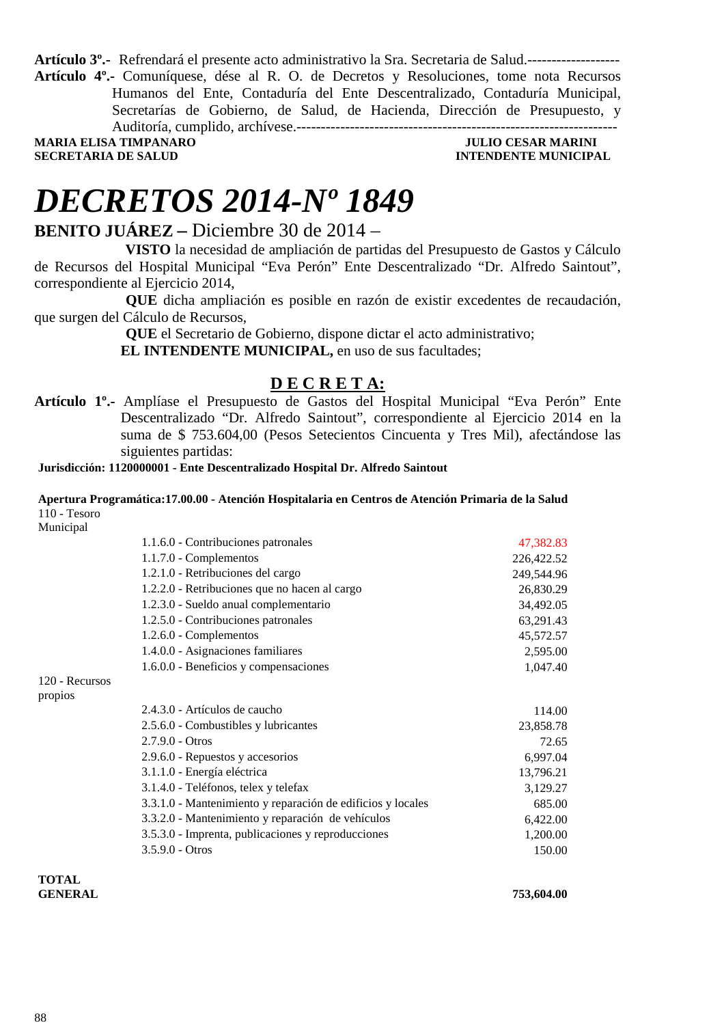**Artículo 3º.-** Refrendará el presente acto administrativo la Sra. Secretaria de Salud.------------------- **Artículo 4º.-** Comuníquese, dése al R. O. de Decretos y Resoluciones, tome nota Recursos Humanos del Ente, Contaduría del Ente Descentralizado, Contaduría Municipal, Secretarías de Gobierno, de Salud, de Hacienda, Dirección de Presupuesto, y Auditoría, cumplido, archívese.------------------------------------------------------------------ **MARIA ELISA TIMPANARO JULIO CESAR MARINI** 

**SECRETARIA DE SALUD INTENDENTE MUNICIPAL** 

## *DECRETOS 2014-Nº 1849*

### **BENITO JUÁREZ –** Diciembre 30 de 2014 –

 **VISTO** la necesidad de ampliación de partidas del Presupuesto de Gastos y Cálculo de Recursos del Hospital Municipal "Eva Perón" Ente Descentralizado "Dr. Alfredo Saintout", correspondiente al Ejercicio 2014,

 **QUE** dicha ampliación es posible en razón de existir excedentes de recaudación, que surgen del Cálculo de Recursos,

 **QUE** el Secretario de Gobierno, dispone dictar el acto administrativo;

 **EL INTENDENTE MUNICIPAL,** en uso de sus facultades;

### **D E C R E T A:**

**Artículo 1º.-** Amplíase el Presupuesto de Gastos del Hospital Municipal "Eva Perón" Ente Descentralizado "Dr. Alfredo Saintout", correspondiente al Ejercicio 2014 en la suma de \$ 753.604,00 (Pesos Setecientos Cincuenta y Tres Mil), afectándose las siguientes partidas:

**Jurisdicción: 1120000001 - Ente Descentralizado Hospital Dr. Alfredo Saintout** 

### **Apertura Programática:17.00.00 - Atención Hospitalaria en Centros de Atención Primaria de la Salud**  110 - Tesoro

Municipal

|                | 1.1.6.0 - Contribuciones patronales                         | 47,382.83  |
|----------------|-------------------------------------------------------------|------------|
|                | $1.1.7.0$ - Complementos                                    | 226,422.52 |
|                | 1.2.1.0 - Retribuciones del cargo                           | 249,544.96 |
|                | 1.2.2.0 - Retribuciones que no hacen al cargo               | 26,830.29  |
|                | 1.2.3.0 - Sueldo anual complementario                       | 34,492.05  |
|                | 1.2.5.0 - Contribuciones patronales                         | 63,291.43  |
|                | 1.2.6.0 - Complementos                                      | 45,572.57  |
|                | 1.4.0.0 - Asignaciones familiares                           | 2,595.00   |
|                | 1.6.0.0 - Beneficios y compensaciones                       | 1,047.40   |
| 120 - Recursos |                                                             |            |
| propios        |                                                             |            |
|                | 2.4.3.0 - Artículos de caucho                               | 114.00     |
|                | 2.5.6.0 - Combustibles y lubricantes                        | 23,858.78  |
|                | $2.7.9.0 - Otros$                                           | 72.65      |
|                | 2.9.6.0 - Repuestos y accesorios                            | 6,997.04   |
|                | 3.1.1.0 - Energía eléctrica                                 | 13,796.21  |
|                | 3.1.4.0 - Teléfonos, telex y telefax                        | 3,129.27   |
|                | 3.3.1.0 - Mantenimiento y reparación de edificios y locales | 685.00     |
|                | 3.3.2.0 - Mantenimiento y reparación de vehículos           | 6,422.00   |
|                | 3.5.3.0 - Imprenta, publicaciones y reproducciones          | 1,200.00   |
|                | $3.5.9.0 - Otros$                                           | 150.00     |
|                |                                                             |            |
|                |                                                             |            |

**TOTAL GENERAL 753,604.00**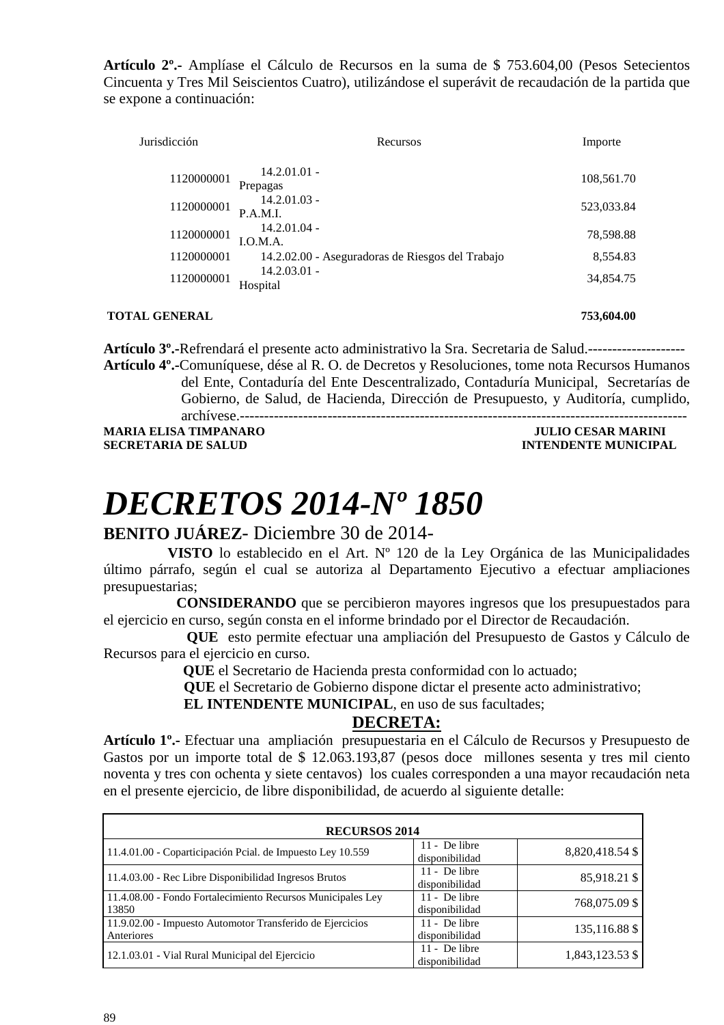**Artículo 2º.-** Amplíase el Cálculo de Recursos en la suma de \$ 753.604,00 (Pesos Setecientos Cincuenta y Tres Mil Seiscientos Cuatro), utilizándose el superávit de recaudación de la partida que se expone a continuación:

| Jurisdicción | Recursos                                         | Importe    |
|--------------|--------------------------------------------------|------------|
| 1120000001   | $14.2.01.01 -$<br>Prepagas                       | 108,561.70 |
| 1120000001   | $14.2.01.03 -$<br>P.A.M.I.                       | 523,033.84 |
| 1120000001   | $14.2.01.04 -$<br>LO.M.A.                        | 78,598.88  |
| 1120000001   | 14.2.02.00 - Aseguradoras de Riesgos del Trabajo | 8,554.83   |
| 1120000001   | $14.2.03.01 -$<br>Hospital                       | 34,854.75  |

### **TOTAL GENERAL 253,604.00 753,604.00**

**Artículo 3º.-**Refrendará el presente acto administrativo la Sra. Secretaria de Salud.-------------------- **Artículo 4º.-**Comuníquese, dése al R. O. de Decretos y Resoluciones, tome nota Recursos Humanos

> del Ente, Contaduría del Ente Descentralizado, Contaduría Municipal, Secretarías de Gobierno, de Salud, de Hacienda, Dirección de Presupuesto, y Auditoría, cumplido,

archívese.--------------------------------------------------------------------------------------------

**MARIA ELISA TIMPANARO JULIO CESAR MARINI** 

**INTENDENTE MUNICIPAL** 

# *DECRETOS 2014-Nº 1850*

### **BENITO JUÁREZ**- Diciembre 30 de 2014-

 **VISTO** lo establecido en el Art. Nº 120 de la Ley Orgánica de las Municipalidades último párrafo, según el cual se autoriza al Departamento Ejecutivo a efectuar ampliaciones presupuestarias;

 **CONSIDERANDO** que se percibieron mayores ingresos que los presupuestados para el ejercicio en curso, según consta en el informe brindado por el Director de Recaudación.

 **QUE** esto permite efectuar una ampliación del Presupuesto de Gastos y Cálculo de Recursos para el ejercicio en curso.

**QUE** el Secretario de Hacienda presta conformidad con lo actuado;

**QUE** el Secretario de Gobierno dispone dictar el presente acto administrativo;

 **EL INTENDENTE MUNICIPAL**, en uso de sus facultades;

### **DECRETA:**

**Artículo 1º.-** Efectuar una ampliación presupuestaria en el Cálculo de Recursos y Presupuesto de Gastos por un importe total de \$ 12.063.193,87 (pesos doce millones sesenta y tres mil ciento noventa y tres con ochenta y siete centavos) los cuales corresponden a una mayor recaudación neta en el presente ejercicio, de libre disponibilidad, de acuerdo al siguiente detalle:

| <b>RECURSOS 2014</b>                                                    |                                   |                 |
|-------------------------------------------------------------------------|-----------------------------------|-----------------|
| 11.4.01.00 - Coparticipación Peial. de Impuesto Ley 10.559              | 11 - De libre<br>disponibilidad   | 8,820,418.54 \$ |
| 11.4.03.00 - Rec Libre Disponibilidad Ingresos Brutos                   | $11 - De$ libre<br>disponibilidad | 85,918.21 \$    |
| 11.4.08.00 - Fondo Fortalecimiento Recursos Municipales Ley<br>13850    | $11 - De$ libre<br>disponibilidad | 768,075.09 \$   |
| 11.9.02.00 - Impuesto Automotor Transferido de Ejercicios<br>Anteriores | $11 - De$ libre<br>disponibilidad | 135,116.88 \$   |
| 12.1.03.01 - Vial Rural Municipal del Ejercicio                         | 11 - De libre<br>disponibilidad   | 1,843,123.53 \$ |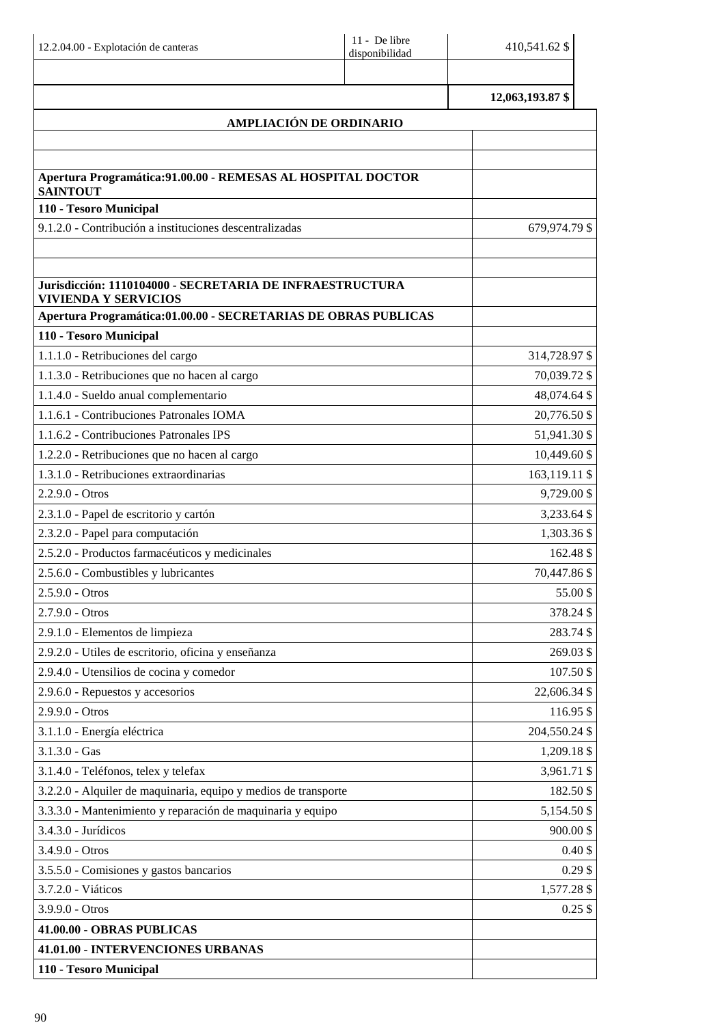| 12.2.04.00 - Explotación de canteras                                                    | 11 - De libre<br>disponibilidad | 410,541.62 \$          |
|-----------------------------------------------------------------------------------------|---------------------------------|------------------------|
|                                                                                         |                                 | 12,063,193.87 \$       |
|                                                                                         | AMPLIACIÓN DE ORDINARIO         |                        |
|                                                                                         |                                 |                        |
|                                                                                         |                                 |                        |
| Apertura Programática: 91.00.00 - REMESAS AL HOSPITAL DOCTOR<br><b>SAINTOUT</b>         |                                 |                        |
| 110 - Tesoro Municipal                                                                  |                                 |                        |
| 9.1.2.0 - Contribución a instituciones descentralizadas                                 |                                 | 679,974.79 \$          |
|                                                                                         |                                 |                        |
| Jurisdicción: 1110104000 - SECRETARIA DE INFRAESTRUCTURA<br><b>VIVIENDA Y SERVICIOS</b> |                                 |                        |
| Apertura Programática:01.00.00 - SECRETARIAS DE OBRAS PUBLICAS                          |                                 |                        |
| 110 - Tesoro Municipal                                                                  |                                 |                        |
| 1.1.1.0 - Retribuciones del cargo                                                       |                                 | 314,728.97 \$          |
| 1.1.3.0 - Retribuciones que no hacen al cargo                                           |                                 | 70,039.72 \$           |
| 1.1.4.0 - Sueldo anual complementario                                                   |                                 | 48,074.64 \$           |
| 1.1.6.1 - Contribuciones Patronales IOMA                                                |                                 | 20,776.50 \$           |
| 1.1.6.2 - Contribuciones Patronales IPS                                                 |                                 | 51,941.30 \$           |
| 1.2.2.0 - Retribuciones que no hacen al cargo                                           |                                 | 10,449.60 \$           |
| 1.3.1.0 - Retribuciones extraordinarias                                                 |                                 | 163,119.11 \$          |
| $2.2.9.0 - Otros$                                                                       |                                 | 9,729.00 \$            |
| 2.3.1.0 - Papel de escritorio y cartón                                                  |                                 | 3,233.64 \$            |
| 2.3.2.0 - Papel para computación                                                        |                                 | 1,303.36 \$            |
| 2.5.2.0 - Productos farmacéuticos y medicinales                                         |                                 | 162.48 \$              |
| 2.5.6.0 - Combustibles y lubricantes<br>$2.5.9.0 - Otros$                               |                                 | 70,447.86 \$           |
|                                                                                         |                                 | 55.00\$                |
| 2.7.9.0 - Otros                                                                         |                                 | 378.24 \$<br>283.74 \$ |
| 2.9.1.0 - Elementos de limpieza<br>2.9.2.0 - Utiles de escritorio, oficina y enseñanza  |                                 | 269.03 \$              |
| 2.9.4.0 - Utensilios de cocina y comedor                                                |                                 | 107.50 \$              |
| 2.9.6.0 - Repuestos y accesorios                                                        |                                 | 22,606.34 \$           |
| 2.9.9.0 - Otros                                                                         |                                 | 116.95 \$              |
| 3.1.1.0 - Energía eléctrica                                                             |                                 | 204,550.24 \$          |
| $3.1.3.0 - Gas$                                                                         |                                 | 1,209.18 \$            |
| 3.1.4.0 - Teléfonos, telex y telefax                                                    |                                 | 3,961.71 \$            |
| 3.2.2.0 - Alquiler de maquinaria, equipo y medios de transporte                         |                                 | 182.50 \$              |
| 3.3.3.0 - Mantenimiento y reparación de maquinaria y equipo                             |                                 | 5,154.50 \$            |
| 3.4.3.0 - Jurídicos                                                                     |                                 | 900.00\$               |
| 3.4.9.0 - Otros                                                                         |                                 | $0.40$ \$              |
| 3.5.5.0 - Comisiones y gastos bancarios                                                 |                                 | $0.29$ \$              |
| 3.7.2.0 - Viáticos                                                                      |                                 | 1,577.28 \$            |
| 3.9.9.0 - Otros                                                                         |                                 | $0.25$ \$              |
| 41.00.00 - OBRAS PUBLICAS                                                               |                                 |                        |
| 41.01.00 - INTERVENCIONES URBANAS                                                       |                                 |                        |
| 110 - Tesoro Municipal                                                                  |                                 |                        |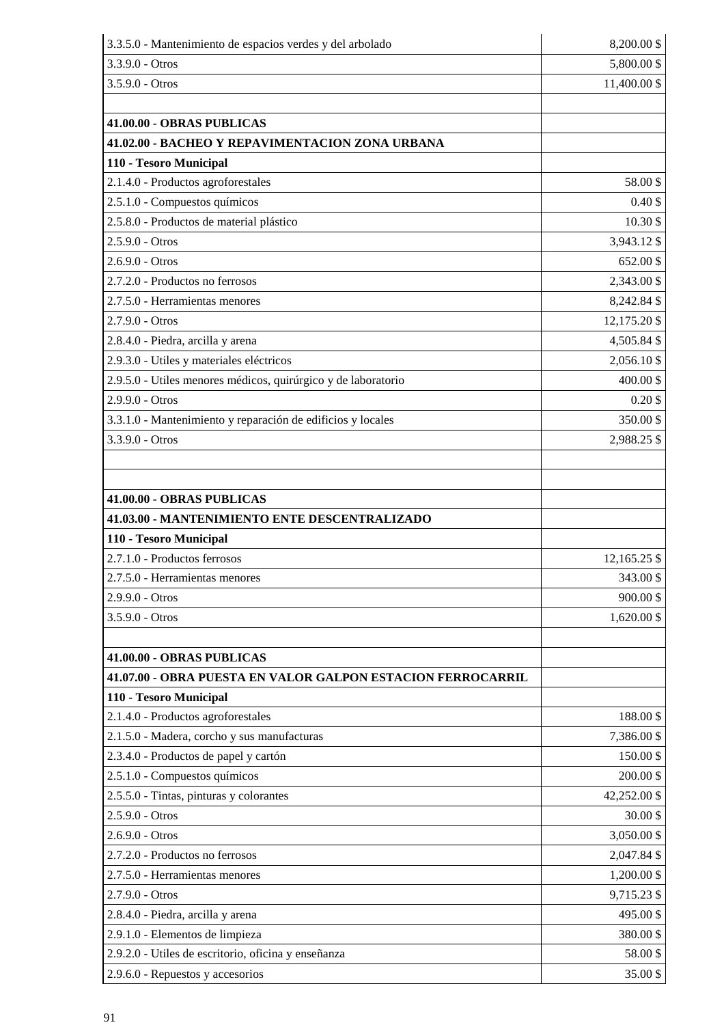| 3.3.5.0 - Mantenimiento de espacios verdes y del arbolado     | 8,200.00 \$  |
|---------------------------------------------------------------|--------------|
| 3.3.9.0 - Otros                                               | 5,800.00 \$  |
| 3.5.9.0 - Otros                                               | 11,400.00 \$ |
|                                                               |              |
| 41.00.00 - OBRAS PUBLICAS                                     |              |
| 41.02.00 - BACHEO Y REPAVIMENTACION ZONA URBANA               |              |
| 110 - Tesoro Municipal                                        |              |
| 2.1.4.0 - Productos agroforestales                            | 58.00\$      |
| 2.5.1.0 - Compuestos químicos                                 | $0.40$ \$    |
| 2.5.8.0 - Productos de material plástico                      | 10.30\$      |
| $2.5.9.0 - Otros$                                             | 3,943.12 \$  |
| $2.6.9.0 - Otros$                                             | 652.00 \$    |
| 2.7.2.0 - Productos no ferrosos                               | 2,343.00 \$  |
| 2.7.5.0 - Herramientas menores                                | 8,242.84 \$  |
| 2.7.9.0 - Otros                                               | 12,175.20 \$ |
| 2.8.4.0 - Piedra, arcilla y arena                             | 4,505.84 \$  |
| 2.9.3.0 - Utiles y materiales eléctricos                      | 2,056.10 \$  |
| 2.9.5.0 - Utiles menores médicos, quirúrgico y de laboratorio | 400.00\$     |
| 2.9.9.0 - Otros                                               | $0.20$ \$    |
| 3.3.1.0 - Mantenimiento y reparación de edificios y locales   | 350.00 \$    |
| 3.3.9.0 - Otros                                               | 2,988.25 \$  |
|                                                               |              |
|                                                               |              |
| 41.00.00 - OBRAS PUBLICAS                                     |              |
| 41.03.00 - MANTENIMIENTO ENTE DESCENTRALIZADO                 |              |
| 110 - Tesoro Municipal                                        |              |
| 2.7.1.0 - Productos ferrosos                                  | 12,165.25 \$ |
| 2.7.5.0 - Herramientas menores                                | 343.00 \$    |
| $2.9.9.0 - Otros$                                             | 900.00\$     |
| 3.5.9.0 - Otros                                               | 1,620.00 \$  |
|                                                               |              |
| 41.00.00 - OBRAS PUBLICAS                                     |              |
| 41.07.00 - OBRA PUESTA EN VALOR GALPON ESTACION FERROCARRIL   |              |
| 110 - Tesoro Municipal                                        |              |
| 2.1.4.0 - Productos agroforestales                            | 188.00\$     |
| 2.1.5.0 - Madera, corcho y sus manufacturas                   | 7,386.00 \$  |
| 2.3.4.0 - Productos de papel y cartón                         | 150.00\$     |
| 2.5.1.0 - Compuestos químicos                                 | 200.00 \$    |
| 2.5.5.0 - Tintas, pinturas y colorantes                       | 42,252.00 \$ |
| 2.5.9.0 - Otros                                               | 30.00\$      |
| 2.6.9.0 - Otros                                               | 3,050.00 \$  |
| 2.7.2.0 - Productos no ferrosos                               | 2,047.84 \$  |
| 2.7.5.0 - Herramientas menores                                | 1,200.00 \$  |
| 2.7.9.0 - Otros                                               | 9,715.23 \$  |
| 2.8.4.0 - Piedra, arcilla y arena                             | 495.00\$     |
| 2.9.1.0 - Elementos de limpieza                               | 380.00 \$    |
| 2.9.2.0 - Utiles de escritorio, oficina y enseñanza           | 58.00\$      |
| 2.9.6.0 - Repuestos y accesorios                              | 35.00 \$     |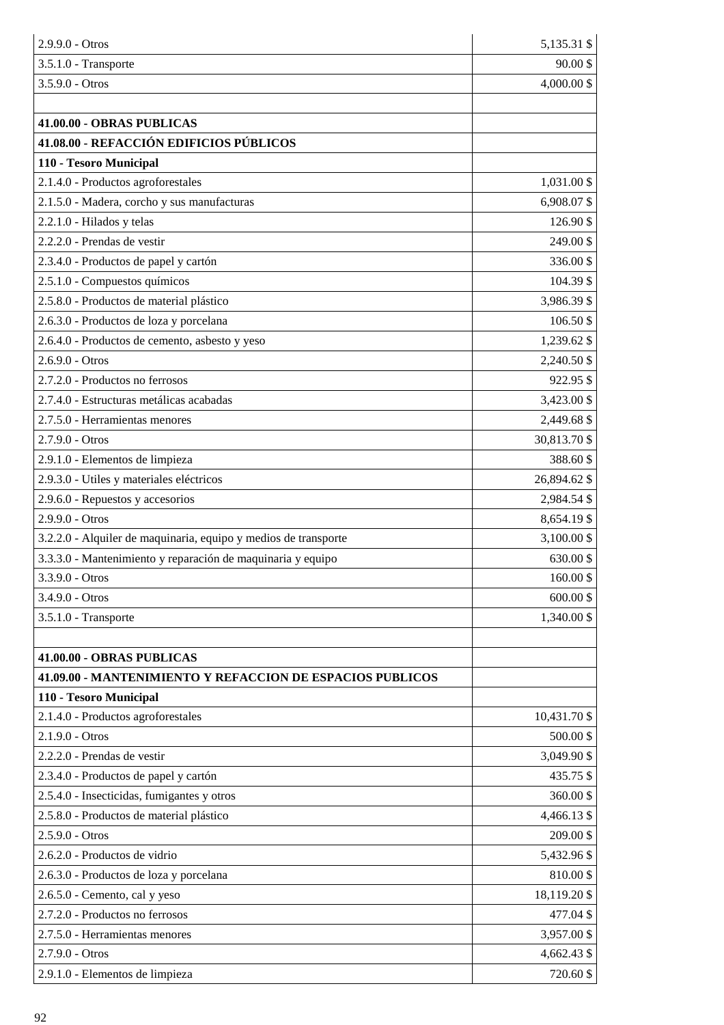| $2.9.9.0 - Otros$                                               | 5,135.31 \$  |
|-----------------------------------------------------------------|--------------|
| $3.5.1.0$ - Transporte                                          | $90.00$ \$   |
| 3.5.9.0 - Otros                                                 | 4,000.00 \$  |
|                                                                 |              |
| 41.00.00 - OBRAS PUBLICAS                                       |              |
| 41.08.00 - REFACCIÓN EDIFICIOS PÚBLICOS                         |              |
| 110 - Tesoro Municipal                                          |              |
| 2.1.4.0 - Productos agroforestales                              | 1,031.00 \$  |
| 2.1.5.0 - Madera, corcho y sus manufacturas                     | 6,908.07\$   |
| 2.2.1.0 - Hilados y telas                                       | 126.90 \$    |
| 2.2.2.0 - Prendas de vestir                                     | 249.00 \$    |
| 2.3.4.0 - Productos de papel y cartón                           | 336.00 \$    |
| 2.5.1.0 - Compuestos químicos                                   | 104.39 \$    |
| 2.5.8.0 - Productos de material plástico                        | 3,986.39 \$  |
| 2.6.3.0 - Productos de loza y porcelana                         | 106.50 \$    |
| 2.6.4.0 - Productos de cemento, asbesto y yeso                  | 1,239.62 \$  |
| $2.6.9.0 - Otros$                                               | 2,240.50 \$  |
| 2.7.2.0 - Productos no ferrosos                                 | 922.95 \$    |
| 2.7.4.0 - Estructuras metálicas acabadas                        | 3,423.00 \$  |
| 2.7.5.0 - Herramientas menores                                  | 2,449.68 \$  |
| $2.7.9.0 - Otros$                                               | 30,813.70 \$ |
| 2.9.1.0 - Elementos de limpieza                                 | 388.60 \$    |
| 2.9.3.0 - Utiles y materiales eléctricos                        | 26,894.62 \$ |
| 2.9.6.0 - Repuestos y accesorios                                | 2,984.54 \$  |
| 2.9.9.0 - Otros                                                 | 8,654.19 \$  |
| 3.2.2.0 - Alquiler de maquinaria, equipo y medios de transporte | 3,100.00 \$  |
| 3.3.3.0 - Mantenimiento y reparación de maquinaria y equipo     | 630.00\$     |
| 3.3.9.0 - Otros                                                 | 160.00 \$    |
| 3.4.9.0 - Otros                                                 | 600.00 \$    |
| 3.5.1.0 - Transporte                                            | 1,340.00 \$  |
|                                                                 |              |
| 41.00.00 - OBRAS PUBLICAS                                       |              |
| 41.09.00 - MANTENIMIENTO Y REFACCION DE ESPACIOS PUBLICOS       |              |
| 110 - Tesoro Municipal                                          |              |
| 2.1.4.0 - Productos agroforestales                              | 10,431.70 \$ |
| 2.1.9.0 - Otros                                                 | 500.00 \$    |
| 2.2.2.0 - Prendas de vestir                                     | 3,049.90 \$  |
| 2.3.4.0 - Productos de papel y cartón                           | 435.75 \$    |
| 2.5.4.0 - Insecticidas, fumigantes y otros                      | 360.00\$     |
| 2.5.8.0 - Productos de material plástico                        | 4,466.13 \$  |
| 2.5.9.0 - Otros                                                 | 209.00 \$    |
| 2.6.2.0 - Productos de vidrio                                   | 5,432.96 \$  |
| 2.6.3.0 - Productos de loza y porcelana                         | 810.00\$     |
| 2.6.5.0 - Cemento, cal y yeso                                   | 18,119.20 \$ |
| 2.7.2.0 - Productos no ferrosos                                 | 477.04 \$    |
| 2.7.5.0 - Herramientas menores                                  | 3,957.00 \$  |
| 2.7.9.0 - Otros                                                 | 4,662.43 \$  |
| 2.9.1.0 - Elementos de limpieza                                 | 720.60 \$    |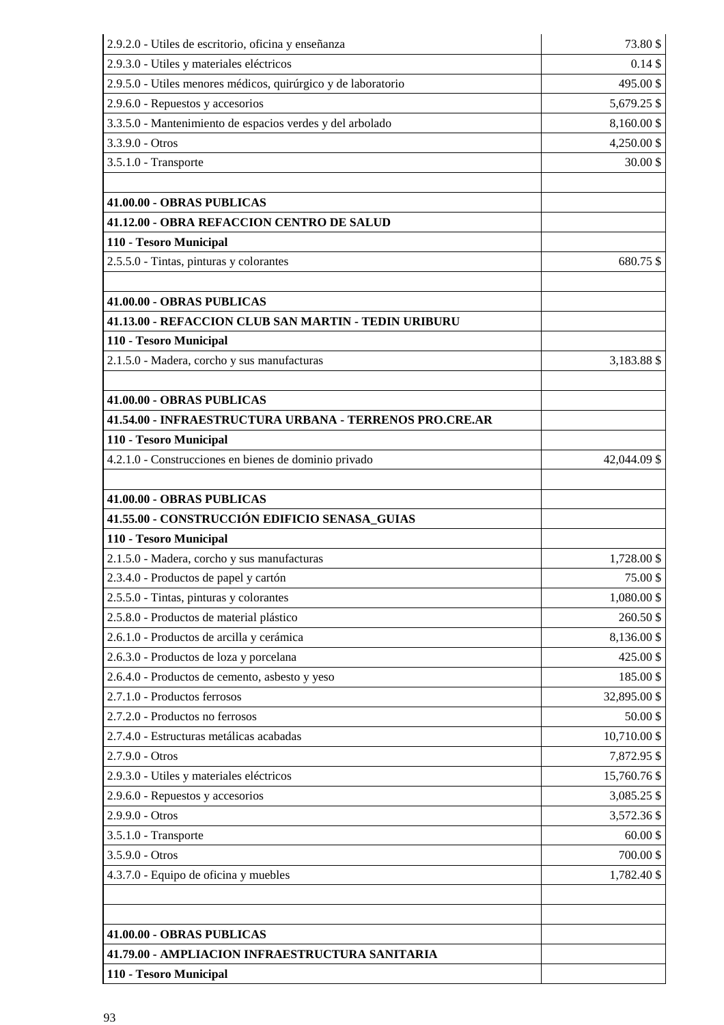| 2.9.2.0 - Utiles de escritorio, oficina y enseñanza           | 73.80\$      |
|---------------------------------------------------------------|--------------|
| 2.9.3.0 - Utiles y materiales eléctricos                      | $0.14$ \$    |
| 2.9.5.0 - Utiles menores médicos, quirúrgico y de laboratorio | 495.00 \$    |
| 2.9.6.0 - Repuestos y accesorios                              | 5,679.25 \$  |
| 3.3.5.0 - Mantenimiento de espacios verdes y del arbolado     | 8,160.00 \$  |
| 3.3.9.0 - Otros                                               | 4,250.00 \$  |
| 3.5.1.0 - Transporte                                          | 30.00\$      |
|                                                               |              |
| 41.00.00 - OBRAS PUBLICAS                                     |              |
| 41.12.00 - OBRA REFACCION CENTRO DE SALUD                     |              |
| 110 - Tesoro Municipal                                        |              |
| 2.5.5.0 - Tintas, pinturas y colorantes                       | 680.75 \$    |
|                                                               |              |
| 41.00.00 - OBRAS PUBLICAS                                     |              |
| 41.13.00 - REFACCION CLUB SAN MARTIN - TEDIN URIBURU          |              |
| 110 - Tesoro Municipal                                        |              |
| 2.1.5.0 - Madera, corcho y sus manufacturas                   | 3,183.88 \$  |
|                                                               |              |
| 41.00.00 - OBRAS PUBLICAS                                     |              |
| 41.54.00 - INFRAESTRUCTURA URBANA - TERRENOS PRO.CRE.AR       |              |
| 110 - Tesoro Municipal                                        |              |
| 4.2.1.0 - Construcciones en bienes de dominio privado         | 42,044.09 \$ |
|                                                               |              |
| 41.00.00 - OBRAS PUBLICAS                                     |              |
| 41.55.00 - CONSTRUCCIÓN EDIFICIO SENASA_GUIAS                 |              |
| 110 - Tesoro Municipal                                        |              |
| 2.1.5.0 - Madera, corcho y sus manufacturas                   | 1,728.00 \$  |
| 2.3.4.0 - Productos de papel y cartón                         | 75.00\$      |
| 2.5.5.0 - Tintas, pinturas y colorantes                       | 1,080.00 \$  |
| 2.5.8.0 - Productos de material plástico                      | 260.50 \$    |
| 2.6.1.0 - Productos de arcilla y cerámica                     | 8,136.00 \$  |
| 2.6.3.0 - Productos de loza y porcelana                       | 425.00 \$    |
| 2.6.4.0 - Productos de cemento, asbesto y yeso                | 185.00\$     |
| 2.7.1.0 - Productos ferrosos                                  | 32,895.00 \$ |
| 2.7.2.0 - Productos no ferrosos                               | 50.00\$      |
| 2.7.4.0 - Estructuras metálicas acabadas                      | 10,710.00 \$ |
| 2.7.9.0 - Otros                                               | 7,872.95 \$  |
| 2.9.3.0 - Utiles y materiales eléctricos                      | 15,760.76 \$ |
| 2.9.6.0 - Repuestos y accesorios                              | 3,085.25 \$  |
| 2.9.9.0 - Otros                                               | 3,572.36 \$  |
| 3.5.1.0 - Transporte                                          | 60.00\$      |
| 3.5.9.0 - Otros                                               | 700.00 \$    |
| 4.3.7.0 - Equipo de oficina y muebles                         | 1,782.40 \$  |
|                                                               |              |
|                                                               |              |
| 41.00.00 - OBRAS PUBLICAS                                     |              |
| 41.79.00 - AMPLIACION INFRAESTRUCTURA SANITARIA               |              |
| 110 - Tesoro Municipal                                        |              |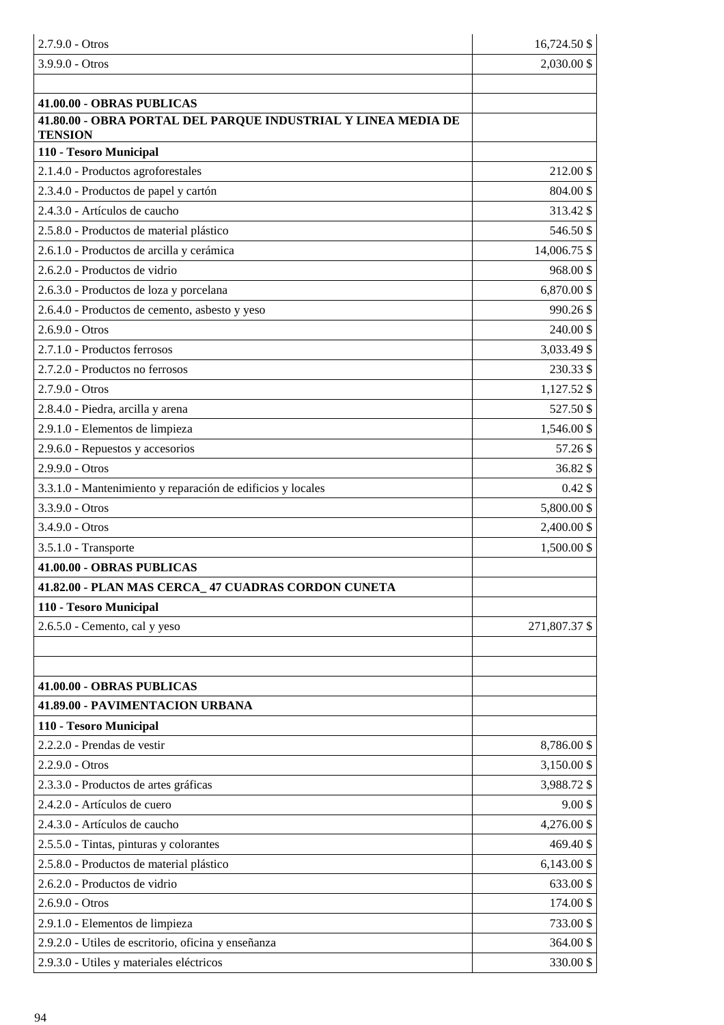| $2.7.9.0 - Otros$                                                               | 16,724.50 \$       |
|---------------------------------------------------------------------------------|--------------------|
| $3.9.9.0 - Otros$                                                               | 2,030.00 \$        |
|                                                                                 |                    |
| 41.00.00 - OBRAS PUBLICAS                                                       |                    |
| 41.80.00 - OBRA PORTAL DEL PARQUE INDUSTRIAL Y LINEA MEDIA DE<br><b>TENSION</b> |                    |
| 110 - Tesoro Municipal                                                          |                    |
| 2.1.4.0 - Productos agroforestales                                              | 212.00 \$          |
| 2.3.4.0 - Productos de papel y cartón                                           | 804.00 \$          |
| 2.4.3.0 - Artículos de caucho                                                   | 313.42 \$          |
| 2.5.8.0 - Productos de material plástico                                        | 546.50 \$          |
| 2.6.1.0 - Productos de arcilla y cerámica                                       | 14,006.75 \$       |
| 2.6.2.0 - Productos de vidrio                                                   | 968.00\$           |
| 2.6.3.0 - Productos de loza y porcelana                                         | 6,870.00 \$        |
| 2.6.4.0 - Productos de cemento, asbesto y yeso                                  | 990.26 \$          |
| $2.6.9.0 - Otros$                                                               | 240.00 \$          |
| 2.7.1.0 - Productos ferrosos                                                    | 3,033.49 \$        |
| 2.7.2.0 - Productos no ferrosos                                                 | 230.33 \$          |
| 2.7.9.0 - Otros                                                                 | 1,127.52 \$        |
| 2.8.4.0 - Piedra, arcilla y arena                                               | 527.50 \$          |
| 2.9.1.0 - Elementos de limpieza                                                 | 1,546.00 \$        |
| 2.9.6.0 - Repuestos y accesorios                                                | 57.26 \$           |
| 2.9.9.0 - Otros                                                                 | 36.82 \$           |
| 3.3.1.0 - Mantenimiento y reparación de edificios y locales                     | $0.42 \text{ }$ \$ |
| $3.3.9.0 - Otros$                                                               | 5,800.00 \$        |
| $3.4.9.0 - Otros$                                                               | 2,400.00 \$        |
| 3.5.1.0 - Transporte                                                            | 1,500.00 \$        |
| 41.00.00 - OBRAS PUBLICAS                                                       |                    |
| 41.82.00 - PLAN MAS CERCA_47 CUADRAS CORDON CUNETA                              |                    |
| 110 - Tesoro Municipal                                                          |                    |
| 2.6.5.0 - Cemento, cal y yeso                                                   | 271,807.37 \$      |
|                                                                                 |                    |
| 41.00.00 - OBRAS PUBLICAS                                                       |                    |
| 41.89.00 - PAVIMENTACION URBANA                                                 |                    |
| 110 - Tesoro Municipal                                                          |                    |
| 2.2.2.0 - Prendas de vestir                                                     | 8,786.00 \$        |
| 2.2.9.0 - Otros                                                                 | 3,150.00 \$        |
| 2.3.3.0 - Productos de artes gráficas                                           | 3,988.72 \$        |
| 2.4.2.0 - Artículos de cuero                                                    | $9.00$ \$          |
| 2.4.3.0 - Artículos de caucho                                                   | 4,276.00 \$        |
| 2.5.5.0 - Tintas, pinturas y colorantes                                         | 469.40 \$          |
| 2.5.8.0 - Productos de material plástico                                        | $6,143.00$ \$      |
| 2.6.2.0 - Productos de vidrio                                                   | 633.00 \$          |
| $2.6.9.0 - Otros$                                                               | 174.00 \$          |
| 2.9.1.0 - Elementos de limpieza                                                 | 733.00 \$          |
| 2.9.2.0 - Utiles de escritorio, oficina y enseñanza                             | 364.00 \$          |
| 2.9.3.0 - Utiles y materiales eléctricos                                        | 330.00 \$          |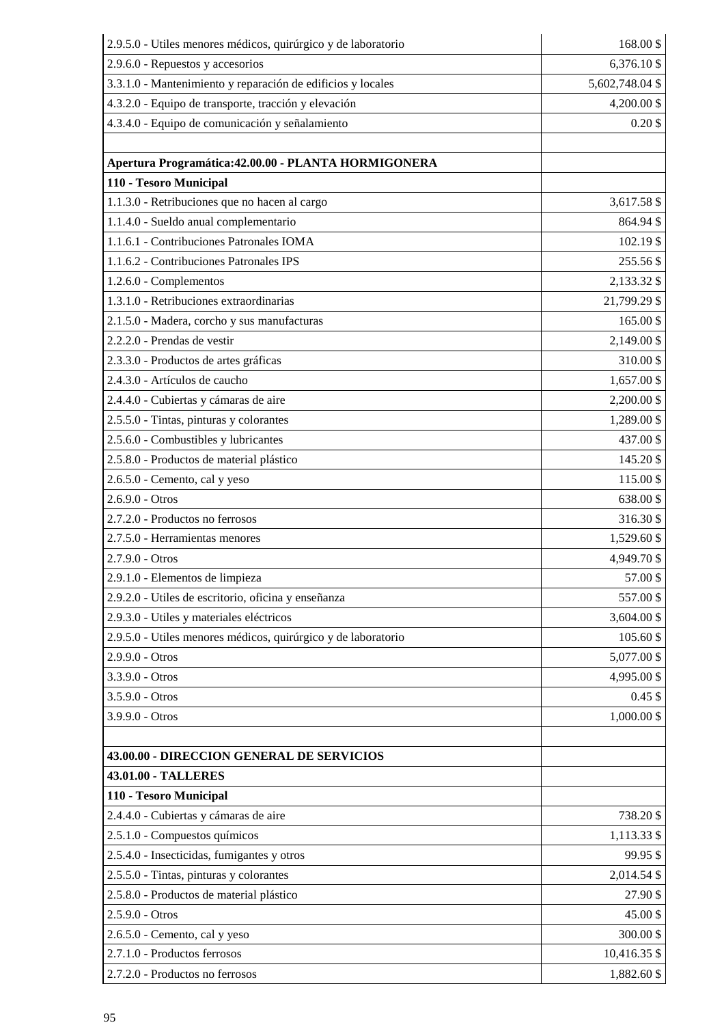| 2.9.5.0 - Utiles menores médicos, quirúrgico y de laboratorio | 168.00\$        |
|---------------------------------------------------------------|-----------------|
| 2.9.6.0 - Repuestos y accesorios                              | 6,376.10 \$     |
| 3.3.1.0 - Mantenimiento y reparación de edificios y locales   | 5,602,748.04 \$ |
| 4.3.2.0 - Equipo de transporte, tracción y elevación          | 4,200.00 \$     |
| 4.3.4.0 - Equipo de comunicación y señalamiento               | $0.20$ \$       |
|                                                               |                 |
| Apertura Programática: 42.00.00 - PLANTA HORMIGONERA          |                 |
| 110 - Tesoro Municipal                                        |                 |
| 1.1.3.0 - Retribuciones que no hacen al cargo                 | 3,617.58 \$     |
| 1.1.4.0 - Sueldo anual complementario                         | 864.94 \$       |
| 1.1.6.1 - Contribuciones Patronales IOMA                      | 102.19 \$       |
| 1.1.6.2 - Contribuciones Patronales IPS                       | 255.56 \$       |
| 1.2.6.0 - Complementos                                        | 2,133.32 \$     |
| 1.3.1.0 - Retribuciones extraordinarias                       | 21,799.29 \$    |
| 2.1.5.0 - Madera, corcho y sus manufacturas                   | 165.00\$        |
| 2.2.2.0 - Prendas de vestir                                   | 2,149.00 \$     |
| 2.3.3.0 - Productos de artes gráficas                         | 310.00\$        |
| 2.4.3.0 - Artículos de caucho                                 | 1,657.00 \$     |
| 2.4.4.0 - Cubiertas y cámaras de aire                         | 2,200.00 \$     |
| 2.5.5.0 - Tintas, pinturas y colorantes                       | 1,289.00 \$     |
| 2.5.6.0 - Combustibles y lubricantes                          | 437.00 \$       |
| 2.5.8.0 - Productos de material plástico                      | 145.20 \$       |
| 2.6.5.0 - Cemento, cal y yeso                                 | 115.00\$        |
| 2.6.9.0 - Otros                                               | 638.00 \$       |
| 2.7.2.0 - Productos no ferrosos                               | 316.30 \$       |
| 2.7.5.0 - Herramientas menores                                | 1,529.60 \$     |
| 2.7.9.0 - Otros                                               | 4,949.70 \$     |
| 2.9.1.0 - Elementos de limpieza                               | 57.00\$         |
| 2.9.2.0 - Utiles de escritorio, oficina y enseñanza           | 557.00\$        |
| 2.9.3.0 - Utiles y materiales eléctricos                      | 3,604.00 \$     |
| 2.9.5.0 - Utiles menores médicos, quirúrgico y de laboratorio | 105.60 \$       |
| $2.9.9.0 - Otros$                                             | 5,077.00 \$     |
| 3.3.9.0 - Otros                                               | 4,995.00 \$     |
| 3.5.9.0 - Otros                                               | $0.45$ \$       |
| 3.9.9.0 - Otros                                               | 1,000.00 \$     |
|                                                               |                 |
| 43.00.00 - DIRECCION GENERAL DE SERVICIOS                     |                 |
| 43.01.00 - TALLERES                                           |                 |
| 110 - Tesoro Municipal                                        |                 |
| 2.4.4.0 - Cubiertas y cámaras de aire                         | 738.20 \$       |
| 2.5.1.0 - Compuestos químicos                                 | 1,113.33 \$     |
| 2.5.4.0 - Insecticidas, fumigantes y otros                    | 99.95\$         |
| 2.5.5.0 - Tintas, pinturas y colorantes                       | 2,014.54 \$     |
| 2.5.8.0 - Productos de material plástico                      | 27.90\$         |
| 2.5.9.0 - Otros                                               | 45.00\$         |
| 2.6.5.0 - Cemento, cal y yeso                                 | 300.00 \$       |
| 2.7.1.0 - Productos ferrosos                                  | 10,416.35 \$    |
| 2.7.2.0 - Productos no ferrosos                               | 1,882.60 \$     |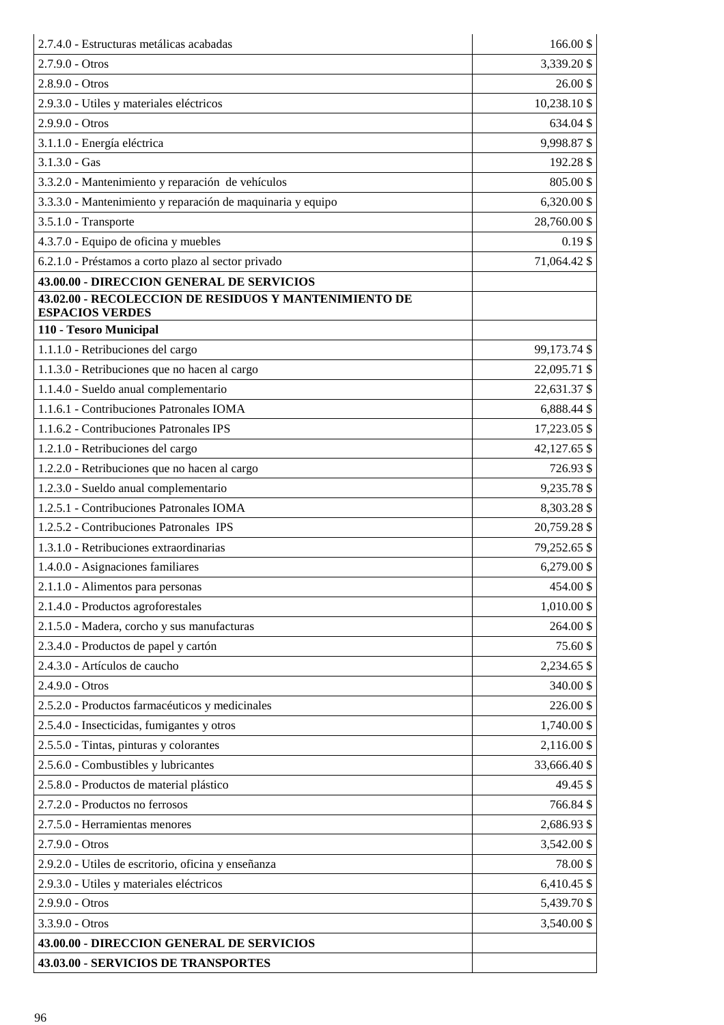| 2.7.4.0 - Estructuras metálicas acabadas                                                           | 166.00\$     |
|----------------------------------------------------------------------------------------------------|--------------|
| $2.7.9.0 - Otros$                                                                                  | 3,339.20 \$  |
| $2.8.9.0 - Otros$                                                                                  | 26.00\$      |
| 2.9.3.0 - Utiles y materiales eléctricos                                                           | 10,238.10 \$ |
| $2.9.9.0 - Otros$                                                                                  | 634.04 \$    |
|                                                                                                    |              |
| 3.1.1.0 - Energía eléctrica                                                                        | 9,998.87\$   |
| $3.1.3.0 - Gas$                                                                                    | 192.28 \$    |
| 3.3.2.0 - Mantenimiento y reparación de vehículos                                                  | 805.00\$     |
| 3.3.3.0 - Mantenimiento y reparación de maquinaria y equipo                                        | 6,320.00 \$  |
| 3.5.1.0 - Transporte                                                                               | 28,760.00 \$ |
| 4.3.7.0 - Equipo de oficina y muebles                                                              | $0.19$ \$    |
| 6.2.1.0 - Préstamos a corto plazo al sector privado                                                | 71,064.42 \$ |
| 43.00.00 - DIRECCION GENERAL DE SERVICIOS<br>43.02.00 - RECOLECCION DE RESIDUOS Y MANTENIMIENTO DE |              |
| <b>ESPACIOS VERDES</b>                                                                             |              |
| 110 - Tesoro Municipal                                                                             |              |
| 1.1.1.0 - Retribuciones del cargo                                                                  | 99,173.74 \$ |
| 1.1.3.0 - Retribuciones que no hacen al cargo                                                      | 22,095.71 \$ |
| 1.1.4.0 - Sueldo anual complementario                                                              | 22,631.37 \$ |
| 1.1.6.1 - Contribuciones Patronales IOMA                                                           | 6,888.44 \$  |
| 1.1.6.2 - Contribuciones Patronales IPS                                                            | 17,223.05 \$ |
| 1.2.1.0 - Retribuciones del cargo                                                                  | 42,127.65 \$ |
| 1.2.2.0 - Retribuciones que no hacen al cargo                                                      | 726.93 \$    |
| 1.2.3.0 - Sueldo anual complementario                                                              | 9,235.78 \$  |
| 1.2.5.1 - Contribuciones Patronales IOMA                                                           | 8,303.28 \$  |
| 1.2.5.2 - Contribuciones Patronales IPS                                                            | 20,759.28 \$ |
| 1.3.1.0 - Retribuciones extraordinarias                                                            | 79,252.65 \$ |
| 1.4.0.0 - Asignaciones familiares                                                                  | 6,279.00 \$  |
| 2.1.1.0 - Alimentos para personas                                                                  | 454.00\$     |
| 2.1.4.0 - Productos agroforestales                                                                 | 1,010.00 \$  |
| 2.1.5.0 - Madera, corcho y sus manufacturas                                                        | 264.00 \$    |
| 2.3.4.0 - Productos de papel y cartón                                                              | 75.60 \$     |
| 2.4.3.0 - Artículos de caucho                                                                      | 2,234.65 \$  |
| 2.4.9.0 - Otros                                                                                    | 340.00 \$    |
| 2.5.2.0 - Productos farmacéuticos y medicinales                                                    | 226.00 \$    |
| 2.5.4.0 - Insecticidas, fumigantes y otros                                                         | 1,740.00 \$  |
| 2.5.5.0 - Tintas, pinturas y colorantes                                                            | 2,116.00 \$  |
| 2.5.6.0 - Combustibles y lubricantes                                                               | 33,666.40 \$ |
| 2.5.8.0 - Productos de material plástico                                                           | 49.45 \$     |
| 2.7.2.0 - Productos no ferrosos                                                                    | 766.84 \$    |
| 2.7.5.0 - Herramientas menores                                                                     | 2,686.93 \$  |
| 2.7.9.0 - Otros                                                                                    | 3,542.00 \$  |
| 2.9.2.0 - Utiles de escritorio, oficina y enseñanza                                                | 78.00\$      |
| 2.9.3.0 - Utiles y materiales eléctricos                                                           | 6,410.45 \$  |
| 2.9.9.0 - Otros                                                                                    | 5,439.70 \$  |
| 3.3.9.0 - Otros                                                                                    | 3,540.00 \$  |
| 43.00.00 - DIRECCION GENERAL DE SERVICIOS                                                          |              |
| 43.03.00 - SERVICIOS DE TRANSPORTES                                                                |              |
|                                                                                                    |              |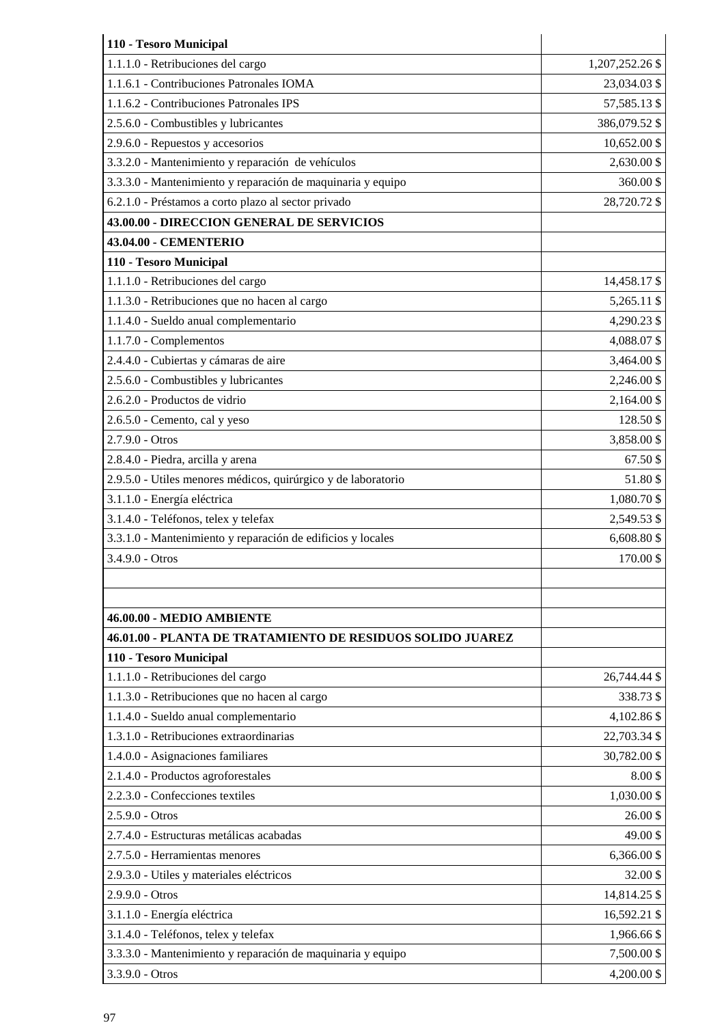| 110 - Tesoro Municipal                                            |                 |
|-------------------------------------------------------------------|-----------------|
| 1.1.1.0 - Retribuciones del cargo                                 | 1,207,252.26 \$ |
| 1.1.6.1 - Contribuciones Patronales IOMA                          | 23,034.03 \$    |
| 1.1.6.2 - Contribuciones Patronales IPS                           | 57,585.13 \$    |
| 2.5.6.0 - Combustibles y lubricantes                              | 386,079.52 \$   |
| 2.9.6.0 - Repuestos y accesorios                                  | 10,652.00 \$    |
| 3.3.2.0 - Mantenimiento y reparación de vehículos                 | 2,630.00 \$     |
| 3.3.3.0 - Mantenimiento y reparación de maquinaria y equipo       | 360.00 \$       |
| 6.2.1.0 - Préstamos a corto plazo al sector privado               | 28,720.72 \$    |
| 43.00.00 - DIRECCION GENERAL DE SERVICIOS                         |                 |
| 43.04.00 - CEMENTERIO                                             |                 |
| 110 - Tesoro Municipal                                            |                 |
| 1.1.1.0 - Retribuciones del cargo                                 | 14,458.17 \$    |
| 1.1.3.0 - Retribuciones que no hacen al cargo                     | 5,265.11 \$     |
| 1.1.4.0 - Sueldo anual complementario                             | 4,290.23 \$     |
| 1.1.7.0 - Complementos                                            | 4,088.07 \$     |
| 2.4.4.0 - Cubiertas y cámaras de aire                             | 3,464.00 \$     |
| 2.5.6.0 - Combustibles y lubricantes                              | 2,246.00 \$     |
| 2.6.2.0 - Productos de vidrio                                     | 2,164.00 \$     |
| 2.6.5.0 - Cemento, cal y yeso                                     | 128.50 \$       |
| 2.7.9.0 - Otros                                                   | 3,858.00 \$     |
| 2.8.4.0 - Piedra, arcilla y arena                                 | 67.50\$         |
| 2.9.5.0 - Utiles menores médicos, quirúrgico y de laboratorio     | 51.80\$         |
| 3.1.1.0 - Energía eléctrica                                       | 1,080.70 \$     |
| 3.1.4.0 - Teléfonos, telex y telefax                              | 2,549.53 \$     |
| 3.3.1.0 - Mantenimiento y reparación de edificios y locales       | 6,608.80 \$     |
| 3.4.9.0 - Otros                                                   | 170.00\$        |
|                                                                   |                 |
|                                                                   |                 |
| 46.00.00 - MEDIO AMBIENTE                                         |                 |
| <b>46.01.00 - PLANTA DE TRATAMIENTO DE RESIDUOS SOLIDO JUAREZ</b> |                 |
| 110 - Tesoro Municipal                                            |                 |
| 1.1.1.0 - Retribuciones del cargo                                 | 26,744.44 \$    |
| 1.1.3.0 - Retribuciones que no hacen al cargo                     | 338.73 \$       |
| 1.1.4.0 - Sueldo anual complementario                             | 4,102.86 \$     |
| 1.3.1.0 - Retribuciones extraordinarias                           | 22,703.34 \$    |
| 1.4.0.0 - Asignaciones familiares                                 | 30,782.00 \$    |
| 2.1.4.0 - Productos agroforestales                                | 8.00\$          |
| 2.2.3.0 - Confecciones textiles                                   | 1,030.00 \$     |
| $2.5.9.0 - Otros$                                                 | 26.00\$         |
| 2.7.4.0 - Estructuras metálicas acabadas                          | 49.00\$         |
| 2.7.5.0 - Herramientas menores                                    | 6,366.00 \$     |
| 2.9.3.0 - Utiles y materiales eléctricos                          | 32.00 \$        |
| $2.9.9.0 - Otros$                                                 | 14,814.25 \$    |
| 3.1.1.0 - Energía eléctrica                                       | 16,592.21 \$    |
| 3.1.4.0 - Teléfonos, telex y telefax                              | 1,966.66 \$     |
| 3.3.3.0 - Mantenimiento y reparación de maquinaria y equipo       | 7,500.00 \$     |
| 3.3.9.0 - Otros                                                   | 4,200.00 \$     |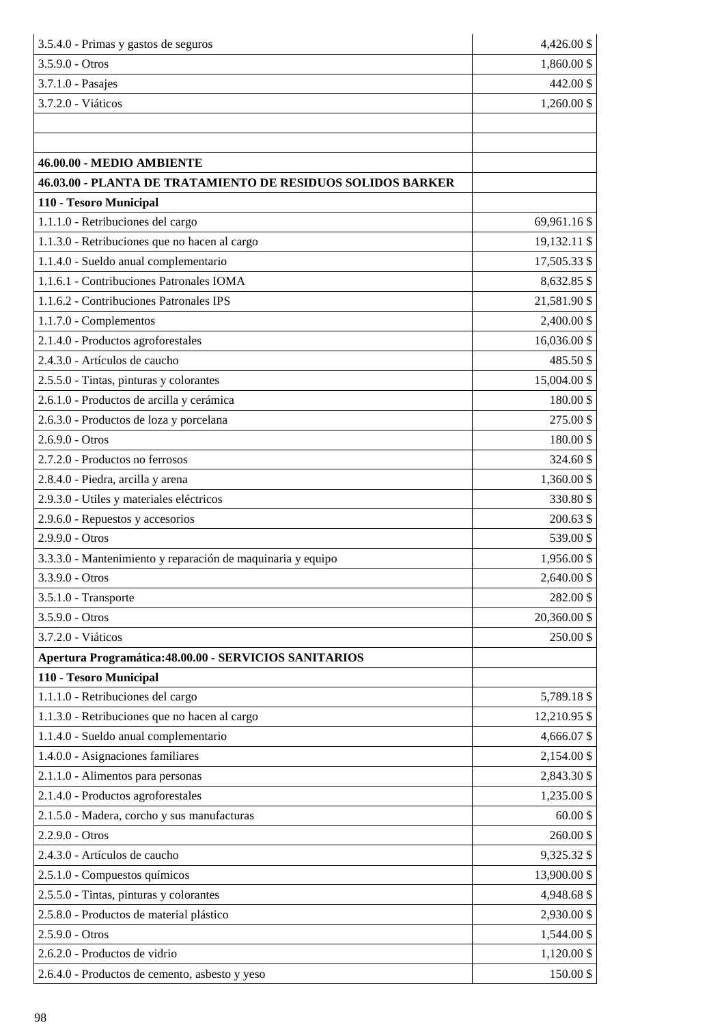| 3.5.4.0 - Primas y gastos de seguros                        | 4,426.00 \$  |
|-------------------------------------------------------------|--------------|
| $3.5.9.0 - Otros$                                           | 1,860.00 \$  |
| 3.7.1.0 - Pasajes                                           | 442.00 \$    |
| 3.7.2.0 - Viáticos                                          | 1,260.00 \$  |
|                                                             |              |
|                                                             |              |
| 46.00.00 - MEDIO AMBIENTE                                   |              |
| 46.03.00 - PLANTA DE TRATAMIENTO DE RESIDUOS SOLIDOS BARKER |              |
| 110 - Tesoro Municipal                                      |              |
| 1.1.1.0 - Retribuciones del cargo                           | 69,961.16 \$ |
| 1.1.3.0 - Retribuciones que no hacen al cargo               | 19,132.11 \$ |
| 1.1.4.0 - Sueldo anual complementario                       | 17,505.33 \$ |
| 1.1.6.1 - Contribuciones Patronales IOMA                    | 8,632.85 \$  |
| 1.1.6.2 - Contribuciones Patronales IPS                     | 21,581.90 \$ |
| 1.1.7.0 - Complementos                                      | 2,400.00 \$  |
| 2.1.4.0 - Productos agroforestales                          | 16,036.00 \$ |
| 2.4.3.0 - Artículos de caucho                               | 485.50\$     |
| 2.5.5.0 - Tintas, pinturas y colorantes                     | 15,004.00 \$ |
| 2.6.1.0 - Productos de arcilla y cerámica                   | 180.00\$     |
| 2.6.3.0 - Productos de loza y porcelana                     | 275.00 \$    |
| $2.6.9.0 - Otros$                                           | 180.00\$     |
| 2.7.2.0 - Productos no ferrosos                             | 324.60 \$    |
| 2.8.4.0 - Piedra, arcilla y arena                           | 1,360.00 \$  |
| 2.9.3.0 - Utiles y materiales eléctricos                    | 330.80\$     |
| 2.9.6.0 - Repuestos y accesorios                            | 200.63 \$    |
| $2.9.9.0 - Otros$                                           | 539.00 \$    |
| 3.3.3.0 - Mantenimiento y reparación de maquinaria y equipo | 1,956.00 \$  |
| 3.3.9.0 - Otros                                             | 2,640.00 \$  |
| 3.5.1.0 - Transporte                                        | 282.00\$     |
| 3.5.9.0 - Otros                                             | 20,360.00 \$ |
| 3.7.2.0 - Viáticos                                          | 250.00\$     |
| Apertura Programática: 48.00.00 - SERVICIOS SANITARIOS      |              |
| 110 - Tesoro Municipal                                      |              |
| 1.1.1.0 - Retribuciones del cargo                           | 5,789.18 \$  |
| 1.1.3.0 - Retribuciones que no hacen al cargo               | 12,210.95 \$ |
| 1.1.4.0 - Sueldo anual complementario                       | 4,666.07 \$  |
| 1.4.0.0 - Asignaciones familiares                           | 2,154.00 \$  |
| 2.1.1.0 - Alimentos para personas                           | 2,843.30 \$  |
| 2.1.4.0 - Productos agroforestales                          | 1,235.00 \$  |
| 2.1.5.0 - Madera, corcho y sus manufacturas                 | $60.00$ \$   |
| 2.2.9.0 - Otros                                             | 260.00\$     |
| 2.4.3.0 - Artículos de caucho                               | 9,325.32 \$  |
| 2.5.1.0 - Compuestos químicos                               | 13,900.00 \$ |
| 2.5.5.0 - Tintas, pinturas y colorantes                     | 4,948.68 \$  |
| 2.5.8.0 - Productos de material plástico                    | 2,930.00 \$  |
| 2.5.9.0 - Otros                                             | 1,544.00 \$  |
| 2.6.2.0 - Productos de vidrio                               | 1,120.00 \$  |
| 2.6.4.0 - Productos de cemento, asbesto y yeso              | 150.00\$     |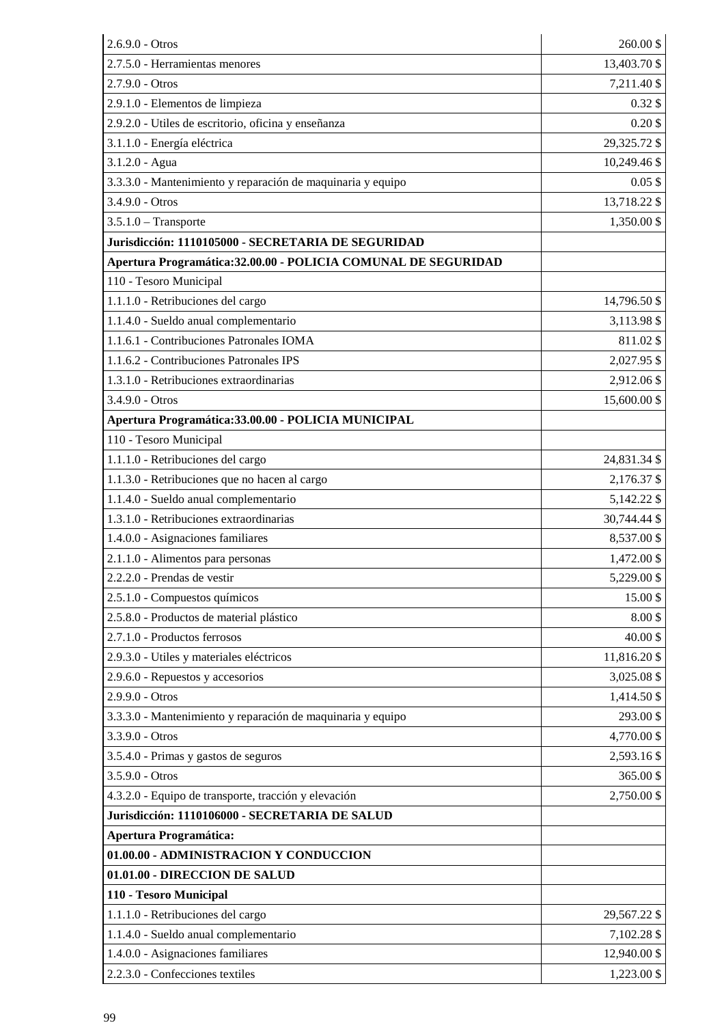| $2.6.9.0 - Otros$                                              | 260.00\$     |
|----------------------------------------------------------------|--------------|
| 2.7.5.0 - Herramientas menores                                 | 13,403.70 \$ |
| $2.7.9.0 - Otros$                                              | 7,211.40 \$  |
| 2.9.1.0 - Elementos de limpieza                                | $0.32$ \$    |
| 2.9.2.0 - Utiles de escritorio, oficina y enseñanza            | $0.20$ \$    |
| 3.1.1.0 - Energía eléctrica                                    | 29,325.72 \$ |
| $3.1.2.0 - Agua$                                               | 10,249.46 \$ |
| 3.3.3.0 - Mantenimiento y reparación de maquinaria y equipo    | $0.05$ \$    |
| $3.4.9.0 - Otros$                                              | 13,718.22 \$ |
| $3.5.1.0$ - Transporte                                         | 1,350.00 \$  |
| Jurisdicción: 1110105000 - SECRETARIA DE SEGURIDAD             |              |
| Apertura Programática: 32.00.00 - POLICIA COMUNAL DE SEGURIDAD |              |
| 110 - Tesoro Municipal                                         |              |
| 1.1.1.0 - Retribuciones del cargo                              | 14,796.50 \$ |
| 1.1.4.0 - Sueldo anual complementario                          | 3,113.98 \$  |
| 1.1.6.1 - Contribuciones Patronales IOMA                       | 811.02\$     |
| 1.1.6.2 - Contribuciones Patronales IPS                        | 2,027.95 \$  |
| 1.3.1.0 - Retribuciones extraordinarias                        | 2,912.06 \$  |
| $3.4.9.0 - Otros$                                              | 15,600.00 \$ |
| Apertura Programática: 33.00.00 - POLICIA MUNICIPAL            |              |
| 110 - Tesoro Municipal                                         |              |
| 1.1.1.0 - Retribuciones del cargo                              | 24,831.34 \$ |
| 1.1.3.0 - Retribuciones que no hacen al cargo                  | 2,176.37 \$  |
| 1.1.4.0 - Sueldo anual complementario                          | 5,142.22 \$  |
| 1.3.1.0 - Retribuciones extraordinarias                        | 30,744.44 \$ |
| 1.4.0.0 - Asignaciones familiares                              | 8,537.00\$   |
| 2.1.1.0 - Alimentos para personas                              | 1,472.00 \$  |
| 2.2.2.0 - Prendas de vestir                                    | 5,229.00 \$  |
| 2.5.1.0 - Compuestos químicos                                  | 15.00 \$     |
| 2.5.8.0 - Productos de material plástico                       | 8.00\$       |
| 2.7.1.0 - Productos ferrosos                                   | 40.00 \$     |
| 2.9.3.0 - Utiles y materiales eléctricos                       | 11,816.20 \$ |
| 2.9.6.0 - Repuestos y accesorios                               | 3,025.08 \$  |
| 2.9.9.0 - Otros                                                | 1,414.50 \$  |
| 3.3.3.0 - Mantenimiento y reparación de maquinaria y equipo    | 293.00\$     |
| 3.3.9.0 - Otros                                                | 4,770.00 \$  |
| 3.5.4.0 - Primas y gastos de seguros                           | 2,593.16 \$  |
| 3.5.9.0 - Otros                                                | 365.00 \$    |
| 4.3.2.0 - Equipo de transporte, tracción y elevación           | 2,750.00 \$  |
| Jurisdicción: 1110106000 - SECRETARIA DE SALUD                 |              |
| <b>Apertura Programática:</b>                                  |              |
| 01.00.00 - ADMINISTRACION Y CONDUCCION                         |              |
| 01.01.00 - DIRECCION DE SALUD                                  |              |
| 110 - Tesoro Municipal                                         |              |
| 1.1.1.0 - Retribuciones del cargo                              | 29,567.22 \$ |
| 1.1.4.0 - Sueldo anual complementario                          | 7,102.28 \$  |
| 1.4.0.0 - Asignaciones familiares                              | 12,940.00 \$ |
| 2.2.3.0 - Confecciones textiles                                | 1,223.00 \$  |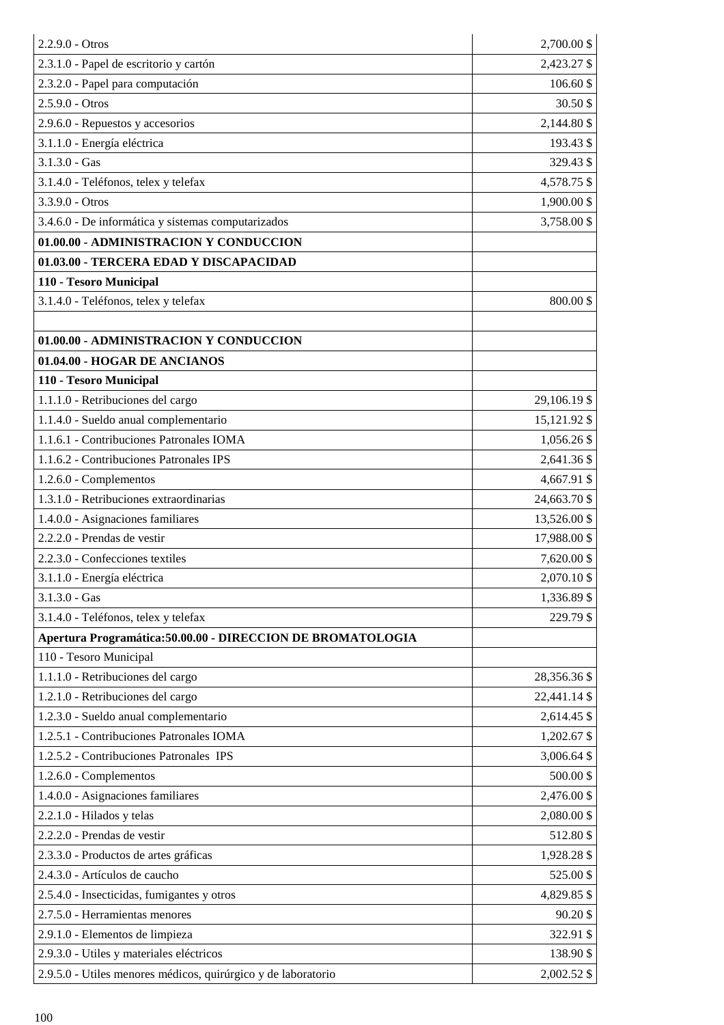| 2.2.9.0 - Otros                                               | 2,700.00 \$  |
|---------------------------------------------------------------|--------------|
| 2.3.1.0 - Papel de escritorio y cartón                        | 2,423.27 \$  |
| 2.3.2.0 - Papel para computación                              | 106.60 \$    |
| 2.5.9.0 - Otros                                               | 30.50 \$     |
| 2.9.6.0 - Repuestos y accesorios                              | 2,144.80 \$  |
| 3.1.1.0 - Energía eléctrica                                   | 193.43 \$    |
| $3.1.3.0 - Gas$                                               | 329.43 \$    |
| 3.1.4.0 - Teléfonos, telex y telefax                          | 4,578.75 \$  |
| $3.3.9.0 - Otros$                                             | 1,900.00 \$  |
| 3.4.6.0 - De informática y sistemas computarizados            | 3,758.00 \$  |
| 01.00.00 - ADMINISTRACION Y CONDUCCION                        |              |
| 01.03.00 - TERCERA EDAD Y DISCAPACIDAD                        |              |
| 110 - Tesoro Municipal                                        |              |
| 3.1.4.0 - Teléfonos, telex y telefax                          | 800.00\$     |
|                                                               |              |
| 01.00.00 - ADMINISTRACION Y CONDUCCION                        |              |
| 01.04.00 - HOGAR DE ANCIANOS                                  |              |
| 110 - Tesoro Municipal                                        |              |
| 1.1.1.0 - Retribuciones del cargo                             | 29,106.19 \$ |
| 1.1.4.0 - Sueldo anual complementario                         | 15,121.92 \$ |
| 1.1.6.1 - Contribuciones Patronales IOMA                      | 1,056.26 \$  |
| 1.1.6.2 - Contribuciones Patronales IPS                       | 2,641.36 \$  |
| 1.2.6.0 - Complementos                                        | 4,667.91 \$  |
| 1.3.1.0 - Retribuciones extraordinarias                       | 24,663.70 \$ |
| 1.4.0.0 - Asignaciones familiares                             | 13,526.00 \$ |
| 2.2.2.0 - Prendas de vestir                                   | 17,988.00 \$ |
| 2.2.3.0 - Confecciones textiles                               | 7,620.00 \$  |
| 3.1.1.0 - Energía eléctrica                                   | 2,070.10 \$  |
| $3.1.3.0 - Gas$                                               | 1,336.89 \$  |
| 3.1.4.0 - Teléfonos, telex y telefax                          | 229.79 \$    |
| Apertura Programática: 50.00.00 - DIRECCION DE BROMATOLOGIA   |              |
| 110 - Tesoro Municipal                                        |              |
| 1.1.1.0 - Retribuciones del cargo                             | 28,356.36 \$ |
| 1.2.1.0 - Retribuciones del cargo                             | 22,441.14 \$ |
| 1.2.3.0 - Sueldo anual complementario                         | 2,614.45 \$  |
| 1.2.5.1 - Contribuciones Patronales IOMA                      | 1,202.67 \$  |
| 1.2.5.2 - Contribuciones Patronales IPS                       | 3,006.64 \$  |
| 1.2.6.0 - Complementos                                        | 500.00\$     |
| 1.4.0.0 - Asignaciones familiares                             | 2,476.00 \$  |
| 2.2.1.0 - Hilados y telas                                     | 2,080.00 \$  |
| 2.2.2.0 - Prendas de vestir                                   | 512.80 \$    |
| 2.3.3.0 - Productos de artes gráficas                         | 1,928.28 \$  |
| 2.4.3.0 - Artículos de caucho                                 | 525.00\$     |
| 2.5.4.0 - Insecticidas, fumigantes y otros                    | 4,829.85 \$  |
| 2.7.5.0 - Herramientas menores                                | 90.20\$      |
| 2.9.1.0 - Elementos de limpieza                               | 322.91 \$    |
| 2.9.3.0 - Utiles y materiales eléctricos                      | 138.90 \$    |
| 2.9.5.0 - Utiles menores médicos, quirúrgico y de laboratorio | 2,002.52 \$  |
|                                                               |              |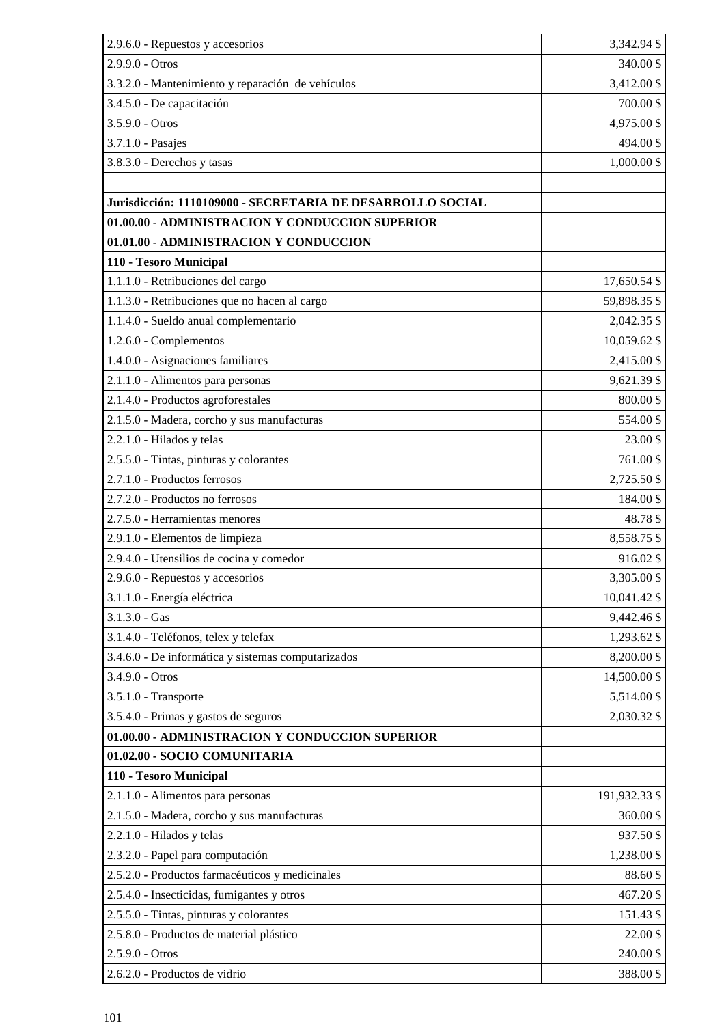| 2.9.6.0 - Repuestos y accesorios                           | 3,342.94 \$   |
|------------------------------------------------------------|---------------|
| 2.9.9.0 - Otros                                            | 340.00\$      |
| 3.3.2.0 - Mantenimiento y reparación de vehículos          | 3,412.00 \$   |
| 3.4.5.0 - De capacitación                                  | 700.00\$      |
| $3.5.9.0 - Otros$                                          | 4,975.00 \$   |
| 3.7.1.0 - Pasajes                                          | 494.00\$      |
| 3.8.3.0 - Derechos y tasas                                 | 1,000.00 \$   |
|                                                            |               |
| Jurisdicción: 1110109000 - SECRETARIA DE DESARROLLO SOCIAL |               |
| 01.00.00 - ADMINISTRACION Y CONDUCCION SUPERIOR            |               |
| 01.01.00 - ADMINISTRACION Y CONDUCCION                     |               |
| 110 - Tesoro Municipal                                     |               |
| 1.1.1.0 - Retribuciones del cargo                          | 17,650.54 \$  |
| 1.1.3.0 - Retribuciones que no hacen al cargo              | 59,898.35 \$  |
| 1.1.4.0 - Sueldo anual complementario                      | 2,042.35 \$   |
| 1.2.6.0 - Complementos                                     | 10,059.62 \$  |
| 1.4.0.0 - Asignaciones familiares                          | 2,415.00 \$   |
| 2.1.1.0 - Alimentos para personas                          | 9,621.39 \$   |
| 2.1.4.0 - Productos agroforestales                         | 800.00\$      |
| 2.1.5.0 - Madera, corcho y sus manufacturas                | 554.00\$      |
| 2.2.1.0 - Hilados y telas                                  | 23.00\$       |
| 2.5.5.0 - Tintas, pinturas y colorantes                    | 761.00\$      |
| 2.7.1.0 - Productos ferrosos                               | 2,725.50 \$   |
| 2.7.2.0 - Productos no ferrosos                            | 184.00 \$     |
| 2.7.5.0 - Herramientas menores                             | 48.78\$       |
| 2.9.1.0 - Elementos de limpieza                            | 8,558.75 \$   |
| 2.9.4.0 - Utensilios de cocina y comedor                   | 916.02\$      |
| 2.9.6.0 - Repuestos y accesorios                           | 3,305.00 \$   |
| 3.1.1.0 - Energía eléctrica                                | 10,041.42 \$  |
| $3.1.3.0 - Gas$                                            | 9,442.46 \$   |
| 3.1.4.0 - Teléfonos, telex y telefax                       | 1,293.62 \$   |
| 3.4.6.0 - De informática y sistemas computarizados         | 8,200.00 \$   |
| 3.4.9.0 - Otros                                            | 14,500.00 \$  |
| 3.5.1.0 - Transporte                                       | 5,514.00 \$   |
| 3.5.4.0 - Primas y gastos de seguros                       | 2,030.32 \$   |
| 01.00.00 - ADMINISTRACION Y CONDUCCION SUPERIOR            |               |
| 01.02.00 - SOCIO COMUNITARIA                               |               |
| 110 - Tesoro Municipal                                     |               |
| 2.1.1.0 - Alimentos para personas                          | 191,932.33 \$ |
| 2.1.5.0 - Madera, corcho y sus manufacturas                | 360.00\$      |
| 2.2.1.0 - Hilados y telas                                  | 937.50 \$     |
| 2.3.2.0 - Papel para computación                           | 1,238.00 \$   |
| 2.5.2.0 - Productos farmacéuticos y medicinales            | 88.60\$       |
| 2.5.4.0 - Insecticidas, fumigantes y otros                 | 467.20\$      |
| 2.5.5.0 - Tintas, pinturas y colorantes                    | 151.43 \$     |
| 2.5.8.0 - Productos de material plástico                   | 22.00\$       |
| 2.5.9.0 - Otros                                            | 240.00 \$     |
| 2.6.2.0 - Productos de vidrio                              | 388.00\$      |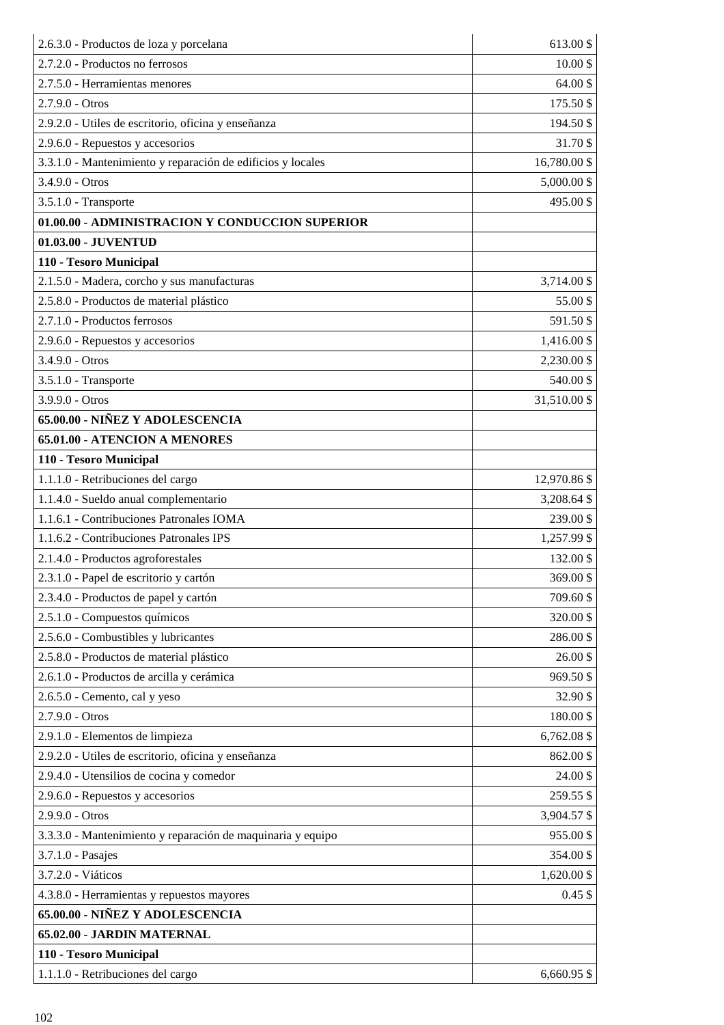| 2.6.3.0 - Productos de loza y porcelana                     | 613.00\$     |
|-------------------------------------------------------------|--------------|
| 2.7.2.0 - Productos no ferrosos                             | 10.00\$      |
| 2.7.5.0 - Herramientas menores                              | 64.00\$      |
| 2.7.9.0 - Otros                                             | 175.50 \$    |
| 2.9.2.0 - Utiles de escritorio, oficina y enseñanza         | 194.50 \$    |
| 2.9.6.0 - Repuestos y accesorios                            | 31.70 \$     |
| 3.3.1.0 - Mantenimiento y reparación de edificios y locales | 16,780.00 \$ |
| 3.4.9.0 - Otros                                             | 5,000.00 \$  |
| 3.5.1.0 - Transporte                                        | 495.00\$     |
| 01.00.00 - ADMINISTRACION Y CONDUCCION SUPERIOR             |              |
| 01.03.00 - JUVENTUD                                         |              |
| 110 - Tesoro Municipal                                      |              |
| 2.1.5.0 - Madera, corcho y sus manufacturas                 | 3,714.00 \$  |
| 2.5.8.0 - Productos de material plástico                    | 55.00\$      |
| 2.7.1.0 - Productos ferrosos                                | 591.50 \$    |
| 2.9.6.0 - Repuestos y accesorios                            | 1,416.00 \$  |
| $3.4.9.0 - Otros$                                           | 2,230.00 \$  |
| 3.5.1.0 - Transporte                                        | 540.00\$     |
| 3.9.9.0 - Otros                                             | 31,510.00 \$ |
| 65.00.00 - NIÑEZ Y ADOLESCENCIA                             |              |
| 65.01.00 - ATENCION A MENORES                               |              |
| 110 - Tesoro Municipal                                      |              |
| 1.1.1.0 - Retribuciones del cargo                           | 12,970.86 \$ |
| 1.1.4.0 - Sueldo anual complementario                       | 3,208.64 \$  |
| 1.1.6.1 - Contribuciones Patronales IOMA                    | 239.00 \$    |
| 1.1.6.2 - Contribuciones Patronales IPS                     | 1,257.99 \$  |
| 2.1.4.0 - Productos agroforestales                          | 132.00 \$    |
| 2.3.1.0 - Papel de escritorio y cartón                      | 369.00\$     |
| 2.3.4.0 - Productos de papel y cartón                       | 709.60 \$    |
| 2.5.1.0 - Compuestos químicos                               | 320.00 \$    |
| 2.5.6.0 - Combustibles y lubricantes                        | 286.00 \$    |
| 2.5.8.0 - Productos de material plástico                    | 26.00 \$     |
| 2.6.1.0 - Productos de arcilla y cerámica                   | 969.50\$     |
| 2.6.5.0 - Cemento, cal y yeso                               | 32.90 \$     |
| 2.7.9.0 - Otros                                             | 180.00\$     |
| 2.9.1.0 - Elementos de limpieza                             | 6,762.08 \$  |
| 2.9.2.0 - Utiles de escritorio, oficina y enseñanza         | 862.00 \$    |
| 2.9.4.0 - Utensilios de cocina y comedor                    | 24.00\$      |
| 2.9.6.0 - Repuestos y accesorios                            | 259.55 \$    |
| 2.9.9.0 - Otros                                             | 3,904.57 \$  |
| 3.3.3.0 - Mantenimiento y reparación de maquinaria y equipo | 955.00\$     |
| 3.7.1.0 - Pasajes                                           | 354.00 \$    |
| 3.7.2.0 - Viáticos                                          | 1,620.00 \$  |
| 4.3.8.0 - Herramientas y repuestos mayores                  | $0.45$ \$    |
| 65.00.00 - NIÑEZ Y ADOLESCENCIA                             |              |
| 65.02.00 - JARDIN MATERNAL                                  |              |
| 110 - Tesoro Municipal                                      |              |
| 1.1.1.0 - Retribuciones del cargo                           | 6,660.95 \$  |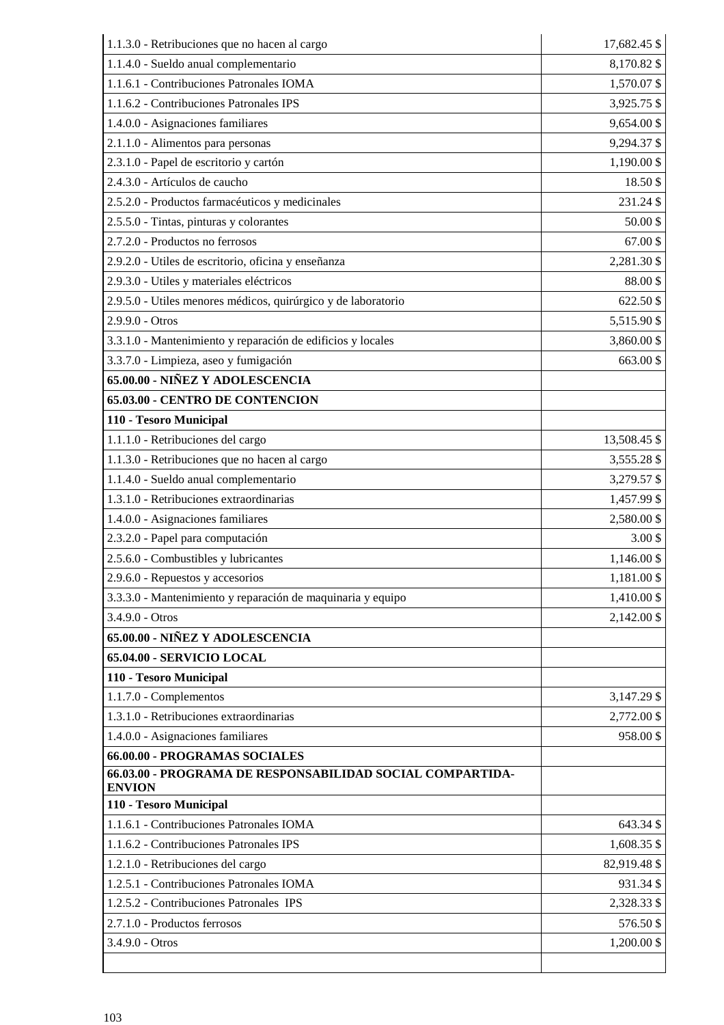| 1.1.3.0 - Retribuciones que no hacen al cargo                              | 17,682.45 \$ |
|----------------------------------------------------------------------------|--------------|
| 1.1.4.0 - Sueldo anual complementario                                      | 8,170.82 \$  |
| 1.1.6.1 - Contribuciones Patronales IOMA                                   | 1,570.07 \$  |
| 1.1.6.2 - Contribuciones Patronales IPS                                    | 3,925.75 \$  |
| 1.4.0.0 - Asignaciones familiares                                          | 9,654.00 \$  |
| 2.1.1.0 - Alimentos para personas                                          | 9,294.37 \$  |
| 2.3.1.0 - Papel de escritorio y cartón                                     | 1,190.00 \$  |
| 2.4.3.0 - Artículos de caucho                                              | 18.50\$      |
| 2.5.2.0 - Productos farmacéuticos y medicinales                            | 231.24 \$    |
| 2.5.5.0 - Tintas, pinturas y colorantes                                    | 50.00\$      |
| 2.7.2.0 - Productos no ferrosos                                            | 67.00\$      |
| 2.9.2.0 - Utiles de escritorio, oficina y enseñanza                        | 2,281.30 \$  |
| 2.9.3.0 - Utiles y materiales eléctricos                                   | $88.00\ \$$  |
| 2.9.5.0 - Utiles menores médicos, quirúrgico y de laboratorio              | 622.50 \$    |
| 2.9.9.0 - Otros                                                            | 5,515.90 \$  |
| 3.3.1.0 - Mantenimiento y reparación de edificios y locales                | 3,860.00 \$  |
| 3.3.7.0 - Limpieza, aseo y fumigación                                      | 663.00 \$    |
| 65.00.00 - NIÑEZ Y ADOLESCENCIA                                            |              |
| 65.03.00 - CENTRO DE CONTENCION                                            |              |
| 110 - Tesoro Municipal                                                     |              |
| 1.1.1.0 - Retribuciones del cargo                                          | 13,508.45 \$ |
| 1.1.3.0 - Retribuciones que no hacen al cargo                              | 3,555.28 \$  |
| 1.1.4.0 - Sueldo anual complementario                                      | 3,279.57 \$  |
| 1.3.1.0 - Retribuciones extraordinarias                                    | 1,457.99 \$  |
| 1.4.0.0 - Asignaciones familiares                                          | 2,580.00 \$  |
| 2.3.2.0 - Papel para computación                                           | $3.00$ \$    |
| 2.5.6.0 - Combustibles y lubricantes                                       | 1,146.00 \$  |
| 2.9.6.0 - Repuestos y accesorios                                           | 1,181.00 \$  |
| 3.3.3.0 - Mantenimiento y reparación de maquinaria y equipo                | 1,410.00 \$  |
| $3.4.9.0 - Otros$                                                          | 2,142.00 \$  |
| 65.00.00 - NIÑEZ Y ADOLESCENCIA                                            |              |
| 65.04.00 - SERVICIO LOCAL                                                  |              |
| 110 - Tesoro Municipal                                                     |              |
| 1.1.7.0 - Complementos                                                     | 3,147.29 \$  |
| 1.3.1.0 - Retribuciones extraordinarias                                    | 2,772.00 \$  |
| 1.4.0.0 - Asignaciones familiares                                          | 958.00\$     |
| 66.00.00 - PROGRAMAS SOCIALES                                              |              |
| 66.03.00 - PROGRAMA DE RESPONSABILIDAD SOCIAL COMPARTIDA-<br><b>ENVION</b> |              |
| 110 - Tesoro Municipal                                                     |              |
| 1.1.6.1 - Contribuciones Patronales IOMA                                   | 643.34 \$    |
| 1.1.6.2 - Contribuciones Patronales IPS                                    | 1,608.35 \$  |
| 1.2.1.0 - Retribuciones del cargo                                          | 82,919.48 \$ |
| 1.2.5.1 - Contribuciones Patronales IOMA                                   | 931.34 \$    |
| 1.2.5.2 - Contribuciones Patronales IPS                                    | 2,328.33 \$  |
| 2.7.1.0 - Productos ferrosos                                               | 576.50 \$    |
| 3.4.9.0 - Otros                                                            | 1,200.00 \$  |
|                                                                            |              |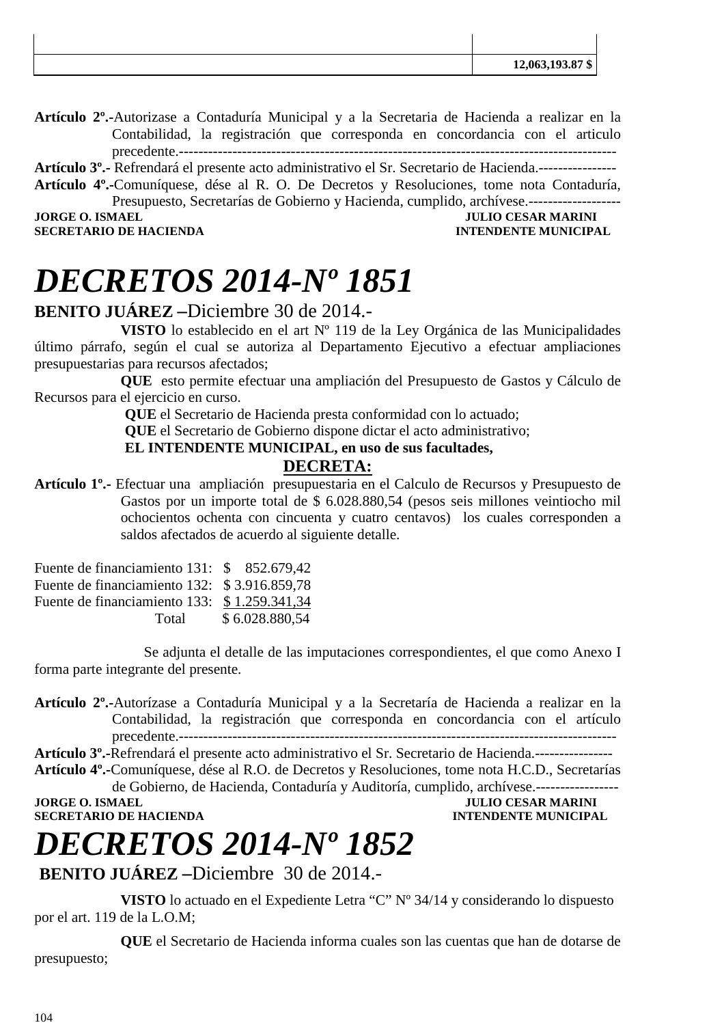| ₼<br>12,063,193.87 \$ |
|-----------------------|
|                       |

**Artículo 2º.-**Autorizase a Contaduría Municipal y a la Secretaria de Hacienda a realizar en la Contabilidad, la registración que corresponda en concordancia con el articulo precedente.------------------------------------------------------------------------------------------

**Artículo 3º.-** Refrendará el presente acto administrativo el Sr. Secretario de Hacienda.----------------

**Artículo 4º.-**Comuníquese, dése al R. O. De Decretos y Resoluciones, tome nota Contaduría, Presupuesto, Secretarías de Gobierno y Hacienda, cumplido, archívese.-------------------**JORGE O. ISMAEL SERVICE OF A SERVICE OF A SERVICE OF A SERVICE OF A SERVICE OF A SERVICE OF A SERVICE OF A SERVICE OF A SERVICE OF A SERVICE OF A SERVICE OF A SERVICE OF A SERVICE OF A SERVICE OF A SERVICE OF A SERVICE OF** 

**SECRETARIO DE HACIENDA INTENDENTE MUNICIPAL** 

 $\mathbf{I}$ 

 $\mathbf{I}$ 

# *DECRETOS 2014-Nº 1851*

### **BENITO JUÁREZ –**Diciembre 30 de 2014.-

**VISTO** lo establecido en el art Nº 119 de la Ley Orgánica de las Municipalidades último párrafo, según el cual se autoriza al Departamento Ejecutivo a efectuar ampliaciones presupuestarias para recursos afectados;

**QUE** esto permite efectuar una ampliación del Presupuesto de Gastos y Cálculo de Recursos para el ejercicio en curso.

 **QUE** el Secretario de Hacienda presta conformidad con lo actuado;

 **QUE** el Secretario de Gobierno dispone dictar el acto administrativo;

 **EL INTENDENTE MUNICIPAL, en uso de sus facultades,** 

### **DECRETA:**

**Artículo 1º.-** Efectuar una ampliación presupuestaria en el Calculo de Recursos y Presupuesto de Gastos por un importe total de \$ 6.028.880,54 (pesos seis millones veintiocho mil ochocientos ochenta con cincuenta y cuatro centavos) los cuales corresponden a saldos afectados de acuerdo al siguiente detalle.

| Fuente de financiamiento 131: \$ 852.679,42  |                |
|----------------------------------------------|----------------|
| Fuente de financiamiento 132: \$3.916.859,78 |                |
| Fuente de financiamiento 133: \$1.259.341,34 |                |
| Total                                        | \$6.028.880,54 |

Se adjunta el detalle de las imputaciones correspondientes, el que como Anexo I forma parte integrante del presente.

**Artículo 2º.-**Autorízase a Contaduría Municipal y a la Secretaría de Hacienda a realizar en la Contabilidad, la registración que corresponda en concordancia con el artículo precedente.------------------------------------------------------------------------------------------

**Artículo 3º.-**Refrendará el presente acto administrativo el Sr. Secretario de Hacienda.---------------- **Artículo 4º.-**Comuníquese, dése al R.O. de Decretos y Resoluciones, tome nota H.C.D., Secretarías

de Gobierno, de Hacienda, Contaduría y Auditoría, cumplido, archívese.----------------- **JULIO CESAR MARINI SECRETARIO DE HACIENDA INTENDENTE MUNICIPAL** 

# *DECRETOS 2014-Nº 1852*

**BENITO JUÁREZ –**Diciembre 30 de 2014.-

**VISTO** lo actuado en el Expediente Letra "C" Nº 34/14 y considerando lo dispuesto por el art. 119 de la L.O.M;

**QUE** el Secretario de Hacienda informa cuales son las cuentas que han de dotarse de presupuesto;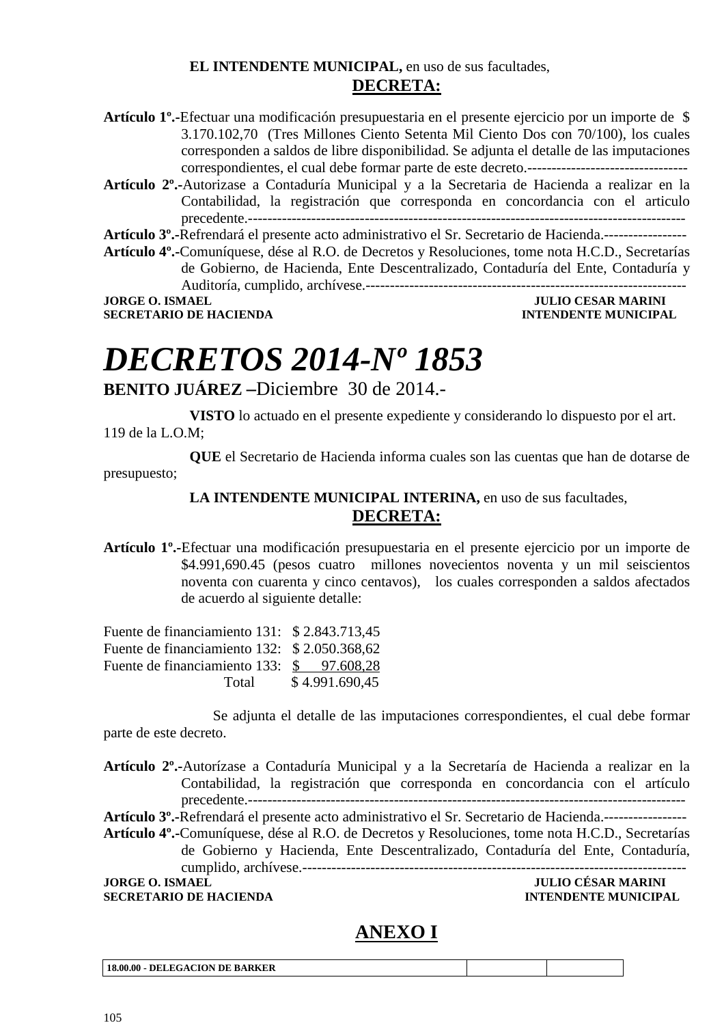### **EL INTENDENTE MUNICIPAL,** en uso de sus facultades, **DECRETA:**

- **Artículo 1º.-**Efectuar una modificación presupuestaria en el presente ejercicio por un importe de \$ 3.170.102,70 (Tres Millones Ciento Setenta Mil Ciento Dos con 70/100), los cuales corresponden a saldos de libre disponibilidad. Se adjunta el detalle de las imputaciones correspondientes, el cual debe formar parte de este decreto.---------------------------------
- **Artículo 2º.-**Autorizase a Contaduría Municipal y a la Secretaria de Hacienda a realizar en la Contabilidad, la registración que corresponda en concordancia con el articulo precedente.------------------------------------------------------------------------------------------

**Artículo 3º.-**Refrendará el presente acto administrativo el Sr. Secretario de Hacienda.-----------------

**Artículo 4º.-**Comuníquese, dése al R.O. de Decretos y Resoluciones, tome nota H.C.D., Secretarías de Gobierno, de Hacienda, Ente Descentralizado, Contaduría del Ente, Contaduría y Auditoría, cumplido, archívese.------------------------------------------------------------------ **JORGE O. ISMAEL SERVICE SERVICES AND ALL SERVICES OF STAR MARINI** 

**SECRETARIO DE HACIENDA INTENDENTE MUNICIPAL** 

# *DECRETOS 2014-Nº 1853*

**BENITO JUÁREZ –**Diciembre 30 de 2014.-

**VISTO** lo actuado en el presente expediente y considerando lo dispuesto por el art. 119 de la L.O.M;

**QUE** el Secretario de Hacienda informa cuales son las cuentas que han de dotarse de presupuesto;

### LA INTENDENTE MUNICIPAL INTERINA, en uso de sus facultades, **DECRETA:**

**Artículo 1º.-**Efectuar una modificación presupuestaria en el presente ejercicio por un importe de \$4.991,690.45 (pesos cuatro millones novecientos noventa y un mil seiscientos noventa con cuarenta y cinco centavos), los cuales corresponden a saldos afectados de acuerdo al siguiente detalle:

Fuente de financiamiento 131: \$ 2.843.713,45 Fuente de financiamiento 132: \$ 2.050.368,62 Fuente de financiamiento 133: \$ 97.608,28 Total \$ 4.991.690,45

Se adjunta el detalle de las imputaciones correspondientes, el cual debe formar parte de este decreto.

**Artículo 2º.-**Autorízase a Contaduría Municipal y a la Secretaría de Hacienda a realizar en la Contabilidad, la registración que corresponda en concordancia con el artículo precedente.------------------------------------------------------------------------------------------

**Artículo 3º.-**Refrendará el presente acto administrativo el Sr. Secretario de Hacienda.-----------------

**Artículo 4º.-**Comuníquese, dése al R.O. de Decretos y Resoluciones, tome nota H.C.D., Secretarías de Gobierno y Hacienda, Ente Descentralizado, Contaduría del Ente, Contaduría, cumplido, archívese.-------------------------------------------------------------------------------

### **JORGE O. ISMAEL JULIO CÉSAR MARINI SECRETARIO DE HACIENDA INTENDENTE MUNICIPAL**

## **ANEXO I**

**18.00.00 - DELEGACION DE BARKER**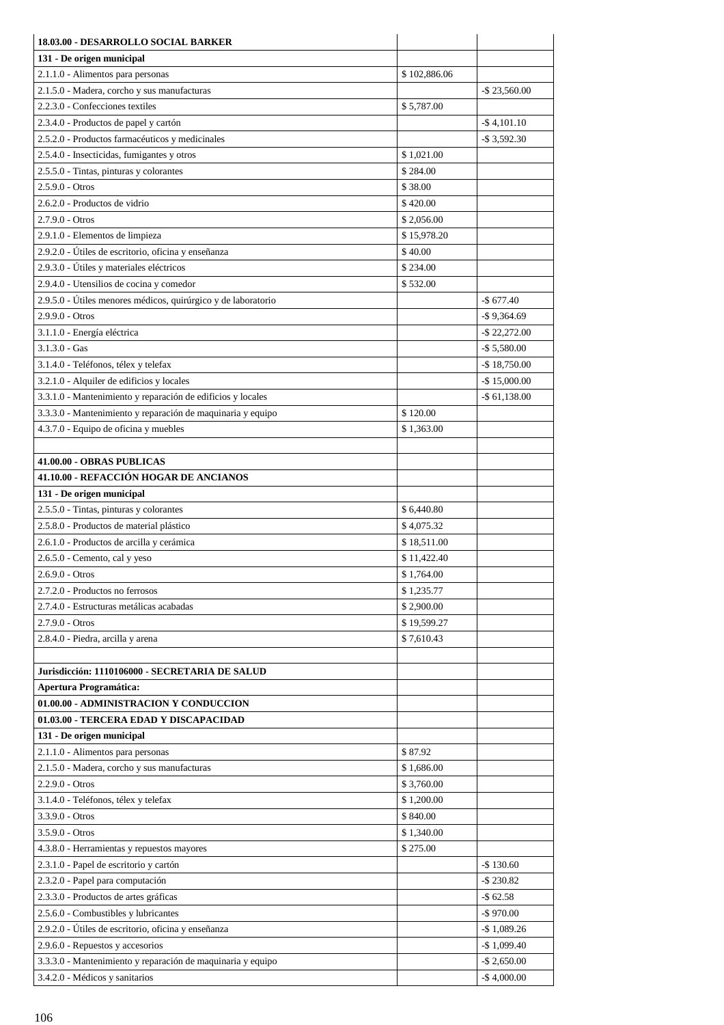| 18.03.00 - DESARROLLO SOCIAL BARKER                           |                          |                  |
|---------------------------------------------------------------|--------------------------|------------------|
| 131 - De origen municipal                                     |                          |                  |
| 2.1.1.0 - Alimentos para personas                             | \$102,886.06             |                  |
| 2.1.5.0 - Madera, corcho y sus manufacturas                   |                          | $-$ \$ 23,560.00 |
| 2.2.3.0 - Confecciones textiles                               | \$5,787.00               |                  |
| 2.3.4.0 - Productos de papel y cartón                         |                          | $-$ \$4,101.10   |
| 2.5.2.0 - Productos farmacéuticos y medicinales               |                          | $-$ \$ 3,592.30  |
| 2.5.4.0 - Insecticidas, fumigantes y otros                    | \$1,021.00               |                  |
| 2.5.5.0 - Tintas, pinturas y colorantes                       | \$284.00                 |                  |
| $2.5.9.0 - Otros$                                             | \$38.00                  |                  |
| 2.6.2.0 - Productos de vidrio                                 | \$420.00                 |                  |
| $2.7.9.0 - Otros$                                             | \$2,056.00               |                  |
| 2.9.1.0 - Elementos de limpieza                               | \$15,978.20              |                  |
| 2.9.2.0 - Útiles de escritorio, oficina y enseñanza           | \$40.00                  |                  |
| 2.9.3.0 - Útiles y materiales eléctricos                      | \$234.00                 |                  |
| 2.9.4.0 - Utensilios de cocina y comedor                      | \$532.00                 |                  |
| 2.9.5.0 - Útiles menores médicos, quirúrgico y de laboratorio |                          | $-$677.40$       |
| $2.9.9.0 - Otros$                                             |                          | $-$ \$9,364.69   |
| 3.1.1.0 - Energía eléctrica                                   |                          | $-$ \$ 22,272.00 |
| $3.1.3.0 - Gas$                                               |                          | $-$ \$ 5,580.00  |
| 3.1.4.0 - Teléfonos, télex y telefax                          |                          | $-$ \$ 18,750.00 |
| 3.2.1.0 - Alquiler de edificios y locales                     |                          | $-$ \$15,000.00  |
| 3.3.1.0 - Mantenimiento y reparación de edificios y locales   |                          | $-$ \$ 61,138.00 |
| 3.3.3.0 - Mantenimiento y reparación de maquinaria y equipo   | \$120.00                 |                  |
| 4.3.7.0 - Equipo de oficina y muebles                         | \$1,363.00               |                  |
|                                                               |                          |                  |
| 41.00.00 - OBRAS PUBLICAS                                     |                          |                  |
| 41.10.00 - REFACCIÓN HOGAR DE ANCIANOS                        |                          |                  |
| 131 - De origen municipal                                     |                          |                  |
| 2.5.5.0 - Tintas, pinturas y colorantes                       | \$6,440.80               |                  |
| 2.5.8.0 - Productos de material plástico                      | \$4,075.32               |                  |
| 2.6.1.0 - Productos de arcilla y cerámica                     | \$18,511.00              |                  |
| $2.6.5.0$ - Cemento, cal y yeso                               | \$11,422.40              |                  |
| $2.6.9.0 - Otros$<br>2.7.2.0 - Productos no ferrosos          | \$1,764.00               |                  |
|                                                               | \$1,235.77<br>\$2,900.00 |                  |
| 2.7.4.0 - Estructuras metálicas acabadas                      | \$19,599.27              |                  |
| $2.7.9.0 - Otros$                                             | \$7,610.43               |                  |
| 2.8.4.0 - Piedra, arcilla y arena                             |                          |                  |
| Jurisdicción: 1110106000 - SECRETARIA DE SALUD                |                          |                  |
| <b>Apertura Programática:</b>                                 |                          |                  |
| 01.00.00 - ADMINISTRACION Y CONDUCCION                        |                          |                  |
| 01.03.00 - TERCERA EDAD Y DISCAPACIDAD                        |                          |                  |
| 131 - De origen municipal                                     |                          |                  |
| 2.1.1.0 - Alimentos para personas                             | \$87.92                  |                  |
| 2.1.5.0 - Madera, corcho y sus manufacturas                   | \$1,686.00               |                  |
| $2.2.9.0 - Otros$                                             | \$3,760.00               |                  |
| 3.1.4.0 - Teléfonos, télex y telefax                          | \$1,200.00               |                  |
| $3.3.9.0 - Otros$                                             | \$840.00                 |                  |
| $3.5.9.0 - Otros$                                             | \$1,340.00               |                  |
| 4.3.8.0 - Herramientas y repuestos mayores                    | \$275.00                 |                  |
| 2.3.1.0 - Papel de escritorio y cartón                        |                          | $-$ \$130.60     |
| 2.3.2.0 - Papel para computación                              |                          | $-$ \$ 230.82    |
| 2.3.3.0 - Productos de artes gráficas                         |                          | $-$ \$ 62.58     |
| 2.5.6.0 - Combustibles y lubricantes                          |                          | $-$ \$970.00     |
| 2.9.2.0 - Útiles de escritorio, oficina y enseñanza           |                          | $-$ \$1,089.26   |
| 2.9.6.0 - Repuestos y accesorios                              |                          | $-$1,099.40$     |
| 3.3.3.0 - Mantenimiento y reparación de maquinaria y equipo   |                          | $-$ \$ 2,650.00  |
| 3.4.2.0 - Médicos y sanitarios                                |                          | $-$ \$4,000.00   |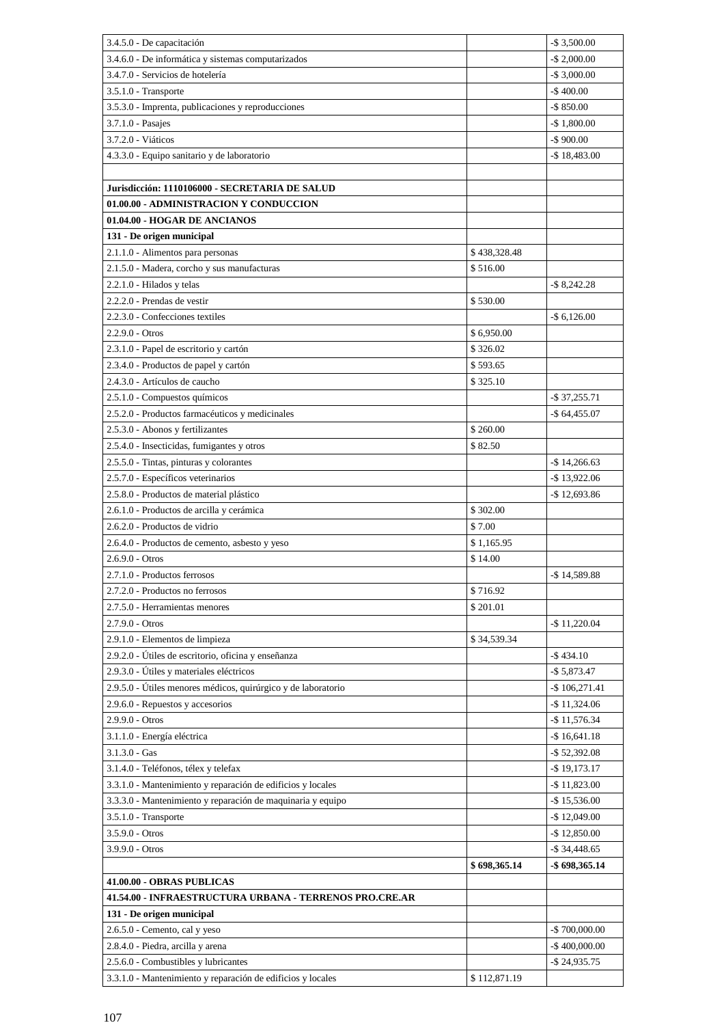| 3.4.5.0 - De capacitación                                                  |              | $-$ \$ 3,500.00   |
|----------------------------------------------------------------------------|--------------|-------------------|
| 3.4.6.0 - De informática y sistemas computarizados                         |              | $-$ \$ 2,000.00   |
| 3.4.7.0 - Servicios de hotelería                                           |              | $-$ \$ 3,000.00   |
| $3.5.1.0$ - Transporte                                                     |              | $-$ \$400.00      |
| 3.5.3.0 - Imprenta, publicaciones y reproducciones                         |              | $-$ \$ 850.00     |
| 3.7.1.0 - Pasajes                                                          |              | $-$1,800.00$      |
| 3.7.2.0 - Viáticos                                                         |              | $-$ \$900.00      |
| 4.3.3.0 - Equipo sanitario y de laboratorio                                |              | $-$ \$18,483.00   |
|                                                                            |              |                   |
| Jurisdicción: 1110106000 - SECRETARIA DE SALUD                             |              |                   |
| 01.00.00 - ADMINISTRACION Y CONDUCCION                                     |              |                   |
| 01.04.00 - HOGAR DE ANCIANOS                                               |              |                   |
| 131 - De origen municipal                                                  |              |                   |
| 2.1.1.0 - Alimentos para personas                                          | \$438,328.48 |                   |
| 2.1.5.0 - Madera, corcho y sus manufacturas                                | \$516.00     |                   |
| 2.2.1.0 - Hilados y telas                                                  |              | $-$ \$ 8,242.28   |
| 2.2.2.0 - Prendas de vestir                                                | \$530.00     |                   |
| 2.2.3.0 - Confecciones textiles                                            |              | $-$ \$ 6,126.00   |
| $2.2.9.0 - Otros$                                                          | \$6,950.00   |                   |
| 2.3.1.0 - Papel de escritorio y cartón                                     | \$326.02     |                   |
| 2.3.4.0 - Productos de papel y cartón                                      | \$593.65     |                   |
| 2.4.3.0 - Artículos de caucho                                              | \$325.10     |                   |
| 2.5.1.0 - Compuestos químicos                                              |              | $-$ \$ 37,255.71  |
| 2.5.2.0 - Productos farmacéuticos y medicinales                            |              | $-$ \$ 64,455.07  |
| 2.5.3.0 - Abonos y fertilizantes                                           | \$260.00     |                   |
| 2.5.4.0 - Insecticidas, fumigantes y otros                                 | \$82.50      |                   |
| 2.5.5.0 - Tintas, pinturas y colorantes                                    |              | $-$ \$ 14,266.63  |
| 2.5.7.0 - Específicos veterinarios                                         |              | $-$ \$13,922.06   |
| 2.5.8.0 - Productos de material plástico                                   | \$302.00     | $-$ \$12,693.86   |
| 2.6.1.0 - Productos de arcilla y cerámica<br>2.6.2.0 - Productos de vidrio | \$7.00       |                   |
| 2.6.4.0 - Productos de cemento, asbesto y yeso                             | \$1,165.95   |                   |
| $2.6.9.0 - Otros$                                                          | \$14.00      |                   |
| 2.7.1.0 - Productos ferrosos                                               |              | $-$ \$14,589.88   |
| 2.7.2.0 - Productos no ferrosos                                            | \$716.92     |                   |
| 2.7.5.0 - Herramientas menores                                             | \$201.01     |                   |
| $2.7.9.0 - Otros$                                                          |              | $-$ \$11,220.04   |
| 2.9.1.0 - Elementos de limpieza                                            | \$34,539.34  |                   |
| 2.9.2.0 - Útiles de escritorio, oficina y enseñanza                        |              | $-$ \$434.10      |
| 2.9.3.0 - Útiles y materiales eléctricos                                   |              | $-$ \$5,873.47    |
| 2.9.5.0 - Útiles menores médicos, quirúrgico y de laboratorio              |              | $-$ \$106,271.41  |
| 2.9.6.0 - Repuestos y accesorios                                           |              | $-$ \$11,324.06   |
| 2.9.9.0 - Otros                                                            |              | $-$ \$11,576.34   |
| 3.1.1.0 - Energía eléctrica                                                |              | $-$ \$16,641.18   |
| $3.1.3.0 - Gas$                                                            |              | $-$ \$ 52,392.08  |
| 3.1.4.0 - Teléfonos, télex y telefax                                       |              | $-$ \$19,173.17   |
| 3.3.1.0 - Mantenimiento y reparación de edificios y locales                |              | $-$ \$ 11,823.00  |
| 3.3.3.0 - Mantenimiento y reparación de maquinaria y equipo                |              | $-$ \$15,536.00   |
| 3.5.1.0 - Transporte                                                       |              | $-$ \$12,049.00   |
| 3.5.9.0 - Otros                                                            |              | $-$ \$12,850.00   |
| $3.9.9.0 - Otros$                                                          |              | $-$ \$ 34,448.65  |
|                                                                            | \$698,365.14 | $-$ \$ 698,365.14 |
| 41.00.00 - OBRAS PUBLICAS                                                  |              |                   |
| 41.54.00 - INFRAESTRUCTURA URBANA - TERRENOS PRO.CRE.AR                    |              |                   |
| 131 - De origen municipal                                                  |              |                   |
| 2.6.5.0 - Cemento, cal y yeso                                              |              | $-$ \$700,000.00  |
| 2.8.4.0 - Piedra, arcilla y arena                                          |              | $-$ \$400,000.00  |
| 2.5.6.0 - Combustibles y lubricantes                                       |              | $-$ \$ 24,935.75  |
| 3.3.1.0 - Mantenimiento y reparación de edificios y locales                | \$112,871.19 |                   |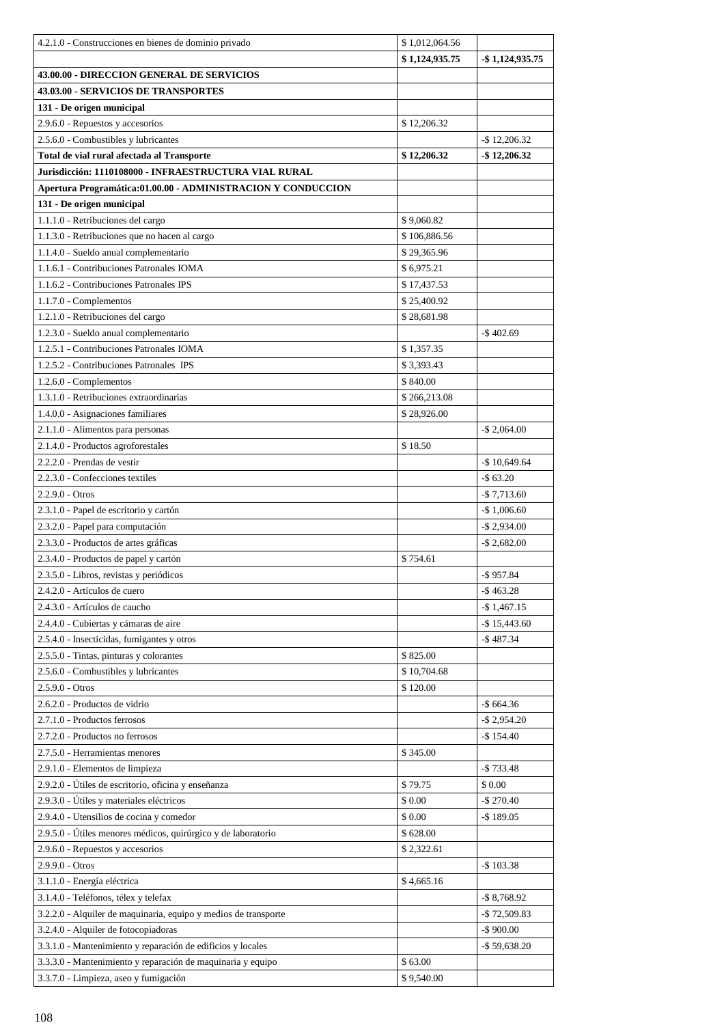| 4.2.1.0 - Construcciones en bienes de dominio privado           | \$1,012,064.56 |                    |
|-----------------------------------------------------------------|----------------|--------------------|
|                                                                 | \$1,124,935.75 | $-$ \$1,124,935.75 |
| 43.00.00 - DIRECCION GENERAL DE SERVICIOS                       |                |                    |
| <b>43.03.00 - SERVICIOS DE TRANSPORTES</b>                      |                |                    |
| 131 - De origen municipal                                       |                |                    |
| 2.9.6.0 - Repuestos y accesorios                                | \$12,206.32    |                    |
| 2.5.6.0 - Combustibles y lubricantes                            |                | $-$ \$12,206.32    |
| Total de vial rural afectada al Transporte                      | \$12,206.32    | $-$ \$12,206.32    |
| Jurisdicción: 1110108000 - INFRAESTRUCTURA VIAL RURAL           |                |                    |
| Apertura Programática:01.00.00 - ADMINISTRACION Y CONDUCCION    |                |                    |
| 131 - De origen municipal                                       |                |                    |
|                                                                 |                |                    |
| 1.1.1.0 - Retribuciones del cargo                               | \$9,060.82     |                    |
| 1.1.3.0 - Retribuciones que no hacen al cargo                   | \$106,886.56   |                    |
| 1.1.4.0 - Sueldo anual complementario                           | \$29,365.96    |                    |
| 1.1.6.1 - Contribuciones Patronales IOMA                        | \$6,975.21     |                    |
| 1.1.6.2 - Contribuciones Patronales IPS                         | \$17,437.53    |                    |
| $1.1.7.0$ - Complementos                                        | \$25,400.92    |                    |
| 1.2.1.0 - Retribuciones del cargo                               | \$28,681.98    |                    |
| 1.2.3.0 - Sueldo anual complementario                           |                | $-$ \$402.69       |
| 1.2.5.1 - Contribuciones Patronales IOMA                        | \$1,357.35     |                    |
| 1.2.5.2 - Contribuciones Patronales IPS                         | \$3,393.43     |                    |
| 1.2.6.0 - Complementos                                          | \$840.00       |                    |
| 1.3.1.0 - Retribuciones extraordinarias                         | \$266,213.08   |                    |
| 1.4.0.0 - Asignaciones familiares                               | \$28,926.00    |                    |
| 2.1.1.0 - Alimentos para personas                               |                | $-$ \$ 2,064.00    |
| 2.1.4.0 - Productos agroforestales                              | \$18.50        |                    |
| 2.2.2.0 - Prendas de vestir                                     |                | $-$ \$10,649.64    |
| 2.2.3.0 - Confecciones textiles                                 |                | $-$ \$ 63.20       |
| $2.2.9.0 - Otros$                                               |                | $-$ \$ 7,713.60    |
| 2.3.1.0 - Papel de escritorio y cartón                          |                | $-$ \$1,006.60     |
| 2.3.2.0 - Papel para computación                                |                | $-$ \$ 2,934.00    |
| 2.3.3.0 - Productos de artes gráficas                           |                | $-$ \$ 2,682.00    |
| 2.3.4.0 - Productos de papel y cartón                           | \$754.61       |                    |
| 2.3.5.0 - Libros, revistas y periódicos                         |                | $-$ \$957.84       |
| 2.4.2.0 - Artículos de cuero                                    |                | $-$ \$463.28       |
| 2.4.3.0 - Artículos de caucho                                   |                | $-$ \$ 1,467.15    |
| 2.4.4.0 - Cubiertas y cámaras de aire                           |                | $-$ \$15,443.60    |
| 2.5.4.0 - Insecticidas, fumigantes y otros                      |                | $-$ \$487.34       |
| 2.5.5.0 - Tintas, pinturas y colorantes                         | \$825.00       |                    |
| 2.5.6.0 - Combustibles y lubricantes                            | \$10,704.68    |                    |
| $2.5.9.0 - Otros$                                               | \$120.00       |                    |
| 2.6.2.0 - Productos de vidrio                                   |                | $-$ \$ 664.36      |
| 2.7.1.0 - Productos ferrosos                                    |                | $-$ \$ 2,954.20    |
| 2.7.2.0 - Productos no ferrosos                                 |                | $-$ \$ 154.40      |
| 2.7.5.0 - Herramientas menores                                  | \$345.00       |                    |
| 2.9.1.0 - Elementos de limpieza                                 |                | $-$ \$733.48       |
| 2.9.2.0 - Útiles de escritorio, oficina y enseñanza             | \$79.75        | \$0.00             |
| 2.9.3.0 - Útiles y materiales eléctricos                        | \$0.00         | $-$270.40$         |
| 2.9.4.0 - Utensilios de cocina y comedor                        | \$0.00         | $-$ \$189.05       |
|                                                                 |                |                    |
| 2.9.5.0 - Útiles menores médicos, quirúrgico y de laboratorio   | \$628.00       |                    |
| 2.9.6.0 - Repuestos y accesorios                                | \$2,322.61     |                    |
| 2.9.9.0 - Otros                                                 |                | $-$ \$103.38       |
| 3.1.1.0 - Energía eléctrica                                     | \$4,665.16     |                    |
| 3.1.4.0 - Teléfonos, télex y telefax                            |                | $-$ \$ 8,768.92    |
| 3.2.2.0 - Alquiler de maquinaria, equipo y medios de transporte |                | $-$ \$72,509.83    |
| 3.2.4.0 - Alquiler de fotocopiadoras                            |                | $-$ \$ 900.00      |
| 3.3.1.0 - Mantenimiento y reparación de edificios y locales     |                | $-$ \$59,638.20    |
| 3.3.3.0 - Mantenimiento y reparación de maquinaria y equipo     | \$63.00        |                    |
| 3.3.7.0 - Limpieza, aseo y fumigación                           | \$9,540.00     |                    |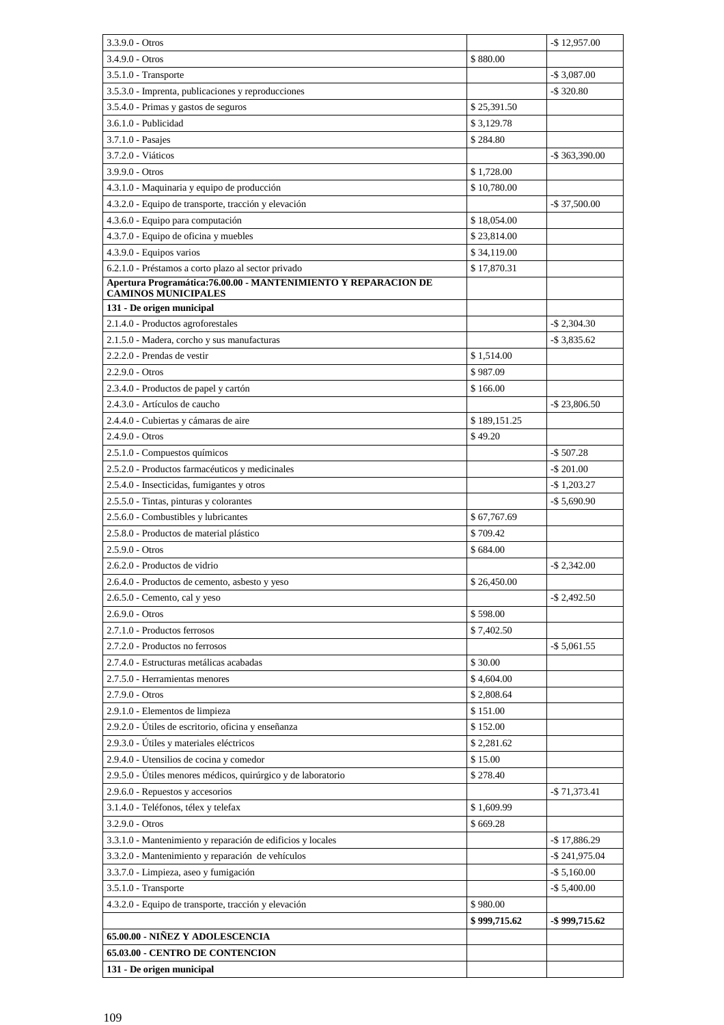| \$880.00<br>$3.4.9.0 - Otros$<br>$-$ \$ 3,087.00<br>3.5.1.0 - Transporte<br>3.5.3.0 - Imprenta, publicaciones y reproducciones<br>$-$ \$ 320.80<br>3.5.4.0 - Primas y gastos de seguros<br>\$25,391.50<br>3.6.1.0 - Publicidad<br>\$3,129.78<br>\$284.80<br>3.7.1.0 - Pasajes<br>3.7.2.0 - Viáticos<br>$-$ \$ 363,390.00<br>\$1,728.00<br>$3.9.9.0 - Otros$<br>\$10,780.00<br>4.3.1.0 - Maquinaria y equipo de producción<br>4.3.2.0 - Equipo de transporte, tracción y elevación<br>$-$ \$ 37,500.00<br>4.3.6.0 - Equipo para computación<br>\$18,054.00<br>4.3.7.0 - Equipo de oficina y muebles<br>\$23,814.00<br>4.3.9.0 - Equipos varios<br>\$34,119.00<br>6.2.1.0 - Préstamos a corto plazo al sector privado<br>\$17,870.31<br>Apertura Programática: 76.00.00 - MANTENIMIENTO Y REPARACION DE<br><b>CAMINOS MUNICIPALES</b><br>131 - De origen municipal<br>$-$ \$ 2,304.30<br>2.1.4.0 - Productos agroforestales<br>2.1.5.0 - Madera, corcho y sus manufacturas<br>$-$ \$ 3,835.62<br>2.2.2.0 - Prendas de vestir<br>\$1,514.00<br>$2.2.9.0 - Otros$<br>\$987.09<br>2.3.4.0 - Productos de papel y cartón<br>\$166.00<br>2.4.3.0 - Artículos de caucho<br>$-$ \$ 23,806.50<br>2.4.4.0 - Cubiertas y cámaras de aire<br>\$189,151.25<br>$2.4.9.0 - Otros$<br>\$49.20<br>2.5.1.0 - Compuestos químicos<br>$-$ \$ 507.28<br>2.5.2.0 - Productos farmacéuticos y medicinales<br>-\$ 201.00<br>2.5.4.0 - Insecticidas, fumigantes y otros<br>$-$ \$1,203.27<br>2.5.5.0 - Tintas, pinturas y colorantes<br>$-$ \$ 5,690.90<br>2.5.6.0 - Combustibles y lubricantes<br>\$67,767.69<br>2.5.8.0 - Productos de material plástico<br>\$709.42<br>$2.5.9.0 - Otros$<br>\$684.00<br>2.6.2.0 - Productos de vidrio<br>$-$ \$ 2,342.00<br>\$26,450.00<br>2.6.4.0 - Productos de cemento, asbesto y yeso<br>2.6.5.0 - Cemento, cal y yeso<br>$-$ \$ 2,492.50<br>\$598.00<br>$2.6.9.0 - Otros$<br>2.7.1.0 - Productos ferrosos<br>\$7,402.50<br>2.7.2.0 - Productos no ferrosos<br>$-$ \$ 5,061.55<br>2.7.4.0 - Estructuras metálicas acabadas<br>\$30.00<br>2.7.5.0 - Herramientas menores<br>\$4,604.00<br>2.7.9.0 - Otros<br>\$2,808.64<br>2.9.1.0 - Elementos de limpieza<br>\$151.00<br>2.9.2.0 - Útiles de escritorio, oficina y enseñanza<br>\$152.00<br>2.9.3.0 - Útiles y materiales eléctricos<br>\$2,281.62<br>2.9.4.0 - Utensilios de cocina y comedor<br>\$15.00<br>2.9.5.0 - Útiles menores médicos, quirúrgico y de laboratorio<br>\$278.40<br>2.9.6.0 - Repuestos y accesorios<br>-\$71,373.41<br>3.1.4.0 - Teléfonos, télex y telefax<br>\$1,609.99<br>3.2.9.0 - Otros<br>\$669.28 | $3.3.9.0 - Otros$ | $-$ \$12,957.00 |
|----------------------------------------------------------------------------------------------------------------------------------------------------------------------------------------------------------------------------------------------------------------------------------------------------------------------------------------------------------------------------------------------------------------------------------------------------------------------------------------------------------------------------------------------------------------------------------------------------------------------------------------------------------------------------------------------------------------------------------------------------------------------------------------------------------------------------------------------------------------------------------------------------------------------------------------------------------------------------------------------------------------------------------------------------------------------------------------------------------------------------------------------------------------------------------------------------------------------------------------------------------------------------------------------------------------------------------------------------------------------------------------------------------------------------------------------------------------------------------------------------------------------------------------------------------------------------------------------------------------------------------------------------------------------------------------------------------------------------------------------------------------------------------------------------------------------------------------------------------------------------------------------------------------------------------------------------------------------------------------------------------------------------------------------------------------------------------------------------------------------------------------------------------------------------------------------------------------------------------------------------------------------------------------------------------------------------------------------------------------------------------------------------------------------------------------------------------------------------------------------------------------------------------------------------------------------------------------------|-------------------|-----------------|
|                                                                                                                                                                                                                                                                                                                                                                                                                                                                                                                                                                                                                                                                                                                                                                                                                                                                                                                                                                                                                                                                                                                                                                                                                                                                                                                                                                                                                                                                                                                                                                                                                                                                                                                                                                                                                                                                                                                                                                                                                                                                                                                                                                                                                                                                                                                                                                                                                                                                                                                                                                                              |                   |                 |
|                                                                                                                                                                                                                                                                                                                                                                                                                                                                                                                                                                                                                                                                                                                                                                                                                                                                                                                                                                                                                                                                                                                                                                                                                                                                                                                                                                                                                                                                                                                                                                                                                                                                                                                                                                                                                                                                                                                                                                                                                                                                                                                                                                                                                                                                                                                                                                                                                                                                                                                                                                                              |                   |                 |
|                                                                                                                                                                                                                                                                                                                                                                                                                                                                                                                                                                                                                                                                                                                                                                                                                                                                                                                                                                                                                                                                                                                                                                                                                                                                                                                                                                                                                                                                                                                                                                                                                                                                                                                                                                                                                                                                                                                                                                                                                                                                                                                                                                                                                                                                                                                                                                                                                                                                                                                                                                                              |                   |                 |
|                                                                                                                                                                                                                                                                                                                                                                                                                                                                                                                                                                                                                                                                                                                                                                                                                                                                                                                                                                                                                                                                                                                                                                                                                                                                                                                                                                                                                                                                                                                                                                                                                                                                                                                                                                                                                                                                                                                                                                                                                                                                                                                                                                                                                                                                                                                                                                                                                                                                                                                                                                                              |                   |                 |
|                                                                                                                                                                                                                                                                                                                                                                                                                                                                                                                                                                                                                                                                                                                                                                                                                                                                                                                                                                                                                                                                                                                                                                                                                                                                                                                                                                                                                                                                                                                                                                                                                                                                                                                                                                                                                                                                                                                                                                                                                                                                                                                                                                                                                                                                                                                                                                                                                                                                                                                                                                                              |                   |                 |
|                                                                                                                                                                                                                                                                                                                                                                                                                                                                                                                                                                                                                                                                                                                                                                                                                                                                                                                                                                                                                                                                                                                                                                                                                                                                                                                                                                                                                                                                                                                                                                                                                                                                                                                                                                                                                                                                                                                                                                                                                                                                                                                                                                                                                                                                                                                                                                                                                                                                                                                                                                                              |                   |                 |
|                                                                                                                                                                                                                                                                                                                                                                                                                                                                                                                                                                                                                                                                                                                                                                                                                                                                                                                                                                                                                                                                                                                                                                                                                                                                                                                                                                                                                                                                                                                                                                                                                                                                                                                                                                                                                                                                                                                                                                                                                                                                                                                                                                                                                                                                                                                                                                                                                                                                                                                                                                                              |                   |                 |
|                                                                                                                                                                                                                                                                                                                                                                                                                                                                                                                                                                                                                                                                                                                                                                                                                                                                                                                                                                                                                                                                                                                                                                                                                                                                                                                                                                                                                                                                                                                                                                                                                                                                                                                                                                                                                                                                                                                                                                                                                                                                                                                                                                                                                                                                                                                                                                                                                                                                                                                                                                                              |                   |                 |
|                                                                                                                                                                                                                                                                                                                                                                                                                                                                                                                                                                                                                                                                                                                                                                                                                                                                                                                                                                                                                                                                                                                                                                                                                                                                                                                                                                                                                                                                                                                                                                                                                                                                                                                                                                                                                                                                                                                                                                                                                                                                                                                                                                                                                                                                                                                                                                                                                                                                                                                                                                                              |                   |                 |
|                                                                                                                                                                                                                                                                                                                                                                                                                                                                                                                                                                                                                                                                                                                                                                                                                                                                                                                                                                                                                                                                                                                                                                                                                                                                                                                                                                                                                                                                                                                                                                                                                                                                                                                                                                                                                                                                                                                                                                                                                                                                                                                                                                                                                                                                                                                                                                                                                                                                                                                                                                                              |                   |                 |
|                                                                                                                                                                                                                                                                                                                                                                                                                                                                                                                                                                                                                                                                                                                                                                                                                                                                                                                                                                                                                                                                                                                                                                                                                                                                                                                                                                                                                                                                                                                                                                                                                                                                                                                                                                                                                                                                                                                                                                                                                                                                                                                                                                                                                                                                                                                                                                                                                                                                                                                                                                                              |                   |                 |
|                                                                                                                                                                                                                                                                                                                                                                                                                                                                                                                                                                                                                                                                                                                                                                                                                                                                                                                                                                                                                                                                                                                                                                                                                                                                                                                                                                                                                                                                                                                                                                                                                                                                                                                                                                                                                                                                                                                                                                                                                                                                                                                                                                                                                                                                                                                                                                                                                                                                                                                                                                                              |                   |                 |
|                                                                                                                                                                                                                                                                                                                                                                                                                                                                                                                                                                                                                                                                                                                                                                                                                                                                                                                                                                                                                                                                                                                                                                                                                                                                                                                                                                                                                                                                                                                                                                                                                                                                                                                                                                                                                                                                                                                                                                                                                                                                                                                                                                                                                                                                                                                                                                                                                                                                                                                                                                                              |                   |                 |
|                                                                                                                                                                                                                                                                                                                                                                                                                                                                                                                                                                                                                                                                                                                                                                                                                                                                                                                                                                                                                                                                                                                                                                                                                                                                                                                                                                                                                                                                                                                                                                                                                                                                                                                                                                                                                                                                                                                                                                                                                                                                                                                                                                                                                                                                                                                                                                                                                                                                                                                                                                                              |                   |                 |
|                                                                                                                                                                                                                                                                                                                                                                                                                                                                                                                                                                                                                                                                                                                                                                                                                                                                                                                                                                                                                                                                                                                                                                                                                                                                                                                                                                                                                                                                                                                                                                                                                                                                                                                                                                                                                                                                                                                                                                                                                                                                                                                                                                                                                                                                                                                                                                                                                                                                                                                                                                                              |                   |                 |
|                                                                                                                                                                                                                                                                                                                                                                                                                                                                                                                                                                                                                                                                                                                                                                                                                                                                                                                                                                                                                                                                                                                                                                                                                                                                                                                                                                                                                                                                                                                                                                                                                                                                                                                                                                                                                                                                                                                                                                                                                                                                                                                                                                                                                                                                                                                                                                                                                                                                                                                                                                                              |                   |                 |
|                                                                                                                                                                                                                                                                                                                                                                                                                                                                                                                                                                                                                                                                                                                                                                                                                                                                                                                                                                                                                                                                                                                                                                                                                                                                                                                                                                                                                                                                                                                                                                                                                                                                                                                                                                                                                                                                                                                                                                                                                                                                                                                                                                                                                                                                                                                                                                                                                                                                                                                                                                                              |                   |                 |
|                                                                                                                                                                                                                                                                                                                                                                                                                                                                                                                                                                                                                                                                                                                                                                                                                                                                                                                                                                                                                                                                                                                                                                                                                                                                                                                                                                                                                                                                                                                                                                                                                                                                                                                                                                                                                                                                                                                                                                                                                                                                                                                                                                                                                                                                                                                                                                                                                                                                                                                                                                                              |                   |                 |
|                                                                                                                                                                                                                                                                                                                                                                                                                                                                                                                                                                                                                                                                                                                                                                                                                                                                                                                                                                                                                                                                                                                                                                                                                                                                                                                                                                                                                                                                                                                                                                                                                                                                                                                                                                                                                                                                                                                                                                                                                                                                                                                                                                                                                                                                                                                                                                                                                                                                                                                                                                                              |                   |                 |
|                                                                                                                                                                                                                                                                                                                                                                                                                                                                                                                                                                                                                                                                                                                                                                                                                                                                                                                                                                                                                                                                                                                                                                                                                                                                                                                                                                                                                                                                                                                                                                                                                                                                                                                                                                                                                                                                                                                                                                                                                                                                                                                                                                                                                                                                                                                                                                                                                                                                                                                                                                                              |                   |                 |
|                                                                                                                                                                                                                                                                                                                                                                                                                                                                                                                                                                                                                                                                                                                                                                                                                                                                                                                                                                                                                                                                                                                                                                                                                                                                                                                                                                                                                                                                                                                                                                                                                                                                                                                                                                                                                                                                                                                                                                                                                                                                                                                                                                                                                                                                                                                                                                                                                                                                                                                                                                                              |                   |                 |
|                                                                                                                                                                                                                                                                                                                                                                                                                                                                                                                                                                                                                                                                                                                                                                                                                                                                                                                                                                                                                                                                                                                                                                                                                                                                                                                                                                                                                                                                                                                                                                                                                                                                                                                                                                                                                                                                                                                                                                                                                                                                                                                                                                                                                                                                                                                                                                                                                                                                                                                                                                                              |                   |                 |
|                                                                                                                                                                                                                                                                                                                                                                                                                                                                                                                                                                                                                                                                                                                                                                                                                                                                                                                                                                                                                                                                                                                                                                                                                                                                                                                                                                                                                                                                                                                                                                                                                                                                                                                                                                                                                                                                                                                                                                                                                                                                                                                                                                                                                                                                                                                                                                                                                                                                                                                                                                                              |                   |                 |
|                                                                                                                                                                                                                                                                                                                                                                                                                                                                                                                                                                                                                                                                                                                                                                                                                                                                                                                                                                                                                                                                                                                                                                                                                                                                                                                                                                                                                                                                                                                                                                                                                                                                                                                                                                                                                                                                                                                                                                                                                                                                                                                                                                                                                                                                                                                                                                                                                                                                                                                                                                                              |                   |                 |
|                                                                                                                                                                                                                                                                                                                                                                                                                                                                                                                                                                                                                                                                                                                                                                                                                                                                                                                                                                                                                                                                                                                                                                                                                                                                                                                                                                                                                                                                                                                                                                                                                                                                                                                                                                                                                                                                                                                                                                                                                                                                                                                                                                                                                                                                                                                                                                                                                                                                                                                                                                                              |                   |                 |
|                                                                                                                                                                                                                                                                                                                                                                                                                                                                                                                                                                                                                                                                                                                                                                                                                                                                                                                                                                                                                                                                                                                                                                                                                                                                                                                                                                                                                                                                                                                                                                                                                                                                                                                                                                                                                                                                                                                                                                                                                                                                                                                                                                                                                                                                                                                                                                                                                                                                                                                                                                                              |                   |                 |
|                                                                                                                                                                                                                                                                                                                                                                                                                                                                                                                                                                                                                                                                                                                                                                                                                                                                                                                                                                                                                                                                                                                                                                                                                                                                                                                                                                                                                                                                                                                                                                                                                                                                                                                                                                                                                                                                                                                                                                                                                                                                                                                                                                                                                                                                                                                                                                                                                                                                                                                                                                                              |                   |                 |
|                                                                                                                                                                                                                                                                                                                                                                                                                                                                                                                                                                                                                                                                                                                                                                                                                                                                                                                                                                                                                                                                                                                                                                                                                                                                                                                                                                                                                                                                                                                                                                                                                                                                                                                                                                                                                                                                                                                                                                                                                                                                                                                                                                                                                                                                                                                                                                                                                                                                                                                                                                                              |                   |                 |
|                                                                                                                                                                                                                                                                                                                                                                                                                                                                                                                                                                                                                                                                                                                                                                                                                                                                                                                                                                                                                                                                                                                                                                                                                                                                                                                                                                                                                                                                                                                                                                                                                                                                                                                                                                                                                                                                                                                                                                                                                                                                                                                                                                                                                                                                                                                                                                                                                                                                                                                                                                                              |                   |                 |
|                                                                                                                                                                                                                                                                                                                                                                                                                                                                                                                                                                                                                                                                                                                                                                                                                                                                                                                                                                                                                                                                                                                                                                                                                                                                                                                                                                                                                                                                                                                                                                                                                                                                                                                                                                                                                                                                                                                                                                                                                                                                                                                                                                                                                                                                                                                                                                                                                                                                                                                                                                                              |                   |                 |
|                                                                                                                                                                                                                                                                                                                                                                                                                                                                                                                                                                                                                                                                                                                                                                                                                                                                                                                                                                                                                                                                                                                                                                                                                                                                                                                                                                                                                                                                                                                                                                                                                                                                                                                                                                                                                                                                                                                                                                                                                                                                                                                                                                                                                                                                                                                                                                                                                                                                                                                                                                                              |                   |                 |
|                                                                                                                                                                                                                                                                                                                                                                                                                                                                                                                                                                                                                                                                                                                                                                                                                                                                                                                                                                                                                                                                                                                                                                                                                                                                                                                                                                                                                                                                                                                                                                                                                                                                                                                                                                                                                                                                                                                                                                                                                                                                                                                                                                                                                                                                                                                                                                                                                                                                                                                                                                                              |                   |                 |
|                                                                                                                                                                                                                                                                                                                                                                                                                                                                                                                                                                                                                                                                                                                                                                                                                                                                                                                                                                                                                                                                                                                                                                                                                                                                                                                                                                                                                                                                                                                                                                                                                                                                                                                                                                                                                                                                                                                                                                                                                                                                                                                                                                                                                                                                                                                                                                                                                                                                                                                                                                                              |                   |                 |
|                                                                                                                                                                                                                                                                                                                                                                                                                                                                                                                                                                                                                                                                                                                                                                                                                                                                                                                                                                                                                                                                                                                                                                                                                                                                                                                                                                                                                                                                                                                                                                                                                                                                                                                                                                                                                                                                                                                                                                                                                                                                                                                                                                                                                                                                                                                                                                                                                                                                                                                                                                                              |                   |                 |
|                                                                                                                                                                                                                                                                                                                                                                                                                                                                                                                                                                                                                                                                                                                                                                                                                                                                                                                                                                                                                                                                                                                                                                                                                                                                                                                                                                                                                                                                                                                                                                                                                                                                                                                                                                                                                                                                                                                                                                                                                                                                                                                                                                                                                                                                                                                                                                                                                                                                                                                                                                                              |                   |                 |
|                                                                                                                                                                                                                                                                                                                                                                                                                                                                                                                                                                                                                                                                                                                                                                                                                                                                                                                                                                                                                                                                                                                                                                                                                                                                                                                                                                                                                                                                                                                                                                                                                                                                                                                                                                                                                                                                                                                                                                                                                                                                                                                                                                                                                                                                                                                                                                                                                                                                                                                                                                                              |                   |                 |
|                                                                                                                                                                                                                                                                                                                                                                                                                                                                                                                                                                                                                                                                                                                                                                                                                                                                                                                                                                                                                                                                                                                                                                                                                                                                                                                                                                                                                                                                                                                                                                                                                                                                                                                                                                                                                                                                                                                                                                                                                                                                                                                                                                                                                                                                                                                                                                                                                                                                                                                                                                                              |                   |                 |
|                                                                                                                                                                                                                                                                                                                                                                                                                                                                                                                                                                                                                                                                                                                                                                                                                                                                                                                                                                                                                                                                                                                                                                                                                                                                                                                                                                                                                                                                                                                                                                                                                                                                                                                                                                                                                                                                                                                                                                                                                                                                                                                                                                                                                                                                                                                                                                                                                                                                                                                                                                                              |                   |                 |
|                                                                                                                                                                                                                                                                                                                                                                                                                                                                                                                                                                                                                                                                                                                                                                                                                                                                                                                                                                                                                                                                                                                                                                                                                                                                                                                                                                                                                                                                                                                                                                                                                                                                                                                                                                                                                                                                                                                                                                                                                                                                                                                                                                                                                                                                                                                                                                                                                                                                                                                                                                                              |                   |                 |
|                                                                                                                                                                                                                                                                                                                                                                                                                                                                                                                                                                                                                                                                                                                                                                                                                                                                                                                                                                                                                                                                                                                                                                                                                                                                                                                                                                                                                                                                                                                                                                                                                                                                                                                                                                                                                                                                                                                                                                                                                                                                                                                                                                                                                                                                                                                                                                                                                                                                                                                                                                                              |                   |                 |
|                                                                                                                                                                                                                                                                                                                                                                                                                                                                                                                                                                                                                                                                                                                                                                                                                                                                                                                                                                                                                                                                                                                                                                                                                                                                                                                                                                                                                                                                                                                                                                                                                                                                                                                                                                                                                                                                                                                                                                                                                                                                                                                                                                                                                                                                                                                                                                                                                                                                                                                                                                                              |                   |                 |
|                                                                                                                                                                                                                                                                                                                                                                                                                                                                                                                                                                                                                                                                                                                                                                                                                                                                                                                                                                                                                                                                                                                                                                                                                                                                                                                                                                                                                                                                                                                                                                                                                                                                                                                                                                                                                                                                                                                                                                                                                                                                                                                                                                                                                                                                                                                                                                                                                                                                                                                                                                                              |                   |                 |
|                                                                                                                                                                                                                                                                                                                                                                                                                                                                                                                                                                                                                                                                                                                                                                                                                                                                                                                                                                                                                                                                                                                                                                                                                                                                                                                                                                                                                                                                                                                                                                                                                                                                                                                                                                                                                                                                                                                                                                                                                                                                                                                                                                                                                                                                                                                                                                                                                                                                                                                                                                                              |                   |                 |
|                                                                                                                                                                                                                                                                                                                                                                                                                                                                                                                                                                                                                                                                                                                                                                                                                                                                                                                                                                                                                                                                                                                                                                                                                                                                                                                                                                                                                                                                                                                                                                                                                                                                                                                                                                                                                                                                                                                                                                                                                                                                                                                                                                                                                                                                                                                                                                                                                                                                                                                                                                                              |                   |                 |
|                                                                                                                                                                                                                                                                                                                                                                                                                                                                                                                                                                                                                                                                                                                                                                                                                                                                                                                                                                                                                                                                                                                                                                                                                                                                                                                                                                                                                                                                                                                                                                                                                                                                                                                                                                                                                                                                                                                                                                                                                                                                                                                                                                                                                                                                                                                                                                                                                                                                                                                                                                                              |                   |                 |
|                                                                                                                                                                                                                                                                                                                                                                                                                                                                                                                                                                                                                                                                                                                                                                                                                                                                                                                                                                                                                                                                                                                                                                                                                                                                                                                                                                                                                                                                                                                                                                                                                                                                                                                                                                                                                                                                                                                                                                                                                                                                                                                                                                                                                                                                                                                                                                                                                                                                                                                                                                                              |                   |                 |
|                                                                                                                                                                                                                                                                                                                                                                                                                                                                                                                                                                                                                                                                                                                                                                                                                                                                                                                                                                                                                                                                                                                                                                                                                                                                                                                                                                                                                                                                                                                                                                                                                                                                                                                                                                                                                                                                                                                                                                                                                                                                                                                                                                                                                                                                                                                                                                                                                                                                                                                                                                                              |                   |                 |
|                                                                                                                                                                                                                                                                                                                                                                                                                                                                                                                                                                                                                                                                                                                                                                                                                                                                                                                                                                                                                                                                                                                                                                                                                                                                                                                                                                                                                                                                                                                                                                                                                                                                                                                                                                                                                                                                                                                                                                                                                                                                                                                                                                                                                                                                                                                                                                                                                                                                                                                                                                                              |                   |                 |
| 3.3.1.0 - Mantenimiento y reparación de edificios y locales<br>$-$ \$17,886.29                                                                                                                                                                                                                                                                                                                                                                                                                                                                                                                                                                                                                                                                                                                                                                                                                                                                                                                                                                                                                                                                                                                                                                                                                                                                                                                                                                                                                                                                                                                                                                                                                                                                                                                                                                                                                                                                                                                                                                                                                                                                                                                                                                                                                                                                                                                                                                                                                                                                                                               |                   |                 |
| 3.3.2.0 - Mantenimiento y reparación de vehículos<br>$-$ \$ 241,975.04                                                                                                                                                                                                                                                                                                                                                                                                                                                                                                                                                                                                                                                                                                                                                                                                                                                                                                                                                                                                                                                                                                                                                                                                                                                                                                                                                                                                                                                                                                                                                                                                                                                                                                                                                                                                                                                                                                                                                                                                                                                                                                                                                                                                                                                                                                                                                                                                                                                                                                                       |                   |                 |
| 3.3.7.0 - Limpieza, aseo y fumigación<br>$-$ \$ 5,160.00                                                                                                                                                                                                                                                                                                                                                                                                                                                                                                                                                                                                                                                                                                                                                                                                                                                                                                                                                                                                                                                                                                                                                                                                                                                                                                                                                                                                                                                                                                                                                                                                                                                                                                                                                                                                                                                                                                                                                                                                                                                                                                                                                                                                                                                                                                                                                                                                                                                                                                                                     |                   |                 |
| 3.5.1.0 - Transporte<br>$-$ \$ 5,400.00                                                                                                                                                                                                                                                                                                                                                                                                                                                                                                                                                                                                                                                                                                                                                                                                                                                                                                                                                                                                                                                                                                                                                                                                                                                                                                                                                                                                                                                                                                                                                                                                                                                                                                                                                                                                                                                                                                                                                                                                                                                                                                                                                                                                                                                                                                                                                                                                                                                                                                                                                      |                   |                 |
| 4.3.2.0 - Equipo de transporte, tracción y elevación<br>\$980.00                                                                                                                                                                                                                                                                                                                                                                                                                                                                                                                                                                                                                                                                                                                                                                                                                                                                                                                                                                                                                                                                                                                                                                                                                                                                                                                                                                                                                                                                                                                                                                                                                                                                                                                                                                                                                                                                                                                                                                                                                                                                                                                                                                                                                                                                                                                                                                                                                                                                                                                             |                   |                 |
| \$999,715.62<br>-\$ 999,715.62                                                                                                                                                                                                                                                                                                                                                                                                                                                                                                                                                                                                                                                                                                                                                                                                                                                                                                                                                                                                                                                                                                                                                                                                                                                                                                                                                                                                                                                                                                                                                                                                                                                                                                                                                                                                                                                                                                                                                                                                                                                                                                                                                                                                                                                                                                                                                                                                                                                                                                                                                               |                   |                 |
| 65.00.00 - NIÑEZ Y ADOLESCENCIA                                                                                                                                                                                                                                                                                                                                                                                                                                                                                                                                                                                                                                                                                                                                                                                                                                                                                                                                                                                                                                                                                                                                                                                                                                                                                                                                                                                                                                                                                                                                                                                                                                                                                                                                                                                                                                                                                                                                                                                                                                                                                                                                                                                                                                                                                                                                                                                                                                                                                                                                                              |                   |                 |
| <b>65.03.00 - CENTRO DE CONTENCION</b>                                                                                                                                                                                                                                                                                                                                                                                                                                                                                                                                                                                                                                                                                                                                                                                                                                                                                                                                                                                                                                                                                                                                                                                                                                                                                                                                                                                                                                                                                                                                                                                                                                                                                                                                                                                                                                                                                                                                                                                                                                                                                                                                                                                                                                                                                                                                                                                                                                                                                                                                                       |                   |                 |
| 131 - De origen municipal                                                                                                                                                                                                                                                                                                                                                                                                                                                                                                                                                                                                                                                                                                                                                                                                                                                                                                                                                                                                                                                                                                                                                                                                                                                                                                                                                                                                                                                                                                                                                                                                                                                                                                                                                                                                                                                                                                                                                                                                                                                                                                                                                                                                                                                                                                                                                                                                                                                                                                                                                                    |                   |                 |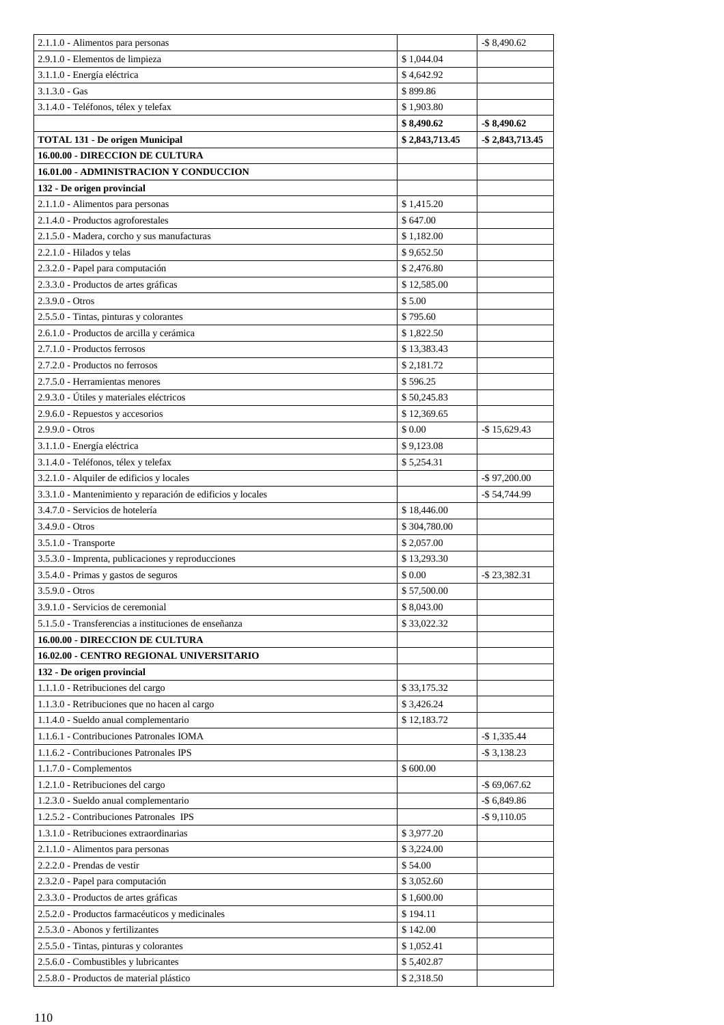| 2.1.1.0 - Alimentos para personas                                    |                | $-$ \$ 8,490.62     |
|----------------------------------------------------------------------|----------------|---------------------|
| 2.9.1.0 - Elementos de limpieza                                      | \$1,044.04     |                     |
| 3.1.1.0 - Energía eléctrica                                          | \$4,642.92     |                     |
| $3.1.3.0 - Gas$                                                      | \$899.86       |                     |
| 3.1.4.0 - Teléfonos, télex y telefax                                 | \$1,903.80     |                     |
|                                                                      | \$8,490.62     | $-$ \$ 8,490.62     |
| <b>TOTAL 131 - De origen Municipal</b>                               | \$2,843,713.45 | $-$ \$ 2,843,713.45 |
| <b>16.00.00 - DIRECCION DE CULTURA</b>                               |                |                     |
|                                                                      |                |                     |
| 16.01.00 - ADMINISTRACION Y CONDUCCION<br>132 - De origen provincial |                |                     |
|                                                                      |                |                     |
| 2.1.1.0 - Alimentos para personas                                    | \$1,415.20     |                     |
| 2.1.4.0 - Productos agroforestales                                   | \$647.00       |                     |
| 2.1.5.0 - Madera, corcho y sus manufacturas                          | \$1,182.00     |                     |
| 2.2.1.0 - Hilados y telas                                            | \$9,652.50     |                     |
| 2.3.2.0 - Papel para computación                                     | \$2,476.80     |                     |
| 2.3.3.0 - Productos de artes gráficas                                | \$12,585.00    |                     |
| $2.3.9.0 - Otros$                                                    | \$5.00         |                     |
| 2.5.5.0 - Tintas, pinturas y colorantes                              | \$795.60       |                     |
| 2.6.1.0 - Productos de arcilla y cerámica                            | \$1,822.50     |                     |
| 2.7.1.0 - Productos ferrosos                                         | \$13,383.43    |                     |
| 2.7.2.0 - Productos no ferrosos                                      | \$2,181.72     |                     |
| 2.7.5.0 - Herramientas menores                                       | \$596.25       |                     |
| 2.9.3.0 - Útiles y materiales eléctricos                             | \$50,245.83    |                     |
| 2.9.6.0 - Repuestos y accesorios                                     | \$12,369.65    |                     |
| $2.9.9.0 - Otros$                                                    | \$ 0.00        | $-$ \$15,629.43     |
| 3.1.1.0 - Energía eléctrica                                          | \$9,123.08     |                     |
| 3.1.4.0 - Teléfonos, télex y telefax                                 | \$5,254.31     |                     |
| 3.2.1.0 - Alquiler de edificios y locales                            |                | $-$ \$97,200.00     |
| 3.3.1.0 - Mantenimiento y reparación de edificios y locales          |                | $-$ \$ 54,744.99    |
| 3.4.7.0 - Servicios de hotelería                                     | \$18,446.00    |                     |
| $3.4.9.0 - Otros$                                                    | \$304,780.00   |                     |
| $3.5.1.0$ - Transporte                                               | \$2,057.00     |                     |
| 3.5.3.0 - Imprenta, publicaciones y reproducciones                   | \$13,293.30    |                     |
| 3.5.4.0 - Primas y gastos de seguros                                 | \$0.00         | $-$ \$ 23,382.31    |
| $3.5.9.0 - Otros$                                                    | \$57,500.00    |                     |
| 3.9.1.0 - Servicios de ceremonial                                    | \$8,043.00     |                     |
| 5.1.5.0 - Transferencias a instituciones de enseñanza                | \$33,022.32    |                     |
| 16.00.00 - DIRECCION DE CULTURA                                      |                |                     |
| 16.02.00 - CENTRO REGIONAL UNIVERSITARIO                             |                |                     |
| 132 - De origen provincial                                           |                |                     |
| 1.1.1.0 - Retribuciones del cargo                                    | \$33,175.32    |                     |
| 1.1.3.0 - Retribuciones que no hacen al cargo                        | \$3,426.24     |                     |
| 1.1.4.0 - Sueldo anual complementario                                | \$12,183.72    |                     |
| 1.1.6.1 - Contribuciones Patronales IOMA                             |                | $-$ \$ 1,335.44     |
| 1.1.6.2 - Contribuciones Patronales IPS                              |                | $-$ \$ 3,138.23     |
| $1.1.7.0$ - Complementos                                             | \$600.00       |                     |
| 1.2.1.0 - Retribuciones del cargo                                    |                | $-$ \$ 69,067.62    |
| 1.2.3.0 - Sueldo anual complementario                                |                | $-$ \$ 6,849.86     |
| 1.2.5.2 - Contribuciones Patronales IPS                              |                | $-$ \$9,110.05      |
| 1.3.1.0 - Retribuciones extraordinarias                              | \$3,977.20     |                     |
| 2.1.1.0 - Alimentos para personas                                    | \$3,224.00     |                     |
| 2.2.2.0 - Prendas de vestir                                          | \$54.00        |                     |
| 2.3.2.0 - Papel para computación                                     | \$3,052.60     |                     |
| 2.3.3.0 - Productos de artes gráficas                                | \$1,600.00     |                     |
| 2.5.2.0 - Productos farmacéuticos y medicinales                      | \$194.11       |                     |
| 2.5.3.0 - Abonos y fertilizantes                                     | \$142.00       |                     |
| 2.5.5.0 - Tintas, pinturas y colorantes                              | \$1,052.41     |                     |
| 2.5.6.0 - Combustibles y lubricantes                                 | \$5,402.87     |                     |
| 2.5.8.0 - Productos de material plástico                             | \$2,318.50     |                     |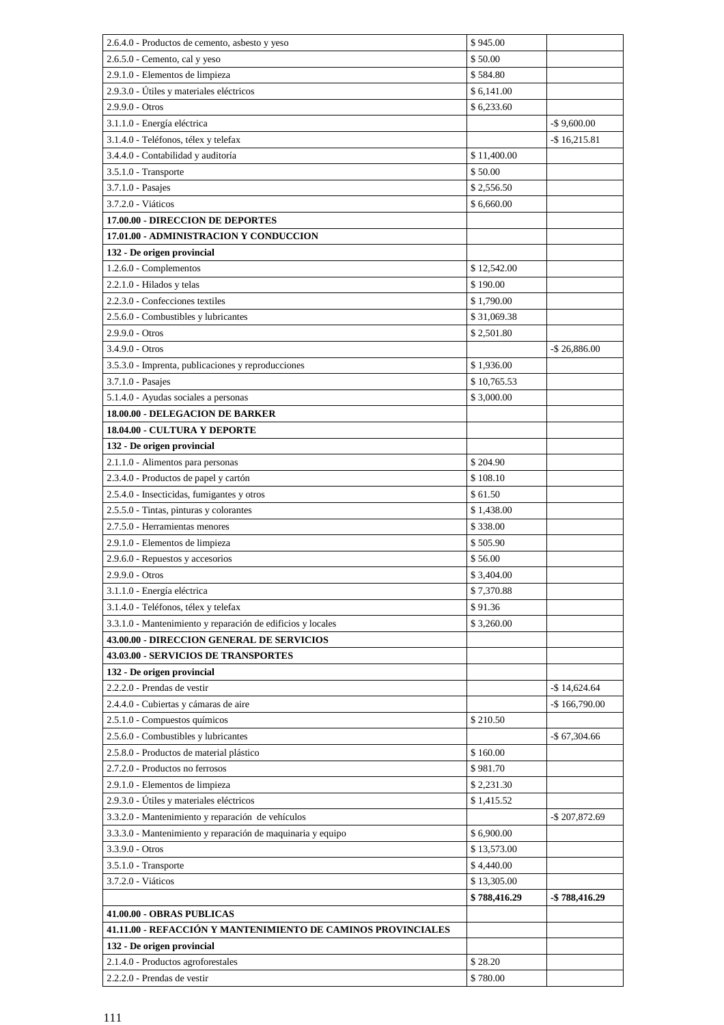| 2.6.4.0 - Productos de cemento, asbesto y yeso               | \$945.00     |                  |
|--------------------------------------------------------------|--------------|------------------|
| 2.6.5.0 - Cemento, cal y yeso                                | \$50.00      |                  |
| 2.9.1.0 - Elementos de limpieza                              | \$584.80     |                  |
| 2.9.3.0 - Útiles y materiales eléctricos                     | \$6,141.00   |                  |
| $2.9.9.0 - Otros$                                            | \$6,233.60   |                  |
| 3.1.1.0 - Energía eléctrica                                  |              | $-$ \$9,600.00   |
| 3.1.4.0 - Teléfonos, télex y telefax                         |              | $-$ \$16,215.81  |
| 3.4.4.0 - Contabilidad y auditoría                           | \$11,400.00  |                  |
| 3.5.1.0 - Transporte                                         | \$50.00      |                  |
| 3.7.1.0 - Pasajes                                            | \$2,556.50   |                  |
| 3.7.2.0 - Viáticos                                           | \$6,660,00   |                  |
| 17.00.00 - DIRECCION DE DEPORTES                             |              |                  |
| 17.01.00 - ADMINISTRACION Y CONDUCCION                       |              |                  |
| 132 - De origen provincial                                   |              |                  |
| 1.2.6.0 - Complementos                                       | \$12,542.00  |                  |
| 2.2.1.0 - Hilados y telas                                    | \$190.00     |                  |
| 2.2.3.0 - Confecciones textiles                              | \$1,790.00   |                  |
| 2.5.6.0 - Combustibles y lubricantes                         | \$31,069.38  |                  |
| $2.9.9.0 - Otros$                                            | \$2,501.80   |                  |
| $3.4.9.0 - Otros$                                            |              | $-$ \$ 26,886.00 |
| 3.5.3.0 - Imprenta, publicaciones y reproducciones           | \$1,936.00   |                  |
| 3.7.1.0 - Pasajes                                            | \$10,765.53  |                  |
| 5.1.4.0 - Ayudas sociales a personas                         | \$3,000.00   |                  |
| 18.00.00 - DELEGACION DE BARKER                              |              |                  |
| 18.04.00 - CULTURA Y DEPORTE                                 |              |                  |
| 132 - De origen provincial                                   |              |                  |
| 2.1.1.0 - Alimentos para personas                            | \$204.90     |                  |
| 2.3.4.0 - Productos de papel y cartón                        | \$108.10     |                  |
| 2.5.4.0 - Insecticidas, fumigantes y otros                   | \$61.50      |                  |
| 2.5.5.0 - Tintas, pinturas y colorantes                      | \$1,438.00   |                  |
| 2.7.5.0 - Herramientas menores                               | \$338.00     |                  |
| 2.9.1.0 - Elementos de limpieza                              | \$505.90     |                  |
| 2.9.6.0 - Repuestos y accesorios                             | \$56.00      |                  |
| 2.9.9.0 - Otros                                              | \$3,404.00   |                  |
| 3.1.1.0 - Energía eléctrica                                  | \$7,370.88   |                  |
| 3.1.4.0 - Teléfonos, télex y telefax                         | \$91.36      |                  |
| 3.3.1.0 - Mantenimiento y reparación de edificios y locales  | \$3,260.00   |                  |
| 43.00.00 - DIRECCION GENERAL DE SERVICIOS                    |              |                  |
| 43.03.00 - SERVICIOS DE TRANSPORTES                          |              |                  |
| 132 - De origen provincial                                   |              |                  |
| 2.2.2.0 - Prendas de vestir                                  |              | $-$ \$14,624.64  |
| 2.4.4.0 - Cubiertas y cámaras de aire                        |              | $-$166,790.00$   |
| 2.5.1.0 - Compuestos químicos                                | \$210.50     |                  |
| 2.5.6.0 - Combustibles y lubricantes                         |              | $-$ \$ 67,304.66 |
| 2.5.8.0 - Productos de material plástico                     | \$160.00     |                  |
| 2.7.2.0 - Productos no ferrosos                              | \$981.70     |                  |
| 2.9.1.0 - Elementos de limpieza                              | \$2,231.30   |                  |
| 2.9.3.0 - Útiles y materiales eléctricos                     | \$1,415.52   |                  |
| 3.3.2.0 - Mantenimiento y reparación de vehículos            |              | -\$207,872.69    |
| 3.3.3.0 - Mantenimiento y reparación de maquinaria y equipo  | \$6,900.00   |                  |
| 3.3.9.0 - Otros                                              | \$13,573.00  |                  |
| 3.5.1.0 - Transporte                                         | \$4,440.00   |                  |
| 3.7.2.0 - Viáticos                                           | \$13,305.00  |                  |
|                                                              | \$788,416.29 | -\$ 788,416.29   |
| 41.00.00 - OBRAS PUBLICAS                                    |              |                  |
| 41.11.00 - REFACCIÓN Y MANTENIMIENTO DE CAMINOS PROVINCIALES |              |                  |
| 132 - De origen provincial                                   |              |                  |
| 2.1.4.0 - Productos agroforestales                           | \$28.20      |                  |
| 2.2.2.0 - Prendas de vestir                                  | \$780.00     |                  |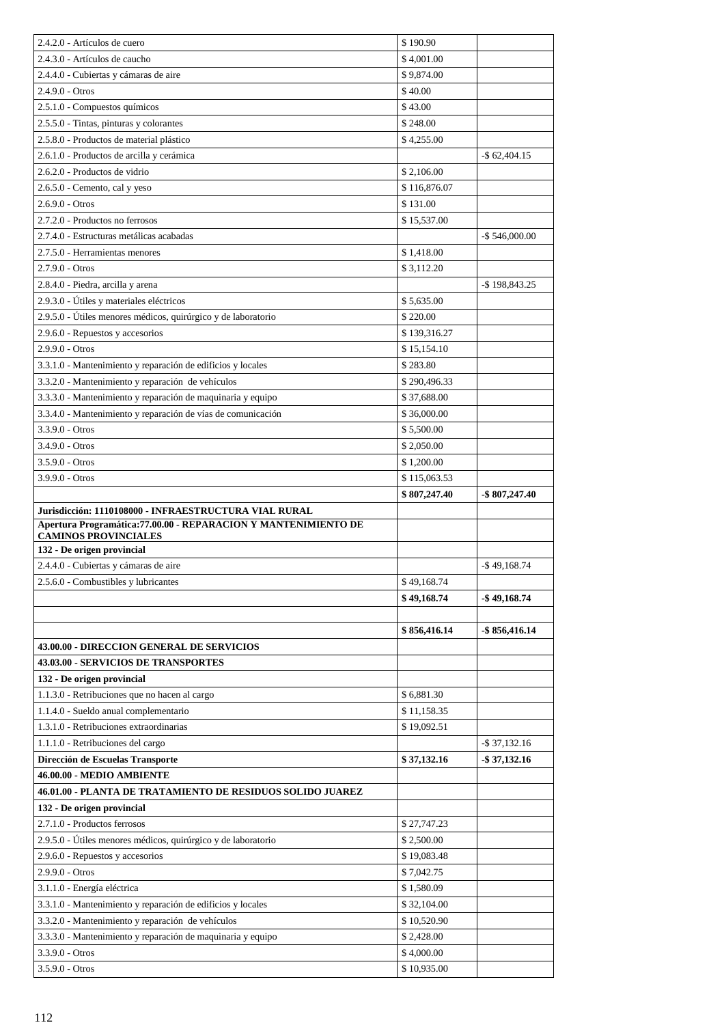| 2.4.2.0 - Artículos de cuero                                                            | \$190.90                   |                   |
|-----------------------------------------------------------------------------------------|----------------------------|-------------------|
| 2.4.3.0 - Artículos de caucho                                                           | \$4,001.00                 |                   |
| 2.4.4.0 - Cubiertas y cámaras de aire                                                   | \$9,874.00                 |                   |
| $2.4.9.0 - Otros$                                                                       | \$40.00                    |                   |
| 2.5.1.0 - Compuestos químicos                                                           | \$43.00                    |                   |
| 2.5.5.0 - Tintas, pinturas y colorantes                                                 | \$248.00                   |                   |
| 2.5.8.0 - Productos de material plástico                                                | \$4,255.00                 |                   |
| 2.6.1.0 - Productos de arcilla y cerámica                                               |                            | $-$ \$ 62,404.15  |
| 2.6.2.0 - Productos de vidrio                                                           | \$2,106.00                 |                   |
| $2.6.5.0$ - Cemento, cal y yeso                                                         | \$116,876.07               |                   |
| $2.6.9.0 - Otros$                                                                       | \$131.00                   |                   |
| 2.7.2.0 - Productos no ferrosos                                                         | \$15,537.00                |                   |
| 2.7.4.0 - Estructuras metálicas acabadas                                                |                            | $-$ \$ 546,000.00 |
| 2.7.5.0 - Herramientas menores                                                          | \$1,418.00                 |                   |
| $2.7.9.0 - Otros$                                                                       | \$3,112.20                 |                   |
| 2.8.4.0 - Piedra, arcilla y arena                                                       |                            | $-$ \$198,843.25  |
| 2.9.3.0 - Útiles y materiales eléctricos                                                | \$5,635.00                 |                   |
| 2.9.5.0 - Útiles menores médicos, quirúrgico y de laboratorio                           | \$220.00                   |                   |
| 2.9.6.0 - Repuestos y accesorios                                                        | \$139,316.27               |                   |
| $2.9.9.0 - Otros$                                                                       | \$15,154.10                |                   |
| 3.3.1.0 - Mantenimiento y reparación de edificios y locales                             | \$283.80                   |                   |
| 3.3.2.0 - Mantenimiento y reparación de vehículos                                       | \$290,496.33               |                   |
| 3.3.3.0 - Mantenimiento y reparación de maquinaria y equipo                             | \$37,688.00                |                   |
| 3.3.4.0 - Mantenimiento y reparación de vías de comunicación                            | \$36,000.00                |                   |
| $3.3.9.0 - Otros$                                                                       | \$5,500.00                 |                   |
| $3.4.9.0 - Otros$                                                                       | \$2,050.00                 |                   |
| $3.5.9.0 - Otros$                                                                       | \$1,200.00                 |                   |
| $3.9.9.0 - Otros$                                                                       | \$115,063.53               |                   |
|                                                                                         | \$807,247.40               | -\$807,247.40     |
|                                                                                         |                            |                   |
| Jurisdicción: 1110108000 - INFRAESTRUCTURA VIAL RURAL                                   |                            |                   |
| Apertura Programática: 77.00.00 - REPARACION Y MANTENIMIENTO DE                         |                            |                   |
| <b>CAMINOS PROVINCIALES</b>                                                             |                            |                   |
| 132 - De origen provincial                                                              |                            |                   |
| 2.4.4.0 - Cubiertas y cámaras de aire                                                   |                            | $-$ \$49.168.74   |
| 2.5.6.0 - Combustibles y lubricantes                                                    | \$49,168.74                |                   |
|                                                                                         | \$49,168.74                | $-$ \$49,168.74   |
|                                                                                         |                            |                   |
|                                                                                         | \$856,416.14               | $-$ \$ 856,416.14 |
| 43.00.00 - DIRECCION GENERAL DE SERVICIOS<br>43.03.00 - SERVICIOS DE TRANSPORTES        |                            |                   |
| 132 - De origen provincial                                                              |                            |                   |
|                                                                                         |                            |                   |
| 1.1.3.0 - Retribuciones que no hacen al cargo                                           | \$6,881.30                 |                   |
| 1.1.4.0 - Sueldo anual complementario<br>1.3.1.0 - Retribuciones extraordinarias        | \$11,158.35<br>\$19,092.51 |                   |
|                                                                                         |                            |                   |
| 1.1.1.0 - Retribuciones del cargo                                                       |                            | $-$ \$ 37,132.16  |
| Dirección de Escuelas Transporte                                                        | \$37,132.16                | $-$ \$37,132.16   |
| 46.00.00 - MEDIO AMBIENTE<br>46.01.00 - PLANTA DE TRATAMIENTO DE RESIDUOS SOLIDO JUAREZ |                            |                   |
|                                                                                         |                            |                   |
| 132 - De origen provincial<br>2.7.1.0 - Productos ferrosos                              | \$27,747.23                |                   |
| 2.9.5.0 - Útiles menores médicos, quirúrgico y de laboratorio                           | \$2,500.00                 |                   |
| 2.9.6.0 - Repuestos y accesorios                                                        | \$19,083.48                |                   |
| $2.9.9.0 - Otros$                                                                       | \$7,042.75                 |                   |
| 3.1.1.0 - Energía eléctrica                                                             | \$1,580.09                 |                   |
| 3.3.1.0 - Mantenimiento y reparación de edificios y locales                             | \$32,104.00                |                   |
|                                                                                         | \$10,520.90                |                   |
| 3.3.2.0 - Mantenimiento y reparación de vehículos                                       | \$2,428.00                 |                   |
| 3.3.3.0 - Mantenimiento y reparación de maquinaria y equipo<br>3.3.9.0 - Otros          | \$4,000.00                 |                   |
| $3.5.9.0$ - $Otros$                                                                     | \$10,935.00                |                   |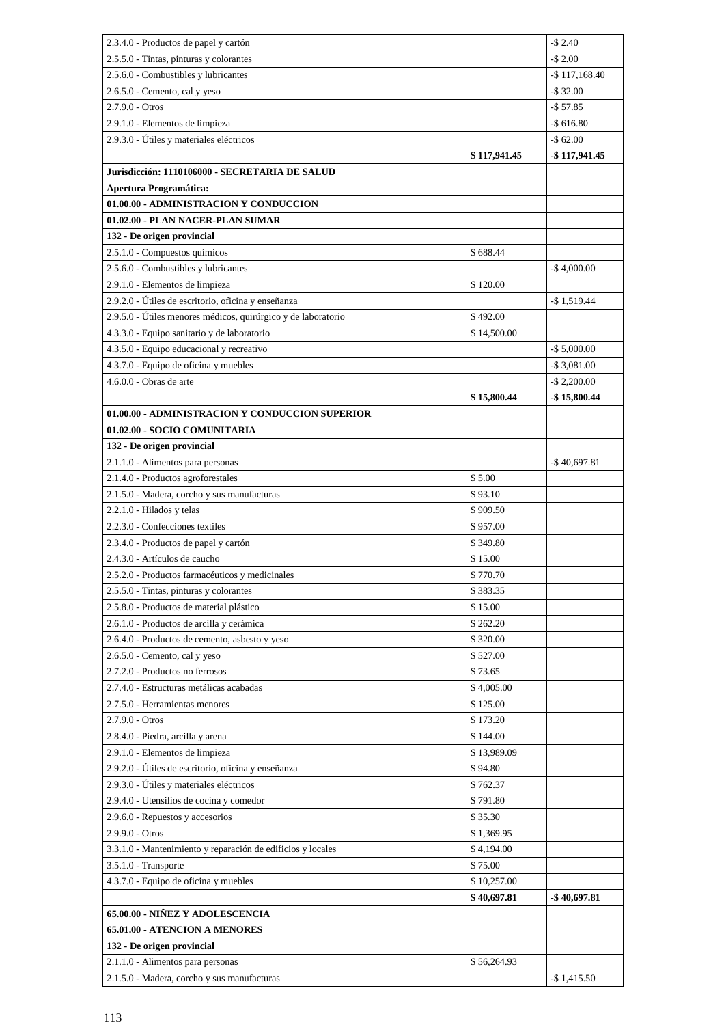| 2.3.4.0 - Productos de papel y cartón                         |                      | $-$2.40$        |
|---------------------------------------------------------------|----------------------|-----------------|
| 2.5.5.0 - Tintas, pinturas y colorantes                       |                      | $-$2.00$        |
| 2.5.6.0 - Combustibles y lubricantes                          |                      | $-$117.168.40$  |
| 2.6.5.0 - Cemento, cal y yeso                                 |                      | $-$32.00$       |
| $2.7.9.0 - Otros$                                             |                      | $-$ \$ 57.85    |
| 2.9.1.0 - Elementos de limpieza                               |                      | $-$ \$ 616.80   |
| 2.9.3.0 - Útiles y materiales eléctricos                      |                      | $-$62.00$       |
|                                                               | \$117,941.45         | -\$117,941.45   |
| Jurisdicción: 1110106000 - SECRETARIA DE SALUD                |                      |                 |
| <b>Apertura Programática:</b>                                 |                      |                 |
| 01.00.00 - ADMINISTRACION Y CONDUCCION                        |                      |                 |
| 01.02.00 - PLAN NACER-PLAN SUMAR                              |                      |                 |
| 132 - De origen provincial                                    |                      |                 |
| 2.5.1.0 - Compuestos químicos                                 | \$688.44             |                 |
| 2.5.6.0 - Combustibles y lubricantes                          |                      | $-$4,000.00$    |
| 2.9.1.0 - Elementos de limpieza                               | \$120.00             |                 |
| 2.9.2.0 - Útiles de escritorio, oficina y enseñanza           |                      | $-$ \$1,519.44  |
| 2.9.5.0 - Útiles menores médicos, quirúrgico y de laboratorio | \$492.00             |                 |
| 4.3.3.0 - Equipo sanitario y de laboratorio                   | \$14,500.00          |                 |
| 4.3.5.0 - Equipo educacional y recreativo                     |                      | $-$ \$ 5,000.00 |
| 4.3.7.0 - Equipo de oficina y muebles                         |                      | $-$ \$ 3,081.00 |
| $4.6.0.0 -$ Obras de arte                                     |                      | $-$ \$ 2,200.00 |
|                                                               | \$15,800.44          | $-$ \$15,800.44 |
| 01.00.00 - ADMINISTRACION Y CONDUCCION SUPERIOR               |                      |                 |
| 01.02.00 - SOCIO COMUNITARIA                                  |                      |                 |
| 132 - De origen provincial                                    |                      |                 |
| 2.1.1.0 - Alimentos para personas                             |                      | $-$ \$40,697.81 |
| 2.1.4.0 - Productos agroforestales                            | \$5.00               |                 |
| 2.1.5.0 - Madera, corcho y sus manufacturas                   | \$93.10              |                 |
| 2.2.1.0 - Hilados y telas<br>2.2.3.0 - Confecciones textiles  | \$909.50             |                 |
| 2.3.4.0 - Productos de papel y cartón                         | \$957.00<br>\$349.80 |                 |
| 2.4.3.0 - Artículos de caucho                                 | \$15.00              |                 |
| 2.5.2.0 - Productos farmacéuticos y medicinales               | \$770.70             |                 |
| 2.5.5.0 - Tintas, pinturas y colorantes                       | \$383.35             |                 |
| 2.5.8.0 - Productos de material plástico                      | \$15.00              |                 |
| 2.6.1.0 - Productos de arcilla y cerámica                     | \$262.20             |                 |
| 2.6.4.0 - Productos de cemento, asbesto y yeso                | \$320.00             |                 |
| 2.6.5.0 - Cemento, cal y yeso                                 | \$527.00             |                 |
| 2.7.2.0 - Productos no ferrosos                               | \$73.65              |                 |
| 2.7.4.0 - Estructuras metálicas acabadas                      | \$4,005.00           |                 |
| 2.7.5.0 - Herramientas menores                                | \$125.00             |                 |
| $2.7.9.0 - Otros$                                             | \$173.20             |                 |
| 2.8.4.0 - Piedra, arcilla y arena                             | \$144.00             |                 |
| 2.9.1.0 - Elementos de limpieza                               | \$13,989.09          |                 |
| 2.9.2.0 - Útiles de escritorio, oficina y enseñanza           | \$94.80              |                 |
| 2.9.3.0 - Útiles y materiales eléctricos                      | \$762.37             |                 |
| 2.9.4.0 - Utensilios de cocina y comedor                      | \$791.80             |                 |
| 2.9.6.0 - Repuestos y accesorios                              | \$35.30              |                 |
| 2.9.9.0 - Otros                                               | \$1,369.95           |                 |
| 3.3.1.0 - Mantenimiento y reparación de edificios y locales   | \$4,194.00           |                 |
| 3.5.1.0 - Transporte                                          | \$75.00              |                 |
| 4.3.7.0 - Equipo de oficina y muebles                         | \$10,257.00          |                 |
|                                                               | \$40,697.81          | $-$ \$40,697.81 |
| 65.00.00 - NIÑEZ Y ADOLESCENCIA                               |                      |                 |
| 65.01.00 - ATENCION A MENORES                                 |                      |                 |
| 132 - De origen provincial                                    |                      |                 |
| 2.1.1.0 - Alimentos para personas                             | \$56,264.93          |                 |
| 2.1.5.0 - Madera, corcho y sus manufacturas                   |                      | $-$ \$1,415.50  |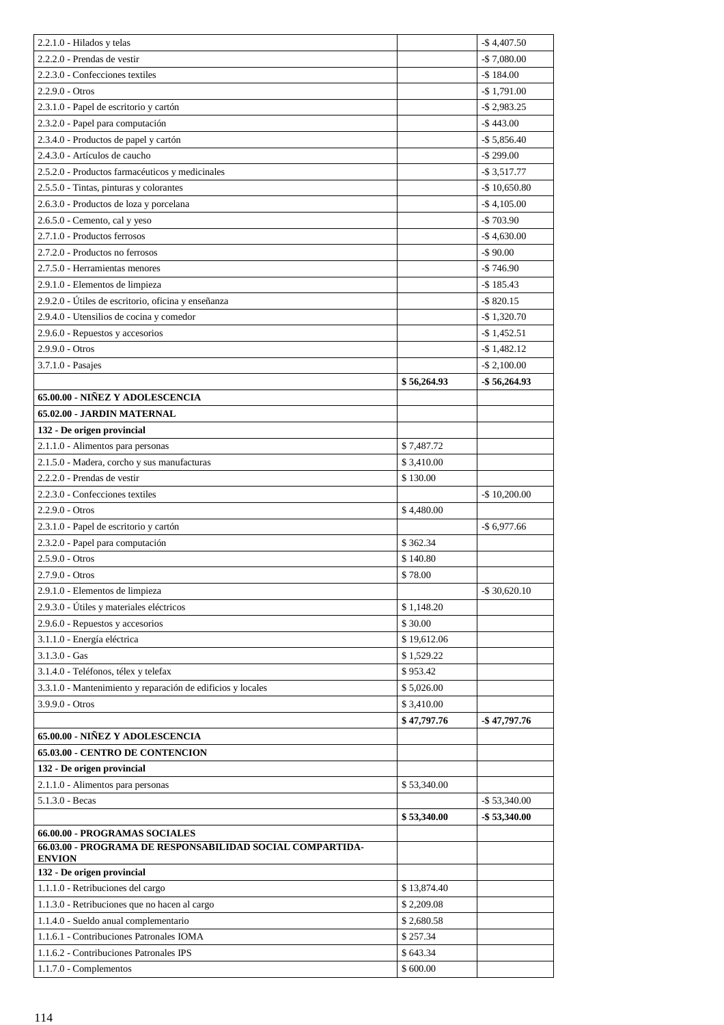| $2.2.1.0$ - Hilados y telas                                                                                 |             | $-$ \$4,407.50   |
|-------------------------------------------------------------------------------------------------------------|-------------|------------------|
| 2.2.2.0 - Prendas de vestir                                                                                 |             | $-$7,080.00$     |
| 2.2.3.0 - Confecciones textiles                                                                             |             | $-$ \$184.00     |
| $2.2.9.0 - Otros$                                                                                           |             | $-$ \$1,791.00   |
| 2.3.1.0 - Papel de escritorio y cartón                                                                      |             | $-$ \$ 2,983.25  |
| 2.3.2.0 - Papel para computación                                                                            |             | $-$ \$443.00     |
| 2.3.4.0 - Productos de papel y cartón                                                                       |             | $-$ \$ 5,856.40  |
| 2.4.3.0 - Artículos de caucho                                                                               |             | $-$ \$ 299.00    |
| 2.5.2.0 - Productos farmacéuticos y medicinales                                                             |             | $-$ \$ 3,517.77  |
| 2.5.5.0 - Tintas, pinturas y colorantes                                                                     |             | $-$ \$ 10,650.80 |
| 2.6.3.0 - Productos de loza y porcelana                                                                     |             | $-$ \$4,105.00   |
| 2.6.5.0 - Cemento, cal y yeso                                                                               |             | $-$703.90$       |
| 2.7.1.0 - Productos ferrosos                                                                                |             | $-$ \$4,630.00   |
| 2.7.2.0 - Productos no ferrosos                                                                             |             | $-$90.00$        |
| 2.7.5.0 - Herramientas menores                                                                              |             | $-$746.90$       |
| 2.9.1.0 - Elementos de limpieza                                                                             |             | $-$ \$185.43     |
| 2.9.2.0 - Útiles de escritorio, oficina y enseñanza                                                         |             | $-$ \$820.15     |
| 2.9.4.0 - Utensilios de cocina y comedor                                                                    |             | $-$ \$1,320.70   |
| 2.9.6.0 - Repuestos y accesorios                                                                            |             | $-$ \$1,452.51   |
| 2.9.9.0 - Otros                                                                                             |             | $-$ \$1,482.12   |
| 3.7.1.0 - Pasajes                                                                                           |             | $-$ \$ 2,100.00  |
|                                                                                                             | \$56,264.93 | $-$ \$ 56,264.93 |
| 65.00.00 - NIÑEZ Y ADOLESCENCIA                                                                             |             |                  |
| 65.02.00 - JARDIN MATERNAL                                                                                  |             |                  |
| 132 - De origen provincial                                                                                  |             |                  |
| 2.1.1.0 - Alimentos para personas                                                                           | \$7,487.72  |                  |
| 2.1.5.0 - Madera, corcho y sus manufacturas                                                                 | \$3,410.00  |                  |
| 2.2.2.0 - Prendas de vestir                                                                                 | \$130.00    |                  |
| 2.2.3.0 - Confecciones textiles                                                                             |             | $-$ \$ 10,200.00 |
| $2.2.9.0 - Otros$                                                                                           | \$4,480.00  |                  |
| 2.3.1.0 - Papel de escritorio y cartón                                                                      |             | $-$ \$ 6,977.66  |
| 2.3.2.0 - Papel para computación                                                                            | \$362.34    |                  |
| $2.5.9.0 - Otros$                                                                                           | \$140.80    |                  |
| $2.7.9.0 - Otros$                                                                                           | \$78.00     |                  |
| 2.9.1.0 - Elementos de limpieza                                                                             |             | $-$ \$ 30,620.10 |
| 2.9.3.0 - Útiles y materiales eléctricos                                                                    | \$1,148.20  |                  |
| 2.9.6.0 - Repuestos y accesorios                                                                            | \$30.00     |                  |
| 3.1.1.0 - Energía eléctrica                                                                                 | \$19,612.06 |                  |
| $3.1.3.0 - Gas$                                                                                             | \$1,529.22  |                  |
| 3.1.4.0 - Teléfonos, télex y telefax                                                                        | \$953.42    |                  |
| 3.3.1.0 - Mantenimiento y reparación de edificios y locales                                                 | \$5,026.00  |                  |
| 3.9.9.0 - Otros                                                                                             | \$3,410.00  |                  |
|                                                                                                             | \$47,797.76 | -\$47,797.76     |
| 65.00.00 - NIÑEZ Y ADOLESCENCIA                                                                             |             |                  |
| 65.03.00 - CENTRO DE CONTENCION                                                                             |             |                  |
| 132 - De origen provincial                                                                                  |             |                  |
| 2.1.1.0 - Alimentos para personas                                                                           | \$53,340.00 |                  |
| 5.1.3.0 - Becas                                                                                             |             | $-$ \$ 53,340.00 |
|                                                                                                             | \$53,340.00 | $-$ \$ 53,340.00 |
| 66.00.00 - PROGRAMAS SOCIALES<br>66.03.00 - PROGRAMA DE RESPONSABILIDAD SOCIAL COMPARTIDA-<br><b>ENVION</b> |             |                  |
| 132 - De origen provincial                                                                                  |             |                  |
| 1.1.1.0 - Retribuciones del cargo                                                                           | \$13,874.40 |                  |
| 1.1.3.0 - Retribuciones que no hacen al cargo                                                               | \$2,209.08  |                  |
| 1.1.4.0 - Sueldo anual complementario                                                                       | \$2,680.58  |                  |
| 1.1.6.1 - Contribuciones Patronales IOMA                                                                    | \$257.34    |                  |
| 1.1.6.2 - Contribuciones Patronales IPS                                                                     | \$643.34    |                  |
| 1.1.7.0 - Complementos                                                                                      | \$600.00    |                  |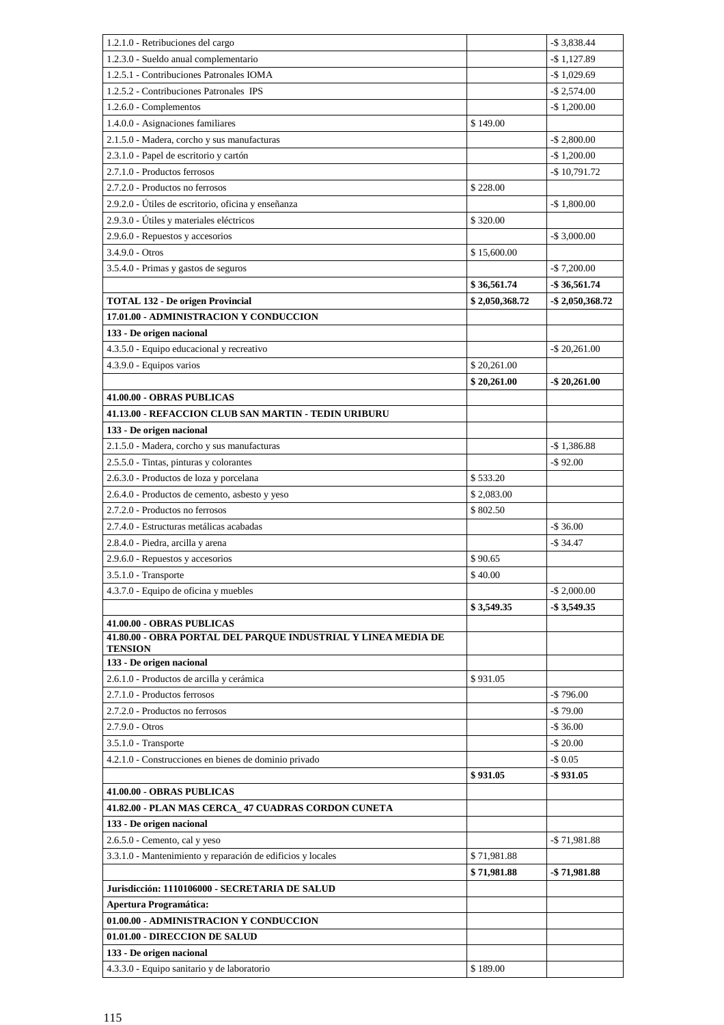| 1.2.1.0 - Retribuciones del cargo                                                          |                | $-$ \$ 3,838.44     |
|--------------------------------------------------------------------------------------------|----------------|---------------------|
| 1.2.3.0 - Sueldo anual complementario                                                      |                | $-$ \$1,127.89      |
| 1.2.5.1 - Contribuciones Patronales IOMA                                                   |                | $-$ \$ 1,029.69     |
| 1.2.5.2 - Contribuciones Patronales IPS                                                    |                | $-$ \$ 2,574.00     |
| 1.2.6.0 - Complementos                                                                     |                | $-$ \$ 1,200.00     |
| 1.4.0.0 - Asignaciones familiares                                                          | \$149.00       |                     |
| 2.1.5.0 - Madera, corcho y sus manufacturas                                                |                | $-$ \$ 2,800.00     |
| 2.3.1.0 - Papel de escritorio y cartón                                                     |                | $-$ \$ 1,200.00     |
| 2.7.1.0 - Productos ferrosos                                                               |                | $-$ \$10,791.72     |
| 2.7.2.0 - Productos no ferrosos                                                            | \$228.00       |                     |
| 2.9.2.0 - Útiles de escritorio, oficina y enseñanza                                        |                | $-$1,800.00$        |
| 2.9.3.0 - Útiles y materiales eléctricos                                                   | \$320.00       |                     |
| 2.9.6.0 - Repuestos y accesorios                                                           |                | $-$ \$ 3,000.00     |
| 3.4.9.0 - Otros                                                                            | \$15,600.00    |                     |
| 3.5.4.0 - Primas y gastos de seguros                                                       |                | $-$ \$ 7,200.00     |
|                                                                                            | \$36,561.74    | $-$ \$ 36,561.74    |
| <b>TOTAL 132 - De origen Provincial</b>                                                    | \$2,050,368.72 | $-$ \$ 2,050,368.72 |
| 17.01.00 - ADMINISTRACION Y CONDUCCION                                                     |                |                     |
| 133 - De origen nacional                                                                   |                |                     |
| 4.3.5.0 - Equipo educacional y recreativo                                                  |                | $-$ \$ 20,261.00    |
| 4.3.9.0 - Equipos varios                                                                   | \$20,261.00    |                     |
|                                                                                            | \$20,261.00    | $-$ \$ 20,261.00    |
| 41.00.00 - OBRAS PUBLICAS                                                                  |                |                     |
| 41.13.00 - REFACCION CLUB SAN MARTIN - TEDIN URIBURU                                       |                |                     |
| 133 - De origen nacional                                                                   |                |                     |
| 2.1.5.0 - Madera, corcho y sus manufacturas                                                |                | $-$1,386.88$        |
| 2.5.5.0 - Tintas, pinturas y colorantes                                                    |                | $-$ \$92.00         |
| 2.6.3.0 - Productos de loza y porcelana                                                    | \$533.20       |                     |
| 2.6.4.0 - Productos de cemento, asbesto y yeso                                             | \$2,083.00     |                     |
| 2.7.2.0 - Productos no ferrosos                                                            | \$802.50       |                     |
| 2.7.4.0 - Estructuras metálicas acabadas                                                   |                | $-$36.00$           |
| 2.8.4.0 - Piedra, arcilla y arena                                                          |                | $-$34.47$           |
| 2.9.6.0 - Repuestos y accesorios                                                           | \$90.65        |                     |
| 3.5.1.0 - Transporte                                                                       | \$40.00        |                     |
| 4.3.7.0 - Equipo de oficina y muebles                                                      |                | $-$ \$ 2,000.00     |
|                                                                                            | \$3,549.35     | -\$3,549.35         |
| 41.00.00 - OBRAS PUBLICAS<br>41.80.00 - OBRA PORTAL DEL PARQUE INDUSTRIAL Y LINEA MEDIA DE |                |                     |
| <b>TENSION</b>                                                                             |                |                     |
| 133 - De origen nacional                                                                   |                |                     |
| 2.6.1.0 - Productos de arcilla y cerámica                                                  | \$931.05       |                     |
| 2.7.1.0 - Productos ferrosos                                                               |                | $-$796.00$          |
| 2.7.2.0 - Productos no ferrosos                                                            |                | $-$79.00$           |
| $2.7.9.0 - Otros$                                                                          |                | $-$ \$ 36.00        |
| 3.5.1.0 - Transporte                                                                       |                | $-$ \$ 20.00        |
| 4.2.1.0 - Construcciones en bienes de dominio privado                                      |                | $-$ \$ 0.05         |
|                                                                                            | \$931.05       | $-$ \$931.05        |
| 41.00.00 - OBRAS PUBLICAS                                                                  |                |                     |
| 41.82.00 - PLAN MAS CERCA_ 47 CUADRAS CORDON CUNETA                                        |                |                     |
| 133 - De origen nacional                                                                   |                |                     |
| 2.6.5.0 - Cemento, cal y yeso                                                              |                | $-$ \$ 71,981.88    |
| 3.3.1.0 - Mantenimiento y reparación de edificios y locales                                | \$71,981.88    |                     |
|                                                                                            | \$71,981.88    | -\$71,981.88        |
| Jurisdicción: 1110106000 - SECRETARIA DE SALUD                                             |                |                     |
| <b>Apertura Programática:</b>                                                              |                |                     |
| 01.00.00 - ADMINISTRACION Y CONDUCCION                                                     |                |                     |
| 01.01.00 - DIRECCION DE SALUD                                                              |                |                     |
| 133 - De origen nacional                                                                   |                |                     |
| 4.3.3.0 - Equipo sanitario y de laboratorio                                                | \$189.00       |                     |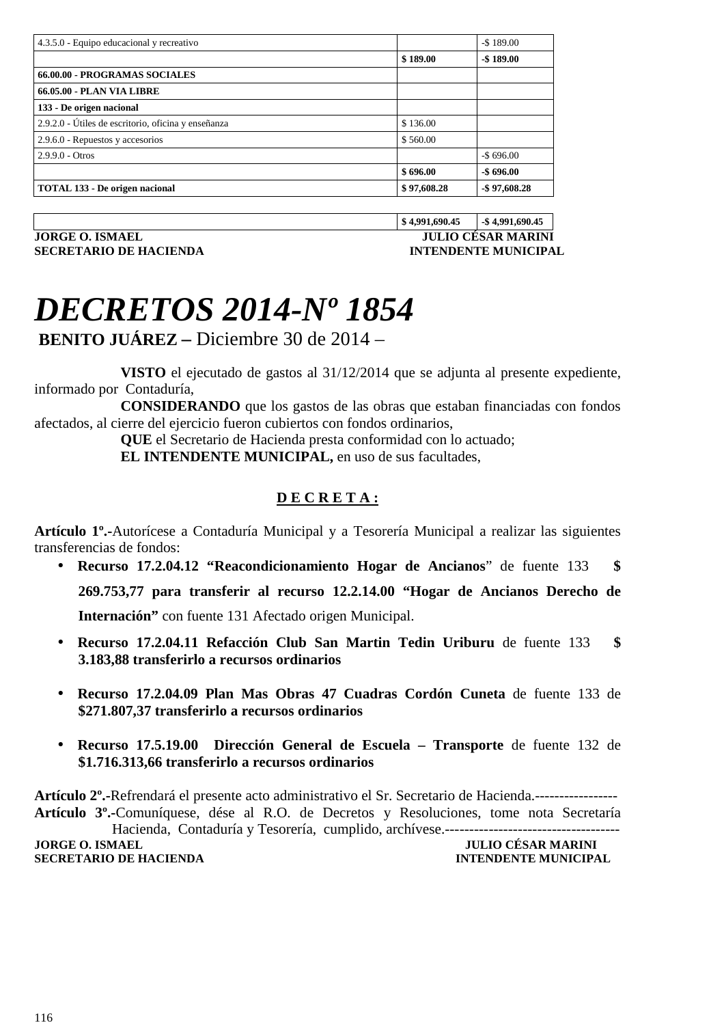| 4.3.5.0 - Equipo educacional y recreativo           |             | $-$189.00$      |
|-----------------------------------------------------|-------------|-----------------|
|                                                     | \$189.00    | $-$189.00$      |
| 66.00.00 - PROGRAMAS SOCIALES                       |             |                 |
| <b>66.05.00 - PLAN VIA LIBRE</b>                    |             |                 |
| 133 - De origen nacional                            |             |                 |
| 2.9.2.0 - Útiles de escritorio, oficina y enseñanza | \$136.00    |                 |
| 2.9.6.0 - Repuestos y accesorios                    | \$560.00    |                 |
| $2.9.9.0 - Otros$                                   |             | $-$ \$696.00    |
|                                                     | \$696.00    | $-$ \$696.00    |
| TOTAL 133 - De origen nacional                      | \$97,608.28 | $-$ \$97,608.28 |

**JORGE O. ISMAEL JULIO CÉSAR MARINI SECRETARIO DE HACIENDA INTENDENTE MUNICIPAL** 

**\$ 4,991,690.45 -\$ 4,991,690.45** 

### *DECRETOS 2014-Nº 1854*

 **BENITO JUÁREZ –** Diciembre 30 de 2014 –

 **VISTO** el ejecutado de gastos al 31/12/2014 que se adjunta al presente expediente, informado por Contaduría,

 **CONSIDERANDO** que los gastos de las obras que estaban financiadas con fondos afectados, al cierre del ejercicio fueron cubiertos con fondos ordinarios,

 **QUE** el Secretario de Hacienda presta conformidad con lo actuado;

 **EL INTENDENTE MUNICIPAL,** en uso de sus facultades,

#### **D E C R E T A :**

**Artículo 1º.-**Autorícese a Contaduría Municipal y a Tesorería Municipal a realizar las siguientes transferencias de fondos:

• **Recurso 17.2.04.12 "Reacondicionamiento Hogar de Ancianos**" de fuente 133 **\$ 269.753,77 para transferir al recurso 12.2.14.00 "Hogar de Ancianos Derecho de** 

**Internación"** con fuente 131 Afectado origen Municipal.

- **Recurso 17.2.04.11 Refacción Club San Martin Tedin Uriburu** de fuente 133 **\$ 3.183,88 transferirlo a recursos ordinarios**
- **Recurso 17.2.04.09 Plan Mas Obras 47 Cuadras Cordón Cuneta** de fuente 133 de **\$271.807,37 transferirlo a recursos ordinarios**
- **Recurso 17.5.19.00 Dirección General de Escuela Transporte** de fuente 132 de **\$1.716.313,66 transferirlo a recursos ordinarios**

**Artículo 2º.-**Refrendará el presente acto administrativo el Sr. Secretario de Hacienda.----------------- **Artículo 3º.-**Comuníquese, dése al R.O. de Decretos y Resoluciones, tome nota Secretaría Hacienda, Contaduría y Tesorería, cumplido, archívese.------------------------------------ **JULIO CÉSAR MARINI<br>INTENDENTE MUNICIPAL SECRETARIO DE HACIENDA**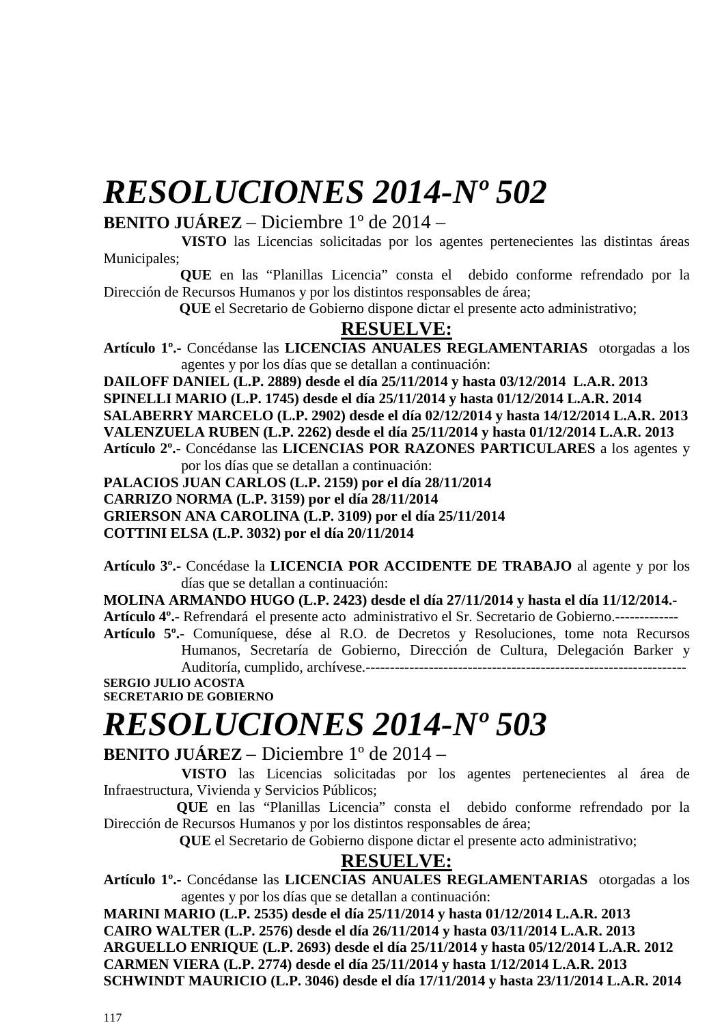### *RESOLUCIONES 2014-Nº 502*

#### **BENITO JUÁREZ** – Diciembre 1º de 2014 –

 **VISTO** las Licencias solicitadas por los agentes pertenecientes las distintas áreas Municipales;

 **QUE** en las "Planillas Licencia" consta el debido conforme refrendado por la Dirección de Recursos Humanos y por los distintos responsables de área;

 **QUE** el Secretario de Gobierno dispone dictar el presente acto administrativo;

#### **RESUELVE:**

**Artículo 1º.-** Concédanse las **LICENCIAS ANUALES REGLAMENTARIAS** otorgadas a los agentes y por los días que se detallan a continuación:

**DAILOFF DANIEL (L.P. 2889) desde el día 25/11/2014 y hasta 03/12/2014 L.A.R. 2013 SPINELLI MARIO (L.P. 1745) desde el día 25/11/2014 y hasta 01/12/2014 L.A.R. 2014 SALABERRY MARCELO (L.P. 2902) desde el día 02/12/2014 y hasta 14/12/2014 L.A.R. 2013 VALENZUELA RUBEN (L.P. 2262) desde el día 25/11/2014 y hasta 01/12/2014 L.A.R. 2013 Artículo 2º.-** Concédanse las **LICENCIAS POR RAZONES PARTICULARES** a los agentes y por los días que se detallan a continuación:

**PALACIOS JUAN CARLOS (L.P. 2159) por el día 28/11/2014** 

**CARRIZO NORMA (L.P. 3159) por el día 28/11/2014** 

**GRIERSON ANA CAROLINA (L.P. 3109) por el día 25/11/2014** 

**COTTINI ELSA (L.P. 3032) por el día 20/11/2014** 

**Artículo 3º.-** Concédase la **LICENCIA POR ACCIDENTE DE TRABAJO** al agente y por los días que se detallan a continuación:

**MOLINA ARMANDO HUGO (L.P. 2423) desde el día 27/11/2014 y hasta el día 11/12/2014.-** 

**Artículo 4º.**- Refrendará el presente acto administrativo el Sr. Secretario de Gobierno.------------- **Artículo 5º.**- Comuníquese, dése al R.O. de Decretos y Resoluciones, tome nota Recursos Humanos, Secretaría de Gobierno, Dirección de Cultura, Delegación Barker y Auditoría, cumplido, archívese.------------------------------------------------------------------

**SERGIO JULIO ACOSTA SECRETARIO DE GOBIERNO** 

# *RESOLUCIONES 2014-Nº 503*

**BENITO JUÁREZ** – Diciembre 1º de 2014 –

 **VISTO** las Licencias solicitadas por los agentes pertenecientes al área de Infraestructura, Vivienda y Servicios Públicos;

 **QUE** en las "Planillas Licencia" consta el debido conforme refrendado por la Dirección de Recursos Humanos y por los distintos responsables de área;

 **QUE** el Secretario de Gobierno dispone dictar el presente acto administrativo;

#### **RESUELVE:**

**Artículo 1º.-** Concédanse las **LICENCIAS ANUALES REGLAMENTARIAS** otorgadas a los agentes y por los días que se detallan a continuación:

**MARINI MARIO (L.P. 2535) desde el día 25/11/2014 y hasta 01/12/2014 L.A.R. 2013 CAIRO WALTER (L.P. 2576) desde el día 26/11/2014 y hasta 03/11/2014 L.A.R. 2013 ARGUELLO ENRIQUE (L.P. 2693) desde el día 25/11/2014 y hasta 05/12/2014 L.A.R. 2012 CARMEN VIERA (L.P. 2774) desde el día 25/11/2014 y hasta 1/12/2014 L.A.R. 2013 SCHWINDT MAURICIO (L.P. 3046) desde el día 17/11/2014 y hasta 23/11/2014 L.A.R. 2014**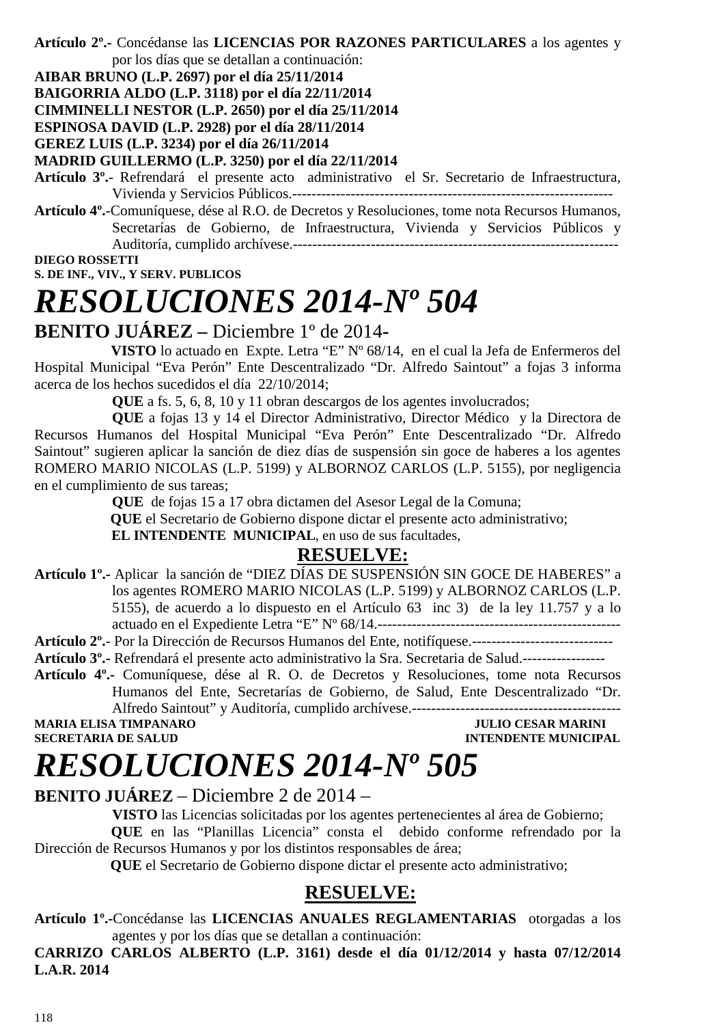**Artículo 2º.-** Concédanse las **LICENCIAS POR RAZONES PARTICULARES** a los agentes y por los días que se detallan a continuación:

**AIBAR BRUNO (L.P. 2697) por el día 25/11/2014** 

**BAIGORRIA ALDO (L.P. 3118) por el día 22/11/2014** 

**CIMMINELLI NESTOR (L.P. 2650) por el día 25/11/2014**

**ESPINOSA DAVID (L.P. 2928) por el día 28/11/2014** 

**GEREZ LUIS (L.P. 3234) por el día 26/11/2014** 

#### **MADRID GUILLERMO (L.P. 3250) por el día 22/11/2014**

**Artículo 3º.**- Refrendará el presente acto administrativo el Sr. Secretario de Infraestructura, Vivienda y Servicios Públicos.------------------------------------------------------------------

**Artículo 4º.**-Comuníquese, dése al R.O. de Decretos y Resoluciones, tome nota Recursos Humanos, Secretarías de Gobierno, de Infraestructura, Vivienda y Servicios Públicos y Auditoría, cumplido archívese.-------------------------------------------------------------------

**DIEGO ROSSETTI** 

**S. DE INF., VIV., Y SERV. PUBLICOS** 

### *RESOLUCIONES 2014-Nº 504*

### **BENITO JUÁREZ –** Diciembre 1º de 2014**-**

 **VISTO** lo actuado en Expte. Letra "E" Nº 68/14, en el cual la Jefa de Enfermeros del Hospital Municipal "Eva Perón" Ente Descentralizado "Dr. Alfredo Saintout" a fojas 3 informa acerca de los hechos sucedidos el día 22/10/2014;

**QUE** a fs. 5, 6, 8, 10 y 11 obran descargos de los agentes involucrados;

**QUE** a fojas 13 y 14 el Director Administrativo, Director Médico y la Directora de Recursos Humanos del Hospital Municipal "Eva Perón" Ente Descentralizado "Dr. Alfredo Saintout" sugieren aplicar la sanción de diez días de suspensión sin goce de haberes a los agentes ROMERO MARIO NICOLAS (L.P. 5199) y ALBORNOZ CARLOS (L.P. 5155), por negligencia en el cumplimiento de sus tareas;

**QUE** de fojas 15 a 17 obra dictamen del Asesor Legal de la Comuna;

 **QUE** el Secretario de Gobierno dispone dictar el presente acto administrativo;

 **EL INTENDENTE MUNICIPAL**, en uso de sus facultades,

### **RESUELVE:**

- **Artículo 1º.-** Aplicar la sanción de "DIEZ DÍAS DE SUSPENSIÓN SIN GOCE DE HABERES" a los agentes ROMERO MARIO NICOLAS (L.P. 5199) y ALBORNOZ CARLOS (L.P. 5155), de acuerdo a lo dispuesto en el Artículo 63 inc 3) de la ley 11.757 y a lo actuado en el Expediente Letra "E" Nº 68/14.--------------------------------------------------
- **Artículo 2º.** Por la Dirección de Recursos Humanos del Ente, notifíquese.-----------------------------
- **Artículo 3º.-** Refrendará el presente acto administrativo la Sra. Secretaria de Salud.-----------------
- **Artículo 4º.-** Comuníquese, dése al R. O. de Decretos y Resoluciones, tome nota Recursos Humanos del Ente, Secretarías de Gobierno, de Salud, Ente Descentralizado "Dr. Alfredo Saintout" y Auditoría, cumplido archívese.-------------------------------------------

**MARIA ELISA TIMPANARO JULIO CESAR MARINI** 

**SECRETARIA DE SALUD INTENDENTE MUNICIPAL** 

### *RESOLUCIONES 2014-Nº 505*

#### **BENITO JUÁREZ** – Diciembre 2 de 2014 –

**VISTO** las Licencias solicitadas por los agentes pertenecientes al área de Gobierno;

 **QUE** en las "Planillas Licencia" consta el debido conforme refrendado por la Dirección de Recursos Humanos y por los distintos responsables de área;

 **QUE** el Secretario de Gobierno dispone dictar el presente acto administrativo;

### **RESUELVE:**

**Artículo 1º.-**Concédanse las **LICENCIAS ANUALES REGLAMENTARIAS** otorgadas a los agentes y por los días que se detallan a continuación:

**CARRIZO CARLOS ALBERTO (L.P. 3161) desde el día 01/12/2014 y hasta 07/12/2014 L.A.R. 2014**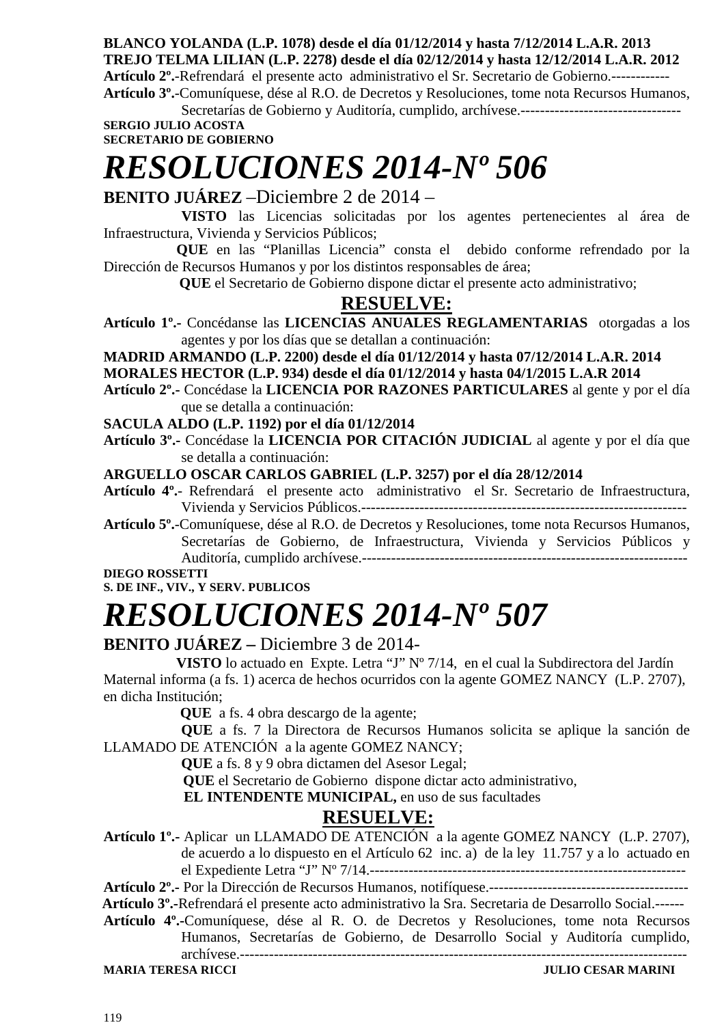**BLANCO YOLANDA (L.P. 1078) desde el día 01/12/2014 y hasta 7/12/2014 L.A.R. 2013 TREJO TELMA LILIAN (L.P. 2278) desde el día 02/12/2014 y hasta 12/12/2014 L.A.R. 2012 Artículo 2º.**-Refrendará el presente acto administrativo el Sr. Secretario de Gobierno.------------ **Artículo 3º.**-Comuníquese, dése al R.O. de Decretos y Resoluciones, tome nota Recursos Humanos,

Secretarías de Gobierno y Auditoría, cumplido, archívese.---------------------------------

**SERGIO JULIO ACOSTA SECRETARIO DE GOBIERNO** 

# *RESOLUCIONES 2014-Nº 506*

#### **BENITO JUÁREZ** –Diciembre 2 de 2014 –

 **VISTO** las Licencias solicitadas por los agentes pertenecientes al área de Infraestructura, Vivienda y Servicios Públicos;

 **QUE** en las "Planillas Licencia" consta el debido conforme refrendado por la Dirección de Recursos Humanos y por los distintos responsables de área;

 **QUE** el Secretario de Gobierno dispone dictar el presente acto administrativo;

### **RESUELVE:**

**Artículo 1º.-** Concédanse las **LICENCIAS ANUALES REGLAMENTARIAS** otorgadas a los agentes y por los días que se detallan a continuación:

**MADRID ARMANDO (L.P. 2200) desde el día 01/12/2014 y hasta 07/12/2014 L.A.R. 2014** 

**MORALES HECTOR (L.P. 934) desde el día 01/12/2014 y hasta 04/1/2015 L.A.R 2014** 

**Artículo 2º.-** Concédase la **LICENCIA POR RAZONES PARTICULARES** al gente y por el día que se detalla a continuación:

**SACULA ALDO (L.P. 1192) por el día 01/12/2014** 

**Artículo 3º.-** Concédase la **LICENCIA POR CITACIÓN JUDICIAL** al agente y por el día que se detalla a continuación:

**ARGUELLO OSCAR CARLOS GABRIEL (L.P. 3257) por el día 28/12/2014** 

**Artículo 4º.**- Refrendará el presente acto administrativo el Sr. Secretario de Infraestructura, Vivienda y Servicios Públicos.-------------------------------------------------------------------

**Artículo 5º.**-Comuníquese, dése al R.O. de Decretos y Resoluciones, tome nota Recursos Humanos, Secretarías de Gobierno, de Infraestructura, Vivienda y Servicios Públicos y Auditoría, cumplido archívese.-------------------------------------------------------------------

**DIEGO ROSSETTI** 

#### **S. DE INF., VIV., Y SERV. PUBLICOS**

# *RESOLUCIONES 2014-Nº 507*

#### **BENITO JUÁREZ –** Diciembre 3 de 2014-

 **VISTO** lo actuado en Expte. Letra "J" Nº 7/14, en el cual la Subdirectora del Jardín Maternal informa (a fs. 1) acerca de hechos ocurridos con la agente GOMEZ NANCY (L.P. 2707), en dicha Institución;

**QUE** a fs. 4 obra descargo de la agente;

**QUE** a fs. 7 la Directora de Recursos Humanos solicita se aplique la sanción de LLAMADO DE ATENCIÓN a la agente GOMEZ NANCY;

**QUE** a fs. 8 y 9 obra dictamen del Asesor Legal;

 **QUE** el Secretario de Gobierno dispone dictar acto administrativo,

 **EL INTENDENTE MUNICIPAL,** en uso de sus facultades

### **RESUELVE:**

**Artículo 1º.-** Aplicar un LLAMADO DE ATENCIÓN a la agente GOMEZ NANCY (L.P. 2707), de acuerdo a lo dispuesto en el Artículo 62 inc. a) de la ley 11.757 y a lo actuado en el Expediente Letra "J" Nº 7/14.-----------------------------------------------------------------

**Artículo 2º.-** Por la Dirección de Recursos Humanos, notifíquese.-----------------------------------------

 **Artículo 3º.-**Refrendará el presente acto administrativo la Sra. Secretaria de Desarrollo Social.------

**Artículo 4º.-**Comuníquese, dése al R. O. de Decretos y Resoluciones, tome nota Recursos Humanos, Secretarías de Gobierno, de Desarrollo Social y Auditoría cumplido,

archívese.-------------------------------------------------------------------------------------------- **MARIA TERESA RICCI JULIO CESAR MARINI**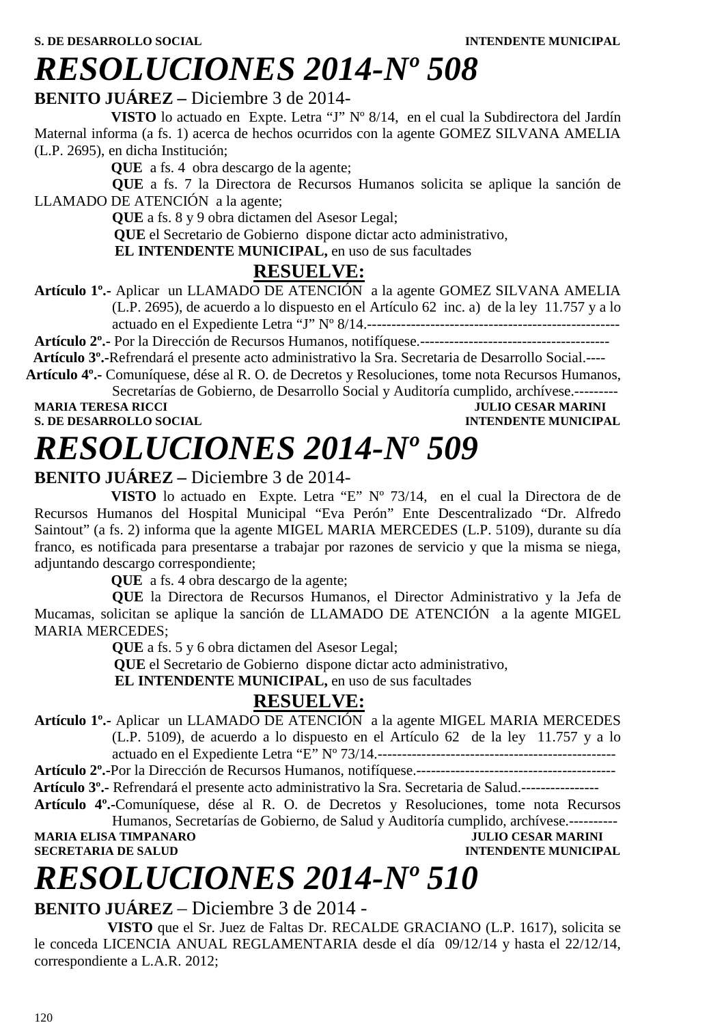### *RESOLUCIONES 2014-Nº 508*

#### **BENITO JUÁREZ –** Diciembre 3 de 2014-

 **VISTO** lo actuado en Expte. Letra "J" Nº 8/14, en el cual la Subdirectora del Jardín Maternal informa (a fs. 1) acerca de hechos ocurridos con la agente GOMEZ SILVANA AMELIA (L.P. 2695), en dicha Institución;

**QUE** a fs. 4 obra descargo de la agente;

**QUE** a fs. 7 la Directora de Recursos Humanos solicita se aplique la sanción de LLAMADO DE ATENCIÓN a la agente;

**QUE** a fs. 8 y 9 obra dictamen del Asesor Legal;

 **QUE** el Secretario de Gobierno dispone dictar acto administrativo,

 **EL INTENDENTE MUNICIPAL,** en uso de sus facultades

### **RESUELVE:**

**Artículo 1º.-** Aplicar un LLAMADO DE ATENCIÓN a la agente GOMEZ SILVANA AMELIA (L.P. 2695), de acuerdo a lo dispuesto en el Artículo 62 inc. a) de la ley 11.757 y a lo actuado en el Expediente Letra "J" Nº 8/14.----------------------------------------------------

**Artículo 2º.-** Por la Dirección de Recursos Humanos, notifíquese.---------------------------------------

 **Artículo 3º.-**Refrendará el presente acto administrativo la Sra. Secretaria de Desarrollo Social.----

**Artículo 4º.-** Comuníquese, dése al R. O. de Decretos y Resoluciones, tome nota Recursos Humanos, Secretarías de Gobierno, de Desarrollo Social y Auditoría cumplido, archívese.---------

**MARIA TERESA RICCI DE ESTA DE LOS ENFORMARIES DE DESAR MARINI S. DE DESARROLLO SOCIAL DE LOS ENFORMANCIES DE LOS ENFORMANCIES DE LOS ENFORMANCIES DE LOS ENFORMANCIES DE LOS ENFORMANCIES DE LOS ENFORMANCIES DE LOS ENFORMAN S. DE DESARROLLO SOCIAL** 

# *RESOLUCIONES 2014-Nº 509*

### **BENITO JUÁREZ –** Diciembre 3 de 2014-

 **VISTO** lo actuado en Expte. Letra "E" Nº 73/14, en el cual la Directora de de Recursos Humanos del Hospital Municipal "Eva Perón" Ente Descentralizado "Dr. Alfredo Saintout" (a fs. 2) informa que la agente MIGEL MARIA MERCEDES (L.P. 5109), durante su día franco, es notificada para presentarse a trabajar por razones de servicio y que la misma se niega, adjuntando descargo correspondiente;

**QUE** a fs. 4 obra descargo de la agente;

**QUE** la Directora de Recursos Humanos, el Director Administrativo y la Jefa de Mucamas, solicitan se aplique la sanción de LLAMADO DE ATENCIÓN a la agente MIGEL MARIA MERCEDES;

**QUE** a fs. 5 y 6 obra dictamen del Asesor Legal;

 **QUE** el Secretario de Gobierno dispone dictar acto administrativo,

 **EL INTENDENTE MUNICIPAL,** en uso de sus facultades

### **RESUELVE:**

**Artículo 1º.-** Aplicar un LLAMADO DE ATENCIÓN a la agente MIGEL MARIA MERCEDES (L.P. 5109), de acuerdo a lo dispuesto en el Artículo 62 de la ley 11.757 y a lo actuado en el Expediente Letra "E" Nº 73/14.-------------------------------------------------

**Artículo 2º.-**Por la Dirección de Recursos Humanos, notifíquese.-----------------------------------------  **Artículo 3º.-** Refrendará el presente acto administrativo la Sra. Secretaria de Salud.----------------

**Artículo 4º.-**Comuníquese, dése al R. O. de Decretos y Resoluciones, tome nota Recursos

Humanos, Secretarías de Gobierno, de Salud y Auditoría cumplido, archívese.-----------<br>A TIMPANARO JULIO CESAR MARINI **MARIA ELISA TIMPANARO SECRETARIA DE SALUD INTENDENTE MUNICIPAL** 

# *RESOLUCIONES 2014-Nº 510*

**BENITO JUÁREZ** – Diciembre 3 de 2014 -

 **VISTO** que el Sr. Juez de Faltas Dr. RECALDE GRACIANO (L.P. 1617), solicita se le conceda LICENCIA ANUAL REGLAMENTARIA desde el día 09/12/14 y hasta el 22/12/14, correspondiente a L.A.R. 2012;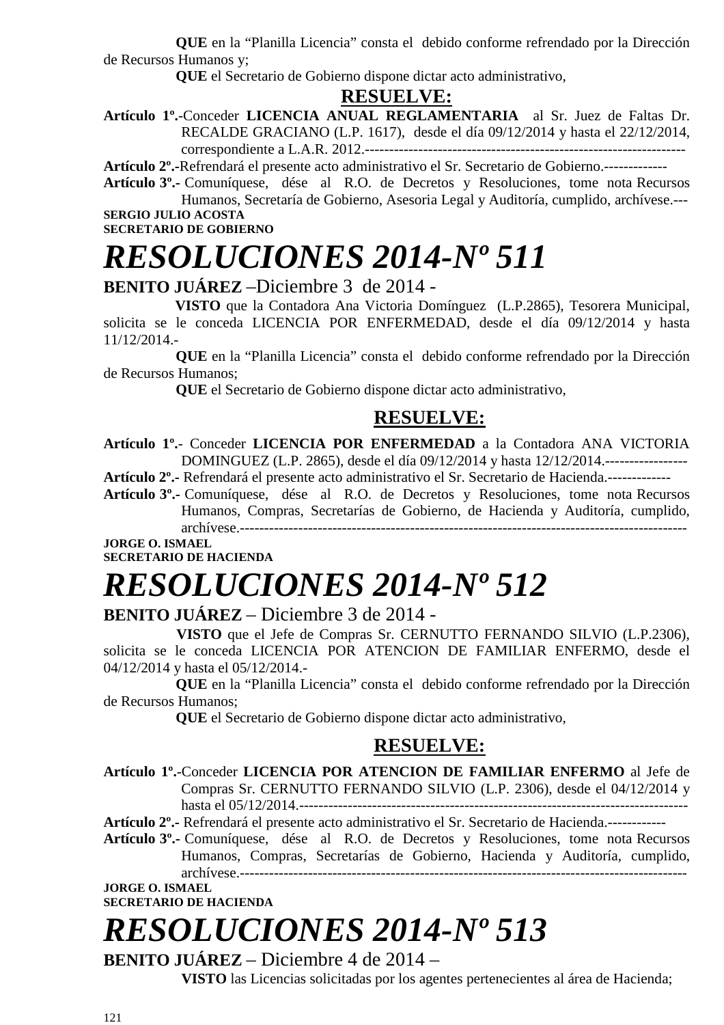**QUE** en la "Planilla Licencia" consta el debido conforme refrendado por la Dirección de Recursos Humanos y;

 **QUE** el Secretario de Gobierno dispone dictar acto administrativo,

#### **RESUELVE:**

**Artículo 1º.**-Conceder **LICENCIA ANUAL REGLAMENTARIA** al Sr. Juez de Faltas Dr. RECALDE GRACIANO (L.P. 1617), desde el día 09/12/2014 y hasta el 22/12/2014, correspondiente a L.A.R. 2012.------------------------------------------------------------------

**Artículo 2º.-**Refrendará el presente acto administrativo el Sr. Secretario de Gobierno.-------------

**Artículo 3º.-** Comuníquese, dése al R.O. de Decretos y Resoluciones, tome nota Recursos Humanos, Secretaría de Gobierno, Asesoria Legal y Auditoría, cumplido, archívese.--- **SERGIO JULIO ACOSTA** 

**SECRETARIO DE GOBIERNO** 

# *RESOLUCIONES 2014-Nº 511*

**BENITO JUÁREZ** –Diciembre 3 de 2014 -

 **VISTO** que la Contadora Ana Victoria Domínguez (L.P.2865), Tesorera Municipal, solicita se le conceda LICENCIA POR ENFERMEDAD, desde el día 09/12/2014 y hasta 11/12/2014.-

 **QUE** en la "Planilla Licencia" consta el debido conforme refrendado por la Dirección de Recursos Humanos;

 **QUE** el Secretario de Gobierno dispone dictar acto administrativo,

#### **RESUELVE:**

**Artículo 1º.**- Conceder **LICENCIA POR ENFERMEDAD** a la Contadora ANA VICTORIA DOMINGUEZ (L.P. 2865), desde el día 09/12/2014 y hasta 12/12/2014.-----------------

**Artículo 2º.-** Refrendará el presente acto administrativo el Sr. Secretario de Hacienda.-------------

**Artículo 3º.-** Comuníquese, dése al R.O. de Decretos y Resoluciones, tome nota Recursos Humanos, Compras, Secretarías de Gobierno, de Hacienda y Auditoría, cumplido, archívese.--------------------------------------------------------------------------------------------

**JORGE O. ISMAEL SECRETARIO DE HACIENDA** 

# *RESOLUCIONES 2014-Nº 512*

#### **BENITO JUÁREZ** – Diciembre 3 de 2014 -

 **VISTO** que el Jefe de Compras Sr. CERNUTTO FERNANDO SILVIO (L.P.2306), solicita se le conceda LICENCIA POR ATENCION DE FAMILIAR ENFERMO, desde el 04/12/2014 y hasta el 05/12/2014.-

 **QUE** en la "Planilla Licencia" consta el debido conforme refrendado por la Dirección de Recursos Humanos;

 **QUE** el Secretario de Gobierno dispone dictar acto administrativo,

#### **RESUELVE:**

**Artículo 1º.**-Conceder **LICENCIA POR ATENCION DE FAMILIAR ENFERMO** al Jefe de Compras Sr. CERNUTTO FERNANDO SILVIO (L.P. 2306), desde el 04/12/2014 y hasta el 05/12/2014.--------------------------------------------------------------------------------

**Artículo 2º.-** Refrendará el presente acto administrativo el Sr. Secretario de Hacienda.------------

**Artículo 3º.-** Comuníquese, dése al R.O. de Decretos y Resoluciones, tome nota Recursos Humanos, Compras, Secretarías de Gobierno, Hacienda y Auditoría, cumplido, archívese.--------------------------------------------------------------------------------------------

**JORGE O. ISMAEL SECRETARIO DE HACIENDA** 

# *RESOLUCIONES 2014-Nº 513*

**BENITO JUÁREZ** – Diciembre 4 de 2014 – **VISTO** las Licencias solicitadas por los agentes pertenecientes al área de Hacienda;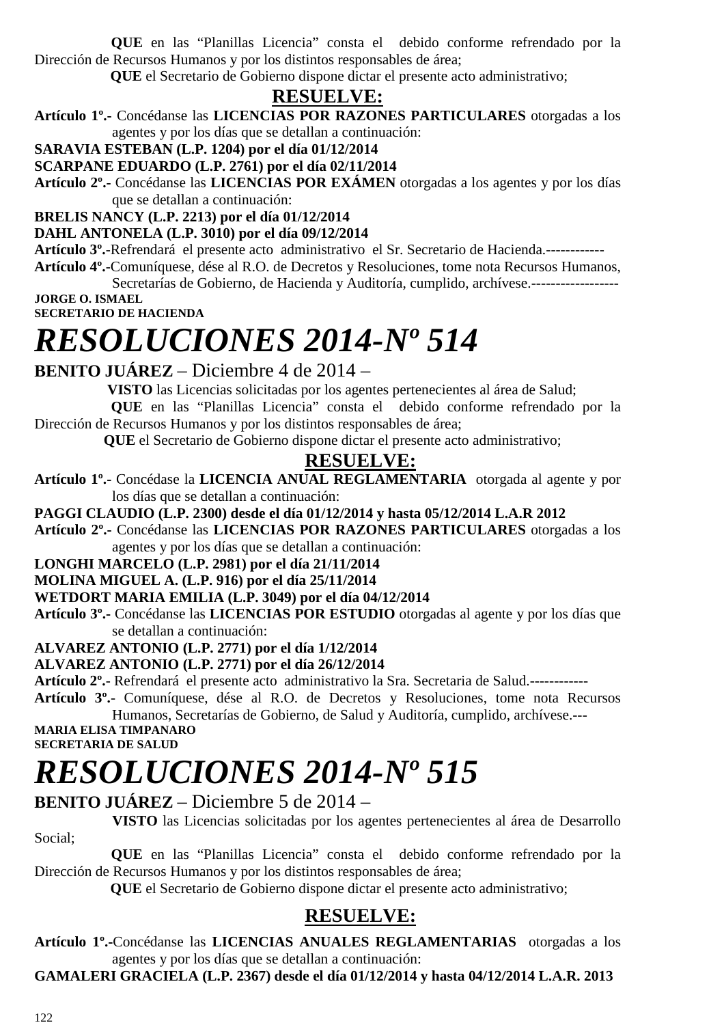**QUE** en las "Planillas Licencia" consta el debido conforme refrendado por la Dirección de Recursos Humanos y por los distintos responsables de área;

 **QUE** el Secretario de Gobierno dispone dictar el presente acto administrativo;

### **RESUELVE:**

**Artículo 1º.-** Concédanse las **LICENCIAS POR RAZONES PARTICULARES** otorgadas a los agentes y por los días que se detallan a continuación:

**SARAVIA ESTEBAN (L.P. 1204) por el día 01/12/2014** 

**SCARPANE EDUARDO (L.P. 2761) por el día 02/11/2014** 

**Artículo 2º.-** Concédanse las **LICENCIAS POR EXÁMEN** otorgadas a los agentes y por los días que se detallan a continuación:

**BRELIS NANCY (L.P. 2213) por el día 01/12/2014** 

**DAHL ANTONELA (L.P. 3010) por el día 09/12/2014** 

**Artículo 3º.**-Refrendará el presente acto administrativo el Sr. Secretario de Hacienda.------------

**Artículo 4º.**-Comuníquese, dése al R.O. de Decretos y Resoluciones, tome nota Recursos Humanos, Secretarías de Gobierno, de Hacienda y Auditoría, cumplido, archívese.------------------

**JORGE O. ISMAEL SECRETARIO DE HACIENDA** 

# *RESOLUCIONES 2014-Nº 514*

**BENITO JUÁREZ** – Diciembre 4 de 2014 –

**VISTO** las Licencias solicitadas por los agentes pertenecientes al área de Salud;

 **QUE** en las "Planillas Licencia" consta el debido conforme refrendado por la Dirección de Recursos Humanos y por los distintos responsables de área;

 **QUE** el Secretario de Gobierno dispone dictar el presente acto administrativo;

### **RESUELVE:**

**Artículo 1º.-** Concédase la **LICENCIA ANUAL REGLAMENTARIA** otorgada al agente y por los días que se detallan a continuación:

#### **PAGGI CLAUDIO (L.P. 2300) desde el día 01/12/2014 y hasta 05/12/2014 L.A.R 2012**

**Artículo 2º.-** Concédanse las **LICENCIAS POR RAZONES PARTICULARES** otorgadas a los agentes y por los días que se detallan a continuación:

#### **LONGHI MARCELO (L.P. 2981) por el día 21/11/2014**

#### **MOLINA MIGUEL A. (L.P. 916) por el día 25/11/2014**

#### **WETDORT MARIA EMILIA (L.P. 3049) por el día 04/12/2014**

**Artículo 3º.-** Concédanse las **LICENCIAS POR ESTUDIO** otorgadas al agente y por los días que se detallan a continuación:

#### **ALVAREZ ANTONIO (L.P. 2771) por el día 1/12/2014**

#### **ALVAREZ ANTONIO (L.P. 2771) por el día 26/12/2014**

**Artículo 2º.**- Refrendará el presente acto administrativo la Sra. Secretaria de Salud.------------

**Artículo 3º.**- Comuníquese, dése al R.O. de Decretos y Resoluciones, tome nota Recursos Humanos, Secretarías de Gobierno, de Salud y Auditoría, cumplido, archívese.---

**MARIA ELISA TIMPANARO SECRETARIA DE SALUD** 

# *RESOLUCIONES 2014-Nº 515*

#### **BENITO JUÁREZ** – Diciembre 5 de 2014 –

 **VISTO** las Licencias solicitadas por los agentes pertenecientes al área de Desarrollo Social;

 **QUE** en las "Planillas Licencia" consta el debido conforme refrendado por la Dirección de Recursos Humanos y por los distintos responsables de área;

 **QUE** el Secretario de Gobierno dispone dictar el presente acto administrativo;

### **RESUELVE:**

**Artículo 1º.-**Concédanse las **LICENCIAS ANUALES REGLAMENTARIAS** otorgadas a los agentes y por los días que se detallan a continuación:

**GAMALERI GRACIELA (L.P. 2367) desde el día 01/12/2014 y hasta 04/12/2014 L.A.R. 2013**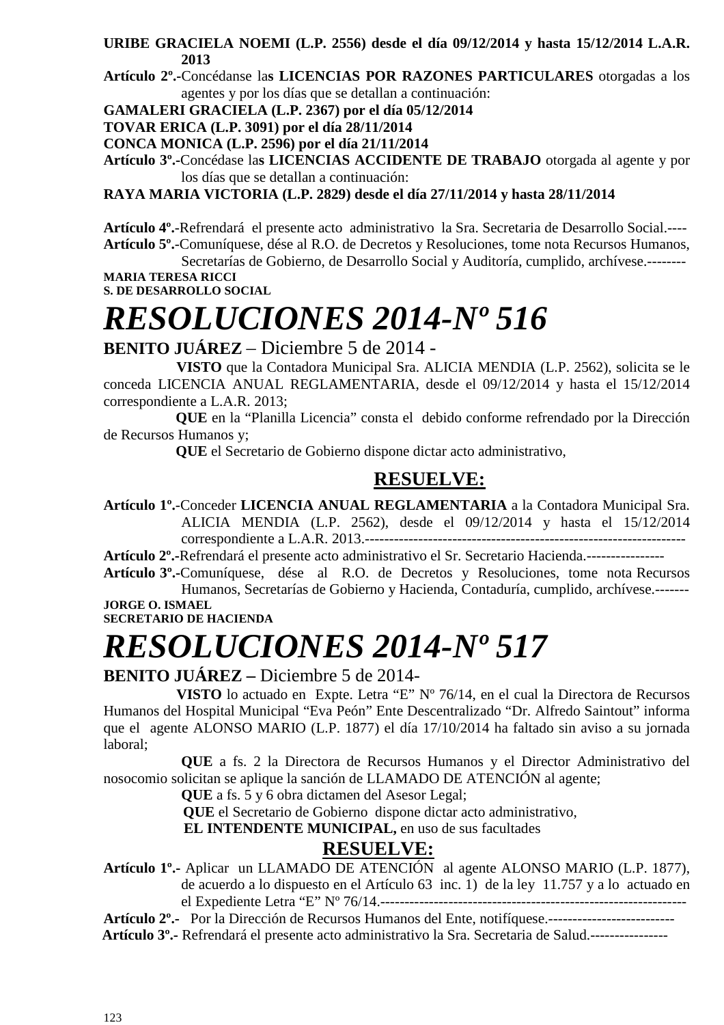**URIBE GRACIELA NOEMI (L.P. 2556) desde el día 09/12/2014 y hasta 15/12/2014 L.A.R. 2013** 

**Artículo 2º.-**Concédanse la**s LICENCIAS POR RAZONES PARTICULARES** otorgadas a los agentes y por los días que se detallan a continuación:

**GAMALERI GRACIELA (L.P. 2367) por el día 05/12/2014**

**TOVAR ERICA (L.P. 3091) por el día 28/11/2014** 

**CONCA MONICA (L.P. 2596) por el día 21/11/2014** 

**Artículo 3º.-**Concédase la**s LICENCIAS ACCIDENTE DE TRABAJO** otorgada al agente y por los días que se detallan a continuación:

**RAYA MARIA VICTORIA (L.P. 2829) desde el día 27/11/2014 y hasta 28/11/2014** 

**Artículo 4º.**-Refrendará el presente acto administrativo la Sra. Secretaria de Desarrollo Social.---- **Artículo 5º.**-Comuníquese, dése al R.O. de Decretos y Resoluciones, tome nota Recursos Humanos,

Secretarías de Gobierno, de Desarrollo Social y Auditoría, cumplido, archívese.-------- **MARIA TERESA RICCI** 

**S. DE DESARROLLO SOCIAL** 

# *RESOLUCIONES 2014-Nº 516*

#### **BENITO JUÁREZ** – Diciembre 5 de 2014 -

 **VISTO** que la Contadora Municipal Sra. ALICIA MENDIA (L.P. 2562), solicita se le conceda LICENCIA ANUAL REGLAMENTARIA, desde el 09/12/2014 y hasta el 15/12/2014 correspondiente a L.A.R. 2013;

 **QUE** en la "Planilla Licencia" consta el debido conforme refrendado por la Dirección de Recursos Humanos y;

 **QUE** el Secretario de Gobierno dispone dictar acto administrativo,

### **RESUELVE:**

**Artículo 1º.**-Conceder **LICENCIA ANUAL REGLAMENTARIA** a la Contadora Municipal Sra. ALICIA MENDIA (L.P. 2562), desde el 09/12/2014 y hasta el 15/12/2014 correspondiente a L.A.R. 2013.------------------------------------------------------------------

**Artículo 2º.-**Refrendará el presente acto administrativo el Sr. Secretario Hacienda.----------------

**Artículo 3º.-**Comuníquese, dése al R.O. de Decretos y Resoluciones, tome nota Recursos Humanos, Secretarías de Gobierno y Hacienda, Contaduría, cumplido, archívese.------- **JORGE O. ISMAEL** 

**SECRETARIO DE HACIENDA** 

# *RESOLUCIONES 2014-Nº 517*

#### **BENITO JUÁREZ –** Diciembre 5 de 2014-

 **VISTO** lo actuado en Expte. Letra "E" Nº 76/14, en el cual la Directora de Recursos Humanos del Hospital Municipal "Eva Peón" Ente Descentralizado "Dr. Alfredo Saintout" informa que el agente ALONSO MARIO (L.P. 1877) el día 17/10/2014 ha faltado sin aviso a su jornada laboral;

**QUE** a fs. 2 la Directora de Recursos Humanos y el Director Administrativo del nosocomio solicitan se aplique la sanción de LLAMADO DE ATENCIÓN al agente;

**QUE** a fs. 5 y 6 obra dictamen del Asesor Legal;

 **QUE** el Secretario de Gobierno dispone dictar acto administrativo,

 **EL INTENDENTE MUNICIPAL,** en uso de sus facultades

### **RESUELVE:**

**Artículo 1º.-** Aplicar un LLAMADO DE ATENCIÓN al agente ALONSO MARIO (L.P. 1877), de acuerdo a lo dispuesto en el Artículo 63 inc. 1) de la ley 11.757 y a lo actuado en el Expediente Letra "E" Nº 76/14.---------------------------------------------------------------

**Artículo 2º.-** Por la Dirección de Recursos Humanos del Ente, notifíquese.--------------------------  **Artículo 3º.-** Refrendará el presente acto administrativo la Sra. Secretaria de Salud.----------------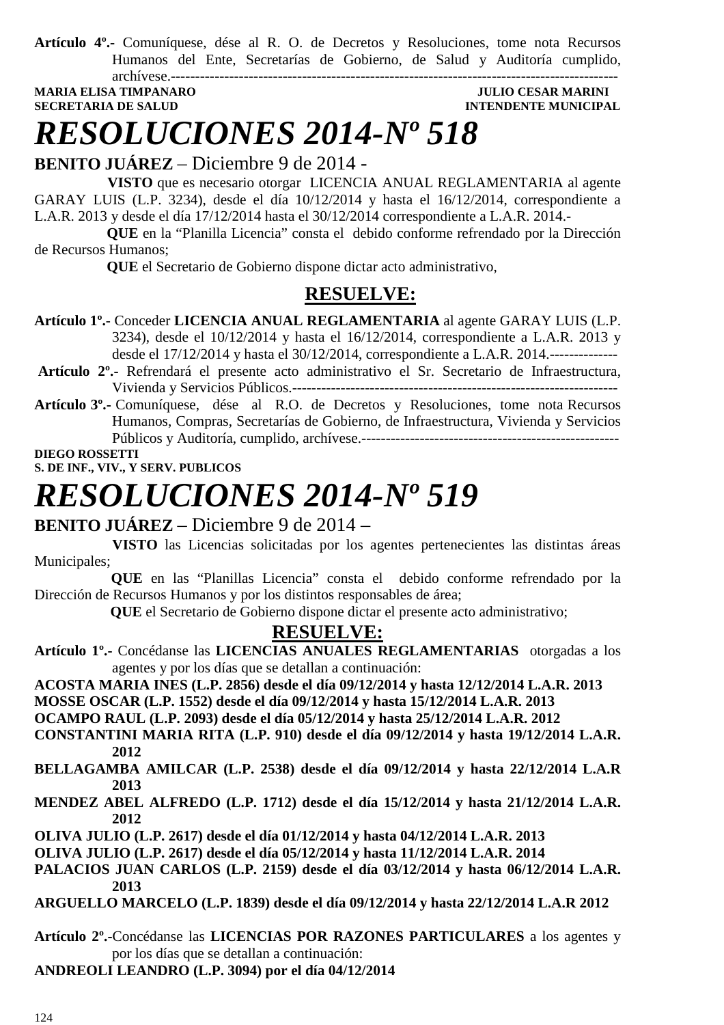**Artículo 4º.-** Comuníquese, dése al R. O. de Decretos y Resoluciones, tome nota Recursos Humanos del Ente, Secretarías de Gobierno, de Salud y Auditoría cumplido, archívese.--------------------------------------------------------------------------------------------

**MARIA ELISA TIMPANARO JULIO CESAR MARINI SECRETARIA DE SALUD INTENDENTE MUNICIPAL** 

### *RESOLUCIONES 2014-Nº 518*

**BENITO JUÁREZ** – Diciembre 9 de 2014 -

 **VISTO** que es necesario otorgar LICENCIA ANUAL REGLAMENTARIA al agente GARAY LUIS (L.P. 3234), desde el día 10/12/2014 y hasta el 16/12/2014, correspondiente a L.A.R. 2013 y desde el día 17/12/2014 hasta el 30/12/2014 correspondiente a L.A.R. 2014.-

 **QUE** en la "Planilla Licencia" consta el debido conforme refrendado por la Dirección de Recursos Humanos;

 **QUE** el Secretario de Gobierno dispone dictar acto administrativo,

### **RESUELVE:**

- **Artículo 1º.** Conceder **LICENCIA ANUAL REGLAMENTARIA** al agente GARAY LUIS (L.P. 3234), desde el 10/12/2014 y hasta el 16/12/2014, correspondiente a L.A.R. 2013 y desde el 17/12/2014 y hasta el 30/12/2014, correspondiente a L.A.R. 2014.--------------
- **Artículo 2º.-** Refrendará el presente acto administrativo el Sr. Secretario de Infraestructura, Vivienda y Servicios Públicos.-------------------------------------------------------------------
- **Artículo 3º.-** Comuníquese, dése al R.O. de Decretos y Resoluciones, tome nota Recursos Humanos, Compras, Secretarías de Gobierno, de Infraestructura, Vivienda y Servicios Públicos y Auditoría, cumplido, archívese.-----------------------------------------------------

**DIEGO ROSSETTI S. DE INF., VIV., Y SERV. PUBLICOS** 

### *RESOLUCIONES 2014-Nº 519*

#### **BENITO JUÁREZ** – Diciembre 9 de 2014 –

 **VISTO** las Licencias solicitadas por los agentes pertenecientes las distintas áreas Municipales;

 **QUE** en las "Planillas Licencia" consta el debido conforme refrendado por la Dirección de Recursos Humanos y por los distintos responsables de área;

 **QUE** el Secretario de Gobierno dispone dictar el presente acto administrativo;

#### **RESUELVE:**

- **Artículo 1º.-** Concédanse las **LICENCIAS ANUALES REGLAMENTARIAS** otorgadas a los agentes y por los días que se detallan a continuación:
- **ACOSTA MARIA INES (L.P. 2856) desde el día 09/12/2014 y hasta 12/12/2014 L.A.R. 2013**

**MOSSE OSCAR (L.P. 1552) desde el día 09/12/2014 y hasta 15/12/2014 L.A.R. 2013** 

**OCAMPO RAUL (L.P. 2093) desde el día 05/12/2014 y hasta 25/12/2014 L.A.R. 2012** 

- **CONSTANTINI MARIA RITA (L.P. 910) desde el día 09/12/2014 y hasta 19/12/2014 L.A.R. 2012**
- **BELLAGAMBA AMILCAR (L.P. 2538) desde el día 09/12/2014 y hasta 22/12/2014 L.A.R 2013**
- **MENDEZ ABEL ALFREDO (L.P. 1712) desde el día 15/12/2014 y hasta 21/12/2014 L.A.R. 2012**
- **OLIVA JULIO (L.P. 2617) desde el día 01/12/2014 y hasta 04/12/2014 L.A.R. 2013**
- **OLIVA JULIO (L.P. 2617) desde el día 05/12/2014 y hasta 11/12/2014 L.A.R. 2014**
- **PALACIOS JUAN CARLOS (L.P. 2159) desde el día 03/12/2014 y hasta 06/12/2014 L.A.R. 2013**
- **ARGUELLO MARCELO (L.P. 1839) desde el día 09/12/2014 y hasta 22/12/2014 L.A.R 2012**
- **Artículo 2º.-**Concédanse las **LICENCIAS POR RAZONES PARTICULARES** a los agentes y por los días que se detallan a continuación:
- **ANDREOLI LEANDRO (L.P. 3094) por el día 04/12/2014**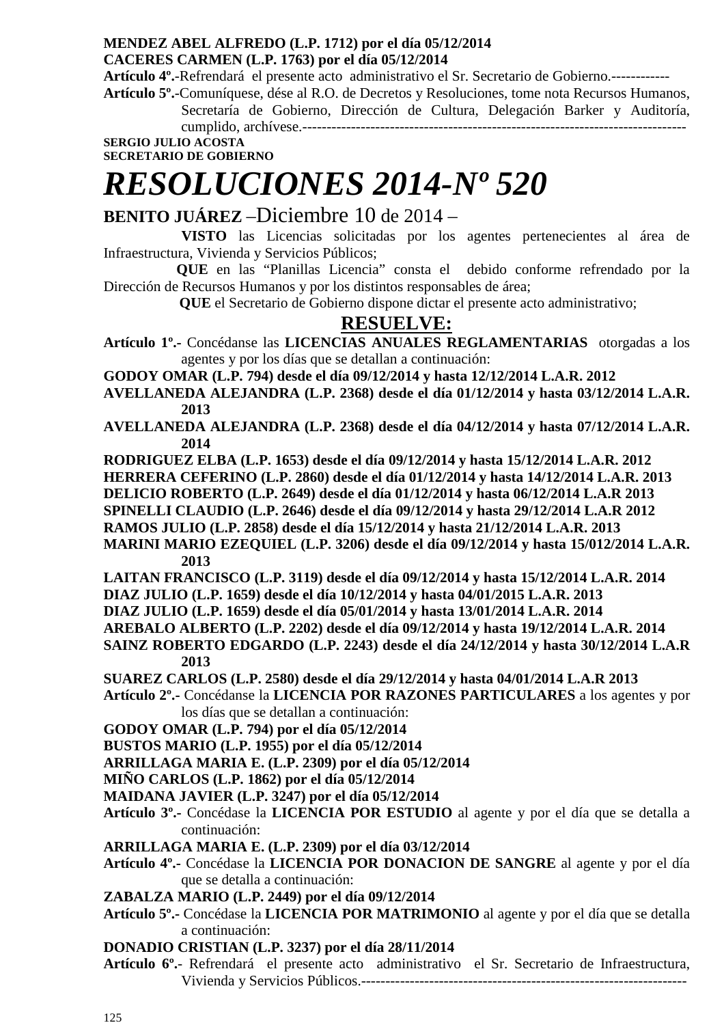#### **MENDEZ ABEL ALFREDO (L.P. 1712) por el día 05/12/2014 CACERES CARMEN (L.P. 1763) por el día 05/12/2014**

**Artículo 4º.**-Refrendará el presente acto administrativo el Sr. Secretario de Gobierno.------------

**Artículo 5º.**-Comuníquese, dése al R.O. de Decretos y Resoluciones, tome nota Recursos Humanos, Secretaría de Gobierno, Dirección de Cultura, Delegación Barker y Auditoría, cumplido, archívese.-------------------------------------------------------------------------------

**SERGIO JULIO ACOSTA** 

#### **SECRETARIO DE GOBIERNO**

# *RESOLUCIONES 2014-Nº 520*

### **BENITO JUÁREZ** –Diciembre 10 de 2014 –

 **VISTO** las Licencias solicitadas por los agentes pertenecientes al área de Infraestructura, Vivienda y Servicios Públicos;

 **QUE** en las "Planillas Licencia" consta el debido conforme refrendado por la Dirección de Recursos Humanos y por los distintos responsables de área;

 **QUE** el Secretario de Gobierno dispone dictar el presente acto administrativo;

#### **RESUELVE:**

**Artículo 1º.-** Concédanse las **LICENCIAS ANUALES REGLAMENTARIAS** otorgadas a los agentes y por los días que se detallan a continuación:

**GODOY OMAR (L.P. 794) desde el día 09/12/2014 y hasta 12/12/2014 L.A.R. 2012** 

- **AVELLANEDA ALEJANDRA (L.P. 2368) desde el día 01/12/2014 y hasta 03/12/2014 L.A.R. 2013**
- **AVELLANEDA ALEJANDRA (L.P. 2368) desde el día 04/12/2014 y hasta 07/12/2014 L.A.R. 2014**
- **RODRIGUEZ ELBA (L.P. 1653) desde el día 09/12/2014 y hasta 15/12/2014 L.A.R. 2012**
- **HERRERA CEFERINO (L.P. 2860) desde el día 01/12/2014 y hasta 14/12/2014 L.A.R. 2013**

**DELICIO ROBERTO (L.P. 2649) desde el día 01/12/2014 y hasta 06/12/2014 L.A.R 2013** 

**SPINELLI CLAUDIO (L.P. 2646) desde el día 09/12/2014 y hasta 29/12/2014 L.A.R 2012** 

**RAMOS JULIO (L.P. 2858) desde el día 15/12/2014 y hasta 21/12/2014 L.A.R. 2013** 

- **MARINI MARIO EZEQUIEL (L.P. 3206) desde el día 09/12/2014 y hasta 15/012/2014 L.A.R. 2013**
- **LAITAN FRANCISCO (L.P. 3119) desde el día 09/12/2014 y hasta 15/12/2014 L.A.R. 2014**

**DIAZ JULIO (L.P. 1659) desde el día 10/12/2014 y hasta 04/01/2015 L.A.R. 2013** 

- **DIAZ JULIO (L.P. 1659) desde el día 05/01/2014 y hasta 13/01/2014 L.A.R. 2014**
- **AREBALO ALBERTO (L.P. 2202) desde el día 09/12/2014 y hasta 19/12/2014 L.A.R. 2014**
- **SAINZ ROBERTO EDGARDO (L.P. 2243) desde el día 24/12/2014 y hasta 30/12/2014 L.A.R 2013**
- **SUAREZ CARLOS (L.P. 2580) desde el día 29/12/2014 y hasta 04/01/2014 L.A.R 2013**
- **Artículo 2º.-** Concédanse la **LICENCIA POR RAZONES PARTICULARES** a los agentes y por los días que se detallan a continuación:

**GODOY OMAR (L.P. 794) por el día 05/12/2014** 

**BUSTOS MARIO (L.P. 1955) por el día 05/12/2014** 

**ARRILLAGA MARIA E. (L.P. 2309) por el día 05/12/2014** 

**MIÑO CARLOS (L.P. 1862) por el día 05/12/2014** 

**MAIDANA JAVIER (L.P. 3247) por el día 05/12/2014** 

**Artículo 3º.-** Concédase la **LICENCIA POR ESTUDIO** al agente y por el día que se detalla a continuación:

**ARRILLAGA MARIA E. (L.P. 2309) por el día 03/12/2014** 

**Artículo 4º.-** Concédase la **LICENCIA POR DONACION DE SANGRE** al agente y por el día que se detalla a continuación:

**ZABALZA MARIO (L.P. 2449) por el día 09/12/2014** 

- **Artículo 5º.-** Concédase la **LICENCIA POR MATRIMONIO** al agente y por el día que se detalla a continuación:
- **DONADIO CRISTIAN (L.P. 3237) por el día 28/11/2014**
- **Artículo 6º.** Refrendará el presente acto administrativo el Sr. Secretario de Infraestructura, Vivienda y Servicios Públicos.-------------------------------------------------------------------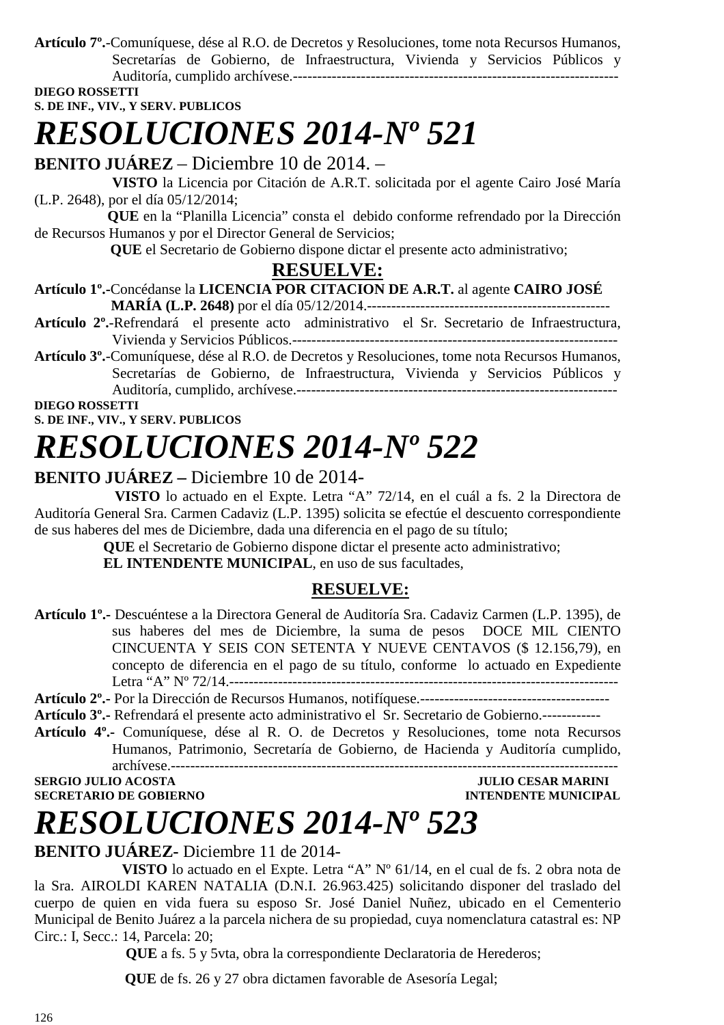**Artículo 7º.**-Comuníquese, dése al R.O. de Decretos y Resoluciones, tome nota Recursos Humanos, Secretarías de Gobierno, de Infraestructura, Vivienda y Servicios Públicos y Auditoría, cumplido archívese.-------------------------------------------------------------------

**DIEGO ROSSETTI** 

#### **S. DE INF., VIV., Y SERV. PUBLICOS**

# *RESOLUCIONES 2014-Nº 521*

**BENITO JUÁREZ** – Diciembre 10 de 2014. –

 **VISTO** la Licencia por Citación de A.R.T. solicitada por el agente Cairo José María (L.P. 2648), por el día 05/12/2014;

 **QUE** en la "Planilla Licencia" consta el debido conforme refrendado por la Dirección de Recursos Humanos y por el Director General de Servicios;

 **QUE** el Secretario de Gobierno dispone dictar el presente acto administrativo;

#### **RESUELVE:**

**Artículo 1º.-**Concédanse la **LICENCIA POR CITACION DE A.R.T.** al agente **CAIRO JOSÉ** 

- **MARÍA (L.P. 2648)** por el día 05/12/2014.-------------------------------------------------- **Artículo 2º.**-Refrendará el presente acto administrativo el Sr. Secretario de Infraestructura, Vivienda y Servicios Públicos.-------------------------------------------------------------------
- **Artículo 3º.**-Comuníquese, dése al R.O. de Decretos y Resoluciones, tome nota Recursos Humanos, Secretarías de Gobierno, de Infraestructura, Vivienda y Servicios Públicos y Auditoría, cumplido, archívese.------------------------------------------------------------------

**DIEGO ROSSETTI S. DE INF., VIV., Y SERV. PUBLICOS** 

# *RESOLUCIONES 2014-Nº 522*

### **BENITO JUÁREZ –** Diciembre 10 de 2014-

 **VISTO** lo actuado en el Expte. Letra "A" 72/14, en el cuál a fs. 2 la Directora de Auditoría General Sra. Carmen Cadaviz (L.P. 1395) solicita se efectúe el descuento correspondiente de sus haberes del mes de Diciembre, dada una diferencia en el pago de su título;

**QUE** el Secretario de Gobierno dispone dictar el presente acto administrativo;

**EL INTENDENTE MUNICIPAL**, en uso de sus facultades,

#### **RESUELVE:**

- **Artículo 1º.-** Descuéntese a la Directora General de Auditoría Sra. Cadaviz Carmen (L.P. 1395), de sus haberes del mes de Diciembre, la suma de pesos DOCE MIL CIENTO CINCUENTA Y SEIS CON SETENTA Y NUEVE CENTAVOS (\$ 12.156,79), en concepto de diferencia en el pago de su título, conforme lo actuado en Expediente Letra "A" Nº 72/14.--------------------------------------------------------------------------------
- **Artículo 2º.-** Por la Dirección de Recursos Humanos, notifíquese.---------------------------------------
- **Artículo 3º.-** Refrendará el presente acto administrativo el Sr. Secretario de Gobierno.------------
- **Artículo 4º.-** Comuníquese, dése al R. O. de Decretos y Resoluciones, tome nota Recursos Humanos, Patrimonio, Secretaría de Gobierno, de Hacienda y Auditoría cumplido, archívese.--------------------------------------------------------------------------------------------

**SERGIO JULIO ACOSTA JULIO CESAR MARINI SECRETARIO DE GOBIERNO INTENDENTE MUNICIPAL** 

# *RESOLUCIONES 2014-Nº 523*

#### **BENITO JUÁREZ-** Diciembre 11 de 2014-

 **VISTO** lo actuado en el Expte. Letra "A" Nº 61/14, en el cual de fs. 2 obra nota de la Sra. AIROLDI KAREN NATALIA (D.N.I. 26.963.425) solicitando disponer del traslado del cuerpo de quien en vida fuera su esposo Sr. José Daniel Nuñez, ubicado en el Cementerio Municipal de Benito Juárez a la parcela nichera de su propiedad, cuya nomenclatura catastral es: NP Circ.: I, Secc.: 14, Parcela: 20;

**QUE** a fs. 5 y 5vta, obra la correspondiente Declaratoria de Herederos;

**QUE** de fs. 26 y 27 obra dictamen favorable de Asesoría Legal;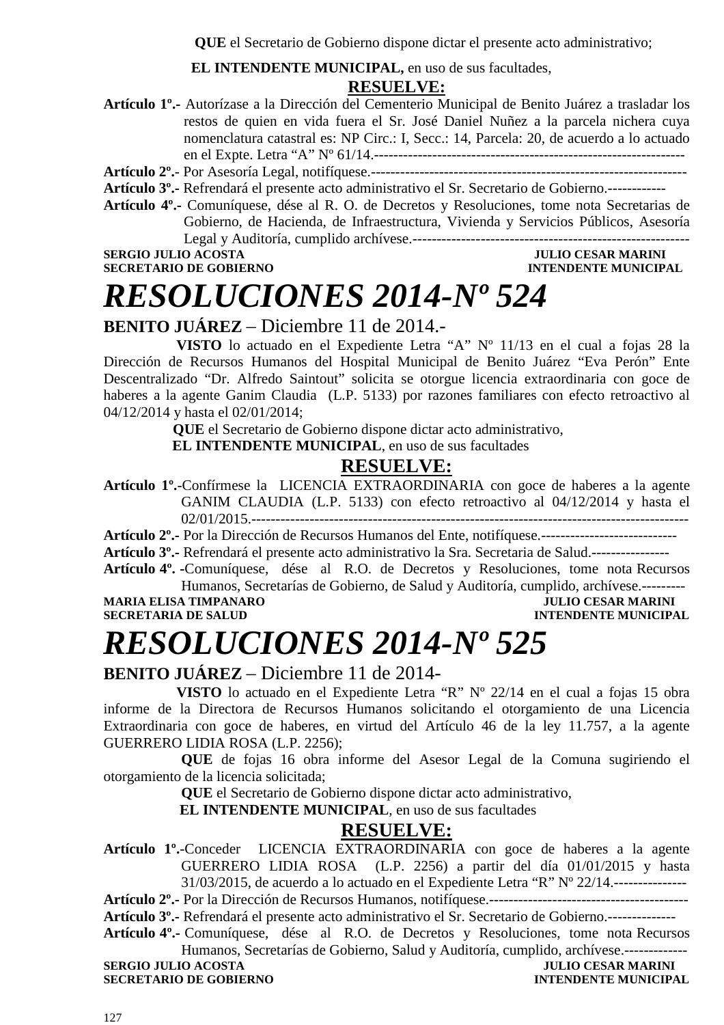**QUE** el Secretario de Gobierno dispone dictar el presente acto administrativo;

 **EL INTENDENTE MUNICIPAL,** en uso de sus facultades,

#### **RESUELVE:**

**Artículo 1º.-** Autorízase a la Dirección del Cementerio Municipal de Benito Juárez a trasladar los restos de quien en vida fuera el Sr. José Daniel Nuñez a la parcela nichera cuya nomenclatura catastral es: NP Circ.: I, Secc.: 14, Parcela: 20, de acuerdo a lo actuado en el Expte. Letra "A" Nº 61/14.----------------------------------------------------------------

**Artículo 2º.**- Por Asesoría Legal, notifíquese.-----------------------------------------------------------------

- **Artículo 3º.-** Refrendará el presente acto administrativo el Sr. Secretario de Gobierno.------------
- **Artículo 4º.-** Comuníquese, dése al R. O. de Decretos y Resoluciones, tome nota Secretarias de Gobierno, de Hacienda, de Infraestructura, Vivienda y Servicios Públicos, Asesoría Legal y Auditoría, cumplido archívese.---------------------------------------------------------

### **SERGIO JULIO ACOSTA JULIO CESAR MARINI SECRETARIO DE GOBIERNO DE SOBIERO DE SOBIERO DE SOBIERO DE SOBIERO DE SOBIERO DE SOBIERO DE SOBIERO DE SOBIERO DE SOBIERO DE SOBIERO DE SOBIERO DE SOBIERO DE SOBIERO DE SOBIERO DE SO**

### **INTENDENTE MUNICIPAL**

*RESOLUCIONES 2014-Nº 524* 

#### **BENITO JUÁREZ** – Diciembre 11 de 2014.-

 **VISTO** lo actuado en el Expediente Letra "A" Nº 11/13 en el cual a fojas 28 la Dirección de Recursos Humanos del Hospital Municipal de Benito Juárez "Eva Perón" Ente Descentralizado "Dr. Alfredo Saintout" solicita se otorgue licencia extraordinaria con goce de haberes a la agente Ganim Claudia (L.P. 5133) por razones familiares con efecto retroactivo al 04/12/2014 y hasta el 02/01/2014;

 **QUE** el Secretario de Gobierno dispone dictar acto administrativo,

**EL INTENDENTE MUNICIPAL**, en uso de sus facultades

#### **RESUELVE:**

**Artículo 1º.**-Confírmese la LICENCIA EXTRAORDINARIA con goce de haberes a la agente GANIM CLAUDIA (L.P. 5133) con efecto retroactivo al 04/12/2014 y hasta el 02/01/2015.------------------------------------------------------------------------------------------

**Artículo 2º.-** Por la Dirección de Recursos Humanos del Ente, notifíquese.----------------------------

**Artículo 3º.-** Refrendará el presente acto administrativo la Sra. Secretaria de Salud.----------------

**Artículo 4º. -**Comuníquese, dése al R.O. de Decretos y Resoluciones, tome nota Recursos Humanos, Secretarías de Gobierno, de Salud y Auditoría, cumplido, archívese.---------

**MARIA ELISA TIMPANARO JULIO CESAR MARINI SECRETARIA DE SALUD INTENDENTE MUNICIPAL** 

# *RESOLUCIONES 2014-Nº 525*

**BENITO JUÁREZ** – Diciembre 11 de 2014-

 **VISTO** lo actuado en el Expediente Letra "R" Nº 22/14 en el cual a fojas 15 obra informe de la Directora de Recursos Humanos solicitando el otorgamiento de una Licencia Extraordinaria con goce de haberes, en virtud del Artículo 46 de la ley 11.757, a la agente GUERRERO LIDIA ROSA (L.P. 2256);

**QUE** de fojas 16 obra informe del Asesor Legal de la Comuna sugiriendo el otorgamiento de la licencia solicitada;

**QUE** el Secretario de Gobierno dispone dictar acto administrativo,

 **EL INTENDENTE MUNICIPAL**, en uso de sus facultades

#### **RESUELVE:**

**Artículo 1º.**-Conceder LICENCIA EXTRAORDINARIA con goce de haberes a la agente GUERRERO LIDIA ROSA (L.P. 2256) a partir del día 01/01/2015 y hasta 31/03/2015, de acuerdo a lo actuado en el Expediente Letra "R" Nº 22/14.---------------

**Artículo 2º.-** Por la Dirección de Recursos Humanos, notifíquese.-----------------------------------------

**Artículo 3º.-** Refrendará el presente acto administrativo el Sr. Secretario de Gobierno.--------------

**Artículo 4º.-** Comuníquese, dése al R.O. de Decretos y Resoluciones, tome nota Recursos Humanos, Secretarías de Gobierno, Salud y Auditoría, cumplido, archívese.-------------

**SERGIO JULIO ACOSTA SECRETARIO DE GOBIERNO INTENDENTE MUNICIPAL**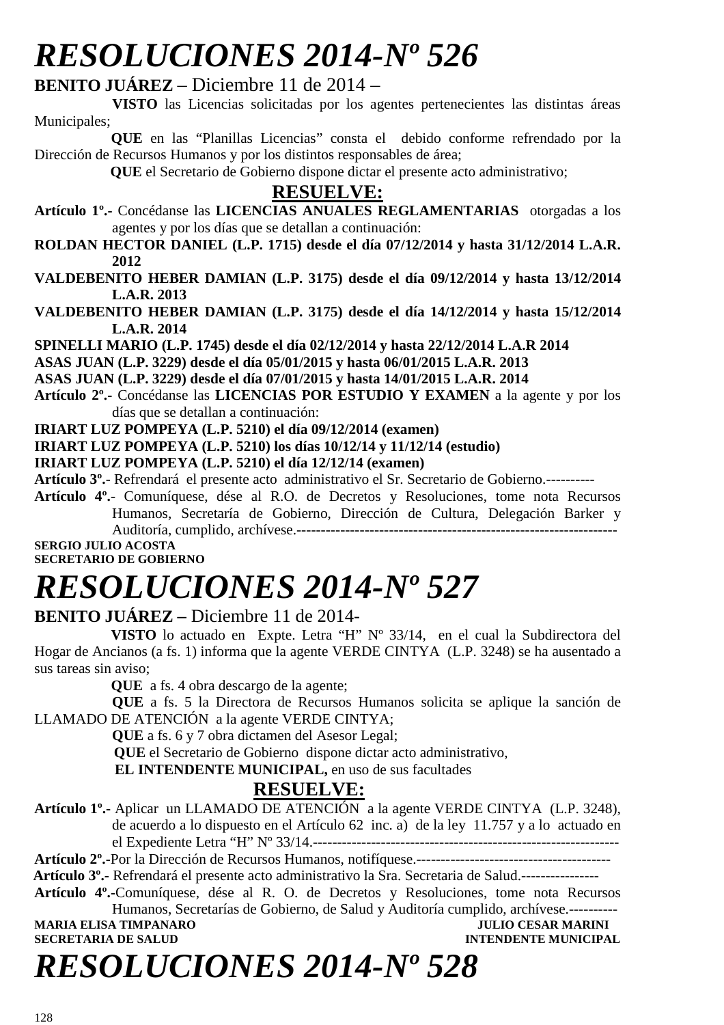# *RESOLUCIONES 2014-Nº 526*

**BENITO JUÁREZ** – Diciembre 11 de 2014 –

 **VISTO** las Licencias solicitadas por los agentes pertenecientes las distintas áreas Municipales;

 **QUE** en las "Planillas Licencias" consta el debido conforme refrendado por la Dirección de Recursos Humanos y por los distintos responsables de área;

 **QUE** el Secretario de Gobierno dispone dictar el presente acto administrativo;

### **RESUELVE:**

- **Artículo 1º.-** Concédanse las **LICENCIAS ANUALES REGLAMENTARIAS** otorgadas a los agentes y por los días que se detallan a continuación:
- **ROLDAN HECTOR DANIEL (L.P. 1715) desde el día 07/12/2014 y hasta 31/12/2014 L.A.R. 2012**
- **VALDEBENITO HEBER DAMIAN (L.P. 3175) desde el día 09/12/2014 y hasta 13/12/2014 L.A.R. 2013**
- **VALDEBENITO HEBER DAMIAN (L.P. 3175) desde el día 14/12/2014 y hasta 15/12/2014 L.A.R. 2014**
- **SPINELLI MARIO (L.P. 1745) desde el día 02/12/2014 y hasta 22/12/2014 L.A.R 2014**

**ASAS JUAN (L.P. 3229) desde el día 05/01/2015 y hasta 06/01/2015 L.A.R. 2013** 

**ASAS JUAN (L.P. 3229) desde el día 07/01/2015 y hasta 14/01/2015 L.A.R. 2014** 

**Artículo 2º.-** Concédanse las **LICENCIAS POR ESTUDIO Y EXAMEN** a la agente y por los días que se detallan a continuación:

**IRIART LUZ POMPEYA (L.P. 5210) el día 09/12/2014 (examen)**

**IRIART LUZ POMPEYA (L.P. 5210) los días 10/12/14 y 11/12/14 (estudio)** 

**IRIART LUZ POMPEYA (L.P. 5210) el día 12/12/14 (examen)** 

**Artículo 3º.**- Refrendará el presente acto administrativo el Sr. Secretario de Gobierno.----------

**Artículo 4º.**- Comuníquese, dése al R.O. de Decretos y Resoluciones, tome nota Recursos Humanos, Secretaría de Gobierno, Dirección de Cultura, Delegación Barker y Auditoría, cumplido, archívese.------------------------------------------------------------------

**SERGIO JULIO ACOSTA SECRETARIO DE GOBIERNO** 

# *RESOLUCIONES 2014-Nº 527*

**BENITO JUÁREZ –** Diciembre 11 de 2014-

 **VISTO** lo actuado en Expte. Letra "H" Nº 33/14, en el cual la Subdirectora del Hogar de Ancianos (a fs. 1) informa que la agente VERDE CINTYA (L.P. 3248) se ha ausentado a sus tareas sin aviso;

**QUE** a fs. 4 obra descargo de la agente;

**QUE** a fs. 5 la Directora de Recursos Humanos solicita se aplique la sanción de LLAMADO DE ATENCIÓN a la agente VERDE CINTYA;

**QUE** a fs. 6 y 7 obra dictamen del Asesor Legal;

 **QUE** el Secretario de Gobierno dispone dictar acto administrativo,

 **EL INTENDENTE MUNICIPAL,** en uso de sus facultades

### **RESUELVE:**

**Artículo 1º.-** Aplicar un LLAMADO DE ATENCIÓN a la agente VERDE CINTYA (L.P. 3248), de acuerdo a lo dispuesto en el Artículo 62 inc. a) de la ley 11.757 y a lo actuado en el Expediente Letra "H" Nº 33/14.---------------------------------------------------------------

**Artículo 2º.-**Por la Dirección de Recursos Humanos, notifíquese.----------------------------------------

 **Artículo 3º.-** Refrendará el presente acto administrativo la Sra. Secretaria de Salud.----------------

**Artículo 4º.-**Comuníquese, dése al R. O. de Decretos y Resoluciones, tome nota Recursos

Humanos, Secretarías de Gobierno, de Salud y Auditoría cumplido, archívese.----------<br>A TIMPANARO ULIO CESAR MARINI **MARIA ELISA TIMPANARO<br>SECRETARIA DE SALUD INTENDENTE MUNICIPAL** 

# *RESOLUCIONES 2014-Nº 528*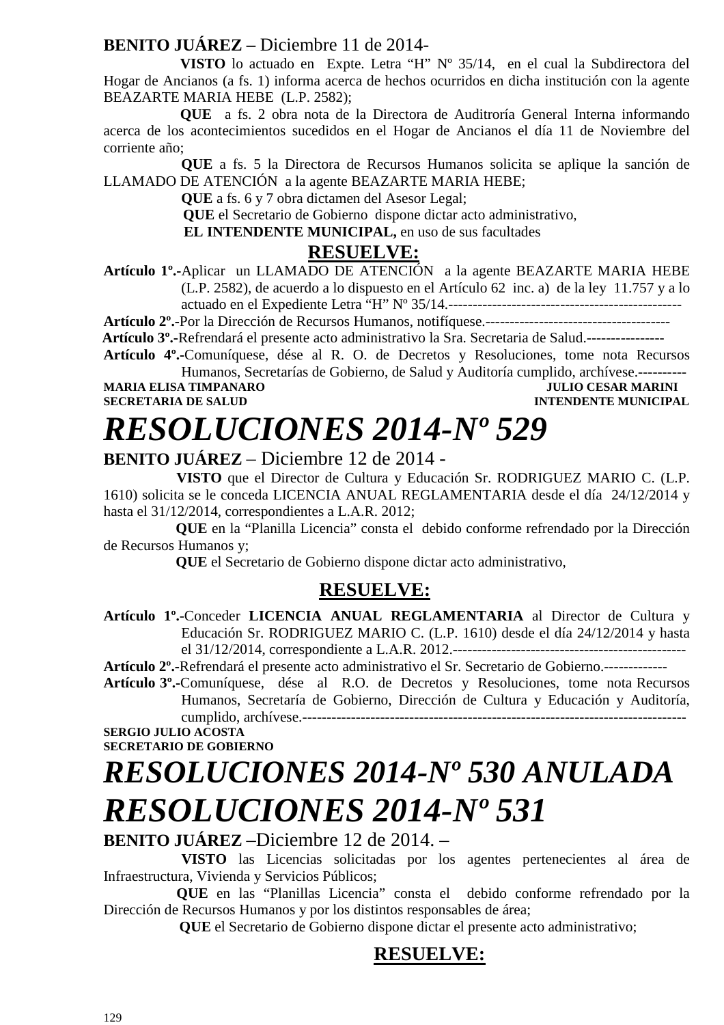#### **BENITO JUÁREZ –** Diciembre 11 de 2014-

 **VISTO** lo actuado en Expte. Letra "H" Nº 35/14, en el cual la Subdirectora del Hogar de Ancianos (a fs. 1) informa acerca de hechos ocurridos en dicha institución con la agente BEAZARTE MARIA HEBE (L.P. 2582);

 **QUE** a fs. 2 obra nota de la Directora de Auditroría General Interna informando acerca de los acontecimientos sucedidos en el Hogar de Ancianos el día 11 de Noviembre del corriente año;

**QUE** a fs. 5 la Directora de Recursos Humanos solicita se aplique la sanción de LLAMADO DE ATENCIÓN a la agente BEAZARTE MARIA HEBE;

**QUE** a fs. 6 y 7 obra dictamen del Asesor Legal;

 **QUE** el Secretario de Gobierno dispone dictar acto administrativo,

 **EL INTENDENTE MUNICIPAL,** en uso de sus facultades

#### **RESUELVE:**

**Artículo 1º.-**Aplicar un LLAMADO DE ATENCIÓN a la agente BEAZARTE MARIA HEBE (L.P. 2582), de acuerdo a lo dispuesto en el Artículo 62 inc. a) de la ley 11.757 y a lo actuado en el Expediente Letra "H" Nº 35/14.------------------------------------------------

**Artículo 2º.-**Por la Dirección de Recursos Humanos, notifíquese.--------------------------------------

 **Artículo 3º.-**Refrendará el presente acto administrativo la Sra. Secretaria de Salud.----------------

**Artículo 4º.-**Comuníquese, dése al R. O. de Decretos y Resoluciones, tome nota Recursos Humanos, Secretarías de Gobierno, de Salud y Auditoría cumplido, archívese.----------

**MARIA ELISA TIMPANARO JULIO CESAR MARINI SECRETARIA DE SALUD INTENDENTE MUNICIPAL** 

# *RESOLUCIONES 2014-Nº 529*

**BENITO JUÁREZ** – Diciembre 12 de 2014 -

 **VISTO** que el Director de Cultura y Educación Sr. RODRIGUEZ MARIO C. (L.P. 1610) solicita se le conceda LICENCIA ANUAL REGLAMENTARIA desde el día 24/12/2014 y hasta el 31/12/2014, correspondientes a L.A.R. 2012;

 **QUE** en la "Planilla Licencia" consta el debido conforme refrendado por la Dirección de Recursos Humanos y;

 **QUE** el Secretario de Gobierno dispone dictar acto administrativo,

### **RESUELVE:**

**Artículo 1º.**-Conceder **LICENCIA ANUAL REGLAMENTARIA** al Director de Cultura y Educación Sr. RODRIGUEZ MARIO C. (L.P. 1610) desde el día 24/12/2014 y hasta el 31/12/2014, correspondiente a L.A.R. 2012.------------------------------------------------

**Artículo 2º.-**Refrendará el presente acto administrativo el Sr. Secretario de Gobierno.-------------

**Artículo 3º.-**Comuníquese, dése al R.O. de Decretos y Resoluciones, tome nota Recursos Humanos, Secretaría de Gobierno, Dirección de Cultura y Educación y Auditoría, cumplido, archívese.-------------------------------------------------------------------------------

**SERGIO JULIO ACOSTA SECRETARIO DE GOBIERNO**

# *RESOLUCIONES 2014-Nº 530 ANULADA RESOLUCIONES 2014-Nº 531*

**BENITO JUÁREZ** –Diciembre 12 de 2014. –

 **VISTO** las Licencias solicitadas por los agentes pertenecientes al área de Infraestructura, Vivienda y Servicios Públicos;

 **QUE** en las "Planillas Licencia" consta el debido conforme refrendado por la Dirección de Recursos Humanos y por los distintos responsables de área;

 **QUE** el Secretario de Gobierno dispone dictar el presente acto administrativo;

### **RESUELVE:**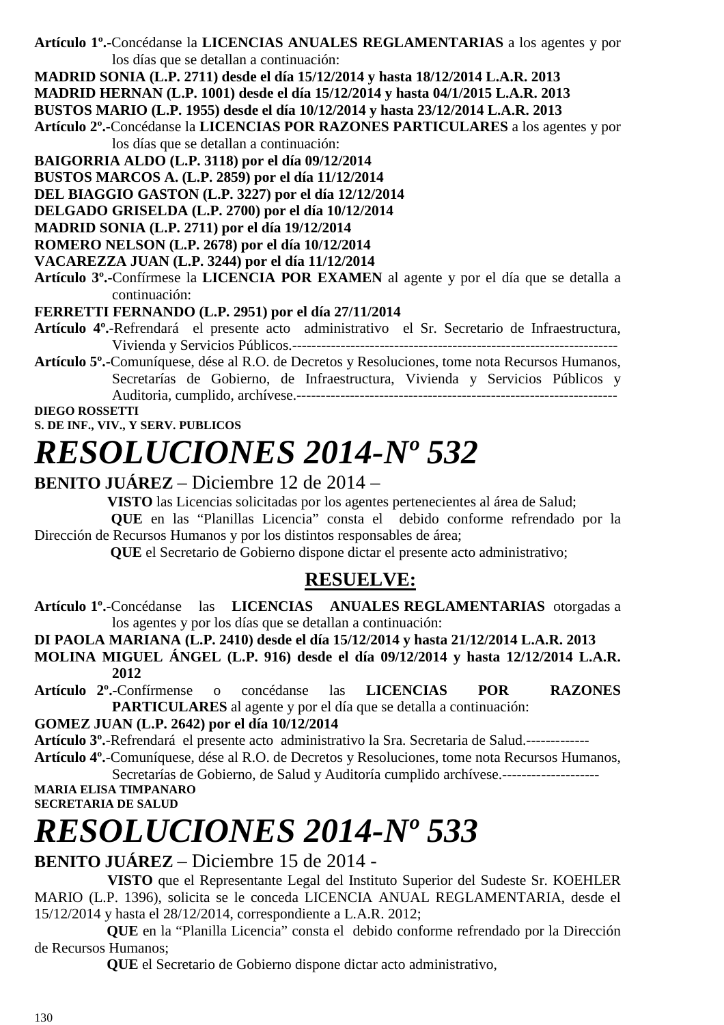**Artículo 1º.-**Concédanse la **LICENCIAS ANUALES REGLAMENTARIAS** a los agentes y por los días que se detallan a continuación:

**MADRID SONIA (L.P. 2711) desde el día 15/12/2014 y hasta 18/12/2014 L.A.R. 2013** 

**MADRID HERNAN (L.P. 1001) desde el día 15/12/2014 y hasta 04/1/2015 L.A.R. 2013** 

**BUSTOS MARIO (L.P. 1955) desde el día 10/12/2014 y hasta 23/12/2014 L.A.R. 2013** 

- **Artículo 2º.-**Concédanse la **LICENCIAS POR RAZONES PARTICULARES** a los agentes y por los días que se detallan a continuación:
- **BAIGORRIA ALDO (L.P. 3118) por el día 09/12/2014**
- **BUSTOS MARCOS A. (L.P. 2859) por el día 11/12/2014**
- **DEL BIAGGIO GASTON (L.P. 3227) por el día 12/12/2014**
- **DELGADO GRISELDA (L.P. 2700) por el día 10/12/2014**
- **MADRID SONIA (L.P. 2711) por el día 19/12/2014**

**ROMERO NELSON (L.P. 2678) por el día 10/12/2014** 

**VACAREZZA JUAN (L.P. 3244) por el día 11/12/2014** 

**Artículo 3º.-**Confírmese la **LICENCIA POR EXAMEN** al agente y por el día que se detalla a continuación:

#### **FERRETTI FERNANDO (L.P. 2951) por el día 27/11/2014**

- **Artículo 4º.**-Refrendará el presente acto administrativo el Sr. Secretario de Infraestructura, Vivienda y Servicios Públicos.-------------------------------------------------------------------
- **Artículo 5º.**-Comuníquese, dése al R.O. de Decretos y Resoluciones, tome nota Recursos Humanos, Secretarías de Gobierno, de Infraestructura, Vivienda y Servicios Públicos y Auditoria, cumplido, archívese.------------------------------------------------------------------

**DIEGO ROSSETTI S. DE INF., VIV., Y SERV. PUBLICOS** 

# *RESOLUCIONES 2014-Nº 532*

#### **BENITO JUÁREZ** – Diciembre 12 de 2014 –

**VISTO** las Licencias solicitadas por los agentes pertenecientes al área de Salud;

 **QUE** en las "Planillas Licencia" consta el debido conforme refrendado por la Dirección de Recursos Humanos y por los distintos responsables de área;

 **QUE** el Secretario de Gobierno dispone dictar el presente acto administrativo;

### **RESUELVE:**

**Artículo 1º.-**Concédanse las **LICENCIAS ANUALES REGLAMENTARIAS** otorgadas a los agentes y por los días que se detallan a continuación:

**DI PAOLA MARIANA (L.P. 2410) desde el día 15/12/2014 y hasta 21/12/2014 L.A.R. 2013 MOLINA MIGUEL ÁNGEL (L.P. 916) desde el día 09/12/2014 y hasta 12/12/2014 L.A.R. 2012** 

**Artículo 2º.-**Confírmense o concédanse las **LICENCIAS POR RAZONES PARTICULARES** al agente y por el día que se detalla a continuación:

#### **GOMEZ JUAN (L.P. 2642) por el día 10/12/2014**

**Artículo 3º.**-Refrendará el presente acto administrativo la Sra. Secretaria de Salud.-------------

**Artículo 4º.**-Comuníquese, dése al R.O. de Decretos y Resoluciones, tome nota Recursos Humanos, Secretarías de Gobierno, de Salud y Auditoría cumplido archívese.--------------------

**MARIA ELISA TIMPANARO SECRETARIA DE SALUD** 

# *RESOLUCIONES 2014-Nº 533*

**BENITO JUÁREZ** – Diciembre 15 de 2014 -

 **VISTO** que el Representante Legal del Instituto Superior del Sudeste Sr. KOEHLER MARIO (L.P. 1396), solicita se le conceda LICENCIA ANUAL REGLAMENTARIA, desde el 15/12/2014 y hasta el 28/12/2014, correspondiente a L.A.R. 2012;

 **QUE** en la "Planilla Licencia" consta el debido conforme refrendado por la Dirección de Recursos Humanos;

 **QUE** el Secretario de Gobierno dispone dictar acto administrativo,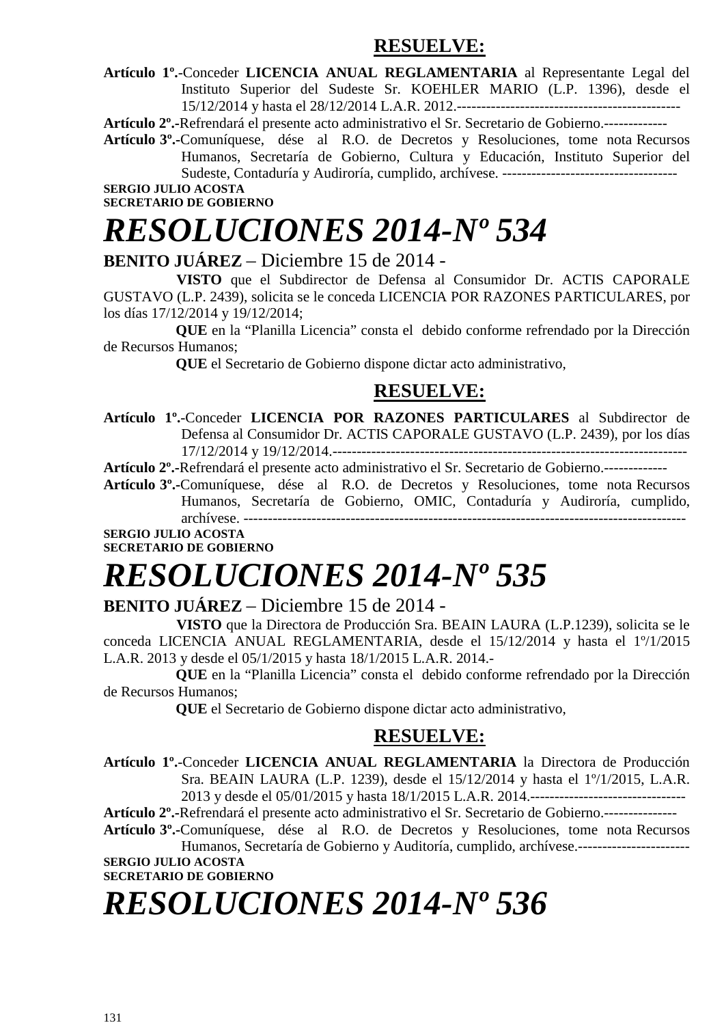#### **RESUELVE:**

**Artículo 1º.**-Conceder **LICENCIA ANUAL REGLAMENTARIA** al Representante Legal del Instituto Superior del Sudeste Sr. KOEHLER MARIO (L.P. 1396), desde el 15/12/2014 y hasta el 28/12/2014 L.A.R. 2012.----------------------------------------------

**Artículo 2º.-**Refrendará el presente acto administrativo el Sr. Secretario de Gobierno.-------------

**Artículo 3º.-**Comuníquese, dése al R.O. de Decretos y Resoluciones, tome nota Recursos Humanos, Secretaría de Gobierno, Cultura y Educación, Instituto Superior del Sudeste, Contaduría y Audiroría, cumplido, archívese. ------------------------------------

#### **SERGIO JULIO ACOSTA SECRETARIO DE GOBIERNO**

# *RESOLUCIONES 2014-Nº 534*

#### **BENITO JUÁREZ** – Diciembre 15 de 2014 -

 **VISTO** que el Subdirector de Defensa al Consumidor Dr. ACTIS CAPORALE GUSTAVO (L.P. 2439), solicita se le conceda LICENCIA POR RAZONES PARTICULARES, por los días 17/12/2014 y 19/12/2014;

 **QUE** en la "Planilla Licencia" consta el debido conforme refrendado por la Dirección de Recursos Humanos;

 **QUE** el Secretario de Gobierno dispone dictar acto administrativo,

#### **RESUELVE:**

**Artículo 1º.**-Conceder **LICENCIA POR RAZONES PARTICULARES** al Subdirector de Defensa al Consumidor Dr. ACTIS CAPORALE GUSTAVO (L.P. 2439), por los días 17/12/2014 y 19/12/2014.-------------------------------------------------------------------------

**Artículo 2º.-**Refrendará el presente acto administrativo el Sr. Secretario de Gobierno.-------------

**Artículo 3º.-**Comuníquese, dése al R.O. de Decretos y Resoluciones, tome nota Recursos Humanos, Secretaría de Gobierno, OMIC, Contaduría y Audiroría, cumplido, archívese. -------------------------------------------------------------------------------------------

#### **SERGIO JULIO ACOSTA SECRETARIO DE GOBIERNO**

# *RESOLUCIONES 2014-Nº 535*

#### **BENITO JUÁREZ** – Diciembre 15 de 2014 -

 **VISTO** que la Directora de Producción Sra. BEAIN LAURA (L.P.1239), solicita se le conceda LICENCIA ANUAL REGLAMENTARIA, desde el 15/12/2014 y hasta el 1º/1/2015 L.A.R. 2013 y desde el 05/1/2015 y hasta 18/1/2015 L.A.R. 2014.-

 **QUE** en la "Planilla Licencia" consta el debido conforme refrendado por la Dirección de Recursos Humanos;

 **QUE** el Secretario de Gobierno dispone dictar acto administrativo,

#### **RESUELVE:**

**Artículo 1º.**-Conceder **LICENCIA ANUAL REGLAMENTARIA** la Directora de Producción Sra. BEAIN LAURA (L.P. 1239), desde el 15/12/2014 y hasta el 1º/1/2015, L.A.R. 2013 y desde el 05/01/2015 y hasta 18/1/2015 L.A.R. 2014.--------------------------------

**Artículo 2º.-**Refrendará el presente acto administrativo el Sr. Secretario de Gobierno.---------------

**Artículo 3º.-**Comuníquese, dése al R.O. de Decretos y Resoluciones, tome nota Recursos Humanos, Secretaría de Gobierno y Auditoría, cumplido, archívese.----------------------- **SERGIO JULIO ACOSTA** 

**SECRETARIO DE GOBIERNO** 

# *RESOLUCIONES 2014-Nº 536*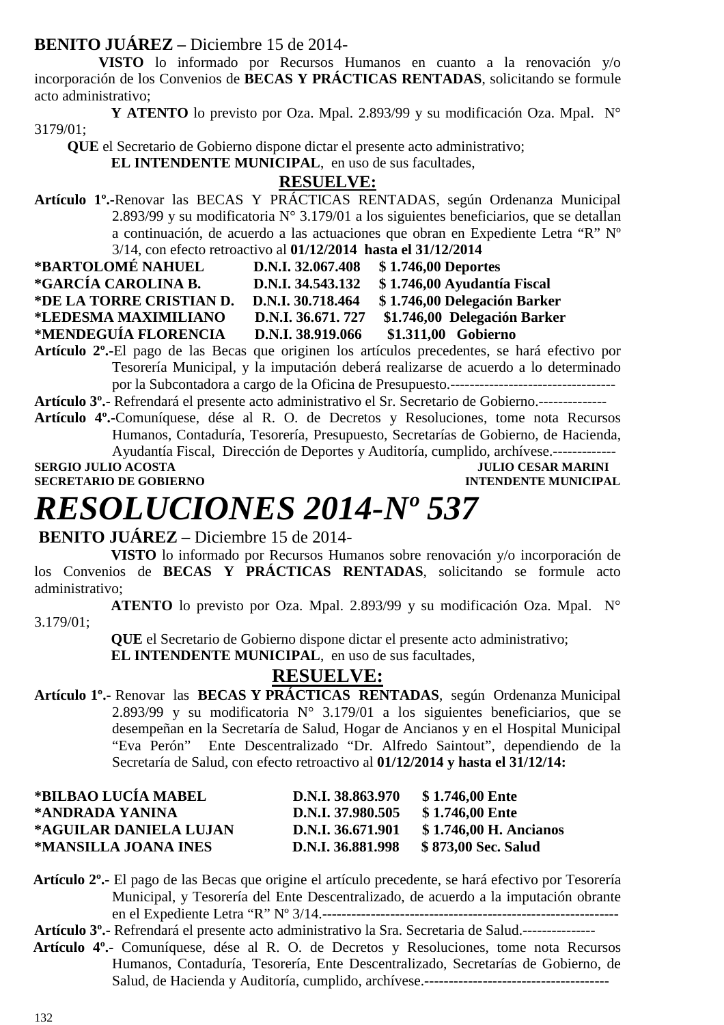#### **BENITO JUÁREZ –** Diciembre 15 de 2014-

 **VISTO** lo informado por Recursos Humanos en cuanto a la renovación y/o incorporación de los Convenios de **BECAS Y PRÁCTICAS RENTADAS**, solicitando se formule acto administrativo;

 **Y ATENTO** lo previsto por Oza. Mpal. 2.893/99 y su modificación Oza. Mpal. N° 3179/01;

 **QUE** el Secretario de Gobierno dispone dictar el presente acto administrativo;

 **EL INTENDENTE MUNICIPAL**, en uso de sus facultades,

#### **RESUELVE:**

**Artículo 1º.-**Renovar las BECAS Y PRÁCTICAS RENTADAS, según Ordenanza Municipal 2.893/99 y su modificatoria N° 3.179/01 a los siguientes beneficiarios, que se detallan a continuación, de acuerdo a las actuaciones que obran en Expediente Letra "R" Nº 3/14, con efecto retroactivo al **01/12/2014 hasta el 31/12/2014** 

| *BARTOLOMÉ NAHUEL        | D.N.I. 32.067.408 | \$1.746,00 Deportes          |
|--------------------------|-------------------|------------------------------|
| *GARCÍA CAROLINA B.      | D.N.I. 34.543.132 | \$1.746,00 Ayudantía Fiscal  |
| *DE LA TORRE CRISTIAN D. | D.N.I. 30.718.464 | \$1.746,00 Delegación Barker |
| *LEDESMA MAXIMILIANO     | D.N.I. 36.671.727 | \$1.746,00 Delegación Barker |
| *MENDEGUÍA FLORENCIA     | D.N.I. 38.919.066 | \$1.311,00 Gobierno          |

**Artículo 2º.-**El pago de las Becas que originen los artículos precedentes, se hará efectivo por Tesorería Municipal, y la imputación deberá realizarse de acuerdo a lo determinado por la Subcontadora a cargo de la Oficina de Presupuesto.----------------------------------

**Artículo 3º.-** Refrendará el presente acto administrativo el Sr. Secretario de Gobierno.--------------

**Artículo 4º.-**Comuníquese, dése al R. O. de Decretos y Resoluciones, tome nota Recursos Humanos, Contaduría, Tesorería, Presupuesto, Secretarías de Gobierno, de Hacienda, Ayudantía Fiscal, Dirección de Deportes y Auditoría, cumplido, archívese.-------------

**SERGIO JULIO ACOSTA DE CONVERTE DE LA COSTA DE CONVERTE DE LA COSTA DE CONVERTE DE LA CONVERTE DE LA CONVERTE DE LA CONVERTE DE LA CONVERTE DE LA CONVERTE DE LA CONVERTE DE LA CONVERTE DE LA CONVERTE DE LA CONVERTE DE LA** 

**INTENDENTE MUNICIPAL** 

### *RESOLUCIONES 2014-Nº 537*

#### **BENITO JUÁREZ –** Diciembre 15 de 2014-

 **VISTO** lo informado por Recursos Humanos sobre renovación y/o incorporación de los Convenios de **BECAS Y PRÁCTICAS RENTADAS**, solicitando se formule acto administrativo;

 **ATENTO** lo previsto por Oza. Mpal. 2.893/99 y su modificación Oza. Mpal. N° 3.179/01;

 **QUE** el Secretario de Gobierno dispone dictar el presente acto administrativo;

**EL INTENDENTE MUNICIPAL**, en uso de sus facultades.

### **RESUELVE:**

**Artículo 1º.-** Renovar las **BECAS Y PRÁCTICAS RENTADAS**, según Ordenanza Municipal 2.893/99 y su modificatoria  $N^{\circ}$  3.179/01 a los siguientes beneficiarios, que se desempeñan en la Secretaría de Salud, Hogar de Ancianos y en el Hospital Municipal "Eva Perón" Ente Descentralizado "Dr. Alfredo Saintout", dependiendo de la Secretaría de Salud, con efecto retroactivo al **01/12/2014 y hasta el 31/12/14:** 

| *BILBAO LUCÍA MABEL    | D.N.I. 38.863.970 | \$1.746,00 Ente        |
|------------------------|-------------------|------------------------|
| *ANDRADA YANINA        | D.N.I. 37.980.505 | \$1.746,00 Ente        |
| *AGUILAR DANIELA LUJAN | D.N.I. 36.671.901 | \$1.746,00 H. Ancianos |
| *MANSILLA JOANA INES   | D.N.I. 36.881.998 | \$873,00 Sec. Salud    |

 **Artículo 2º.-** El pago de las Becas que origine el artículo precedente, se hará efectivo por Tesorería Municipal, y Tesorería del Ente Descentralizado, de acuerdo a la imputación obrante en el Expediente Letra "R" Nº 3/14.-------------------------------------------------------------

**Artículo 3º.-** Refrendará el presente acto administrativo la Sra. Secretaria de Salud.---------------

 **Artículo 4º.-** Comuníquese, dése al R. O. de Decretos y Resoluciones, tome nota Recursos Humanos, Contaduría, Tesorería, Ente Descentralizado, Secretarías de Gobierno, de Salud, de Hacienda y Auditoría, cumplido, archívese.--------------------------------------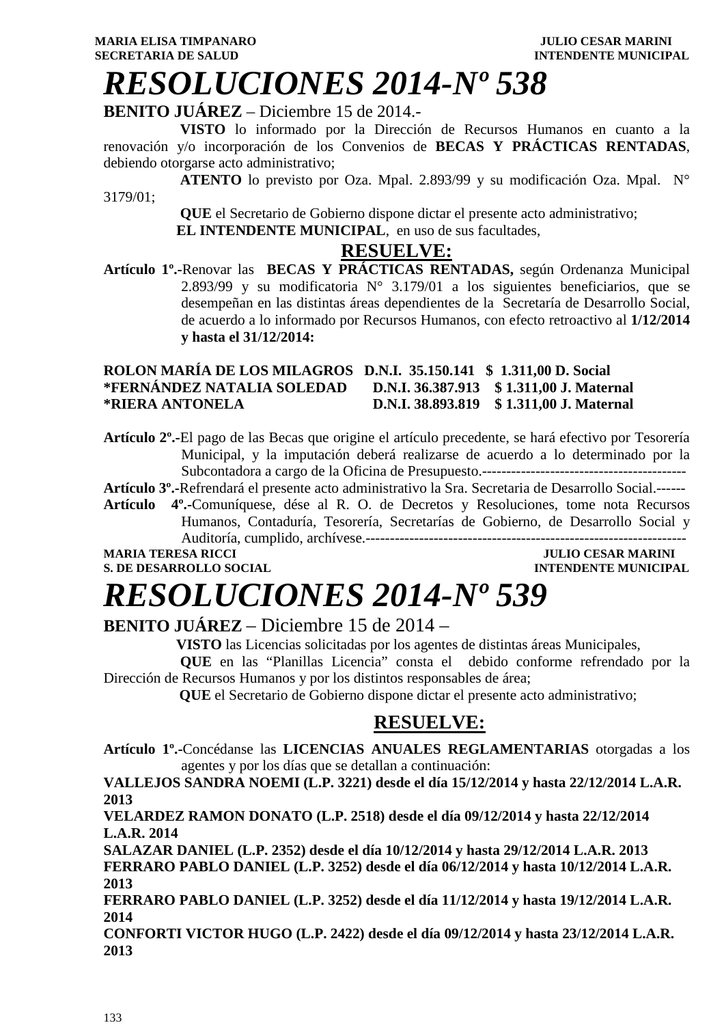# *RESOLUCIONES 2014-Nº 538*

### **BENITO JUÁREZ** – Diciembre 15 de 2014.-

 **VISTO** lo informado por la Dirección de Recursos Humanos en cuanto a la renovación y/o incorporación de los Convenios de **BECAS Y PRÁCTICAS RENTADAS**, debiendo otorgarse acto administrativo;

 **ATENTO** lo previsto por Oza. Mpal. 2.893/99 y su modificación Oza. Mpal. N° 3179/01;

> **QUE** el Secretario de Gobierno dispone dictar el presente acto administrativo;  **EL INTENDENTE MUNICIPAL**, en uso de sus facultades,

#### **RESUELVE:**

**Artículo 1º.-**Renovar las **BECAS Y PRÁCTICAS RENTADAS,** según Ordenanza Municipal 2.893/99 y su modificatoria  $N^{\circ}$  3.179/01 a los siguientes beneficiarios, que se desempeñan en las distintas áreas dependientes de la Secretaría de Desarrollo Social, de acuerdo a lo informado por Recursos Humanos, con efecto retroactivo al **1/12/2014 y hasta el 31/12/2014:** 

#### **ROLON MARÍA DE LOS MILAGROS D.N.I. 35.150.141 \$ 1.311,00 D. Social \*FERNÁNDEZ NATALIA SOLEDAD D.N.I. 36.387.913 \$ 1.311,00 J. Maternal \*RIERA ANTONELA D.N.I. 38.893.819 \$ 1.311,00 J. Maternal**

**Artículo 2º.-**El pago de las Becas que origine el artículo precedente, se hará efectivo por Tesorería Municipal, y la imputación deberá realizarse de acuerdo a lo determinado por la Subcontadora a cargo de la Oficina de Presupuesto.------------------------------------------

**Artículo 3º.-**Refrendará el presente acto administrativo la Sra. Secretaria de Desarrollo Social.------

**Artículo 4º.-**Comuníquese, dése al R. O. de Decretos y Resoluciones, tome nota Recursos Humanos, Contaduría, Tesorería, Secretarías de Gobierno, de Desarrollo Social y Auditoría, cumplido, archívese.------------------------------------------------------------------

**MARIA TERESA RICCI JULIO CESAR MARINI** 

### **S. DE DESARROLLO SOCIAL CONSUMING A LOCAL CONSUMING A LOCAL CONSUMING A LOCAL CONSUMING A LOCAL CONSUMING A LOCAL CONSUMING A LOCAL CONSUMING A LOCAL CONSUMING A LOCAL CONSUMING A LOCAL CONSUMING A LOCAL CONSUMING A LOCAL**

# *RESOLUCIONES 2014-Nº 539*

**BENITO JUÁREZ** – Diciembre 15 de 2014 –

**VISTO** las Licencias solicitadas por los agentes de distintas áreas Municipales,

 **QUE** en las "Planillas Licencia" consta el debido conforme refrendado por la Dirección de Recursos Humanos y por los distintos responsables de área;

 **QUE** el Secretario de Gobierno dispone dictar el presente acto administrativo;

### **RESUELVE:**

**Artículo 1º.-**Concédanse las **LICENCIAS ANUALES REGLAMENTARIAS** otorgadas a los agentes y por los días que se detallan a continuación:

**VALLEJOS SANDRA NOEMI (L.P. 3221) desde el día 15/12/2014 y hasta 22/12/2014 L.A.R. 2013** 

**VELARDEZ RAMON DONATO (L.P. 2518) desde el día 09/12/2014 y hasta 22/12/2014 L.A.R. 2014** 

**SALAZAR DANIEL (L.P. 2352) desde el día 10/12/2014 y hasta 29/12/2014 L.A.R. 2013 FERRARO PABLO DANIEL (L.P. 3252) desde el día 06/12/2014 y hasta 10/12/2014 L.A.R. 2013** 

**FERRARO PABLO DANIEL (L.P. 3252) desde el día 11/12/2014 y hasta 19/12/2014 L.A.R. 2014** 

**CONFORTI VICTOR HUGO (L.P. 2422) desde el día 09/12/2014 y hasta 23/12/2014 L.A.R. 2013**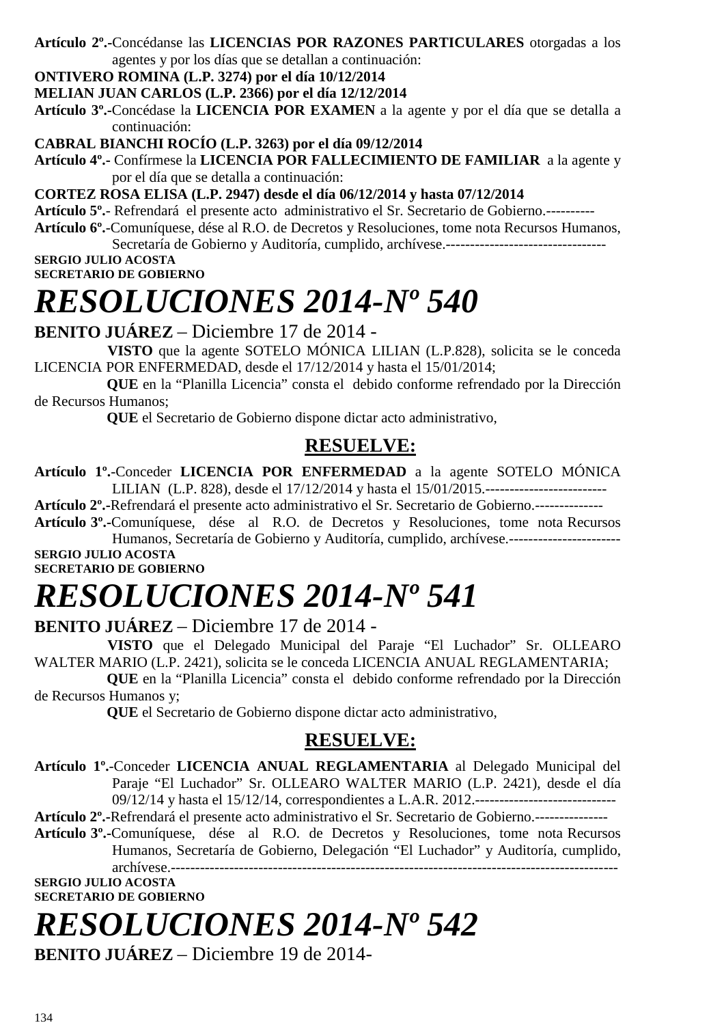#### **Artículo 2º.-**Concédanse las **LICENCIAS POR RAZONES PARTICULARES** otorgadas a los agentes y por los días que se detallan a continuación:

#### **ONTIVERO ROMINA (L.P. 3274) por el día 10/12/2014**

#### **MELIAN JUAN CARLOS (L.P. 2366) por el día 12/12/2014**

**Artículo 3º.-**Concédase la **LICENCIA POR EXAMEN** a la agente y por el día que se detalla a continuación:

#### **CABRAL BIANCHI ROCÍO (L.P. 3263) por el día 09/12/2014**

**Artículo 4º.-** Confírmese la **LICENCIA POR FALLECIMIENTO DE FAMILIAR** a la agente y por el día que se detalla a continuación:

**CORTEZ ROSA ELISA (L.P. 2947) desde el día 06/12/2014 y hasta 07/12/2014** 

**Artículo 5º.**- Refrendará el presente acto administrativo el Sr. Secretario de Gobierno.----------

**Artículo 6º.**-Comuníquese, dése al R.O. de Decretos y Resoluciones, tome nota Recursos Humanos,

Secretaría de Gobierno y Auditoría, cumplido, archívese.----------------------------

**SERGIO JULIO ACOSTA SECRETARIO DE GOBIERNO** 

# *RESOLUCIONES 2014-Nº 540*

**BENITO JUÁREZ** – Diciembre 17 de 2014 -

 **VISTO** que la agente SOTELO MÓNICA LILIAN (L.P.828), solicita se le conceda LICENCIA POR ENFERMEDAD, desde el 17/12/2014 y hasta el 15/01/2014;

 **QUE** en la "Planilla Licencia" consta el debido conforme refrendado por la Dirección de Recursos Humanos;

 **QUE** el Secretario de Gobierno dispone dictar acto administrativo,

### **RESUELVE:**

**Artículo 1º.**-Conceder **LICENCIA POR ENFERMEDAD** a la agente SOTELO MÓNICA LILIAN (L.P. 828), desde el 17/12/2014 y hasta el 15/01/2015.-------------------------

**Artículo 2º.-**Refrendará el presente acto administrativo el Sr. Secretario de Gobierno.--------------

**Artículo 3º.-**Comuníquese, dése al R.O. de Decretos y Resoluciones, tome nota Recursos Humanos, Secretaría de Gobierno y Auditoría, cumplido, archívese.-----------------------

**SERGIO JULIO ACOSTA SECRETARIO DE GOBIERNO** 

# *RESOLUCIONES 2014-Nº 541*

### **BENITO JUÁREZ** – Diciembre 17 de 2014 -

 **VISTO** que el Delegado Municipal del Paraje "El Luchador" Sr. OLLEARO WALTER MARIO (L.P. 2421), solicita se le conceda LICENCIA ANUAL REGLAMENTARIA;

 **QUE** en la "Planilla Licencia" consta el debido conforme refrendado por la Dirección de Recursos Humanos y;

 **QUE** el Secretario de Gobierno dispone dictar acto administrativo,

#### **RESUELVE:**

**Artículo 1º.**-Conceder **LICENCIA ANUAL REGLAMENTARIA** al Delegado Municipal del Paraje "El Luchador" Sr. OLLEARO WALTER MARIO (L.P. 2421), desde el día 09/12/14 y hasta el 15/12/14, correspondientes a L.A.R. 2012.-----------------------------

**Artículo 2º.-**Refrendará el presente acto administrativo el Sr. Secretario de Gobierno.---------------

**Artículo 3º.-**Comuníquese, dése al R.O. de Decretos y Resoluciones, tome nota Recursos Humanos, Secretaría de Gobierno, Delegación "El Luchador" y Auditoría, cumplido, archívese.--------------------------------------------------------------------------------------------

#### **SERGIO JULIO ACOSTA SECRETARIO DE GOBIERNO**

### *RESOLUCIONES 2014-Nº 542*

**BENITO JUÁREZ** – Diciembre 19 de 2014-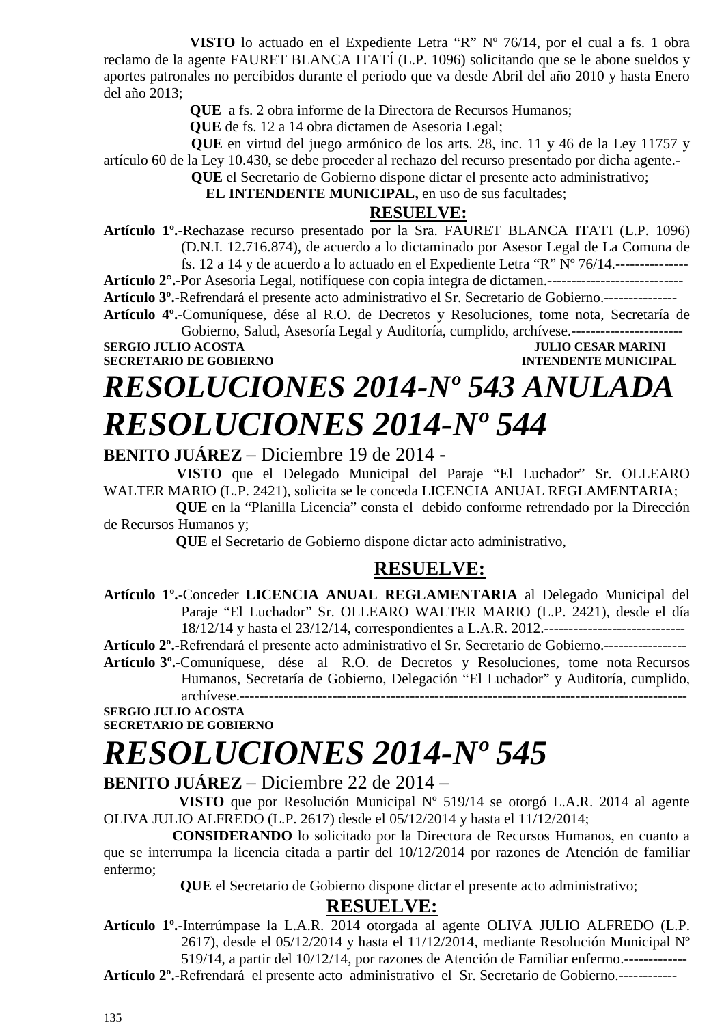**VISTO** lo actuado en el Expediente Letra "R" Nº 76/14, por el cual a fs. 1 obra reclamo de la agente FAURET BLANCA ITATÍ (L.P. 1096) solicitando que se le abone sueldos y aportes patronales no percibidos durante el periodo que va desde Abril del año 2010 y hasta Enero del año 2013;

**QUE** a fs. 2 obra informe de la Directora de Recursos Humanos;

**QUE** de fs. 12 a 14 obra dictamen de Asesoria Legal;

 **QUE** en virtud del juego armónico de los arts. 28, inc. 11 y 46 de la Ley 11757 y artículo 60 de la Ley 10.430, se debe proceder al rechazo del recurso presentado por dicha agente.-

**QUE** el Secretario de Gobierno dispone dictar el presente acto administrativo;

 **EL INTENDENTE MUNICIPAL,** en uso de sus facultades;

#### **RESUELVE:**

**Artículo 1º.-**Rechazase recurso presentado por la Sra. FAURET BLANCA ITATI (L.P. 1096) (D.N.I. 12.716.874), de acuerdo a lo dictaminado por Asesor Legal de La Comuna de

fs. 12 a 14 y de acuerdo a lo actuado en el Expediente Letra "R"  $N^{\circ}$  76/14.----------------

**Artículo 2°.-**Por Asesoria Legal, notifíquese con copia integra de dictamen.----------------------------

**Artículo 3º.**-Refrendará el presente acto administrativo el Sr. Secretario de Gobierno.---------------

**Artículo 4º.**-Comuníquese, dése al R.O. de Decretos y Resoluciones, tome nota, Secretaría de Gobierno, Salud, Asesoría Legal y Auditoría, cumplido, archívese.-----------------------

**SECRETARIO DE GOBIERNO INTENDENTE MUNICIPAL** 

**JULIO CESAR MARINI** 

# *RESOLUCIONES 2014-Nº 543 ANULADA RESOLUCIONES 2014-Nº 544*

**BENITO JUÁREZ** – Diciembre 19 de 2014 -

 **VISTO** que el Delegado Municipal del Paraje "El Luchador" Sr. OLLEARO WALTER MARIO (L.P. 2421), solicita se le conceda LICENCIA ANUAL REGLAMENTARIA;

 **QUE** en la "Planilla Licencia" consta el debido conforme refrendado por la Dirección de Recursos Humanos y;

 **QUE** el Secretario de Gobierno dispone dictar acto administrativo,

### **RESUELVE:**

**Artículo 1º.**-Conceder **LICENCIA ANUAL REGLAMENTARIA** al Delegado Municipal del Paraje "El Luchador" Sr. OLLEARO WALTER MARIO (L.P. 2421), desde el día 18/12/14 y hasta el 23/12/14, correspondientes a L.A.R. 2012.-----------------------------

**Artículo 2º.-**Refrendará el presente acto administrativo el Sr. Secretario de Gobierno.-----------------

**Artículo 3º.-**Comuníquese, dése al R.O. de Decretos y Resoluciones, tome nota Recursos Humanos, Secretaría de Gobierno, Delegación "El Luchador" y Auditoría, cumplido, archívese.--------------------------------------------------------------------------------------------

**SERGIO JULIO ACOSTA SECRETARIO DE GOBIERNO** 

### *RESOLUCIONES 2014-Nº 545*

#### **BENITO JUÁREZ** – Diciembre 22 de 2014 –

 **VISTO** que por Resolución Municipal Nº 519/14 se otorgó L.A.R. 2014 al agente OLIVA JULIO ALFREDO (L.P. 2617) desde el 05/12/2014 y hasta el 11/12/2014;

 **CONSIDERANDO** lo solicitado por la Directora de Recursos Humanos, en cuanto a que se interrumpa la licencia citada a partir del 10/12/2014 por razones de Atención de familiar enfermo;

 **QUE** el Secretario de Gobierno dispone dictar el presente acto administrativo;

#### **RESUELVE:**

**Artículo 1º.**-Interrúmpase la L.A.R. 2014 otorgada al agente OLIVA JULIO ALFREDO (L.P. 2617), desde el 05/12/2014 y hasta el 11/12/2014, mediante Resolución Municipal Nº

519/14, a partir del 10/12/14, por razones de Atención de Familiar enfermo.-------------

**Artículo 2º.**-Refrendará el presente acto administrativo el Sr. Secretario de Gobierno.------------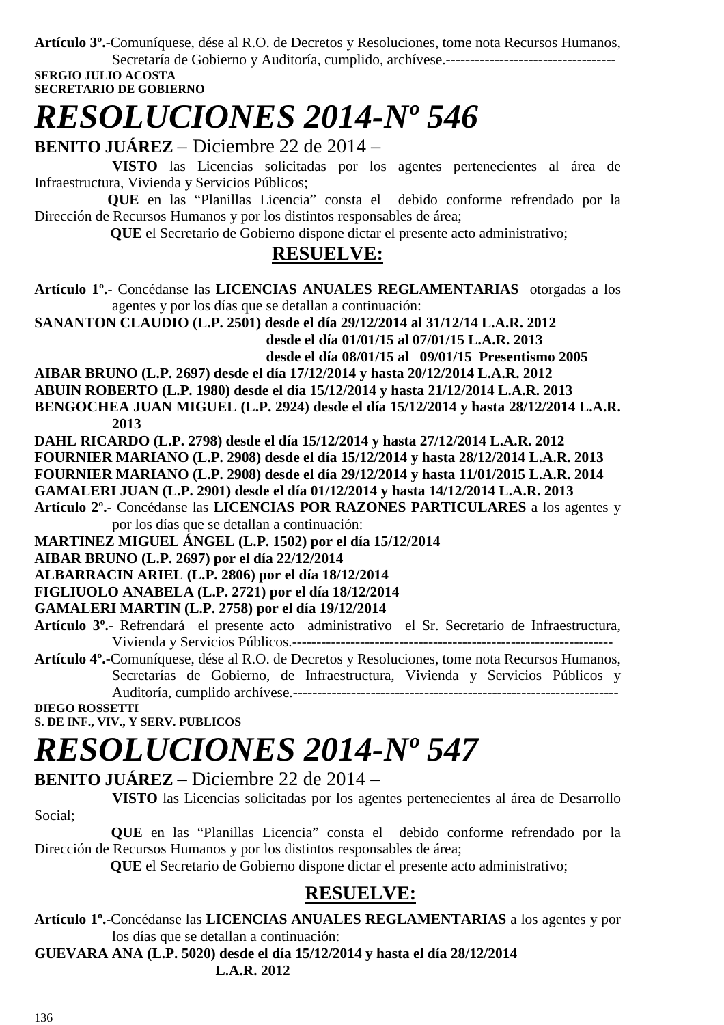**Artículo 3º.**-Comuníquese, dése al R.O. de Decretos y Resoluciones, tome nota Recursos Humanos,

Secretaría de Gobierno y Auditoría, cumplido, archívese.----------------------------------- **SERGIO JULIO ACOSTA** 

**SECRETARIO DE GOBIERNO** 

### *RESOLUCIONES 2014-Nº 546*

**BENITO JUÁREZ** – Diciembre 22 de 2014 –

 **VISTO** las Licencias solicitadas por los agentes pertenecientes al área de Infraestructura, Vivienda y Servicios Públicos;

 **QUE** en las "Planillas Licencia" consta el debido conforme refrendado por la Dirección de Recursos Humanos y por los distintos responsables de área;

 **QUE** el Secretario de Gobierno dispone dictar el presente acto administrativo;

### **RESUELVE:**

**Artículo 1º.-** Concédanse las **LICENCIAS ANUALES REGLAMENTARIAS** otorgadas a los agentes y por los días que se detallan a continuación:

**SANANTON CLAUDIO (L.P. 2501) desde el día 29/12/2014 al 31/12/14 L.A.R. 2012 desde el día 01/01/15 al 07/01/15 L.A.R. 2013 desde el día 08/01/15 al 09/01/15 Presentismo 2005** 

**AIBAR BRUNO (L.P. 2697) desde el día 17/12/2014 y hasta 20/12/2014 L.A.R. 2012** 

**ABUIN ROBERTO (L.P. 1980) desde el día 15/12/2014 y hasta 21/12/2014 L.A.R. 2013** 

**BENGOCHEA JUAN MIGUEL (L.P. 2924) desde el día 15/12/2014 y hasta 28/12/2014 L.A.R. 2013** 

**DAHL RICARDO (L.P. 2798) desde el día 15/12/2014 y hasta 27/12/2014 L.A.R. 2012 FOURNIER MARIANO (L.P. 2908) desde el día 15/12/2014 y hasta 28/12/2014 L.A.R. 2013** 

**FOURNIER MARIANO (L.P. 2908) desde el día 29/12/2014 y hasta 11/01/2015 L.A.R. 2014** 

**GAMALERI JUAN (L.P. 2901) desde el día 01/12/2014 y hasta 14/12/2014 L.A.R. 2013** 

**Artículo 2º.-** Concédanse las **LICENCIAS POR RAZONES PARTICULARES** a los agentes y por los días que se detallan a continuación:

**MARTINEZ MIGUEL ÁNGEL (L.P. 1502) por el día 15/12/2014** 

**AIBAR BRUNO (L.P. 2697) por el día 22/12/2014** 

**ALBARRACIN ARIEL (L.P. 2806) por el día 18/12/2014** 

**FIGLIUOLO ANABELA (L.P. 2721) por el día 18/12/2014**

**GAMALERI MARTIN (L.P. 2758) por el día 19/12/2014** 

**Artículo 3º.**- Refrendará el presente acto administrativo el Sr. Secretario de Infraestructura, Vivienda y Servicios Públicos.------------------------------------------------------------------

**Artículo 4º.**-Comuníquese, dése al R.O. de Decretos y Resoluciones, tome nota Recursos Humanos, Secretarías de Gobierno, de Infraestructura, Vivienda y Servicios Públicos y Auditoría, cumplido archívese.-------------------------------------------------------------------

**DIEGO ROSSETTI** 

**S. DE INF., VIV., Y SERV. PUBLICOS** 

# *RESOLUCIONES 2014-Nº 547*

**BENITO JUÁREZ** – Diciembre 22 de 2014 –

 **VISTO** las Licencias solicitadas por los agentes pertenecientes al área de Desarrollo Social;

 **QUE** en las "Planillas Licencia" consta el debido conforme refrendado por la Dirección de Recursos Humanos y por los distintos responsables de área;

 **QUE** el Secretario de Gobierno dispone dictar el presente acto administrativo;

### **RESUELVE:**

**Artículo 1º.-**Concédanse las **LICENCIAS ANUALES REGLAMENTARIAS** a los agentes y por los días que se detallan a continuación:

**GUEVARA ANA (L.P. 5020) desde el día 15/12/2014 y hasta el día 28/12/2014 L.A.R. 2012**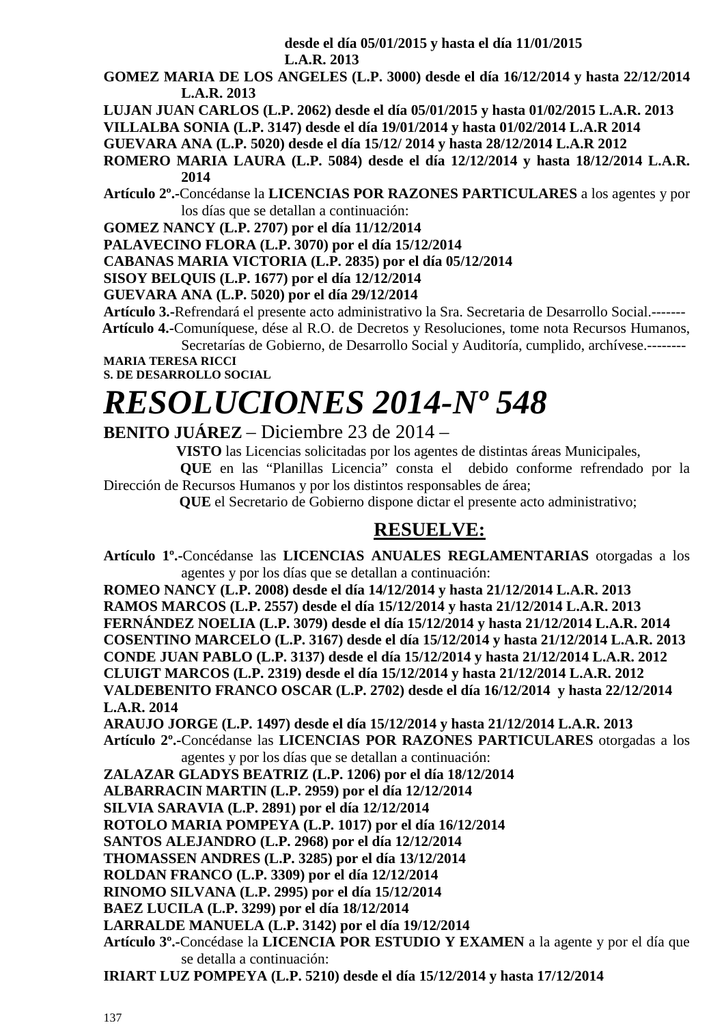**desde el día 05/01/2015 y hasta el día 11/01/2015** 

 **L.A.R. 2013** 

- **GOMEZ MARIA DE LOS ANGELES (L.P. 3000) desde el día 16/12/2014 y hasta 22/12/2014 L.A.R. 2013**
- **LUJAN JUAN CARLOS (L.P. 2062) desde el día 05/01/2015 y hasta 01/02/2015 L.A.R. 2013**

**VILLALBA SONIA (L.P. 3147) desde el día 19/01/2014 y hasta 01/02/2014 L.A.R 2014** 

**GUEVARA ANA (L.P. 5020) desde el día 15/12/ 2014 y hasta 28/12/2014 L.A.R 2012** 

**ROMERO MARIA LAURA (L.P. 5084) desde el día 12/12/2014 y hasta 18/12/2014 L.A.R. 2014** 

**Artículo 2º.-**Concédanse la **LICENCIAS POR RAZONES PARTICULARES** a los agentes y por los días que se detallan a continuación:

**GOMEZ NANCY (L.P. 2707) por el día 11/12/2014** 

**PALAVECINO FLORA (L.P. 3070) por el día 15/12/2014** 

**CABANAS MARIA VICTORIA (L.P. 2835) por el día 05/12/2014** 

**SISOY BELQUIS (L.P. 1677) por el día 12/12/2014** 

**GUEVARA ANA (L.P. 5020) por el día 29/12/2014** 

**Artículo 3.-**Refrendará el presente acto administrativo la Sra. Secretaria de Desarrollo Social.-------

 **Artículo 4.-**Comuníquese, dése al R.O. de Decretos y Resoluciones, tome nota Recursos Humanos, Secretarías de Gobierno, de Desarrollo Social y Auditoría, cumplido, archívese.--------

**MARIA TERESA RICCI** 

**S. DE DESARROLLO SOCIAL** 

# *RESOLUCIONES 2014-Nº 548*

**BENITO JUÁREZ** – Diciembre 23 de 2014 –

**VISTO** las Licencias solicitadas por los agentes de distintas áreas Municipales,

 **QUE** en las "Planillas Licencia" consta el debido conforme refrendado por la Dirección de Recursos Humanos y por los distintos responsables de área;

 **QUE** el Secretario de Gobierno dispone dictar el presente acto administrativo;

### **RESUELVE:**

**Artículo 1º.-**Concédanse las **LICENCIAS ANUALES REGLAMENTARIAS** otorgadas a los agentes y por los días que se detallan a continuación:

**ROMEO NANCY (L.P. 2008) desde el día 14/12/2014 y hasta 21/12/2014 L.A.R. 2013 RAMOS MARCOS (L.P. 2557) desde el día 15/12/2014 y hasta 21/12/2014 L.A.R. 2013 FERNÁNDEZ NOELIA (L.P. 3079) desde el día 15/12/2014 y hasta 21/12/2014 L.A.R. 2014 COSENTINO MARCELO (L.P. 3167) desde el día 15/12/2014 y hasta 21/12/2014 L.A.R. 2013 CONDE JUAN PABLO (L.P. 3137) desde el día 15/12/2014 y hasta 21/12/2014 L.A.R. 2012 CLUIGT MARCOS (L.P. 2319) desde el día 15/12/2014 y hasta 21/12/2014 L.A.R. 2012 VALDEBENITO FRANCO OSCAR (L.P. 2702) desde el día 16/12/2014 y hasta 22/12/2014 L.A.R. 2014** 

**ARAUJO JORGE (L.P. 1497) desde el día 15/12/2014 y hasta 21/12/2014 L.A.R. 2013 Artículo 2º.-**Concédanse las **LICENCIAS POR RAZONES PARTICULARES** otorgadas a los agentes y por los días que se detallan a continuación:

**ZALAZAR GLADYS BEATRIZ (L.P. 1206) por el día 18/12/2014** 

**ALBARRACIN MARTIN (L.P. 2959) por el día 12/12/2014**

**SILVIA SARAVIA (L.P. 2891) por el día 12/12/2014** 

**ROTOLO MARIA POMPEYA (L.P. 1017) por el día 16/12/2014** 

**SANTOS ALEJANDRO (L.P. 2968) por el día 12/12/2014** 

**THOMASSEN ANDRES (L.P. 3285) por el día 13/12/2014** 

**ROLDAN FRANCO (L.P. 3309) por el día 12/12/2014** 

**RINOMO SILVANA (L.P. 2995) por el día 15/12/2014** 

**BAEZ LUCILA (L.P. 3299) por el día 18/12/2014** 

**LARRALDE MANUELA (L.P. 3142) por el día 19/12/2014** 

**Artículo 3º.-**Concédase la **LICENCIA POR ESTUDIO Y EXAMEN** a la agente y por el día que se detalla a continuación:

**IRIART LUZ POMPEYA (L.P. 5210) desde el día 15/12/2014 y hasta 17/12/2014**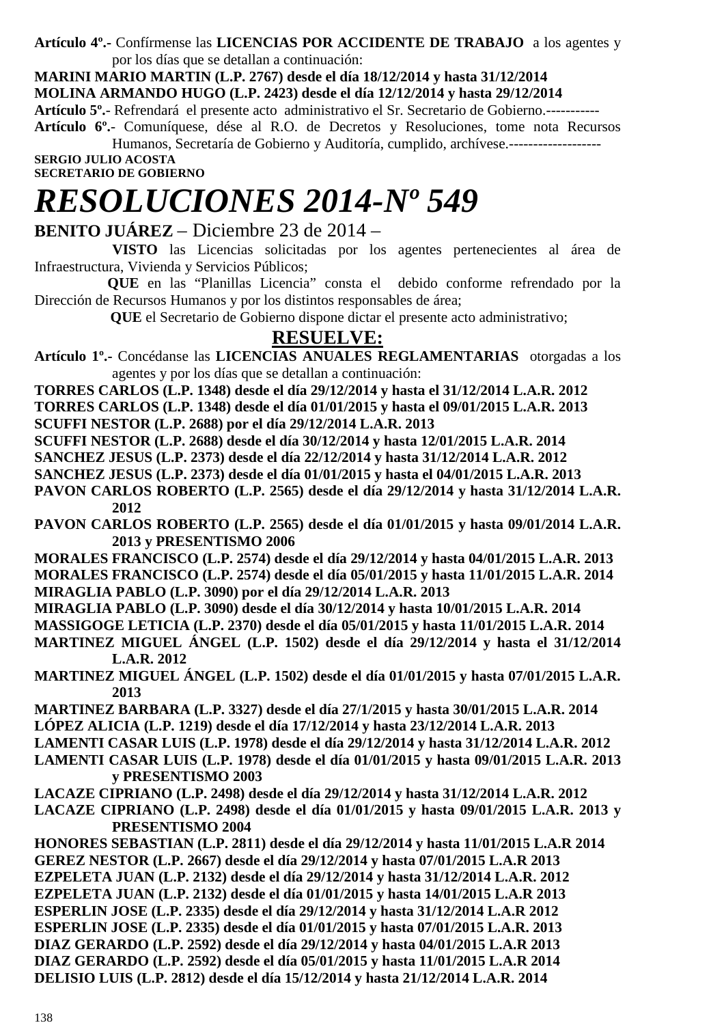**Artículo 4º.-** Confírmense las **LICENCIAS POR ACCIDENTE DE TRABAJO** a los agentes y por los días que se detallan a continuación:

**MARINI MARIO MARTIN (L.P. 2767) desde el día 18/12/2014 y hasta 31/12/2014 MOLINA ARMANDO HUGO (L.P. 2423) desde el día 12/12/2014 y hasta 29/12/2014 Artículo 5º.**- Refrendará el presente acto administrativo el Sr. Secretario de Gobierno.-----------

**Artículo 6º.**- Comuníquese, dése al R.O. de Decretos y Resoluciones, tome nota Recursos Humanos, Secretaría de Gobierno y Auditoría, cumplido, archívese.------------------- **SERGIO JULIO ACOSTA** 

**SECRETARIO DE GOBIERNO** 

# *RESOLUCIONES 2014-Nº 549*

**BENITO JUÁREZ** – Diciembre 23 de 2014 –

 **VISTO** las Licencias solicitadas por los agentes pertenecientes al área de Infraestructura, Vivienda y Servicios Públicos;

 **QUE** en las "Planillas Licencia" consta el debido conforme refrendado por la Dirección de Recursos Humanos y por los distintos responsables de área;

 **QUE** el Secretario de Gobierno dispone dictar el presente acto administrativo;

### **RESUELVE:**

**Artículo 1º.-** Concédanse las **LICENCIAS ANUALES REGLAMENTARIAS** otorgadas a los agentes y por los días que se detallan a continuación:

**TORRES CARLOS (L.P. 1348) desde el día 29/12/2014 y hasta el 31/12/2014 L.A.R. 2012** 

**TORRES CARLOS (L.P. 1348) desde el día 01/01/2015 y hasta el 09/01/2015 L.A.R. 2013** 

**SCUFFI NESTOR (L.P. 2688) por el día 29/12/2014 L.A.R. 2013** 

**SCUFFI NESTOR (L.P. 2688) desde el día 30/12/2014 y hasta 12/01/2015 L.A.R. 2014** 

**SANCHEZ JESUS (L.P. 2373) desde el día 22/12/2014 y hasta 31/12/2014 L.A.R. 2012** 

**SANCHEZ JESUS (L.P. 2373) desde el día 01/01/2015 y hasta el 04/01/2015 L.A.R. 2013** 

**PAVON CARLOS ROBERTO (L.P. 2565) desde el día 29/12/2014 y hasta 31/12/2014 L.A.R. 2012** 

**PAVON CARLOS ROBERTO (L.P. 2565) desde el día 01/01/2015 y hasta 09/01/2014 L.A.R. 2013 y PRESENTISMO 2006** 

**MORALES FRANCISCO (L.P. 2574) desde el día 29/12/2014 y hasta 04/01/2015 L.A.R. 2013 MORALES FRANCISCO (L.P. 2574) desde el día 05/01/2015 y hasta 11/01/2015 L.A.R. 2014** 

**MIRAGLIA PABLO (L.P. 3090) por el día 29/12/2014 L.A.R. 2013** 

**MIRAGLIA PABLO (L.P. 3090) desde el día 30/12/2014 y hasta 10/01/2015 L.A.R. 2014** 

**MASSIGOGE LETICIA (L.P. 2370) desde el día 05/01/2015 y hasta 11/01/2015 L.A.R. 2014** 

**MARTINEZ MIGUEL ÁNGEL (L.P. 1502) desde el día 29/12/2014 y hasta el 31/12/2014 L.A.R. 2012** 

**MARTINEZ MIGUEL ÁNGEL (L.P. 1502) desde el día 01/01/2015 y hasta 07/01/2015 L.A.R. 2013** 

**MARTINEZ BARBARA (L.P. 3327) desde el día 27/1/2015 y hasta 30/01/2015 L.A.R. 2014 LÓPEZ ALICIA (L.P. 1219) desde el día 17/12/2014 y hasta 23/12/2014 L.A.R. 2013** 

**LAMENTI CASAR LUIS (L.P. 1978) desde el día 29/12/2014 y hasta 31/12/2014 L.A.R. 2012** 

**LAMENTI CASAR LUIS (L.P. 1978) desde el día 01/01/2015 y hasta 09/01/2015 L.A.R. 2013 y PRESENTISMO 2003** 

**LACAZE CIPRIANO (L.P. 2498) desde el día 29/12/2014 y hasta 31/12/2014 L.A.R. 2012** 

**LACAZE CIPRIANO (L.P. 2498) desde el día 01/01/2015 y hasta 09/01/2015 L.A.R. 2013 y PRESENTISMO 2004** 

**HONORES SEBASTIAN (L.P. 2811) desde el día 29/12/2014 y hasta 11/01/2015 L.A.R 2014 GEREZ NESTOR (L.P. 2667) desde el día 29/12/2014 y hasta 07/01/2015 L.A.R 2013 EZPELETA JUAN (L.P. 2132) desde el día 29/12/2014 y hasta 31/12/2014 L.A.R. 2012 EZPELETA JUAN (L.P. 2132) desde el día 01/01/2015 y hasta 14/01/2015 L.A.R 2013 ESPERLIN JOSE (L.P. 2335) desde el día 29/12/2014 y hasta 31/12/2014 L.A.R 2012 ESPERLIN JOSE (L.P. 2335) desde el día 01/01/2015 y hasta 07/01/2015 L.A.R. 2013 DIAZ GERARDO (L.P. 2592) desde el día 29/12/2014 y hasta 04/01/2015 L.A.R 2013 DIAZ GERARDO (L.P. 2592) desde el día 05/01/2015 y hasta 11/01/2015 L.A.R 2014 DELISIO LUIS (L.P. 2812) desde el día 15/12/2014 y hasta 21/12/2014 L.A.R. 2014**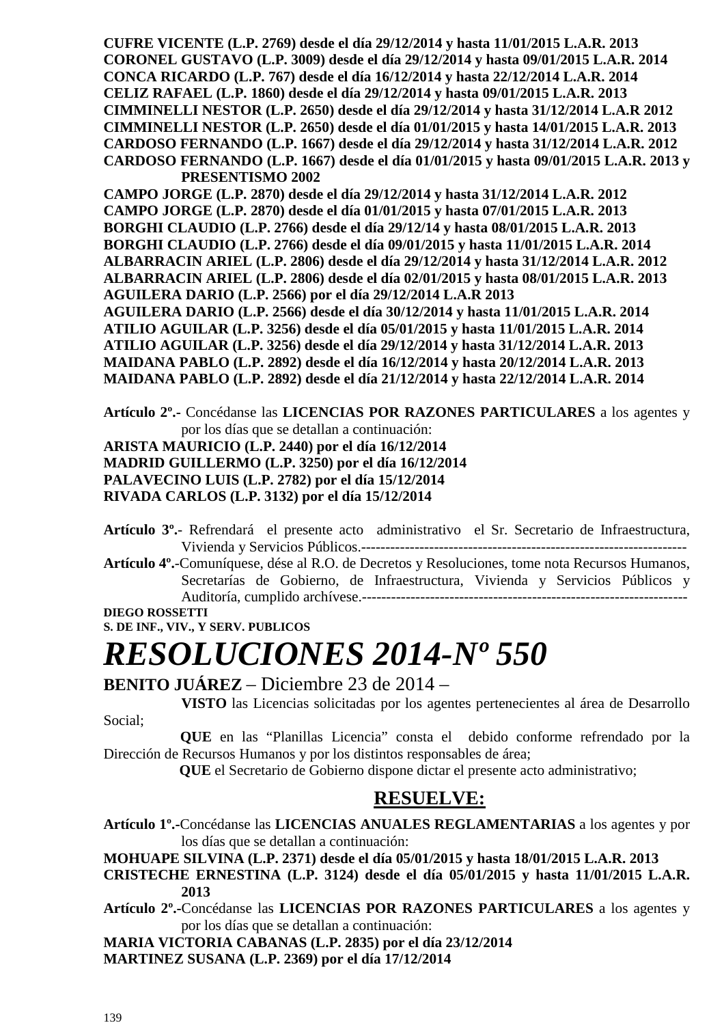**CUFRE VICENTE (L.P. 2769) desde el día 29/12/2014 y hasta 11/01/2015 L.A.R. 2013 CORONEL GUSTAVO (L.P. 3009) desde el día 29/12/2014 y hasta 09/01/2015 L.A.R. 2014 CONCA RICARDO (L.P. 767) desde el día 16/12/2014 y hasta 22/12/2014 L.A.R. 2014 CELIZ RAFAEL (L.P. 1860) desde el día 29/12/2014 y hasta 09/01/2015 L.A.R. 2013 CIMMINELLI NESTOR (L.P. 2650) desde el día 29/12/2014 y hasta 31/12/2014 L.A.R 2012 CIMMINELLI NESTOR (L.P. 2650) desde el día 01/01/2015 y hasta 14/01/2015 L.A.R. 2013 CARDOSO FERNANDO (L.P. 1667) desde el día 29/12/2014 y hasta 31/12/2014 L.A.R. 2012 CARDOSO FERNANDO (L.P. 1667) desde el día 01/01/2015 y hasta 09/01/2015 L.A.R. 2013 y PRESENTISMO 2002 CAMPO JORGE (L.P. 2870) desde el día 29/12/2014 y hasta 31/12/2014 L.A.R. 2012** 

**CAMPO JORGE (L.P. 2870) desde el día 01/01/2015 y hasta 07/01/2015 L.A.R. 2013 BORGHI CLAUDIO (L.P. 2766) desde el día 29/12/14 y hasta 08/01/2015 L.A.R. 2013 BORGHI CLAUDIO (L.P. 2766) desde el día 09/01/2015 y hasta 11/01/2015 L.A.R. 2014 ALBARRACIN ARIEL (L.P. 2806) desde el día 29/12/2014 y hasta 31/12/2014 L.A.R. 2012 ALBARRACIN ARIEL (L.P. 2806) desde el día 02/01/2015 y hasta 08/01/2015 L.A.R. 2013 AGUILERA DARIO (L.P. 2566) por el día 29/12/2014 L.A.R 2013 AGUILERA DARIO (L.P. 2566) desde el día 30/12/2014 y hasta 11/01/2015 L.A.R. 2014 ATILIO AGUILAR (L.P. 3256) desde el día 05/01/2015 y hasta 11/01/2015 L.A.R. 2014 ATILIO AGUILAR (L.P. 3256) desde el día 29/12/2014 y hasta 31/12/2014 L.A.R. 2013 MAIDANA PABLO (L.P. 2892) desde el día 16/12/2014 y hasta 20/12/2014 L.A.R. 2013 MAIDANA PABLO (L.P. 2892) desde el día 21/12/2014 y hasta 22/12/2014 L.A.R. 2014** 

**Artículo 2º.-** Concédanse las **LICENCIAS POR RAZONES PARTICULARES** a los agentes y por los días que se detallan a continuación:

**ARISTA MAURICIO (L.P. 2440) por el día 16/12/2014 MADRID GUILLERMO (L.P. 3250) por el día 16/12/2014 PALAVECINO LUIS (L.P. 2782) por el día 15/12/2014 RIVADA CARLOS (L.P. 3132) por el día 15/12/2014** 

**Artículo 3º.**- Refrendará el presente acto administrativo el Sr. Secretario de Infraestructura, Vivienda y Servicios Públicos.-------------------------------------------------------------------

**Artículo 4º.**-Comuníquese, dése al R.O. de Decretos y Resoluciones, tome nota Recursos Humanos, Secretarías de Gobierno, de Infraestructura, Vivienda y Servicios Públicos y Auditoría, cumplido archívese.-------------------------------------------------------------------

**DIEGO ROSSETTI S. DE INF., VIV., Y SERV. PUBLICOS** 

# *RESOLUCIONES 2014-Nº 550*

#### **BENITO JUÁREZ** – Diciembre 23 de 2014 –

 **VISTO** las Licencias solicitadas por los agentes pertenecientes al área de Desarrollo Social;

 **QUE** en las "Planillas Licencia" consta el debido conforme refrendado por la Dirección de Recursos Humanos y por los distintos responsables de área;

 **QUE** el Secretario de Gobierno dispone dictar el presente acto administrativo;

### **RESUELVE:**

**Artículo 1º.-**Concédanse las **LICENCIAS ANUALES REGLAMENTARIAS** a los agentes y por los días que se detallan a continuación:

**MOHUAPE SILVINA (L.P. 2371) desde el día 05/01/2015 y hasta 18/01/2015 L.A.R. 2013** 

**CRISTECHE ERNESTINA (L.P. 3124) desde el día 05/01/2015 y hasta 11/01/2015 L.A.R. 2013** 

**Artículo 2º.-**Concédanse las **LICENCIAS POR RAZONES PARTICULARES** a los agentes y por los días que se detallan a continuación:

**MARIA VICTORIA CABANAS (L.P. 2835) por el día 23/12/2014 MARTINEZ SUSANA (L.P. 2369) por el día 17/12/2014**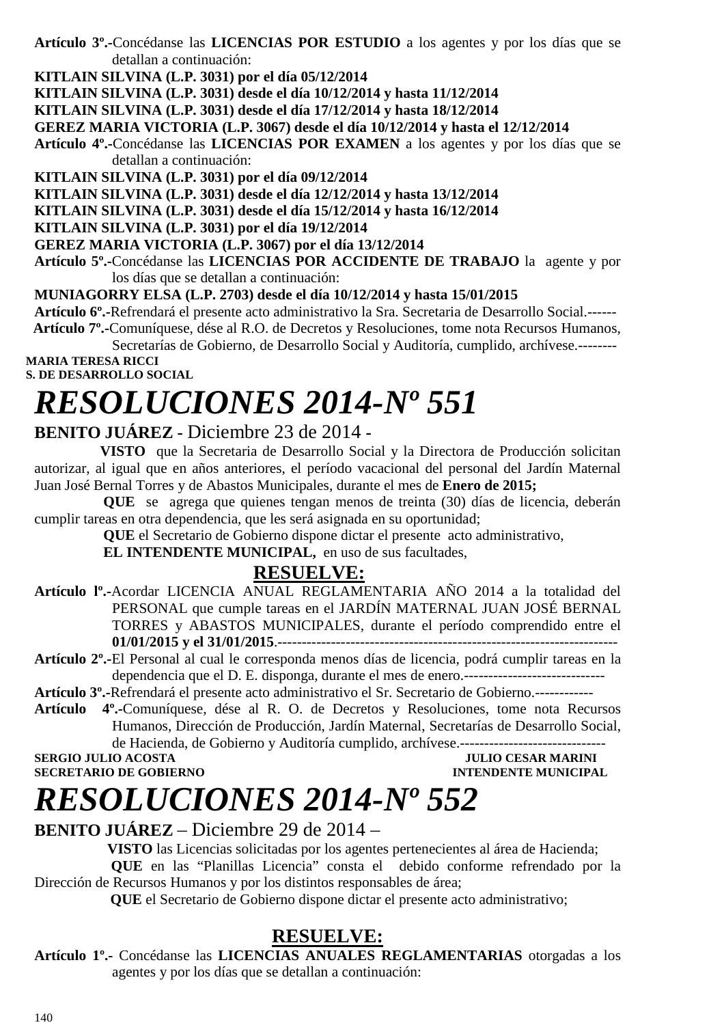**Artículo 3º.-**Concédanse las **LICENCIAS POR ESTUDIO** a los agentes y por los días que se detallan a continuación:

**KITLAIN SILVINA (L.P. 3031) por el día 05/12/2014** 

**KITLAIN SILVINA (L.P. 3031) desde el día 10/12/2014 y hasta 11/12/2014** 

**KITLAIN SILVINA (L.P. 3031) desde el día 17/12/2014 y hasta 18/12/2014** 

**GEREZ MARIA VICTORIA (L.P. 3067) desde el día 10/12/2014 y hasta el 12/12/2014** 

**Artículo 4º.-**Concédanse las **LICENCIAS POR EXAMEN** a los agentes y por los días que se detallan a continuación:

**KITLAIN SILVINA (L.P. 3031) por el día 09/12/2014** 

**KITLAIN SILVINA (L.P. 3031) desde el día 12/12/2014 y hasta 13/12/2014** 

**KITLAIN SILVINA (L.P. 3031) desde el día 15/12/2014 y hasta 16/12/2014** 

**KITLAIN SILVINA (L.P. 3031) por el día 19/12/2014** 

**GEREZ MARIA VICTORIA (L.P. 3067) por el día 13/12/2014**

**Artículo 5º.-**Concédanse las **LICENCIAS POR ACCIDENTE DE TRABAJO** la agente y por los días que se detallan a continuación:

**MUNIAGORRY ELSA (L.P. 2703) desde el día 10/12/2014 y hasta 15/01/2015** 

**Artículo 6º.-**Refrendará el presente acto administrativo la Sra. Secretaria de Desarrollo Social.------

 **Artículo 7º.-**Comuníquese, dése al R.O. de Decretos y Resoluciones, tome nota Recursos Humanos,

Secretarías de Gobierno, de Desarrollo Social y Auditoría, cumplido, archívese.-------- **MARIA TERESA RICCI** 

**S. DE DESARROLLO SOCIAL** 

### *RESOLUCIONES 2014-Nº 551*

#### **BENITO JUÁREZ -** Diciembre 23 de 2014 **-**

 **VISTO** que la Secretaria de Desarrollo Social y la Directora de Producción solicitan autorizar, al igual que en años anteriores, el período vacacional del personal del Jardín Maternal Juan José Bernal Torres y de Abastos Municipales, durante el mes de **Enero de 2015;** 

**QUE** se agrega que quienes tengan menos de treinta (30) días de licencia, deberán cumplir tareas en otra dependencia, que les será asignada en su oportunidad;

**QUE** el Secretario de Gobierno dispone dictar el presente acto administrativo,

**EL INTENDENTE MUNICIPAL,** en uso de sus facultades,

### **RESUELVE:**

- **Artículo lº.-**Acordar LICENCIA ANUAL REGLAMENTARIA AÑO 2014 a la totalidad del PERSONAL que cumple tareas en el JARDÍN MATERNAL JUAN JOSÉ BERNAL TORRES y ABASTOS MUNICIPALES, durante el período comprendido entre el **01/01/2015 y el 31/01/2015**.----------------------------------------------------------------------
- **Artículo 2º.-**El Personal al cual le corresponda menos días de licencia, podrá cumplir tareas en la dependencia que el D. E. disponga, durante el mes de enero.-----------------------------

**Artículo 3º.-**Refrendará el presente acto administrativo el Sr. Secretario de Gobierno.------------

**Artículo 4º.-**Comuníquese, dése al R. O. de Decretos y Resoluciones, tome nota Recursos Humanos, Dirección de Producción, Jardín Maternal, Secretarías de Desarrollo Social, de Hacienda, de Gobierno y Auditoría cumplido, archívese.------------------------------

**SERGIO JULIO ACOSTA JULIO CESAR MARINI** 

**SECRETARIO DE GOBIERNO INTENDENTE MUNICIPAL** 

### *RESOLUCIONES 2014-Nº 552*

#### **BENITO JUÁREZ** – Diciembre 29 de 2014 –

 **VISTO** las Licencias solicitadas por los agentes pertenecientes al área de Hacienda; **QUE** en las "Planillas Licencia" consta el debido conforme refrendado por la Dirección de Recursos Humanos y por los distintos responsables de área;

 **QUE** el Secretario de Gobierno dispone dictar el presente acto administrativo;

### **RESUELVE:**

**Artículo 1º.-** Concédanse las **LICENCIAS ANUALES REGLAMENTARIAS** otorgadas a los agentes y por los días que se detallan a continuación: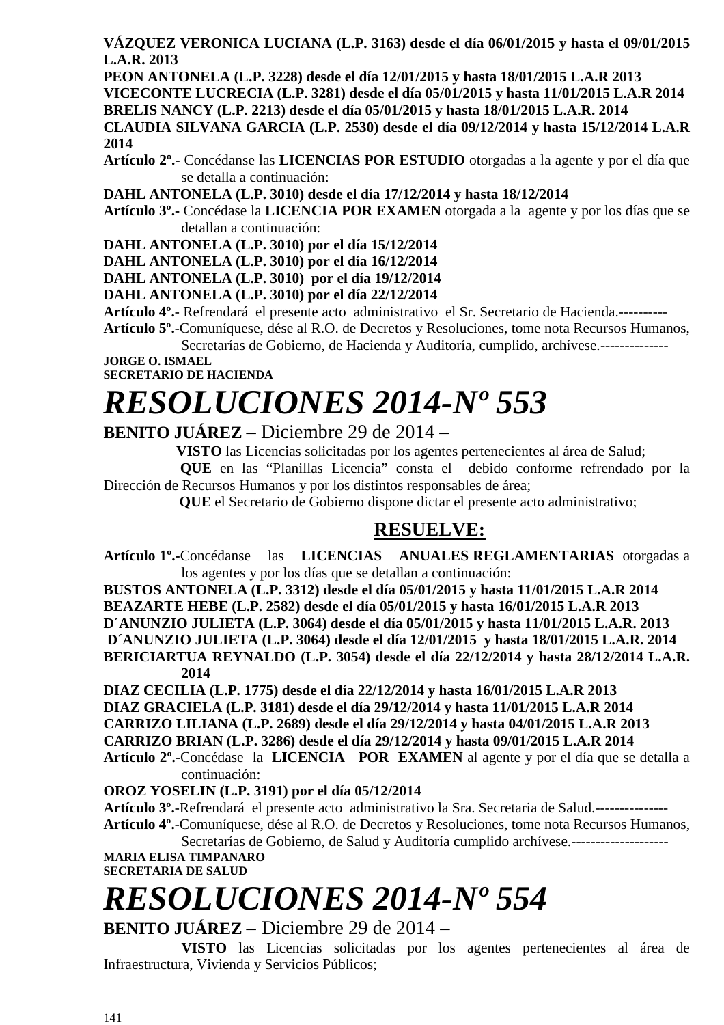**VÁZQUEZ VERONICA LUCIANA (L.P. 3163) desde el día 06/01/2015 y hasta el 09/01/2015 L.A.R. 2013** 

**PEON ANTONELA (L.P. 3228) desde el día 12/01/2015 y hasta 18/01/2015 L.A.R 2013 VICECONTE LUCRECIA (L.P. 3281) desde el día 05/01/2015 y hasta 11/01/2015 L.A.R 2014 BRELIS NANCY (L.P. 2213) desde el día 05/01/2015 y hasta 18/01/2015 L.A.R. 2014 CLAUDIA SILVANA GARCIA (L.P. 2530) desde el día 09/12/2014 y hasta 15/12/2014 L.A.R 2014** 

**Artículo 2º.-** Concédanse las **LICENCIAS POR ESTUDIO** otorgadas a la agente y por el día que se detalla a continuación:

**DAHL ANTONELA (L.P. 3010) desde el día 17/12/2014 y hasta 18/12/2014** 

**Artículo 3º.-** Concédase la **LICENCIA POR EXAMEN** otorgada a la agente y por los días que se detallan a continuación:

**DAHL ANTONELA (L.P. 3010) por el día 15/12/2014** 

**DAHL ANTONELA (L.P. 3010) por el día 16/12/2014** 

**DAHL ANTONELA (L.P. 3010) por el día 19/12/2014** 

**DAHL ANTONELA (L.P. 3010) por el día 22/12/2014** 

**Artículo 4º.**- Refrendará el presente acto administrativo el Sr. Secretario de Hacienda.----------

**Artículo 5º.**-Comuníquese, dése al R.O. de Decretos y Resoluciones, tome nota Recursos Humanos, Secretarías de Gobierno, de Hacienda y Auditoría, cumplido, archívese.---------------

**JORGE O. ISMAEL SECRETARIO DE HACIENDA** 

### *RESOLUCIONES 2014-Nº 553*

**BENITO JUÁREZ** – Diciembre 29 de 2014 –

**VISTO** las Licencias solicitadas por los agentes pertenecientes al área de Salud;

 **QUE** en las "Planillas Licencia" consta el debido conforme refrendado por la Dirección de Recursos Humanos y por los distintos responsables de área;

 **QUE** el Secretario de Gobierno dispone dictar el presente acto administrativo;

### **RESUELVE:**

**Artículo 1º.-**Concédanse las **LICENCIAS ANUALES REGLAMENTARIAS** otorgadas a los agentes y por los días que se detallan a continuación:

**BUSTOS ANTONELA (L.P. 3312) desde el día 05/01/2015 y hasta 11/01/2015 L.A.R 2014 BEAZARTE HEBE (L.P. 2582) desde el día 05/01/2015 y hasta 16/01/2015 L.A.R 2013 D´ANUNZIO JULIETA (L.P. 3064) desde el día 05/01/2015 y hasta 11/01/2015 L.A.R. 2013** 

 **D´ANUNZIO JULIETA (L.P. 3064) desde el día 12/01/2015 y hasta 18/01/2015 L.A.R. 2014 BERICIARTUA REYNALDO (L.P. 3054) desde el día 22/12/2014 y hasta 28/12/2014 L.A.R. 2014** 

**DIAZ CECILIA (L.P. 1775) desde el día 22/12/2014 y hasta 16/01/2015 L.A.R 2013 DIAZ GRACIELA (L.P. 3181) desde el día 29/12/2014 y hasta 11/01/2015 L.A.R 2014 CARRIZO LILIANA (L.P. 2689) desde el día 29/12/2014 y hasta 04/01/2015 L.A.R 2013 CARRIZO BRIAN (L.P. 3286) desde el día 29/12/2014 y hasta 09/01/2015 L.A.R 2014 Artículo 2º.-**Concédase la **LICENCIA POR EXAMEN** al agente y por el día que se detalla a continuación:

#### **OROZ YOSELIN (L.P. 3191) por el día 05/12/2014**

**Artículo 3º.**-Refrendará el presente acto administrativo la Sra. Secretaria de Salud.--------------- **Artículo 4º.**-Comuníquese, dése al R.O. de Decretos y Resoluciones, tome nota Recursos Humanos, Secretarías de Gobierno, de Salud y Auditoría cumplido archívese.--------------------

**MARIA ELISA TIMPANARO SECRETARIA DE SALUD** 

# *RESOLUCIONES 2014-Nº 554*

**BENITO JUÁREZ** – Diciembre 29 de 2014 –

 **VISTO** las Licencias solicitadas por los agentes pertenecientes al área de Infraestructura, Vivienda y Servicios Públicos;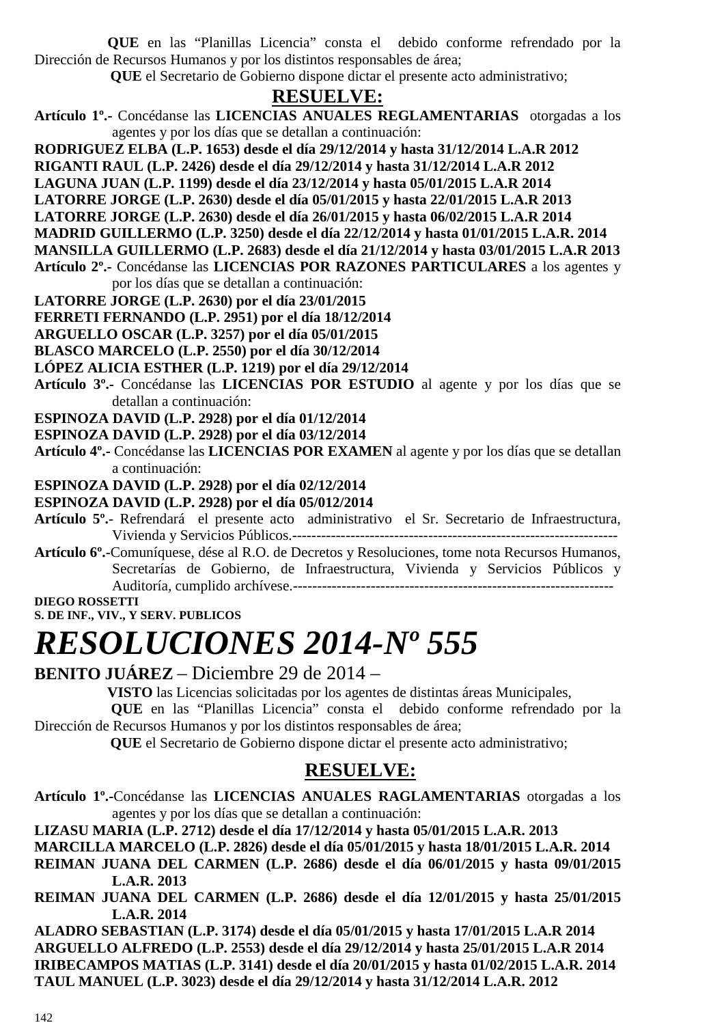**QUE** en las "Planillas Licencia" consta el debido conforme refrendado por la Dirección de Recursos Humanos y por los distintos responsables de área;

 **QUE** el Secretario de Gobierno dispone dictar el presente acto administrativo;

### **RESUELVE:**

**Artículo 1º.-** Concédanse las **LICENCIAS ANUALES REGLAMENTARIAS** otorgadas a los agentes y por los días que se detallan a continuación:

**RODRIGUEZ ELBA (L.P. 1653) desde el día 29/12/2014 y hasta 31/12/2014 L.A.R 2012** 

**RIGANTI RAUL (L.P. 2426) desde el día 29/12/2014 y hasta 31/12/2014 L.A.R 2012** 

**LAGUNA JUAN (L.P. 1199) desde el día 23/12/2014 y hasta 05/01/2015 L.A.R 2014** 

**LATORRE JORGE (L.P. 2630) desde el día 05/01/2015 y hasta 22/01/2015 L.A.R 2013** 

**LATORRE JORGE (L.P. 2630) desde el día 26/01/2015 y hasta 06/02/2015 L.A.R 2014** 

**MADRID GUILLERMO (L.P. 3250) desde el día 22/12/2014 y hasta 01/01/2015 L.A.R. 2014** 

**MANSILLA GUILLERMO (L.P. 2683) desde el día 21/12/2014 y hasta 03/01/2015 L.A.R 2013** 

**Artículo 2º.-** Concédanse las **LICENCIAS POR RAZONES PARTICULARES** a los agentes y por los días que se detallan a continuación:

**LATORRE JORGE (L.P. 2630) por el día 23/01/2015** 

**FERRETI FERNANDO (L.P. 2951) por el día 18/12/2014** 

**ARGUELLO OSCAR (L.P. 3257) por el día 05/01/2015** 

**BLASCO MARCELO (L.P. 2550) por el día 30/12/2014** 

**LÓPEZ ALICIA ESTHER (L.P. 1219) por el día 29/12/2014** 

**Artículo 3º.-** Concédanse las **LICENCIAS POR ESTUDIO** al agente y por los días que se detallan a continuación:

**ESPINOZA DAVID (L.P. 2928) por el día 01/12/2014** 

**ESPINOZA DAVID (L.P. 2928) por el día 03/12/2014** 

**Artículo 4º.-** Concédanse las **LICENCIAS POR EXAMEN** al agente y por los días que se detallan a continuación:

**ESPINOZA DAVID (L.P. 2928) por el día 02/12/2014** 

**ESPINOZA DAVID (L.P. 2928) por el día 05/012/2014** 

**Artículo 5º.**- Refrendará el presente acto administrativo el Sr. Secretario de Infraestructura, Vivienda y Servicios Públicos.-------------------------------------------------------------------

**Artículo 6º.**-Comuníquese, dése al R.O. de Decretos y Resoluciones, tome nota Recursos Humanos, Secretarías de Gobierno, de Infraestructura, Vivienda y Servicios Públicos y Auditoría, cumplido archívese.------------------------------------------------------------------

**DIEGO ROSSETTI** 

**S. DE INF., VIV., Y SERV. PUBLICOS** 

### *RESOLUCIONES 2014-Nº 555*

**BENITO JUÁREZ** – Diciembre 29 de 2014 –

**VISTO** las Licencias solicitadas por los agentes de distintas áreas Municipales,

 **QUE** en las "Planillas Licencia" consta el debido conforme refrendado por la Dirección de Recursos Humanos y por los distintos responsables de área;

 **QUE** el Secretario de Gobierno dispone dictar el presente acto administrativo;

### **RESUELVE:**

**Artículo 1º.-**Concédanse las **LICENCIAS ANUALES RAGLAMENTARIAS** otorgadas a los agentes y por los días que se detallan a continuación:

**LIZASU MARIA (L.P. 2712) desde el día 17/12/2014 y hasta 05/01/2015 L.A.R. 2013** 

**MARCILLA MARCELO (L.P. 2826) desde el día 05/01/2015 y hasta 18/01/2015 L.A.R. 2014** 

**REIMAN JUANA DEL CARMEN (L.P. 2686) desde el día 06/01/2015 y hasta 09/01/2015 L.A.R. 2013** 

**REIMAN JUANA DEL CARMEN (L.P. 2686) desde el día 12/01/2015 y hasta 25/01/2015 L.A.R. 2014** 

**ALADRO SEBASTIAN (L.P. 3174) desde el día 05/01/2015 y hasta 17/01/2015 L.A.R 2014 ARGUELLO ALFREDO (L.P. 2553) desde el día 29/12/2014 y hasta 25/01/2015 L.A.R 2014 IRIBECAMPOS MATIAS (L.P. 3141) desde el día 20/01/2015 y hasta 01/02/2015 L.A.R. 2014 TAUL MANUEL (L.P. 3023) desde el día 29/12/2014 y hasta 31/12/2014 L.A.R. 2012**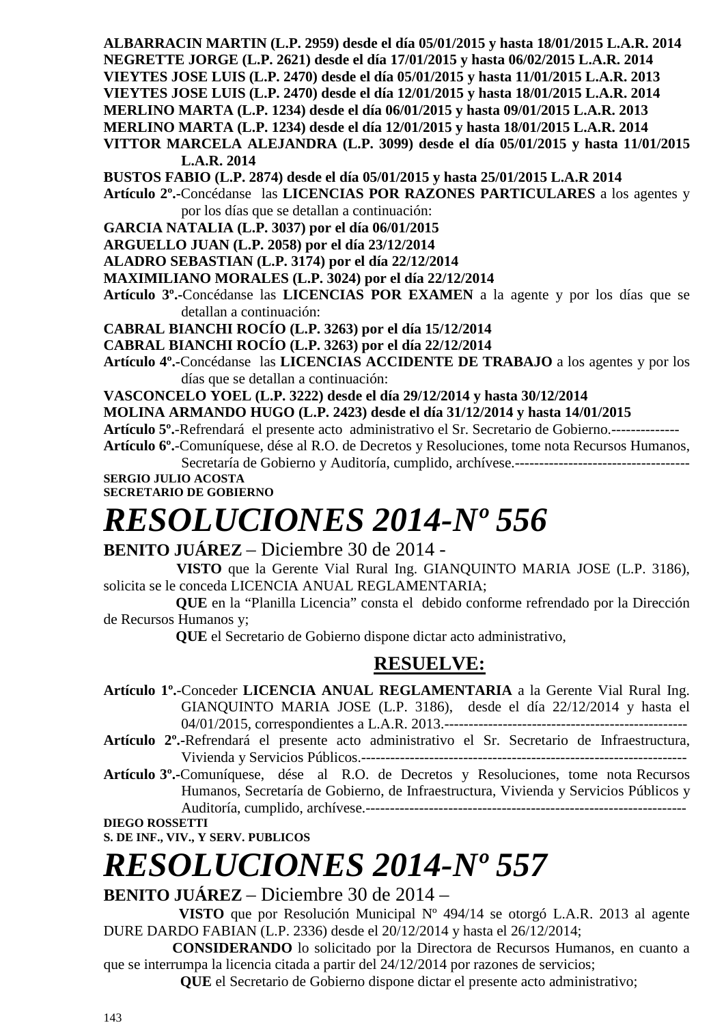**ALBARRACIN MARTIN (L.P. 2959) desde el día 05/01/2015 y hasta 18/01/2015 L.A.R. 2014 NEGRETTE JORGE (L.P. 2621) desde el día 17/01/2015 y hasta 06/02/2015 L.A.R. 2014 VIEYTES JOSE LUIS (L.P. 2470) desde el día 05/01/2015 y hasta 11/01/2015 L.A.R. 2013 VIEYTES JOSE LUIS (L.P. 2470) desde el día 12/01/2015 y hasta 18/01/2015 L.A.R. 2014 MERLINO MARTA (L.P. 1234) desde el día 06/01/2015 y hasta 09/01/2015 L.A.R. 2013 MERLINO MARTA (L.P. 1234) desde el día 12/01/2015 y hasta 18/01/2015 L.A.R. 2014 VITTOR MARCELA ALEJANDRA (L.P. 3099) desde el día 05/01/2015 y hasta 11/01/2015** 

**L.A.R. 2014 BUSTOS FABIO (L.P. 2874) desde el día 05/01/2015 y hasta 25/01/2015 L.A.R 2014** 

**Artículo 2º.-**Concédanse las **LICENCIAS POR RAZONES PARTICULARES** a los agentes y por los días que se detallan a continuación:

**GARCIA NATALIA (L.P. 3037) por el día 06/01/2015** 

**ARGUELLO JUAN (L.P. 2058) por el día 23/12/2014** 

**ALADRO SEBASTIAN (L.P. 3174) por el día 22/12/2014** 

**MAXIMILIANO MORALES (L.P. 3024) por el día 22/12/2014** 

**Artículo 3º.-**Concédanse las **LICENCIAS POR EXAMEN** a la agente y por los días que se detallan a continuación:

**CABRAL BIANCHI ROCÍO (L.P. 3263) por el día 15/12/2014** 

**CABRAL BIANCHI ROCÍO (L.P. 3263) por el día 22/12/2014** 

**Artículo 4º.-**Concédanse las **LICENCIAS ACCIDENTE DE TRABAJO** a los agentes y por los días que se detallan a continuación:

**VASCONCELO YOEL (L.P. 3222) desde el día 29/12/2014 y hasta 30/12/2014** 

**MOLINA ARMANDO HUGO (L.P. 2423) desde el día 31/12/2014 y hasta 14/01/2015** 

**Artículo 5º.**-Refrendará el presente acto administrativo el Sr. Secretario de Gobierno.--------------

**Artículo 6º.**-Comuníquese, dése al R.O. de Decretos y Resoluciones, tome nota Recursos Humanos, Secretaría de Gobierno y Auditoría, cumplido, archívese.------------------------------------

**SERGIO JULIO ACOSTA SECRETARIO DE GOBIERNO** 

# *RESOLUCIONES 2014-Nº 556*

**BENITO JUÁREZ** – Diciembre 30 de 2014 -

 **VISTO** que la Gerente Vial Rural Ing. GIANQUINTO MARIA JOSE (L.P. 3186), solicita se le conceda LICENCIA ANUAL REGLAMENTARIA;

 **QUE** en la "Planilla Licencia" consta el debido conforme refrendado por la Dirección de Recursos Humanos y;

 **QUE** el Secretario de Gobierno dispone dictar acto administrativo,

### **RESUELVE:**

**Artículo 1º.**-Conceder **LICENCIA ANUAL REGLAMENTARIA** a la Gerente Vial Rural Ing. GIANQUINTO MARIA JOSE (L.P. 3186), desde el día 22/12/2014 y hasta el 04/01/2015, correspondientes a L.A.R. 2013.--------------------------------------------------

**Artículo 2º.-**Refrendará el presente acto administrativo el Sr. Secretario de Infraestructura, Vivienda y Servicios Públicos.-------------------------------------------------------------------

**Artículo 3º.-**Comuníquese, dése al R.O. de Decretos y Resoluciones, tome nota Recursos Humanos, Secretaría de Gobierno, de Infraestructura, Vivienda y Servicios Públicos y Auditoría, cumplido, archívese.------------------------------------------------------------------

**DIEGO ROSSETTI** 

**S. DE INF., VIV., Y SERV. PUBLICOS** 

# *RESOLUCIONES 2014-Nº 557*

**BENITO JUÁREZ** – Diciembre 30 de 2014 –

 **VISTO** que por Resolución Municipal Nº 494/14 se otorgó L.A.R. 2013 al agente DURE DARDO FABIAN (L.P. 2336) desde el 20/12/2014 y hasta el 26/12/2014;

 **CONSIDERANDO** lo solicitado por la Directora de Recursos Humanos, en cuanto a que se interrumpa la licencia citada a partir del 24/12/2014 por razones de servicios;

 **QUE** el Secretario de Gobierno dispone dictar el presente acto administrativo;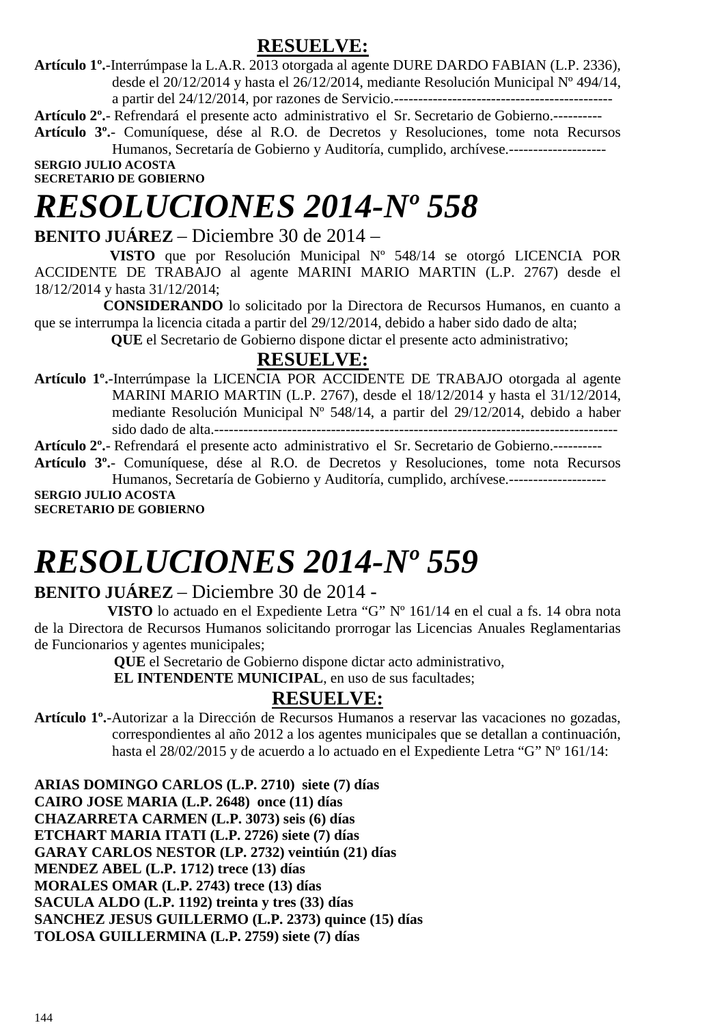### **RESUELVE:**

**Artículo 1º.**-Interrúmpase la L.A.R. 2013 otorgada al agente DURE DARDO FABIAN (L.P. 2336), desde el 20/12/2014 y hasta el 26/12/2014, mediante Resolución Municipal Nº 494/14, a partir del 24/12/2014, por razones de Servicio.---------------------------------------------

**Artículo 2º.**- Refrendará el presente acto administrativo el Sr. Secretario de Gobierno.----------

**Artículo 3º.**- Comuníquese, dése al R.O. de Decretos y Resoluciones, tome nota Recursos Humanos, Secretaría de Gobierno y Auditoría, cumplido, archívese.--------------------

**SERGIO JULIO ACOSTA SECRETARIO DE GOBIERNO** 

# *RESOLUCIONES 2014-Nº 558*

### **BENITO JUÁREZ** – Diciembre 30 de 2014 –

 **VISTO** que por Resolución Municipal Nº 548/14 se otorgó LICENCIA POR ACCIDENTE DE TRABAJO al agente MARINI MARIO MARTIN (L.P. 2767) desde el 18/12/2014 y hasta 31/12/2014;

 **CONSIDERANDO** lo solicitado por la Directora de Recursos Humanos, en cuanto a que se interrumpa la licencia citada a partir del 29/12/2014, debido a haber sido dado de alta;

 **QUE** el Secretario de Gobierno dispone dictar el presente acto administrativo;

#### **RESUELVE:**

**Artículo 1º.**-Interrúmpase la LICENCIA POR ACCIDENTE DE TRABAJO otorgada al agente MARINI MARIO MARTIN (L.P. 2767), desde el 18/12/2014 y hasta el 31/12/2014, mediante Resolución Municipal Nº 548/14, a partir del 29/12/2014, debido a haber sido dado de alta.-----------------------------------------------------------------------------------

**Artículo 2º.**- Refrendará el presente acto administrativo el Sr. Secretario de Gobierno.----------

**Artículo 3º.**- Comuníquese, dése al R.O. de Decretos y Resoluciones, tome nota Recursos Humanos, Secretaría de Gobierno y Auditoría, cumplido, archívese.--------------------

**SERGIO JULIO ACOSTA SECRETARIO DE GOBIERNO** 

### *RESOLUCIONES 2014-Nº 559*

#### **BENITO JUÁREZ** – Diciembre 30 de 2014 -

 **VISTO** lo actuado en el Expediente Letra "G" Nº 161/14 en el cual a fs. 14 obra nota de la Directora de Recursos Humanos solicitando prorrogar las Licencias Anuales Reglamentarias de Funcionarios y agentes municipales;

 **QUE** el Secretario de Gobierno dispone dictar acto administrativo,

 **EL INTENDENTE MUNICIPAL**, en uso de sus facultades;

### **RESUELVE:**

**Artículo 1º.**-Autorizar a la Dirección de Recursos Humanos a reservar las vacaciones no gozadas, correspondientes al año 2012 a los agentes municipales que se detallan a continuación, hasta el 28/02/2015 y de acuerdo a lo actuado en el Expediente Letra "G" Nº 161/14:

**ARIAS DOMINGO CARLOS (L.P. 2710) siete (7) días CAIRO JOSE MARIA (L.P. 2648) once (11) días CHAZARRETA CARMEN (L.P. 3073) seis (6) días ETCHART MARIA ITATI (L.P. 2726) siete (7) días GARAY CARLOS NESTOR (LP. 2732) veintiún (21) días MENDEZ ABEL (L.P. 1712) trece (13) días MORALES OMAR (L.P. 2743) trece (13) días SACULA ALDO (L.P. 1192) treinta y tres (33) días SANCHEZ JESUS GUILLERMO (L.P. 2373) quince (15) días TOLOSA GUILLERMINA (L.P. 2759) siete (7) días**